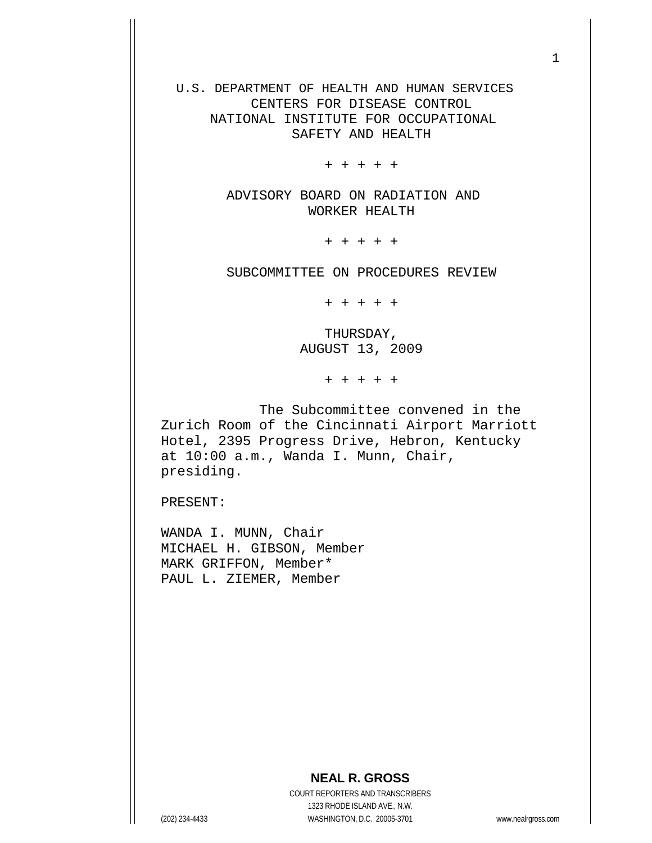U.S. DEPARTMENT OF HEALTH AND HUMAN SERVICES CENTERS FOR DISEASE CONTROL NATIONAL INSTITUTE FOR OCCUPATIONAL SAFETY AND HEALTH

+ + + + +

 ADVISORY BOARD ON RADIATION AND WORKER HEALTH

+ + + + +

SUBCOMMITTEE ON PROCEDURES REVIEW

+ + + + +

 THURSDAY, AUGUST 13, 2009

+ + + + +

 The Subcommittee convened in the Zurich Room of the Cincinnati Airport Marriott Hotel, 2395 Progress Drive, Hebron, Kentucky at 10:00 a.m., Wanda I. Munn, Chair, presiding.

PRESENT:

WANDA I. MUNN, Chair MICHAEL H. GIBSON, Member MARK GRIFFON, Member\* PAUL L. ZIEMER, Member

## **NEAL R. GROSS**

COURT REPORTERS AND TRANSCRIBERS 1323 RHODE ISLAND AVE., N.W. (202) 234-4433 WASHINGTON, D.C. 20005-3701 www.nealrgross.com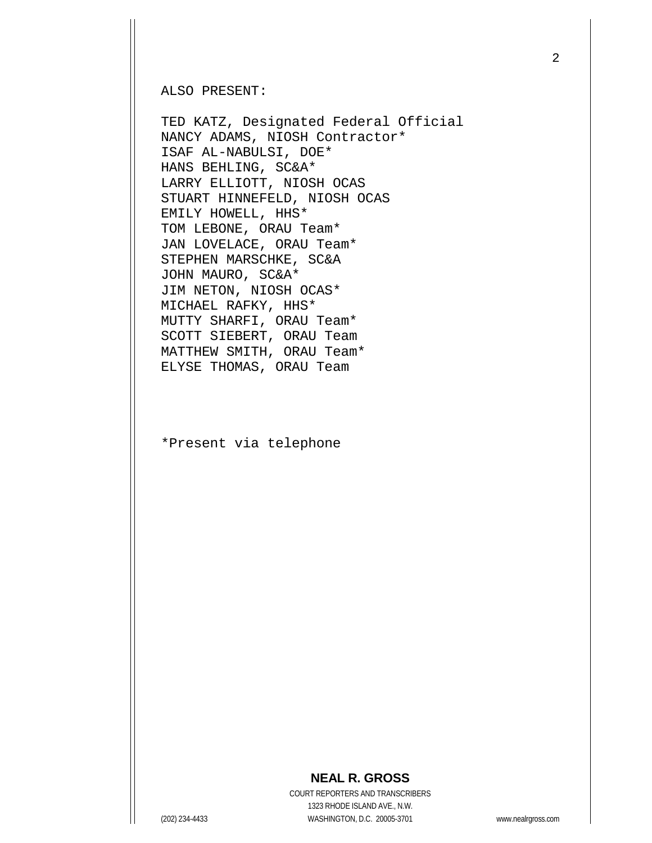ALSO PRESENT:

TED KATZ, Designated Federal Official NANCY ADAMS, NIOSH Contractor\* ISAF AL-NABULSI, DOE\* HANS BEHLING, SC&A\* LARRY ELLIOTT, NIOSH OCAS STUART HINNEFELD, NIOSH OCAS EMILY HOWELL, HHS\* TOM LEBONE, ORAU Team\* JAN LOVELACE, ORAU Team\* STEPHEN MARSCHKE, SC&A JOHN MAURO, SC&A\* JIM NETON, NIOSH OCAS\* MICHAEL RAFKY, HHS\* MUTTY SHARFI, ORAU Team\* SCOTT SIEBERT, ORAU Team MATTHEW SMITH, ORAU Team\* ELYSE THOMAS, ORAU Team

\*Present via telephone

## **NEAL R. GROSS**

COURT REPORTERS AND TRANSCRIBERS 1323 RHODE ISLAND AVE., N.W. (202) 234-4433 WASHINGTON, D.C. 20005-3701 www.nealrgross.com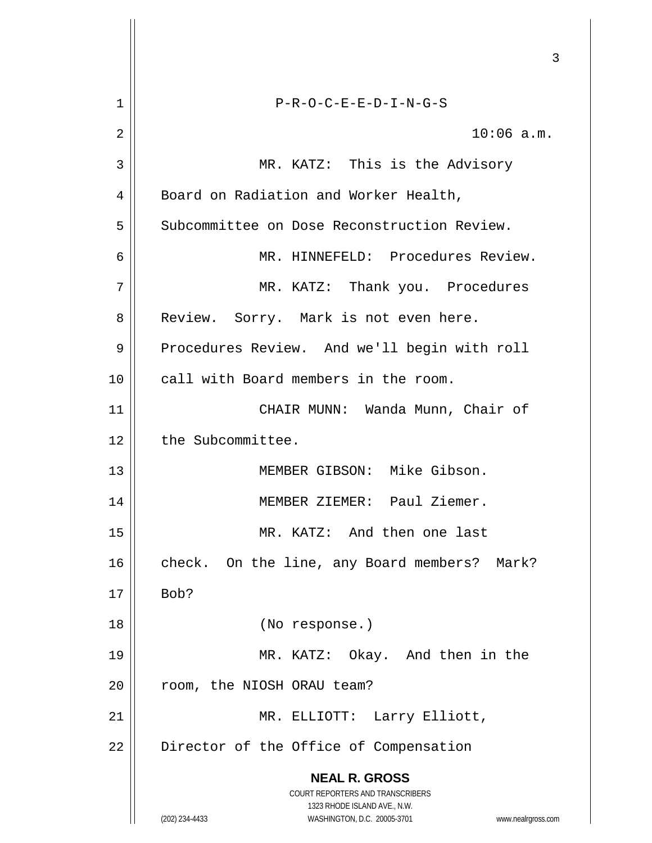|    | 3                                                                                                   |
|----|-----------------------------------------------------------------------------------------------------|
| 1  | $P-R-O-C-E-E-D-I-N-G-S$                                                                             |
| 2  | $10:06$ a.m.                                                                                        |
| 3  | MR. KATZ: This is the Advisory                                                                      |
| 4  | Board on Radiation and Worker Health,                                                               |
| 5  | Subcommittee on Dose Reconstruction Review.                                                         |
| 6  | MR. HINNEFELD: Procedures Review.                                                                   |
| 7  | MR. KATZ: Thank you. Procedures                                                                     |
| 8  | Review. Sorry. Mark is not even here.                                                               |
| 9  | Procedures Review. And we'll begin with roll                                                        |
| 10 | call with Board members in the room.                                                                |
| 11 | CHAIR MUNN: Wanda Munn, Chair of                                                                    |
| 12 | the Subcommittee.                                                                                   |
| 13 | MEMBER GIBSON: Mike Gibson.                                                                         |
| 14 | MEMBER ZIEMER: Paul Ziemer.                                                                         |
| 15 | MR. KATZ: And then one last                                                                         |
| 16 | check. On the line, any Board members? Mark?                                                        |
| 17 | Bob?                                                                                                |
| 18 | (No response.)                                                                                      |
| 19 | MR. KATZ: Okay. And then in the                                                                     |
| 20 | room, the NIOSH ORAU team?                                                                          |
| 21 | MR. ELLIOTT: Larry Elliott,                                                                         |
| 22 | Director of the Office of Compensation                                                              |
|    | <b>NEAL R. GROSS</b><br>COURT REPORTERS AND TRANSCRIBERS                                            |
|    | 1323 RHODE ISLAND AVE., N.W.<br>(202) 234-4433<br>WASHINGTON, D.C. 20005-3701<br>www.nealrgross.com |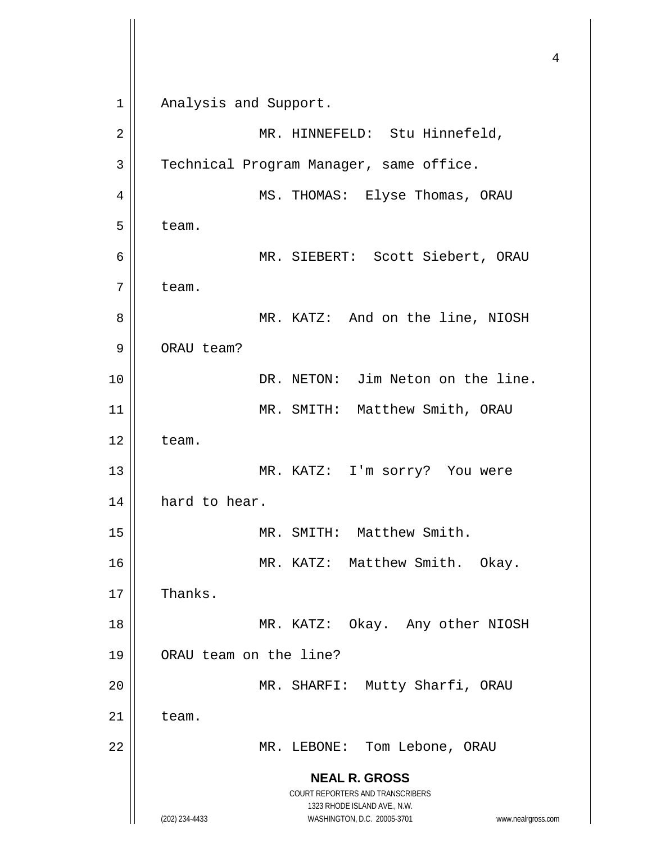**NEAL R. GROSS** COURT REPORTERS AND TRANSCRIBERS 1323 RHODE ISLAND AVE., N.W. (202) 234-4433 WASHINGTON, D.C. 20005-3701 www.nealrgross.com 1 || Analysis and Support. 2 || MR. HINNEFELD: Stu Hinnefeld, 3 | Technical Program Manager, same office. 4 MS. THOMAS: Elyse Thomas, ORAU  $5 \parallel$  team. 6 MR. SIEBERT: Scott Siebert, ORAU  $7 \parallel$  team. 8 MR. KATZ: And on the line, NIOSH 9 | ORAU team? 10 DR. NETON: Jim Neton on the line. 11 || MR. SMITH: Matthew Smith, ORAU  $12 \parallel$  team. 13 || MR. KATZ: I'm sorry? You were 14 | hard to hear. 15 || MR. SMITH: Matthew Smith. 16 | MR. KATZ: Matthew Smith. Okay. 17 | Thanks. 18 MR. KATZ: Okay. Any other NIOSH 19 ORAU team on the line? 20 || MR. SHARFI: Mutty Sharfi, ORAU  $21$   $\parallel$  team. 22 | MR. LEBONE: Tom Lebone, ORAU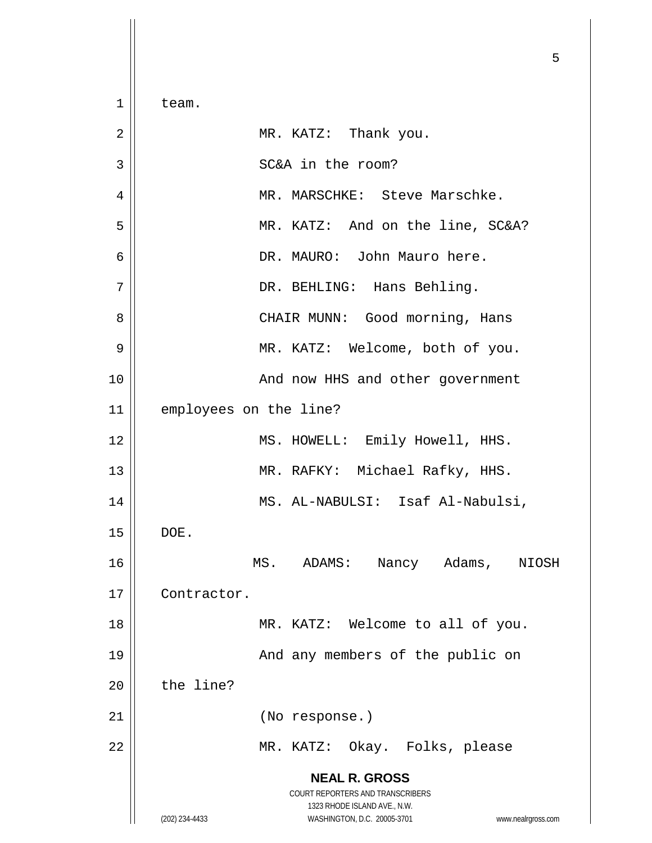**NEAL R. GROSS** COURT REPORTERS AND TRANSCRIBERS 1323 RHODE ISLAND AVE., N.W. (202) 234-4433 WASHINGTON, D.C. 20005-3701 www.nealrgross.com 5  $1 \parallel$  team. 2 || MR. KATZ: Thank you. 3 || SC&A in the room? 4 MR. MARSCHKE: Steve Marschke. 5 MR. KATZ: And on the line, SC&A? 6 DR. MAURO: John Mauro here. 7 | DR. BEHLING: Hans Behling. 8 CHAIR MUNN: Good morning, Hans 9 || MR. KATZ: Welcome, both of you. 10 || The Moving Mand now HHS and other government 11 employees on the line? 12 || MS. HOWELL: Emily Howell, HHS. 13 MR. RAFKY: Michael Rafky, HHS. 14 MS. AL-NABULSI: Isaf Al-Nabulsi,  $15$   $\parallel$  DOE. 16 MS. ADAMS: Nancy Adams, NIOSH 17 | Contractor. 18 || MR. KATZ: Welcome to all of you. 19 And any members of the public on  $20$  | the line? 21 || (No response.) 22 MR. KATZ: Okay. Folks, please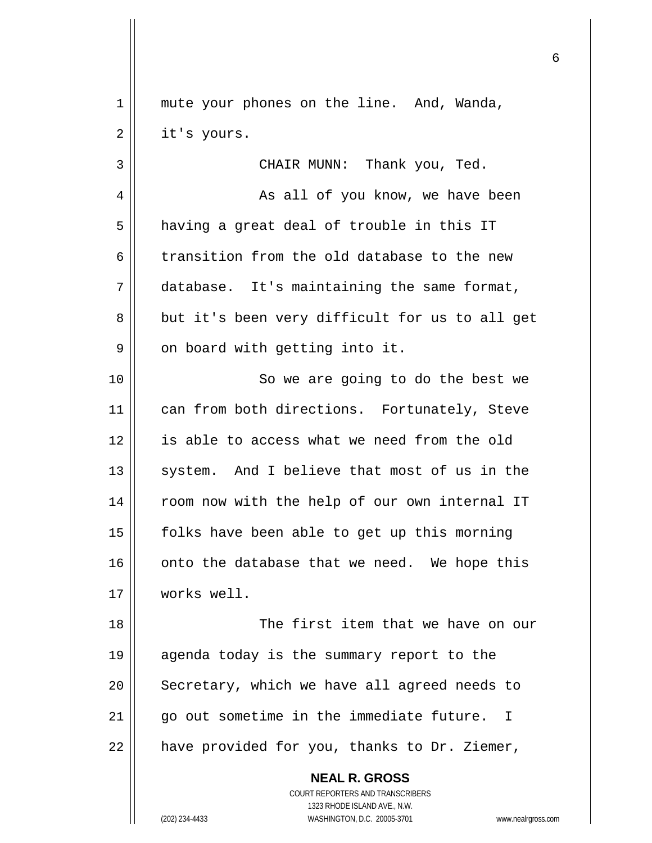1 || mute your phones on the line. And, Wanda,  $2 \parallel$  it's yours.

3 CHAIR MUNN: Thank you, Ted. 4 || As all of you know, we have been 5 | having a great deal of trouble in this IT  $6 \parallel$  transition from the old database to the new 7 database. It's maintaining the same format, 8 || but it's been very difficult for us to all get  $9 \parallel$  on board with getting into it.

10 || So we are going to do the best we 11 || can from both directions. Fortunately, Steve 12 || is able to access what we need from the old 13 || system. And I believe that most of us in the 14 || room now with the help of our own internal IT 15  $\parallel$  folks have been able to get up this morning  $16$  | onto the database that we need. We hope this 17 works well.

18 The first item that we have on our 19 agenda today is the summary report to the  $20$  | Secretary, which we have all agreed needs to 21 || qo out sometime in the immediate future. I  $22$  | have provided for you, thanks to Dr. Ziemer,

> COURT REPORTERS AND TRANSCRIBERS 1323 RHODE ISLAND AVE., N.W. (202) 234-4433 WASHINGTON, D.C. 20005-3701 www.nealrgross.com

**NEAL R. GROSS**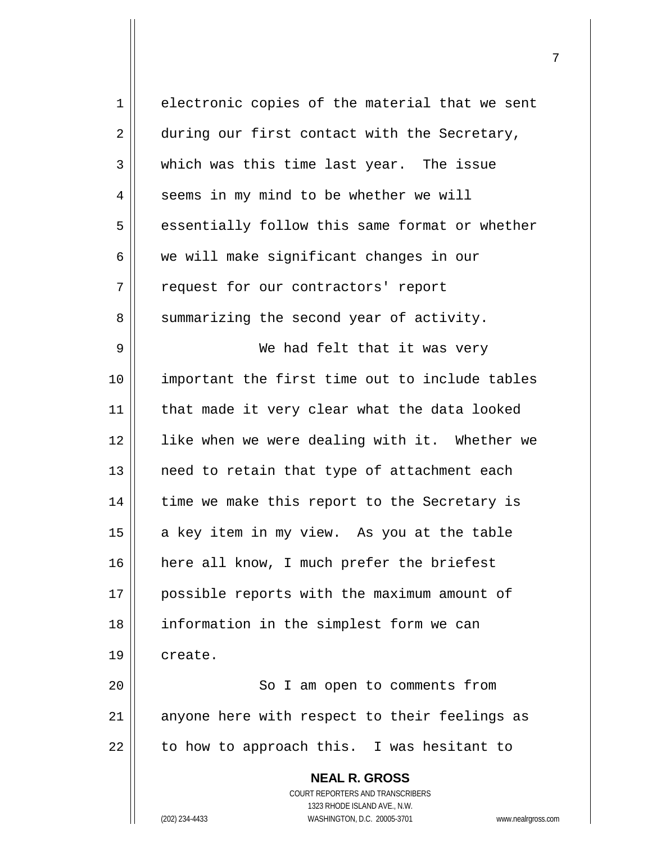**NEAL R. GROSS** COURT REPORTERS AND TRANSCRIBERS 1323 RHODE ISLAND AVE., N.W. (202) 234-4433 WASHINGTON, D.C. 20005-3701 www.nealrgross.com 1 || electronic copies of the material that we sent  $2 \parallel$  during our first contact with the Secretary, 3 || which was this time last year. The issue 4 | seems in my mind to be whether we will  $5$  | essentially follow this same format or whether  $6 \parallel$  we will make significant changes in our 7 | request for our contractors' report 8 | summarizing the second year of activity. 9 We had felt that it was very 10 important the first time out to include tables 11 that made it very clear what the data looked 12 || like when we were dealing with it. Whether we 13 || need to retain that type of attachment each  $14$  | time we make this report to the Secretary is 15  $\parallel$  a key item in my view. As you at the table 16 here all know, I much prefer the briefest 17 possible reports with the maximum amount of 18 information in the simplest form we can 19 | create. 20 || So I am open to comments from 21 || anyone here with respect to their feelings as  $22$  | to how to approach this. I was hesitant to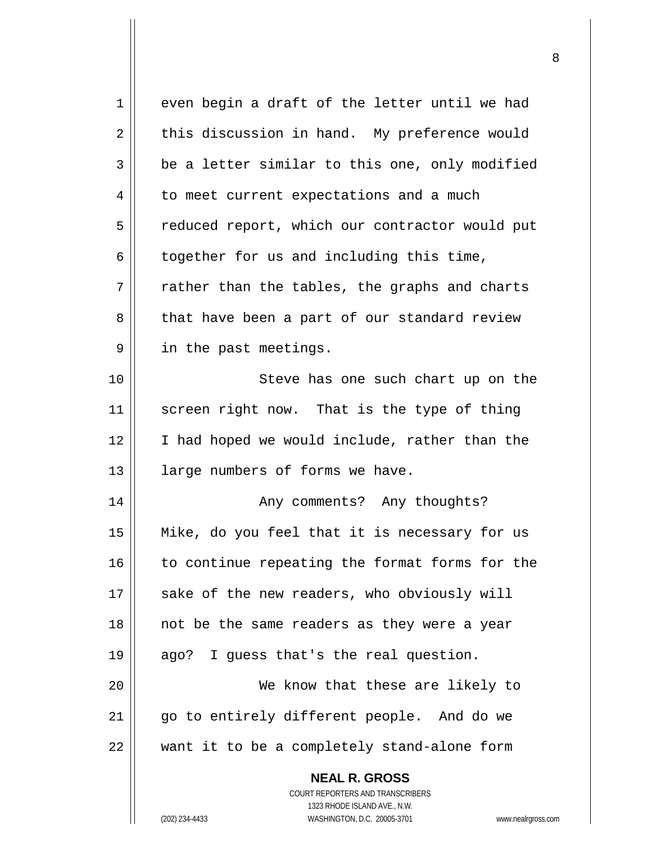| 1  | even begin a draft of the letter until we had                       |
|----|---------------------------------------------------------------------|
| 2  | this discussion in hand. My preference would                        |
| 3  | be a letter similar to this one, only modified                      |
| 4  | to meet current expectations and a much                             |
| 5  | reduced report, which our contractor would put                      |
| 6  | together for us and including this time,                            |
| 7  | rather than the tables, the graphs and charts                       |
| 8  | that have been a part of our standard review                        |
| 9  | in the past meetings.                                               |
| 10 | Steve has one such chart up on the                                  |
| 11 | screen right now. That is the type of thing                         |
| 12 | I had hoped we would include, rather than the                       |
| 13 | large numbers of forms we have.                                     |
| 14 | Any comments? Any thoughts?                                         |
| 15 | Mike, do you feel that it is necessary for us                       |
| 16 | to continue repeating the format forms for the                      |
| 17 | sake of the new readers, who obviously will                         |
| 18 | not be the same readers as they were a year                         |
| 19 | ago? I guess that's the real question.                              |
| 20 | We know that these are likely to                                    |
| 21 | go to entirely different people. And do we                          |
| 22 | want it to be a completely stand-alone form                         |
|    | <b>NEAL R. GROSS</b><br>COURT REPORTERS AND TRANSCRIBERS            |
|    | 1323 RHODE ISLAND AVE., N.W.                                        |
|    | (202) 234-4433<br>WASHINGTON, D.C. 20005-3701<br>www.nealrgross.com |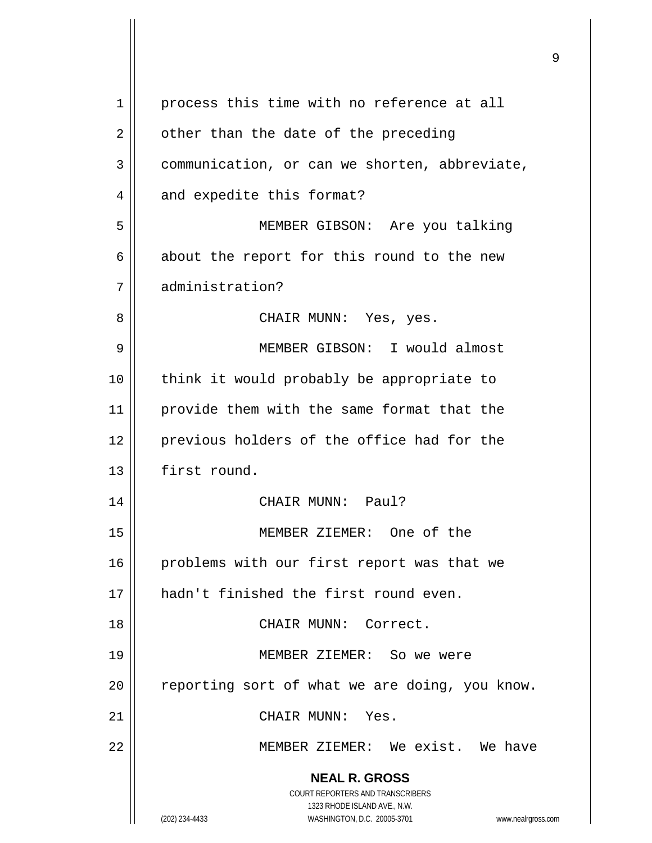**NEAL R. GROSS** COURT REPORTERS AND TRANSCRIBERS 1323 RHODE ISLAND AVE., N.W. (202) 234-4433 WASHINGTON, D.C. 20005-3701 www.nealrgross.com 1 || process this time with no reference at all  $2 \parallel$  other than the date of the preceding 3 | communication, or can we shorten, abbreviate,  $4 \parallel$  and expedite this format? 5 MEMBER GIBSON: Are you talking  $6 \parallel$  about the report for this round to the new 7 dadministration? 8 CHAIR MUNN: Yes, yes. 9 MEMBER GIBSON: I would almost 10 || think it would probably be appropriate to 11 provide them with the same format that the 12 || previous holders of the office had for the 13 first round. 14 CHAIR MUNN: Paul? 15 MEMBER ZIEMER: One of the 16 || problems with our first report was that we 17 hadn't finished the first round even. 18 || CHAIR MUNN: Correct. 19 MEMBER ZIEMER: So we were  $20$  | reporting sort of what we are doing, you know. 21 || CHAIR MUNN: Yes. 22 MEMBER ZIEMER: We exist. We have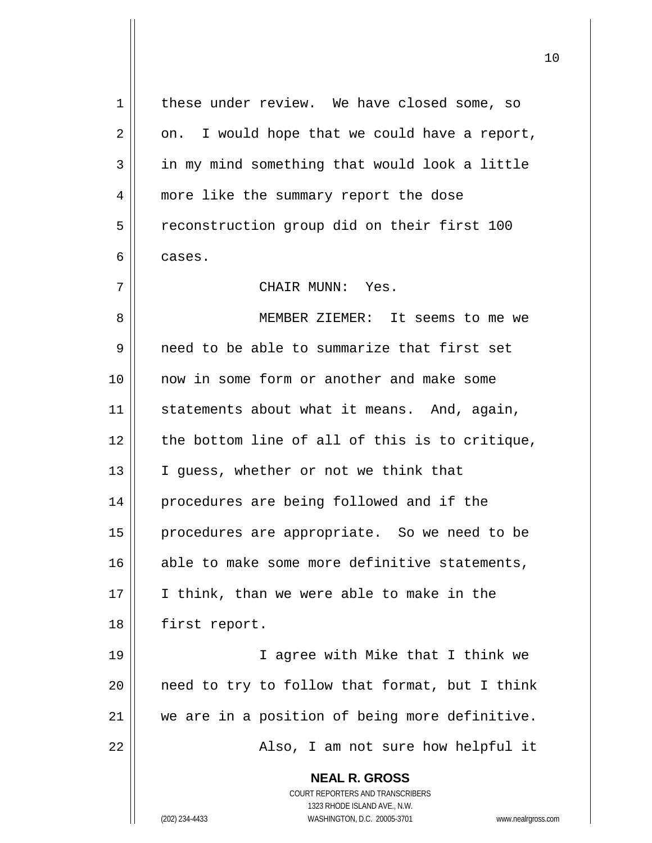**NEAL R. GROSS** COURT REPORTERS AND TRANSCRIBERS 1323 RHODE ISLAND AVE., N.W. (202) 234-4433 WASHINGTON, D.C. 20005-3701 www.nealrgross.com 1 | these under review. We have closed some, so  $2 \parallel$  on. I would hope that we could have a report, 3 || in my mind something that would look a little 4 | more like the summary report the dose 5 | reconstruction group did on their first 100  $6 \parallel$  cases. 7 CHAIR MUNN: Yes. 8 MEMBER ZIEMER: It seems to me we 9 need to be able to summarize that first set 10 now in some form or another and make some 11 || statements about what it means. And, again,  $12$  | the bottom line of all of this is to critique, 13 I guess, whether or not we think that 14 || procedures are being followed and if the 15 | procedures are appropriate. So we need to be 16 || able to make some more definitive statements, 17 || I think, than we were able to make in the 18 || first report. 19 || I agree with Mike that I think we  $20$  || need to try to follow that format, but I think 21 we are in a position of being more definitive. 22 || Also, I am not sure how helpful it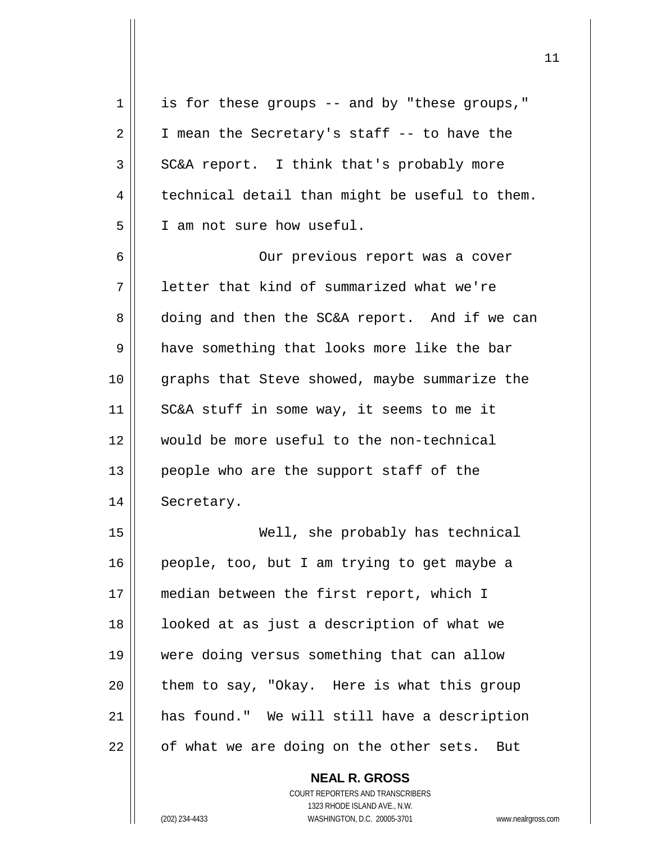1 || is for these groups -- and by "these groups,"  $2 \parallel$  I mean the Secretary's staff -- to have the  $3 \parallel$  SC&A report. I think that's probably more  $4 \parallel$  technical detail than might be useful to them. 5 | I am not sure how useful.

6 || Our previous report was a cover 7 | letter that kind of summarized what we're 8 doing and then the SC&A report. And if we can 9 aave something that looks more like the bar 10 || graphs that Steve showed, maybe summarize the 11 SC&A stuff in some way, it seems to me it 12 would be more useful to the non-technical 13 || people who are the support staff of the 14 | Secretary.

15 Well, she probably has technical 16 || people, too, but I am trying to get maybe a 17 median between the first report, which I 18 || looked at as just a description of what we 19 were doing versus something that can allow  $20$  || them to say, "Okay. Here is what this group 21 has found." We will still have a description  $22 \parallel$  of what we are doing on the other sets. But

> **NEAL R. GROSS** COURT REPORTERS AND TRANSCRIBERS 1323 RHODE ISLAND AVE., N.W. (202) 234-4433 WASHINGTON, D.C. 20005-3701 www.nealrgross.com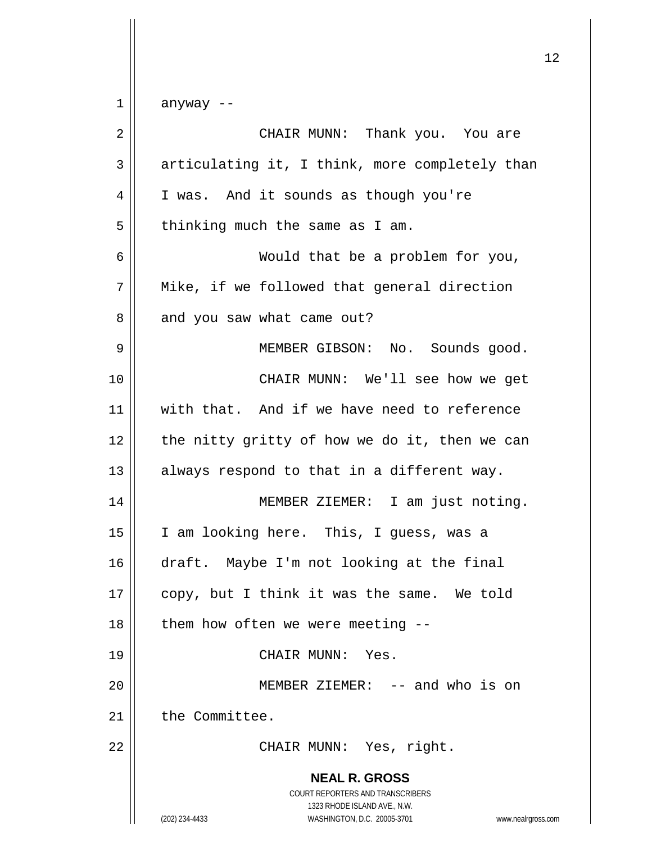**NEAL R. GROSS** COURT REPORTERS AND TRANSCRIBERS 1323 RHODE ISLAND AVE., N.W. (202) 234-4433 WASHINGTON, D.C. 20005-3701 www.nealrgross.com 12  $1 \parallel$  anyway --2 CHAIR MUNN: Thank you. You are  $3 \parallel$  articulating it, I think, more completely than 4 | I was. And it sounds as though you're  $5$  | thinking much the same as I am. 6 Would that be a problem for you, 7 || Mike, if we followed that general direction 8 || and you saw what came out? 9 MEMBER GIBSON: No. Sounds good. 10 || CHAIR MUNN: We'll see how we get 11 || with that. And if we have need to reference  $12$  | the nitty gritty of how we do it, then we can 13 || always respond to that in a different way. 14 || MEMBER ZIEMER: I am just noting. 15 I am looking here. This, I guess, was a 16 draft. Maybe I'm not looking at the final  $17$  | copy, but I think it was the same. We told  $18$  || them how often we were meeting  $-$ -19 CHAIR MUNN: Yes. 20 MEMBER ZIEMER: -- and who is on 21 | the Committee. 22 || CHAIR MUNN: Yes, right.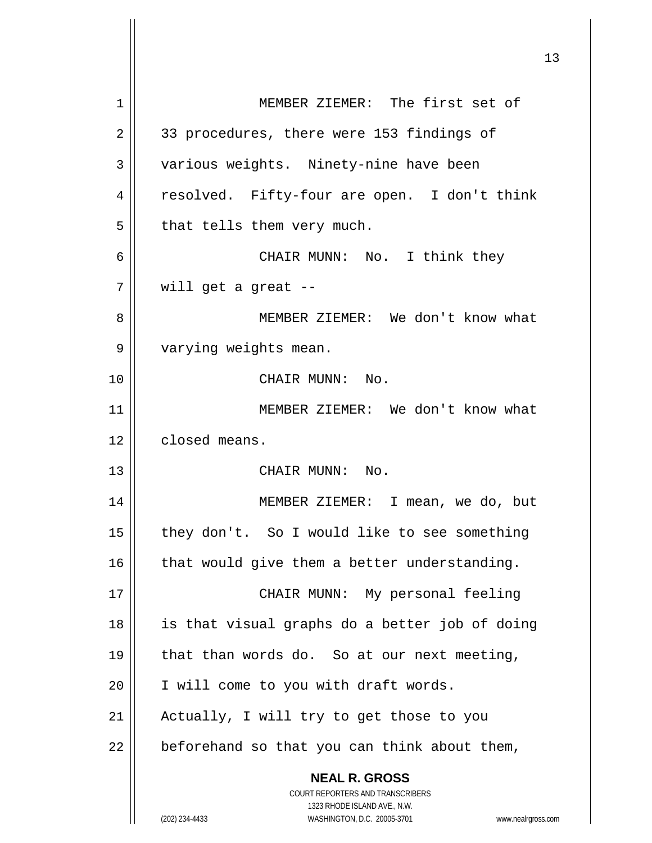**NEAL R. GROSS** COURT REPORTERS AND TRANSCRIBERS 1323 RHODE ISLAND AVE., N.W. (202) 234-4433 WASHINGTON, D.C. 20005-3701 www.nealrgross.com 1 || MEMBER ZIEMER: The first set of 2 || 33 procedures, there were 153 findings of 3 || various weights. Ninety-nine have been 4 | resolved. Fifty-four are open. I don't think  $5$  || that tells them very much. 6 CHAIR MUNN: No. I think they  $7 \parallel$  will get a great --8 MEMBER ZIEMER: We don't know what 9 | varying weights mean. 10 CHAIR MUNN: No. 11 MEMBER ZIEMER: We don't know what 12 | closed means. 13 || CHAIR MUNN: No. 14 MEMBER ZIEMER: I mean, we do, but 15  $\parallel$  they don't. So I would like to see something  $16$  | that would give them a better understanding. 17 CHAIR MUNN: My personal feeling 18 || is that visual graphs do a better job of doing 19  $\parallel$  that than words do. So at our next meeting, 20 || I will come to you with draft words. 21 Actually, I will try to get those to you  $22$  | beforehand so that you can think about them,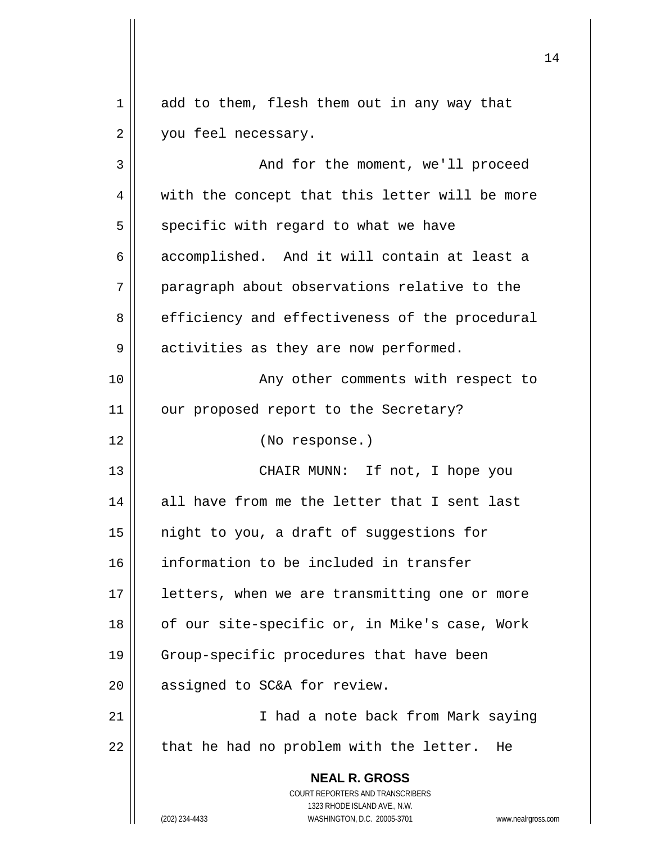**NEAL R. GROSS** COURT REPORTERS AND TRANSCRIBERS 1323 RHODE ISLAND AVE., N.W. (202) 234-4433 WASHINGTON, D.C. 20005-3701 www.nealrgross.com 1 add to them, flesh them out in any way that 2 | you feel necessary. 3 And for the moment, we'll proceed  $4 \parallel$  with the concept that this letter will be more  $5$  specific with regard to what we have 6 accomplished. And it will contain at least a 7 | paragraph about observations relative to the 8 efficiency and effectiveness of the procedural  $9 \parallel$  activities as they are now performed. 10 || Any other comments with respect to 11 our proposed report to the Secretary? 12 (No response.) 13 || CHAIR MUNN: If not, I hope you  $14$  all have from me the letter that I sent last 15  $\parallel$  night to you, a draft of suggestions for 16 information to be included in transfer 17 || letters, when we are transmitting one or more 18 || of our site-specific or, in Mike's case, Work 19 || Group-specific procedures that have been 20 **assigned** to SC&A for review. 21 || I had a note back from Mark saying  $22$  || that he had no problem with the letter. He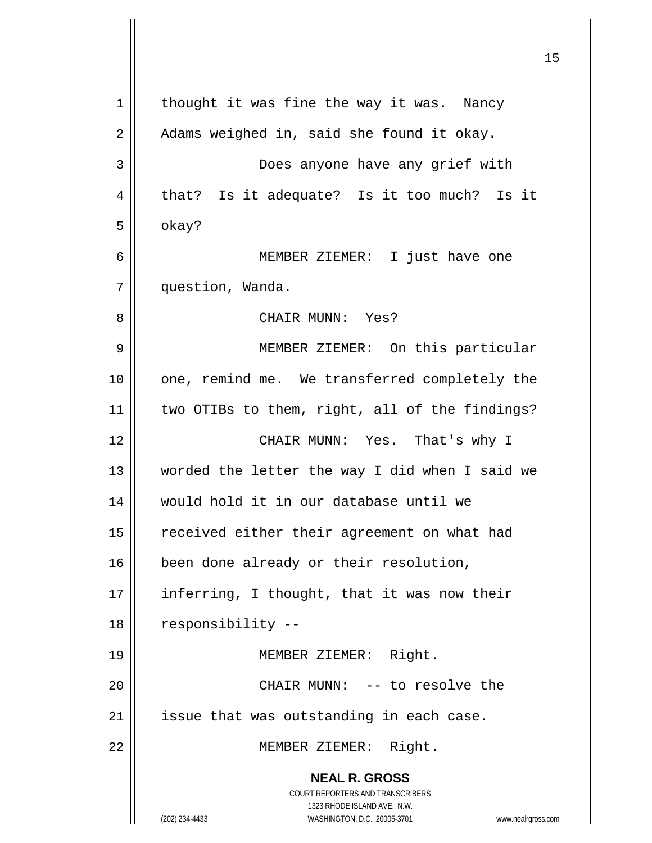**NEAL R. GROSS** COURT REPORTERS AND TRANSCRIBERS 1323 RHODE ISLAND AVE., N.W. (202) 234-4433 WASHINGTON, D.C. 20005-3701 www.nealrgross.com 1 | thought it was fine the way it was. Nancy  $2 \parallel$  Adams weighed in, said she found it okay. 3 Does anyone have any grief with  $4 \parallel$  that? Is it adequate? Is it too much? Is it  $5 \parallel$  okay? 6 MEMBER ZIEMER: I just have one 7 question, Wanda. 8 CHAIR MUNN: Yes? 9 MEMBER ZIEMER: On this particular 10 || one, remind me. We transferred completely the 11 two OTIBs to them, right, all of the findings? 12 CHAIR MUNN: Yes. That's why I 13 worded the letter the way I did when I said we 14 would hold it in our database until we 15 | received either their agreement on what had 16 | been done already or their resolution,  $17$  || inferring, I thought, that it was now their 18 | responsibility --19 || MEMBER ZIEMER: Right. 20 CHAIR MUNN: -- to resolve the  $21$  | issue that was outstanding in each case. 22 || MEMBER ZIEMER: Right.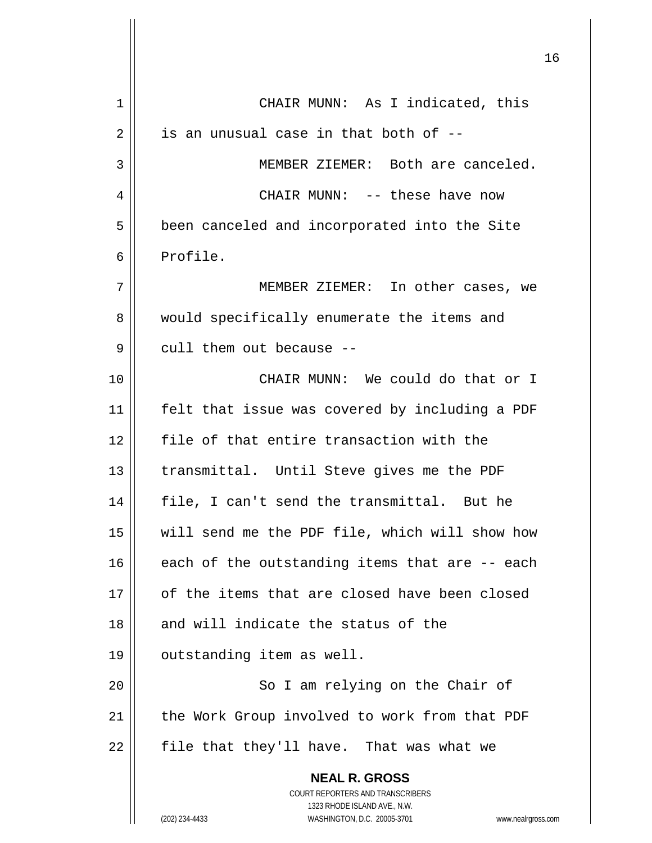**NEAL R. GROSS** COURT REPORTERS AND TRANSCRIBERS 1323 RHODE ISLAND AVE., N.W. (202) 234-4433 WASHINGTON, D.C. 20005-3701 www.nealrgross.com 16 1 CHAIR MUNN: As I indicated, this  $2 \parallel$  is an unusual case in that both of  $-$ 3 MEMBER ZIEMER: Both are canceled. 4 | CHAIR MUNN: -- these have now 5 **been** canceled and incorporated into the Site 6 | Profile. 7 MEMBER ZIEMER: In other cases, we 8 || would specifically enumerate the items and  $9 \parallel$  cull them out because --10 CHAIR MUNN: We could do that or I 11 felt that issue was covered by including a PDF 12 file of that entire transaction with the 13 || transmittal. Until Steve gives me the PDF 14 file, I can't send the transmittal. But he 15 || will send me the PDF file, which will show how  $16$  each of the outstanding items that are  $-$ - each 17 || of the items that are closed have been closed  $18$  || and will indicate the status of the  $19$   $\parallel$  outstanding item as well. 20 || So I am relying on the Chair of 21 | the Work Group involved to work from that PDF  $22$  | file that they'll have. That was what we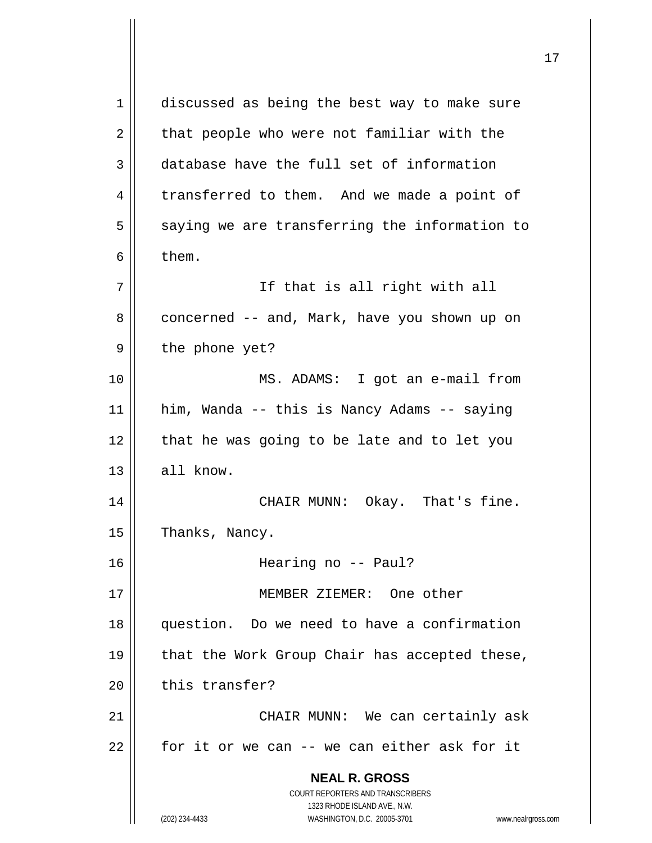**NEAL R. GROSS** COURT REPORTERS AND TRANSCRIBERS 1323 RHODE ISLAND AVE., N.W. (202) 234-4433 WASHINGTON, D.C. 20005-3701 www.nealrgross.com 1 discussed as being the best way to make sure  $2 \parallel$  that people who were not familiar with the 3 database have the full set of information 4 transferred to them. And we made a point of  $5$  saying we are transferring the information to  $6 \parallel$  them. 7 If that is all right with all 8 | concerned -- and, Mark, have you shown up on  $9 \parallel$  the phone yet? 10 MS. ADAMS: I got an e-mail from 11 him, Wanda -- this is Nancy Adams -- saying  $12$  | that he was going to be late and to let you 13 | all know. 14 || CHAIR MUNN: Okay. That's fine.  $15$  | Thanks, Nancy. 16 Hearing no -- Paul? 17 MEMBER ZIEMER: One other 18 question. Do we need to have a confirmation 19  $\parallel$  that the Work Group Chair has accepted these, 20 this transfer? 21 || CHAIR MUNN: We can certainly ask  $22$  | for it or we can -- we can either ask for it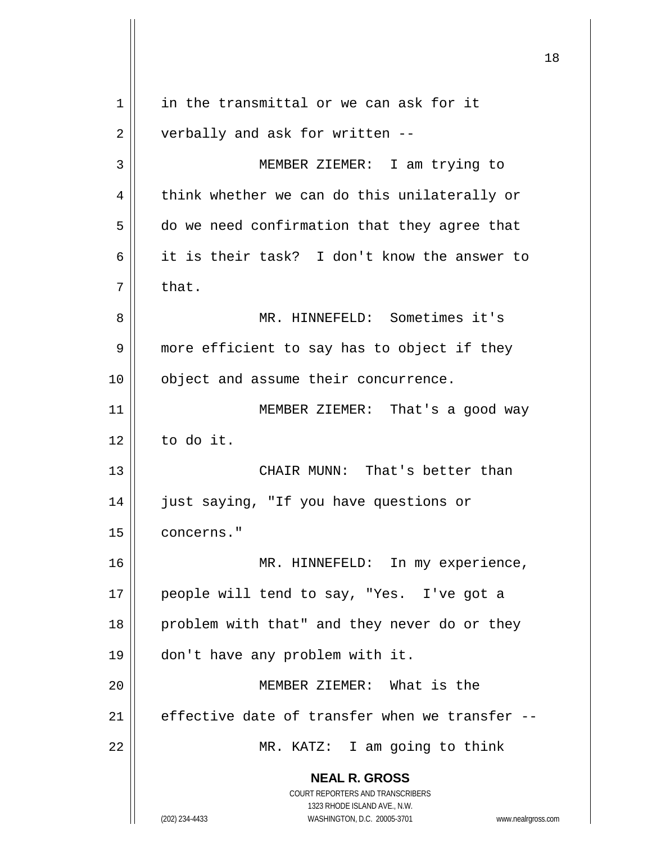**NEAL R. GROSS** COURT REPORTERS AND TRANSCRIBERS 1323 RHODE ISLAND AVE., N.W. (202) 234-4433 WASHINGTON, D.C. 20005-3701 www.nealrgross.com 1 || in the transmittal or we can ask for it 2 | verbally and ask for written --3 MEMBER ZIEMER: I am trying to  $4 \parallel$  think whether we can do this unilaterally or  $5 \parallel$  do we need confirmation that they agree that 6 it is their task? I don't know the answer to  $7 \parallel$  that. 8 MR. HINNEFELD: Sometimes it's 9 || more efficient to say has to object if they 10 || object and assume their concurrence. 11 || MEMBER ZIEMER: That's a good way  $12 \parallel$  to do it. 13 CHAIR MUNN: That's better than 14 just saying, "If you have questions or 15 concerns." 16 MR. HINNEFELD: In my experience, 17 || people will tend to say, "Yes. I've got a  $18$  | problem with that" and they never do or they 19 don't have any problem with it. 20 MEMBER ZIEMER: What is the  $21$  || effective date of transfer when we transfer  $-$ -22 MR. KATZ: I am going to think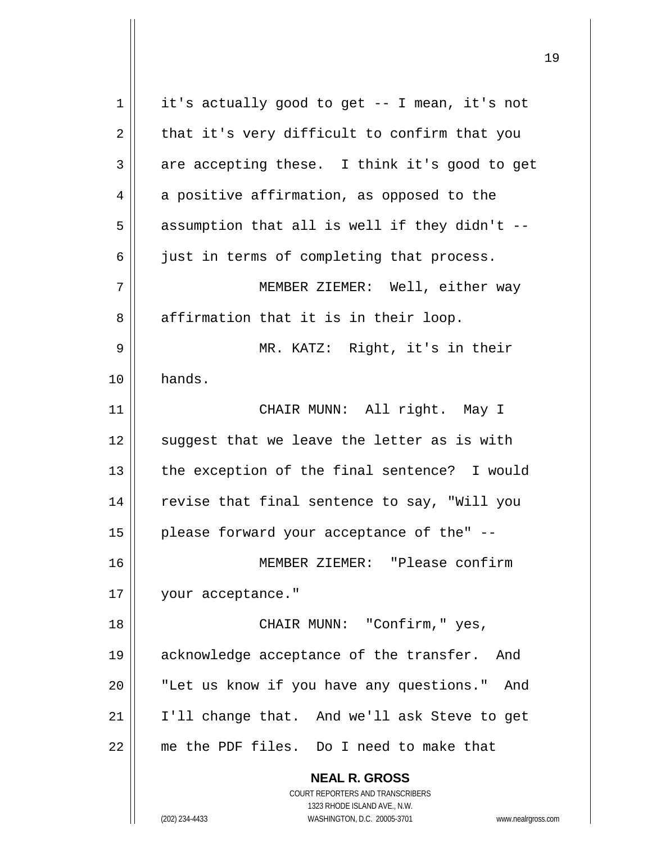**NEAL R. GROSS** COURT REPORTERS AND TRANSCRIBERS 1323 RHODE ISLAND AVE., N.W. (202) 234-4433 WASHINGTON, D.C. 20005-3701 www.nealrgross.com  $1 \parallel$  it's actually good to get -- I mean, it's not  $2 \parallel$  that it's very difficult to confirm that you  $3 \parallel$  are accepting these. I think it's good to get  $4 \parallel$  a positive affirmation, as opposed to the  $5$  | assumption that all is well if they didn't --6 || just in terms of completing that process. 7 || MEMBER ZIEMER: Well, either way  $8 \parallel$  affirmation that it is in their loop. 9 MR. KATZ: Right, it's in their 10 hands. 11 CHAIR MUNN: All right. May I  $12$  suggest that we leave the letter as is with 13 || the exception of the final sentence? I would 14  $\parallel$  revise that final sentence to say, "Will you  $15$  || please forward your acceptance of the"  $-$ 16 MEMBER ZIEMER: "Please confirm 17 | your acceptance." 18 || CHAIR MUNN: "Confirm," yes, 19 || acknowledge acceptance of the transfer. And 20 | "Let us know if you have any questions." And 21 I'll change that. And we'll ask Steve to get 22 || me the PDF files. Do I need to make that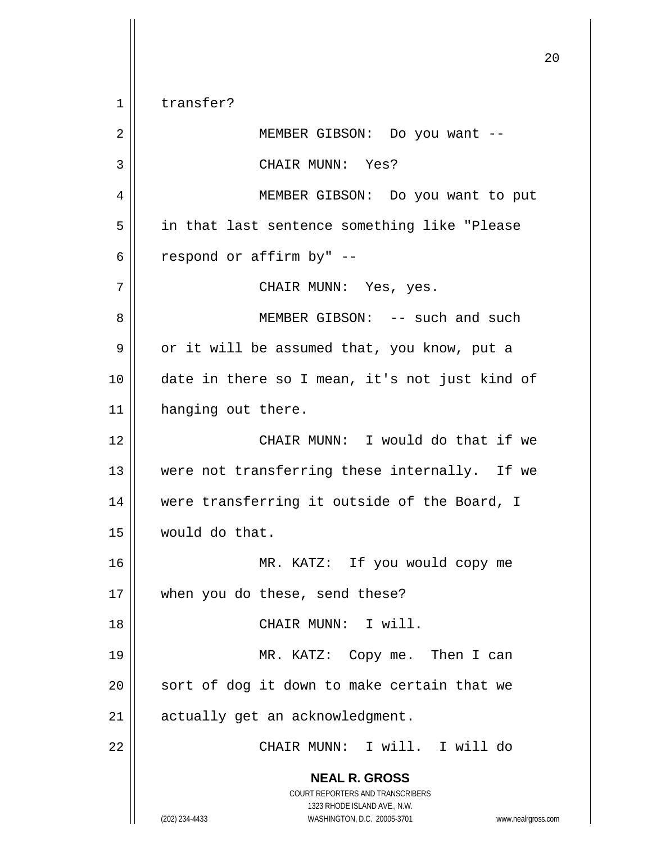**NEAL R. GROSS** COURT REPORTERS AND TRANSCRIBERS 1323 RHODE ISLAND AVE., N.W. (202) 234-4433 WASHINGTON, D.C. 20005-3701 www.nealrgross.com 20 1 || transfer? 2 || MEMBER GIBSON: Do you want --3 CHAIR MUNN: Yes? 4 || MEMBER GIBSON: Do you want to put 5 | in that last sentence something like "Please  $6 \parallel$  respond or affirm by" --7 CHAIR MUNN: Yes, yes. 8 || MEMBER GIBSON: -- such and such 9 || or it will be assumed that, you know, put a 10 date in there so I mean, it's not just kind of 11 hanging out there. 12 CHAIR MUNN: I would do that if we 13 || were not transferring these internally. If we 14 were transferring it outside of the Board, I 15 would do that. 16 MR. KATZ: If you would copy me 17 || when you do these, send these? 18 || CHAIR MUNN: I will. 19 MR. KATZ: Copy me. Then I can  $20$  | sort of dog it down to make certain that we 21 || actually get an acknowledgment. 22 CHAIR MUNN: I will. I will do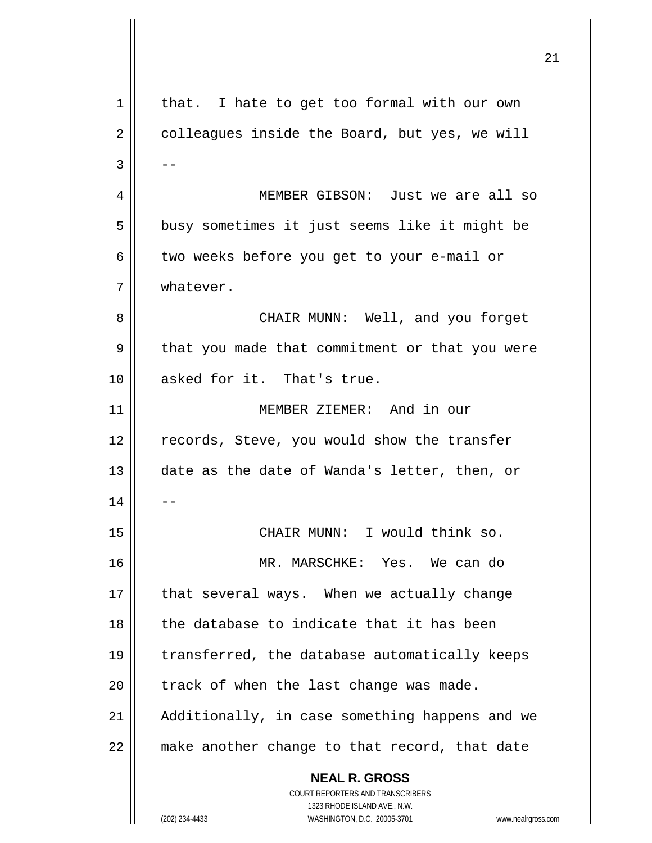**NEAL R. GROSS** COURT REPORTERS AND TRANSCRIBERS 1323 RHODE ISLAND AVE., N.W. (202) 234-4433 WASHINGTON, D.C. 20005-3701 www.nealrgross.com 21 1 || that. I hate to get too formal with our own  $2 \parallel$  colleagues inside the Board, but yes, we will  $3 \mid - -$ 4 MEMBER GIBSON: Just we are all so 5 | busy sometimes it just seems like it might be 6 | two weeks before you get to your e-mail or 7 whatever. 8 CHAIR MUNN: Well, and you forget 9 | that you made that commitment or that you were 10 asked for it. That's true. 11 MEMBER ZIEMER: And in our 12 || records, Steve, you would show the transfer 13 || date as the date of Wanda's letter, then, or  $14$   $-$ 15 CHAIR MUNN: I would think so. 16 MR. MARSCHKE: Yes. We can do  $17$  || that several ways. When we actually change  $18$  || the database to indicate that it has been 19 || transferred, the database automatically keeps  $20$  | track of when the last change was made. 21 Additionally, in case something happens and we 22 make another change to that record, that date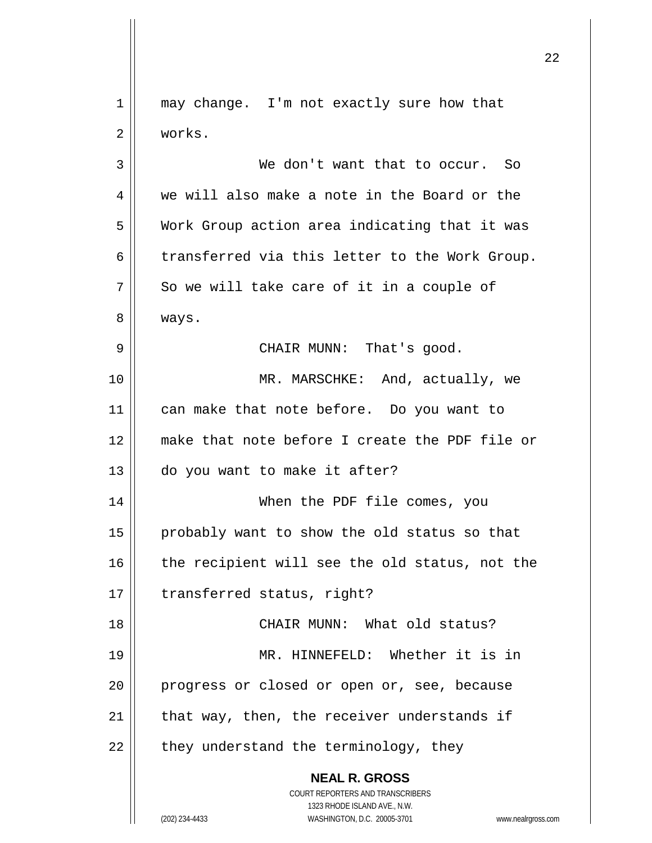**NEAL R. GROSS** COURT REPORTERS AND TRANSCRIBERS 1323 RHODE ISLAND AVE., N.W. (202) 234-4433 WASHINGTON, D.C. 20005-3701 www.nealrgross.com 22 1 || may change. I'm not exactly sure how that 2 works. 3 We don't want that to occur. So 4 we will also make a note in the Board or the 5 | Work Group action area indicating that it was  $6 \parallel$  transferred via this letter to the Work Group.  $7 \parallel$  So we will take care of it in a couple of 8 | ways. 9 CHAIR MUNN: That's good. 10 || MR. MARSCHKE: And, actually, we 11 can make that note before. Do you want to 12 make that note before I create the PDF file or 13 do you want to make it after? 14 When the PDF file comes, you 15 || probably want to show the old status so that  $16$  | the recipient will see the old status, not the 17 | transferred status, right? 18 || CHAIR MUNN: What old status? 19 MR. HINNEFELD: Whether it is in 20 || progress or closed or open or, see, because  $21$  | that way, then, the receiver understands if  $22$  || they understand the terminology, they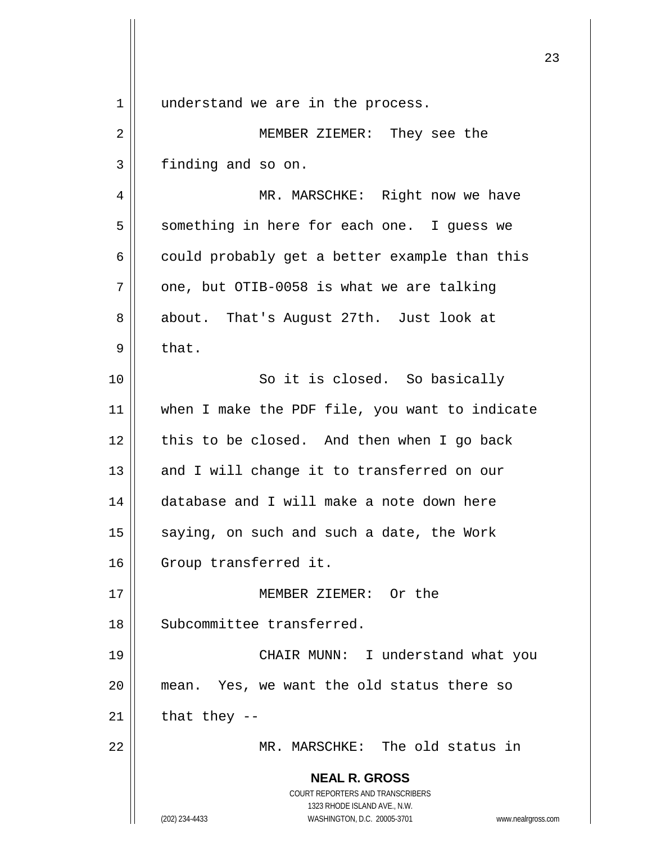**NEAL R. GROSS** COURT REPORTERS AND TRANSCRIBERS 1323 RHODE ISLAND AVE., N.W. (202) 234-4433 WASHINGTON, D.C. 20005-3701 www.nealrgross.com 23 1 || understand we are in the process. 2 MEMBER ZIEMER: They see the 3 | finding and so on. 4 || MR. MARSCHKE: Right now we have  $5 \parallel$  something in here for each one. I guess we  $6 \parallel$  could probably get a better example than this  $7 \parallel$  one, but OTIB-0058 is what we are talking 8 || about. That's August 27th. Just look at  $9 \parallel$  that. 10 || So it is closed. So basically 11 when I make the PDF file, you want to indicate  $12$  | this to be closed. And then when I go back 13 || and I will change it to transferred on our 14 database and I will make a note down here 15  $\parallel$  saying, on such and such a date, the Work 16 | Group transferred it. 17 MEMBER ZIEMER: Or the 18 || Subcommittee transferred. 19 CHAIR MUNN: I understand what you 20 mean. Yes, we want the old status there so  $21$  | that they --22 MR. MARSCHKE: The old status in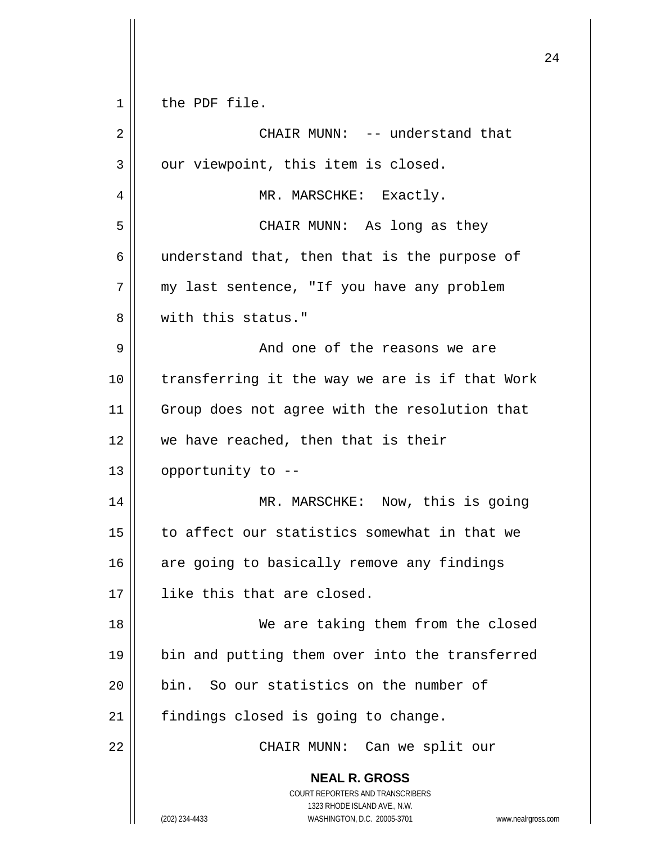**NEAL R. GROSS** COURT REPORTERS AND TRANSCRIBERS 1323 RHODE ISLAND AVE., N.W. (202) 234-4433 WASHINGTON, D.C. 20005-3701 www.nealrgross.com 24 1 || the PDF file. 2 CHAIR MUNN: -- understand that  $3$  | our viewpoint, this item is closed. 4 | MR. MARSCHKE: Exactly. 5 CHAIR MUNN: As long as they  $6 \parallel$  understand that, then that is the purpose of 7 || my last sentence, "If you have any problem 8 with this status." 9 And one of the reasons we are  $10$  | transferring it the way we are is if that Work 11 Group does not agree with the resolution that 12 We have reached, then that is their 13 | opportunity to --14 || MR. MARSCHKE: Now, this is going 15  $\parallel$  to affect our statistics somewhat in that we 16 || are going to basically remove any findings 17 || like this that are closed. 18 We are taking them from the closed 19 || bin and putting them over into the transferred 20 bin. So our statistics on the number of 21 | findings closed is going to change. 22 || CHAIR MUNN: Can we split our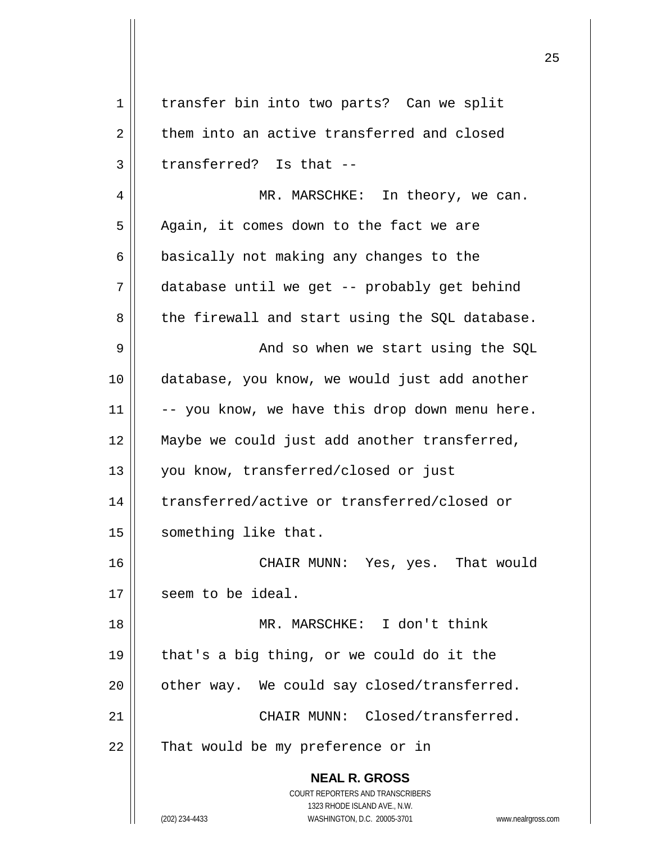**NEAL R. GROSS** COURT REPORTERS AND TRANSCRIBERS 1323 RHODE ISLAND AVE., N.W. (202) 234-4433 WASHINGTON, D.C. 20005-3701 www.nealrgross.com 1 transfer bin into two parts? Can we split 2 | them into an active transferred and closed  $3 \parallel$  transferred? Is that --4 MR. MARSCHKE: In theory, we can.  $5 \parallel$  Again, it comes down to the fact we are 6 | basically not making any changes to the 7 database until we get -- probably get behind  $8 \parallel$  the firewall and start using the SQL database. 9 And so when we start using the SQL 10 database, you know, we would just add another  $11 || - -$  you know, we have this drop down menu here. 12 Maybe we could just add another transferred, 13 || you know, transferred/closed or just 14 || transferred/active or transferred/closed or 15 | something like that. 16 CHAIR MUNN: Yes, yes. That would 17 || seem to be ideal. 18 MR. MARSCHKE: I don't think 19  $\parallel$  that's a big thing, or we could do it the  $20$  | other way. We could say closed/transferred. 21 CHAIR MUNN: Closed/transferred.  $22$  | That would be my preference or in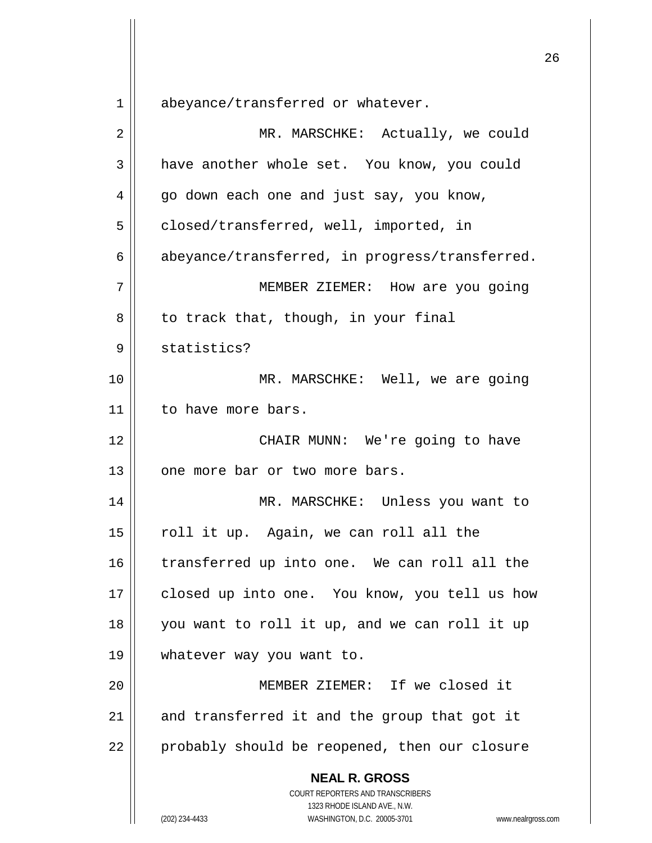**NEAL R. GROSS** COURT REPORTERS AND TRANSCRIBERS 1323 RHODE ISLAND AVE., N.W. 1 abeyance/transferred or whatever. 2 || MR. MARSCHKE: Actually, we could 3 have another whole set. You know, you could  $4 \parallel$  go down each one and just say, you know,  $5 \parallel$  closed/transferred, well, imported, in  $6 \parallel$  abeyance/transferred, in progress/transferred. 7 MEMBER ZIEMER: How are you going 8 || to track that, though, in your final 9 || statistics? 10 MR. MARSCHKE: Well, we are going 11 || to have more bars. 12 CHAIR MUNN: We're going to have 13 || one more bar or two more bars. 14 MR. MARSCHKE: Unless you want to  $15$  roll it up. Again, we can roll all the 16 || transferred up into one. We can roll all the 17 || closed up into one. You know, you tell us how 18 you want to roll it up, and we can roll it up 19 whatever way you want to. 20 MEMBER ZIEMER: If we closed it  $21$  and transferred it and the group that got it 22 || probably should be reopened, then our closure

(202) 234-4433 WASHINGTON, D.C. 20005-3701 www.nealrgross.com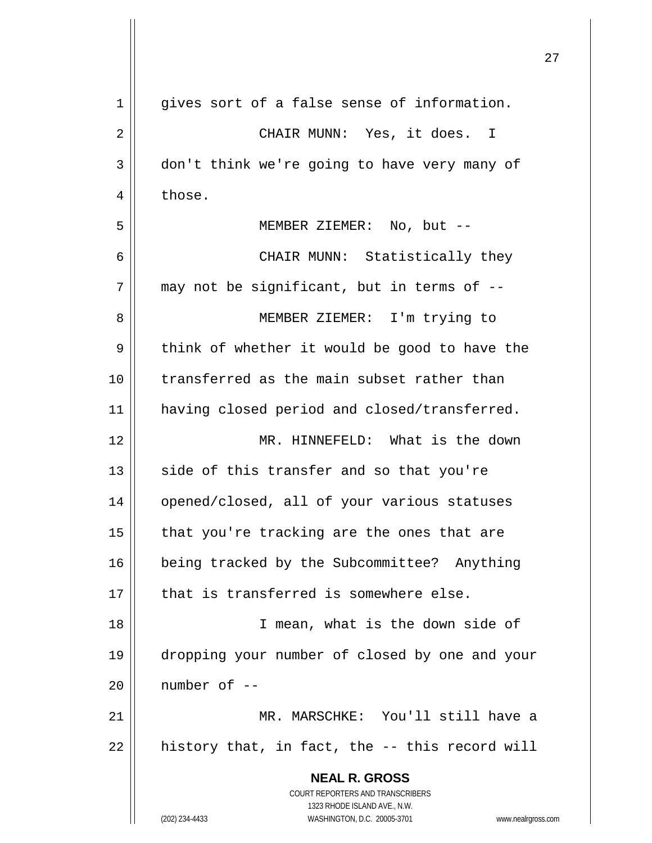|    |                                                                                          | 27 |
|----|------------------------------------------------------------------------------------------|----|
| 1  | gives sort of a false sense of information.                                              |    |
| 2  | CHAIR MUNN: Yes, it does. I                                                              |    |
| 3  | don't think we're going to have very many of                                             |    |
| 4  | those.                                                                                   |    |
| 5  | MEMBER ZIEMER: No, but --                                                                |    |
| 6  | CHAIR MUNN: Statistically they                                                           |    |
| 7  | may not be significant, but in terms of --                                               |    |
| 8  | MEMBER ZIEMER: I'm trying to                                                             |    |
| 9  | think of whether it would be good to have the                                            |    |
| 10 | transferred as the main subset rather than                                               |    |
| 11 | having closed period and closed/transferred.                                             |    |
| 12 | MR. HINNEFELD: What is the down                                                          |    |
| 13 | side of this transfer and so that you're                                                 |    |
| 14 | opened/closed, all of your various statuses                                              |    |
| 15 | that you're tracking are the ones that are                                               |    |
| 16 | being tracked by the Subcommittee? Anything                                              |    |
| 17 | that is transferred is somewhere else.                                                   |    |
| 18 | I mean, what is the down side of                                                         |    |
| 19 | dropping your number of closed by one and your                                           |    |
| 20 | number of --                                                                             |    |
| 21 | MR. MARSCHKE: You'll still have a                                                        |    |
| 22 | history that, in fact, the -- this record will                                           |    |
|    | <b>NEAL R. GROSS</b><br>COURT REPORTERS AND TRANSCRIBERS<br>1323 RHODE ISLAND AVE., N.W. |    |
|    | (202) 234-4433<br>WASHINGTON, D.C. 20005-3701<br>www.nealrgross.com                      |    |

 $\mathbf{I}$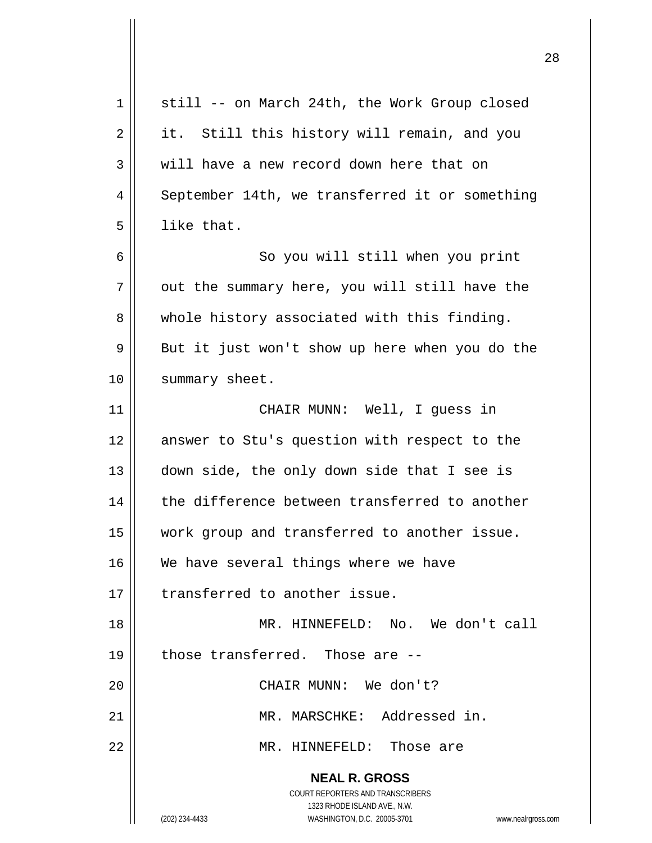| 1  | still -- on March 24th, the Work Group closed                                                                                                                   |
|----|-----------------------------------------------------------------------------------------------------------------------------------------------------------------|
| 2  | it. Still this history will remain, and you                                                                                                                     |
| 3  | will have a new record down here that on                                                                                                                        |
| 4  | September 14th, we transferred it or something                                                                                                                  |
| 5  | like that.                                                                                                                                                      |
| 6  | So you will still when you print                                                                                                                                |
| 7  | out the summary here, you will still have the                                                                                                                   |
| 8  | whole history associated with this finding.                                                                                                                     |
| 9  | But it just won't show up here when you do the                                                                                                                  |
| 10 | summary sheet.                                                                                                                                                  |
| 11 | CHAIR MUNN: Well, I guess in                                                                                                                                    |
| 12 | answer to Stu's question with respect to the                                                                                                                    |
| 13 | down side, the only down side that I see is                                                                                                                     |
| 14 | the difference between transferred to another                                                                                                                   |
| 15 | work group and transferred to another issue.                                                                                                                    |
| 16 | We have several things where we have                                                                                                                            |
| 17 | transferred to another issue.                                                                                                                                   |
| 18 | MR. HINNEFELD: No. We don't call                                                                                                                                |
| 19 | those transferred. Those are --                                                                                                                                 |
| 20 | CHAIR MUNN: We don't?                                                                                                                                           |
| 21 | MR. MARSCHKE: Addressed in.                                                                                                                                     |
| 22 | MR. HINNEFELD: Those are                                                                                                                                        |
|    | <b>NEAL R. GROSS</b><br>COURT REPORTERS AND TRANSCRIBERS<br>1323 RHODE ISLAND AVE., N.W.<br>(202) 234-4433<br>WASHINGTON, D.C. 20005-3701<br>www.nealrgross.com |

 $\overline{1}$ 

Π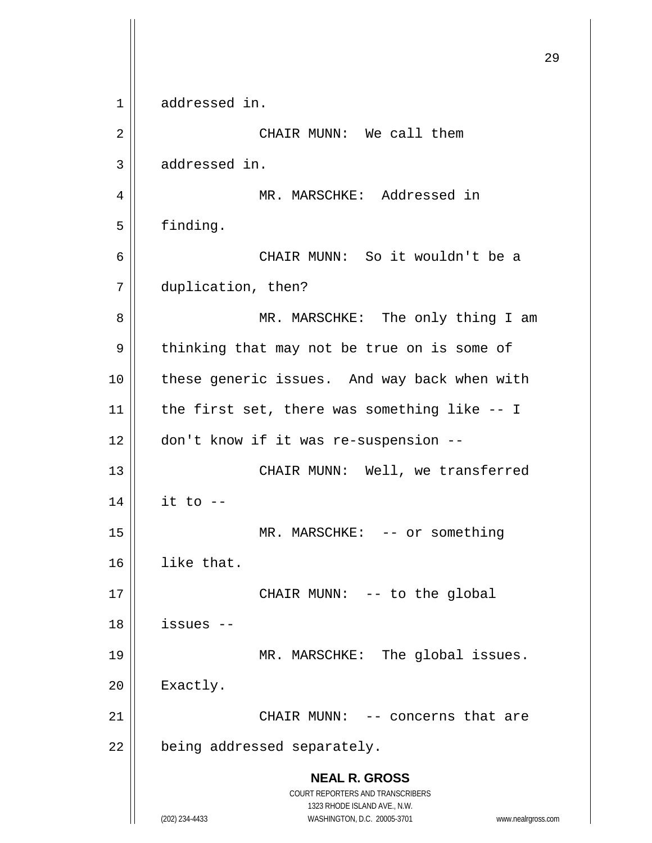**NEAL R. GROSS** COURT REPORTERS AND TRANSCRIBERS 1323 RHODE ISLAND AVE., N.W. (202) 234-4433 WASHINGTON, D.C. 20005-3701 www.nealrgross.com 29 1 addressed in. 2 CHAIR MUNN: We call them 3 | addressed in. 4 MR. MARSCHKE: Addressed in  $5$  | finding. 6 CHAIR MUNN: So it wouldn't be a 7 duplication, then? 8 MR. MARSCHKE: The only thing I am  $9 \parallel$  thinking that may not be true on is some of 10 || these generic issues. And way back when with 11 the first set, there was something like -- I 12 don't know if it was re-suspension -- 13 CHAIR MUNN: Well, we transferred  $14$  | it to  $-$ 15 || MR. MARSCHKE: -- or something 16 | like that. 17 || CHAIR MUNN: -- to the global  $18$  | issues  $-$ 19 MR. MARSCHKE: The global issues.  $20$  | Exactly. 21 || CHAIR MUNN: -- concerns that are  $22$  | being addressed separately.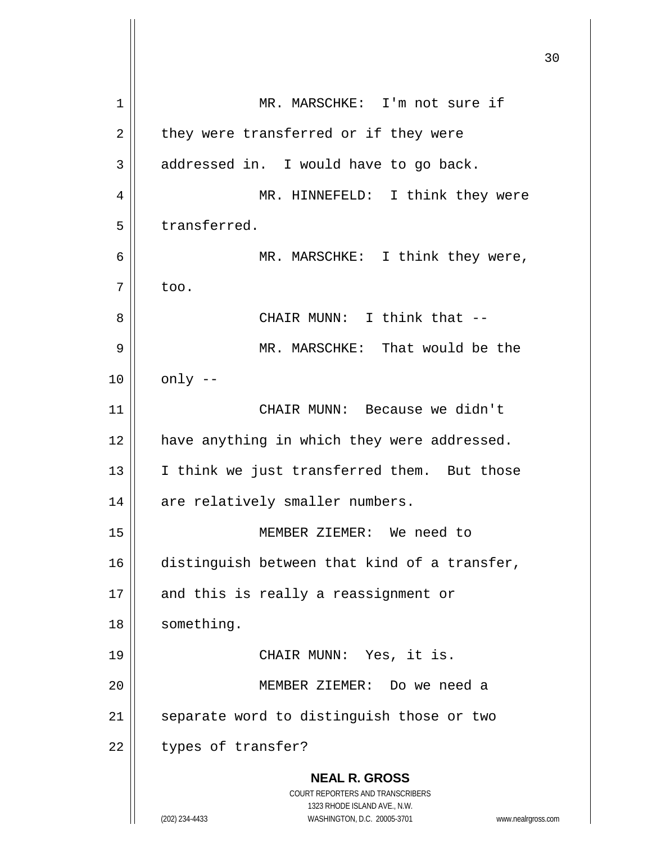**NEAL R. GROSS** COURT REPORTERS AND TRANSCRIBERS 1323 RHODE ISLAND AVE., N.W. (202) 234-4433 WASHINGTON, D.C. 20005-3701 www.nealrgross.com 1 || MR. MARSCHKE: I'm not sure if  $2 \parallel$  they were transferred or if they were  $3 \parallel$  addressed in. I would have to go back. 4 || MR. HINNEFELD: I think they were 5 l transferred. 6 || MR. MARSCHKE: I think they were,  $7 \parallel$  too. 8 CHAIR MUNN: I think that -- 9 MR. MARSCHKE: That would be the  $10 \parallel$  only  $-$ 11 CHAIR MUNN: Because we didn't 12 || have anything in which they were addressed. 13 || I think we just transferred them. But those 14 || are relatively smaller numbers. 15 MEMBER ZIEMER: We need to 16 | distinguish between that kind of a transfer, 17 || and this is really a reassignment or 18 | something. 19 || CHAIR MUNN: Yes, it is. 20 MEMBER ZIEMER: Do we need a 21 || separate word to distinguish those or two  $22$  | types of transfer?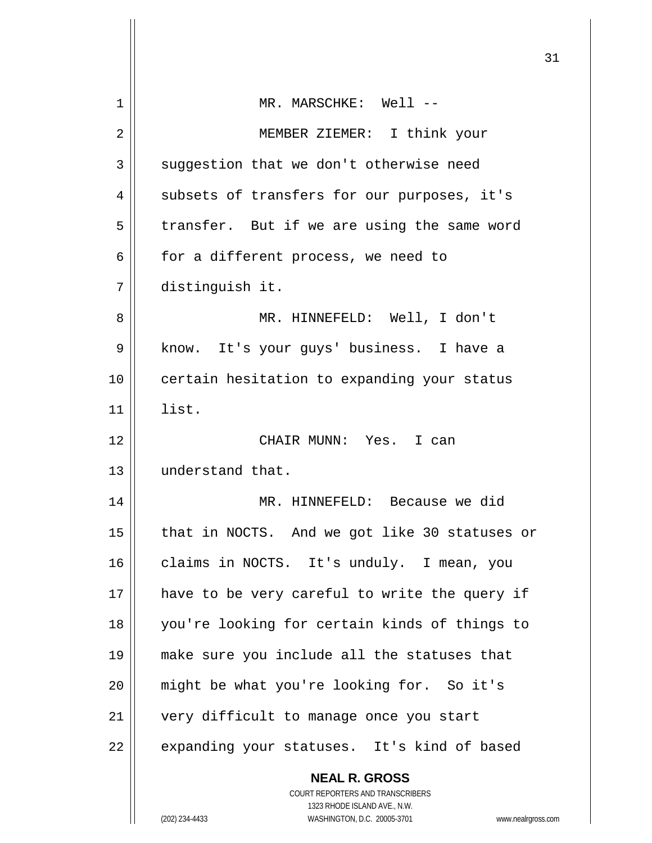|                | 31                                                                      |
|----------------|-------------------------------------------------------------------------|
|                |                                                                         |
| $\mathbf{1}$   | MR. MARSCHKE: Well --                                                   |
| $\overline{2}$ | MEMBER ZIEMER: I think your                                             |
| 3              | suggestion that we don't otherwise need                                 |
| 4              | subsets of transfers for our purposes, it's                             |
| 5              | transfer. But if we are using the same word                             |
| 6              | for a different process, we need to                                     |
| 7              | distinguish it.                                                         |
| 8              | MR. HINNEFELD: Well, I don't                                            |
| 9              | know. It's your guys' business. I have a                                |
| 10             | certain hesitation to expanding your status                             |
| 11             | list.                                                                   |
| 12             | CHAIR MUNN: Yes. I can                                                  |
| 13             | understand that.                                                        |
| 14             | MR. HINNEFELD: Because we did                                           |
| 15             | that in NOCTS. And we got like 30 statuses or                           |
| 16             | claims in NOCTS. It's unduly. I mean, you                               |
| 17             | have to be very careful to write the query if                           |
| 18             | you're looking for certain kinds of things to                           |
| 19             | make sure you include all the statuses that                             |
| 20             | might be what you're looking for. So it's                               |
| 21             | very difficult to manage once you start                                 |
| 22             | expanding your statuses. It's kind of based                             |
|                | <b>NEAL R. GROSS</b>                                                    |
|                | <b>COURT REPORTERS AND TRANSCRIBERS</b><br>1323 RHODE ISLAND AVE., N.W. |
|                | WASHINGTON, D.C. 20005-3701<br>(202) 234-4433<br>www.nealrgross.com     |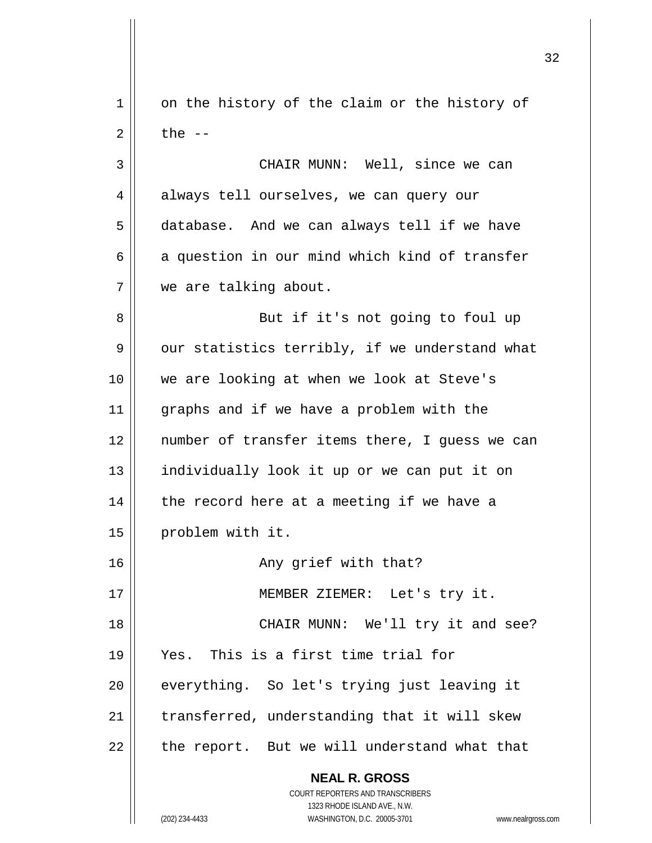**NEAL R. GROSS** COURT REPORTERS AND TRANSCRIBERS 1323 RHODE ISLAND AVE., N.W. (202) 234-4433 WASHINGTON, D.C. 20005-3701 www.nealrgross.com 32 1 || on the history of the claim or the history of  $2 \parallel$  the  $-$ 3 CHAIR MUNN: Well, since we can 4 always tell ourselves, we can query our 5 database. And we can always tell if we have  $6 \parallel$  a question in our mind which kind of transfer 7 we are talking about. 8 || But if it's not going to foul up  $9 \parallel$  our statistics terribly, if we understand what 10 we are looking at when we look at Steve's 11 graphs and if we have a problem with the 12 || number of transfer items there, I guess we can 13 individually look it up or we can put it on  $14$  | the record here at a meeting if we have a 15 | problem with it. 16 Any grief with that? 17 || MEMBER ZIEMER: Let's try it. 18 CHAIR MUNN: We'll try it and see? 19 Yes. This is a first time trial for 20 everything. So let's trying just leaving it 21 || transferred, understanding that it will skew  $22$  | the report. But we will understand what that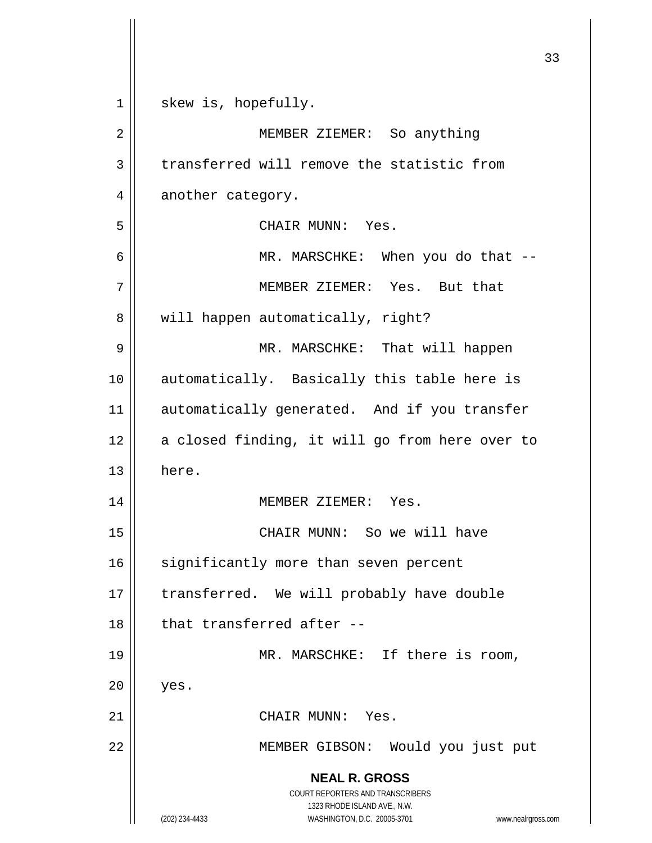|    |                                                                                                                                                                 | 33 |
|----|-----------------------------------------------------------------------------------------------------------------------------------------------------------------|----|
| 1  | skew is, hopefully.                                                                                                                                             |    |
| 2  | MEMBER ZIEMER: So anything                                                                                                                                      |    |
| 3  | transferred will remove the statistic from                                                                                                                      |    |
| 4  | another category.                                                                                                                                               |    |
| 5  | CHAIR MUNN: Yes.                                                                                                                                                |    |
| 6  | MR. MARSCHKE: When you do that --                                                                                                                               |    |
| 7  | MEMBER ZIEMER: Yes. But that                                                                                                                                    |    |
| 8  | will happen automatically, right?                                                                                                                               |    |
| 9  | MR. MARSCHKE: That will happen                                                                                                                                  |    |
| 10 | automatically. Basically this table here is                                                                                                                     |    |
| 11 | automatically generated. And if you transfer                                                                                                                    |    |
| 12 | a closed finding, it will go from here over to                                                                                                                  |    |
| 13 | here.                                                                                                                                                           |    |
| 14 | MEMBER ZIEMER: Yes.                                                                                                                                             |    |
| 15 | CHAIR MUNN: So we will have                                                                                                                                     |    |
| 16 | significantly more than seven percent                                                                                                                           |    |
| 17 | transferred. We will probably have double                                                                                                                       |    |
| 18 | that transferred after --                                                                                                                                       |    |
| 19 | MR. MARSCHKE: If there is room,                                                                                                                                 |    |
| 20 | yes.                                                                                                                                                            |    |
| 21 | CHAIR MUNN: Yes.                                                                                                                                                |    |
| 22 | MEMBER GIBSON: Would you just put                                                                                                                               |    |
|    | <b>NEAL R. GROSS</b><br>COURT REPORTERS AND TRANSCRIBERS<br>1323 RHODE ISLAND AVE., N.W.<br>(202) 234-4433<br>WASHINGTON, D.C. 20005-3701<br>www.nealrgross.com |    |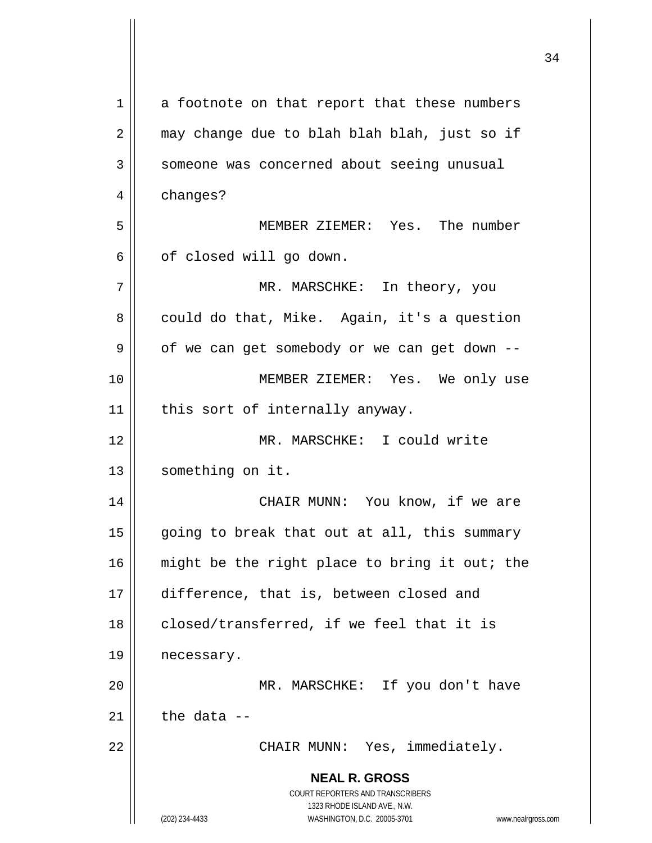**NEAL R. GROSS** COURT REPORTERS AND TRANSCRIBERS 1323 RHODE ISLAND AVE., N.W. (202) 234-4433 WASHINGTON, D.C. 20005-3701 www.nealrgross.com 1 a footnote on that report that these numbers  $2 \parallel$  may change due to blah blah blah, just so if 3 || someone was concerned about seeing unusual 4 | changes? 5 MEMBER ZIEMER: Yes. The number  $6 \parallel$  of closed will go down. 7 MR. MARSCHKE: In theory, you 8 | could do that, Mike. Again, it's a question  $9 \parallel$  of we can get somebody or we can get down --10 MEMBER ZIEMER: Yes. We only use  $11$  | this sort of internally anyway. 12 MR. MARSCHKE: I could write 13 something on it. 14 CHAIR MUNN: You know, if we are 15  $\parallel$  going to break that out at all, this summary 16 || might be the right place to bring it out; the 17 difference, that is, between closed and  $18$  || closed/transferred, if we feel that it is 19 | necessary. 20 MR. MARSCHKE: If you don't have  $21$  | the data --22 || CHAIR MUNN: Yes, immediately.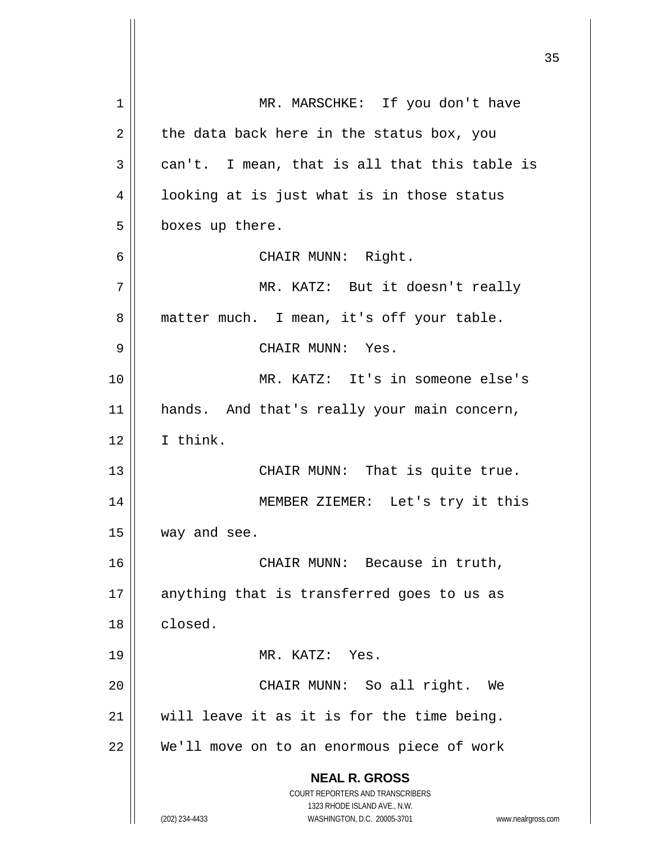**NEAL R. GROSS** COURT REPORTERS AND TRANSCRIBERS 1323 RHODE ISLAND AVE., N.W. (202) 234-4433 WASHINGTON, D.C. 20005-3701 www.nealrgross.com 1 || MR. MARSCHKE: If you don't have  $2 \parallel$  the data back here in the status box, you  $3 \parallel$  can't. I mean, that is all that this table is 4 | looking at is just what is in those status 5 | boxes up there. 6 | CHAIR MUNN: Right. 7 || MR. KATZ: But it doesn't really 8 || matter much. I mean, it's off your table. 9 CHAIR MUNN: Yes. 10 MR. KATZ: It's in someone else's 11 hands. And that's really your main concern, 12 I think. 13 CHAIR MUNN: That is quite true. 14 MEMBER ZIEMER: Let's try it this  $15$  | way and see. 16 CHAIR MUNN: Because in truth, 17 || anything that is transferred goes to us as 18 | closed. 19 MR. KATZ: Yes. 20 || CHAIR MUNN: So all right. We 21 will leave it as it is for the time being. 22 We'll move on to an enormous piece of work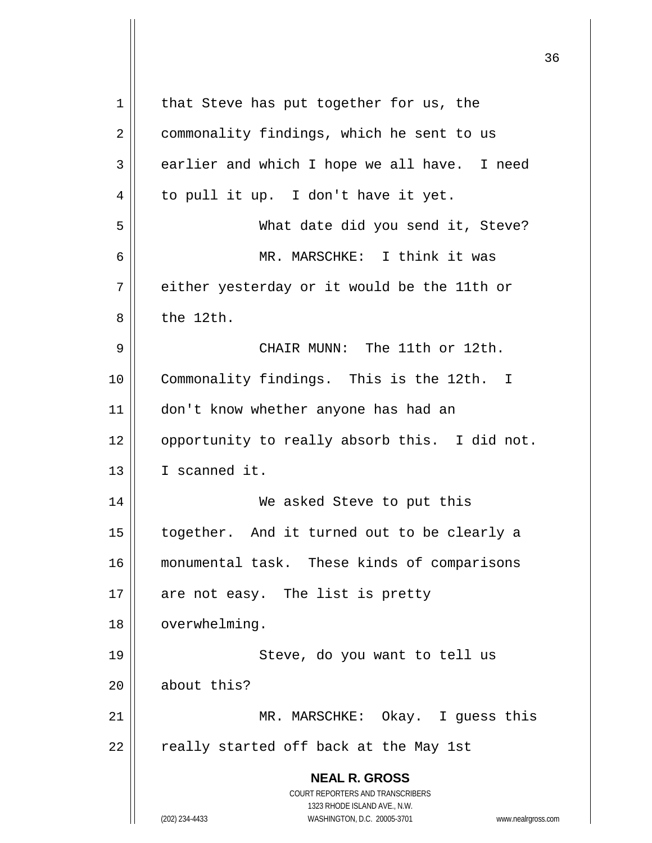| $\mathbf 1$ | that Steve has put together for us, the                                                  |
|-------------|------------------------------------------------------------------------------------------|
| 2           | commonality findings, which he sent to us                                                |
| 3           | earlier and which I hope we all have. I need                                             |
| 4           | to pull it up. I don't have it yet.                                                      |
| 5           | What date did you send it, Steve?                                                        |
| 6           | MR. MARSCHKE: I think it was                                                             |
| 7           | either yesterday or it would be the 11th or                                              |
| 8           | the 12th.                                                                                |
| 9           | CHAIR MUNN: The 11th or 12th.                                                            |
| 10          | Commonality findings. This is the 12th. I                                                |
| 11          | don't know whether anyone has had an                                                     |
| 12          | opportunity to really absorb this. I did not.                                            |
| 13          | I scanned it.                                                                            |
| 14          | We asked Steve to put this                                                               |
| 15          | together. And it turned out to be clearly a                                              |
| 16          | monumental task. These kinds of comparisons                                              |
| 17          | are not easy. The list is pretty                                                         |
| 18          | overwhelming.                                                                            |
| 19          | Steve, do you want to tell us                                                            |
| 20          | about this?                                                                              |
| 21          | MR. MARSCHKE: Okay. I guess this                                                         |
| 22          | really started off back at the May 1st                                                   |
|             | <b>NEAL R. GROSS</b><br>COURT REPORTERS AND TRANSCRIBERS<br>1323 RHODE ISLAND AVE., N.W. |
|             | (202) 234-4433<br>WASHINGTON, D.C. 20005-3701<br>www.nealrgross.com                      |

 $\mathsf{I}$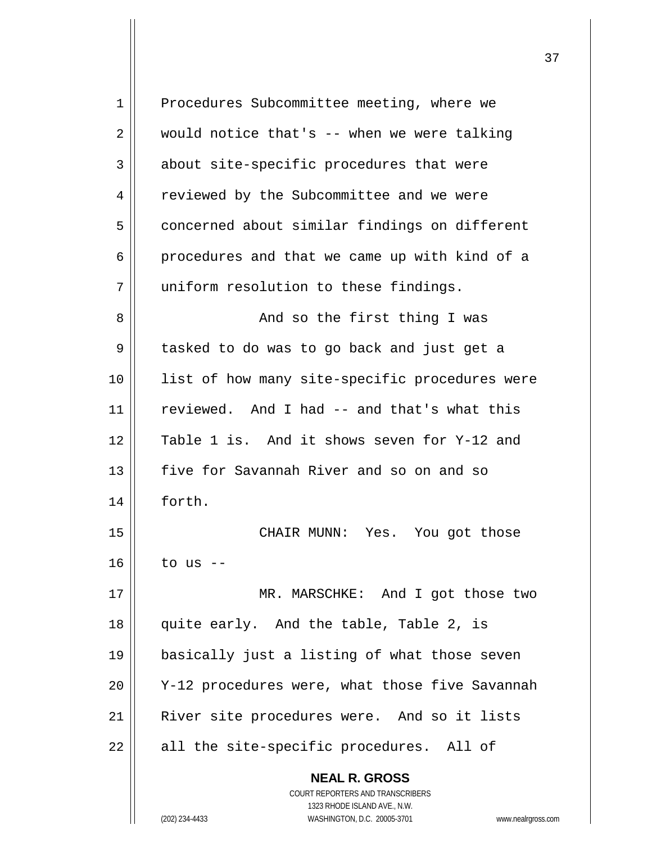| would notice that's -- when we were talking<br>concerned about similar findings on different<br>procedures and that we came up with kind of a |
|-----------------------------------------------------------------------------------------------------------------------------------------------|
|                                                                                                                                               |
|                                                                                                                                               |
|                                                                                                                                               |
|                                                                                                                                               |
|                                                                                                                                               |
|                                                                                                                                               |
|                                                                                                                                               |
|                                                                                                                                               |
|                                                                                                                                               |
| list of how many site-specific procedures were                                                                                                |
| reviewed. And I had -- and that's what this                                                                                                   |
| Table 1 is. And it shows seven for Y-12 and                                                                                                   |
|                                                                                                                                               |
|                                                                                                                                               |
| CHAIR MUNN: Yes. You got those                                                                                                                |
|                                                                                                                                               |
| MR. MARSCHKE: And I got those two                                                                                                             |
|                                                                                                                                               |
| basically just a listing of what those seven                                                                                                  |
| Y-12 procedures were, what those five Savannah                                                                                                |
| River site procedures were. And so it lists                                                                                                   |
|                                                                                                                                               |
|                                                                                                                                               |
|                                                                                                                                               |
| www.nealrgross.com                                                                                                                            |
|                                                                                                                                               |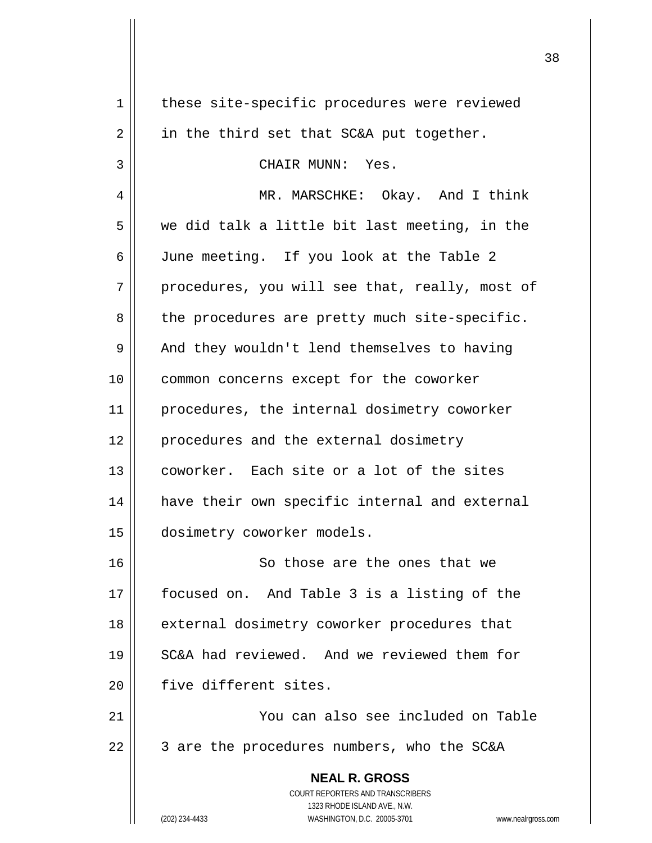**NEAL R. GROSS** COURT REPORTERS AND TRANSCRIBERS 1323 RHODE ISLAND AVE., N.W. (202) 234-4433 WASHINGTON, D.C. 20005-3701 www.nealrgross.com 1 || these site-specific procedures were reviewed  $2 \parallel$  in the third set that SC&A put together. 3 || CHAIR MUNN: Yes. 4 || MR. MARSCHKE: Okay. And I think  $5 \parallel$  we did talk a little bit last meeting, in the 6 June meeting. If you look at the Table 2  $7$  | procedures, you will see that, really, most of 8 || the procedures are pretty much site-specific.  $9 \parallel$  And they wouldn't lend themselves to having 10 || common concerns except for the coworker 11 procedures, the internal dosimetry coworker 12 | procedures and the external dosimetry 13 coworker. Each site or a lot of the sites 14 || have their own specific internal and external 15 | dosimetry coworker models. 16 || So those are the ones that we 17 focused on. And Table 3 is a listing of the 18 || external dosimetry coworker procedures that 19 || SC&A had reviewed. And we reviewed them for 20 five different sites. 21 You can also see included on Table  $22$  | 3 are the procedures numbers, who the SC&A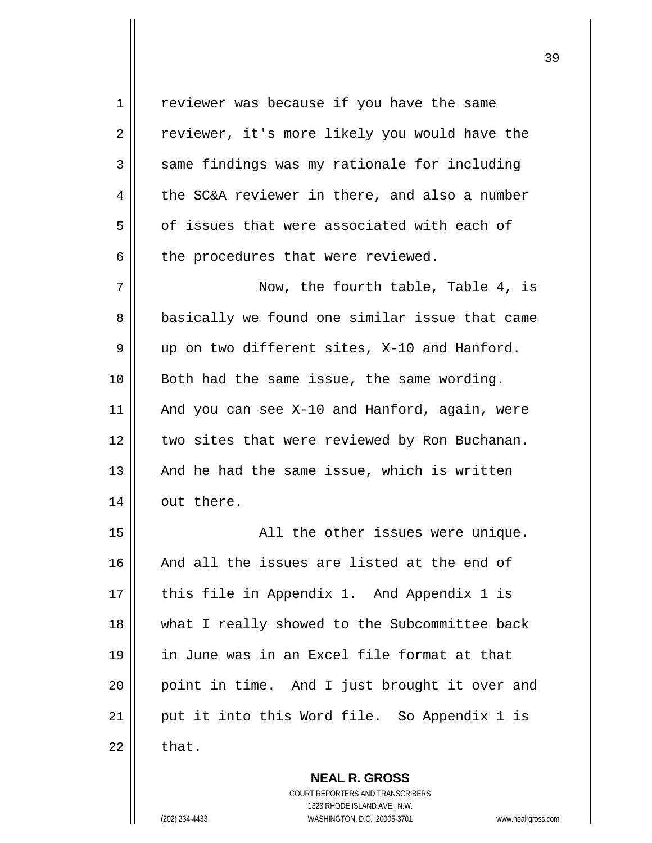**NEAL R. GROSS** 1 | reviewer was because if you have the same 2 | reviewer, it's more likely you would have the  $3 \parallel$  same findings was my rationale for including  $4 \parallel$  the SC&A reviewer in there, and also a number  $5$  | of issues that were associated with each of  $6$  || the procedures that were reviewed. 7 Now, the fourth table, Table 4, is 8 || basically we found one similar issue that came 9 || up on two different sites, X-10 and Hanford.  $10$  | Both had the same issue, the same wording. 11 And you can see X-10 and Hanford, again, were 12 || two sites that were reviewed by Ron Buchanan.  $13$  || And he had the same issue, which is written  $14$   $\parallel$  out there. 15 || All the other issues were unique. 16 And all the issues are listed at the end of 17 || this file in Appendix 1. And Appendix 1 is 18 || what I really showed to the Subcommittee back 19 in June was in an Excel file format at that 20 || point in time. And I just brought it over and 21 || put it into this Word file. So Appendix 1 is  $22$   $\parallel$  that.

> COURT REPORTERS AND TRANSCRIBERS 1323 RHODE ISLAND AVE., N.W.

(202) 234-4433 WASHINGTON, D.C. 20005-3701 www.nealrgross.com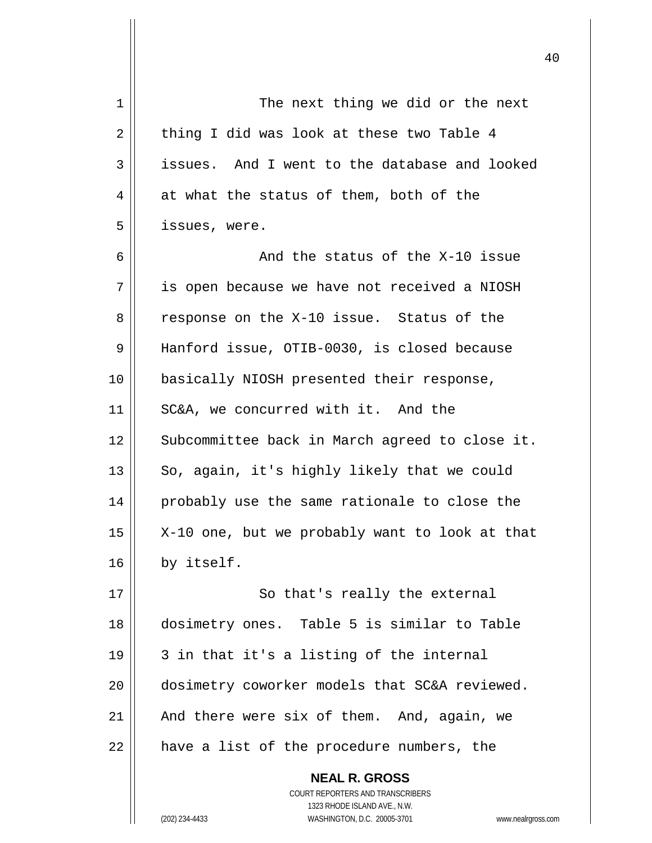**NEAL R. GROSS** COURT REPORTERS AND TRANSCRIBERS 1323 RHODE ISLAND AVE., N.W. 1 || The next thing we did or the next  $2 \parallel$  thing I did was look at these two Table 4  $3 \parallel$  issues. And I went to the database and looked  $4 \parallel$  at what the status of them, both of the 5 | issues, were. 6 And the status of the X-10 issue 7 is open because we have not received a NIOSH 8 || response on the X-10 issue. Status of the 9 || Hanford issue, OTIB-0030, is closed because 10 || basically NIOSH presented their response, 11 SC&A, we concurred with it. And the 12 || Subcommittee back in March agreed to close it.  $13 \parallel$  So, again, it's highly likely that we could 14 || probably use the same rationale to close the 15  $\parallel$  X-10 one, but we probably want to look at that 16 | by itself. 17 || So that's really the external 18 dosimetry ones. Table 5 is similar to Table  $19 \parallel 3$  in that it's a listing of the internal 20 dosimetry coworker models that SC&A reviewed. 21 || And there were six of them. And, again, we  $22$  | have a list of the procedure numbers, the

(202) 234-4433 WASHINGTON, D.C. 20005-3701 www.nealrgross.com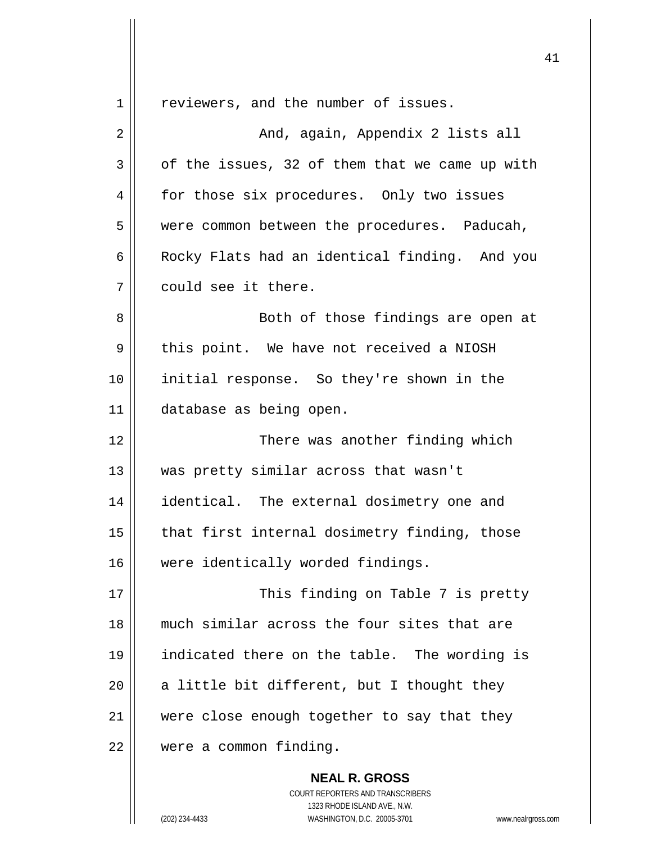**NEAL R. GROSS** COURT REPORTERS AND TRANSCRIBERS 41 1 || reviewers, and the number of issues. 2 And, again, Appendix 2 lists all  $3 \parallel$  of the issues, 32 of them that we came up with 4 | for those six procedures. Only two issues 5 | were common between the procedures. Paducah, 6 | Rocky Flats had an identical finding. And you 7 could see it there. 8 || Both of those findings are open at  $9 \parallel$  this point. We have not received a NIOSH 10 initial response. So they're shown in the 11 database as being open. 12 || There was another finding which 13 was pretty similar across that wasn't 14 | identical. The external dosimetry one and 15  $\parallel$  that first internal dosimetry finding, those 16 | were identically worded findings. 17 || This finding on Table 7 is pretty 18 much similar across the four sites that are 19 indicated there on the table. The wording is 20  $\parallel$  a little bit different, but I thought they 21 were close enough together to say that they 22 were a common finding.

1323 RHODE ISLAND AVE., N.W.

(202) 234-4433 WASHINGTON, D.C. 20005-3701 www.nealrgross.com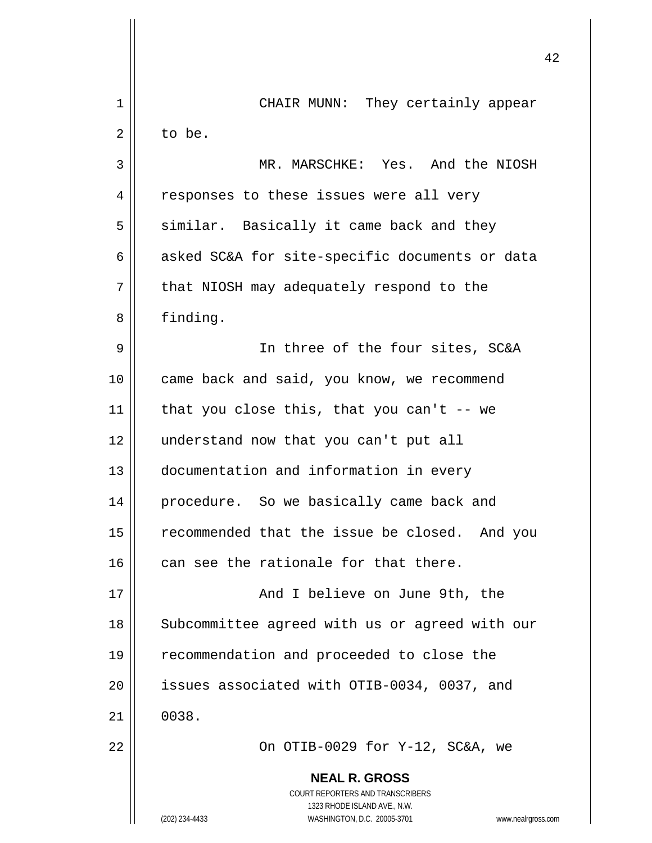**NEAL R. GROSS** COURT REPORTERS AND TRANSCRIBERS 1323 RHODE ISLAND AVE., N.W. (202) 234-4433 WASHINGTON, D.C. 20005-3701 www.nealrgross.com 42 1 CHAIR MUNN: They certainly appear  $2 \parallel$  to be. 3 MR. MARSCHKE: Yes. And the NIOSH 4 | responses to these issues were all very 5 | similar. Basically it came back and they 6 | asked SC&A for site-specific documents or data  $7$  | that NIOSH may adequately respond to the 8 | finding. 9 In three of the four sites, SC&A 10 || came back and said, you know, we recommend 11  $\parallel$  that you close this, that you can't -- we 12 understand now that you can't put all 13 documentation and information in every 14 || procedure. So we basically came back and 15 recommended that the issue be closed. And you  $16$  | can see the rationale for that there. 17 And I believe on June 9th, the 18 || Subcommittee agreed with us or agreed with our 19 recommendation and proceeded to close the 20 || issues associated with OTIB-0034, 0037, and 21 | 0038. 22 || On OTIB-0029 for Y-12, SC&A, we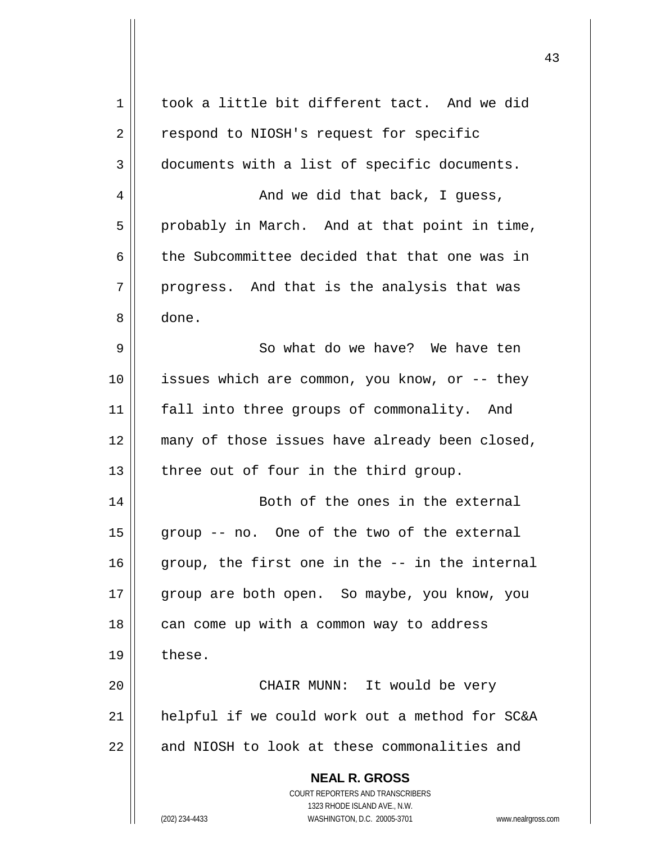**NEAL R. GROSS** COURT REPORTERS AND TRANSCRIBERS 1323 RHODE ISLAND AVE., N.W. (202) 234-4433 WASHINGTON, D.C. 20005-3701 www.nealrgross.com 1 || took a little bit different tact. And we did 2 | respond to NIOSH's request for specific 3 documents with a list of specific documents.  $4 \parallel$  and we did that back, I quess,  $5 \parallel$  probably in March. And at that point in time, 6 the Subcommittee decided that that one was in  $7 \parallel$  progress. And that is the analysis that was 8 done. 9 || So what do we have? We have ten  $10$  | issues which are common, you know, or  $-$  they 11 fall into three groups of commonality. And 12 || many of those issues have already been closed,  $13$  | three out of four in the third group. 14 || Both of the ones in the external  $15$  || group -- no. One of the two of the external  $16$  || group, the first one in the  $-$  in the internal 17 group are both open. So maybe, you know, you  $18$  can come up with a common way to address 19 | these. 20 CHAIR MUNN: It would be very 21 helpful if we could work out a method for SC&A  $22$   $\parallel$  and NIOSH to look at these commonalities and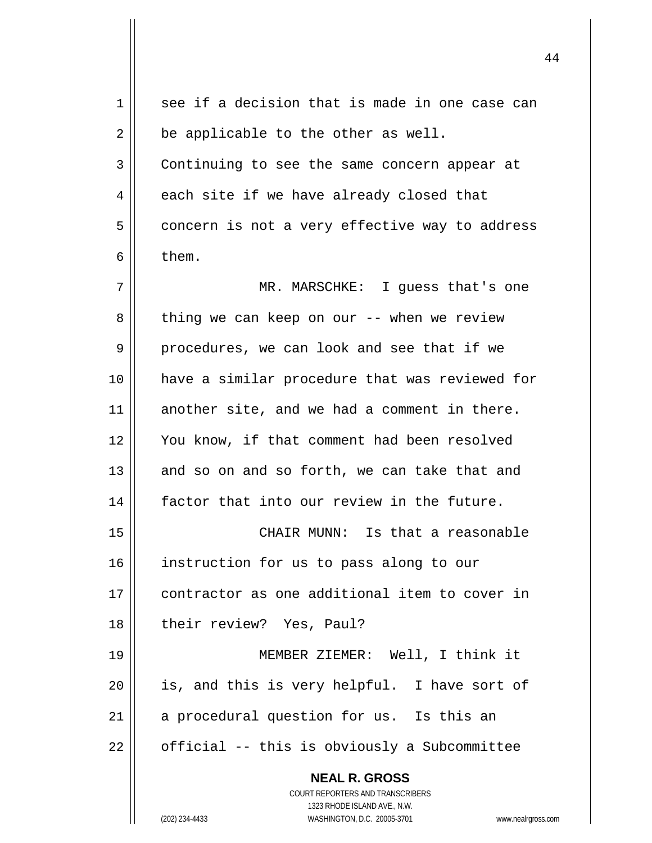**NEAL R. GROSS** COURT REPORTERS AND TRANSCRIBERS 1323 RHODE ISLAND AVE., N.W. (202) 234-4433 WASHINGTON, D.C. 20005-3701 www.nealrgross.com  $1$  | see if a decision that is made in one case can  $2 \parallel$  be applicable to the other as well. 3 Continuing to see the same concern appear at  $4 \parallel$  each site if we have already closed that  $5$  concern is not a very effective way to address  $6 \parallel$  them. 7 MR. MARSCHKE: I guess that's one 8 | thing we can keep on our -- when we review  $9 \parallel$  procedures, we can look and see that if we 10 have a similar procedure that was reviewed for 11 another site, and we had a comment in there. 12 You know, if that comment had been resolved  $13$  and so on and so forth, we can take that and 14 factor that into our review in the future. 15 CHAIR MUNN: Is that a reasonable 16 instruction for us to pass along to our 17 || contractor as one additional item to cover in 18 || their review? Yes, Paul? 19 MEMBER ZIEMER: Well, I think it  $20$  | is, and this is very helpful. I have sort of 21 | a procedural question for us. Is this an  $22$  || official -- this is obviously a Subcommittee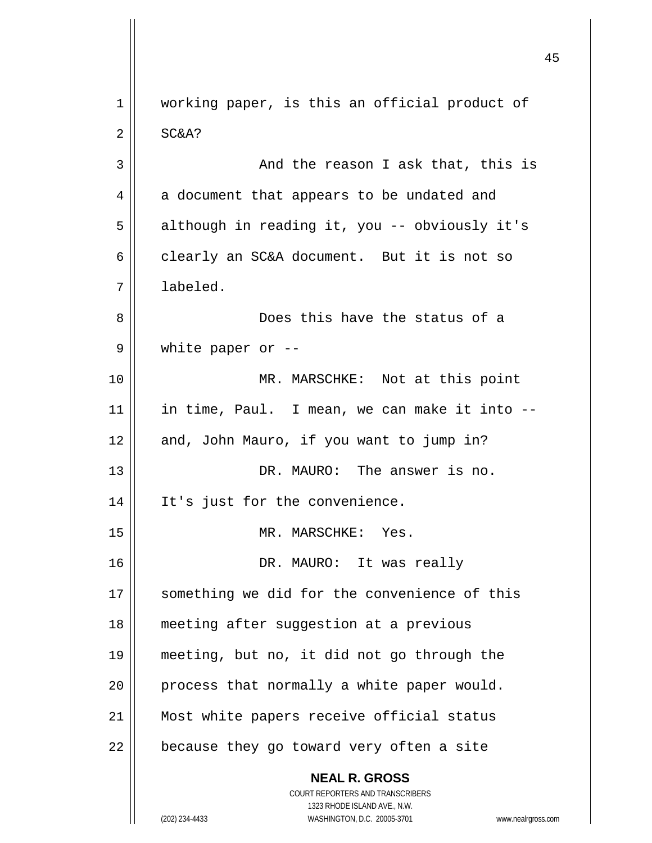**NEAL R. GROSS** COURT REPORTERS AND TRANSCRIBERS 1323 RHODE ISLAND AVE., N.W. (202) 234-4433 WASHINGTON, D.C. 20005-3701 www.nealrgross.com 45 1 working paper, is this an official product of  $2 \parallel$  SC&A?  $3 \parallel$  and the reason I ask that, this is 4 || a document that appears to be undated and 5 | although in reading it, you -- obviously it's  $6 \parallel$  clearly an SC&A document. But it is not so 7 labeled. 8 Does this have the status of a 9 || white paper or --10 MR. MARSCHKE: Not at this point 11 in time, Paul. I mean, we can make it into -- 12 || and, John Mauro, if you want to jump in? 13 DR. MAURO: The answer is no. 14 || It's just for the convenience. 15 MR. MARSCHKE: Yes. 16 DR. MAURO: It was really 17 || something we did for the convenience of this 18 meeting after suggestion at a previous 19 meeting, but no, it did not go through the  $20$  | process that normally a white paper would. 21 Most white papers receive official status  $22$  | because they go toward very often a site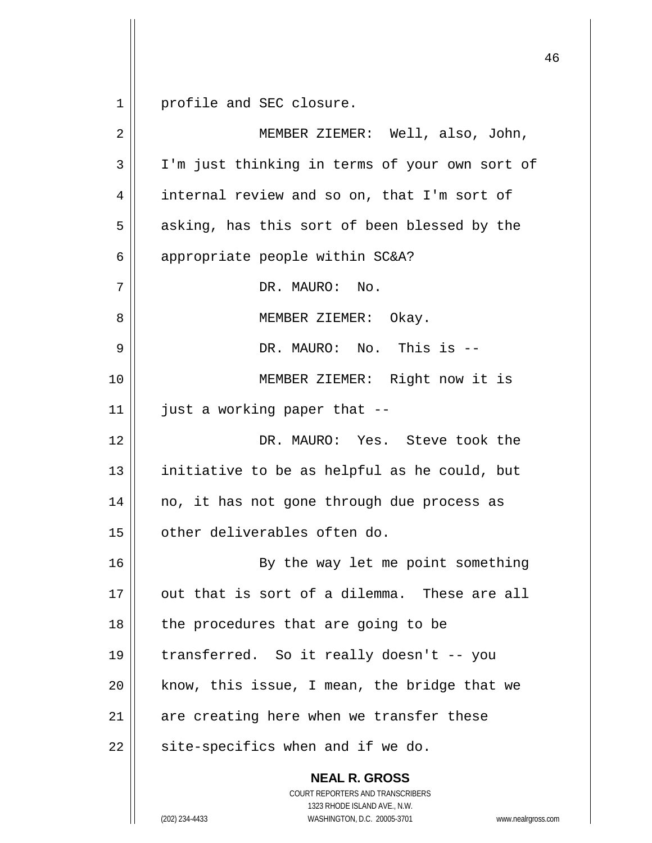1 profile and SEC closure.

| 2  | MEMBER ZIEMER: Well, also, John,                                                                                                                                |
|----|-----------------------------------------------------------------------------------------------------------------------------------------------------------------|
| 3  | I'm just thinking in terms of your own sort of                                                                                                                  |
| 4  | internal review and so on, that I'm sort of                                                                                                                     |
| 5  | asking, has this sort of been blessed by the                                                                                                                    |
| 6  | appropriate people within SC&A?                                                                                                                                 |
| 7  | DR. MAURO: No.                                                                                                                                                  |
| 8  | MEMBER ZIEMER: Okay.                                                                                                                                            |
| 9  | DR. MAURO: No. This is --                                                                                                                                       |
| 10 | MEMBER ZIEMER: Right now it is                                                                                                                                  |
| 11 | just a working paper that --                                                                                                                                    |
| 12 | DR. MAURO: Yes. Steve took the                                                                                                                                  |
| 13 | initiative to be as helpful as he could, but                                                                                                                    |
| 14 | no, it has not gone through due process as                                                                                                                      |
| 15 | other deliverables often do.                                                                                                                                    |
| 16 | By the way let me point something                                                                                                                               |
| 17 | out that is sort of a dilemma. These are all                                                                                                                    |
| 18 | the procedures that are going to be                                                                                                                             |
| 19 | transferred. So it really doesn't -- you                                                                                                                        |
| 20 | know, this issue, I mean, the bridge that we                                                                                                                    |
| 21 | are creating here when we transfer these                                                                                                                        |
| 22 | site-specifics when and if we do.                                                                                                                               |
|    | <b>NEAL R. GROSS</b><br>COURT REPORTERS AND TRANSCRIBERS<br>1323 RHODE ISLAND AVE., N.W.<br>(202) 234-4433<br>WASHINGTON, D.C. 20005-3701<br>www.nealrgross.com |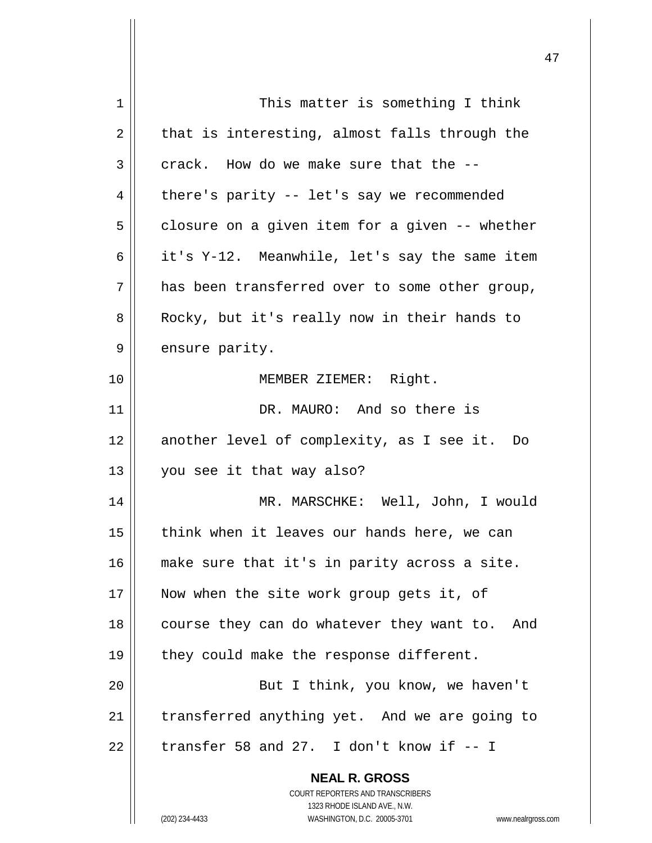|    | 47                                                                                                  |
|----|-----------------------------------------------------------------------------------------------------|
| 1  | This matter is something I think                                                                    |
| 2  | that is interesting, almost falls through the                                                       |
| 3  | crack. How do we make sure that the --                                                              |
| 4  | there's parity -- let's say we recommended                                                          |
| 5  | closure on a given item for a given -- whether                                                      |
| 6  | it's Y-12. Meanwhile, let's say the same item                                                       |
| 7  | has been transferred over to some other group,                                                      |
| 8  | Rocky, but it's really now in their hands to                                                        |
| 9  | ensure parity.                                                                                      |
| 10 | MEMBER ZIEMER: Right.                                                                               |
| 11 | DR. MAURO: And so there is                                                                          |
| 12 | another level of complexity, as I see it. Do                                                        |
| 13 | you see it that way also?                                                                           |
| 14 | MR. MARSCHKE: Well, John, I would                                                                   |
| 15 | think when it leaves our hands here, we can                                                         |
| 16 | make sure that it's in parity across a site.                                                        |
| 17 | Now when the site work group gets it, of                                                            |
| 18 | course they can do whatever they want to. And                                                       |
| 19 | they could make the response different.                                                             |
| 20 | But I think, you know, we haven't                                                                   |
| 21 | transferred anything yet. And we are going to                                                       |
| 22 | transfer 58 and 27. I don't know if -- I                                                            |
|    | <b>NEAL R. GROSS</b><br>COURT REPORTERS AND TRANSCRIBERS                                            |
|    | 1323 RHODE ISLAND AVE., N.W.<br>(202) 234-4433<br>WASHINGTON, D.C. 20005-3701<br>www.nealrgross.com |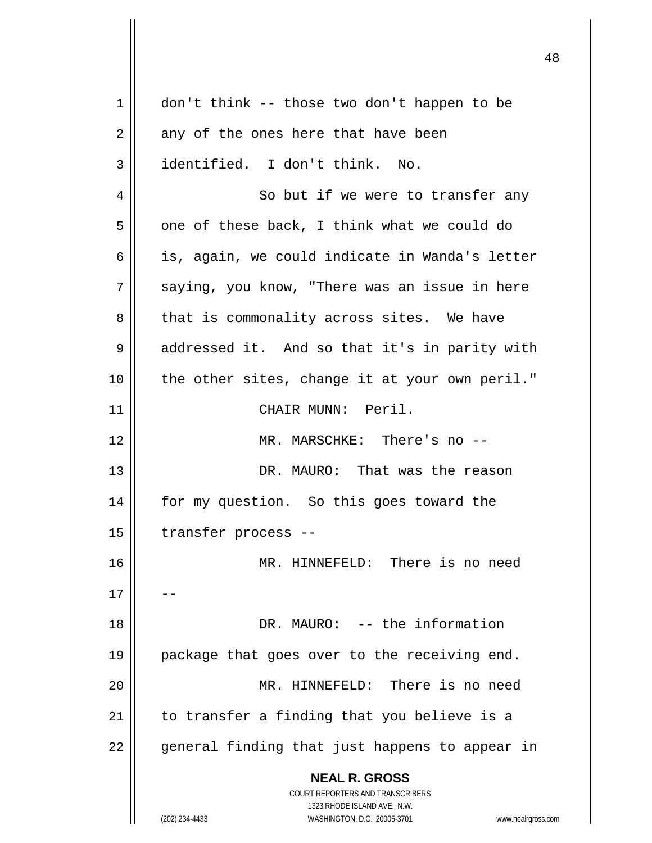**NEAL R. GROSS** COURT REPORTERS AND TRANSCRIBERS 1323 RHODE ISLAND AVE., N.W. (202) 234-4433 WASHINGTON, D.C. 20005-3701 www.nealrgross.com 1 don't think -- those two don't happen to be  $2 \parallel$  any of the ones here that have been 3 | identified. I don't think. No. 4 || So but if we were to transfer any  $5 \parallel$  one of these back, I think what we could do  $6 \parallel$  is, again, we could indicate in Wanda's letter  $7 \parallel$  saying, you know, "There was an issue in here 8 || that is commonality across sites. We have 9 | addressed it. And so that it's in parity with 10 the other sites, change it at your own peril." 11 CHAIR MUNN: Peril. 12 MR. MARSCHKE: There's no -- 13 DR. MAURO: That was the reason 14 | for my question. So this goes toward the 15 | transfer process --16 MR. HINNEFELD: There is no need  $17$ 18 || DR. MAURO: -- the information 19 || package that goes over to the receiving end. 20 MR. HINNEFELD: There is no need  $21$  | to transfer a finding that you believe is a 22 || general finding that just happens to appear in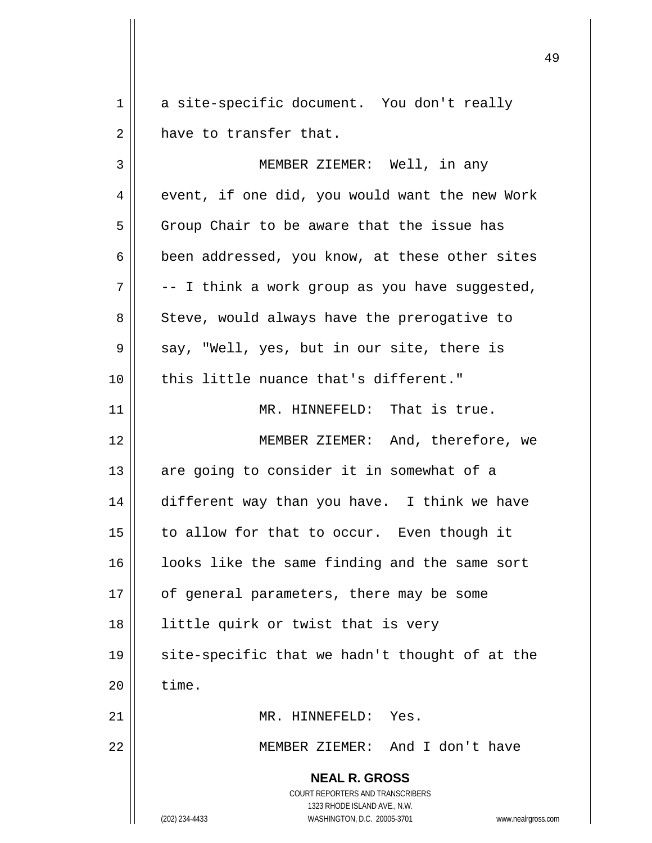**NEAL R. GROSS** COURT REPORTERS AND TRANSCRIBERS 1323 RHODE ISLAND AVE., N.W. (202) 234-4433 WASHINGTON, D.C. 20005-3701 www.nealrgross.com 1 | a site-specific document. You don't really  $2 \parallel$  have to transfer that. 3 || MEMBER ZIEMER: Well, in any  $4 \parallel$  event, if one did, you would want the new Work  $5 \parallel$  Group Chair to be aware that the issue has  $6 \parallel$  been addressed, you know, at these other sites  $7 \parallel$  -- I think a work group as you have suggested, 8 || Steve, would always have the prerogative to  $9 \parallel$  say, "Well, yes, but in our site, there is 10 this little nuance that's different." 11 || MR. HINNEFELD: That is true. 12 MEMBER ZIEMER: And, therefore, we 13 || are going to consider it in somewhat of a 14 | different way than you have. I think we have 15  $\parallel$  to allow for that to occur. Even though it 16 || looks like the same finding and the same sort 17 | of general parameters, there may be some 18 || little quirk or twist that is very 19  $\parallel$  site-specific that we hadn't thought of at the  $20$  | time. 21 || MR. HINNEFELD: Yes. 22 MEMBER ZIEMER: And I don't have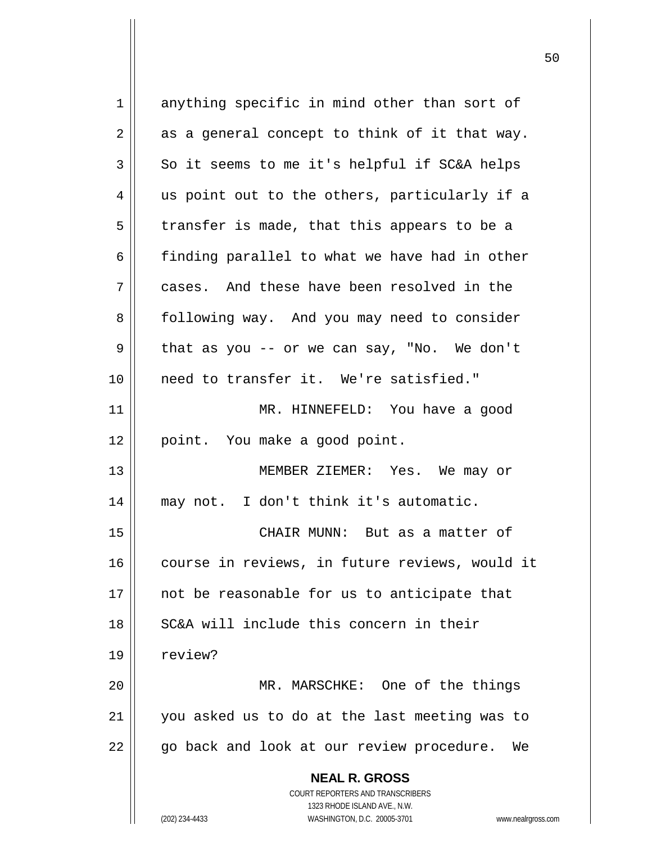**NEAL R. GROSS** COURT REPORTERS AND TRANSCRIBERS 1323 RHODE ISLAND AVE., N.W. (202) 234-4433 WASHINGTON, D.C. 20005-3701 www.nealrgross.com 1 || anything specific in mind other than sort of  $2 \parallel$  as a general concept to think of it that way.  $3 \parallel$  So it seems to me it's helpful if SC&A helps 4 || us point out to the others, particularly if a  $5$  transfer is made, that this appears to be a 6 | finding parallel to what we have had in other 7 || cases. And these have been resolved in the 8 | following way. And you may need to consider  $9 \parallel$  that as you -- or we can say, "No. We don't 10 need to transfer it. We're satisfied." 11 MR. HINNEFELD: You have a good 12 || point. You make a good point. 13 MEMBER ZIEMER: Yes. We may or 14 may not. I don't think it's automatic. 15 CHAIR MUNN: But as a matter of 16 || course in reviews, in future reviews, would it  $17$  || not be reasonable for us to anticipate that 18 || SC&A will include this concern in their 19 | review? 20 MR. MARSCHKE: One of the things 21 you asked us to do at the last meeting was to 22 || go back and look at our review procedure. We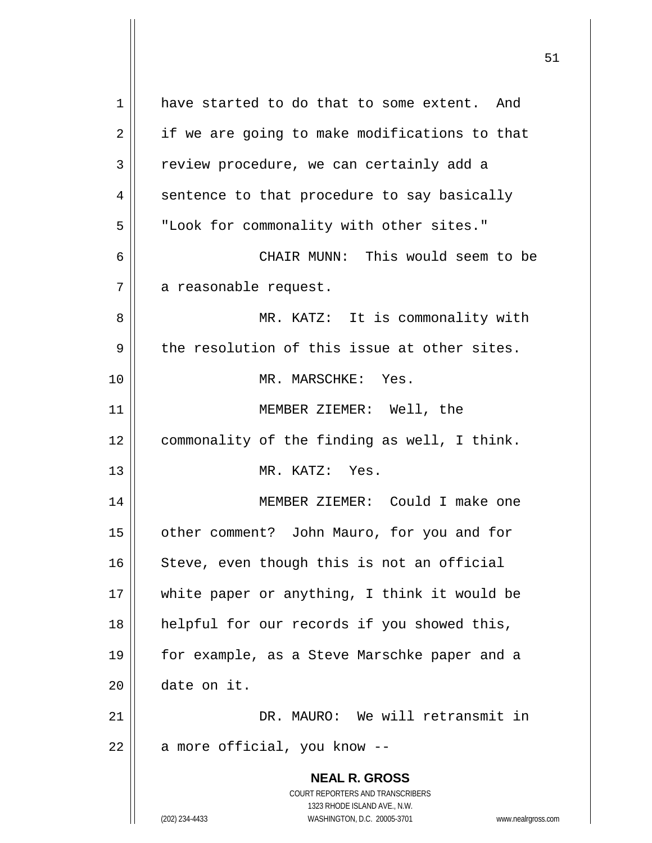**NEAL R. GROSS** COURT REPORTERS AND TRANSCRIBERS 1323 RHODE ISLAND AVE., N.W. (202) 234-4433 WASHINGTON, D.C. 20005-3701 www.nealrgross.com 1 || have started to do that to some extent. And  $2 \parallel$  if we are going to make modifications to that 3 | review procedure, we can certainly add a 4 | sentence to that procedure to say basically 5 | "Look for commonality with other sites." 6 CHAIR MUNN: This would seem to be  $7 \parallel$  a reasonable request. 8 MR. KATZ: It is commonality with  $9 \parallel$  the resolution of this issue at other sites. 10 || MR. MARSCHKE: Yes. 11 || **MEMBER ZIEMER:** Well, the 12 commonality of the finding as well, I think. 13 MR. KATZ: Yes. 14 || MEMBER ZIEMER: Could I make one 15 | other comment? John Mauro, for you and for 16 || Steve, even though this is not an official 17 white paper or anything, I think it would be 18 || helpful for our records if you showed this, 19 for example, as a Steve Marschke paper and a 20 date on it. 21 || DR. MAURO: We will retransmit in  $22$  | a more official, you know  $-$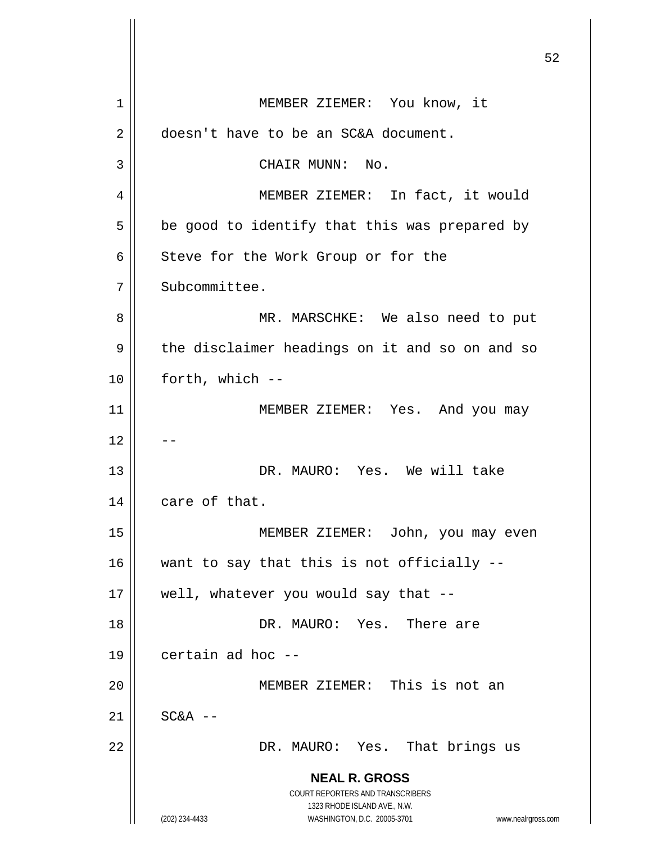**NEAL R. GROSS** COURT REPORTERS AND TRANSCRIBERS 1323 RHODE ISLAND AVE., N.W. (202) 234-4433 WASHINGTON, D.C. 20005-3701 www.nealrgross.com 52 1 MEMBER ZIEMER: You know, it 2 | doesn't have to be an SC&A document. 3 || CHAIR MUNN: No. 4 | MEMBER ZIEMER: In fact, it would  $5 \parallel$  be good to identify that this was prepared by 6 | Steve for the Work Group or for the 7 | Subcommittee. 8 MR. MARSCHKE: We also need to put 9 | the disclaimer headings on it and so on and so 10 forth, which -- 11 || MEMBER ZIEMER: Yes. And you may  $12$ 13 DR. MAURO: Yes. We will take 14 care of that. 15 MEMBER ZIEMER: John, you may even  $16$  || want to say that this is not officially -- $17$  || well, whatever you would say that  $-$ 18 DR. MAURO: Yes. There are  $19 \parallel$  certain ad hoc --20 MEMBER ZIEMER: This is not an  $21$  ||  $SC&A$  --22 DR. MAURO: Yes. That brings us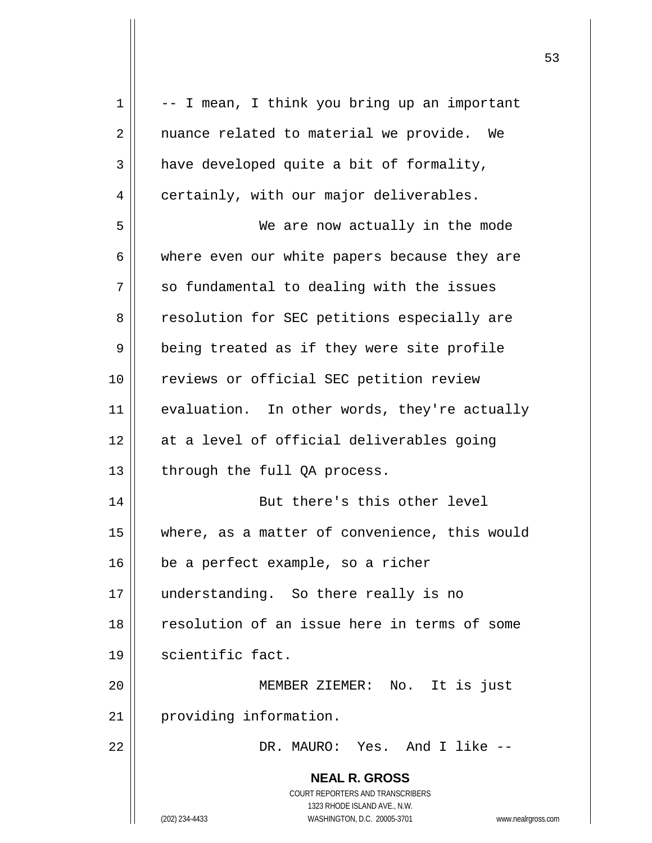**NEAL R. GROSS** COURT REPORTERS AND TRANSCRIBERS 1323 RHODE ISLAND AVE., N.W. (202) 234-4433 WASHINGTON, D.C. 20005-3701 www.nealrgross.com 1 | | -- I mean, I think you bring up an important 2 | nuance related to material we provide. We  $3 \parallel$  have developed quite a bit of formality,  $4 \parallel$  certainly, with our major deliverables. 5 We are now actually in the mode 6 || where even our white papers because they are  $7$  | so fundamental to dealing with the issues 8 || resolution for SEC petitions especially are  $9 \parallel$  being treated as if they were site profile 10 || reviews or official SEC petition review 11 evaluation. In other words, they're actually  $12$  | at a level of official deliverables going  $13$  | through the full QA process. 14 But there's this other level 15 where, as a matter of convenience, this would 16 || be a perfect example, so a richer 17 understanding. So there really is no 18 || resolution of an issue here in terms of some 19 || scientific fact. 20 MEMBER ZIEMER: No. It is just 21 || providing information. 22 DR. MAURO: Yes. And I like --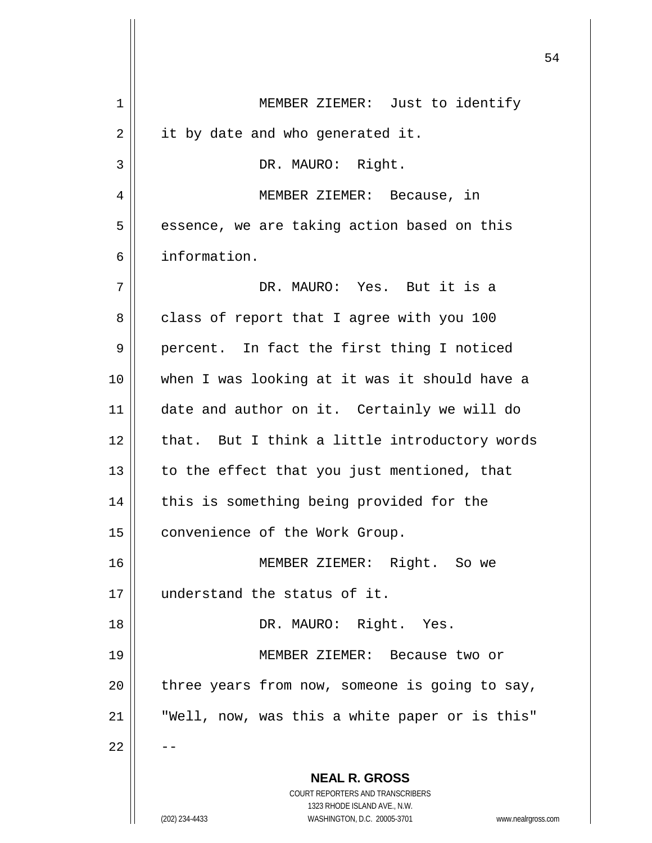**NEAL R. GROSS** COURT REPORTERS AND TRANSCRIBERS 1323 RHODE ISLAND AVE., N.W. (202) 234-4433 WASHINGTON, D.C. 20005-3701 www.nealrgross.com 1 || MEMBER ZIEMER: Just to identify  $2 \parallel$  it by date and who generated it. 3 || DR. MAURO: Right. 4 MEMBER ZIEMER: Because, in  $5 \parallel$  essence, we are taking action based on this 6 information. 7 DR. MAURO: Yes. But it is a 8 | class of report that I agree with you 100 9 || percent. In fact the first thing I noticed 10 when I was looking at it was it should have a 11 date and author on it. Certainly we will do 12 || that. But I think a little introductory words  $13$  || to the effect that you just mentioned, that 14 || this is something being provided for the 15 | convenience of the Work Group. 16 MEMBER ZIEMER: Right. So we 17 understand the status of it. 18 DR. MAURO: Right. Yes. 19 MEMBER ZIEMER: Because two or  $20$  | three years from now, someone is going to say, 21 "Well, now, was this a white paper or is this"  $22$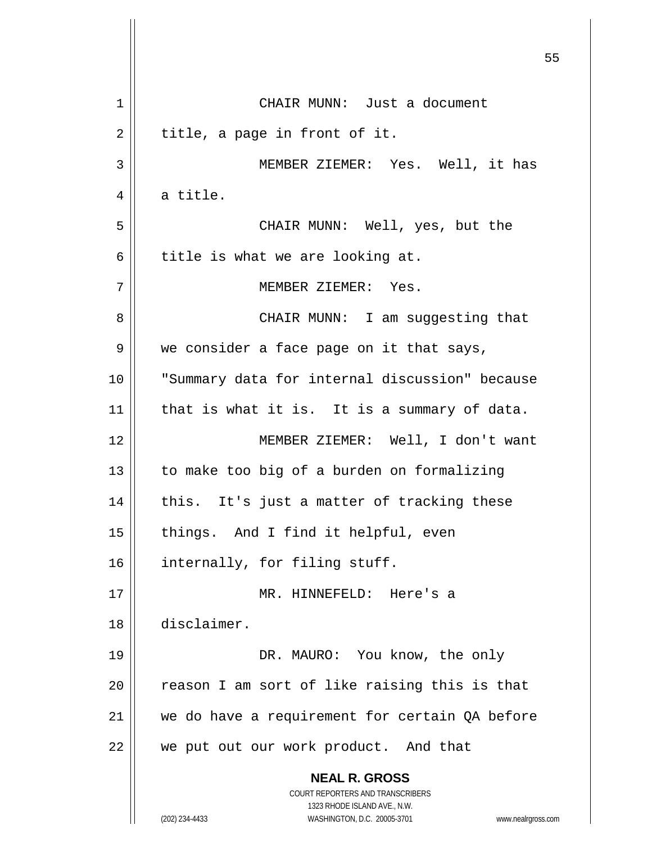**NEAL R. GROSS** COURT REPORTERS AND TRANSCRIBERS 1323 RHODE ISLAND AVE., N.W. (202) 234-4433 WASHINGTON, D.C. 20005-3701 www.nealrgross.com 55 1 CHAIR MUNN: Just a document  $2 \parallel$  title, a page in front of it. 3 MEMBER ZIEMER: Yes. Well, it has  $4 \parallel$  a title. 5 CHAIR MUNN: Well, yes, but the  $6 \parallel$  title is what we are looking at. 7 MEMBER ZIEMER: Yes. 8 CHAIR MUNN: I am suggesting that  $9 \parallel$  we consider a face page on it that says, 10 "Summary data for internal discussion" because 11 that is what it is. It is a summary of data. 12 MEMBER ZIEMER: Well, I don't want 13 to make too big of a burden on formalizing  $14$  | this. It's just a matter of tracking these 15 | things. And I find it helpful, even 16 || internally, for filing stuff. 17 MR. HINNEFELD: Here's a 18 disclaimer. 19 DR. MAURO: You know, the only 20  $\parallel$  reason I am sort of like raising this is that 21 we do have a requirement for certain QA before 22 || we put out our work product. And that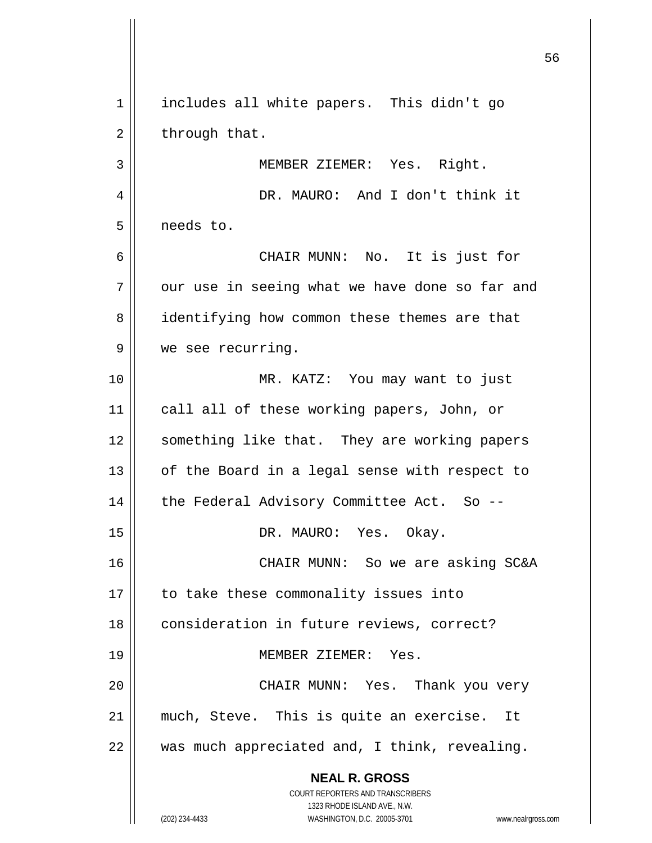**NEAL R. GROSS** COURT REPORTERS AND TRANSCRIBERS 1323 RHODE ISLAND AVE., N.W. (202) 234-4433 WASHINGTON, D.C. 20005-3701 www.nealrgross.com 1 includes all white papers. This didn't go  $2 \parallel$  through that. 3 || MEMBER ZIEMER: Yes. Right. 4 DR. MAURO: And I don't think it 5 needs to. 6 CHAIR MUNN: No. It is just for  $7 \parallel$  our use in seeing what we have done so far and 8 || identifying how common these themes are that 9 || we see recurring. 10 MR. KATZ: You may want to just 11 call all of these working papers, John, or 12 || something like that. They are working papers 13 || of the Board in a legal sense with respect to 14 || the Federal Advisory Committee Act. So --15 DR. MAURO: Yes. Okay. 16 CHAIR MUNN: So we are asking SC&A  $17$  | to take these commonality issues into 18 | consideration in future reviews, correct? 19 || MEMBER ZIEMER: Yes. 20 CHAIR MUNN: Yes. Thank you very 21 much, Steve. This is quite an exercise. It  $22$  | was much appreciated and, I think, revealing.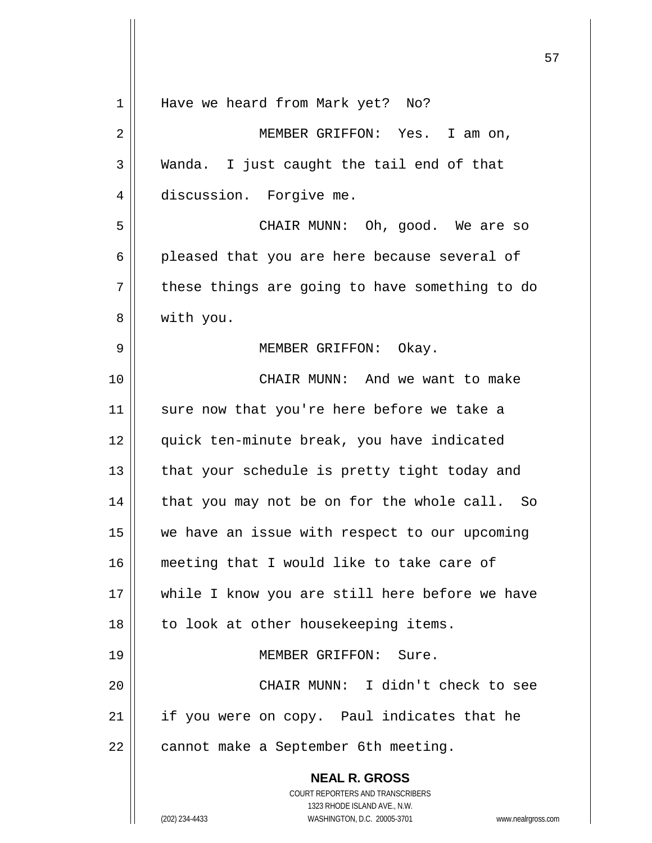**NEAL R. GROSS** COURT REPORTERS AND TRANSCRIBERS 1323 RHODE ISLAND AVE., N.W. (202) 234-4433 WASHINGTON, D.C. 20005-3701 www.nealrgross.com 1 || Have we heard from Mark yet? No? 2 || MEMBER GRIFFON: Yes. I am on, 3 Wanda. I just caught the tail end of that 4 discussion. Forgive me. 5 CHAIR MUNN: Oh, good. We are so 6 || pleased that you are here because several of  $7 \parallel$  these things are going to have something to do 8 | with you. 9 || MEMBER GRIFFON: Okay. 10 CHAIR MUNN: And we want to make 11 || sure now that you're here before we take a 12 quick ten-minute break, you have indicated 13 || that your schedule is pretty tight today and  $14$  | that you may not be on for the whole call. So 15 | we have an issue with respect to our upcoming 16 meeting that I would like to take care of 17 || while I know you are still here before we have 18 || to look at other housekeeping items. 19 MEMBER GRIFFON: Sure. 20 CHAIR MUNN: I didn't check to see 21 || if you were on copy. Paul indicates that he 22 | cannot make a September 6th meeting.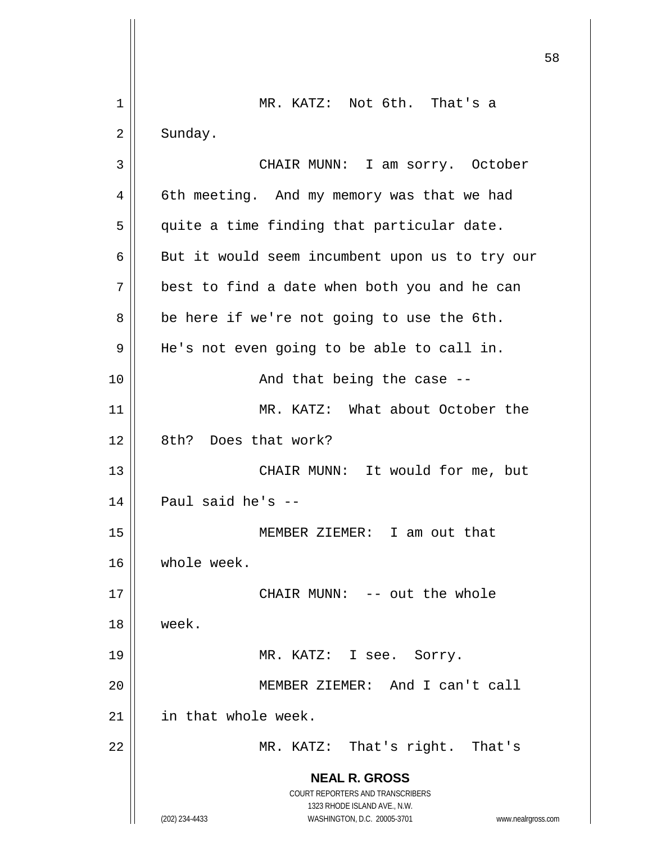**NEAL R. GROSS** COURT REPORTERS AND TRANSCRIBERS 1323 RHODE ISLAND AVE., N.W. (202) 234-4433 WASHINGTON, D.C. 20005-3701 www.nealrgross.com 58 1 MR. KATZ: Not 6th. That's a 2 | Sunday. 3 CHAIR MUNN: I am sorry. October 4 | 6th meeting. And my memory was that we had  $5$  | quite a time finding that particular date. 6 | But it would seem incumbent upon us to try our  $7 \parallel$  best to find a date when both you and he can 8 || be here if we're not going to use the 6th. 9 || He's not even going to be able to call in. 10 || The Case --11 || MR. KATZ: What about October the 12 || 8th? Does that work? 13 || CHAIR MUNN: It would for me, but  $14$  || Paul said he's  $-$ 15 MEMBER ZIEMER: I am out that 16 whole week. 17 CHAIR MUNN: -- out the whole 18 week. 19 || MR. KATZ: I see. Sorry. 20 MEMBER ZIEMER: And I can't call 21 in that whole week. 22 MR. KATZ: That's right. That's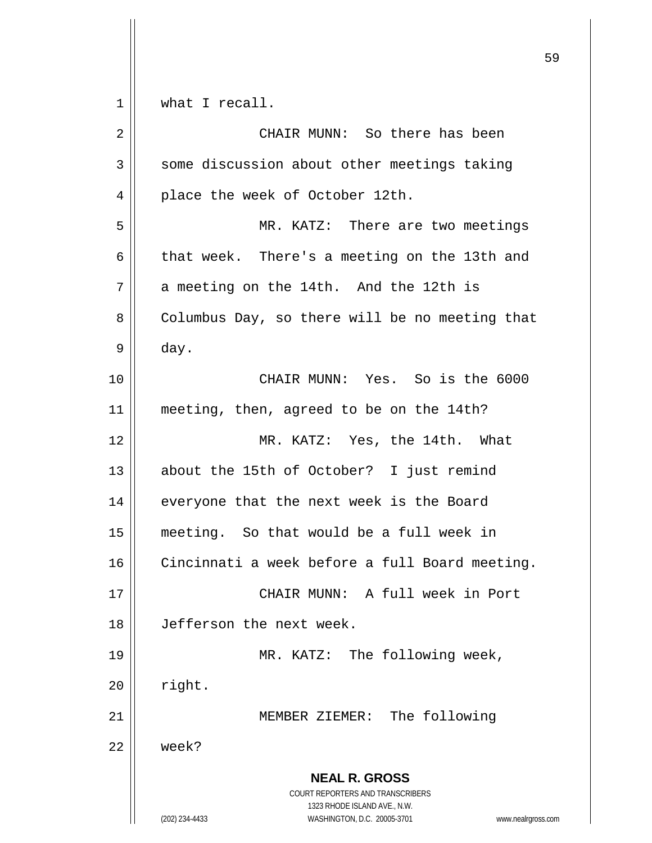1 || what I recall.

**NEAL R. GROSS** COURT REPORTERS AND TRANSCRIBERS 1323 RHODE ISLAND AVE., N.W. (202) 234-4433 WASHINGTON, D.C. 20005-3701 www.nealrgross.com 2 CHAIR MUNN: So there has been 3 || some discussion about other meetings taking 4 | place the week of October 12th. 5 || MR. KATZ: There are two meetings  $6 \parallel$  that week. There's a meeting on the 13th and  $7 \parallel$  a meeting on the 14th. And the 12th is 8 | Columbus Day, so there will be no meeting that  $9 \parallel$  day. 10 CHAIR MUNN: Yes. So is the 6000 11 meeting, then, agreed to be on the 14th? 12 MR. KATZ: Yes, the 14th. What 13 || about the 15th of October? I just remind  $14$  everyone that the next week is the Board 15 meeting. So that would be a full week in 16 Cincinnati a week before a full Board meeting. 17 CHAIR MUNN: A full week in Port 18 Jefferson the next week. 19 || MR. KATZ: The following week,  $20$  | right. 21 || MEMBER ZIEMER: The following 22 week?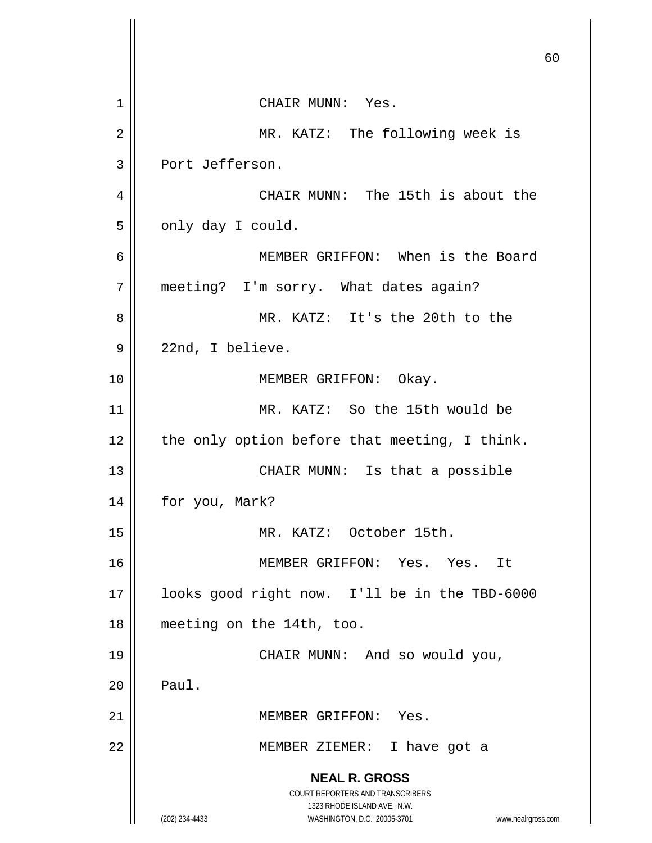**NEAL R. GROSS** COURT REPORTERS AND TRANSCRIBERS 1323 RHODE ISLAND AVE., N.W. (202) 234-4433 WASHINGTON, D.C. 20005-3701 www.nealrgross.com 60 1 || CHAIR MUNN: Yes. 2 || MR. KATZ: The following week is 3 | Port Jefferson. 4 CHAIR MUNN: The 15th is about the  $5 \parallel$  only day I could. 6 MEMBER GRIFFON: When is the Board 7 | meeting? I'm sorry. What dates again? 8 MR. KATZ: It's the 20th to the  $9 \parallel 22$ nd, I believe. 10 || **MEMBER GRIFFON:** Okay. 11 MR. KATZ: So the 15th would be  $12$  | the only option before that meeting, I think. 13 CHAIR MUNN: Is that a possible 14 | for you, Mark? 15 MR. KATZ: October 15th. 16 MEMBER GRIFFON: Yes. Yes. It 17 looks good right now. I'll be in the TBD-6000 18 meeting on the 14th, too. 19 CHAIR MUNN: And so would you,  $20$  | Paul. 21 MEMBER GRIFFON: Yes. 22 MEMBER ZIEMER: I have got a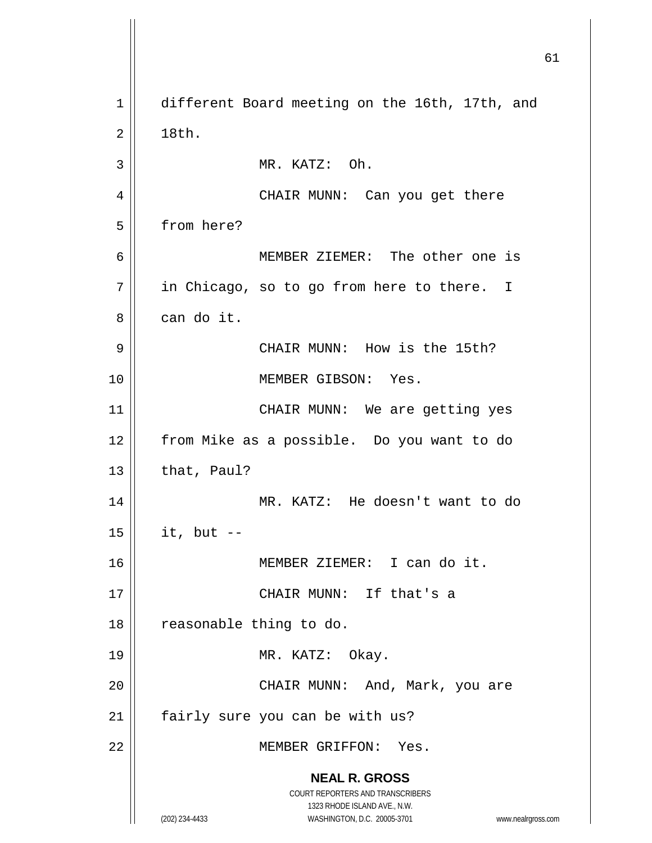**NEAL R. GROSS** COURT REPORTERS AND TRANSCRIBERS 1323 RHODE ISLAND AVE., N.W. (202) 234-4433 WASHINGTON, D.C. 20005-3701 www.nealrgross.com 1 different Board meeting on the 16th, 17th, and  $2 \parallel$  18th. 3 MR. KATZ: Oh. 4 CHAIR MUNN: Can you get there 5 | from here? 6 MEMBER ZIEMER: The other one is  $7 \parallel$  in Chicago, so to go from here to there. I 8 | can do it. 9 CHAIR MUNN: How is the 15th? 10 MEMBER GIBSON: Yes. 11 CHAIR MUNN: We are getting yes 12 from Mike as a possible. Do you want to do  $13 \parallel$  that, Paul? 14 MR. KATZ: He doesn't want to do  $15$  | it, but  $-$ 16 MEMBER ZIEMER: I can do it. 17 CHAIR MUNN: If that's a  $18$  || reasonable thing to do. 19 || MR. KATZ: Okay. 20 CHAIR MUNN: And, Mark, you are 21 || fairly sure you can be with us? 22 || MEMBER GRIFFON: Yes.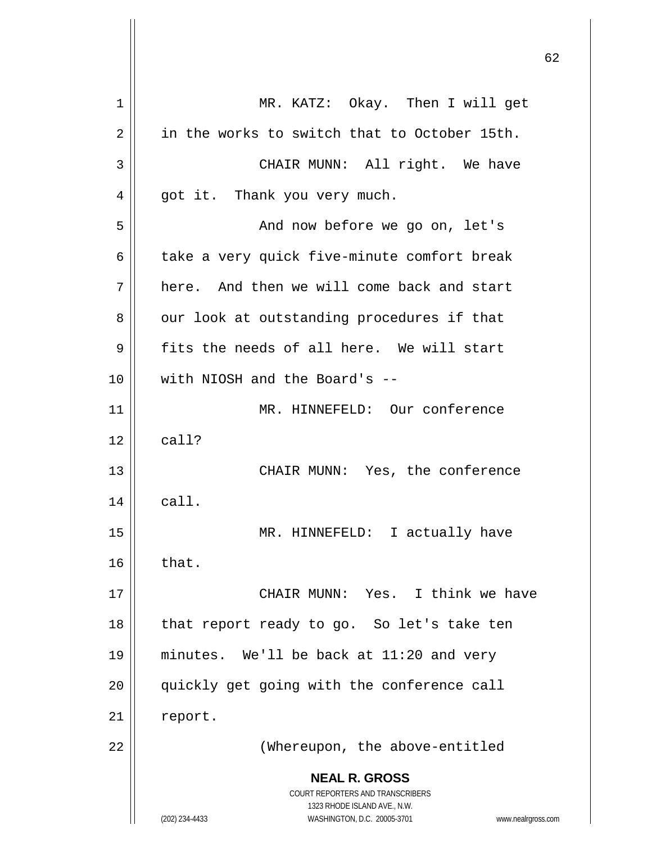**NEAL R. GROSS** COURT REPORTERS AND TRANSCRIBERS 1323 RHODE ISLAND AVE., N.W. (202) 234-4433 WASHINGTON, D.C. 20005-3701 www.nealrgross.com 1 MR. KATZ: Okay. Then I will get  $2 \parallel$  in the works to switch that to October 15th. 3 || CHAIR MUNN: All right. We have 4 || got it. Thank you very much. 5 And now before we go on, let's  $6 \parallel$  take a very quick five-minute comfort break 7 | here. And then we will come back and start 8 || our look at outstanding procedures if that 9 fits the needs of all here. We will start 10 with NIOSH and the Board's -- 11 || MR. HINNEFELD: Our conference  $12 \parallel$  call? 13 CHAIR MUNN: Yes, the conference  $14$   $\parallel$  call. 15 MR. HINNEFELD: I actually have  $16$  || that. 17 CHAIR MUNN: Yes. I think we have 18 || that report ready to go. So let's take ten 19 minutes. We'll be back at 11:20 and very 20 || quickly get going with the conference call 21 | report. 22 (Whereupon, the above-entitled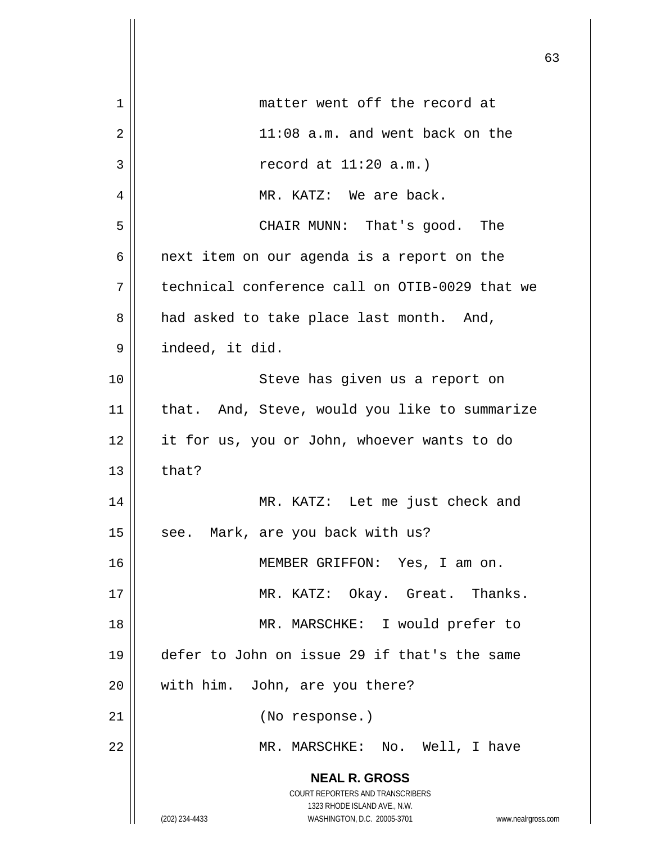|    | 63                                                                                                  |
|----|-----------------------------------------------------------------------------------------------------|
| 1  | matter went off the record at                                                                       |
| 2  | 11:08 a.m. and went back on the                                                                     |
| 3  | record at $11:20$ a.m.)                                                                             |
| 4  | MR. KATZ: We are back.                                                                              |
| 5  | CHAIR MUNN: That's good. The                                                                        |
| 6  | next item on our agenda is a report on the                                                          |
| 7  | technical conference call on OTIB-0029 that we                                                      |
| 8  | had asked to take place last month. And,                                                            |
| 9  | indeed, it did.                                                                                     |
| 10 | Steve has given us a report on                                                                      |
| 11 | that. And, Steve, would you like to summarize                                                       |
| 12 | it for us, you or John, whoever wants to do                                                         |
| 13 | that?                                                                                               |
| 14 | MR. KATZ: Let me just check and                                                                     |
| 15 | see. Mark, are you back with us?                                                                    |
| 16 | MEMBER GRIFFON: Yes, I am on.                                                                       |
| 17 | MR. KATZ: Okay. Great. Thanks.                                                                      |
| 18 | MR. MARSCHKE: I would prefer to                                                                     |
| 19 | defer to John on issue 29 if that's the same                                                        |
| 20 | with him. John, are you there?                                                                      |
| 21 | (No response.)                                                                                      |
| 22 | MR. MARSCHKE: No. Well, I have                                                                      |
|    | <b>NEAL R. GROSS</b><br>COURT REPORTERS AND TRANSCRIBERS                                            |
|    | 1323 RHODE ISLAND AVE., N.W.<br>(202) 234-4433<br>WASHINGTON, D.C. 20005-3701<br>www.nealrgross.com |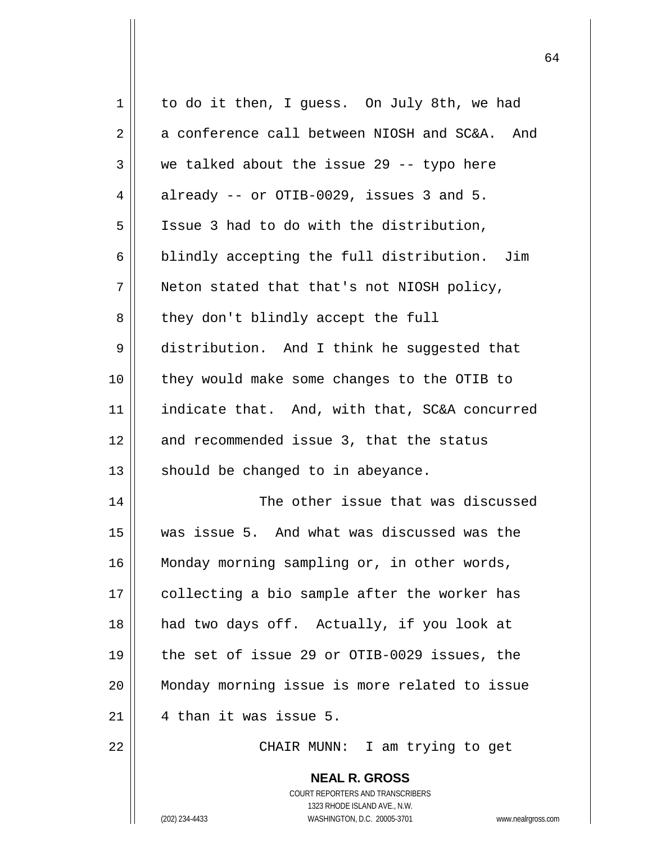**NEAL R. GROSS** COURT REPORTERS AND TRANSCRIBERS 1323 RHODE ISLAND AVE., N.W. (202) 234-4433 WASHINGTON, D.C. 20005-3701 www.nealrgross.com 1 || to do it then, I guess. On July 8th, we had  $2 \parallel$  a conference call between NIOSH and SC&A. And  $3 \parallel$  we talked about the issue 29 -- typo here  $4 \parallel$  already -- or OTIB-0029, issues 3 and 5. 5 | Issue 3 had to do with the distribution, 6 | blindly accepting the full distribution. Jim 7 || Neton stated that that's not NIOSH policy, 8 || they don't blindly accept the full 9 distribution. And I think he suggested that 10 they would make some changes to the OTIB to 11 indicate that. And, with that, SC&A concurred 12 || and recommended issue 3, that the status  $13$  || should be changed to in abeyance. 14 The other issue that was discussed 15 was issue 5. And what was discussed was the 16 Monday morning sampling or, in other words,  $17$   $\vert\vert$  collecting a bio sample after the worker has 18 || had two days off. Actually, if you look at 19 || the set of issue 29 or OTIB-0029 issues, the 20 Monday morning issue is more related to issue  $21$  | 4 than it was issue 5. 22 CHAIR MUNN: I am trying to get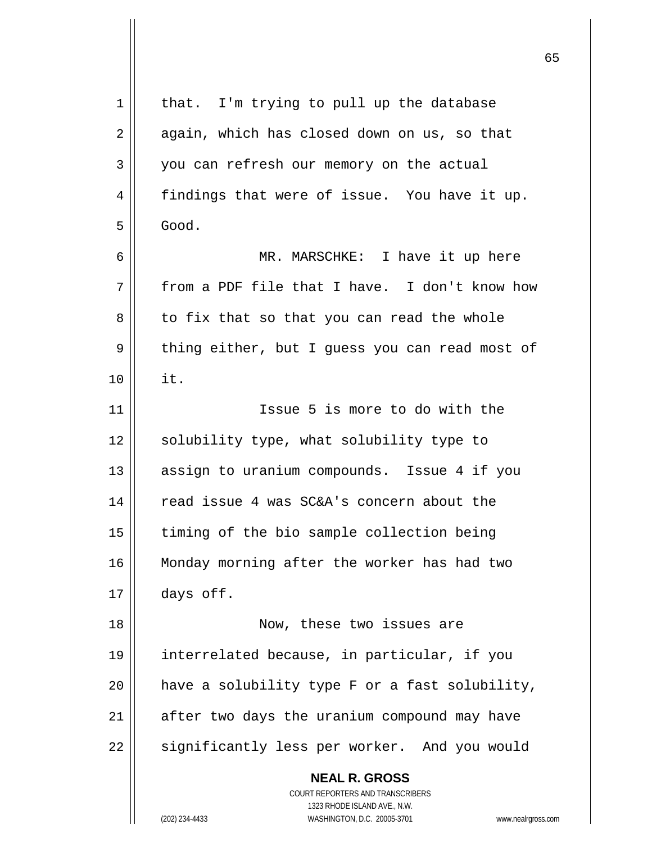| 1  | that. I'm trying to pull up the database                                                            |
|----|-----------------------------------------------------------------------------------------------------|
| 2  | again, which has closed down on us, so that                                                         |
| 3  | you can refresh our memory on the actual                                                            |
| 4  | findings that were of issue. You have it up.                                                        |
| 5  | Good.                                                                                               |
| 6  | MR. MARSCHKE: I have it up here                                                                     |
| 7  | from a PDF file that I have. I don't know how                                                       |
| 8  | to fix that so that you can read the whole                                                          |
| 9  | thing either, but I guess you can read most of                                                      |
| 10 | it.                                                                                                 |
| 11 | Issue 5 is more to do with the                                                                      |
| 12 | solubility type, what solubility type to                                                            |
| 13 | assign to uranium compounds. Issue 4 if you                                                         |
| 14 | read issue 4 was SC&A's concern about the                                                           |
| 15 | timing of the bio sample collection being                                                           |
| 16 | Monday morning after the worker has had two                                                         |
| 17 | days off.                                                                                           |
| 18 | Now, these two issues are                                                                           |
| 19 | interrelated because, in particular, if you                                                         |
| 20 | have a solubility type F or a fast solubility,                                                      |
| 21 | after two days the uranium compound may have                                                        |
| 22 | significantly less per worker. And you would                                                        |
|    | <b>NEAL R. GROSS</b><br>COURT REPORTERS AND TRANSCRIBERS                                            |
|    | 1323 RHODE ISLAND AVE., N.W.<br>(202) 234-4433<br>WASHINGTON, D.C. 20005-3701<br>www.nealrgross.com |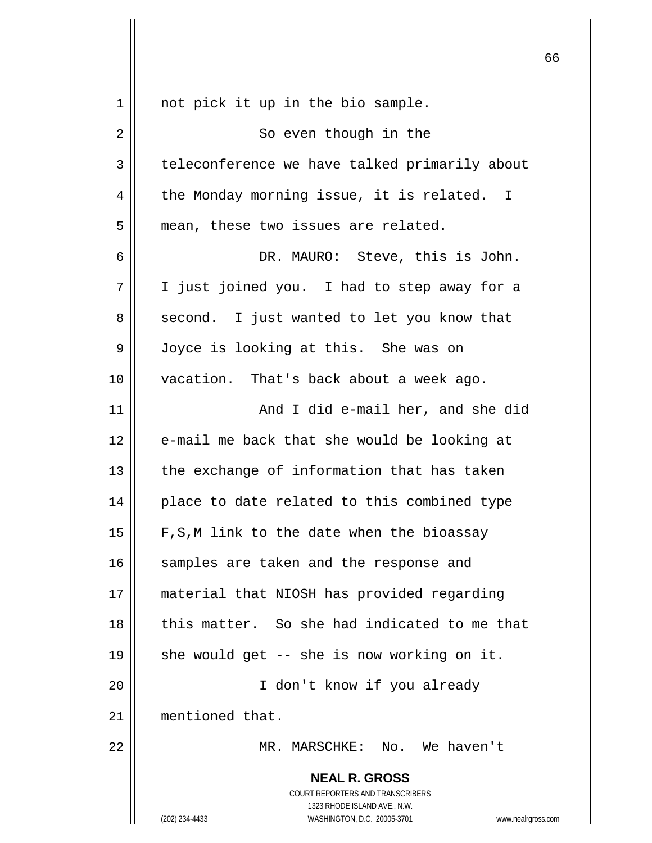|    |                                                                                                                                                                 | 66 |
|----|-----------------------------------------------------------------------------------------------------------------------------------------------------------------|----|
| 1  | not pick it up in the bio sample.                                                                                                                               |    |
| 2  | So even though in the                                                                                                                                           |    |
| 3  | teleconference we have talked primarily about                                                                                                                   |    |
| 4  | the Monday morning issue, it is related. I                                                                                                                      |    |
| 5  | mean, these two issues are related.                                                                                                                             |    |
| 6  | DR. MAURO: Steve, this is John.                                                                                                                                 |    |
| 7  | I just joined you. I had to step away for a                                                                                                                     |    |
| 8  | second. I just wanted to let you know that                                                                                                                      |    |
| 9  | Joyce is looking at this. She was on                                                                                                                            |    |
| 10 | vacation. That's back about a week ago.                                                                                                                         |    |
| 11 | And I did e-mail her, and she did                                                                                                                               |    |
| 12 | e-mail me back that she would be looking at                                                                                                                     |    |
| 13 | the exchange of information that has taken                                                                                                                      |    |
| 14 | place to date related to this combined type                                                                                                                     |    |
| 15 | F, S, M link to the date when the bioassay                                                                                                                      |    |
| 16 | samples are taken and the response and                                                                                                                          |    |
| 17 | material that NIOSH has provided regarding                                                                                                                      |    |
| 18 | this matter. So she had indicated to me that                                                                                                                    |    |
| 19 | she would get -- she is now working on it.                                                                                                                      |    |
| 20 | I don't know if you already                                                                                                                                     |    |
| 21 | mentioned that.                                                                                                                                                 |    |
| 22 | MR. MARSCHKE: No. We haven't                                                                                                                                    |    |
|    | <b>NEAL R. GROSS</b><br>COURT REPORTERS AND TRANSCRIBERS<br>1323 RHODE ISLAND AVE., N.W.<br>(202) 234-4433<br>WASHINGTON, D.C. 20005-3701<br>www.nealrgross.com |    |

 $\mathbf{I}$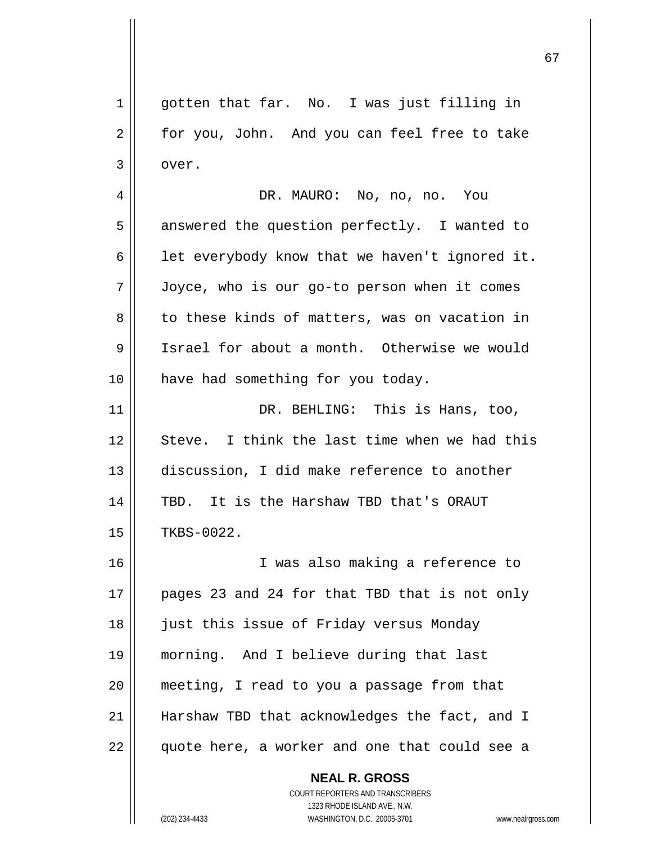1 gotten that far. No. I was just filling in 2 | for you, John. And you can feel free to take  $3 \parallel$  over.

4 | R. MAURO: No, no, no. You 5 answered the question perfectly. I wanted to  $6 \parallel$  let everybody know that we haven't ignored it. 7 | Joyce, who is our go-to person when it comes 8 || to these kinds of matters, was on vacation in 9 Israel for about a month. Otherwise we would 10 || have had something for you today.

11 DR. BEHLING: This is Hans, too, 12 Steve. I think the last time when we had this 13 discussion, I did make reference to another 14 || TBD. It is the Harshaw TBD that's ORAUT 15 | TKBS-0022.

16 I was also making a reference to 17 || pages 23 and 24 for that TBD that is not only 18 || just this issue of Friday versus Monday 19 morning. And I believe during that last 20 meeting, I read to you a passage from that 21 Harshaw TBD that acknowledges the fact, and I 22 || quote here, a worker and one that could see a

> **NEAL R. GROSS** COURT REPORTERS AND TRANSCRIBERS 1323 RHODE ISLAND AVE., N.W. (202) 234-4433 WASHINGTON, D.C. 20005-3701 www.nealrgross.com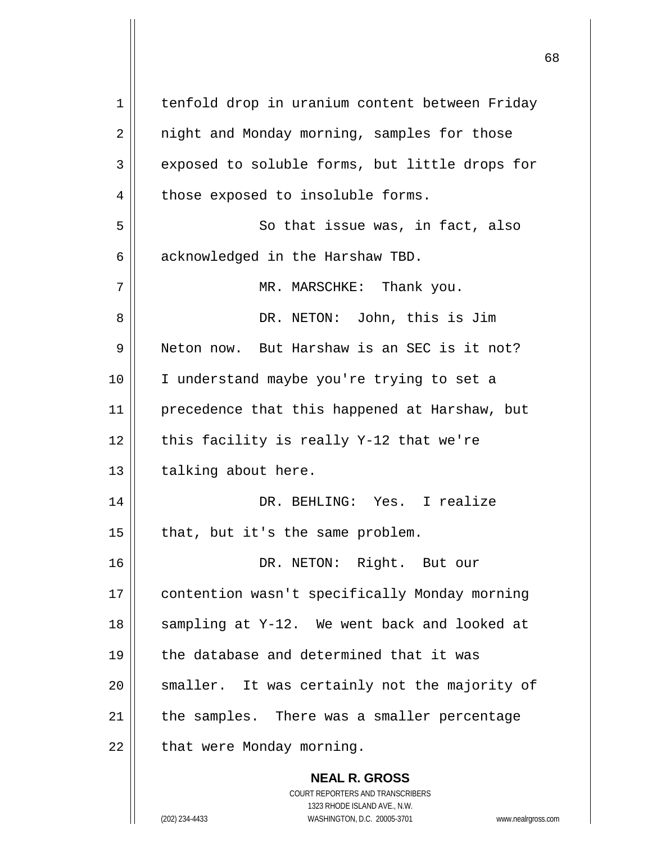**NEAL R. GROSS** COURT REPORTERS AND TRANSCRIBERS 1323 RHODE ISLAND AVE., N.W. (202) 234-4433 WASHINGTON, D.C. 20005-3701 www.nealrgross.com 1 | tenfold drop in uranium content between Friday 2 || night and Monday morning, samples for those 3 exposed to soluble forms, but little drops for 4 | those exposed to insoluble forms. 5 || So that issue was, in fact, also  $6 \parallel$  acknowledged in the Harshaw TBD. 7 || MR. MARSCHKE: Thank you. 8 DR. NETON: John, this is Jim 9 Neton now. But Harshaw is an SEC is it not? 10 I understand maybe you're trying to set a 11 precedence that this happened at Harshaw, but  $12$  | this facility is really Y-12 that we're 13 | talking about here. 14 DR. BEHLING: Yes. I realize  $15$  | that, but it's the same problem. 16 DR. NETON: Right. But our 17 | contention wasn't specifically Monday morning 18 || sampling at Y-12. We went back and looked at 19 || the database and determined that it was  $20$  || smaller. It was certainly not the majority of 21 | the samples. There was a smaller percentage  $22$  | that were Monday morning.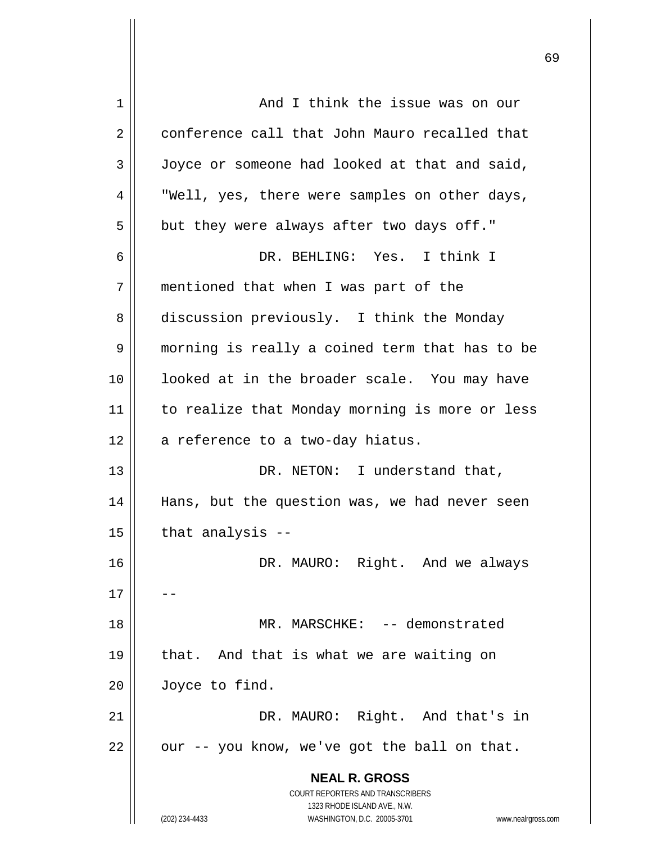**NEAL R. GROSS** COURT REPORTERS AND TRANSCRIBERS 1323 RHODE ISLAND AVE., N.W. (202) 234-4433 WASHINGTON, D.C. 20005-3701 www.nealrgross.com 1 And I think the issue was on our 2 conference call that John Mauro recalled that 3 | Joyce or someone had looked at that and said, 4 "Well, yes, there were samples on other days,  $5$  but they were always after two days off." 6 DR. BEHLING: Yes. I think I 7 mentioned that when I was part of the 8 discussion previously. I think the Monday 9 || morning is really a coined term that has to be 10 || looked at in the broader scale. You may have 11 to realize that Monday morning is more or less  $12$  | a reference to a two-day hiatus. 13 || DR. NETON: I understand that, 14 || Hans, but the question was, we had never seen  $15$  | that analysis  $-$ 16 DR. MAURO: Right. And we always  $17$ 18 || MR. MARSCHKE: -- demonstrated 19  $\parallel$  that. And that is what we are waiting on 20 | Joyce to find. 21 DR. MAURO: Right. And that's in  $22$  | our -- you know, we've got the ball on that.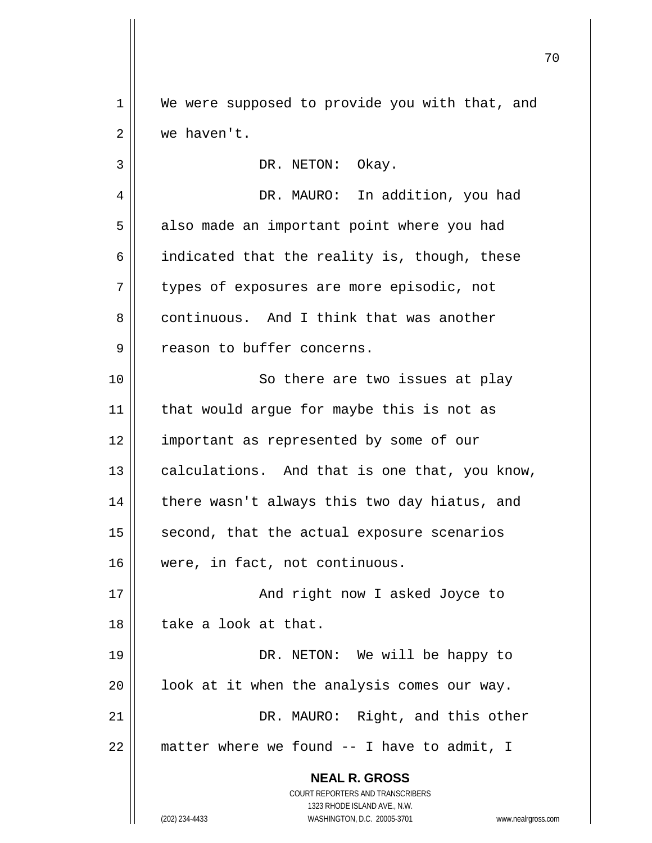1 We were supposed to provide you with that, and 2 || we haven't. 3 || DR. NETON: Okay. 4 DR. MAURO: In addition, you had 5 | also made an important point where you had  $6 \parallel$  indicated that the reality is, though, these 7 || types of exposures are more episodic, not 8 continuous. And I think that was another 9 || reason to buffer concerns. 10 || So there are two issues at play

11 that would argue for maybe this is not as 12 || important as represented by some of our 13 || calculations. And that is one that, you know, 14  $\parallel$  there wasn't always this two day hiatus, and  $15$  second, that the actual exposure scenarios 16 were, in fact, not continuous. 17 || And right now I asked Joyce to

 $18$  | take a look at that.

19 DR. NETON: We will be happy to  $20$  |  $\vert$  look at it when the analysis comes our way. 21 DR. MAURO: Right, and this other  $22$  || matter where we found  $--$  I have to admit, I

> **NEAL R. GROSS** COURT REPORTERS AND TRANSCRIBERS 1323 RHODE ISLAND AVE., N.W. (202) 234-4433 WASHINGTON, D.C. 20005-3701 www.nealrgross.com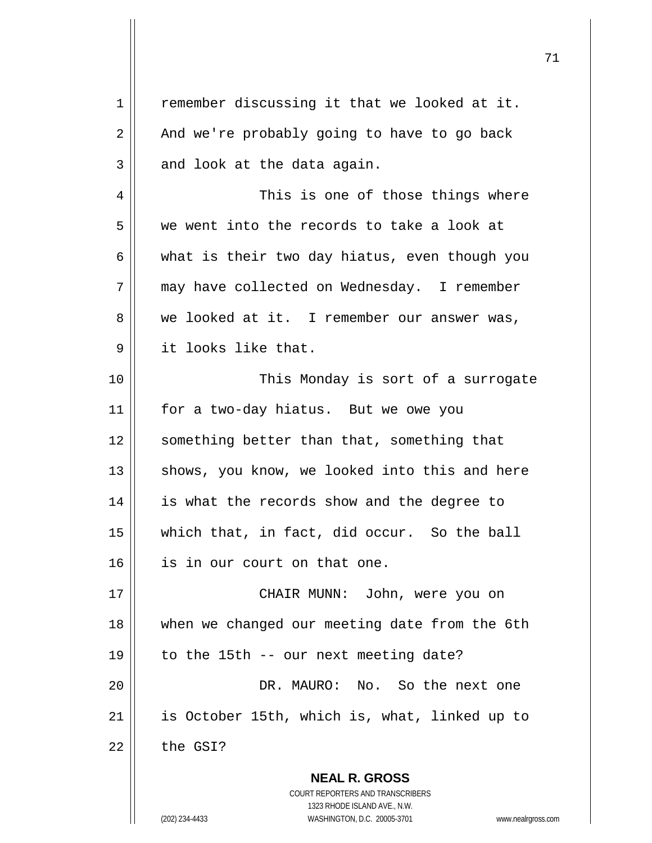**NEAL R. GROSS** COURT REPORTERS AND TRANSCRIBERS 1323 RHODE ISLAND AVE., N.W.  $1 \parallel$  remember discussing it that we looked at it.  $2 \parallel$  And we're probably going to have to go back  $3 \parallel$  and look at the data again. 4 || This is one of those things where 5 We went into the records to take a look at  $6 \parallel$  what is their two day hiatus, even though you 7 may have collected on Wednesday. I remember 8 we looked at it. I remember our answer was, 9 it looks like that. 10 This Monday is sort of a surrogate 11 for a two-day hiatus. But we owe you 12 || something better than that, something that 13 || shows, you know, we looked into this and here 14 || is what the records show and the degree to 15  $\parallel$  which that, in fact, did occur. So the ball 16 is in our court on that one. 17 CHAIR MUNN: John, were you on 18 || when we changed our meeting date from the 6th 19  $\parallel$  to the 15th -- our next meeting date? 20 DR. MAURO: No. So the next one 21 is October 15th, which is, what, linked up to  $22 \parallel$  the GSI?

(202) 234-4433 WASHINGTON, D.C. 20005-3701 www.nealrgross.com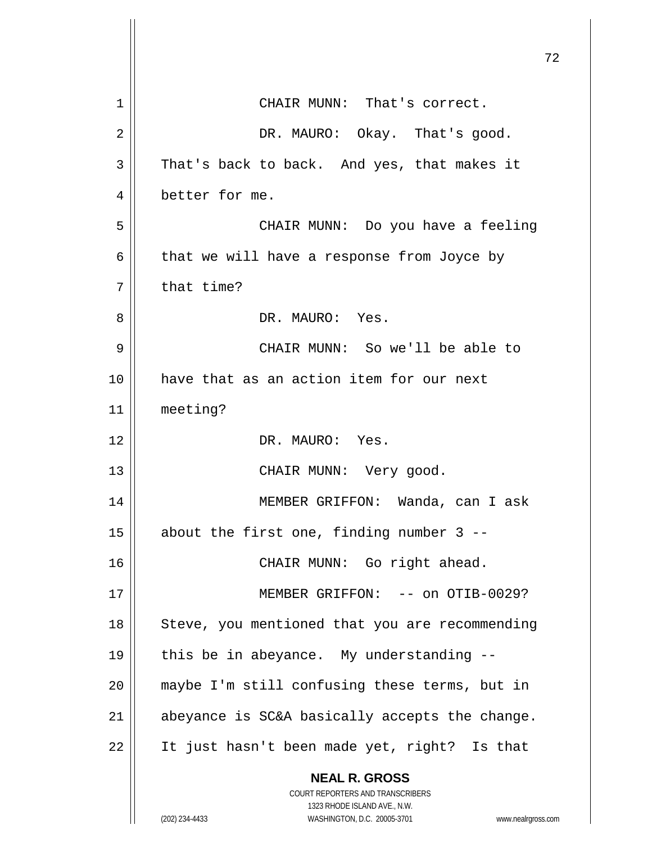|                | 72                                                                                                      |
|----------------|---------------------------------------------------------------------------------------------------------|
| $\mathbf 1$    | CHAIR MUNN: That's correct.                                                                             |
| $\overline{2}$ | DR. MAURO: Okay. That's good.                                                                           |
| 3              | That's back to back. And yes, that makes it                                                             |
| 4              | better for me.                                                                                          |
| 5              | CHAIR MUNN: Do you have a feeling                                                                       |
| 6              | that we will have a response from Joyce by                                                              |
| 7              | that time?                                                                                              |
| 8              | DR. MAURO: Yes.                                                                                         |
| 9              | CHAIR MUNN: So we'll be able to                                                                         |
| 10             | have that as an action item for our next                                                                |
| 11             | meeting?                                                                                                |
| 12             | DR. MAURO: Yes.                                                                                         |
| 13             | CHAIR MUNN: Very good.                                                                                  |
| 14             | MEMBER GRIFFON: Wanda, can I ask                                                                        |
| 15             | about the first one, finding number 3 --                                                                |
| 16             | CHAIR MUNN: Go right ahead.                                                                             |
| 17             | MEMBER GRIFFON: -- on OTIB-0029?                                                                        |
| 18             | Steve, you mentioned that you are recommending                                                          |
| 19             | this be in abeyance. My understanding --                                                                |
| 20             | maybe I'm still confusing these terms, but in                                                           |
| 21             | abeyance is SC&A basically accepts the change.                                                          |
| 22             | It just hasn't been made yet, right? Is that                                                            |
|                | <b>NEAL R. GROSS</b>                                                                                    |
|                | 1323 RHODE ISLAND AVE., N.W.                                                                            |
|                | COURT REPORTERS AND TRANSCRIBERS<br>(202) 234-4433<br>WASHINGTON, D.C. 20005-3701<br>www.nealrgross.com |

 $\overline{2}$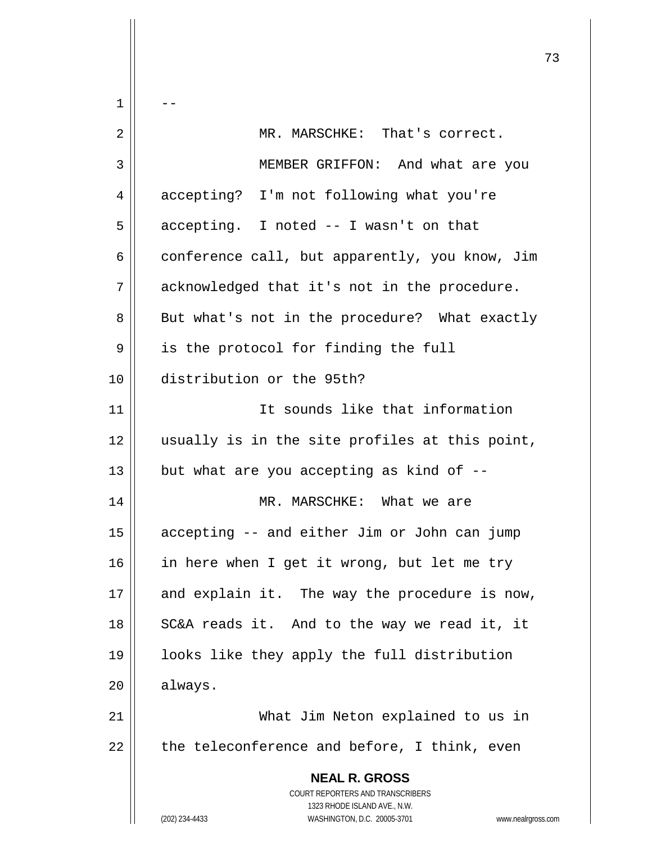**NEAL R. GROSS** COURT REPORTERS AND TRANSCRIBERS 1323 RHODE ISLAND AVE., N.W. (202) 234-4433 WASHINGTON, D.C. 20005-3701 www.nealrgross.com  $1 \parallel - -$ 2 || MR. MARSCHKE: That's correct. 3 MEMBER GRIFFON: And what are you 4 | accepting? I'm not following what you're  $5 \parallel$  accepting. I noted -- I wasn't on that 6  $\parallel$  conference call, but apparently, you know, Jim 7 || acknowledged that it's not in the procedure. 8 || But what's not in the procedure? What exactly  $9 \parallel$  is the protocol for finding the full 10 distribution or the 95th? 11 It sounds like that information 12 || usually is in the site profiles at this point,  $13$  || but what are you accepting as kind of  $-$ -14 MR. MARSCHKE: What we are 15 accepting -- and either Jim or John can jump 16 || in here when I get it wrong, but let me try  $17$  and explain it. The way the procedure is now, 18 || SC&A reads it. And to the way we read it, it 19 looks like they apply the full distribution  $20 \parallel$  always. 21 What Jim Neton explained to us in  $22$  | the teleconference and before, I think, even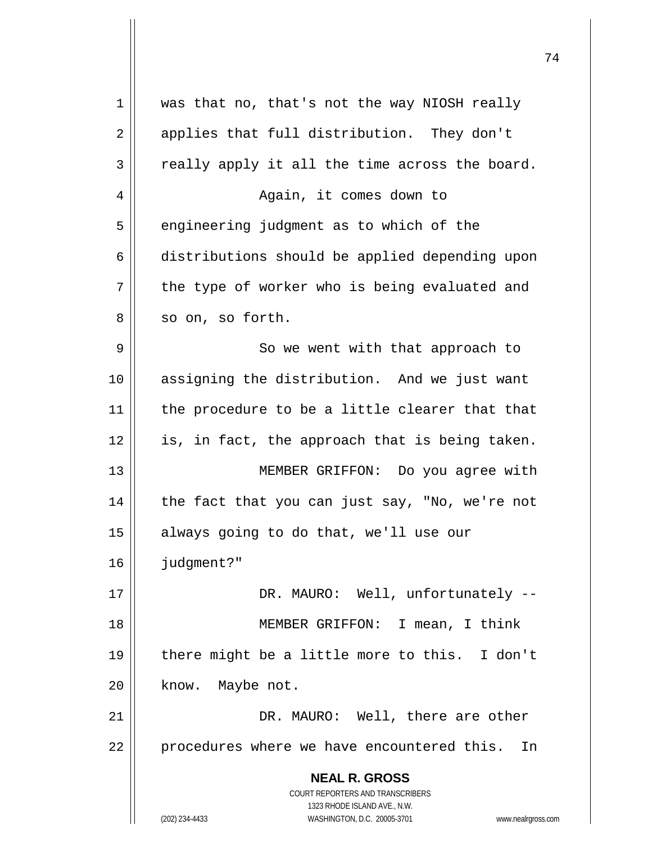|                | 74                                                                                                  |
|----------------|-----------------------------------------------------------------------------------------------------|
| 1              | was that no, that's not the way NIOSH really                                                        |
| $\overline{2}$ | applies that full distribution. They don't                                                          |
| 3              | really apply it all the time across the board.                                                      |
| 4              | Again, it comes down to                                                                             |
| 5              | engineering judgment as to which of the                                                             |
| 6              | distributions should be applied depending upon                                                      |
| 7              | the type of worker who is being evaluated and                                                       |
| 8              | so on, so forth.                                                                                    |
| 9              | So we went with that approach to                                                                    |
| 10             | assigning the distribution. And we just want                                                        |
| 11             | the procedure to be a little clearer that that                                                      |
| 12             | is, in fact, the approach that is being taken.                                                      |
| 13             | MEMBER GRIFFON: Do you agree with                                                                   |
| 14             | the fact that you can just say, "No, we're not                                                      |
| 15             | always going to do that, we'll use our                                                              |
| 16             | judgment?"                                                                                          |
| 17             | DR. MAURO: Well, unfortunately --                                                                   |
| 18             | MEMBER GRIFFON: I mean, I think                                                                     |
| 19             | there might be a little more to this. I don't                                                       |
| 20             | know. Maybe not.                                                                                    |
| 21             | DR. MAURO: Well, there are other                                                                    |
| 22             | procedures where we have encountered this.<br>In                                                    |
|                | <b>NEAL R. GROSS</b><br>COURT REPORTERS AND TRANSCRIBERS                                            |
|                | 1323 RHODE ISLAND AVE., N.W.<br>(202) 234-4433<br>WASHINGTON, D.C. 20005-3701<br>www.nealrgross.com |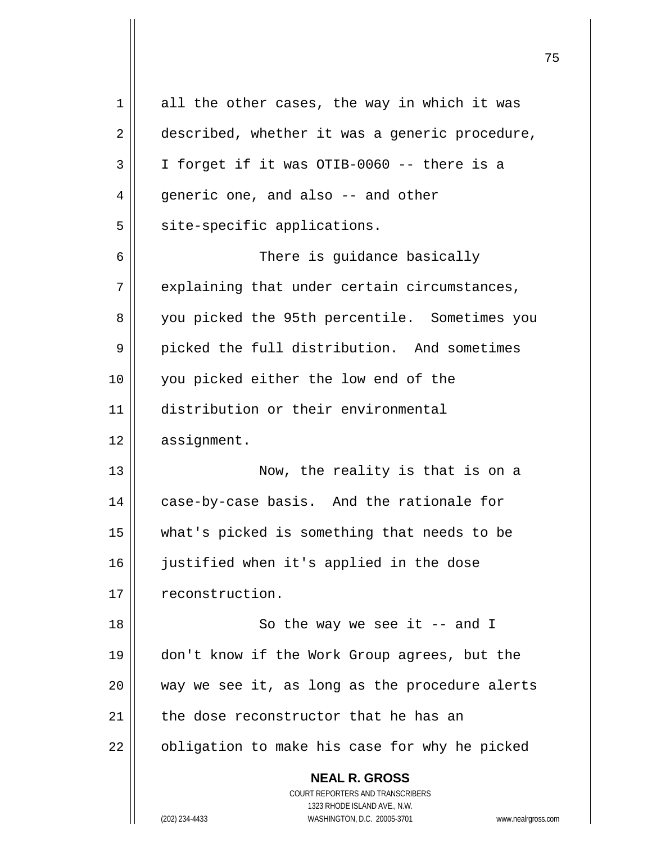**NEAL R. GROSS** COURT REPORTERS AND TRANSCRIBERS 1323 RHODE ISLAND AVE., N.W. (202) 234-4433 WASHINGTON, D.C. 20005-3701 www.nealrgross.com 1 all the other cases, the way in which it was 2 | described, whether it was a generic procedure,  $3 \parallel$  I forget if it was OTIB-0060 -- there is a  $4 \parallel$  generic one, and also -- and other  $5$  || site-specific applications. 6 There is guidance basically  $7 \parallel$  explaining that under certain circumstances, 8 || you picked the 95th percentile. Sometimes you 9 | picked the full distribution. And sometimes 10 || you picked either the low end of the 11 distribution or their environmental 12 | assignment. 13 || Now, the reality is that is on a 14 | case-by-case basis. And the rationale for 15 what's picked is something that needs to be 16 justified when it's applied in the dose 17 reconstruction. 18 || So the way we see it -- and I 19 don't know if the Work Group agrees, but the  $20$  | way we see it, as long as the procedure alerts  $21$   $\parallel$  the dose reconstructor that he has an 22 | obligation to make his case for why he picked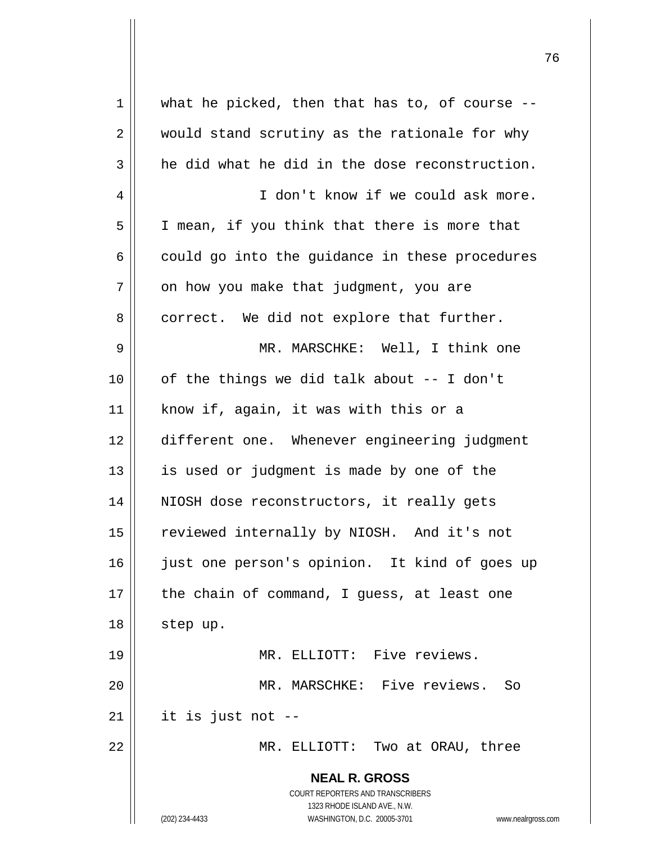| 1  | what he picked, then that has to, of course $-$ -                                                   |
|----|-----------------------------------------------------------------------------------------------------|
| 2  | would stand scrutiny as the rationale for why                                                       |
| 3  | he did what he did in the dose reconstruction.                                                      |
| 4  | I don't know if we could ask more.                                                                  |
| 5  | I mean, if you think that there is more that                                                        |
| 6  | could go into the guidance in these procedures                                                      |
| 7  | on how you make that judgment, you are                                                              |
| 8  | correct. We did not explore that further.                                                           |
| 9  | MR. MARSCHKE: Well, I think one                                                                     |
| 10 | of the things we did talk about -- I don't                                                          |
| 11 | know if, again, it was with this or a                                                               |
| 12 | different one. Whenever engineering judgment                                                        |
| 13 | is used or judgment is made by one of the                                                           |
| 14 | NIOSH dose reconstructors, it really gets                                                           |
| 15 | reviewed internally by NIOSH. And it's not                                                          |
| 16 | just one person's opinion. It kind of goes up                                                       |
| 17 | the chain of command, I guess, at least one                                                         |
| 18 | step up.                                                                                            |
| 19 | MR. ELLIOTT: Five reviews.                                                                          |
| 20 | MR. MARSCHKE: Five reviews. So                                                                      |
| 21 | it is just not --                                                                                   |
| 22 | MR. ELLIOTT: Two at ORAU, three                                                                     |
|    | <b>NEAL R. GROSS</b>                                                                                |
|    | <b>COURT REPORTERS AND TRANSCRIBERS</b>                                                             |
|    | 1323 RHODE ISLAND AVE., N.W.<br>(202) 234-4433<br>WASHINGTON, D.C. 20005-3701<br>www.nealrgross.com |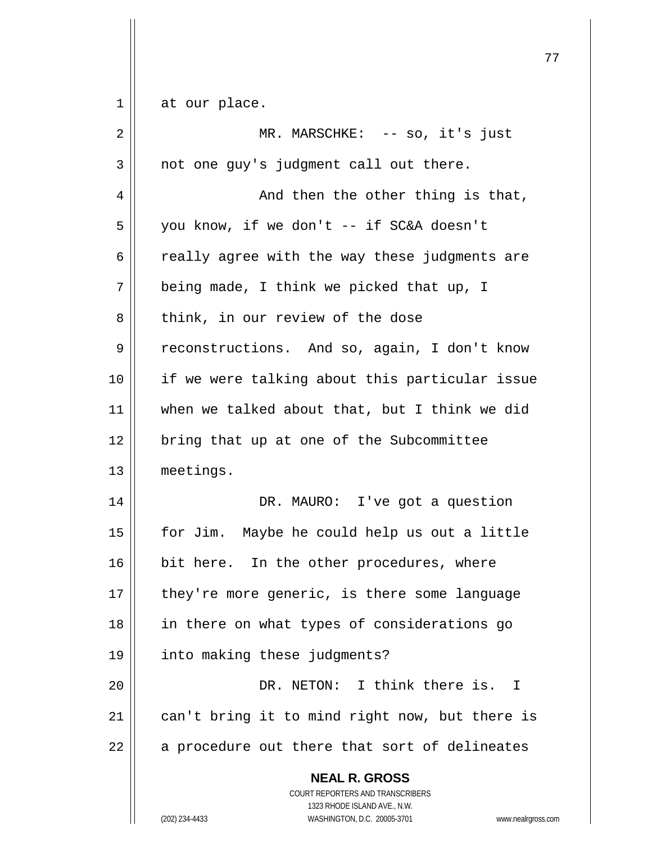**NEAL R. GROSS** COURT REPORTERS AND TRANSCRIBERS 1323 RHODE ISLAND AVE., N.W. (202) 234-4433 WASHINGTON, D.C. 20005-3701 www.nealrgross.com 1 || at our place. 2 || MR. MARSCHKE: -- so, it's just  $3 \parallel$  not one guy's judgment call out there. 4 And then the other thing is that, 5 you know, if we don't -- if SC&A doesn't 6 || really agree with the way these judgments are  $7 \parallel$  being made, I think we picked that up, I 8 || think, in our review of the dose 9 | reconstructions. And so, again, I don't know 10 if we were talking about this particular issue 11 when we talked about that, but I think we did 12 | bring that up at one of the Subcommittee 13 meetings. 14 DR. MAURO: I've got a question 15 | for Jim. Maybe he could help us out a little 16 || bit here. In the other procedures, where  $17$  | they're more generic, is there some language 18 || in there on what types of considerations go 19 into making these judgments? 20 DR. NETON: I think there is. I 21 || can't bring it to mind right now, but there is 22 || a procedure out there that sort of delineates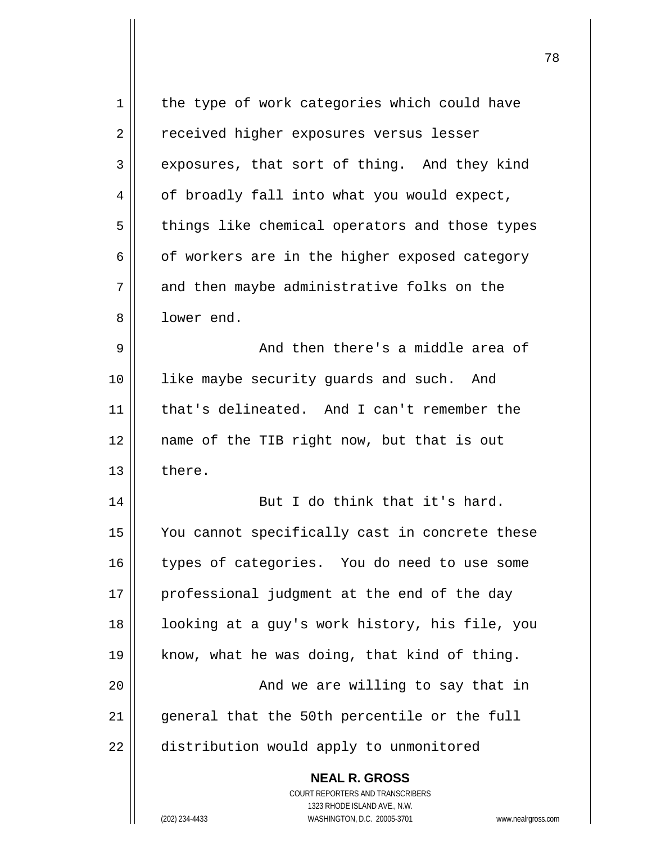| 1  | the type of work categories which could have                        |
|----|---------------------------------------------------------------------|
| 2  | received higher exposures versus lesser                             |
| 3  | exposures, that sort of thing. And they kind                        |
| 4  | of broadly fall into what you would expect,                         |
| 5  | things like chemical operators and those types                      |
| 6  | of workers are in the higher exposed category                       |
| 7  | and then maybe administrative folks on the                          |
| 8  | lower end.                                                          |
| 9  | And then there's a middle area of                                   |
| 10 | like maybe security guards and such. And                            |
| 11 | that's delineated. And I can't remember the                         |
| 12 | name of the TIB right now, but that is out                          |
| 13 | there.                                                              |
| 14 | But I do think that it's hard.                                      |
| 15 | You cannot specifically cast in concrete these                      |
| 16 | types of categories. You do need to use some                        |
| 17 | professional judgment at the end of the day                         |
| 18 | looking at a guy's work history, his file, you                      |
| 19 | know, what he was doing, that kind of thing.                        |
| 20 | And we are willing to say that in                                   |
| 21 | general that the 50th percentile or the full                        |
| 22 | distribution would apply to unmonitored                             |
|    | <b>NEAL R. GROSS</b><br>COURT REPORTERS AND TRANSCRIBERS            |
|    | 1323 RHODE ISLAND AVE., N.W.                                        |
|    | (202) 234-4433<br>WASHINGTON, D.C. 20005-3701<br>www.nealrgross.com |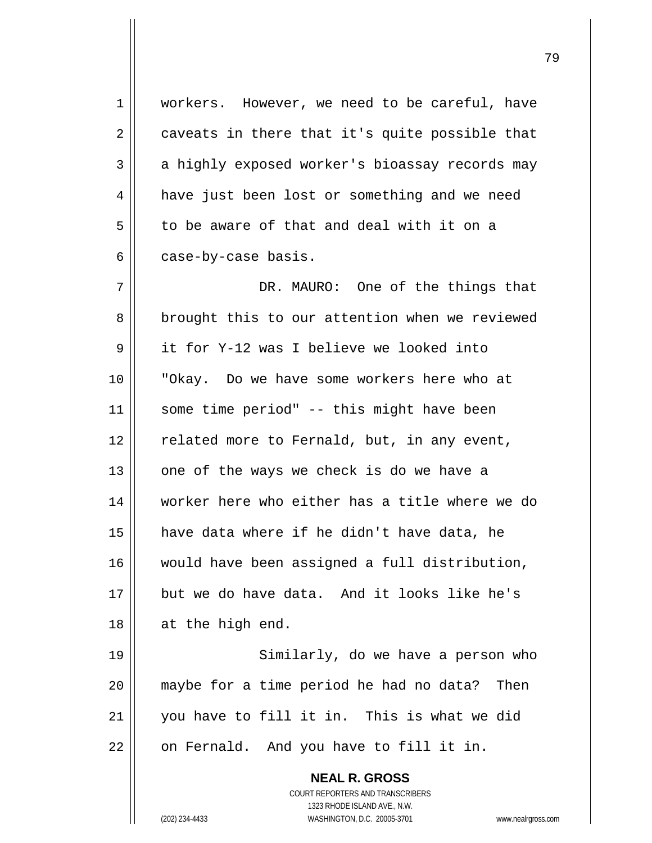**NEAL R. GROSS** COURT REPORTERS AND TRANSCRIBERS 1 workers. However, we need to be careful, have  $2 \parallel$  caveats in there that it's quite possible that  $3 \parallel$  a highly exposed worker's bioassay records may 4 | have just been lost or something and we need  $5 \parallel$  to be aware of that and deal with it on a  $6 \parallel$  case-by-case basis. 7 DR. MAURO: One of the things that 8 | brought this to our attention when we reviewed 9 it for Y-12 was I believe we looked into 10 "Okay. Do we have some workers here who at 11 some time period" -- this might have been 12 || related more to Fernald, but, in any event,  $13$  || one of the ways we check is do we have a 14 worker here who either has a title where we do 15 have data where if he didn't have data, he 16 would have been assigned a full distribution, 17 but we do have data. And it looks like he's 18 || at the high end. 19 || Similarly, do we have a person who 20 maybe for a time period he had no data? Then 21 you have to fill it in. This is what we did  $22$  |  $\alpha$  - Fernald. And you have to fill it in.

1323 RHODE ISLAND AVE., N.W.

(202) 234-4433 WASHINGTON, D.C. 20005-3701 www.nealrgross.com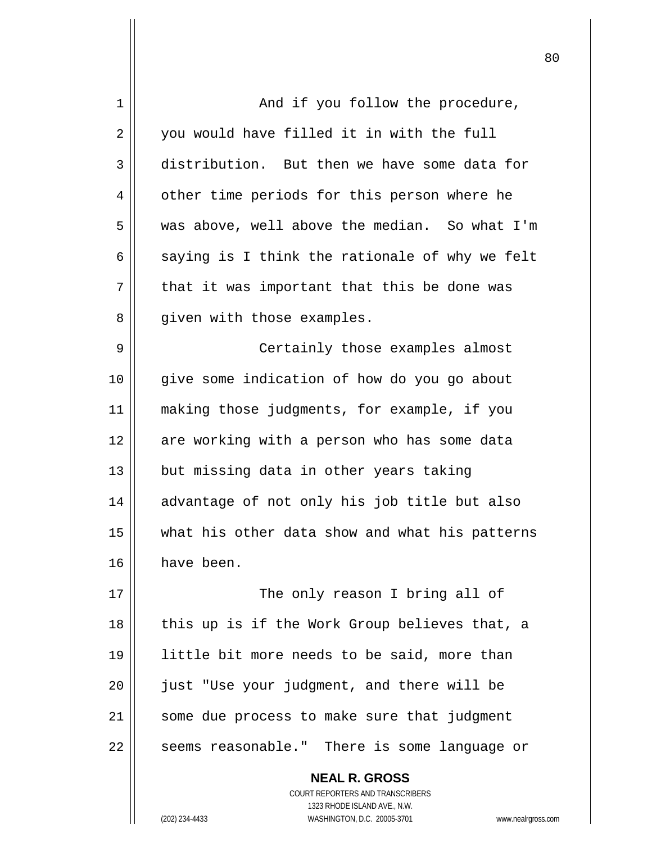| 1  | And if you follow the procedure,                                                                  |
|----|---------------------------------------------------------------------------------------------------|
| 2  | you would have filled it in with the full                                                         |
| 3  | distribution. But then we have some data for                                                      |
| 4  | other time periods for this person where he                                                       |
| 5  | was above, well above the median. So what I'm                                                     |
| 6  | saying is I think the rationale of why we felt                                                    |
| 7  | that it was important that this be done was                                                       |
| 8  | given with those examples.                                                                        |
| 9  | Certainly those examples almost                                                                   |
| 10 | give some indication of how do you go about                                                       |
| 11 | making those judgments, for example, if you                                                       |
| 12 | are working with a person who has some data                                                       |
| 13 | but missing data in other years taking                                                            |
| 14 | advantage of not only his job title but also                                                      |
| 15 | what his other data show and what his patterns                                                    |
| 16 | have been.                                                                                        |
| 17 | The only reason I bring all of                                                                    |
| 18 | this up is if the Work Group believes that, a                                                     |
| 19 | little bit more needs to be said, more than                                                       |
| 20 | just "Use your judgment, and there will be                                                        |
| 21 | some due process to make sure that judgment                                                       |
| 22 | seems reasonable." There is some language or                                                      |
|    | <b>NEAL R. GROSS</b><br>COURT REPORTERS AND TRANSCRIBERS                                          |
|    | 1323 RHODE ISLAND AVE., N.W.<br>WASHINGTON, D.C. 20005-3701<br>(202) 234-4433<br>www.nealrgross.c |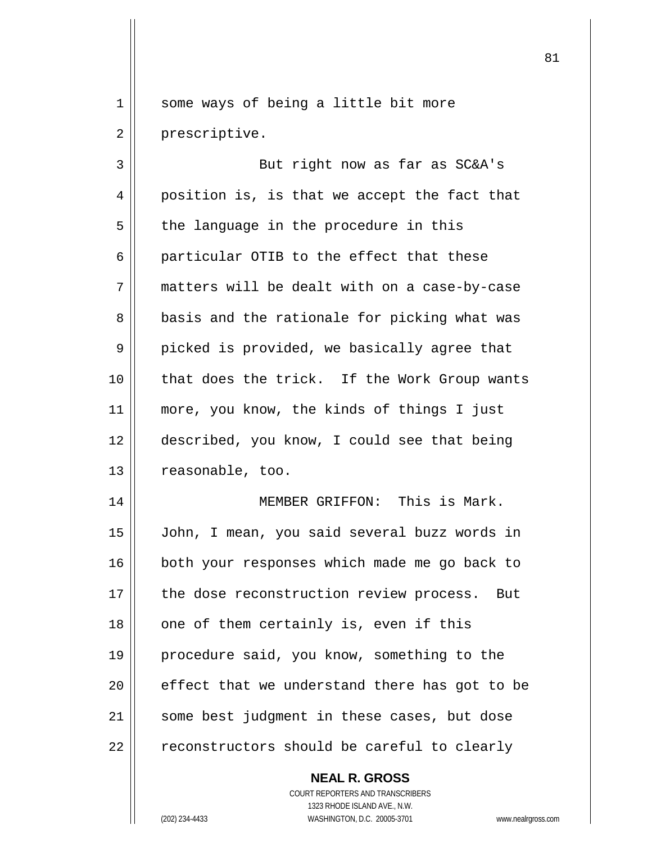1 || some ways of being a little bit more 2 | prescriptive.

3 || But right now as far as SC&A's  $4 \parallel$  position is, is that we accept the fact that  $5$  | the language in the procedure in this 6 || particular OTIB to the effect that these 7 matters will be dealt with on a case-by-case 8 || basis and the rationale for picking what was  $9 \parallel$  picked is provided, we basically agree that 10 that does the trick. If the Work Group wants 11 more, you know, the kinds of things I just 12 described, you know, I could see that being 13 || reasonable, too. 14 MEMBER GRIFFON: This is Mark.

15 John, I mean, you said several buzz words in 16 | both your responses which made me go back to 17 | the dose reconstruction review process. But  $18$  || one of them certainly is, even if this 19 || procedure said, you know, something to the 20  $\parallel$  effect that we understand there has got to be 21 || some best judgment in these cases, but dose 22 | reconstructors should be careful to clearly

## **NEAL R. GROSS**

COURT REPORTERS AND TRANSCRIBERS 1323 RHODE ISLAND AVE., N.W. (202) 234-4433 WASHINGTON, D.C. 20005-3701 www.nealrgross.com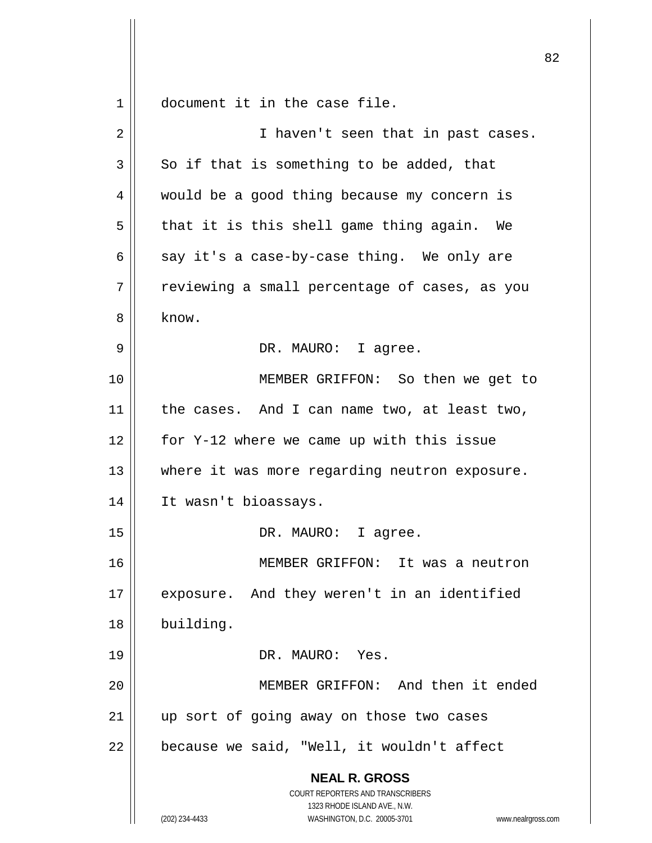$1$  document it in the case file.

| 2  | I haven't seen that in past cases.                                                                                                                              |
|----|-----------------------------------------------------------------------------------------------------------------------------------------------------------------|
| 3  | So if that is something to be added, that                                                                                                                       |
| 4  | would be a good thing because my concern is                                                                                                                     |
| 5  | that it is this shell game thing again.<br>We                                                                                                                   |
| 6  | say it's a case-by-case thing. We only are                                                                                                                      |
| 7  | reviewing a small percentage of cases, as you                                                                                                                   |
| 8  | know.                                                                                                                                                           |
| 9  | DR. MAURO: I agree.                                                                                                                                             |
| 10 | MEMBER GRIFFON: So then we get to                                                                                                                               |
| 11 | the cases. And I can name two, at least two,                                                                                                                    |
| 12 | for Y-12 where we came up with this issue                                                                                                                       |
| 13 | where it was more regarding neutron exposure.                                                                                                                   |
| 14 | It wasn't bioassays.                                                                                                                                            |
| 15 | DR. MAURO: I agree.                                                                                                                                             |
| 16 | MEMBER GRIFFON: It was a neutron                                                                                                                                |
| 17 | exposure. And they weren't in an identified                                                                                                                     |
| 18 | building.                                                                                                                                                       |
| 19 | DR. MAURO: Yes.                                                                                                                                                 |
| 20 | MEMBER GRIFFON: And then it ended                                                                                                                               |
| 21 | up sort of going away on those two cases                                                                                                                        |
| 22 | because we said, "Well, it wouldn't affect                                                                                                                      |
|    | <b>NEAL R. GROSS</b><br>COURT REPORTERS AND TRANSCRIBERS<br>1323 RHODE ISLAND AVE., N.W.<br>(202) 234-4433<br>WASHINGTON, D.C. 20005-3701<br>www.nealrgross.com |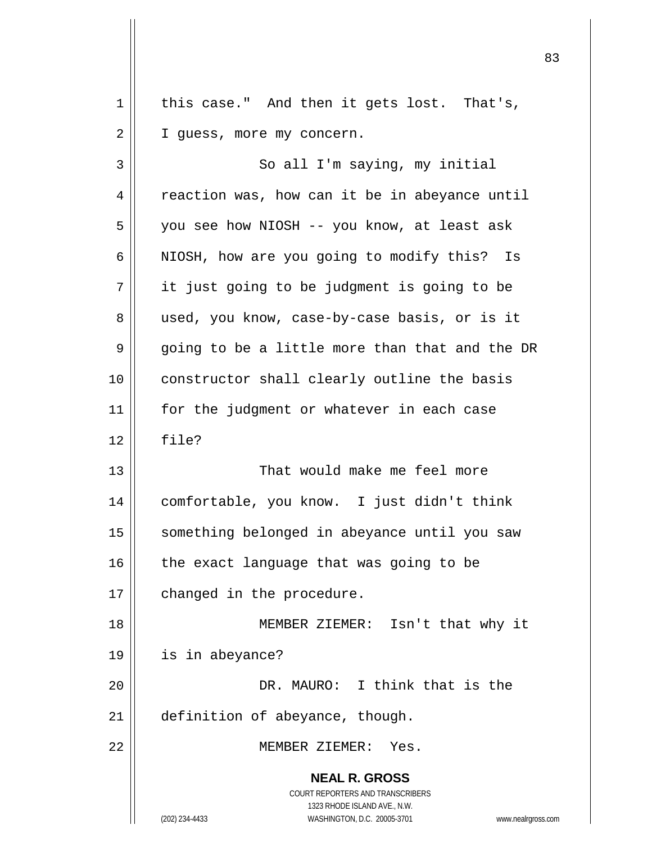**NEAL R. GROSS** COURT REPORTERS AND TRANSCRIBERS 1323 RHODE ISLAND AVE., N.W. (202) 234-4433 WASHINGTON, D.C. 20005-3701 www.nealrgross.com 1 || this case." And then it gets lost. That's, 2 | I guess, more my concern. 3 || So all I'm saying, my initial  $4 \parallel$  reaction was, how can it be in abeyance until 5 | you see how NIOSH -- you know, at least ask 6 | NIOSH, how are you going to modify this? Is 7 it just going to be judgment is going to be 8 || used, you know, case-by-case basis, or is it  $9 \parallel$  going to be a little more than that and the DR 10 constructor shall clearly outline the basis 11 for the judgment or whatever in each case 12 file? 13 That would make me feel more 14 comfortable, you know. I just didn't think 15 || something belonged in abeyance until you saw  $16$  | the exact language that was going to be 17 | changed in the procedure. 18 MEMBER ZIEMER: Isn't that why it 19 is in abeyance? 20 DR. MAURO: I think that is the 21 definition of abeyance, though. 22 MEMBER ZIEMER: Yes.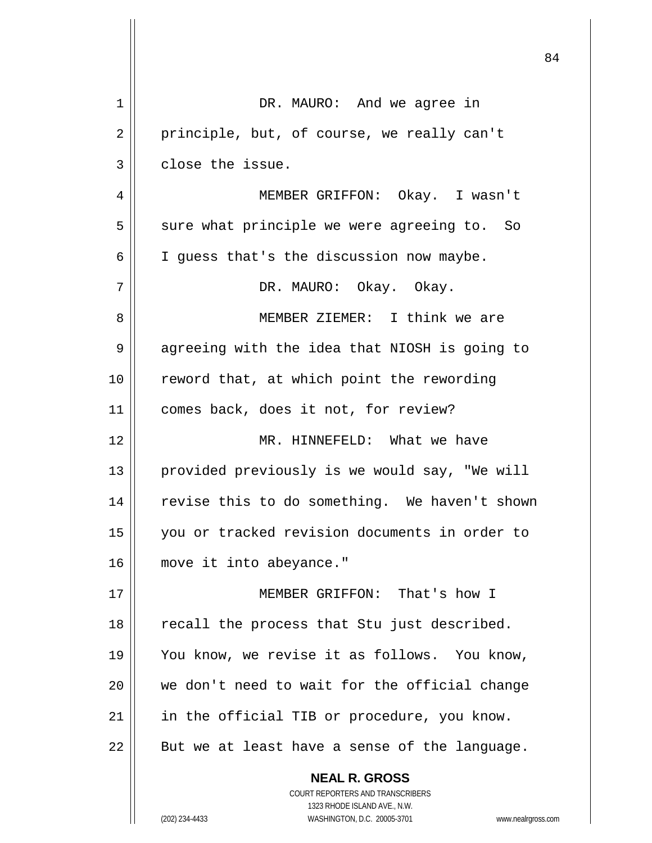|             |                                                                                                     | 84 |
|-------------|-----------------------------------------------------------------------------------------------------|----|
| $\mathbf 1$ | DR. MAURO: And we agree in                                                                          |    |
| 2           | principle, but, of course, we really can't                                                          |    |
| 3           | close the issue.                                                                                    |    |
| 4           | MEMBER GRIFFON: Okay. I wasn't                                                                      |    |
| 5           | sure what principle we were agreeing to. So                                                         |    |
| 6           | I guess that's the discussion now maybe.                                                            |    |
| 7           | DR. MAURO: Okay. Okay.                                                                              |    |
| 8           | MEMBER ZIEMER: I think we are                                                                       |    |
| 9           | agreeing with the idea that NIOSH is going to                                                       |    |
| 10          | reword that, at which point the rewording                                                           |    |
| 11          | comes back, does it not, for review?                                                                |    |
| 12          | MR. HINNEFELD: What we have                                                                         |    |
| 13          | provided previously is we would say, "We will                                                       |    |
| 14          | revise this to do something. We haven't shown                                                       |    |
| 15          | you or tracked revision documents in order to                                                       |    |
| 16          | move it into abeyance."                                                                             |    |
| 17          | MEMBER GRIFFON: That's how I                                                                        |    |
| 18          | recall the process that Stu just described.                                                         |    |
| 19          | You know, we revise it as follows. You know,                                                        |    |
| 20          | we don't need to wait for the official change                                                       |    |
| 21          | in the official TIB or procedure, you know.                                                         |    |
| 22          | But we at least have a sense of the language.                                                       |    |
|             | <b>NEAL R. GROSS</b><br>COURT REPORTERS AND TRANSCRIBERS                                            |    |
|             | 1323 RHODE ISLAND AVE., N.W.<br>(202) 234-4433<br>WASHINGTON, D.C. 20005-3701<br>www.nealrgross.com |    |

 $\overline{\phantom{a}}$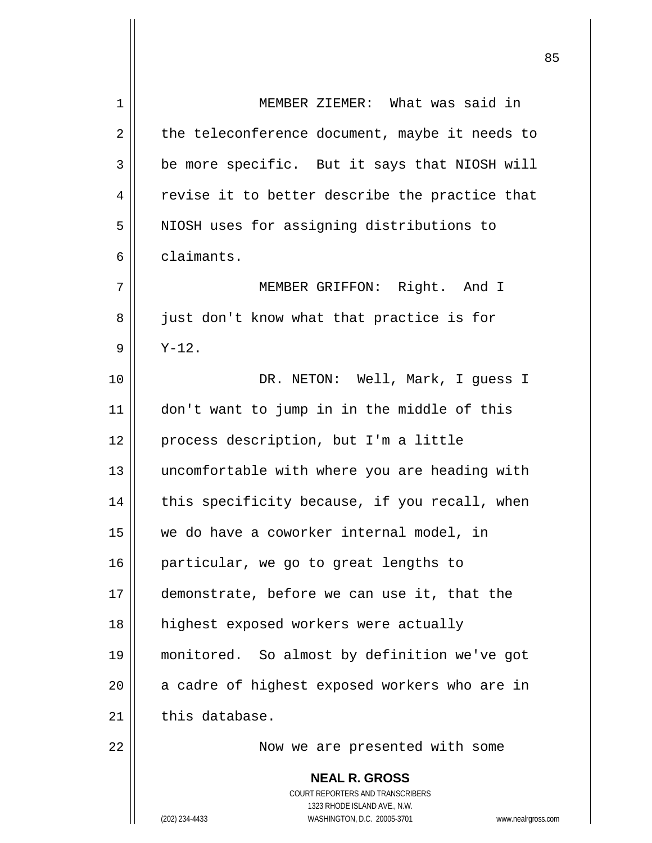| $\mathbf 1$    | MEMBER ZIEMER: What was said in                                                                     |
|----------------|-----------------------------------------------------------------------------------------------------|
| 2              | the teleconference document, maybe it needs to                                                      |
| 3              | be more specific. But it says that NIOSH will                                                       |
| $\overline{4}$ | revise it to better describe the practice that                                                      |
| 5              | NIOSH uses for assigning distributions to                                                           |
| 6              | claimants.                                                                                          |
| 7              | MEMBER GRIFFON: Right. And I                                                                        |
| 8              | just don't know what that practice is for                                                           |
| 9              | $Y-12.$                                                                                             |
| 10             | DR. NETON: Well, Mark, I guess I                                                                    |
| 11             | don't want to jump in in the middle of this                                                         |
| 12             | process description, but I'm a little                                                               |
| 13             | uncomfortable with where you are heading with                                                       |
| 14             | this specificity because, if you recall, when                                                       |
| 15             | we do have a coworker internal model, in                                                            |
| 16             | particular, we go to great lengths to                                                               |
| 17             | demonstrate, before we can use it, that the                                                         |
| 18             | highest exposed workers were actually                                                               |
| 19             | monitored. So almost by definition we've got                                                        |
| 20             | a cadre of highest exposed workers who are in                                                       |
| 21             | this database.                                                                                      |
| 22             | Now we are presented with some                                                                      |
|                | <b>NEAL R. GROSS</b><br>COURT REPORTERS AND TRANSCRIBERS                                            |
|                | 1323 RHODE ISLAND AVE., N.W.<br>(202) 234-4433<br>WASHINGTON, D.C. 20005-3701<br>www.nealrgross.com |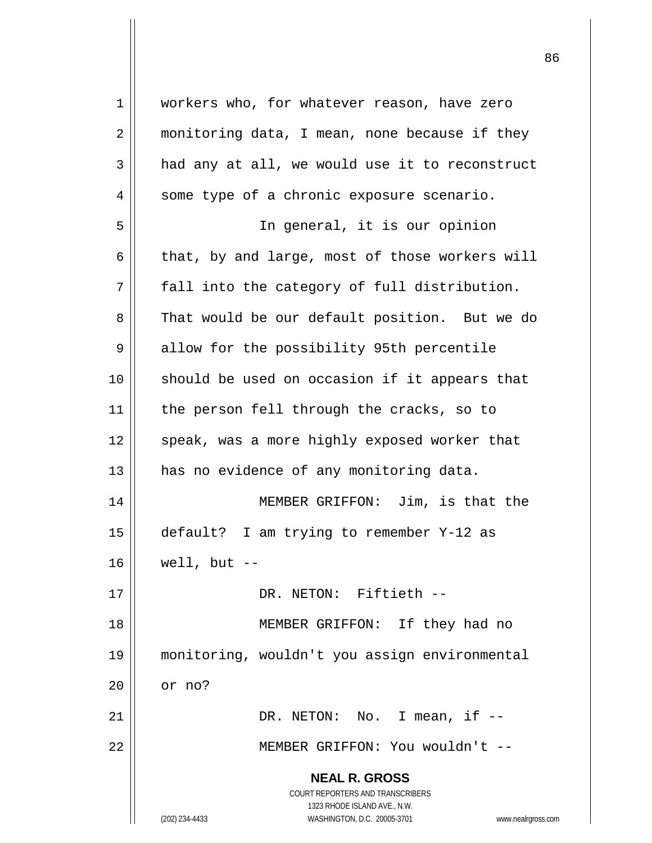| 1  | workers who, for whatever reason, have zero                                              |
|----|------------------------------------------------------------------------------------------|
| 2  | monitoring data, I mean, none because if they                                            |
| 3  | had any at all, we would use it to reconstruct                                           |
| 4  | some type of a chronic exposure scenario.                                                |
| 5  | In general, it is our opinion                                                            |
| 6  | that, by and large, most of those workers will                                           |
| 7  | fall into the category of full distribution.                                             |
| 8  | That would be our default position. But we do                                            |
| 9  | allow for the possibility 95th percentile                                                |
| 10 | should be used on occasion if it appears that                                            |
| 11 | the person fell through the cracks, so to                                                |
| 12 | speak, was a more highly exposed worker that                                             |
| 13 | has no evidence of any monitoring data.                                                  |
| 14 | MEMBER GRIFFON: Jim, is that the                                                         |
| 15 | default? I am trying to remember Y-12 as                                                 |
| 16 | well, but $--$                                                                           |
| 17 | DR. NETON: Fiftieth --                                                                   |
| 18 | MEMBER GRIFFON: If they had no                                                           |
| 19 | monitoring, wouldn't you assign environmental                                            |
| 20 | or no?                                                                                   |
| 21 | DR. NETON: No. I mean, if --                                                             |
| 22 | MEMBER GRIFFON: You wouldn't --                                                          |
|    | <b>NEAL R. GROSS</b><br>COURT REPORTERS AND TRANSCRIBERS<br>1323 RHODE ISLAND AVE., N.W. |
|    | (202) 234-4433<br>WASHINGTON, D.C. 20005-3701<br>www.nealrgross.com                      |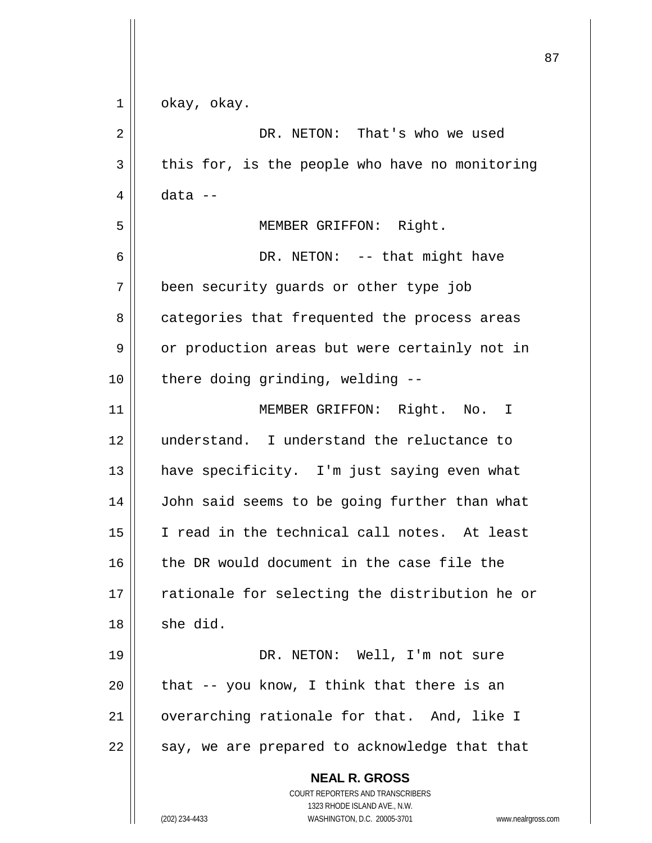|    | 87                                                                  |
|----|---------------------------------------------------------------------|
| 1  | okay, okay.                                                         |
| 2  | DR. NETON: That's who we used                                       |
| 3  | this for, is the people who have no monitoring                      |
| 4  | $data$ --                                                           |
| 5  | MEMBER GRIFFON: Right.                                              |
| 6  | DR. NETON: -- that might have                                       |
| 7  | been security guards or other type job                              |
| 8  | categories that frequented the process areas                        |
| 9  | or production areas but were certainly not in                       |
| 10 | there doing grinding, welding --                                    |
| 11 | MEMBER GRIFFON: Right. No. I                                        |
| 12 | understand. I understand the reluctance to                          |
| 13 | have specificity. I'm just saying even what                         |
| 14 | John said seems to be going further than what                       |
| 15 | I read in the technical call notes. At least                        |
| 16 | the DR would document in the case file the                          |
| 17 | rationale for selecting the distribution he or                      |
| 18 | she did.                                                            |
| 19 | DR. NETON: Well, I'm not sure                                       |
| 20 | that -- you know, I think that there is an                          |
| 21 | overarching rationale for that. And, like I                         |
| 22 | say, we are prepared to acknowledge that that                       |
|    | <b>NEAL R. GROSS</b><br>COURT REPORTERS AND TRANSCRIBERS            |
|    | 1323 RHODE ISLAND AVE., N.W.                                        |
|    | (202) 234-4433<br>WASHINGTON, D.C. 20005-3701<br>www.nealrgross.com |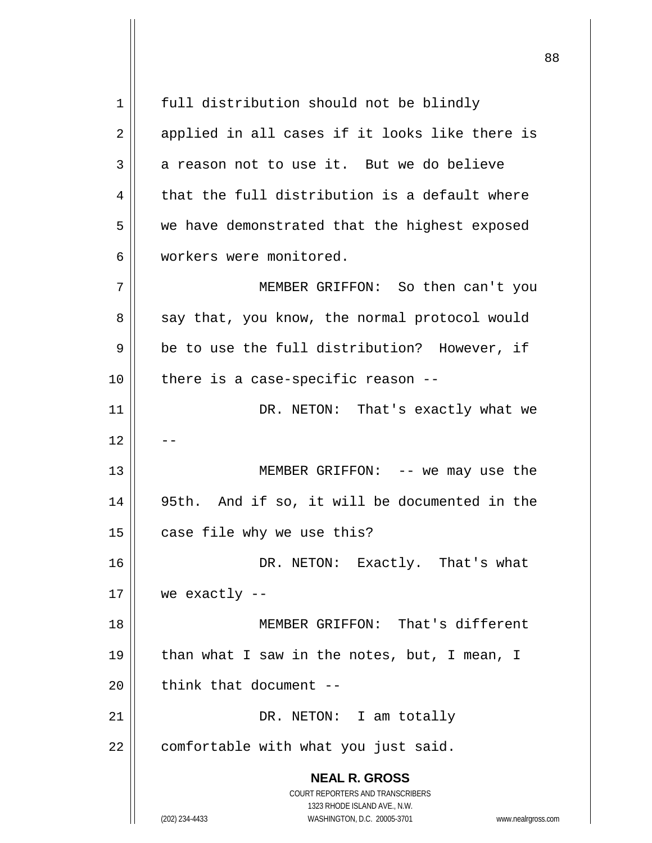**NEAL R. GROSS** COURT REPORTERS AND TRANSCRIBERS 1323 RHODE ISLAND AVE., N.W. (202) 234-4433 WASHINGTON, D.C. 20005-3701 www.nealrgross.com 1 || full distribution should not be blindly 2 || applied in all cases if it looks like there is 3 || a reason not to use it. But we do believe  $4 \parallel$  that the full distribution is a default where 5 | we have demonstrated that the highest exposed 6 || workers were monitored. 7 MEMBER GRIFFON: So then can't you 8 || say that, you know, the normal protocol would  $9 \parallel$  be to use the full distribution? However, if  $10$  | there is a case-specific reason --11 || DR. NETON: That's exactly what we  $12$ 13 MEMBER GRIFFON: -- we may use the 14 95th. And if so, it will be documented in the  $15$  | case file why we use this? 16 || DR. NETON: Exactly. That's what  $17$  | we exactly --18 MEMBER GRIFFON: That's different 19  $\parallel$  than what I saw in the notes, but, I mean, I  $20$  | think that document --21 || DR. NETON: I am totally  $22$  | comfortable with what you just said.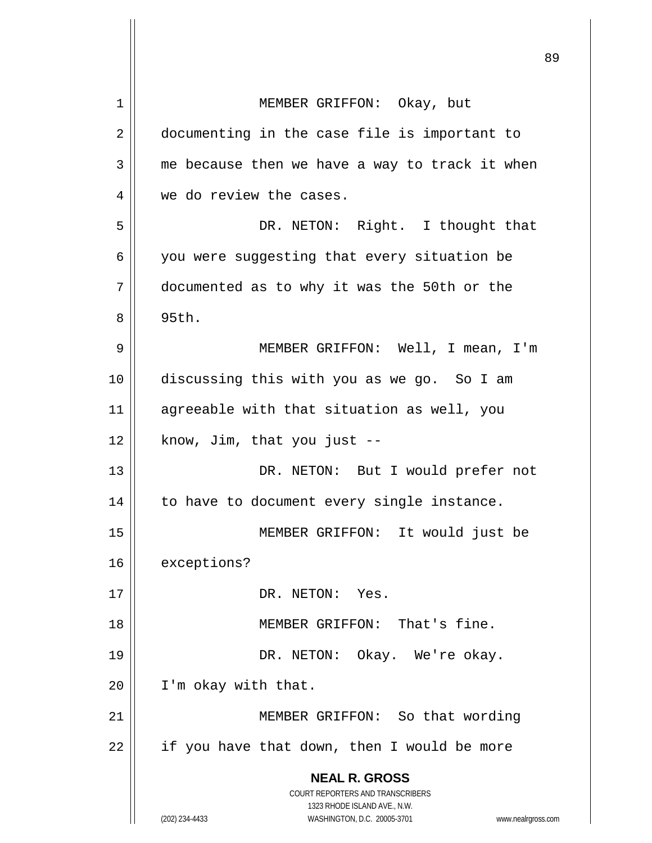|    | 89                                                                  |
|----|---------------------------------------------------------------------|
| 1  | MEMBER GRIFFON: Okay, but                                           |
| 2  | documenting in the case file is important to                        |
| 3  | me because then we have a way to track it when                      |
| 4  | we do review the cases.                                             |
| 5  | DR. NETON: Right. I thought that                                    |
| 6  | you were suggesting that every situation be                         |
| 7  | documented as to why it was the 50th or the                         |
| 8  | 95th.                                                               |
| 9  | MEMBER GRIFFON: Well, I mean, I'm                                   |
| 10 | discussing this with you as we go. So I am                          |
| 11 | agreeable with that situation as well, you                          |
| 12 | know, Jim, that you just $-$                                        |
| 13 | DR. NETON: But I would prefer not                                   |
| 14 | to have to document every single instance.                          |
| 15 | MEMBER GRIFFON: It would just be                                    |
| 16 | exceptions?                                                         |
| 17 | DR. NETON: Yes.                                                     |
| 18 | MEMBER GRIFFON: That's fine.                                        |
| 19 | DR. NETON: Okay. We're okay.                                        |
| 20 | I'm okay with that.                                                 |
| 21 | MEMBER GRIFFON: So that wording                                     |
| 22 | if you have that down, then I would be more                         |
|    | <b>NEAL R. GROSS</b><br><b>COURT REPORTERS AND TRANSCRIBERS</b>     |
|    | 1323 RHODE ISLAND AVE., N.W.                                        |
|    | (202) 234-4433<br>WASHINGTON, D.C. 20005-3701<br>www.nealrgross.com |

 $\mathsf{I}$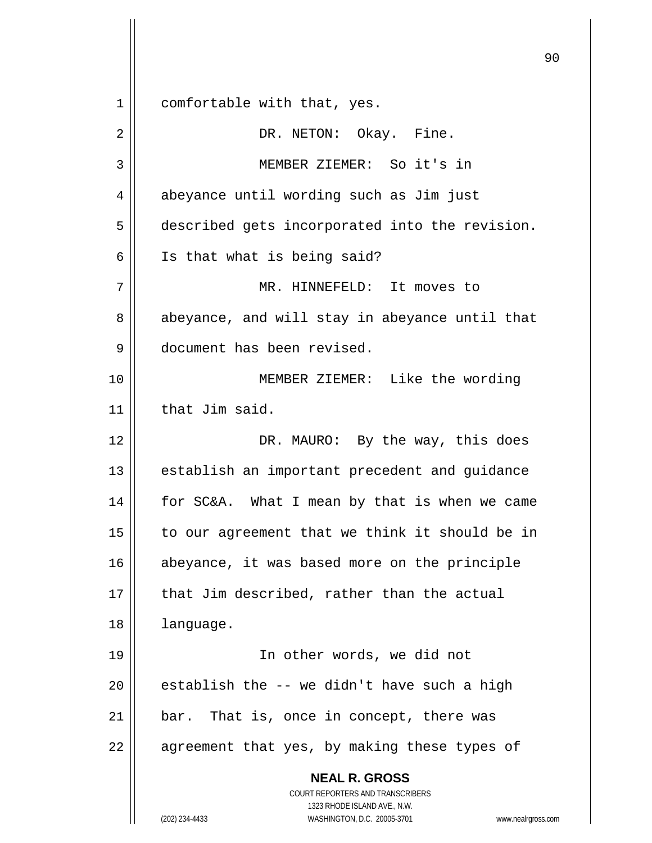**NEAL R. GROSS** COURT REPORTERS AND TRANSCRIBERS 1323 RHODE ISLAND AVE., N.W. (202) 234-4433 WASHINGTON, D.C. 20005-3701 www.nealrgross.com 90 1 comfortable with that, yes. 2 | DR. NETON: Okay. Fine. 3 MEMBER ZIEMER: So it's in 4 abeyance until wording such as Jim just 5 described gets incorporated into the revision. 6 || Is that what is being said? 7 MR. HINNEFELD: It moves to 8 || abeyance, and will stay in abeyance until that 9 document has been revised. 10 MEMBER ZIEMER: Like the wording  $11$  | that Jim said. 12 DR. MAURO: By the way, this does 13 || establish an important precedent and guidance 14 | for SC&A. What I mean by that is when we came  $15$  | to our agreement that we think it should be in 16 abeyance, it was based more on the principle  $17$  || that Jim described, rather than the actual 18 | language. 19 In other words, we did not 20  $\parallel$  establish the -- we didn't have such a high  $21$  | bar. That is, once in concept, there was  $22$  | agreement that yes, by making these types of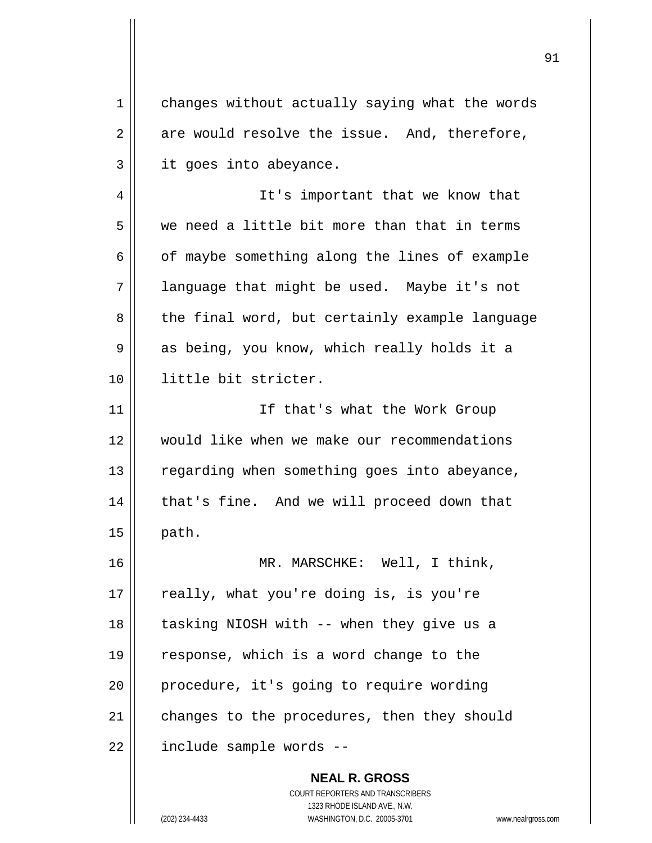1 || changes without actually saying what the words  $2 \parallel$  are would resolve the issue. And, therefore,  $3 \parallel$  it goes into abeyance.

4 || It's important that we know that  $5 \parallel$  we need a little bit more than that in terms  $6 \parallel$  of maybe something along the lines of example 7 language that might be used. Maybe it's not 8 the final word, but certainly example language 9 || as being, you know, which really holds it a 10 little bit stricter.

11 If that's what the Work Group 12 would like when we make our recommendations 13 || regarding when something goes into abeyance,  $14$  | that's fine. And we will proceed down that  $15$  | path.

16 MR. MARSCHKE: Well, I think,  $17$  || really, what you're doing is, is you're 18 || tasking NIOSH with -- when they give us a 19 || response, which is a word change to the  $20$  | procedure, it's going to require wording 21 | changes to the procedures, then they should  $22$  | include sample words --

> **NEAL R. GROSS** COURT REPORTERS AND TRANSCRIBERS 1323 RHODE ISLAND AVE., N.W. (202) 234-4433 WASHINGTON, D.C. 20005-3701 www.nealrgross.com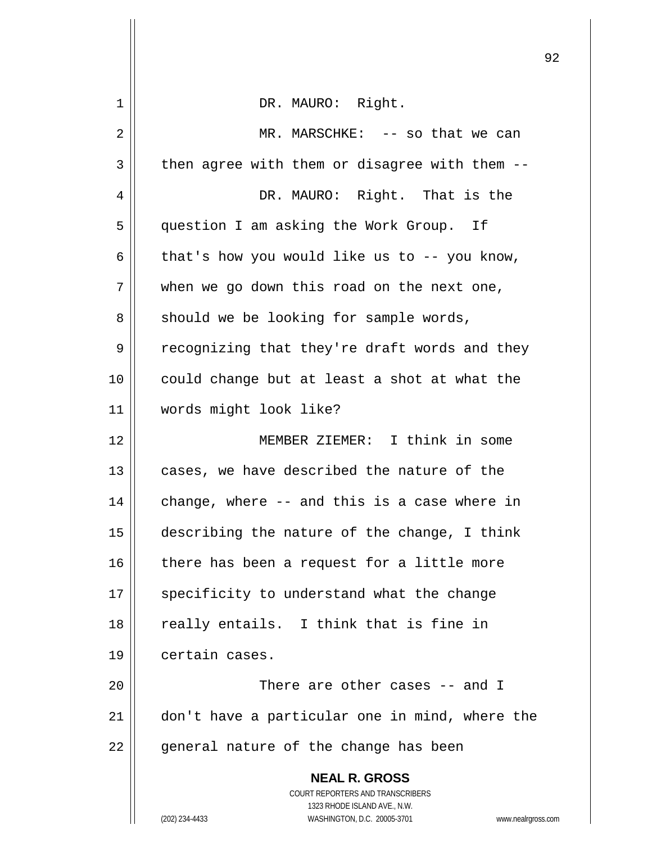|                |                                                                                                     | 92 |
|----------------|-----------------------------------------------------------------------------------------------------|----|
| $\mathbf 1$    | DR. MAURO: Right.                                                                                   |    |
| 2              | MR. MARSCHKE: -- so that we can                                                                     |    |
| $\mathfrak{Z}$ | then agree with them or disagree with them --                                                       |    |
| 4              | DR. MAURO: Right. That is the                                                                       |    |
| 5              | question I am asking the Work Group. If                                                             |    |
| 6              | that's how you would like us to $-$ - you know,                                                     |    |
| 7              | when we go down this road on the next one,                                                          |    |
| 8              | should we be looking for sample words,                                                              |    |
| 9              | recognizing that they're draft words and they                                                       |    |
| 10             | could change but at least a shot at what the                                                        |    |
| 11             | words might look like?                                                                              |    |
| 12             | MEMBER ZIEMER: I think in some                                                                      |    |
| 13             | cases, we have described the nature of the                                                          |    |
| 14             | change, where -- and this is a case where in                                                        |    |
| 15             | describing the nature of the change, I think                                                        |    |
| 16             | there has been a request for a little more                                                          |    |
| 17             | specificity to understand what the change                                                           |    |
| 18             | really entails. I think that is fine in                                                             |    |
| 19             | certain cases.                                                                                      |    |
| 20             | There are other cases -- and I                                                                      |    |
| 21             | don't have a particular one in mind, where the                                                      |    |
| 22             | general nature of the change has been                                                               |    |
|                | <b>NEAL R. GROSS</b><br>COURT REPORTERS AND TRANSCRIBERS                                            |    |
|                | 1323 RHODE ISLAND AVE., N.W.<br>(202) 234-4433<br>WASHINGTON, D.C. 20005-3701<br>www.nealrgross.com |    |

 $\parallel$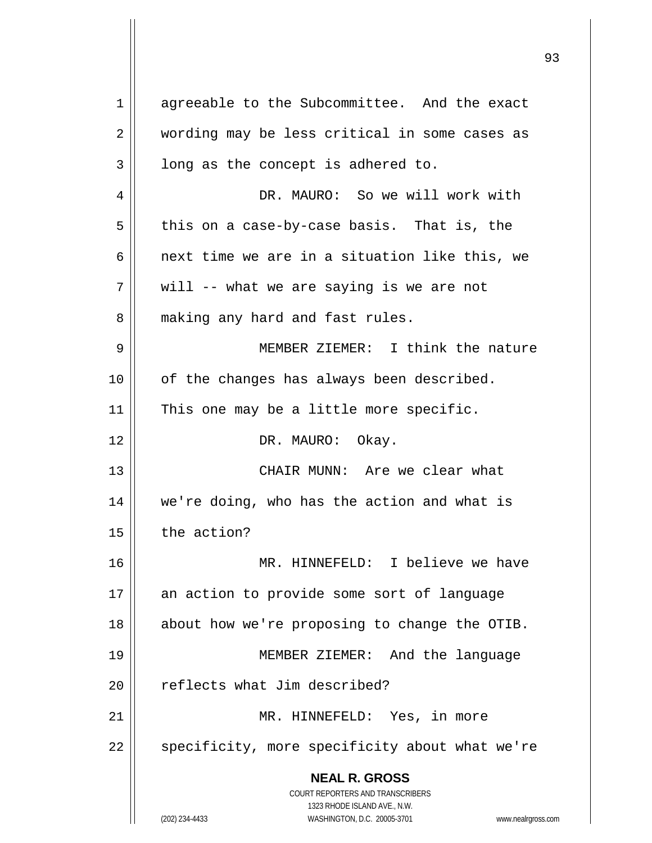**NEAL R. GROSS** COURT REPORTERS AND TRANSCRIBERS 1323 RHODE ISLAND AVE., N.W. (202) 234-4433 WASHINGTON, D.C. 20005-3701 www.nealrgross.com 93 1 || agreeable to the Subcommittee. And the exact 2 | wording may be less critical in some cases as  $3 \parallel$  long as the concept is adhered to. 4 DR. MAURO: So we will work with  $5 \parallel$  this on a case-by-case basis. That is, the 6  $\parallel$  next time we are in a situation like this, we  $7 \parallel$  will -- what we are saying is we are not 8 || making any hard and fast rules. 9 MEMBER ZIEMER: I think the nature  $10$  | of the changes has always been described. 11 || This one may be a little more specific. 12 || DR. MAURO: Okay. 13 CHAIR MUNN: Are we clear what 14 we're doing, who has the action and what is 15 the action? 16 MR. HINNEFELD: I believe we have 17 || an action to provide some sort of language 18 || about how we're proposing to change the OTIB. 19 MEMBER ZIEMER: And the language 20 | reflects what Jim described? 21 || MR. HINNEFELD: Yes, in more 22 || specificity, more specificity about what we're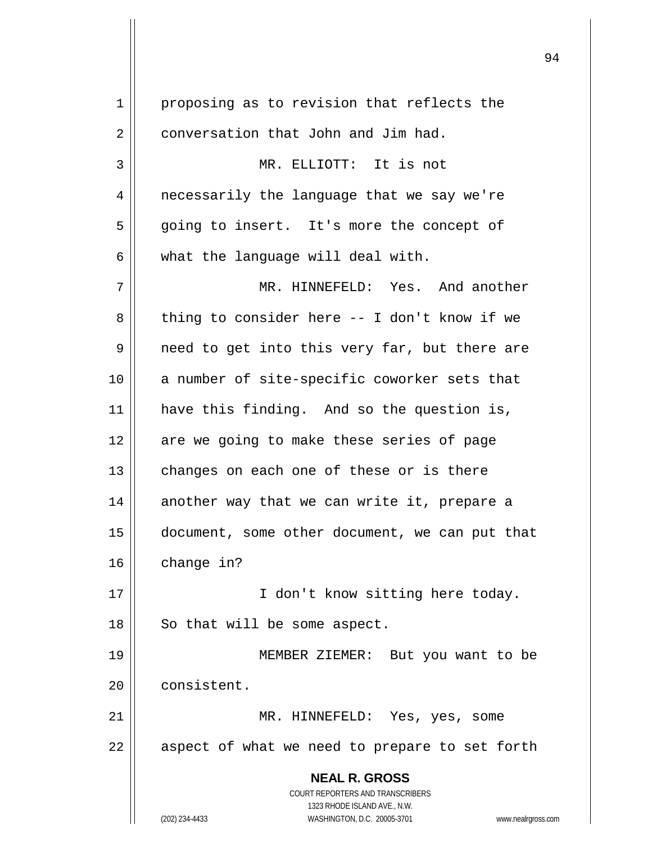**NEAL R. GROSS** COURT REPORTERS AND TRANSCRIBERS 1323 RHODE ISLAND AVE., N.W. (202) 234-4433 WASHINGTON, D.C. 20005-3701 www.nealrgross.com 1 || proposing as to revision that reflects the 2 | conversation that John and Jim had. 3 || MR. ELLIOTT: It is not 4 | necessarily the language that we say we're 5 going to insert. It's more the concept of  $6 \parallel$  what the language will deal with. 7 MR. HINNEFELD: Yes. And another 8 || thing to consider here -- I don't know if we  $9 \parallel$  need to get into this very far, but there are 10 || a number of site-specific coworker sets that 11 have this finding. And so the question is, 12 || are we going to make these series of page 13 || changes on each one of these or is there 14  $\parallel$  another way that we can write it, prepare a 15 document, some other document, we can put that  $16$  change in? 17 || T don't know sitting here today.  $18$  | So that will be some aspect. 19 MEMBER ZIEMER: But you want to be 20 consistent. 21 MR. HINNEFELD: Yes, yes, some  $22$  || aspect of what we need to prepare to set forth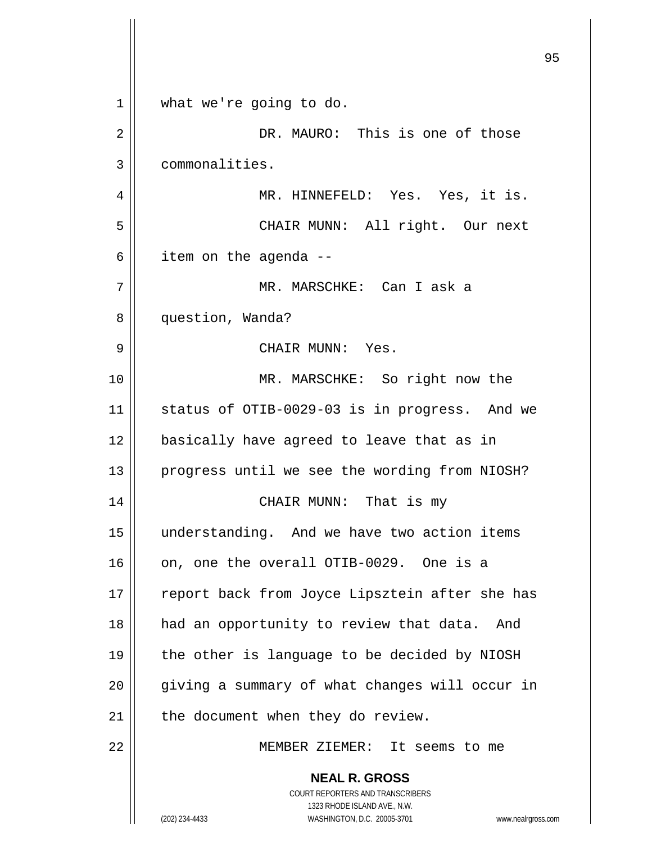**NEAL R. GROSS** COURT REPORTERS AND TRANSCRIBERS 1323 RHODE ISLAND AVE., N.W. (202) 234-4433 WASHINGTON, D.C. 20005-3701 www.nealrgross.com 95 1 what we're going to do. 2 | DR. MAURO: This is one of those 3 commonalities. 4 MR. HINNEFELD: Yes. Yes, it is. 5 CHAIR MUNN: All right. Our next  $6 \parallel$  item on the agenda --7 MR. MARSCHKE: Can I ask a 8 | question, Wanda? 9 CHAIR MUNN: Yes. 10 || MR. MARSCHKE: So right now the 11 status of OTIB-0029-03 is in progress. And we 12 || basically have agreed to leave that as in 13 || progress until we see the wording from NIOSH? 14 || CHAIR MUNN: That is my 15 understanding. And we have two action items 16 || on, one the overall OTIB-0029. One is a 17 || report back from Joyce Lipsztein after she has 18 || had an opportunity to review that data. And  $19$  | the other is language to be decided by NIOSH  $20$  | giving a summary of what changes will occur in  $21$  | the document when they do review. 22 MEMBER ZIEMER: It seems to me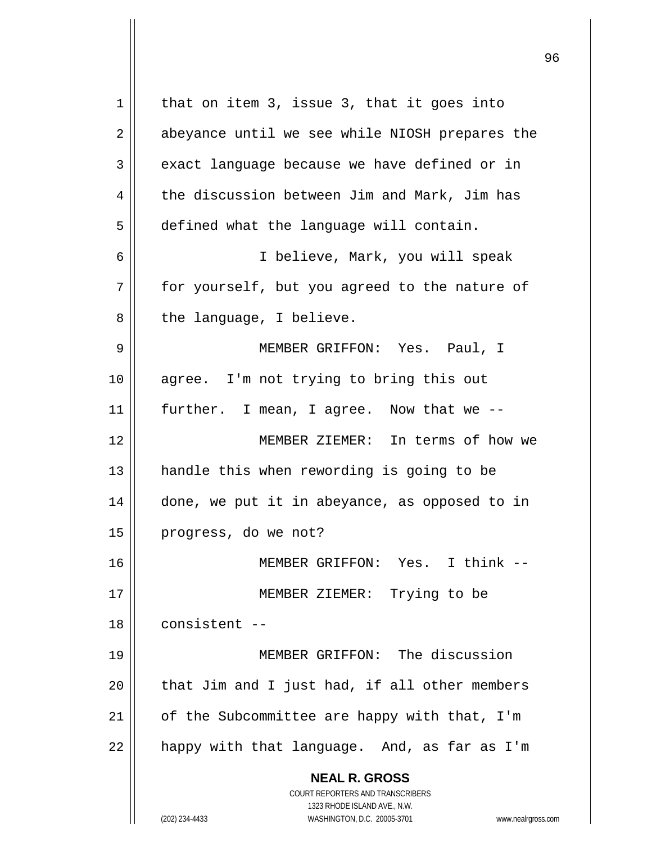**NEAL R. GROSS** COURT REPORTERS AND TRANSCRIBERS 1323 RHODE ISLAND AVE., N.W. (202) 234-4433 WASHINGTON, D.C. 20005-3701 www.nealrgross.com  $1 \parallel$  that on item 3, issue 3, that it goes into 2 || abeyance until we see while NIOSH prepares the  $3 \parallel$  exact language because we have defined or in 4 the discussion between Jim and Mark, Jim has 5 defined what the language will contain. 6 I believe, Mark, you will speak  $7$  || for yourself, but you agreed to the nature of  $8 \parallel$  the language, I believe. 9 MEMBER GRIFFON: Yes. Paul, I 10 || agree. I'm not trying to bring this out 11 further. I mean, I agree. Now that we -- 12 MEMBER ZIEMER: In terms of how we 13 handle this when rewording is going to be 14 | done, we put it in abeyance, as opposed to in 15 | progress, do we not? 16 MEMBER GRIFFON: Yes. I think -- 17 MEMBER ZIEMER: Trying to be 18 | consistent --19 MEMBER GRIFFON: The discussion  $20$  | that Jim and I just had, if all other members  $21$  | of the Subcommittee are happy with that, I'm  $22$  | happy with that language. And, as far as I'm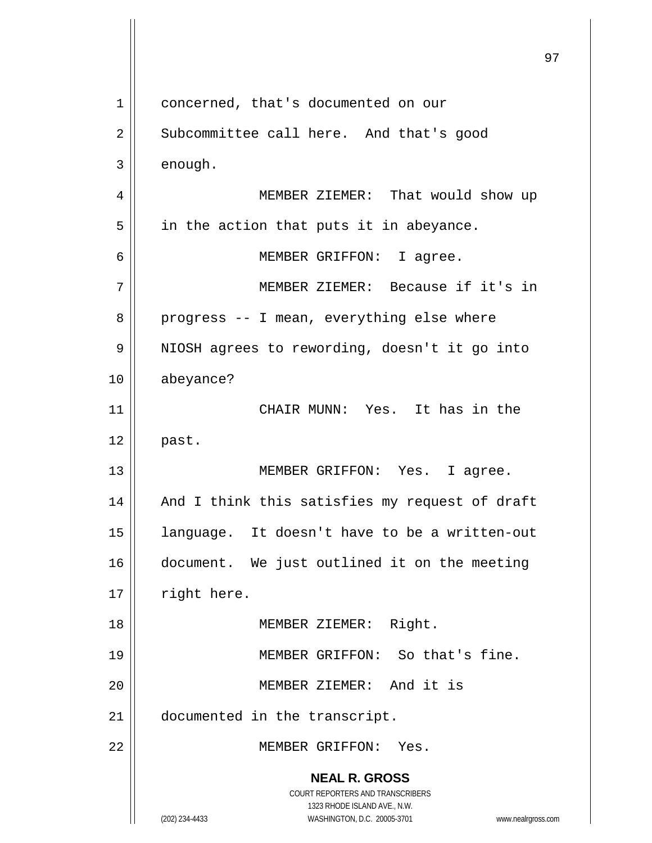**NEAL R. GROSS** COURT REPORTERS AND TRANSCRIBERS 1323 RHODE ISLAND AVE., N.W. (202) 234-4433 WASHINGTON, D.C. 20005-3701 www.nealrgross.com 1 | concerned, that's documented on our 2 || Subcommittee call here. And that's good  $3 \parallel$  enough. 4 | MEMBER ZIEMER: That would show up  $5 \parallel$  in the action that puts it in abeyance. 6 MEMBER GRIFFON: I agree. 7 MEMBER ZIEMER: Because if it's in 8 || progress -- I mean, everything else where 9 || NIOSH agrees to rewording, doesn't it go into 10 abeyance? 11 CHAIR MUNN: Yes. It has in the  $12 \parallel$  past. 13 MEMBER GRIFFON: Yes. I agree.  $14$  || And I think this satisfies my request of draft 15 language. It doesn't have to be a written-out 16 document. We just outlined it on the meeting  $17 \parallel$  right here. 18 || MEMBER ZIEMER: Right. 19 MEMBER GRIFFON: So that's fine. 20 MEMBER ZIEMER: And it is 21 documented in the transcript. 22 MEMBER GRIFFON: Yes.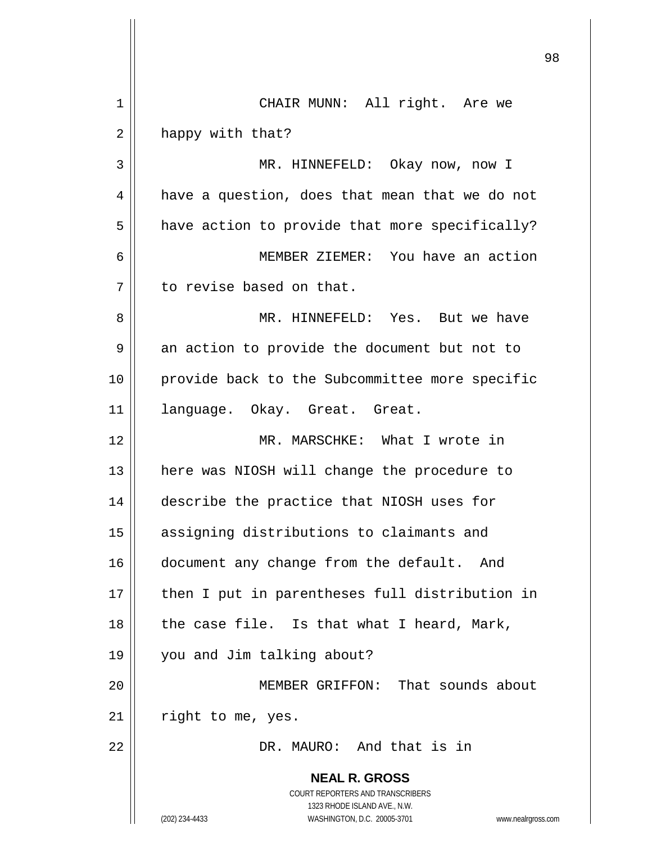|                | 98                                                                  |
|----------------|---------------------------------------------------------------------|
| $\mathbf 1$    | CHAIR MUNN: All right. Are we                                       |
| 2              | happy with that?                                                    |
| 3              | MR. HINNEFELD: Okay now, now I                                      |
| $\overline{4}$ | have a question, does that mean that we do not                      |
| 5              | have action to provide that more specifically?                      |
| 6              | MEMBER ZIEMER: You have an action                                   |
| 7              | to revise based on that.                                            |
| 8              | MR. HINNEFELD: Yes. But we have                                     |
| 9              | an action to provide the document but not to                        |
| 10             | provide back to the Subcommittee more specific                      |
| 11             | language. Okay. Great. Great.                                       |
| 12             | MR. MARSCHKE: What I wrote in                                       |
| 13             | here was NIOSH will change the procedure to                         |
| 14             | describe the practice that NIOSH uses for                           |
| 15             | assigning distributions to claimants and                            |
| 16             | document any change from the default. And                           |
| 17             | then I put in parentheses full distribution in                      |
| 18             | the case file. Is that what I heard, Mark,                          |
| 19             | you and Jim talking about?                                          |
| 20             | MEMBER GRIFFON: That sounds about                                   |
| 21             | right to me, yes.                                                   |
| 22             | DR. MAURO: And that is in                                           |
|                | <b>NEAL R. GROSS</b>                                                |
|                | COURT REPORTERS AND TRANSCRIBERS<br>1323 RHODE ISLAND AVE., N.W.    |
|                | (202) 234-4433<br>WASHINGTON, D.C. 20005-3701<br>www.nealrgross.com |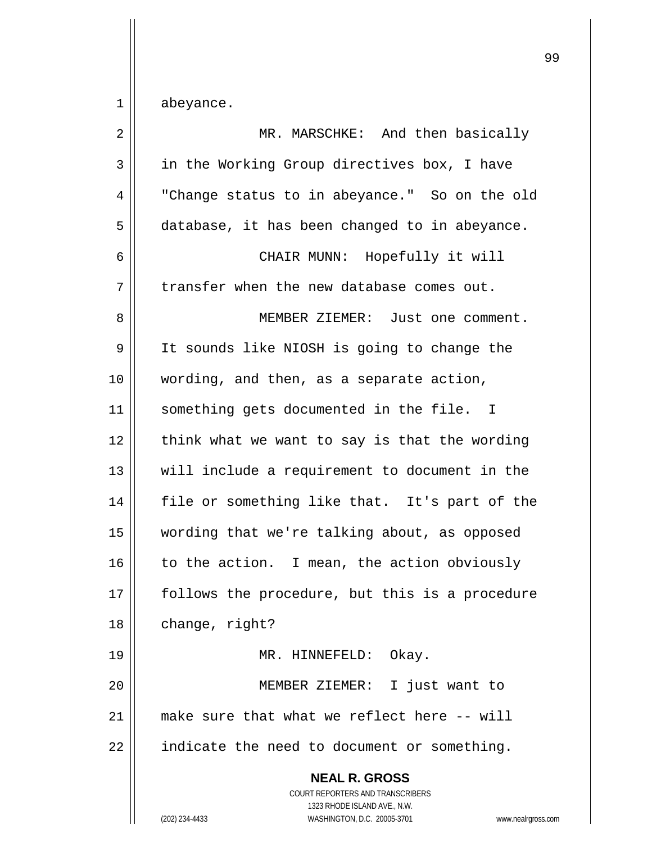$1 \parallel$  abeyance.

| $\overline{2}$ | MR. MARSCHKE: And then basically                                                                                                                                       |
|----------------|------------------------------------------------------------------------------------------------------------------------------------------------------------------------|
| 3              | in the Working Group directives box, I have                                                                                                                            |
| 4              | "Change status to in abeyance." So on the old                                                                                                                          |
| 5              | database, it has been changed to in abeyance.                                                                                                                          |
| 6              | CHAIR MUNN: Hopefully it will                                                                                                                                          |
| 7              | transfer when the new database comes out.                                                                                                                              |
| 8              | MEMBER ZIEMER: Just one comment.                                                                                                                                       |
| 9              | It sounds like NIOSH is going to change the                                                                                                                            |
| 10             | wording, and then, as a separate action,                                                                                                                               |
| 11             | something gets documented in the file. I                                                                                                                               |
| 12             | think what we want to say is that the wording                                                                                                                          |
| 13             | will include a requirement to document in the                                                                                                                          |
| 14             | file or something like that. It's part of the                                                                                                                          |
| 15             | wording that we're talking about, as opposed                                                                                                                           |
| 16             | to the action. I mean, the action obviously                                                                                                                            |
| 17             | follows the procedure, but this is a procedure                                                                                                                         |
| 18             | change, right?                                                                                                                                                         |
| 19             | MR. HINNEFELD: Okay.                                                                                                                                                   |
| 20             | MEMBER ZIEMER: I just want to                                                                                                                                          |
| 21             | make sure that what we reflect here -- will                                                                                                                            |
| 22             | indicate the need to document or something.                                                                                                                            |
|                | <b>NEAL R. GROSS</b><br><b>COURT REPORTERS AND TRANSCRIBERS</b><br>1323 RHODE ISLAND AVE., N.W.<br>(202) 234-4433<br>WASHINGTON, D.C. 20005-3701<br>www.nealrgross.com |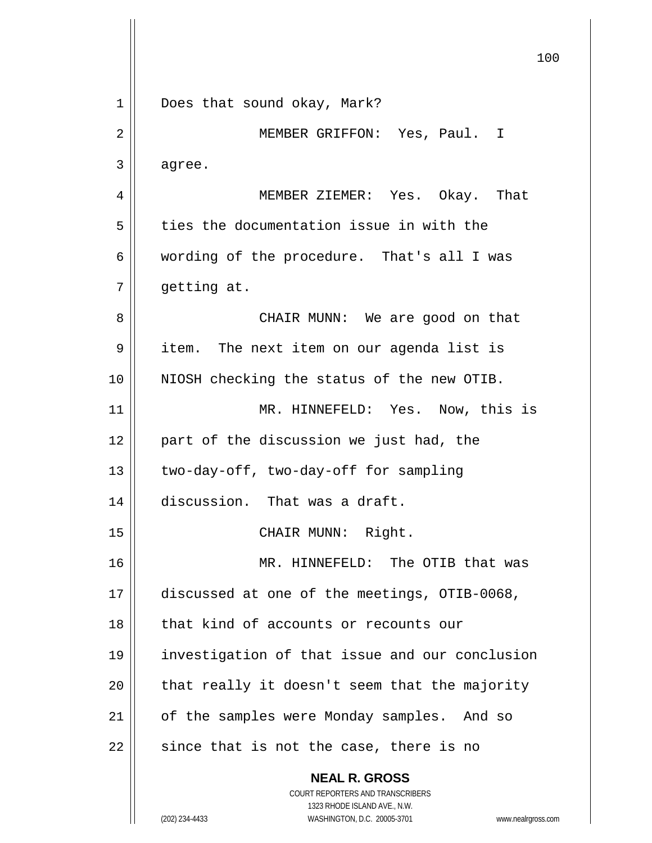**NEAL R. GROSS** COURT REPORTERS AND TRANSCRIBERS 1323 RHODE ISLAND AVE., N.W. (202) 234-4433 WASHINGTON, D.C. 20005-3701 www.nealrgross.com 100 1 || Does that sound okay, Mark? 2 || MEMBER GRIFFON: Yes, Paul. I  $3 \parallel$  agree. 4 || MEMBER ZIEMER: Yes. Okay. That  $5$  | ties the documentation issue in with the 6 | wording of the procedure. That's all I was 7 getting at. 8 CHAIR MUNN: We are good on that 9 || item. The next item on our agenda list is 10 NIOSH checking the status of the new OTIB. 11 MR. HINNEFELD: Yes. Now, this is 12 || part of the discussion we just had, the 13 | two-day-off, two-day-off for sampling 14 discussion. That was a draft. 15 || CHAIR MUNN: Right. 16 MR. HINNEFELD: The OTIB that was 17 discussed at one of the meetings, OTIB-0068, 18 || that kind of accounts or recounts our 19 investigation of that issue and our conclusion  $20$  | that really it doesn't seem that the majority 21 of the samples were Monday samples. And so  $22$  || since that is not the case, there is no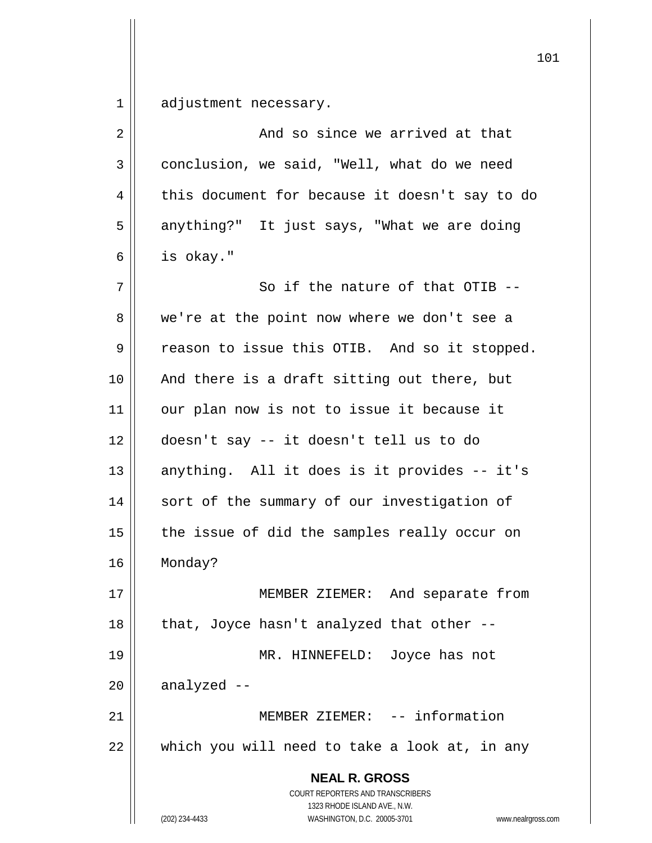1 || adjustment necessary.

**NEAL R. GROSS** COURT REPORTERS AND TRANSCRIBERS 1323 RHODE ISLAND AVE., N.W. 2 And so since we arrived at that 3 conclusion, we said, "Well, what do we need 4 this document for because it doesn't say to do  $5$  anything?" It just says, "What we are doing  $6 \parallel$  is okay." 7 || So if the nature of that OTIB --8 || we're at the point now where we don't see a 9 ceason to issue this OTIB. And so it stopped.  $10$  || And there is a draft sitting out there, but 11 our plan now is not to issue it because it 12 doesn't say -- it doesn't tell us to do 13 || anything. All it does is it provides -- it's 14 || sort of the summary of our investigation of  $15$  | the issue of did the samples really occur on 16 Monday? 17 || MEMBER ZIEMER: And separate from  $18$  || that, Joyce hasn't analyzed that other --19 MR. HINNEFELD: Joyce has not  $20$  | analyzed  $-$ 21 MEMBER ZIEMER: -- information 22 which you will need to take a look at, in any

(202) 234-4433 WASHINGTON, D.C. 20005-3701 www.nealrgross.com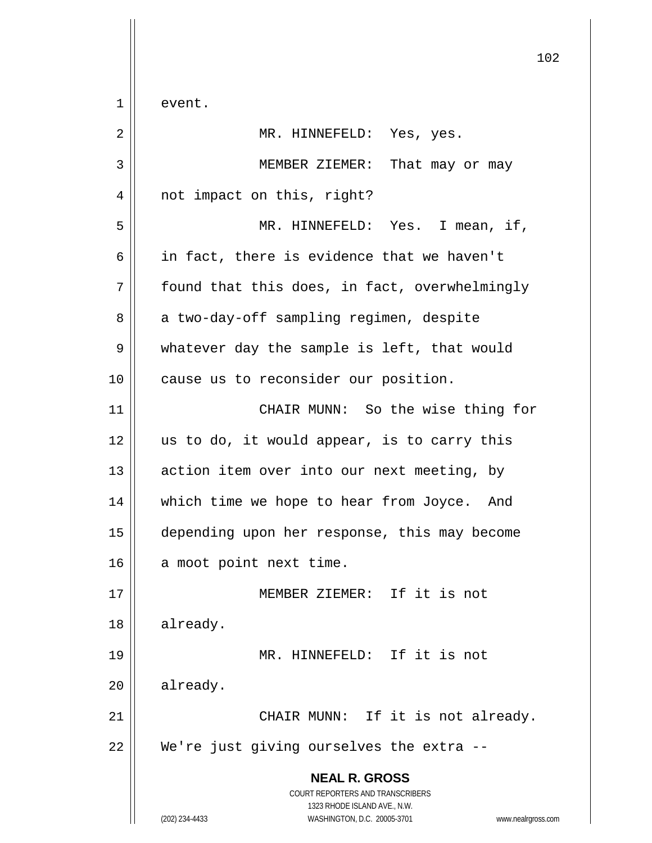**NEAL R. GROSS** COURT REPORTERS AND TRANSCRIBERS 1323 RHODE ISLAND AVE., N.W. (202) 234-4433 WASHINGTON, D.C. 20005-3701 www.nealrgross.com 102 1 event. 2 || MR. HINNEFELD: Yes, yes. 3 || MEMBER ZIEMER: That may or may 4 || not impact on this, right? 5 MR. HINNEFELD: Yes. I mean, if,  $6 \parallel$  in fact, there is evidence that we haven't  $7 \parallel$  found that this does, in fact, overwhelmingly 8 | a two-day-off sampling regimen, despite 9 whatever day the sample is left, that would 10 || cause us to reconsider our position. 11 CHAIR MUNN: So the wise thing for 12 us to do, it would appear, is to carry this 13 || action item over into our next meeting, by 14 which time we hope to hear from Joyce. And 15 depending upon her response, this may become 16 | a moot point next time. 17 MEMBER ZIEMER: If it is not 18 already. 19 MR. HINNEFELD: If it is not 20 already. 21 || CHAIR MUNN: If it is not already. 22 || We're just giving ourselves the extra --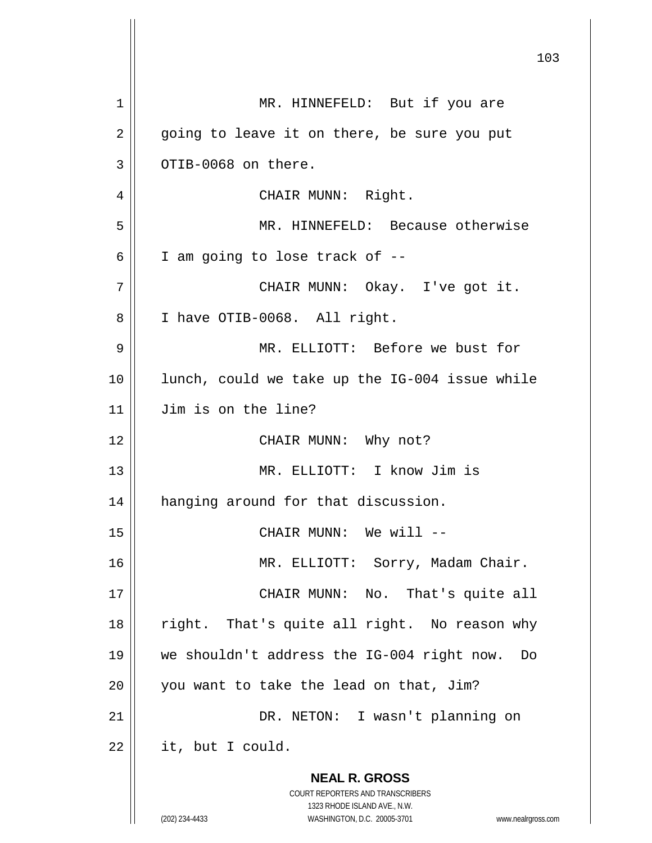**NEAL R. GROSS** COURT REPORTERS AND TRANSCRIBERS 1323 RHODE ISLAND AVE., N.W. (202) 234-4433 WASHINGTON, D.C. 20005-3701 www.nealrgross.com 103 1 || MR. HINNEFELD: But if you are  $2 \parallel$  going to leave it on there, be sure you put  $3 \parallel$  OTIB-0068 on there. 4 | CHAIR MUNN: Right. 5 MR. HINNEFELD: Because otherwise  $6 \parallel$  I am going to lose track of  $-$ 7 CHAIR MUNN: Okay. I've got it. 8 || I have OTIB-0068. All right. 9 MR. ELLIOTT: Before we bust for 10 lunch, could we take up the IG-004 issue while 11 Jim is on the line? 12 || CHAIR MUNN: Why not? 13 MR. ELLIOTT: I know Jim is 14 | hanging around for that discussion. 15 || CHAIR MUNN: We will --16 MR. ELLIOTT: Sorry, Madam Chair. 17 CHAIR MUNN: No. That's quite all 18 || right. That's quite all right. No reason why 19 we shouldn't address the IG-004 right now. Do  $20$  | you want to take the lead on that, Jim? 21 || DR. NETON: I wasn't planning on  $22$  | it, but I could.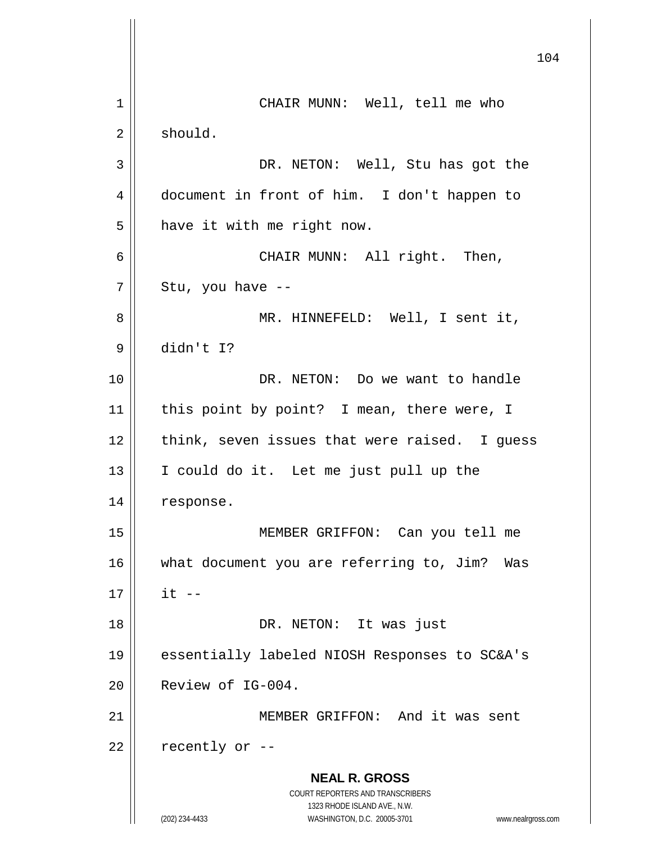**NEAL R. GROSS** COURT REPORTERS AND TRANSCRIBERS 1323 RHODE ISLAND AVE., N.W. (202) 234-4433 WASHINGTON, D.C. 20005-3701 www.nealrgross.com 104 1 CHAIR MUNN: Well, tell me who 2 should. 3 DR. NETON: Well, Stu has got the 4 document in front of him. I don't happen to  $5$  | have it with me right now. 6 CHAIR MUNN: All right. Then,  $7 \parallel$  Stu, you have --8 || MR. HINNEFELD: Well, I sent it, 9 didn't I? 10 DR. NETON: Do we want to handle 11 || this point by point? I mean, there were, I  $12$  | think, seven issues that were raised. I guess 13 I could do it. Let me just pull up the 14 | response. 15 MEMBER GRIFFON: Can you tell me 16 || what document you are referring to, Jim? Was  $17 \parallel$  it  $-$ 18 DR. NETON: It was just 19 essentially labeled NIOSH Responses to SC&A's 20 Review of IG-004. 21 || **MEMBER GRIFFON:** And it was sent  $22$  || recently or  $-$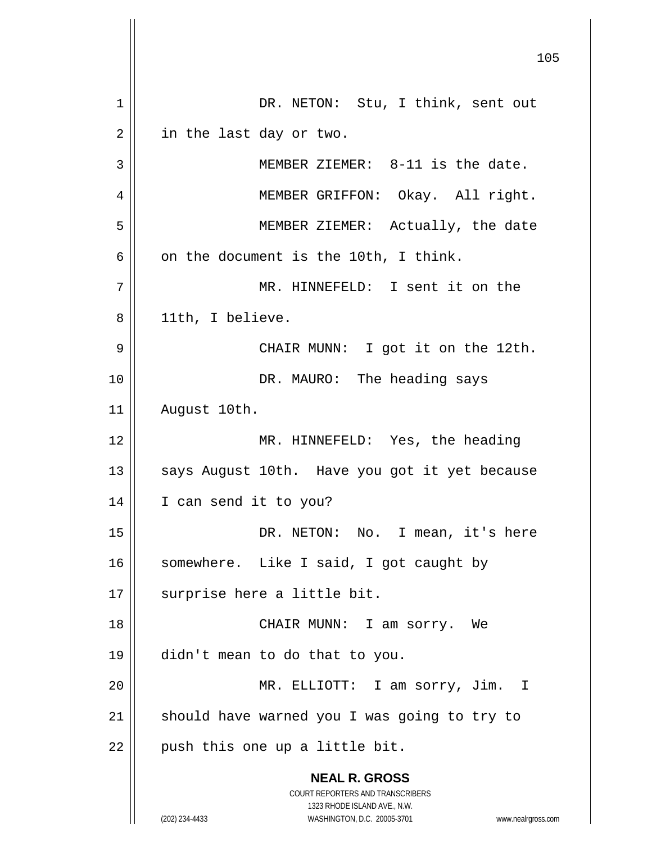**NEAL R. GROSS** COURT REPORTERS AND TRANSCRIBERS 1323 RHODE ISLAND AVE., N.W. (202) 234-4433 WASHINGTON, D.C. 20005-3701 www.nealrgross.com 105 1 DR. NETON: Stu, I think, sent out  $2 \parallel$  in the last day or two. 3 MEMBER ZIEMER: 8-11 is the date. 4 || MEMBER GRIFFON: Okay. All right. 5 MEMBER ZIEMER: Actually, the date  $6 \parallel$  on the document is the 10th, I think. 7 MR. HINNEFELD: I sent it on the 8 || 11th, I believe. 9 CHAIR MUNN: I got it on the 12th. 10 DR. MAURO: The heading says 11 August 10th. 12 MR. HINNEFELD: Yes, the heading 13 || says August 10th. Have you got it yet because 14 I can send it to you? 15 DR. NETON: No. I mean, it's here 16 || somewhere. Like I said, I got caught by  $17 \parallel$  surprise here a little bit. 18 CHAIR MUNN: I am sorry. We 19 didn't mean to do that to you. 20 MR. ELLIOTT: I am sorry, Jim. I 21 || should have warned you I was going to try to  $22$  || push this one up a little bit.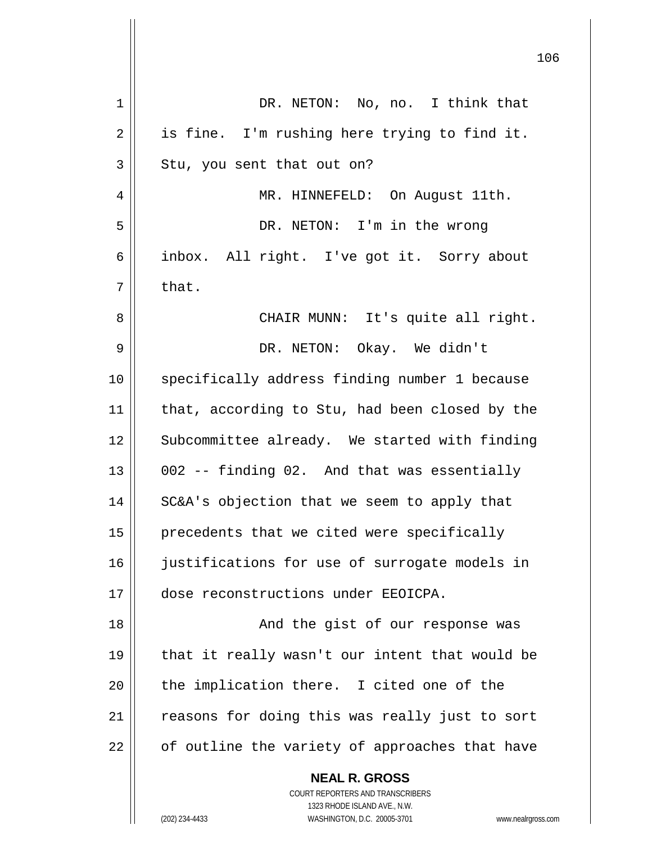|                | 106                                                                                                 |
|----------------|-----------------------------------------------------------------------------------------------------|
| 1              | DR. NETON: No, no. I think that                                                                     |
| $\overline{2}$ | is fine. I'm rushing here trying to find it.                                                        |
| 3              | Stu, you sent that out on?                                                                          |
| 4              | MR. HINNEFELD: On August 11th.                                                                      |
| 5              | DR. NETON: I'm in the wrong                                                                         |
| 6              | inbox. All right. I've got it. Sorry about                                                          |
| 7              | that.                                                                                               |
| 8              | CHAIR MUNN: It's quite all right.                                                                   |
| 9              | DR. NETON: Okay. We didn't                                                                          |
| 10             | specifically address finding number 1 because                                                       |
| 11             | that, according to Stu, had been closed by the                                                      |
| 12             | Subcommittee already. We started with finding                                                       |
| 13             | 002 -- finding 02. And that was essentially                                                         |
| 14             | SC&A's objection that we seem to apply that                                                         |
| 15             | precedents that we cited were specifically                                                          |
| 16             | justifications for use of surrogate models in                                                       |
| 17             | dose reconstructions under EEOICPA.                                                                 |
| 18             | And the gist of our response was                                                                    |
| 19             | that it really wasn't our intent that would be                                                      |
| 20             | the implication there. I cited one of the                                                           |
| 21             | reasons for doing this was really just to sort                                                      |
| 22             | of outline the variety of approaches that have                                                      |
|                | <b>NEAL R. GROSS</b><br>COURT REPORTERS AND TRANSCRIBERS                                            |
|                | 1323 RHODE ISLAND AVE., N.W.<br>(202) 234-4433<br>WASHINGTON, D.C. 20005-3701<br>www.nealrgross.com |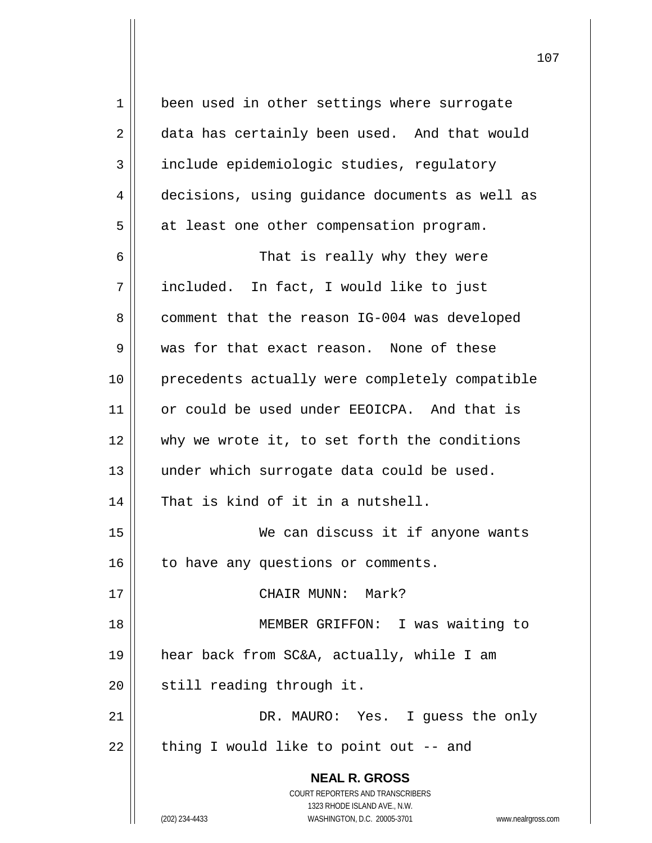**NEAL R. GROSS** COURT REPORTERS AND TRANSCRIBERS 1323 RHODE ISLAND AVE., N.W. (202) 234-4433 WASHINGTON, D.C. 20005-3701 www.nealrgross.com 1 || been used in other settings where surrogate 2 | data has certainly been used. And that would 3 | include epidemiologic studies, regulatory 4 decisions, using quidance documents as well as  $5 \parallel$  at least one other compensation program. 6 That is really why they were 7 included. In fact, I would like to just 8 | comment that the reason IG-004 was developed 9 was for that exact reason. None of these 10 precedents actually were completely compatible 11 || or could be used under EEOICPA. And that is 12 why we wrote it, to set forth the conditions 13 || under which surrogate data could be used. 14 That is kind of it in a nutshell. 15 We can discuss it if anyone wants 16 || to have any questions or comments. 17 CHAIR MUNN: Mark? 18 || **MEMBER GRIFFON:** I was waiting to 19 hear back from SC&A, actually, while I am  $20$  | still reading through it. 21 DR. MAURO: Yes. I guess the only  $22$  || thing I would like to point out  $-$  and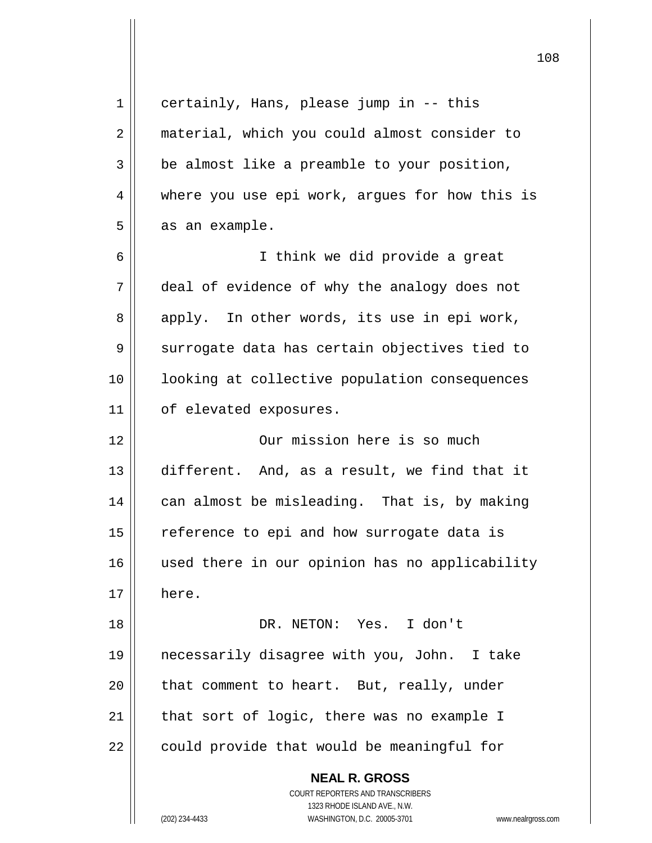**NEAL R. GROSS** COURT REPORTERS AND TRANSCRIBERS 1323 RHODE ISLAND AVE., N.W. (202) 234-4433 WASHINGTON, D.C. 20005-3701 www.nealrgross.com 1 certainly, Hans, please jump in -- this 2 || material, which you could almost consider to  $3 \parallel$  be almost like a preamble to your position, 4 where you use epi work, argues for how this is  $5 \parallel$  as an example. 6 I think we did provide a great 7 deal of evidence of why the analogy does not 8 || apply. In other words, its use in epi work, 9 || surrogate data has certain objectives tied to 10 looking at collective population consequences 11 | of elevated exposures. 12 Our mission here is so much 13 different. And, as a result, we find that it  $14$  | can almost be misleading. That is, by making 15 | reference to epi and how surrogate data is 16 used there in our opinion has no applicability  $17 \parallel$  here. 18 || DR. NETON: Yes. I don't 19 necessarily disagree with you, John. I take 20 || that comment to heart. But, really, under  $21$  | that sort of logic, there was no example I  $22$  || could provide that would be meaningful for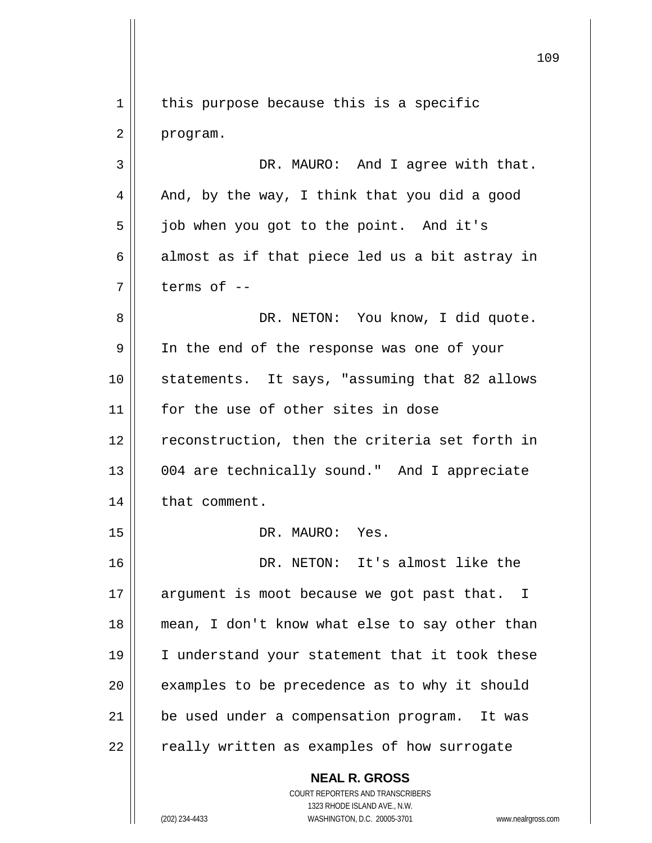**NEAL R. GROSS** COURT REPORTERS AND TRANSCRIBERS 1323 RHODE ISLAND AVE., N.W. 109 1 this purpose because this is a specific 2 | program. 3 DR. MAURO: And I agree with that.  $4 \parallel$  And, by the way, I think that you did a good  $5 \parallel$  job when you got to the point. And it's  $6 \parallel$  almost as if that piece led us a bit astray in  $7$  | terms of  $-$ 8 DR. NETON: You know, I did quote. 9 In the end of the response was one of your 10 || statements. It says, "assuming that 82 allows 11 || for the use of other sites in dose 12 reconstruction, then the criteria set forth in 13 || 004 are technically sound." And I appreciate 14 that comment. 15 || DR. MAURO: Yes. 16 DR. NETON: It's almost like the 17 || argument is moot because we got past that. I 18 mean, I don't know what else to say other than 19 || I understand your statement that it took these  $20$  | examples to be precedence as to why it should 21 be used under a compensation program. It was 22 || really written as examples of how surrogate

(202) 234-4433 WASHINGTON, D.C. 20005-3701 www.nealrgross.com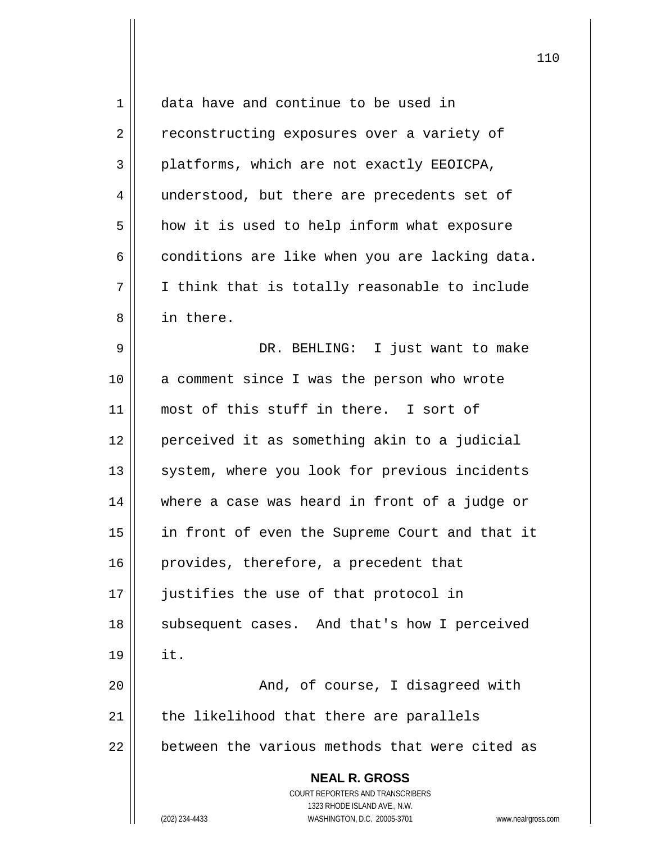**NEAL R. GROSS** COURT REPORTERS AND TRANSCRIBERS 1323 RHODE ISLAND AVE., N.W. (202) 234-4433 WASHINGTON, D.C. 20005-3701 www.nealrgross.com 1 data have and continue to be used in 2 | reconstructing exposures over a variety of 3 | platforms, which are not exactly EEOICPA, 4 || understood, but there are precedents set of  $5 \parallel$  how it is used to help inform what exposure  $6 \parallel$  conditions are like when you are lacking data. 7 I think that is totally reasonable to include 8 | in there. 9 DR. BEHLING: I just want to make 10 || a comment since I was the person who wrote 11 || most of this stuff in there. I sort of 12 perceived it as something akin to a judicial 13 || system, where you look for previous incidents 14 where a case was heard in front of a judge or 15 || in front of even the Supreme Court and that it 16 | provides, therefore, a precedent that 17 justifies the use of that protocol in 18 || subsequent cases. And that's how I perceived  $19 \parallel \text{it.}$ 20 || And, of course, I disagreed with 21 || the likelihood that there are parallels  $22$   $\parallel$  between the various methods that were cited as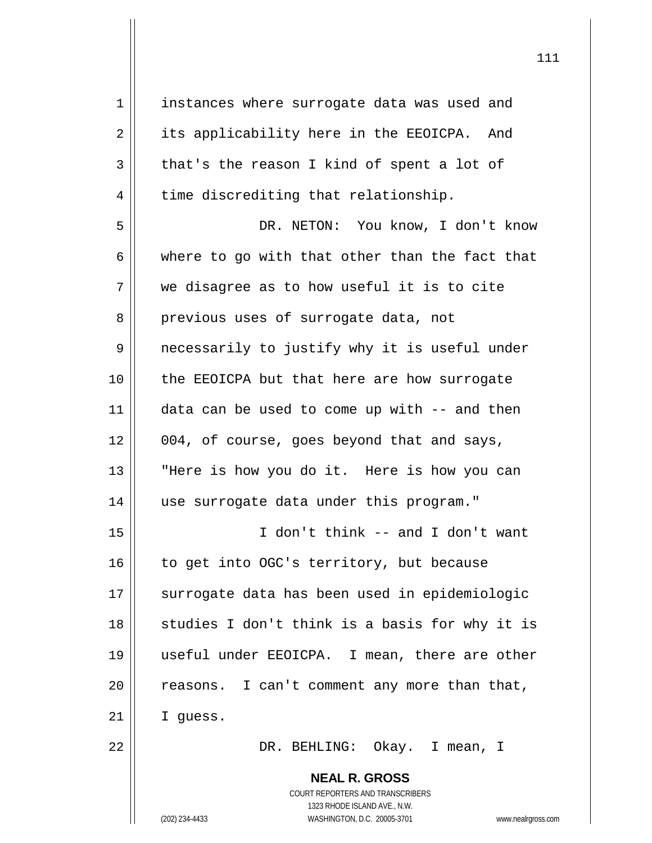**NEAL R. GROSS** COURT REPORTERS AND TRANSCRIBERS 1323 RHODE ISLAND AVE., N.W. 1 || instances where surrogate data was used and 2 | its applicability here in the EEOICPA. And  $3 \parallel$  that's the reason I kind of spent a lot of  $4 \parallel$  time discrediting that relationship. 5 DR. NETON: You know, I don't know  $6 \parallel$  where to go with that other than the fact that 7 we disagree as to how useful it is to cite 8 || previous uses of surrogate data, not 9 || necessarily to justify why it is useful under 10 the EEOICPA but that here are how surrogate 11 data can be used to come up with -- and then 12 || 004, of course, goes beyond that and says, 13 "Here is how you do it. Here is how you can 14 use surrogate data under this program." 15 I don't think -- and I don't want 16 || to get into OGC's territory, but because 17 || surrogate data has been used in epidemiologic  $18$  || studies I don't think is a basis for why it is 19 useful under EEOICPA. I mean, there are other  $20$  || reasons. I can't comment any more than that, 21 | I guess. 22 DR. BEHLING: Okay. I mean, I

(202) 234-4433 WASHINGTON, D.C. 20005-3701 www.nealrgross.com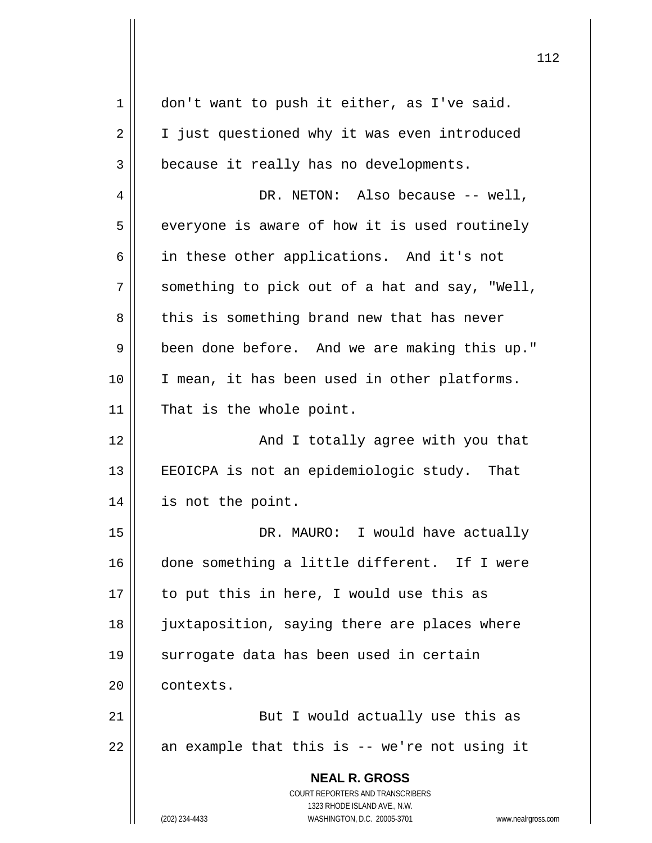**NEAL R. GROSS** COURT REPORTERS AND TRANSCRIBERS 1323 RHODE ISLAND AVE., N.W. (202) 234-4433 WASHINGTON, D.C. 20005-3701 www.nealrgross.com 1 don't want to push it either, as I've said. 2 | I just questioned why it was even introduced 3 | because it really has no developments. 4 DR. NETON: Also because -- well,  $5$  | everyone is aware of how it is used routinely 6 || in these other applications. And it's not  $7 \parallel$  something to pick out of a hat and say, "Well, 8 || this is something brand new that has never 9 | been done before. And we are making this up." 10 I mean, it has been used in other platforms. 11 That is the whole point. 12 || And I totally agree with you that 13 || EEOICPA is not an epidemiologic study. That 14 is not the point. 15 DR. MAURO: I would have actually 16 done something a little different. If I were  $17$  | to put this in here, I would use this as 18 || juxtaposition, saying there are places where 19 || surrogate data has been used in certain 20 contexts. 21 || But I would actually use this as  $22$  | an example that this is -- we're not using it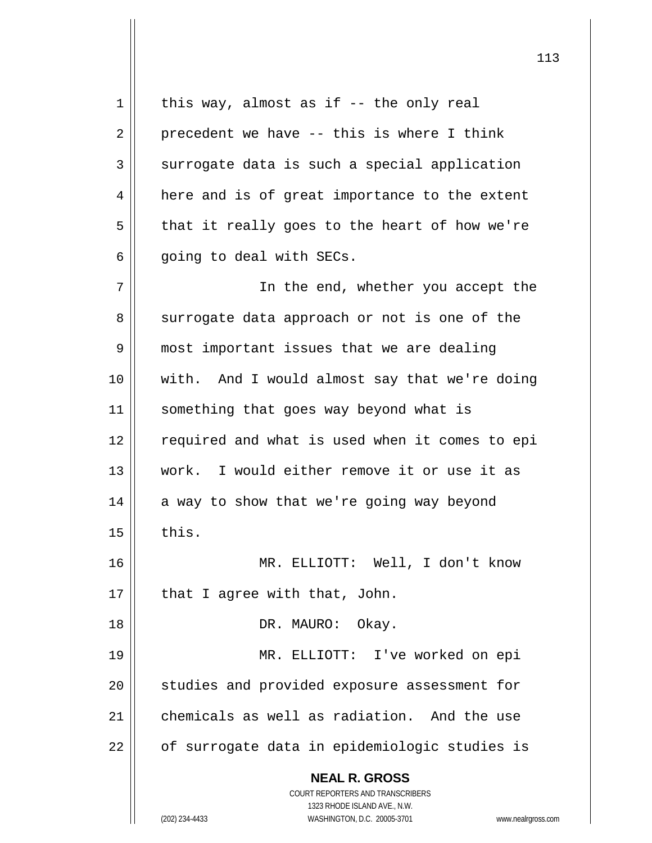**NEAL R. GROSS** COURT REPORTERS AND TRANSCRIBERS 1323 RHODE ISLAND AVE., N.W.  $1 \parallel$  this way, almost as if -- the only real  $2 \parallel$  precedent we have -- this is where I think  $3 \parallel$  surrogate data is such a special application 4 || here and is of great importance to the extent  $5 \parallel$  that it really goes to the heart of how we're  $6 \parallel$  going to deal with SECs. 7 || In the end, whether you accept the 8 || surrogate data approach or not is one of the 9 | most important issues that we are dealing 10 with. And I would almost say that we're doing 11 something that goes way beyond what is 12 || required and what is used when it comes to epi 13 work. I would either remove it or use it as  $14$  a way to show that we're going way beyond  $15$  | this. 16 MR. ELLIOTT: Well, I don't know  $17 \parallel$  that I agree with that, John. 18 DR. MAURO: Okay. 19 MR. ELLIOTT: I've worked on epi 20 || studies and provided exposure assessment for 21 chemicals as well as radiation. And the use 22 || of surrogate data in epidemiologic studies is

(202) 234-4433 WASHINGTON, D.C. 20005-3701 www.nealrgross.com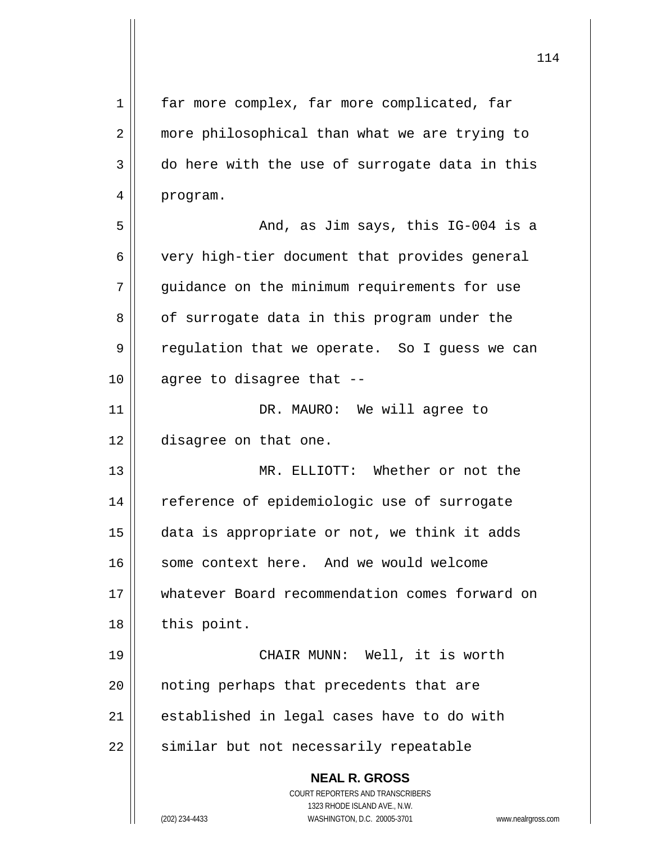|    | 114                                                                                                                                                             |
|----|-----------------------------------------------------------------------------------------------------------------------------------------------------------------|
| 1  | far more complex, far more complicated, far                                                                                                                     |
| 2  | more philosophical than what we are trying to                                                                                                                   |
| 3  | do here with the use of surrogate data in this                                                                                                                  |
| 4  | program.                                                                                                                                                        |
| 5  | And, as Jim says, this IG-004 is a                                                                                                                              |
| 6  | very high-tier document that provides general                                                                                                                   |
| 7  | guidance on the minimum requirements for use                                                                                                                    |
| 8  | of surrogate data in this program under the                                                                                                                     |
| 9  | regulation that we operate. So I guess we can                                                                                                                   |
| 10 | agree to disagree that --                                                                                                                                       |
| 11 | DR. MAURO: We will agree to                                                                                                                                     |
| 12 | disagree on that one.                                                                                                                                           |
| 13 | MR. ELLIOTT: Whether or not the                                                                                                                                 |
| 14 | reference of epidemiologic use of surrogate                                                                                                                     |
| 15 | data is appropriate or not, we think it adds                                                                                                                    |
| 16 | some context here. And we would welcome                                                                                                                         |
| 17 | whatever Board recommendation comes forward on                                                                                                                  |
| 18 | this point.                                                                                                                                                     |
| 19 | CHAIR MUNN: Well, it is worth                                                                                                                                   |
| 20 | noting perhaps that precedents that are                                                                                                                         |
| 21 | established in legal cases have to do with                                                                                                                      |
| 22 | similar but not necessarily repeatable                                                                                                                          |
|    | <b>NEAL R. GROSS</b><br>COURT REPORTERS AND TRANSCRIBERS<br>1323 RHODE ISLAND AVE., N.W.<br>(202) 234-4433<br>WASHINGTON, D.C. 20005-3701<br>www.nealrgross.com |

 $\mathop{||}$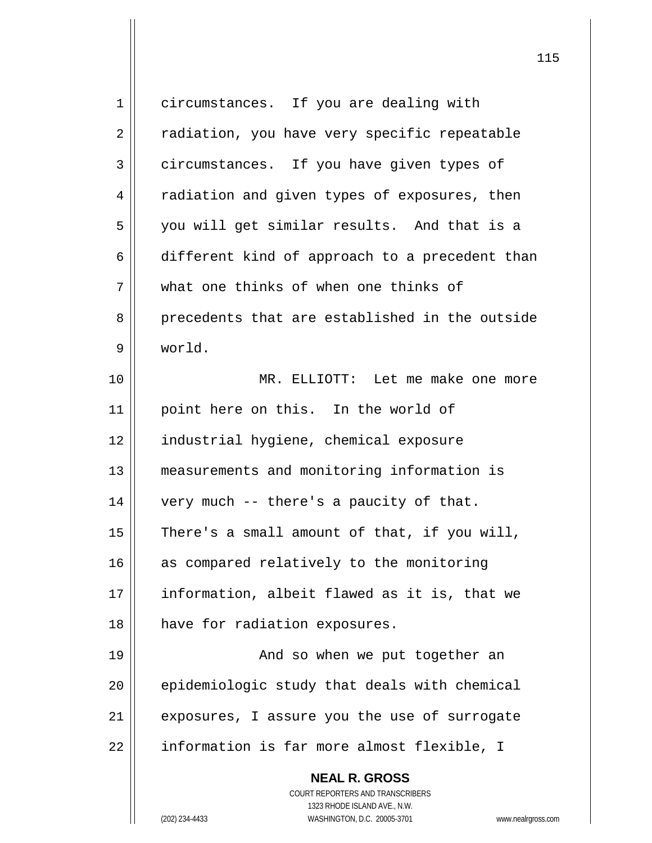**NEAL R. GROSS** COURT REPORTERS AND TRANSCRIBERS 1323 RHODE ISLAND AVE., N.W. (202) 234-4433 WASHINGTON, D.C. 20005-3701 www.nealrgross.com 1 circumstances. If you are dealing with 2 | radiation, you have very specific repeatable 3 circumstances. If you have given types of 4 | radiation and given types of exposures, then 5 you will get similar results. And that is a 6 | different kind of approach to a precedent than 7 what one thinks of when one thinks of 8 || precedents that are established in the outside 9 world. 10 MR. ELLIOTT: Let me make one more 11 point here on this. In the world of 12 industrial hygiene, chemical exposure 13 measurements and monitoring information is  $14$  | very much -- there's a paucity of that. 15  $\parallel$  There's a small amount of that, if you will, 16 || as compared relatively to the monitoring 17 || information, albeit flawed as it is, that we 18 || have for radiation exposures. 19 And so when we put together an  $20$  | epidemiologic study that deals with chemical 21 exposures, I assure you the use of surrogate 22 | information is far more almost flexible, I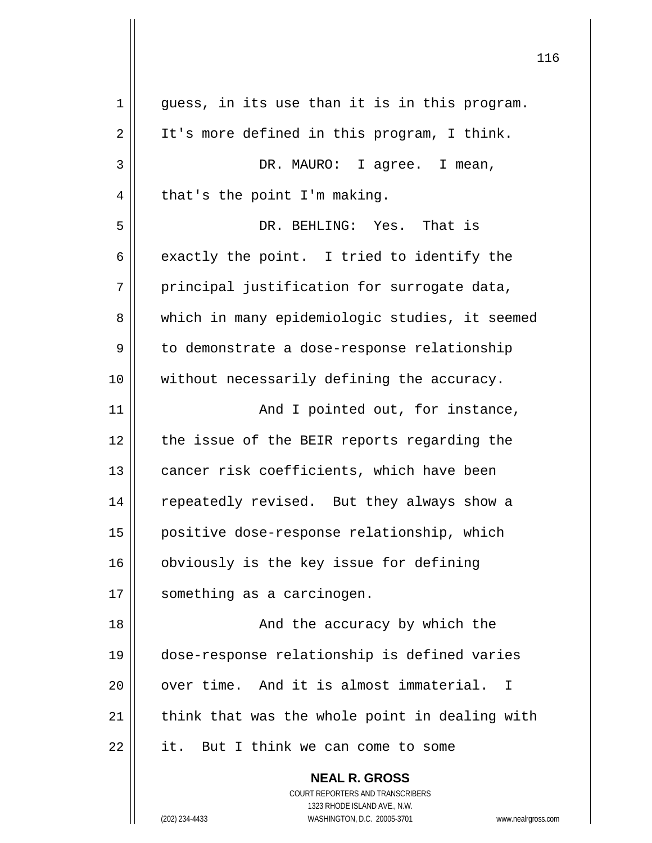**NEAL R. GROSS** COURT REPORTERS AND TRANSCRIBERS 1323 RHODE ISLAND AVE., N.W. (202) 234-4433 WASHINGTON, D.C. 20005-3701 www.nealrgross.com 116 1 guess, in its use than it is in this program. 2 | It's more defined in this program, I think. 3 || DR. MAURO: I agree. I mean,  $4 \parallel$  that's the point I'm making. 5 DR. BEHLING: Yes. That is  $6 \parallel$  exactly the point. I tried to identify the  $7$  || principal justification for surrogate data, 8 which in many epidemiologic studies, it seemed 9 | to demonstrate a dose-response relationship 10 || without necessarily defining the accuracy. 11 || And I pointed out, for instance, 12 || the issue of the BEIR reports regarding the 13 | cancer risk coefficients, which have been 14 || repeatedly revised. But they always show a 15 positive dose-response relationship, which 16 || obviously is the key issue for defining 17 | something as a carcinogen. 18 And the accuracy by which the 19 dose-response relationship is defined varies  $20$   $\vert$  over time. And it is almost immaterial. I  $21$  | think that was the whole point in dealing with 22 || it. But I think we can come to some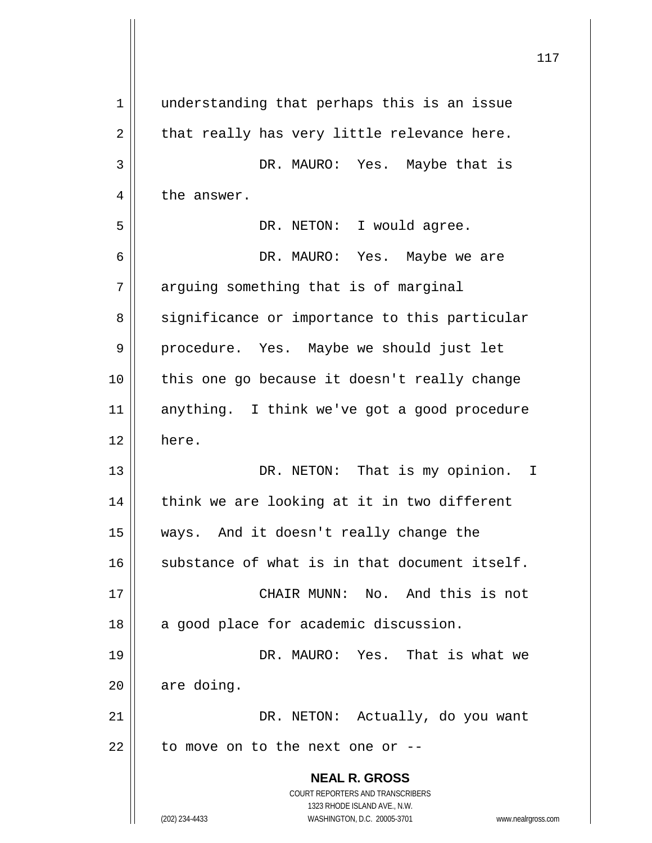**NEAL R. GROSS** COURT REPORTERS AND TRANSCRIBERS 1323 RHODE ISLAND AVE., N.W. (202) 234-4433 WASHINGTON, D.C. 20005-3701 www.nealrgross.com 1 understanding that perhaps this is an issue  $2 \parallel$  that really has very little relevance here. 3 DR. MAURO: Yes. Maybe that is  $4 \parallel$  the answer. 5 || DR. NETON: I would agree. 6 DR. MAURO: Yes. Maybe we are  $7 \parallel$  arguing something that is of marginal 8 || significance or importance to this particular 9 || procedure. Yes. Maybe we should just let 10 || this one go because it doesn't really change 11 anything. I think we've got a good procedure 12 here. 13 || DR. NETON: That is my opinion. I  $14$  | think we are looking at it in two different 15 ways. And it doesn't really change the  $16$  substance of what is in that document itself. 17 CHAIR MUNN: No. And this is not  $18$  || a good place for academic discussion. 19 DR. MAURO: Yes. That is what we  $20$  | are doing. 21 DR. NETON: Actually, do you want  $22$  | to move on to the next one or  $-$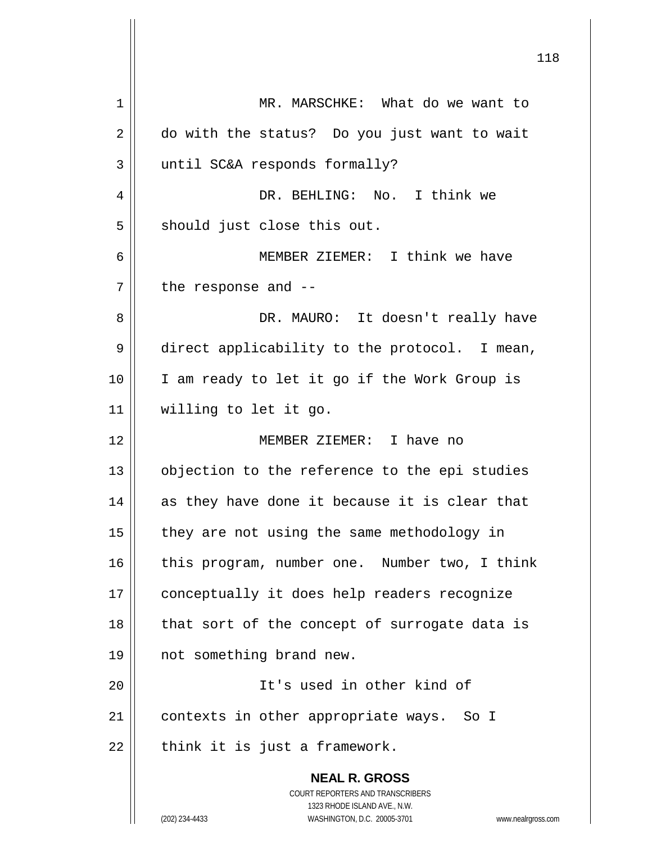|    | 118                                                                                                                                                             |
|----|-----------------------------------------------------------------------------------------------------------------------------------------------------------------|
|    |                                                                                                                                                                 |
| 1  | MR. MARSCHKE: What do we want to                                                                                                                                |
| 2  | do with the status? Do you just want to wait                                                                                                                    |
| 3  | until SC&A responds formally?                                                                                                                                   |
| 4  | DR. BEHLING: No. I think we                                                                                                                                     |
| 5  | should just close this out.                                                                                                                                     |
| 6  | MEMBER ZIEMER: I think we have                                                                                                                                  |
| 7  | the response and --                                                                                                                                             |
| 8  | DR. MAURO: It doesn't really have                                                                                                                               |
| 9  | direct applicability to the protocol. I mean,                                                                                                                   |
| 10 | I am ready to let it go if the Work Group is                                                                                                                    |
| 11 | willing to let it go.                                                                                                                                           |
| 12 | MEMBER ZIEMER: I have no                                                                                                                                        |
| 13 | objection to the reference to the epi studies                                                                                                                   |
| 14 | as they have done it because it is clear that                                                                                                                   |
| 15 | they are not using the same methodology in                                                                                                                      |
| 16 | this program, number one. Number two, I think                                                                                                                   |
| 17 | conceptually it does help readers recognize                                                                                                                     |
| 18 | that sort of the concept of surrogate data is                                                                                                                   |
| 19 | not something brand new.                                                                                                                                        |
| 20 | It's used in other kind of                                                                                                                                      |
| 21 | contexts in other appropriate ways. So I                                                                                                                        |
| 22 | think it is just a framework.                                                                                                                                   |
|    | <b>NEAL R. GROSS</b><br>COURT REPORTERS AND TRANSCRIBERS<br>1323 RHODE ISLAND AVE., N.W.<br>(202) 234-4433<br>WASHINGTON, D.C. 20005-3701<br>www.nealrgross.com |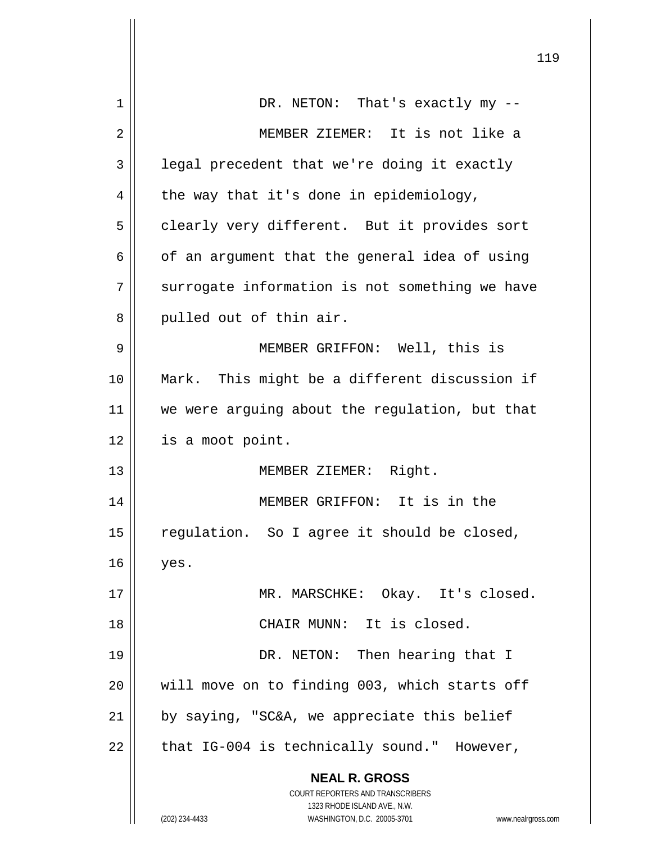|    | 119                                                                                                                                                             |
|----|-----------------------------------------------------------------------------------------------------------------------------------------------------------------|
|    |                                                                                                                                                                 |
| 1  | DR. NETON: That's exactly my --                                                                                                                                 |
| 2  | MEMBER ZIEMER: It is not like a                                                                                                                                 |
| 3  | legal precedent that we're doing it exactly                                                                                                                     |
| 4  | the way that it's done in epidemiology,                                                                                                                         |
| 5  | clearly very different. But it provides sort                                                                                                                    |
| 6  | of an argument that the general idea of using                                                                                                                   |
| 7  | surrogate information is not something we have                                                                                                                  |
| 8  | pulled out of thin air.                                                                                                                                         |
| 9  | MEMBER GRIFFON: Well, this is                                                                                                                                   |
| 10 | Mark. This might be a different discussion if                                                                                                                   |
| 11 | we were arguing about the regulation, but that                                                                                                                  |
| 12 | is a moot point.                                                                                                                                                |
| 13 | MEMBER ZIEMER: Right.                                                                                                                                           |
| 14 | MEMBER GRIFFON: It is in the                                                                                                                                    |
| 15 | regulation. So I agree it should be closed,                                                                                                                     |
| 16 | yes.                                                                                                                                                            |
| 17 | MR. MARSCHKE: Okay. It's closed.                                                                                                                                |
| 18 | CHAIR MUNN: It is closed.                                                                                                                                       |
| 19 | DR. NETON: Then hearing that I                                                                                                                                  |
| 20 | will move on to finding 003, which starts off                                                                                                                   |
| 21 | by saying, "SC&A, we appreciate this belief                                                                                                                     |
| 22 | that IG-004 is technically sound." However,                                                                                                                     |
|    | <b>NEAL R. GROSS</b><br>COURT REPORTERS AND TRANSCRIBERS<br>1323 RHODE ISLAND AVE., N.W.<br>(202) 234-4433<br>WASHINGTON, D.C. 20005-3701<br>www.nealrgross.com |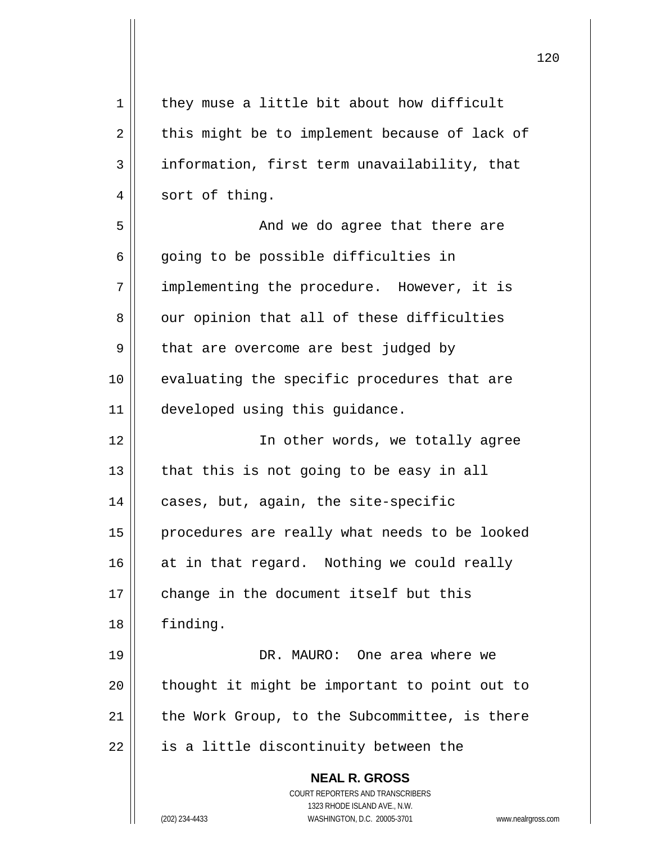**NEAL R. GROSS** COURT REPORTERS AND TRANSCRIBERS 1323 RHODE ISLAND AVE., N.W. (202) 234-4433 WASHINGTON, D.C. 20005-3701 www.nealrgross.com 1 || they muse a little bit about how difficult  $2 \parallel$  this might be to implement because of lack of 3 | information, first term unavailability, that 4 || sort of thing. 5 And we do agree that there are 6 || going to be possible difficulties in 7 | implementing the procedure. However, it is 8 || our opinion that all of these difficulties  $9 \parallel$  that are overcome are best judged by 10 evaluating the specific procedures that are 11 developed using this guidance. 12 In other words, we totally agree  $13 \parallel$  that this is not going to be easy in all 14 | cases, but, again, the site-specific 15 || procedures are really what needs to be looked 16 || at in that regard. Nothing we could really 17 || change in the document itself but this 18 finding. 19 DR. MAURO: One area where we  $20$  | thought it might be important to point out to  $21$  | the Work Group, to the Subcommittee, is there  $22$  || is a little discontinuity between the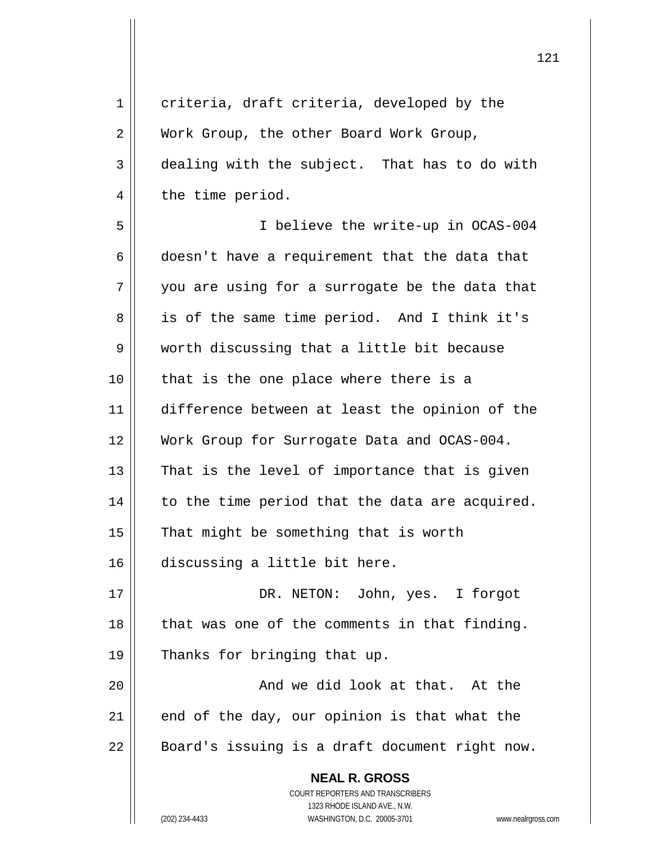**NEAL R. GROSS** COURT REPORTERS AND TRANSCRIBERS 1323 RHODE ISLAND AVE., N.W. 1 || criteria, draft criteria, developed by the 2 | Work Group, the other Board Work Group,  $3 \parallel$  dealing with the subject. That has to do with 4 | the time period. 5 I believe the write-up in OCAS-004  $6 \parallel$  doesn't have a requirement that the data that  $7 \parallel$  you are using for a surrogate be the data that 8 || is of the same time period. And I think it's 9 worth discussing that a little bit because  $10$  || that is the one place where there is a 11 difference between at least the opinion of the 12 Work Group for Surrogate Data and OCAS-004.  $13$  | That is the level of importance that is given 14  $\parallel$  to the time period that the data are acquired.  $15$  That might be something that is worth 16 discussing a little bit here. 17 DR. NETON: John, yes. I forgot  $18$  || that was one of the comments in that finding. 19  $\parallel$  Thanks for bringing that up. 20 || And we did look at that. At the  $21$  | end of the day, our opinion is that what the 22 || Board's issuing is a draft document right now.

(202) 234-4433 WASHINGTON, D.C. 20005-3701 www.nealrgross.com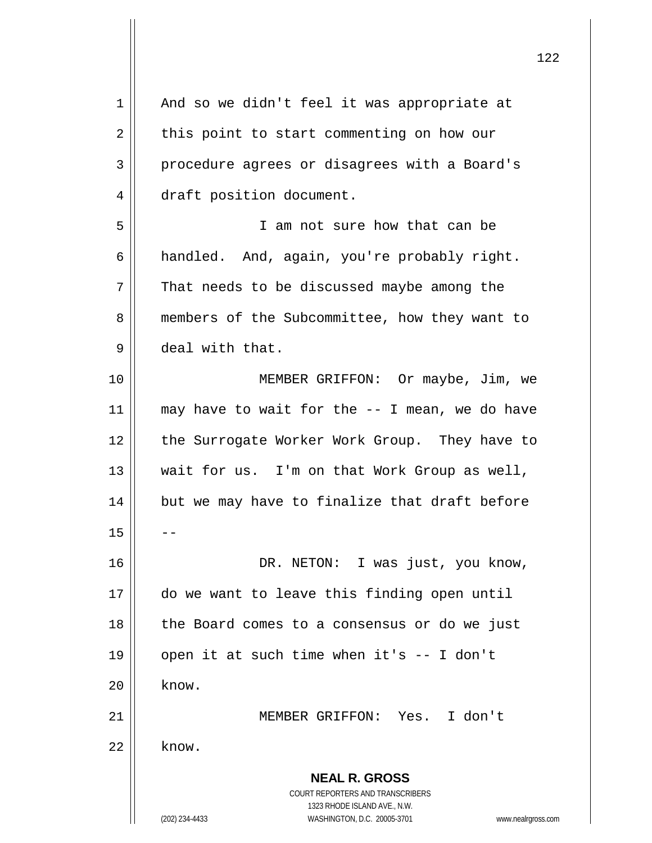**NEAL R. GROSS** COURT REPORTERS AND TRANSCRIBERS 1323 RHODE ISLAND AVE., N.W. (202) 234-4433 WASHINGTON, D.C. 20005-3701 www.nealrgross.com 1 || And so we didn't feel it was appropriate at  $2 \parallel$  this point to start commenting on how our 3 | procedure agrees or disagrees with a Board's 4 draft position document. 5 I am not sure how that can be 6 | handled. And, again, you're probably right.  $7$   $\parallel$  That needs to be discussed maybe among the 8 || members of the Subcommittee, how they want to 9 deal with that. 10 MEMBER GRIFFON: Or maybe, Jim, we 11 may have to wait for the -- I mean, we do have 12 || the Surrogate Worker Work Group. They have to 13 wait for us. I'm on that Work Group as well,  $14$  | but we may have to finalize that draft before  $15$ 16 || DR. NETON: I was just, you know, 17 do we want to leave this finding open until 18 || the Board comes to a consensus or do we just 19  $\vert\vert$  open it at such time when it's -- I don't  $20$  | know. 21 MEMBER GRIFFON: Yes. I don't  $22 \parallel$  know.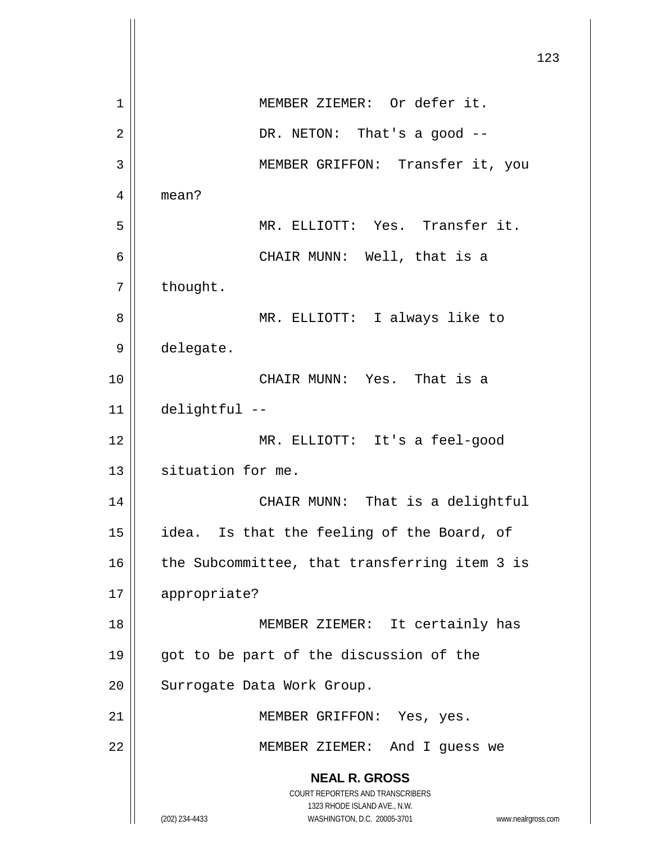|                | 123                                                                 |
|----------------|---------------------------------------------------------------------|
| 1              | MEMBER ZIEMER: Or defer it.                                         |
| $\overline{2}$ | DR. NETON: That's a good --                                         |
| 3              | MEMBER GRIFFON: Transfer it, you                                    |
| 4              | mean?                                                               |
| 5              | MR. ELLIOTT: Yes. Transfer it.                                      |
| 6              | CHAIR MUNN: Well, that is a                                         |
| 7              | thought.                                                            |
| 8              | MR. ELLIOTT: I always like to                                       |
| 9              | delegate.                                                           |
| 10             | CHAIR MUNN: Yes. That is a                                          |
| 11             | delightful --                                                       |
| 12             | MR. ELLIOTT: It's a feel-good                                       |
| 13             | situation for me.                                                   |
| 14             | CHAIR MUNN: That is a delightful                                    |
| 15             | idea. Is that the feeling of the Board, of                          |
| 16             | the Subcommittee, that transferring item 3 is                       |
| 17             | appropriate?                                                        |
| 18             | MEMBER ZIEMER: It certainly has                                     |
| 19             | got to be part of the discussion of the                             |
| 20             | Surrogate Data Work Group.                                          |
| 21             | MEMBER GRIFFON: Yes, yes.                                           |
| 22             | MEMBER ZIEMER: And I guess we                                       |
|                | <b>NEAL R. GROSS</b>                                                |
|                | COURT REPORTERS AND TRANSCRIBERS<br>1323 RHODE ISLAND AVE., N.W.    |
|                | (202) 234-4433<br>WASHINGTON, D.C. 20005-3701<br>www.nealrgross.com |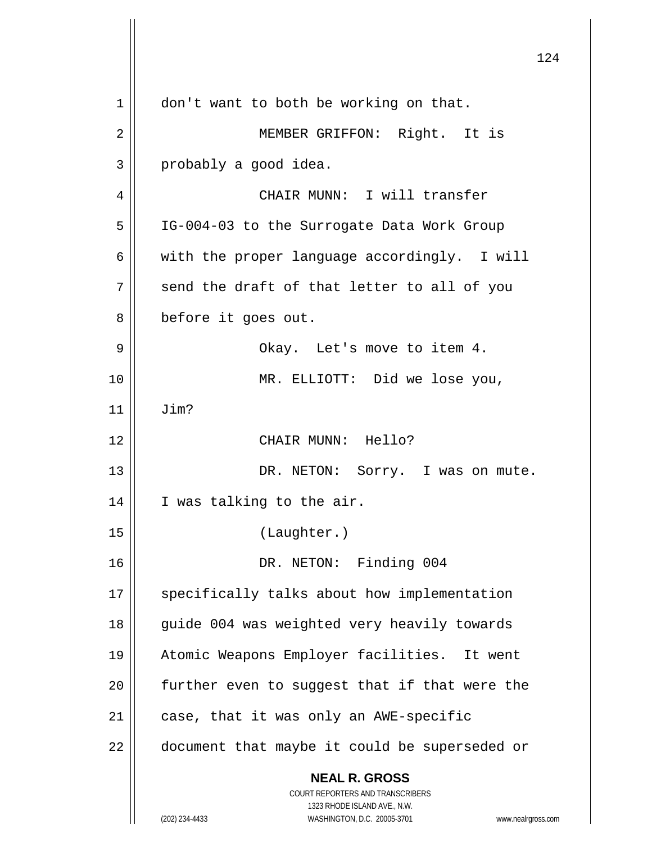**NEAL R. GROSS** COURT REPORTERS AND TRANSCRIBERS 1323 RHODE ISLAND AVE., N.W. (202) 234-4433 WASHINGTON, D.C. 20005-3701 www.nealrgross.com 1 || don't want to both be working on that. 2 || MEMBER GRIFFON: Right. It is  $3 \parallel$  probably a good idea. 4 CHAIR MUNN: I will transfer 5 IG-004-03 to the Surrogate Data Work Group  $6 \parallel$  with the proper language accordingly. I will  $7||$  send the draft of that letter to all of you 8 | before it goes out. 9 Okay. Let's move to item 4. 10 MR. ELLIOTT: Did we lose you, 11 Jim? 12 CHAIR MUNN: Hello? 13 DR. NETON: Sorry. I was on mute. 14 || I was talking to the air. 15 (Laughter.) 16 || DR. NETON: Finding 004 17 || specifically talks about how implementation 18 || guide 004 was weighted very heavily towards 19 Atomic Weapons Employer facilities. It went  $20$  | further even to suggest that if that were the  $21$  | case, that it was only an AWE-specific 22 || document that maybe it could be superseded or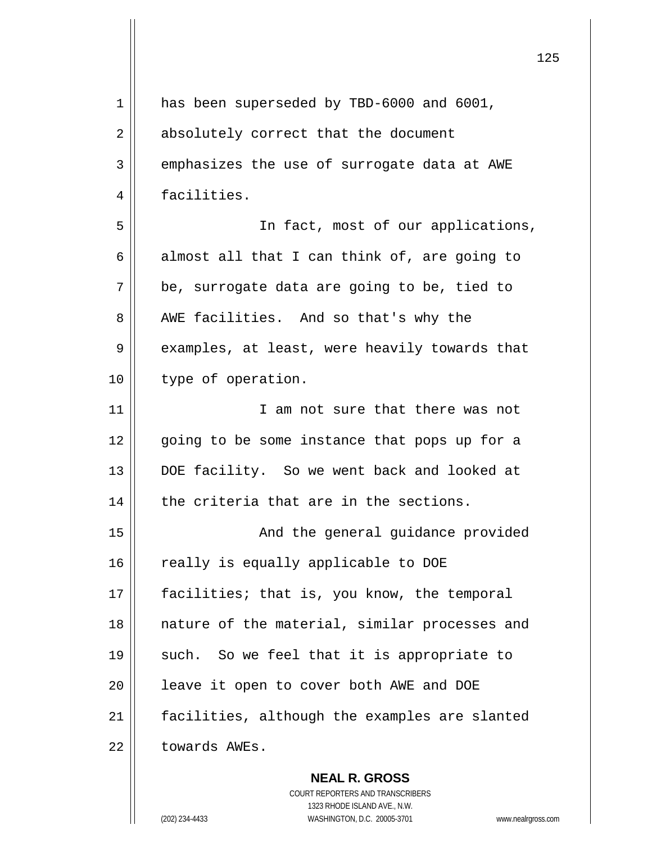| 1  | has been superseded by TBD-6000 and 6001,     |
|----|-----------------------------------------------|
| 2  | absolutely correct that the document          |
| 3  | emphasizes the use of surrogate data at AWE   |
| 4  | facilities.                                   |
| 5  | In fact, most of our applications,            |
| 6  | almost all that I can think of, are going to  |
| 7  | be, surrogate data are going to be, tied to   |
| 8  | AWE facilities. And so that's why the         |
| 9  | examples, at least, were heavily towards that |
| 10 | type of operation.                            |
| 11 | I am not sure that there was not              |
| 12 | going to be some instance that pops up for a  |
| 13 | DOE facility. So we went back and looked at   |
| 14 | the criteria that are in the sections.        |
| 15 | And the general guidance provided             |
| 16 | really is equally applicable to DOE           |
| 17 | facilities; that is, you know, the temporal   |
| 18 | nature of the material, similar processes and |
| 19 | such. So we feel that it is appropriate to    |
| 20 | leave it open to cover both AWE and DOE       |
| 21 | facilities, although the examples are slanted |
| 22 | towards AWEs.                                 |
|    | <b>NEAL R. GROSS</b>                          |

COURT REPORTERS AND TRANSCRIBERS 1323 RHODE ISLAND AVE., N.W. (202) 234-4433 WASHINGTON, D.C. 20005-3701 www.nealrgross.com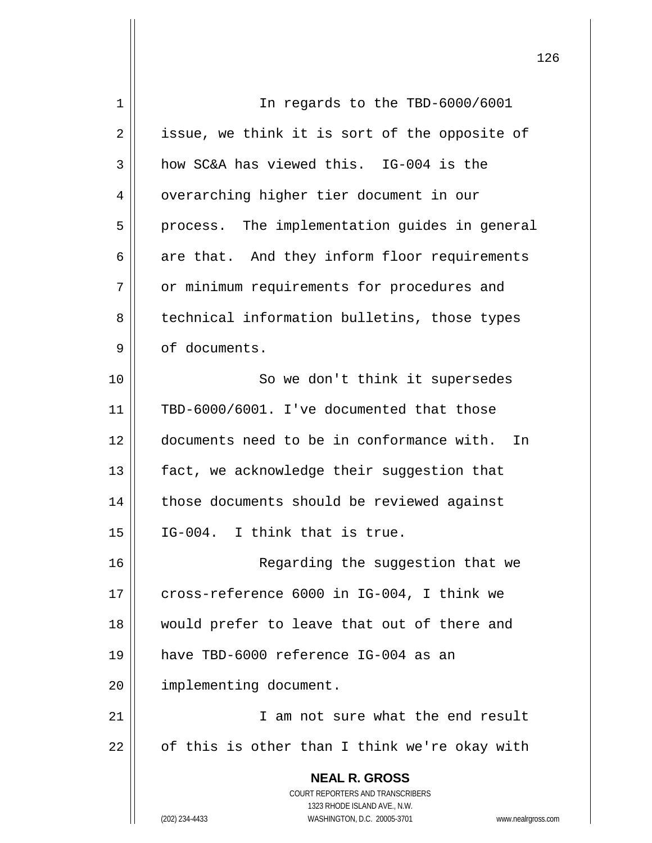|    | 126                                                                 |
|----|---------------------------------------------------------------------|
| 1  | In regards to the TBD-6000/6001                                     |
| 2  | issue, we think it is sort of the opposite of                       |
| 3  | how SC&A has viewed this. IG-004 is the                             |
| 4  | overarching higher tier document in our                             |
| 5  | process. The implementation guides in general                       |
| 6  | are that. And they inform floor requirements                        |
| 7  | or minimum requirements for procedures and                          |
| 8  | technical information bulletins, those types                        |
| 9  | of documents.                                                       |
| 10 | So we don't think it supersedes                                     |
| 11 | TBD-6000/6001. I've documented that those                           |
| 12 | documents need to be in conformance with.<br>In                     |
| 13 | fact, we acknowledge their suggestion that                          |
| 14 | those documents should be reviewed against                          |
| 15 | IG-004. I think that is true.                                       |
| 16 | Regarding the suggestion that we                                    |
| 17 | cross-reference 6000 in IG-004, I think we                          |
| 18 | would prefer to leave that out of there and                         |
| 19 | have TBD-6000 reference IG-004 as an                                |
| 20 | implementing document.                                              |
| 21 | I am not sure what the end result                                   |
| 22 | of this is other than I think we're okay with                       |
|    | <b>NEAL R. GROSS</b>                                                |
|    | COURT REPORTERS AND TRANSCRIBERS<br>1323 RHODE ISLAND AVE., N.W.    |
|    | (202) 234-4433<br>WASHINGTON, D.C. 20005-3701<br>www.nealrgross.com |

 $\mathsf{I}$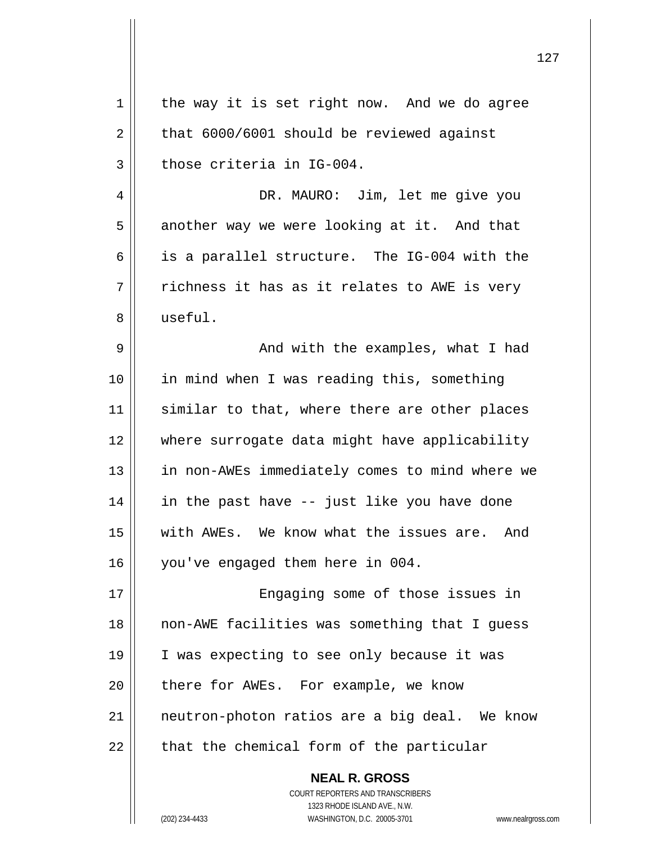| $\mathbf 1$ | the way it is set right now. And we do agree                        |
|-------------|---------------------------------------------------------------------|
| 2           | that 6000/6001 should be reviewed against                           |
| 3           | those criteria in IG-004.                                           |
| 4           | DR. MAURO: Jim, let me give you                                     |
| 5           | another way we were looking at it. And that                         |
| 6           | is a parallel structure. The IG-004 with the                        |
| 7           | richness it has as it relates to AWE is very                        |
| 8           | useful.                                                             |
| 9           | And with the examples, what I had                                   |
| 10          | in mind when I was reading this, something                          |
| 11          | similar to that, where there are other places                       |
| 12          | where surrogate data might have applicability                       |
| 13          | in non-AWEs immediately comes to mind where we                      |
| 14          | in the past have -- just like you have done                         |
| 15          | with AWEs. We know what the issues are. And                         |
| 16          | you've engaged them here in 004.                                    |
| 17          | Engaging some of those issues in                                    |
| 18          | non-AWE facilities was something that I guess                       |
| 19          | I was expecting to see only because it was                          |
| 20          | there for AWEs. For example, we know                                |
| 21          | neutron-photon ratios are a big deal. We know                       |
| 22          | that the chemical form of the particular                            |
|             | <b>NEAL R. GROSS</b>                                                |
|             | COURT REPORTERS AND TRANSCRIBERS                                    |
|             | 1323 RHODE ISLAND AVE., N.W.                                        |
|             | WASHINGTON, D.C. 20005-3701<br>(202) 234-4433<br>www.nealrgross.com |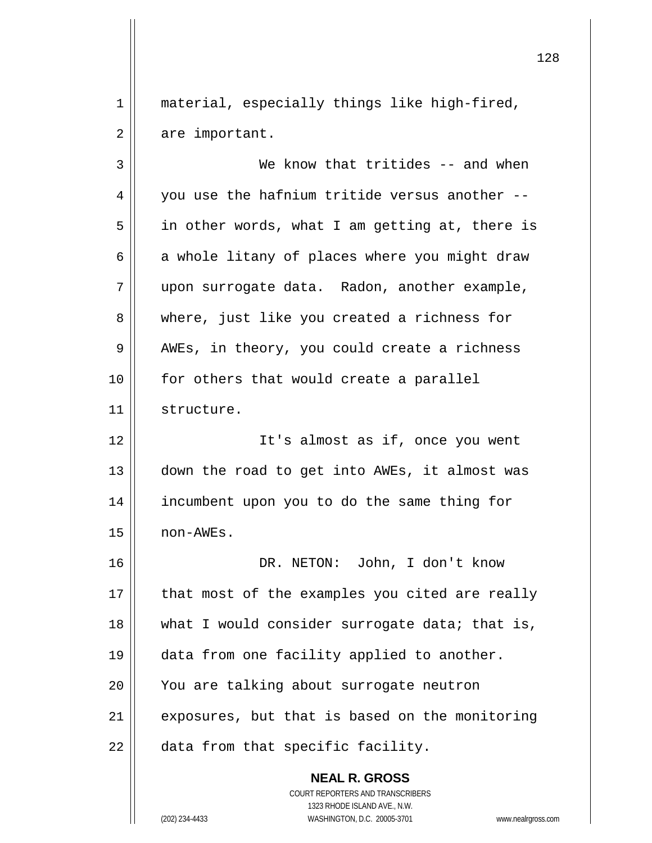1 || material, especially things like high-fired,  $2 \parallel$  are important.

**NEAL R. GROSS** COURT REPORTERS AND TRANSCRIBERS 3 We know that tritides -- and when  $4 \parallel$  you use the hafnium tritide versus another  $5 \parallel$  in other words, what I am getting at, there is  $6 \parallel$  a whole litany of places where you might draw 7 upon surrogate data. Radon, another example, 8 || where, just like you created a richness for 9 || AWEs, in theory, you could create a richness 10 || for others that would create a parallel 11 structure. 12 || It's almost as if, once you went 13 down the road to get into AWEs, it almost was 14 incumbent upon you to do the same thing for 15 non-AWEs. 16 DR. NETON: John, I don't know  $17$  || that most of the examples you cited are really  $18$  || what I would consider surrogate data; that is, 19 data from one facility applied to another. 20 || You are talking about surrogate neutron 21 exposures, but that is based on the monitoring  $22$  | data from that specific facility.

1323 RHODE ISLAND AVE., N.W.

(202) 234-4433 WASHINGTON, D.C. 20005-3701 www.nealrgross.com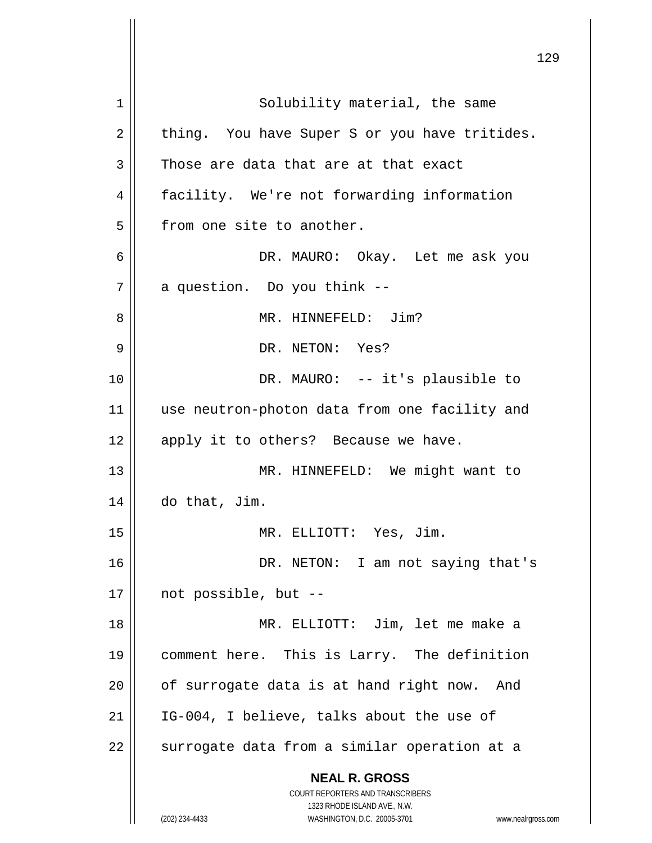|    | 129                                                                                             |
|----|-------------------------------------------------------------------------------------------------|
| 1  | Solubility material, the same                                                                   |
| 2  | thing. You have Super S or you have tritides.                                                   |
| 3  | Those are data that are at that exact                                                           |
| 4  | facility. We're not forwarding information                                                      |
| 5  | from one site to another.                                                                       |
| 6  | DR. MAURO: Okay. Let me ask you                                                                 |
| 7  | a question. Do you think --                                                                     |
| 8  | MR. HINNEFELD: Jim?                                                                             |
| 9  | DR. NETON: Yes?                                                                                 |
| 10 | DR. MAURO: -- it's plausible to                                                                 |
| 11 | use neutron-photon data from one facility and                                                   |
| 12 | apply it to others? Because we have.                                                            |
| 13 | MR. HINNEFELD: We might want to                                                                 |
| 14 | do that, Jim.                                                                                   |
| 15 | MR. ELLIOTT: Yes, Jim.                                                                          |
| 16 | DR. NETON: I am not saying that's                                                               |
| 17 | not possible, but --                                                                            |
| 18 | MR. ELLIOTT: Jim, let me make a                                                                 |
| 19 | comment here. This is Larry. The definition                                                     |
| 20 | of surrogate data is at hand right now. And                                                     |
| 21 | IG-004, I believe, talks about the use of                                                       |
| 22 | surrogate data from a similar operation at a                                                    |
|    | <b>NEAL R. GROSS</b><br><b>COURT REPORTERS AND TRANSCRIBERS</b><br>1323 RHODE ISLAND AVE., N.W. |
|    | (202) 234-4433<br>WASHINGTON, D.C. 20005-3701<br>www.nealrgross.com                             |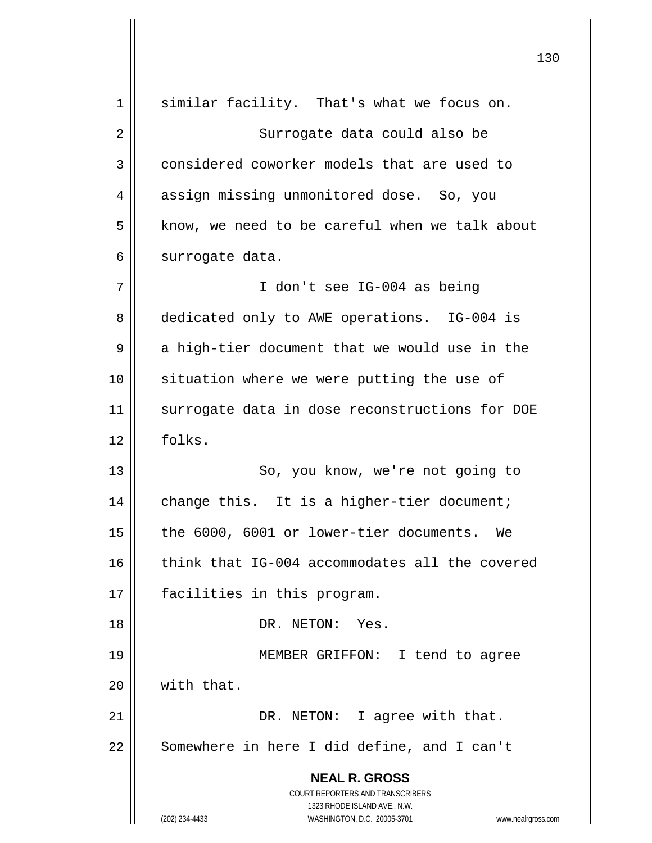**NEAL R. GROSS** COURT REPORTERS AND TRANSCRIBERS 1323 RHODE ISLAND AVE., N.W. (202) 234-4433 WASHINGTON, D.C. 20005-3701 www.nealrgross.com 1 || similar facility. That's what we focus on. 2 || Surrogate data could also be 3 | considered coworker models that are used to 4 | assign missing unmonitored dose. So, you  $5$  know, we need to be careful when we talk about  $6 \parallel$  surrogate data. 7 I don't see IG-004 as being 8 | dedicated only to AWE operations. IG-004 is  $9 \parallel$  a high-tier document that we would use in the 10 || situation where we were putting the use of 11 surrogate data in dose reconstructions for DOE 12 folks. 13 || So, you know, we're not going to  $14$  | change this. It is a higher-tier document; 15 || the 6000, 6001 or lower-tier documents. We 16 think that IG-004 accommodates all the covered 17 | facilities in this program. 18 || DR. NETON: Yes. 19 MEMBER GRIFFON: I tend to agree  $20$  with that. 21 || DR. NETON: I agree with that. 22 || Somewhere in here I did define, and I can't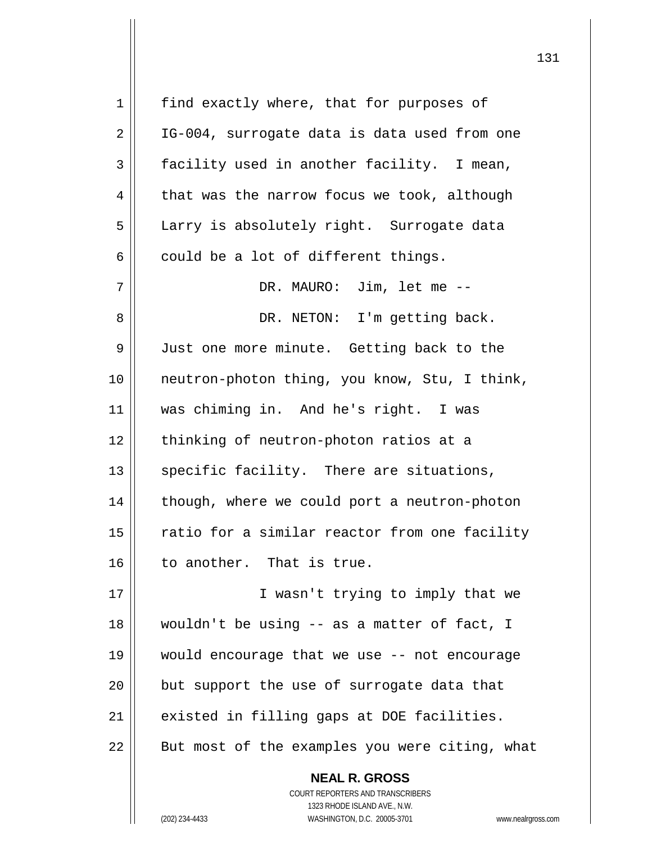**NEAL R. GROSS** COURT REPORTERS AND TRANSCRIBERS 1 find exactly where, that for purposes of 2 | IG-004, surrogate data is data used from one 3 | facility used in another facility. I mean,  $4 \parallel$  that was the narrow focus we took, although 5 | Larry is absolutely right. Surrogate data  $6 \parallel$  could be a lot of different things. 7 DR. MAURO: Jim, let me -- 8 DR. NETON: I'm getting back. 9 | Just one more minute. Getting back to the 10 neutron-photon thing, you know, Stu, I think, 11 was chiming in. And he's right. I was 12 || thinking of neutron-photon ratios at a 13 || specific facility. There are situations, 14 || though, where we could port a neutron-photon 15  $\parallel$  ratio for a similar reactor from one facility 16 || to another. That is true. 17 || I wasn't trying to imply that we 18 wouldn't be using -- as a matter of fact, I 19 would encourage that we use -- not encourage 20 || but support the use of surrogate data that 21 || existed in filling gaps at DOE facilities. 22 || But most of the examples you were citing, what

1323 RHODE ISLAND AVE., N.W.

(202) 234-4433 WASHINGTON, D.C. 20005-3701 www.nealrgross.com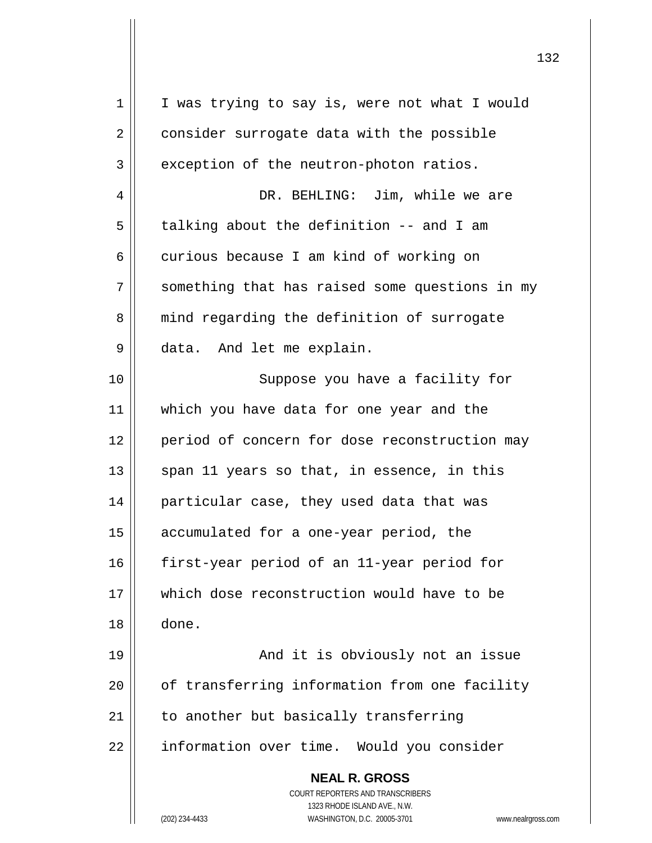**NEAL R. GROSS** COURT REPORTERS AND TRANSCRIBERS 1323 RHODE ISLAND AVE., N.W. (202) 234-4433 WASHINGTON, D.C. 20005-3701 www.nealrgross.com 1 I was trying to say is, were not what I would 2 | consider surrogate data with the possible  $3 \parallel$  exception of the neutron-photon ratios. 4 DR. BEHLING: Jim, while we are  $5 \parallel$  talking about the definition -- and I am  $6 \parallel$  curious because I am kind of working on  $7 \parallel$  something that has raised some questions in my 8 || mind regarding the definition of surrogate 9 data. And let me explain. 10 || Suppose you have a facility for 11 which you have data for one year and the 12 | period of concern for dose reconstruction may 13 || span 11 years so that, in essence, in this 14 || particular case, they used data that was 15 accumulated for a one-year period, the 16 first-year period of an 11-year period for 17 which dose reconstruction would have to be 18 done. 19 And it is obviously not an issue 20 | of transferring information from one facility 21 | to another but basically transferring 22 | information over time. Would you consider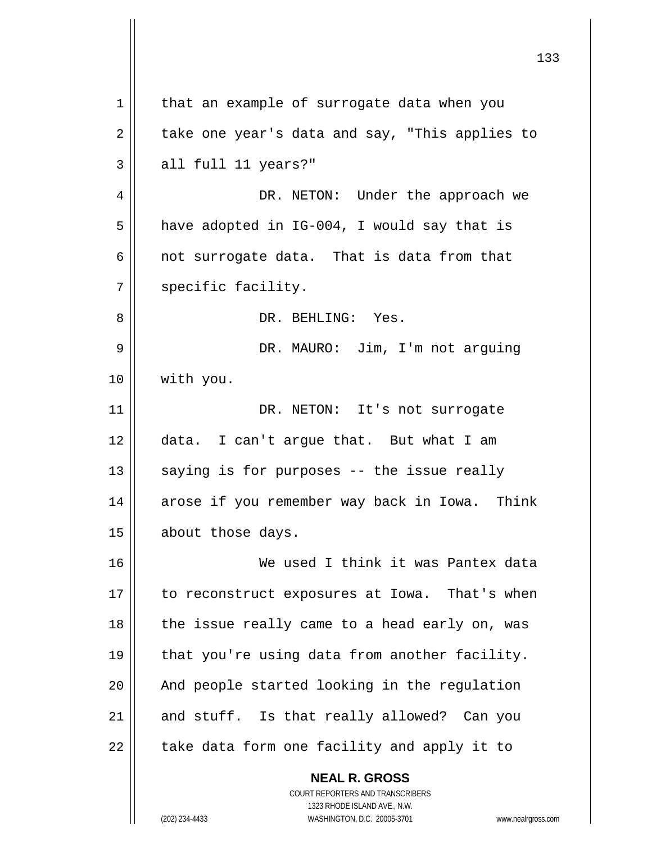**NEAL R. GROSS** COURT REPORTERS AND TRANSCRIBERS 1323 RHODE ISLAND AVE., N.W. (202) 234-4433 WASHINGTON, D.C. 20005-3701 www.nealrgross.com 133 1 that an example of surrogate data when you  $2 \parallel$  take one year's data and say, "This applies to  $3 \parallel$  all full 11 years?" 4 DR. NETON: Under the approach we  $5 \parallel$  have adopted in IG-004, I would say that is  $6 \parallel$  not surrogate data. That is data from that 7 | specific facility. 8 || DR. BEHLING: Yes. 9 DR. MAURO: Jim, I'm not arguing 10 with you. 11 DR. NETON: It's not surrogate 12 data. I can't argue that. But what I am  $13 \parallel$  saying is for purposes -- the issue really 14 || arose if you remember way back in Iowa. Think  $15$  about those days. 16 We used I think it was Pantex data 17 || to reconstruct exposures at Iowa. That's when 18 || the issue really came to a head early on, was 19  $\parallel$  that you're using data from another facility.  $20$  | And people started looking in the regulation 21 || and stuff. Is that really allowed? Can you  $22$  || take data form one facility and apply it to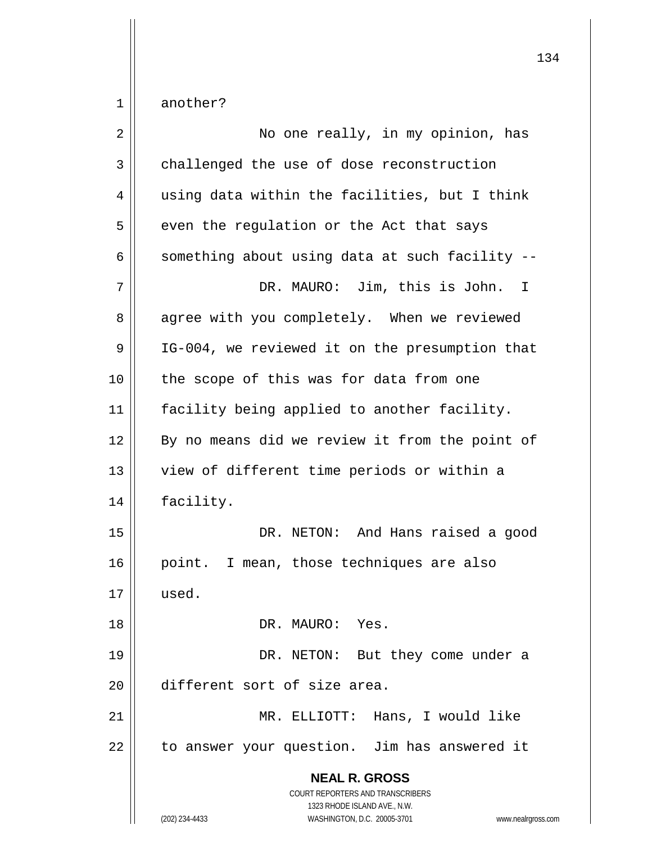$1 \parallel$  another?

| $\overline{2}$ | No one really, in my opinion, has                                                                                                                                      |
|----------------|------------------------------------------------------------------------------------------------------------------------------------------------------------------------|
| 3              | challenged the use of dose reconstruction                                                                                                                              |
| 4              | using data within the facilities, but I think                                                                                                                          |
| 5              | even the regulation or the Act that says                                                                                                                               |
| 6              | something about using data at such facility --                                                                                                                         |
| 7              | DR. MAURO: Jim, this is John. I                                                                                                                                        |
| 8              | agree with you completely. When we reviewed                                                                                                                            |
| 9              | IG-004, we reviewed it on the presumption that                                                                                                                         |
| 10             | the scope of this was for data from one                                                                                                                                |
| 11             | facility being applied to another facility.                                                                                                                            |
| 12             | By no means did we review it from the point of                                                                                                                         |
| 13             | view of different time periods or within a                                                                                                                             |
| 14             | facility.                                                                                                                                                              |
| 15             | DR. NETON: And Hans raised a good                                                                                                                                      |
| 16             | point. I mean, those techniques are also                                                                                                                               |
| 17             | used.                                                                                                                                                                  |
| 18             | DR. MAURO: Yes.                                                                                                                                                        |
| 19             | DR. NETON: But they come under a                                                                                                                                       |
| 20             | different sort of size area.                                                                                                                                           |
| 21             | MR. ELLIOTT: Hans, I would like                                                                                                                                        |
| 22             | to answer your question. Jim has answered it                                                                                                                           |
|                | <b>NEAL R. GROSS</b><br><b>COURT REPORTERS AND TRANSCRIBERS</b><br>1323 RHODE ISLAND AVE., N.W.<br>(202) 234-4433<br>WASHINGTON, D.C. 20005-3701<br>www.nealrgross.com |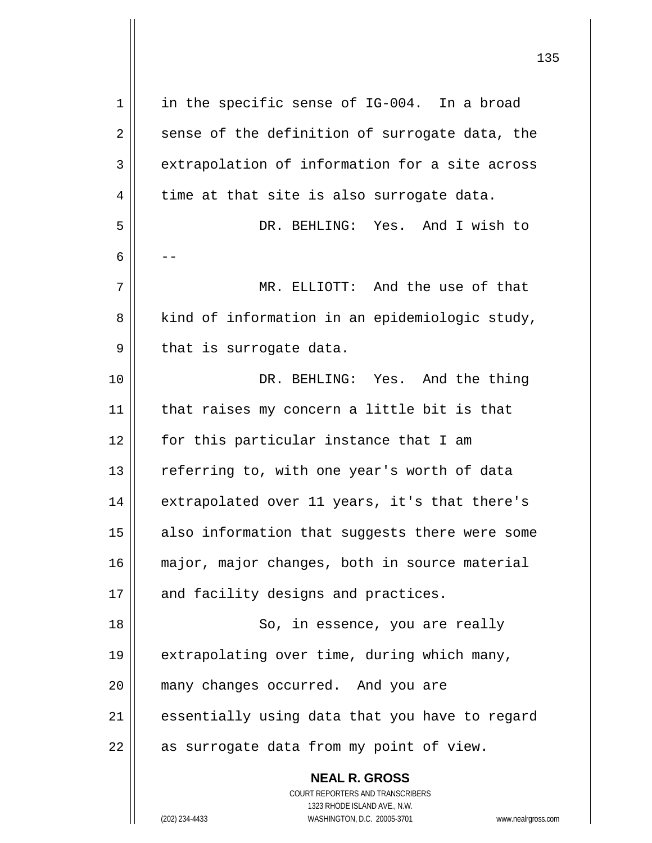**NEAL R. GROSS** COURT REPORTERS AND TRANSCRIBERS 1323 RHODE ISLAND AVE., N.W. 1 || in the specific sense of IG-004. In a broad  $2 \parallel$  sense of the definition of surrogate data, the 3 extrapolation of information for a site across  $4 \parallel$  time at that site is also surrogate data. 5 DR. BEHLING: Yes. And I wish to 6  $| - -$ 7 MR. ELLIOTT: And the use of that 8 || kind of information in an epidemiologic study,  $9 \parallel$  that is surrogate data. 10 DR. BEHLING: Yes. And the thing 11 that raises my concern a little bit is that 12 | for this particular instance that I am 13 || referring to, with one year's worth of data 14 || extrapolated over 11 years, it's that there's  $15$  also information that suggests there were some 16 major, major changes, both in source material 17 || and facility designs and practices. 18 So, in essence, you are really 19  $\parallel$  extrapolating over time, during which many, 20 || many changes occurred. And you are 21 || essentially using data that you have to regard  $22$  | as surrogate data from my point of view.

(202) 234-4433 WASHINGTON, D.C. 20005-3701 www.nealrgross.com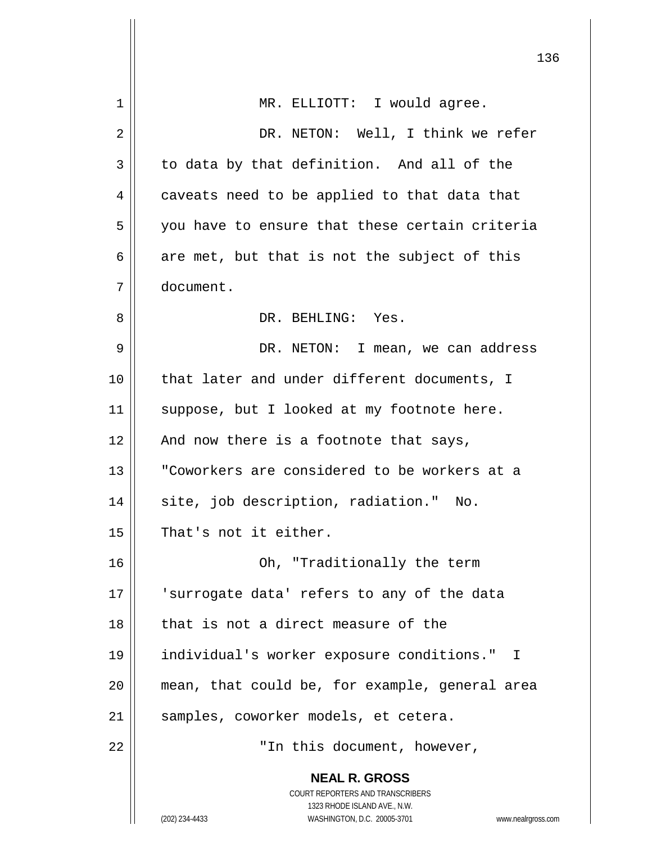|    | 136                                                                                      |
|----|------------------------------------------------------------------------------------------|
| 1  | MR. ELLIOTT: I would agree.                                                              |
| 2  | DR. NETON: Well, I think we refer                                                        |
| 3  | to data by that definition. And all of the                                               |
| 4  | caveats need to be applied to that data that                                             |
| 5  | you have to ensure that these certain criteria                                           |
| 6  | are met, but that is not the subject of this                                             |
| 7  | document.                                                                                |
| 8  | DR. BEHLING: Yes.                                                                        |
| 9  | DR. NETON: I mean, we can address                                                        |
| 10 | that later and under different documents, I                                              |
| 11 | suppose, but I looked at my footnote here.                                               |
| 12 | And now there is a footnote that says,                                                   |
| 13 | "Coworkers are considered to be workers at a                                             |
| 14 | site, job description, radiation."<br>No.                                                |
| 15 | That's not it either.                                                                    |
| 16 | Oh, "Traditionally the term                                                              |
| 17 | 'surrogate data' refers to any of the data                                               |
| 18 | that is not a direct measure of the                                                      |
| 19 | individual's worker exposure conditions." I                                              |
| 20 | mean, that could be, for example, general area                                           |
| 21 | samples, coworker models, et cetera.                                                     |
| 22 | "In this document, however,                                                              |
|    | <b>NEAL R. GROSS</b><br>COURT REPORTERS AND TRANSCRIBERS<br>1323 RHODE ISLAND AVE., N.W. |
|    | (202) 234-4433<br>WASHINGTON, D.C. 20005-3701<br>www.nealrgross.com                      |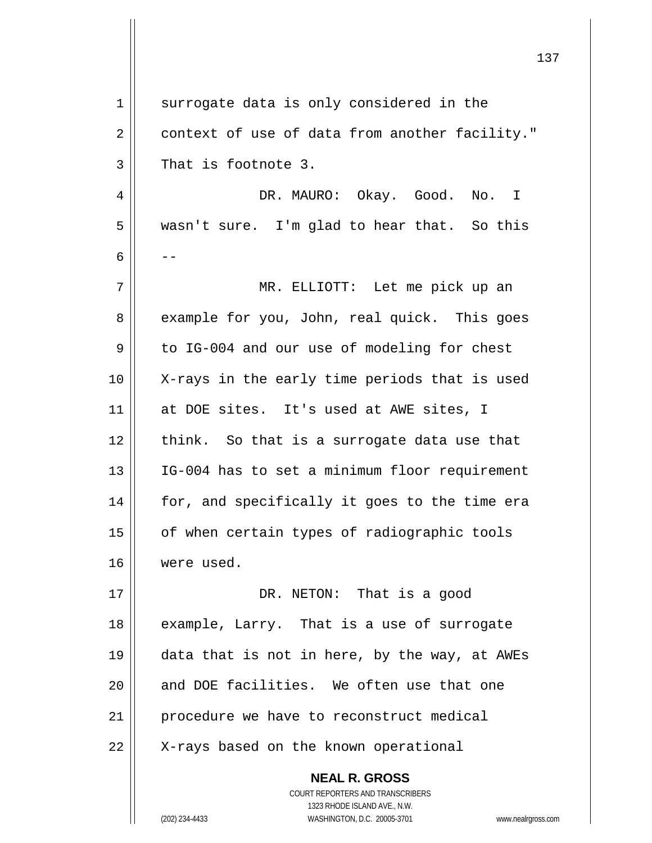**NEAL R. GROSS** COURT REPORTERS AND TRANSCRIBERS 137 1 surrogate data is only considered in the 2 context of use of data from another facility."  $3$  That is footnote 3. 4 DR. MAURO: Okay. Good. No. I  $5 \parallel$  wasn't sure. I'm glad to hear that. So this 6  $| - -$ 7 MR. ELLIOTT: Let me pick up an 8 || example for you, John, real quick. This goes 9 do IG-004 and our use of modeling for chest 10 X-rays in the early time periods that is used 11 at DOE sites. It's used at AWE sites, I  $12$  || think. So that is a surrogate data use that 13 || IG-004 has to set a minimum floor requirement 14 for, and specifically it goes to the time era 15 | of when certain types of radiographic tools 16 were used. 17 DR. NETON: That is a good 18 || example, Larry. That is a use of surrogate 19  $\parallel$  data that is not in here, by the way, at AWEs 20 || and DOE facilities. We often use that one 21 || procedure we have to reconstruct medical 22 | X-rays based on the known operational

1323 RHODE ISLAND AVE., N.W.

(202) 234-4433 WASHINGTON, D.C. 20005-3701 www.nealrgross.com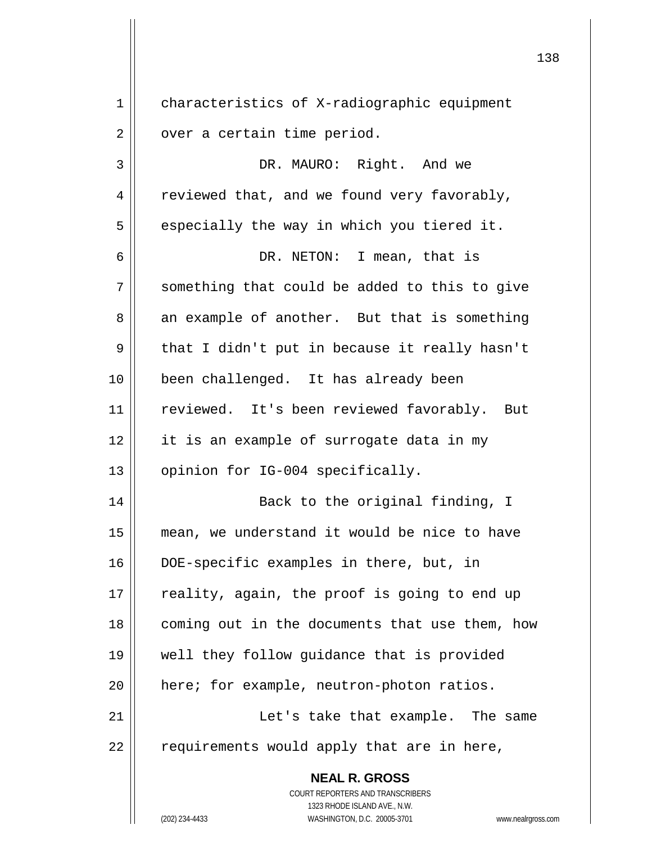**NEAL R. GROSS** COURT REPORTERS AND TRANSCRIBERS 1323 RHODE ISLAND AVE., N.W. (202) 234-4433 WASHINGTON, D.C. 20005-3701 www.nealrgross.com 138 1 characteristics of X-radiographic equipment  $2 \parallel$  over a certain time period. 3 | DR. MAURO: Right. And we  $4 \parallel$  reviewed that, and we found very favorably,  $5$  | especially the way in which you tiered it. 6 DR. NETON: I mean, that is  $7 \parallel$  something that could be added to this to give  $8 \parallel$  an example of another. But that is something 9 || that I didn't put in because it really hasn't 10 been challenged. It has already been 11 reviewed. It's been reviewed favorably. But 12 || it is an example of surrogate data in my 13 || opinion for IG-004 specifically. 14 || Back to the original finding, I 15 mean, we understand it would be nice to have 16 DOE-specific examples in there, but, in  $17$  | reality, again, the proof is going to end up 18 || coming out in the documents that use them, how 19 well they follow guidance that is provided 20 | here; for example, neutron-photon ratios. 21 || Let's take that example. The same  $22$  || requirements would apply that are in here,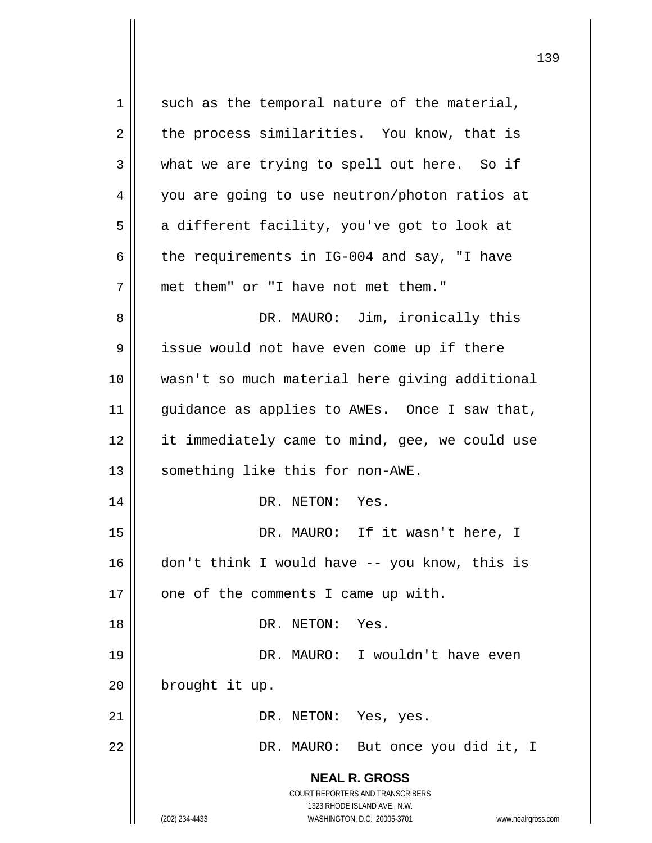**NEAL R. GROSS** COURT REPORTERS AND TRANSCRIBERS 1323 RHODE ISLAND AVE., N.W. (202) 234-4433 WASHINGTON, D.C. 20005-3701 www.nealrgross.com 1 || such as the temporal nature of the material,  $2 \parallel$  the process similarities. You know, that is 3 || what we are trying to spell out here. So if 4 || you are going to use neutron/photon ratios at 5 a different facility, you've got to look at 6  $\parallel$  the requirements in IG-004 and say, "I have 7 met them" or "I have not met them." 8 DR. MAURO: Jim, ironically this 9 || issue would not have even come up if there 10 wasn't so much material here giving additional 11 || guidance as applies to AWEs. Once I saw that, 12 it immediately came to mind, gee, we could use 13 || something like this for non-AWE. 14 || DR. NETON: Yes. 15 DR. MAURO: If it wasn't here, I 16 don't think I would have -- you know, this is  $17$  | one of the comments I came up with. 18 || DR. NETON: Yes. 19 DR. MAURO: I wouldn't have even  $20$  | brought it up. 21 || DR. NETON: Yes, yes. 22 DR. MAURO: But once you did it, I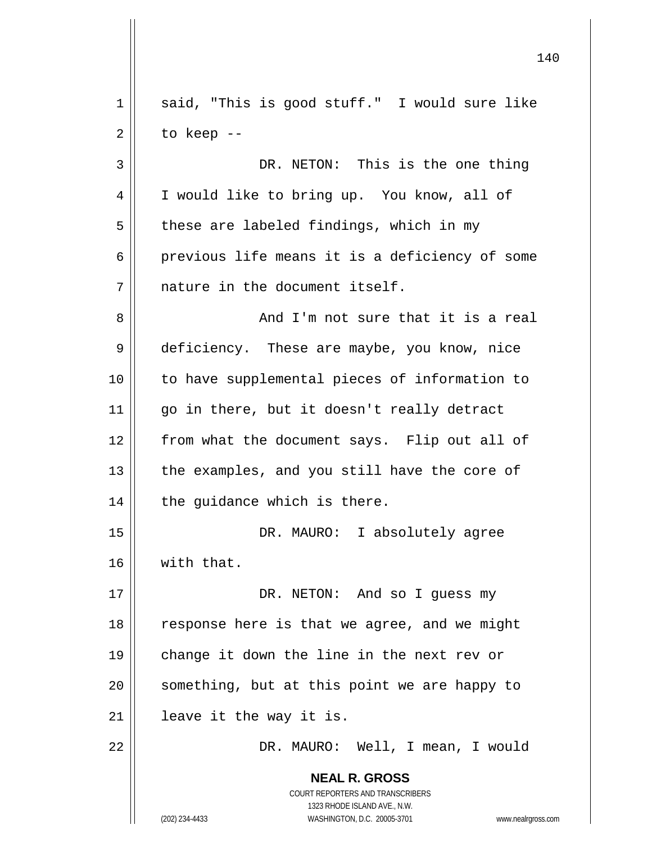**NEAL R. GROSS** COURT REPORTERS AND TRANSCRIBERS 1323 RHODE ISLAND AVE., N.W. (202) 234-4433 WASHINGTON, D.C. 20005-3701 www.nealrgross.com 1 || said, "This is good stuff." I would sure like  $2 \parallel$  to keep --3 || DR. NETON: This is the one thing 4 | I would like to bring up. You know, all of  $5 \parallel$  these are labeled findings, which in my 6 || previous life means it is a deficiency of some 7 || nature in the document itself. 8 || And I'm not sure that it is a real 9 deficiency. These are maybe, you know, nice 10 || to have supplemental pieces of information to 11 go in there, but it doesn't really detract 12 || from what the document says. Flip out all of  $13$  | the examples, and you still have the core of  $14$  | the quidance which is there. 15 || DR. MAURO: I absolutely agree 16 with that. 17 DR. NETON: And so I guess my 18 || response here is that we agree, and we might 19 change it down the line in the next rev or  $20$  something, but at this point we are happy to 21 leave it the way it is. 22 DR. MAURO: Well, I mean, I would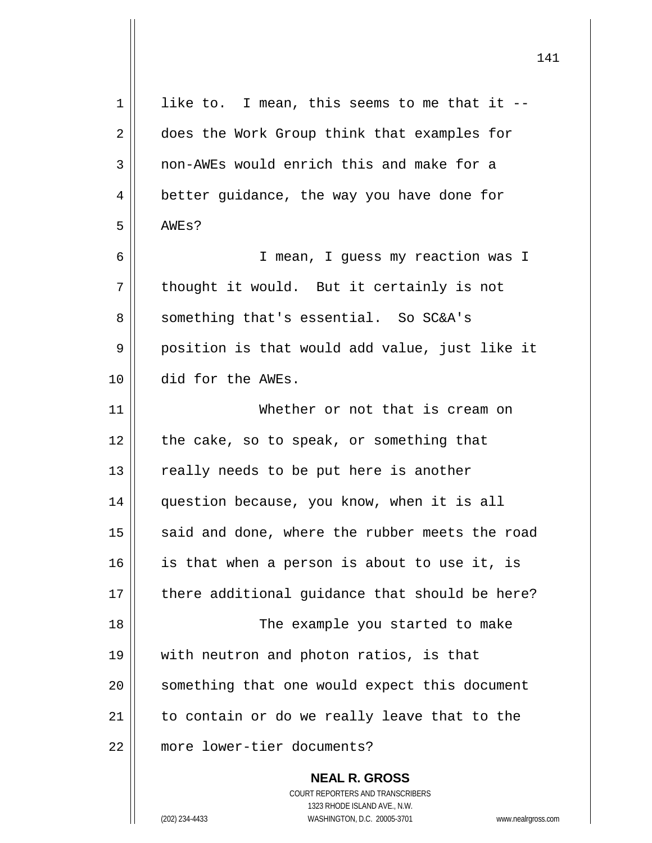**NEAL R. GROSS** COURT REPORTERS AND TRANSCRIBERS 1323 RHODE ISLAND AVE., N.W. (202) 234-4433 WASHINGTON, D.C. 20005-3701 www.nealrgross.com 1 || like to. I mean, this seems to me that it --2 does the Work Group think that examples for 3 || non-AWEs would enrich this and make for a 4 | better guidance, the way you have done for 5 AWEs? 6 I mean, I guess my reaction was I  $7 \parallel$  thought it would. But it certainly is not 8 || something that's essential. So SC&A's  $9 \parallel$  position is that would add value, just like it 10 did for the AWEs. 11 Whether or not that is cream on  $12$  | the cake, so to speak, or something that 13 || really needs to be put here is another 14 || question because, you know, when it is all  $15$  said and done, where the rubber meets the road 16 is that when a person is about to use it, is  $17$  || there additional guidance that should be here? 18 The example you started to make 19 with neutron and photon ratios, is that 20 || something that one would expect this document  $21$  | to contain or do we really leave that to the 22 || more lower-tier documents?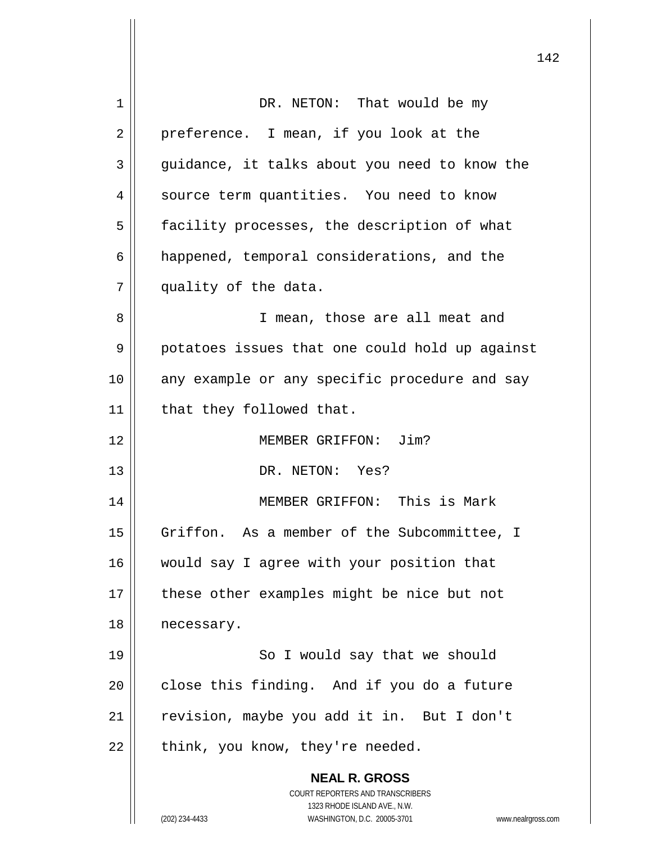| 1  | DR. NETON: That would be my                                                                                                                                     |
|----|-----------------------------------------------------------------------------------------------------------------------------------------------------------------|
| 2  | preference. I mean, if you look at the                                                                                                                          |
| 3  | guidance, it talks about you need to know the                                                                                                                   |
| 4  | source term quantities. You need to know                                                                                                                        |
| 5  | facility processes, the description of what                                                                                                                     |
| 6  | happened, temporal considerations, and the                                                                                                                      |
| 7  | quality of the data.                                                                                                                                            |
| 8  | I mean, those are all meat and                                                                                                                                  |
| 9  | potatoes issues that one could hold up against                                                                                                                  |
| 10 | any example or any specific procedure and say                                                                                                                   |
| 11 | that they followed that.                                                                                                                                        |
| 12 | MEMBER GRIFFON: Jim?                                                                                                                                            |
| 13 | DR. NETON: Yes?                                                                                                                                                 |
| 14 | MEMBER GRIFFON: This is Mark                                                                                                                                    |
| 15 | Griffon.<br>As a member of the Subcommittee, I                                                                                                                  |
| 16 | would say I agree with your position that                                                                                                                       |
| 17 | these other examples might be nice but not                                                                                                                      |
| 18 | necessary.                                                                                                                                                      |
| 19 | So I would say that we should                                                                                                                                   |
| 20 | close this finding. And if you do a future                                                                                                                      |
| 21 | revision, maybe you add it in. But I don't                                                                                                                      |
| 22 | think, you know, they're needed.                                                                                                                                |
|    | <b>NEAL R. GROSS</b><br>COURT REPORTERS AND TRANSCRIBERS<br>1323 RHODE ISLAND AVE., N.W.<br>(202) 234-4433<br>WASHINGTON, D.C. 20005-3701<br>www.nealrgross.com |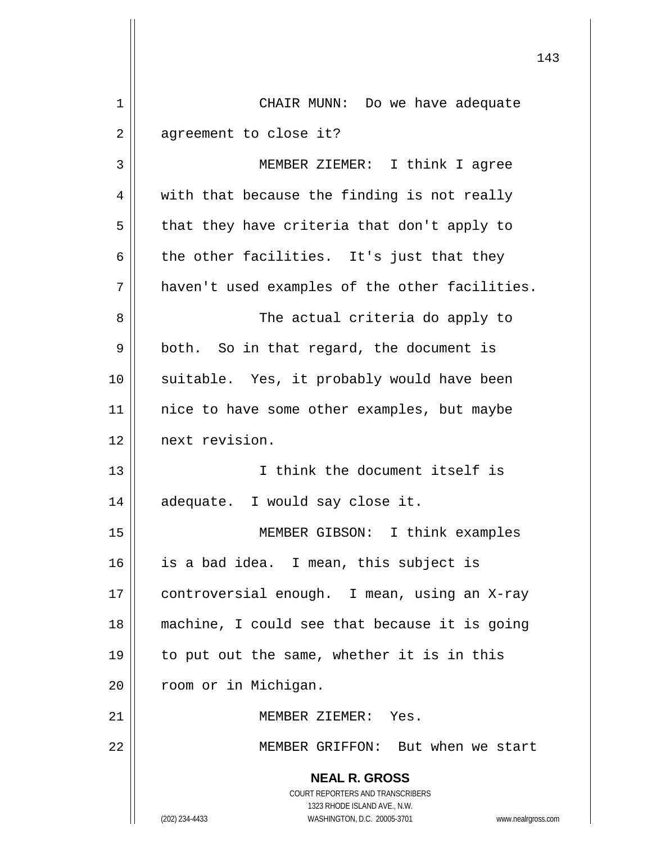**NEAL R. GROSS** COURT REPORTERS AND TRANSCRIBERS 1323 RHODE ISLAND AVE., N.W. (202) 234-4433 WASHINGTON, D.C. 20005-3701 www.nealrgross.com 1 CHAIR MUNN: Do we have adequate 2 | agreement to close it? 3 || MEMBER ZIEMER: I think I agree  $4 \parallel$  with that because the finding is not really  $5$  that they have criteria that don't apply to  $6 \parallel$  the other facilities. It's just that they  $7 \parallel$  haven't used examples of the other facilities. 8 The actual criteria do apply to  $9 \parallel$  both. So in that regard, the document is 10 suitable. Yes, it probably would have been 11 nice to have some other examples, but maybe 12 next revision. 13 I think the document itself is 14 || adequate. I would say close it. 15 MEMBER GIBSON: I think examples 16 is a bad idea. I mean, this subject is 17 | controversial enough. I mean, using an X-ray 18 machine, I could see that because it is going 19  $\parallel$  to put out the same, whether it is in this 20 | room or in Michigan. 21 || MEMBER ZIEMER: Yes. 22 MEMBER GRIFFON: But when we start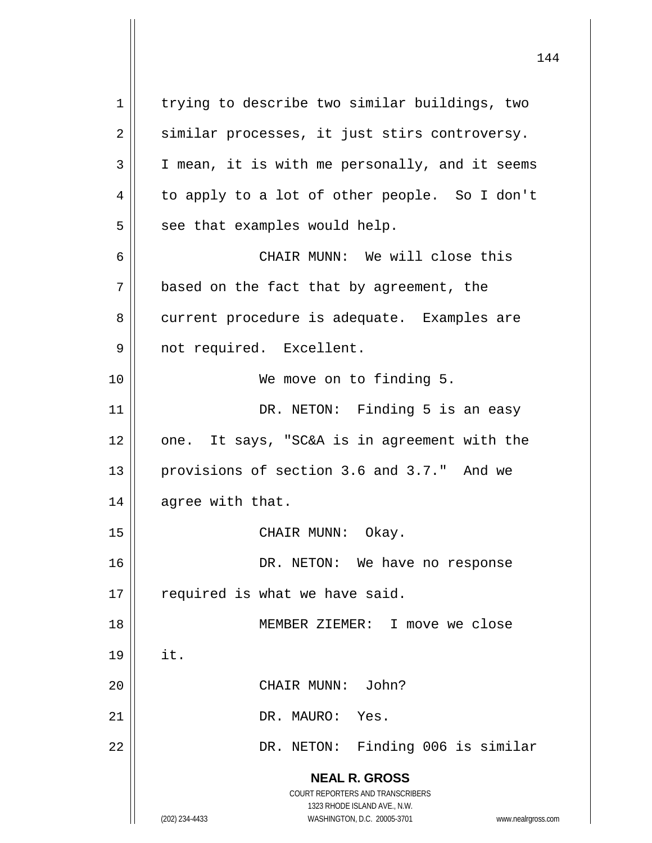**NEAL R. GROSS** COURT REPORTERS AND TRANSCRIBERS 1323 RHODE ISLAND AVE., N.W. (202) 234-4433 WASHINGTON, D.C. 20005-3701 www.nealrgross.com 1 || trying to describe two similar buildings, two 2 || similar processes, it just stirs controversy. 3 | I mean, it is with me personally, and it seems 4 || to apply to a lot of other people. So I don't  $5$  || see that examples would help. 6 CHAIR MUNN: We will close this  $7 \parallel$  based on the fact that by agreement, the 8 | current procedure is adequate. Examples are 9 || not required. Excellent. 10 || We move on to finding 5. 11 DR. NETON: Finding 5 is an easy 12 || one. It says, "SC&A is in agreement with the 13 || provisions of section 3.6 and 3.7." And we 14 agree with that. 15 || CHAIR MUNN: Okay. 16 DR. NETON: We have no response  $17$  | required is what we have said. 18 MEMBER ZIEMER: I move we close  $19 \parallel \text{it.}$ 20 || CHAIR MUNN: John? 21 || DR. MAURO: Yes. 22 DR. NETON: Finding 006 is similar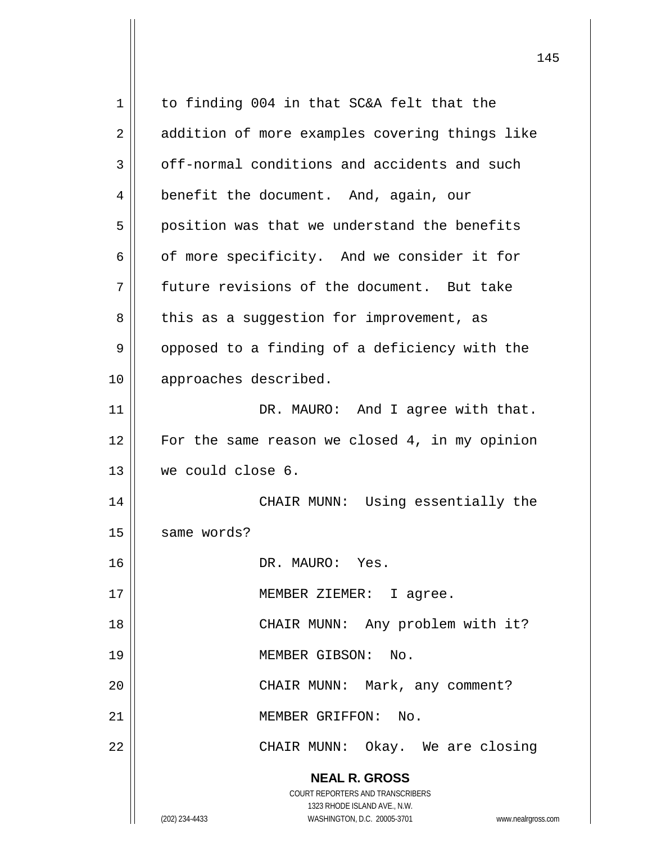**NEAL R. GROSS** COURT REPORTERS AND TRANSCRIBERS 1323 RHODE ISLAND AVE., N.W. (202) 234-4433 WASHINGTON, D.C. 20005-3701 www.nealrgross.com 1 || to finding 004 in that SC&A felt that the 2 | addition of more examples covering things like 3 off-normal conditions and accidents and such 4 | benefit the document. And, again, our  $5$  | position was that we understand the benefits 6 | of more specificity. And we consider it for 7 | future revisions of the document. But take 8 || this as a suggestion for improvement, as  $9 \parallel$  opposed to a finding of a deficiency with the 10 || approaches described. 11 || DR. MAURO: And I agree with that. 12 | For the same reason we closed 4, in my opinion 13 we could close 6. 14 CHAIR MUNN: Using essentially the 15 same words? 16 DR. MAURO: Yes. 17 || MEMBER ZIEMER: I agree. 18 || CHAIR MUNN: Any problem with it? 19 MEMBER GIBSON: No. 20 || CHAIR MUNN: Mark, any comment? 21 || MEMBER GRIFFON: No. 22 CHAIR MUNN: Okay. We are closing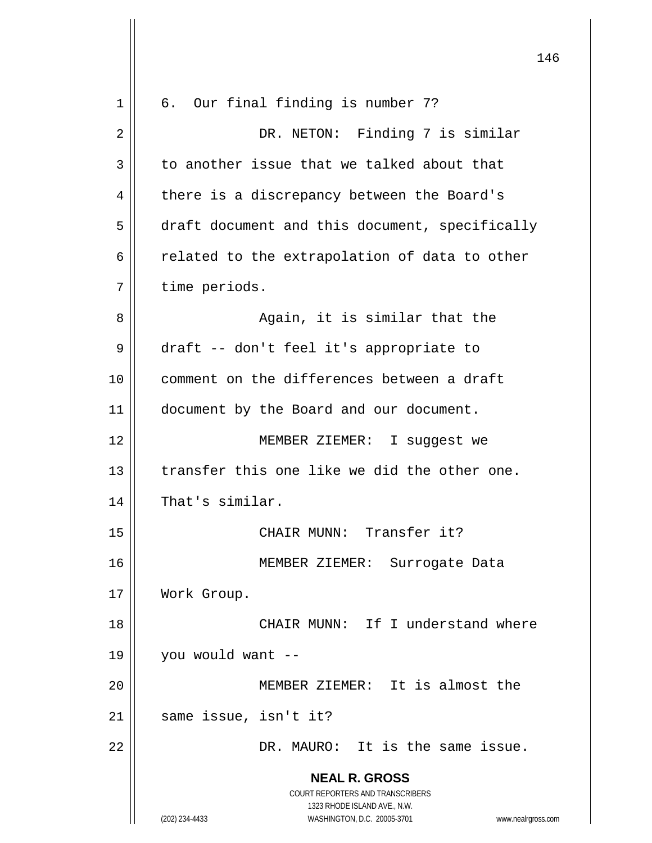|    | 146                                                                                                 |
|----|-----------------------------------------------------------------------------------------------------|
| 1  | 6. Our final finding is number 7?                                                                   |
| 2  | DR. NETON: Finding 7 is similar                                                                     |
| 3  | to another issue that we talked about that                                                          |
| 4  | there is a discrepancy between the Board's                                                          |
| 5  | draft document and this document, specifically                                                      |
| 6  | related to the extrapolation of data to other                                                       |
| 7  | time periods.                                                                                       |
| 8  | Again, it is similar that the                                                                       |
| 9  | draft -- don't feel it's appropriate to                                                             |
| 10 | comment on the differences between a draft                                                          |
| 11 | document by the Board and our document.                                                             |
| 12 | MEMBER ZIEMER: I suggest we                                                                         |
| 13 | transfer this one like we did the other one.                                                        |
| 14 | That's similar.                                                                                     |
| 15 | CHAIR MUNN: Transfer it?                                                                            |
| 16 | MEMBER ZIEMER:<br>Surrogate Data                                                                    |
| 17 | Work Group.                                                                                         |
| 18 | CHAIR MUNN: If I understand where                                                                   |
| 19 | you would want --                                                                                   |
| 20 | MEMBER ZIEMER: It is almost the                                                                     |
| 21 | same issue, isn't it?                                                                               |
| 22 | DR. MAURO: It is the same issue.                                                                    |
|    | <b>NEAL R. GROSS</b><br>COURT REPORTERS AND TRANSCRIBERS                                            |
|    | 1323 RHODE ISLAND AVE., N.W.<br>(202) 234-4433<br>WASHINGTON, D.C. 20005-3701<br>www.nealrgross.com |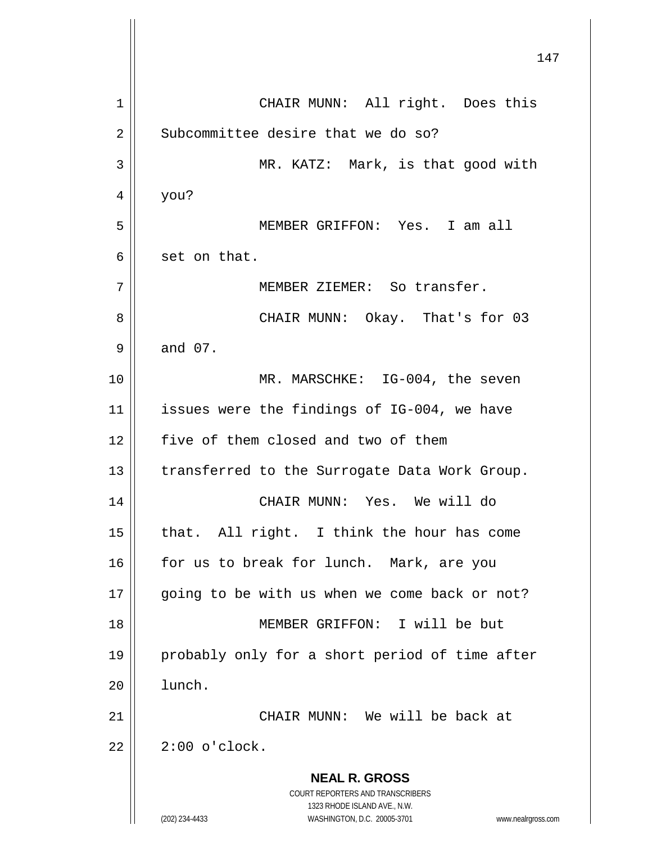**NEAL R. GROSS** COURT REPORTERS AND TRANSCRIBERS 1323 RHODE ISLAND AVE., N.W. (202) 234-4433 WASHINGTON, D.C. 20005-3701 www.nealrgross.com 147 1 CHAIR MUNN: All right. Does this 2 | Subcommittee desire that we do so? 3 MR. KATZ: Mark, is that good with  $4 \mid$  you? 5 MEMBER GRIFFON: Yes. I am all  $6 \parallel$  set on that. 7 MEMBER ZIEMER: So transfer. 8 CHAIR MUNN: Okay. That's for 03  $9 \parallel$  and 07. 10 || MR. MARSCHKE: IG-004, the seven 11 issues were the findings of IG-004, we have 12 five of them closed and two of them 13 || transferred to the Surrogate Data Work Group. 14 CHAIR MUNN: Yes. We will do 15  $\parallel$  that. All right. I think the hour has come 16 || for us to break for lunch. Mark, are you 17 || going to be with us when we come back or not? 18 MEMBER GRIFFON: I will be but 19 || probably only for a short period of time after  $20$   $\parallel$   $\quad$   $l$ unch. 21 CHAIR MUNN: We will be back at  $22 \parallel 2:00$  o'clock.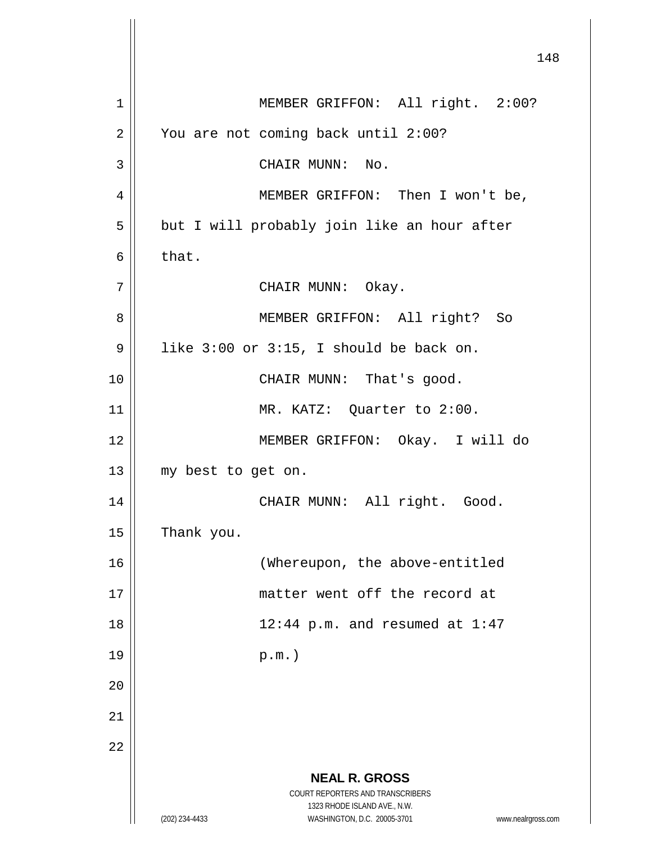**NEAL R. GROSS** COURT REPORTERS AND TRANSCRIBERS 1323 RHODE ISLAND AVE., N.W. (202) 234-4433 WASHINGTON, D.C. 20005-3701 www.nealrgross.com 1 | MEMBER GRIFFON: All right. 2:00? 2 | You are not coming back until 2:00? 3 || CHAIR MUNN: No. 4 MEMBER GRIFFON: Then I won't be,  $5 \parallel$  but I will probably join like an hour after  $6 \parallel$  that. 7 CHAIR MUNN: Okay. 8 || MEMBER GRIFFON: All right? So  $9 \parallel$  like 3:00 or 3:15, I should be back on. 10 CHAIR MUNN: That's good. 11 MR. KATZ: Quarter to 2:00. 12 MEMBER GRIFFON: Okay. I will do 13 my best to get on. 14 || CHAIR MUNN: All right. Good.  $15$  Thank you. 16 (Whereupon, the above-entitled 17 || matter went off the record at 18 12:44 p.m. and resumed at 1:47 19 p.m.) 20 21 22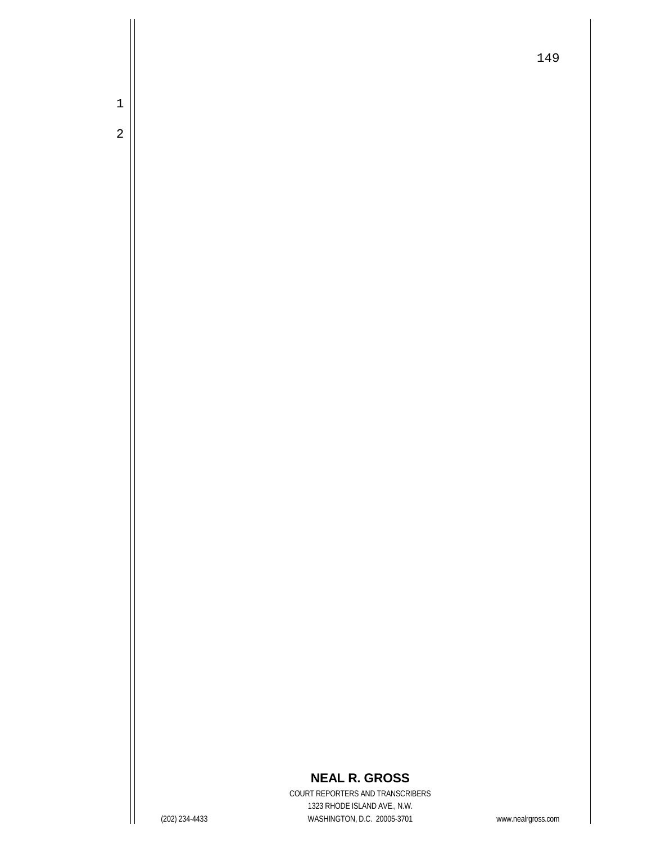1 2

## **NEAL R. GROSS**

COURT REPORTERS AND TRANSCRIBERS 1323 RHODE ISLAND AVE., N.W. (202) 234-4433 WASHINGTON, D.C. 20005-3701 www.nealrgross.com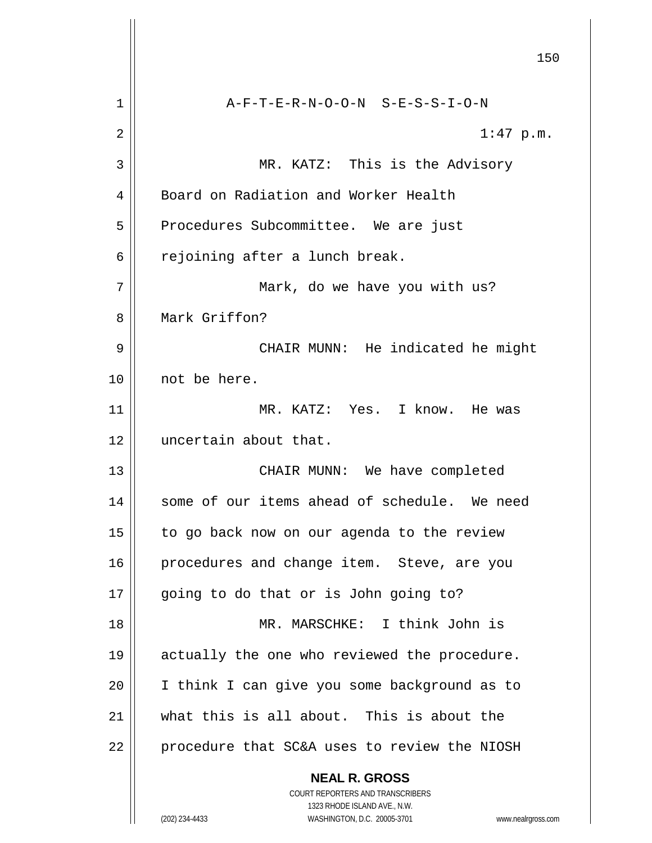**NEAL R. GROSS** COURT REPORTERS AND TRANSCRIBERS 1323 RHODE ISLAND AVE., N.W. (202) 234-4433 WASHINGTON, D.C. 20005-3701 www.nealrgross.com 150 1 A-F-T-E-R-N-O-O-N S-E-S-S-I-O-N  $2 \parallel$  1:47 p.m. 3 || MR. KATZ: This is the Advisory 4 Board on Radiation and Worker Health 5 | Procedures Subcommittee. We are just  $6 \parallel$  rejoining after a lunch break. 7 || Mark, do we have you with us? 8 Mark Griffon? 9 CHAIR MUNN: He indicated he might 10 not be here. 11 MR. KATZ: Yes. I know. He was 12 uncertain about that. 13 || CHAIR MUNN: We have completed 14 || some of our items ahead of schedule. We need  $15$  to go back now on our agenda to the review 16 || procedures and change item. Steve, are you 17 || going to do that or is John going to? 18 MR. MARSCHKE: I think John is 19 || actually the one who reviewed the procedure. 20 I think I can give you some background as to 21 what this is all about. This is about the 22 || procedure that SC&A uses to review the NIOSH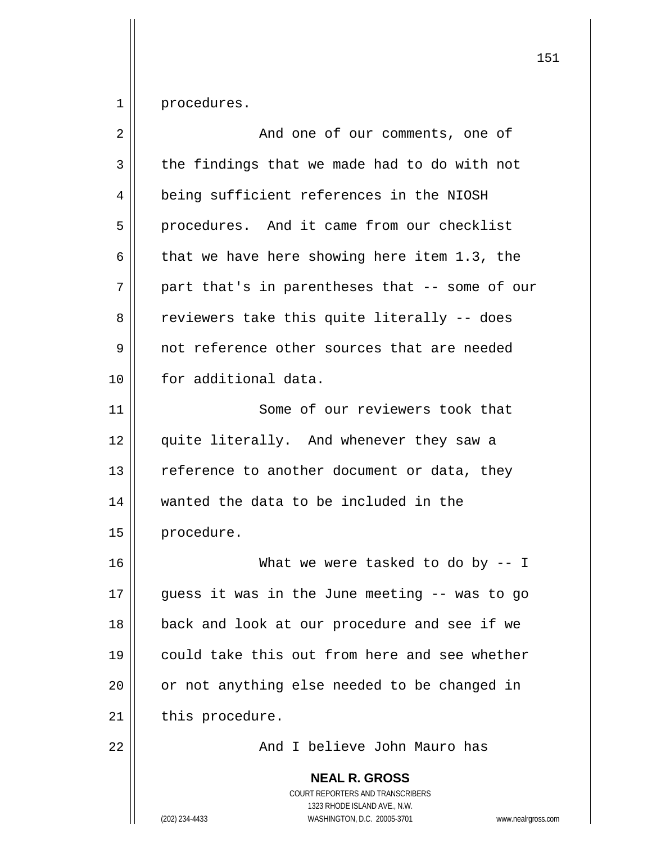1 | procedures.

| 2  | And one of our comments, one of                                                                                                                                 |
|----|-----------------------------------------------------------------------------------------------------------------------------------------------------------------|
| 3  | the findings that we made had to do with not                                                                                                                    |
| 4  | being sufficient references in the NIOSH                                                                                                                        |
| 5  | procedures. And it came from our checklist                                                                                                                      |
| 6  | that we have here showing here item 1.3, the                                                                                                                    |
| 7  | part that's in parentheses that -- some of our                                                                                                                  |
| 8  | reviewers take this quite literally -- does                                                                                                                     |
| 9  | not reference other sources that are needed                                                                                                                     |
| 10 | for additional data.                                                                                                                                            |
| 11 | Some of our reviewers took that                                                                                                                                 |
| 12 | quite literally. And whenever they saw a                                                                                                                        |
| 13 | reference to another document or data, they                                                                                                                     |
| 14 | wanted the data to be included in the                                                                                                                           |
| 15 | procedure.                                                                                                                                                      |
| 16 | What we were tasked to do by $-$ I                                                                                                                              |
| 17 | guess it was in the June meeting -- was to go                                                                                                                   |
| 18 | back and look at our procedure and see if we                                                                                                                    |
| 19 | could take this out from here and see whether                                                                                                                   |
| 20 | or not anything else needed to be changed in                                                                                                                    |
| 21 | this procedure.                                                                                                                                                 |
| 22 | And I believe John Mauro has                                                                                                                                    |
|    | <b>NEAL R. GROSS</b><br>COURT REPORTERS AND TRANSCRIBERS<br>1323 RHODE ISLAND AVE., N.W.<br>(202) 234-4433<br>WASHINGTON, D.C. 20005-3701<br>www.nealrgross.com |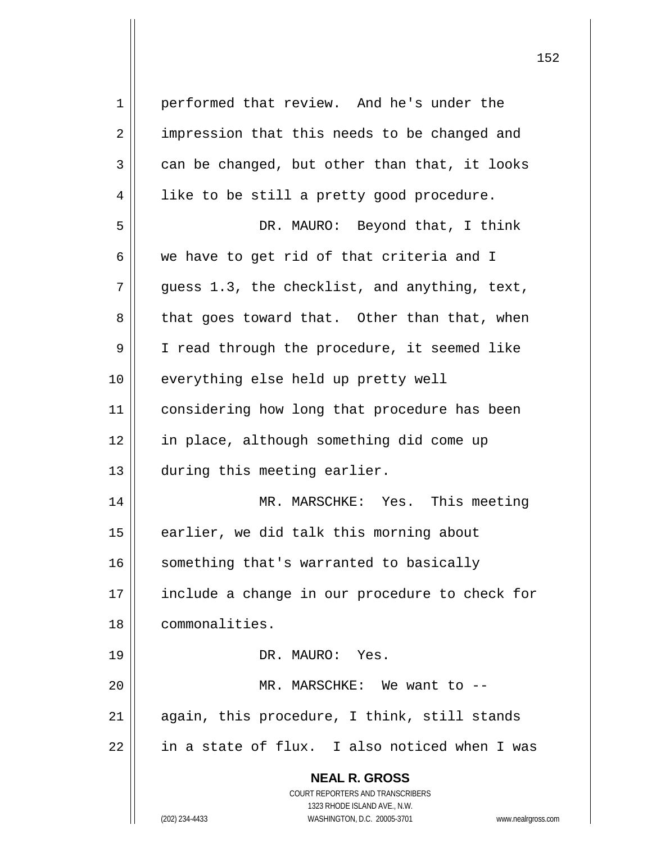**NEAL R. GROSS** COURT REPORTERS AND TRANSCRIBERS 1323 RHODE ISLAND AVE., N.W. 1 || performed that review. And he's under the 2 || impression that this needs to be changed and  $3 \parallel$  can be changed, but other than that, it looks 4 | like to be still a pretty good procedure. 5 DR. MAURO: Beyond that, I think  $6 \parallel$  we have to get rid of that criteria and I  $7 \parallel$  guess 1.3, the checklist, and anything, text, 8 || that goes toward that. Other than that, when 9 | I read through the procedure, it seemed like 10 || everything else held up pretty well 11 considering how long that procedure has been 12 || in place, although something did come up 13 || during this meeting earlier. 14 MR. MARSCHKE: Yes. This meeting 15 || earlier, we did talk this morning about 16 || something that's warranted to basically 17 include a change in our procedure to check for 18 | commonalities. 19 DR. MAURO: Yes. 20 MR. MARSCHKE: We want to -- 21 || again, this procedure, I think, still stands  $22$  || in a state of flux. I also noticed when I was

(202) 234-4433 WASHINGTON, D.C. 20005-3701 www.nealrgross.com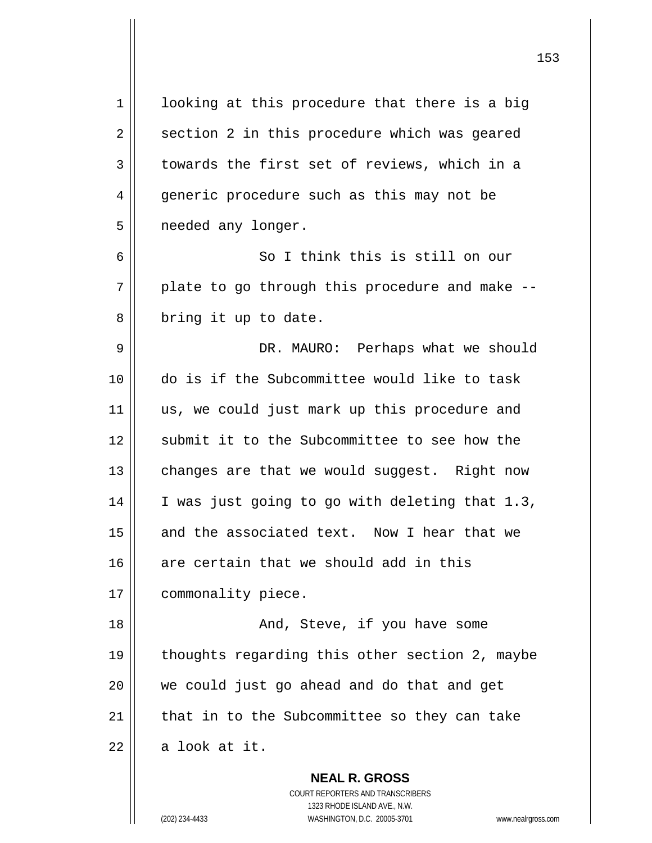**NEAL R. GROSS** 1 || looking at this procedure that there is a big  $2 \parallel$  section 2 in this procedure which was geared  $3 \parallel$  towards the first set of reviews, which in a 4 || generic procedure such as this may not be 5 | needed any longer. 6 || So I think this is still on our  $7$  | plate to go through this procedure and make  $-$ 8 || bring it up to date. 9 DR. MAURO: Perhaps what we should 10 do is if the Subcommittee would like to task 11 us, we could just mark up this procedure and 12 || submit it to the Subcommittee to see how the 13 || changes are that we would suggest. Right now 14  $\parallel$  I was just going to go with deleting that 1.3, 15 || and the associated text. Now I hear that we  $16$  are certain that we should add in this 17 | commonality piece. 18 And, Steve, if you have some 19  $\parallel$  thoughts regarding this other section 2, maybe 20 || we could just go ahead and do that and get 21 || that in to the Subcommittee so they can take  $22$  a look at it.

> COURT REPORTERS AND TRANSCRIBERS 1323 RHODE ISLAND AVE., N.W. (202) 234-4433 WASHINGTON, D.C. 20005-3701 www.nealrgross.com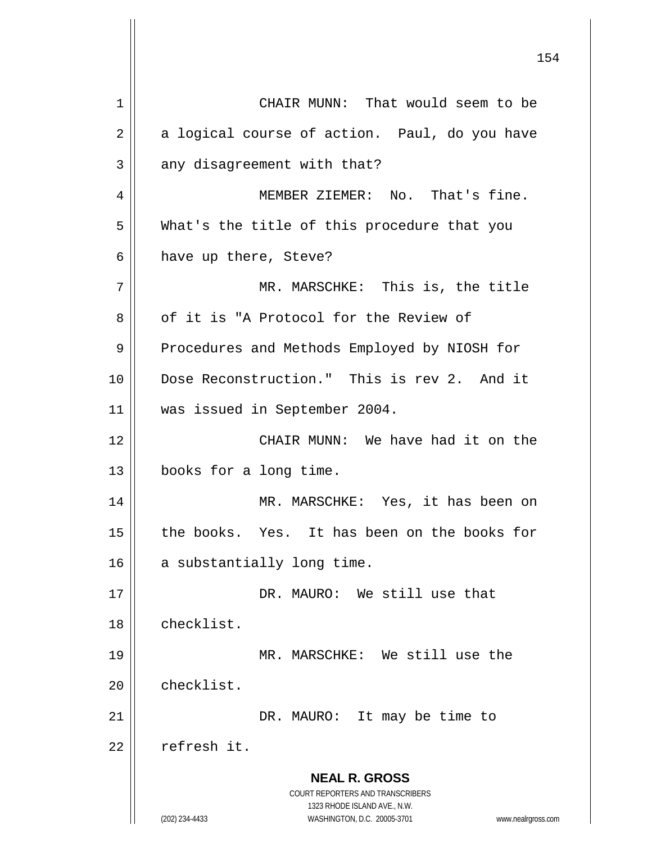**NEAL R. GROSS** COURT REPORTERS AND TRANSCRIBERS 1323 RHODE ISLAND AVE., N.W. (202) 234-4433 WASHINGTON, D.C. 20005-3701 www.nealrgross.com 1 CHAIR MUNN: That would seem to be  $2 \parallel$  a logical course of action. Paul, do you have  $3 \parallel$  any disagreement with that? 4 | MEMBER ZIEMER: No. That's fine. 5 What's the title of this procedure that you  $6 \parallel$  have up there, Steve? 7 MR. MARSCHKE: This is, the title 8 || of it is "A Protocol for the Review of 9 | Procedures and Methods Employed by NIOSH for 10 Dose Reconstruction." This is rev 2. And it 11 was issued in September 2004. 12 CHAIR MUNN: We have had it on the 13 || books for a long time. 14 MR. MARSCHKE: Yes, it has been on 15 the books. Yes. It has been on the books for 16 || a substantially long time. 17 || **DR. MAURO:** We still use that 18 | checklist. 19 MR. MARSCHKE: We still use the 20 checklist. 21 || DR. MAURO: It may be time to  $22$  | refresh it.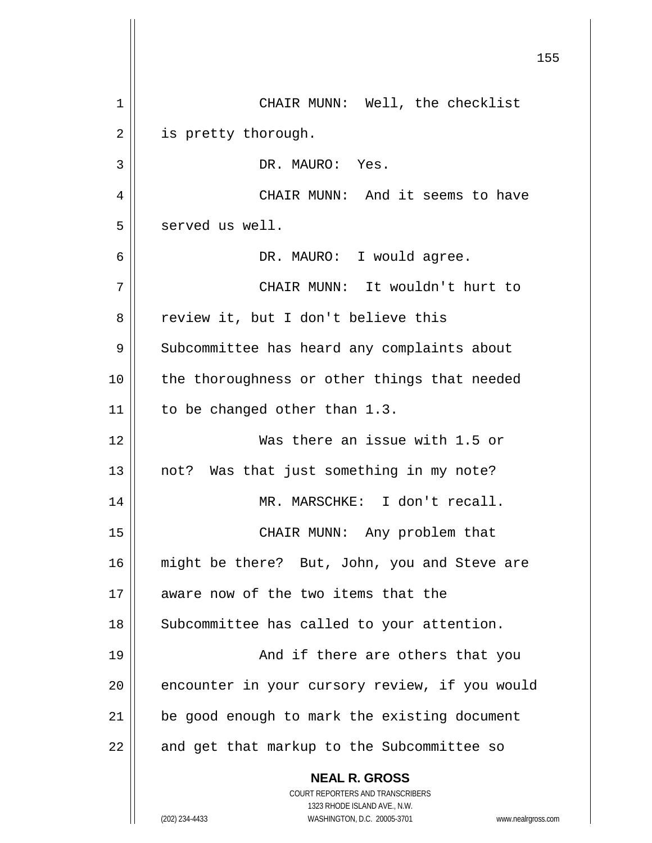**NEAL R. GROSS** COURT REPORTERS AND TRANSCRIBERS 1323 RHODE ISLAND AVE., N.W. (202) 234-4433 WASHINGTON, D.C. 20005-3701 www.nealrgross.com 155 1 CHAIR MUNN: Well, the checklist  $2 \parallel$  is pretty thorough. 3 DR. MAURO: Yes. 4 | CHAIR MUNN: And it seems to have 5 served us well. 6 DR. MAURO: I would agree. 7 CHAIR MUNN: It wouldn't hurt to 8 || review it, but I don't believe this 9 | Subcommittee has heard any complaints about 10 || the thoroughness or other things that needed  $11$  | to be changed other than 1.3. 12 Was there an issue with 1.5 or 13 not? Was that just something in my note? 14 || MR. MARSCHKE: I don't recall. 15 CHAIR MUNN: Any problem that 16 might be there? But, John, you and Steve are 17 || aware now of the two items that the 18 || Subcommittee has called to your attention. 19 And if there are others that you 20 | encounter in your cursory review, if you would  $21$  | be good enough to mark the existing document  $22$  || and get that markup to the Subcommittee so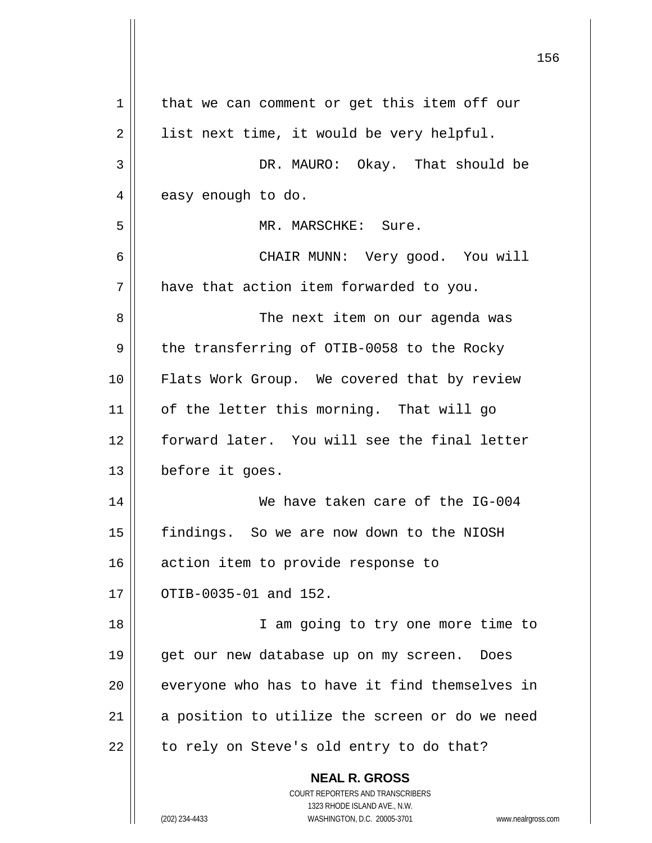**NEAL R. GROSS** COURT REPORTERS AND TRANSCRIBERS 1323 RHODE ISLAND AVE., N.W. (202) 234-4433 WASHINGTON, D.C. 20005-3701 www.nealrgross.com 156 1 || that we can comment or get this item off our  $2 \parallel$  list next time, it would be very helpful. 3 DR. MAURO: Okay. That should be  $4 \parallel$  easy enough to do. 5 MR. MARSCHKE: Sure. 6 CHAIR MUNN: Very good. You will  $7$  || have that action item forwarded to you. 8 The next item on our agenda was  $9 \parallel$  the transferring of OTIB-0058 to the Rocky 10 || Flats Work Group. We covered that by review 11 of the letter this morning. That will go 12 forward later. You will see the final letter 13 || before it goes. 14 We have taken care of the IG-004 15 | findings. So we are now down to the NIOSH 16 || action item to provide response to  $17$  |  $0$ TIB-0035-01 and 152. 18 || T am going to try one more time to 19 || get our new database up on my screen. Does  $20$  | everyone who has to have it find themselves in  $21$  | a position to utilize the screen or do we need  $22$  | to rely on Steve's old entry to do that?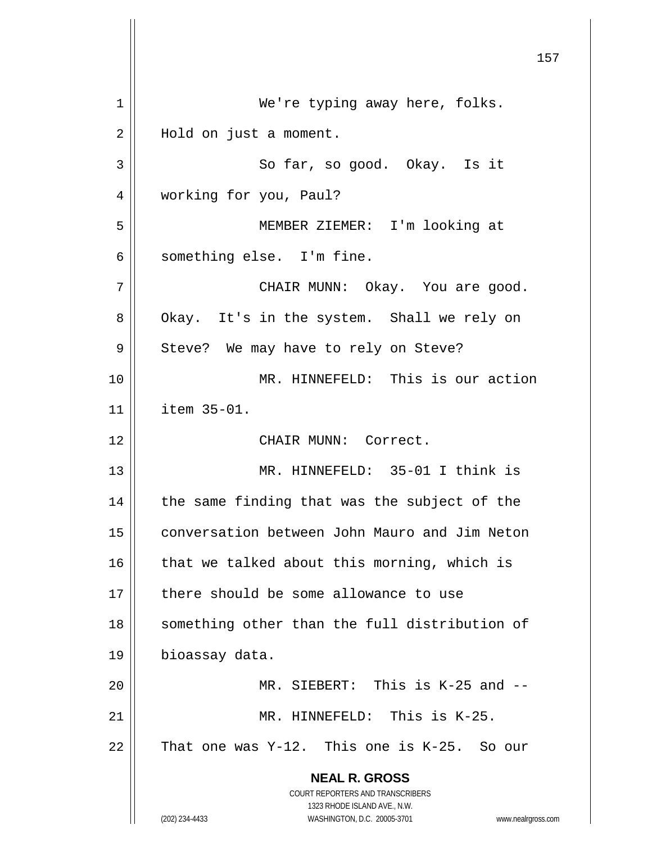**NEAL R. GROSS** COURT REPORTERS AND TRANSCRIBERS 1323 RHODE ISLAND AVE., N.W. (202) 234-4433 WASHINGTON, D.C. 20005-3701 www.nealrgross.com 1 We're typing away here, folks. 2 | Hold on just a moment. 3 || So far, so good. Okay. Is it 4 | working for you, Paul? 5 MEMBER ZIEMER: I'm looking at  $6 \parallel$  something else. I'm fine. 7 CHAIR MUNN: Okay. You are good. 8 || Okay. It's in the system. Shall we rely on 9 || Steve? We may have to rely on Steve? 10 MR. HINNEFELD: This is our action 11 item 35-01. 12 CHAIR MUNN: Correct. 13 MR. HINNEFELD: 35-01 I think is  $14$  | the same finding that was the subject of the 15 conversation between John Mauro and Jim Neton 16  $\parallel$  that we talked about this morning, which is 17 Il there should be some allowance to use 18 || something other than the full distribution of 19 | bioassay data. 20 MR. SIEBERT: This is K-25 and -- 21 MR. HINNEFELD: This is K-25. 22  $\parallel$  That one was Y-12. This one is K-25. So our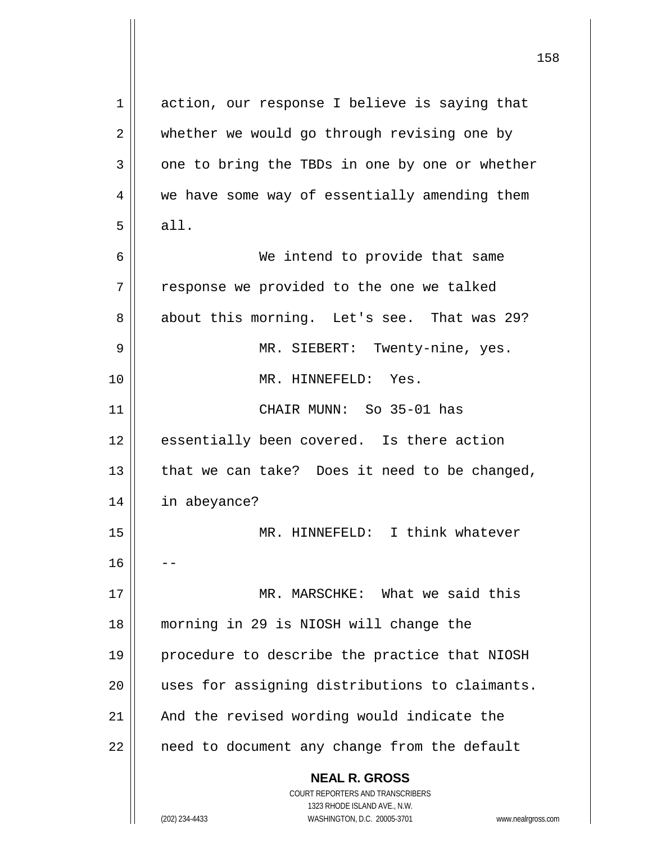**NEAL R. GROSS** COURT REPORTERS AND TRANSCRIBERS 1323 RHODE ISLAND AVE., N.W. (202) 234-4433 WASHINGTON, D.C. 20005-3701 www.nealrgross.com 1 action, our response I believe is saying that 2 whether we would go through revising one by  $3 \parallel$  one to bring the TBDs in one by one or whether 4 | we have some way of essentially amending them  $5 \parallel$  all. 6 We intend to provide that same  $7 \parallel$  response we provided to the one we talked 8 about this morning. Let's see. That was 29? 9 MR. SIEBERT: Twenty-nine, yes. 10 MR. HINNEFELD: Yes. 11 CHAIR MUNN: So 35-01 has 12 | essentially been covered. Is there action 13 || that we can take? Does it need to be changed, 14 in abeyance? 15 || MR. HINNEFELD: I think whatever 16 17 MR. MARSCHKE: What we said this 18 morning in 29 is NIOSH will change the 19 || procedure to describe the practice that NIOSH 20 || uses for assigning distributions to claimants. 21 || And the revised wording would indicate the 22 || need to document any change from the default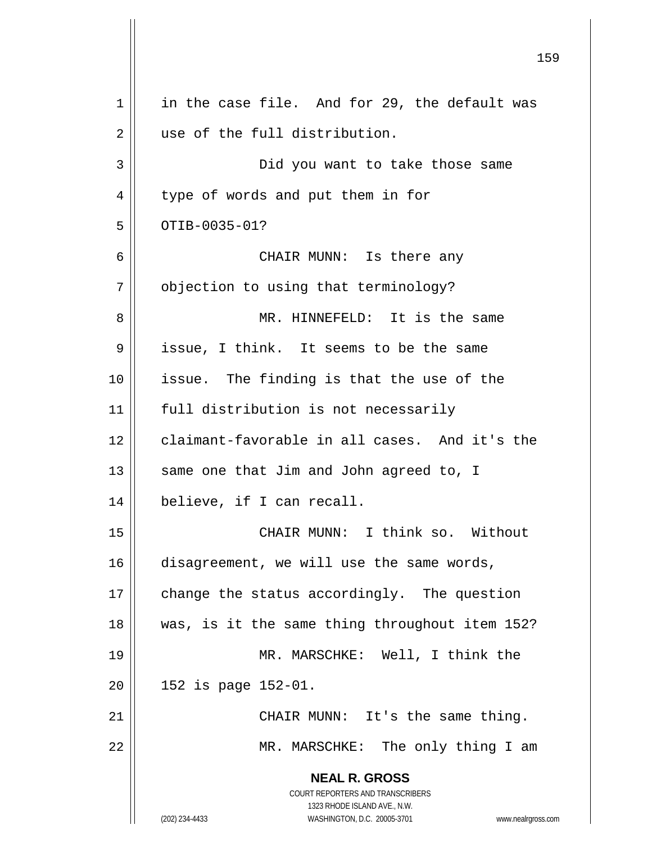|    | 159                                                                                                                                                             |
|----|-----------------------------------------------------------------------------------------------------------------------------------------------------------------|
| 1  | in the case file. And for 29, the default was                                                                                                                   |
| 2  | use of the full distribution.                                                                                                                                   |
| 3  | Did you want to take those same                                                                                                                                 |
| 4  | type of words and put them in for                                                                                                                               |
| 5  | OTIB-0035-01?                                                                                                                                                   |
| 6  | CHAIR MUNN: Is there any                                                                                                                                        |
| 7  | objection to using that terminology?                                                                                                                            |
| 8  | MR. HINNEFELD: It is the same                                                                                                                                   |
| 9  | issue, I think. It seems to be the same                                                                                                                         |
| 10 | issue. The finding is that the use of the                                                                                                                       |
| 11 | full distribution is not necessarily                                                                                                                            |
| 12 | claimant-favorable in all cases. And it's the                                                                                                                   |
| 13 | same one that Jim and John agreed to, I                                                                                                                         |
| 14 | believe, if I can recall.                                                                                                                                       |
| 15 | CHAIR MUNN: I think so. Without                                                                                                                                 |
| 16 | disagreement, we will use the same words,                                                                                                                       |
| 17 | change the status accordingly. The question                                                                                                                     |
| 18 | was, is it the same thing throughout item 152?                                                                                                                  |
| 19 | MR. MARSCHKE: Well, I think the                                                                                                                                 |
| 20 | 152 is page 152-01.                                                                                                                                             |
| 21 | CHAIR MUNN: It's the same thing.                                                                                                                                |
| 22 | MR. MARSCHKE: The only thing I am                                                                                                                               |
|    | <b>NEAL R. GROSS</b><br>COURT REPORTERS AND TRANSCRIBERS<br>1323 RHODE ISLAND AVE., N.W.<br>(202) 234-4433<br>WASHINGTON, D.C. 20005-3701<br>www.nealrgross.com |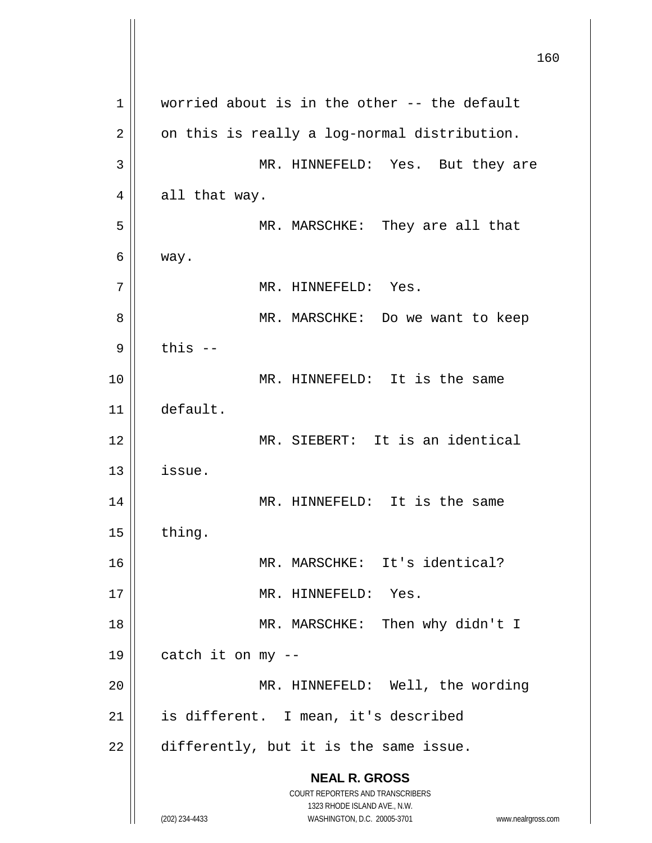**NEAL R. GROSS** COURT REPORTERS AND TRANSCRIBERS 1323 RHODE ISLAND AVE., N.W. (202) 234-4433 WASHINGTON, D.C. 20005-3701 www.nealrgross.com 1 | worried about is in the other -- the default  $2 \parallel$  on this is really a log-normal distribution. 3 MR. HINNEFELD: Yes. But they are  $4 \parallel$  all that way. 5 MR. MARSCHKE: They are all that  $6 \parallel$  way. 7 || MR. HINNEFELD: Yes. 8 || MR. MARSCHKE: Do we want to keep  $9 \parallel$  this  $-$ 10 MR. HINNEFELD: It is the same 11 default. 12 MR. SIEBERT: It is an identical 13 issue. 14 || MR. HINNEFELD: It is the same  $15$  | thing. 16 MR. MARSCHKE: It's identical? 17 || MR. HINNEFELD: Yes. 18 || MR. MARSCHKE: Then why didn't I  $19 \parallel$  catch it on my --20 || MR. HINNEFELD: Well, the wording 21 is different. I mean, it's described  $22$  || differently, but it is the same issue.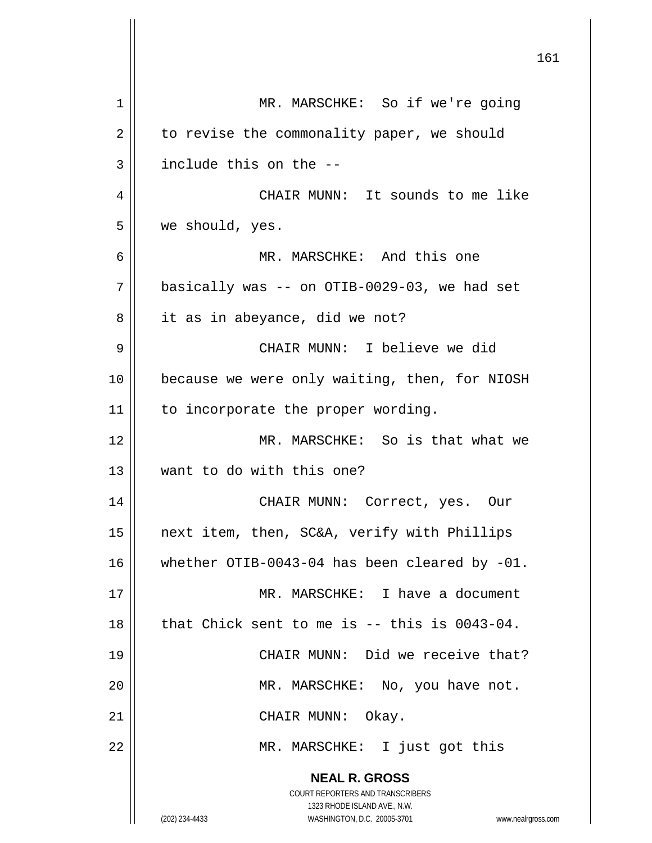**NEAL R. GROSS** COURT REPORTERS AND TRANSCRIBERS 1323 RHODE ISLAND AVE., N.W. (202) 234-4433 WASHINGTON, D.C. 20005-3701 www.nealrgross.com 1 || MR. MARSCHKE: So if we're going  $2 \parallel$  to revise the commonality paper, we should  $3$  | include this on the  $-$ 4 CHAIR MUNN: It sounds to me like 5 we should, yes. 6 MR. MARSCHKE: And this one  $7 \parallel$  basically was -- on OTIB-0029-03, we had set 8 | it as in abeyance, did we not? 9 CHAIR MUNN: I believe we did 10 because we were only waiting, then, for NIOSH 11 to incorporate the proper wording. 12 MR. MARSCHKE: So is that what we 13 want to do with this one? 14 CHAIR MUNN: Correct, yes. Our 15 next item, then, SC&A, verify with Phillips 16 whether OTIB-0043-04 has been cleared by -01. 17 MR. MARSCHKE: I have a document  $18$  | that Chick sent to me is -- this is 0043-04. 19 CHAIR MUNN: Did we receive that? 20 || MR. MARSCHKE: No, you have not. 21 CHAIR MUNN: Okay. 22 MR. MARSCHKE: I just got this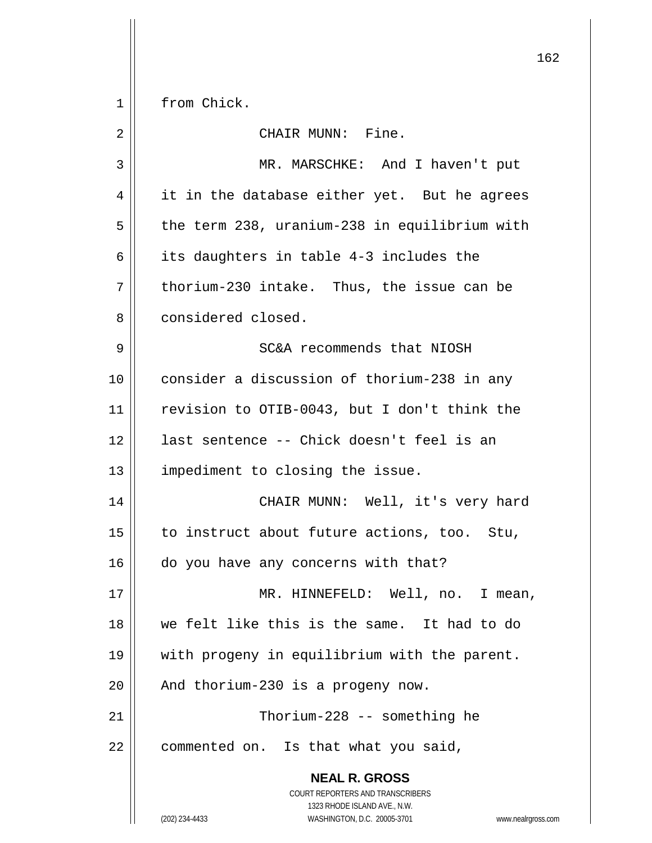**NEAL R. GROSS** COURT REPORTERS AND TRANSCRIBERS 1323 RHODE ISLAND AVE., N.W. (202) 234-4433 WASHINGTON, D.C. 20005-3701 www.nealrgross.com 162 1 | from Chick. 2 || CHAIR MUNN: Fine. 3 MR. MARSCHKE: And I haven't put  $4 \parallel$  it in the database either yet. But he agrees  $5 \parallel$  the term 238, uranium-238 in equilibrium with  $6 \parallel$  its daughters in table 4-3 includes the  $7$  || thorium-230 intake. Thus, the issue can be 8 considered closed. 9 SC&A recommends that NIOSH 10 consider a discussion of thorium-238 in any 11 revision to OTIB-0043, but I don't think the 12 last sentence -- Chick doesn't feel is an 13 || impediment to closing the issue. 14 CHAIR MUNN: Well, it's very hard 15  $\parallel$  to instruct about future actions, too. Stu, 16 | do you have any concerns with that? 17 || MR. HINNEFELD: Well, no. I mean, 18 we felt like this is the same. It had to do 19 with progeny in equilibrium with the parent. 20  $\parallel$  And thorium-230 is a progeny now. 21 || Thorium-228 -- something he  $22$  || commented on. Is that what you said,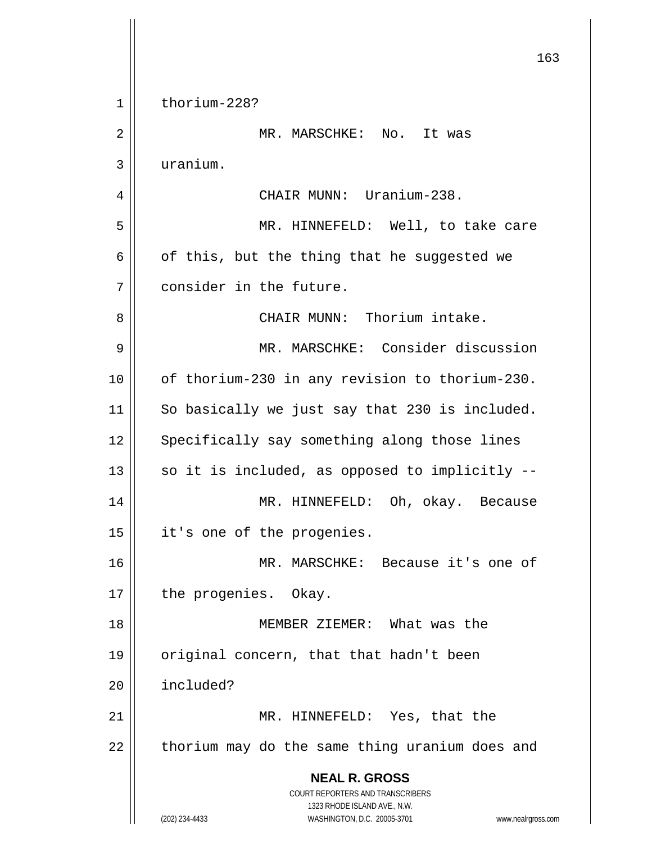**NEAL R. GROSS** COURT REPORTERS AND TRANSCRIBERS 1323 RHODE ISLAND AVE., N.W. (202) 234-4433 WASHINGTON, D.C. 20005-3701 www.nealrgross.com 163 1 | thorium-228? 2 | MR. MARSCHKE: No. It was 3 uranium. 4 CHAIR MUNN: Uranium-238. 5 MR. HINNEFELD: Well, to take care  $6 \parallel$  of this, but the thing that he suggested we 7 consider in the future. 8 CHAIR MUNN: Thorium intake. 9 MR. MARSCHKE: Consider discussion 10 of thorium-230 in any revision to thorium-230. 11 So basically we just say that 230 is included. 12 || Specifically say something along those lines 13  $\parallel$  so it is included, as opposed to implicitly --14 MR. HINNEFELD: Oh, okay. Because  $15$  | it's one of the progenies. 16 MR. MARSCHKE: Because it's one of 17 || the progenies. Okay. 18 MEMBER ZIEMER: What was the 19 original concern, that that hadn't been 20 included? 21 || MR. HINNEFELD: Yes, that the 22 | thorium may do the same thing uranium does and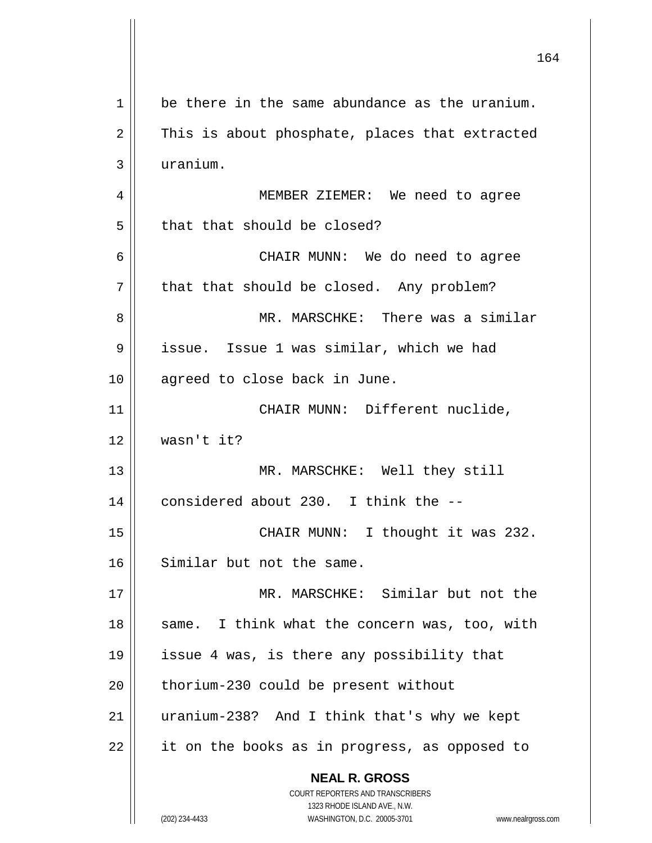|    | 164                                                                                                 |
|----|-----------------------------------------------------------------------------------------------------|
| 1  | be there in the same abundance as the uranium.                                                      |
| 2  | This is about phosphate, places that extracted                                                      |
| 3  | uranium.                                                                                            |
| 4  | MEMBER ZIEMER: We need to agree                                                                     |
| 5  | that that should be closed?                                                                         |
| 6  | CHAIR MUNN: We do need to agree                                                                     |
| 7  | that that should be closed. Any problem?                                                            |
| 8  | MR. MARSCHKE: There was a similar                                                                   |
| 9  | issue. Issue 1 was similar, which we had                                                            |
| 10 | agreed to close back in June.                                                                       |
| 11 | CHAIR MUNN: Different nuclide,                                                                      |
| 12 | wasn't it?                                                                                          |
| 13 | MR. MARSCHKE: Well they still                                                                       |
| 14 | considered about 230. I think the --                                                                |
| 15 | CHAIR MUNN: I thought it was 232.                                                                   |
| 16 | Similar but not the same.                                                                           |
| 17 | MR. MARSCHKE: Similar but not the                                                                   |
| 18 | same. I think what the concern was, too, with                                                       |
| 19 | issue 4 was, is there any possibility that                                                          |
| 20 | thorium-230 could be present without                                                                |
| 21 | uranium-238? And I think that's why we kept                                                         |
| 22 | it on the books as in progress, as opposed to                                                       |
|    | <b>NEAL R. GROSS</b><br><b>COURT REPORTERS AND TRANSCRIBERS</b>                                     |
|    | 1323 RHODE ISLAND AVE., N.W.<br>(202) 234-4433<br>WASHINGTON, D.C. 20005-3701<br>www.nealrgross.com |

 $\frac{1}{4}$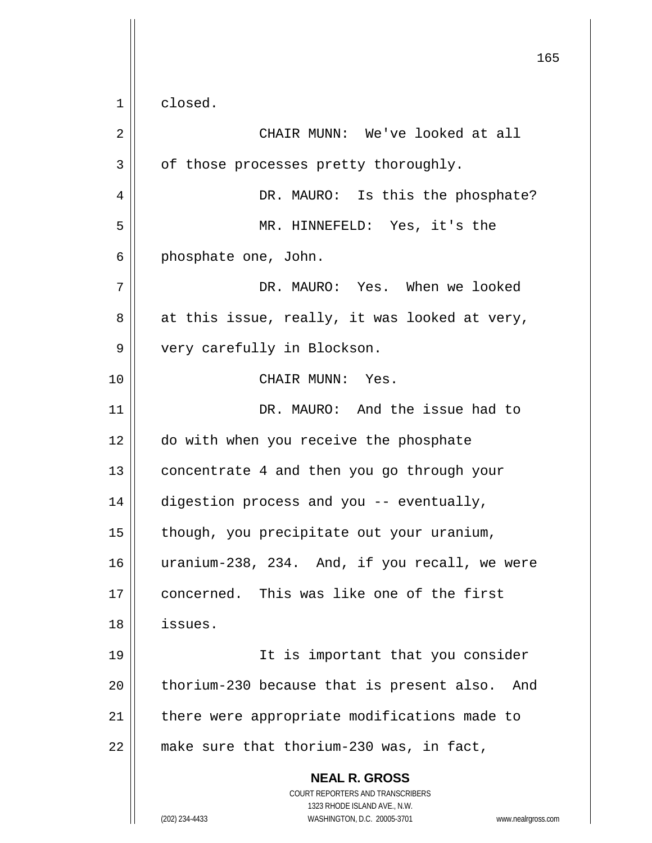**NEAL R. GROSS** COURT REPORTERS AND TRANSCRIBERS 1323 RHODE ISLAND AVE., N.W. (202) 234-4433 WASHINGTON, D.C. 20005-3701 www.nealrgross.com 165 1 closed. 2 CHAIR MUNN: We've looked at all  $3 \parallel$  of those processes pretty thoroughly. 4 DR. MAURO: Is this the phosphate? 5 MR. HINNEFELD: Yes, it's the  $6 \parallel$  phosphate one, John. 7 DR. MAURO: Yes. When we looked  $8 \parallel$  at this issue, really, it was looked at very, 9 || very carefully in Blockson. 10 CHAIR MUNN: Yes. 11 || DR. MAURO: And the issue had to 12 | do with when you receive the phosphate 13 || concentrate 4 and then you go through your 14 digestion process and you -- eventually,  $15$  | though, you precipitate out your uranium, 16 uranium-238, 234. And, if you recall, we were 17 concerned. This was like one of the first 18 issues. 19 It is important that you consider  $20$  | thorium-230 because that is present also. And 21 | there were appropriate modifications made to  $22$  | make sure that thorium-230 was, in fact,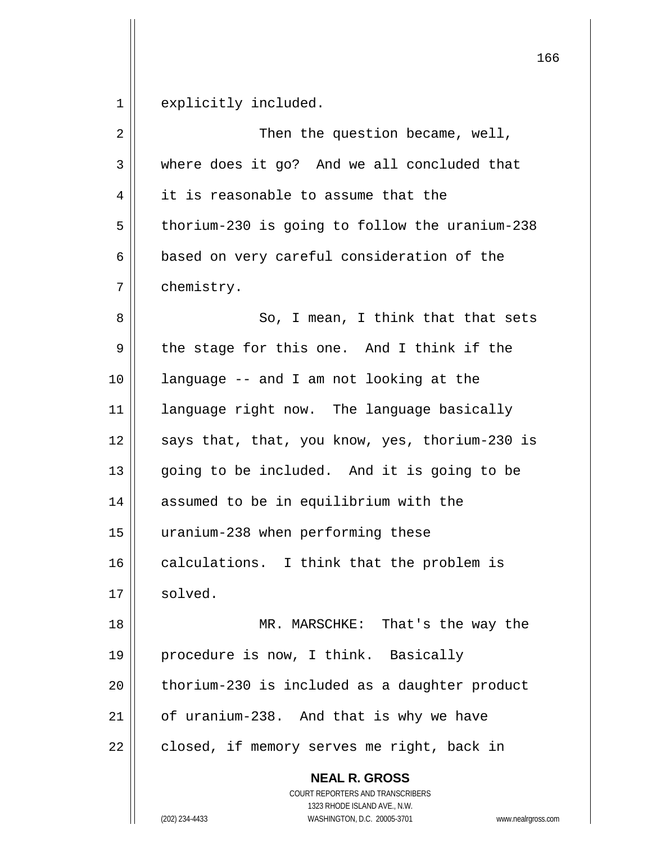1 || explicitly included.

**NEAL R. GROSS** COURT REPORTERS AND TRANSCRIBERS 1323 RHODE ISLAND AVE., N.W. 2 || Then the question became, well, 3 where does it go? And we all concluded that 4 | it is reasonable to assume that the  $5$  thorium-230 is going to follow the uranium-238 6 | based on very careful consideration of the 7 | chemistry. 8 So, I mean, I think that that sets  $9 \parallel$  the stage for this one. And I think if the 10 language -- and I am not looking at the 11 language right now. The language basically 12 || says that, that, you know, yes, thorium-230 is 13 || going to be included. And it is going to be 14 | assumed to be in equilibrium with the 15 uranium-238 when performing these 16 || calculations. I think that the problem is  $17 \parallel$  solved. 18 || MR. MARSCHKE: That's the way the 19 || procedure is now, I think. Basically 20 thorium-230 is included as a daughter product  $21$  | of uranium-238. And that is why we have 22 | closed, if memory serves me right, back in

(202) 234-4433 WASHINGTON, D.C. 20005-3701 www.nealrgross.com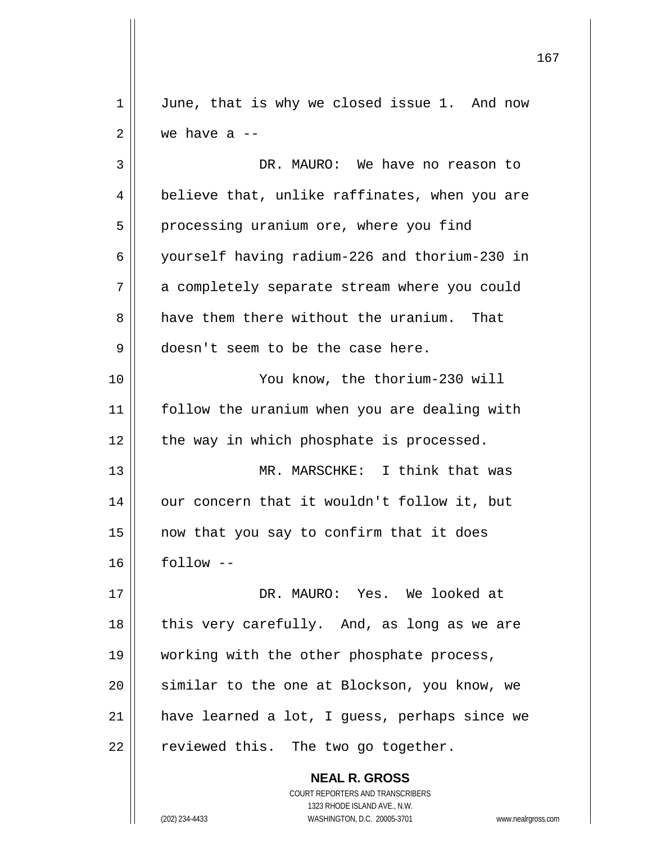**NEAL R. GROSS** COURT REPORTERS AND TRANSCRIBERS 167 1 June, that is why we closed issue 1. And now  $2 \parallel$  we have a --3 DR. MAURO: We have no reason to  $4 \parallel$  believe that, unlike raffinates, when you are  $5$  | processing uranium ore, where you find 6 yourself having radium-226 and thorium-230 in 7 || a completely separate stream where you could 8 and in them there without the uranium. That 9 doesn't seem to be the case here. 10 You know, the thorium-230 will 11 follow the uranium when you are dealing with  $12$  | the way in which phosphate is processed. 13 MR. MARSCHKE: I think that was 14 || our concern that it wouldn't follow it, but  $15$  now that you say to confirm that it does  $16 \parallel$  follow --17 DR. MAURO: Yes. We looked at  $18$  || this very carefully. And, as long as we are 19 || working with the other phosphate process, 20 || similar to the one at Blockson, you know, we 21 have learned a lot, I guess, perhaps since we  $22$  | reviewed this. The two go together.

1323 RHODE ISLAND AVE., N.W.

(202) 234-4433 WASHINGTON, D.C. 20005-3701 www.nealrgross.com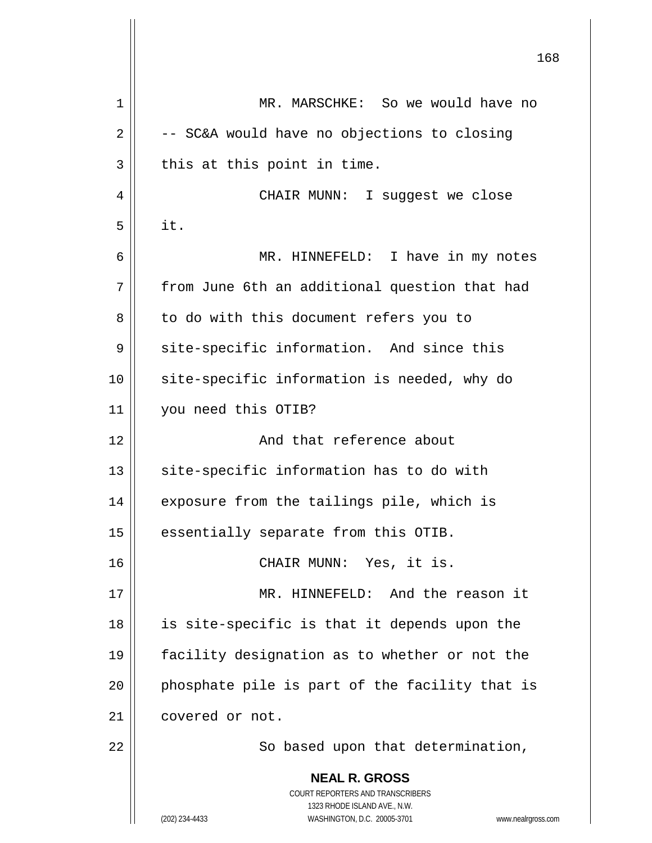|                | 168                                                                                      |
|----------------|------------------------------------------------------------------------------------------|
| 1              | MR. MARSCHKE: So we would have no                                                        |
| $\overline{2}$ | -- SC&A would have no objections to closing                                              |
| 3              | this at this point in time.                                                              |
| 4              | CHAIR MUNN: I suggest we close                                                           |
| 5              | it.                                                                                      |
| 6              | MR. HINNEFELD: I have in my notes                                                        |
| 7              | from June 6th an additional question that had                                            |
| 8              | to do with this document refers you to                                                   |
| 9              | site-specific information. And since this                                                |
| 10             | site-specific information is needed, why do                                              |
| 11             | you need this OTIB?                                                                      |
| 12             | And that reference about                                                                 |
| 13             | site-specific information has to do with                                                 |
| 14             | exposure from the tailings pile, which is                                                |
| 15             | essentially separate from this OTIB.                                                     |
| 16             | CHAIR MUNN: Yes, it is.                                                                  |
| 17             | MR. HINNEFELD: And the reason it                                                         |
| 18             | is site-specific is that it depends upon the                                             |
| 19             | facility designation as to whether or not the                                            |
| 20             | phosphate pile is part of the facility that is                                           |
| 21             | covered or not.                                                                          |
| 22             | So based upon that determination,                                                        |
|                | <b>NEAL R. GROSS</b><br>COURT REPORTERS AND TRANSCRIBERS<br>1323 RHODE ISLAND AVE., N.W. |
|                | (202) 234-4433<br>WASHINGTON, D.C. 20005-3701<br>www.nealrgross.com                      |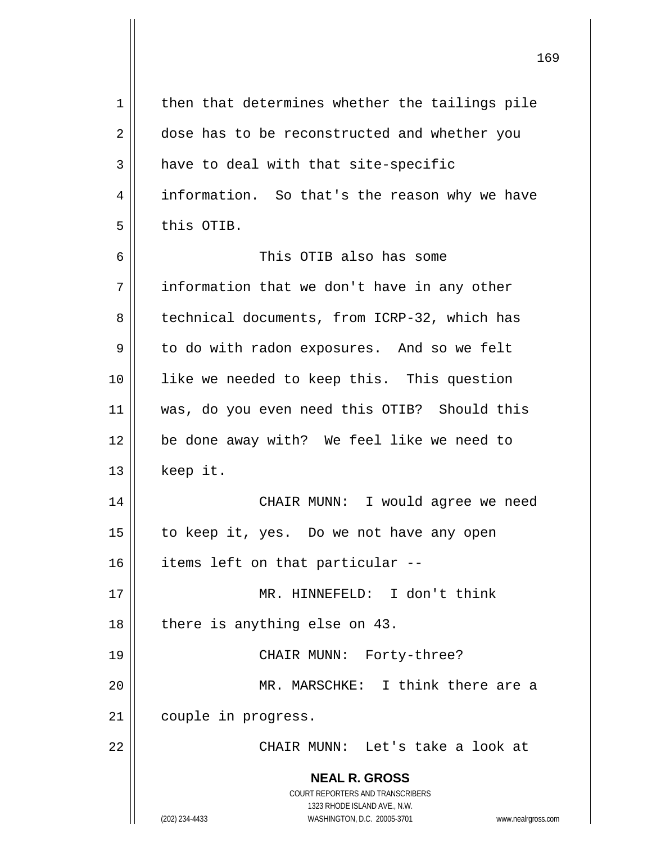**NEAL R. GROSS** COURT REPORTERS AND TRANSCRIBERS 1323 RHODE ISLAND AVE., N.W. (202) 234-4433 WASHINGTON, D.C. 20005-3701 www.nealrgross.com 1 || then that determines whether the tailings pile 2 | dose has to be reconstructed and whether you  $3$  | have to deal with that site-specific 4 information. So that's the reason why we have  $5$   $\parallel$  this OTIB. 6 This OTIB also has some  $7 \parallel$  information that we don't have in any other 8 | technical documents, from ICRP-32, which has  $9 \parallel$  to do with radon exposures. And so we felt 10 || like we needed to keep this. This question 11 was, do you even need this OTIB? Should this 12 be done away with? We feel like we need to 13 | keep it. 14 CHAIR MUNN: I would agree we need 15 | to keep it, yes. Do we not have any open 16 || items left on that particular --17 MR. HINNEFELD: I don't think  $18$  | there is anything else on 43. 19 || CHAIR MUNN: Forty-three? 20 MR. MARSCHKE: I think there are a 21 couple in progress. 22 || CHAIR MUNN: Let's take a look at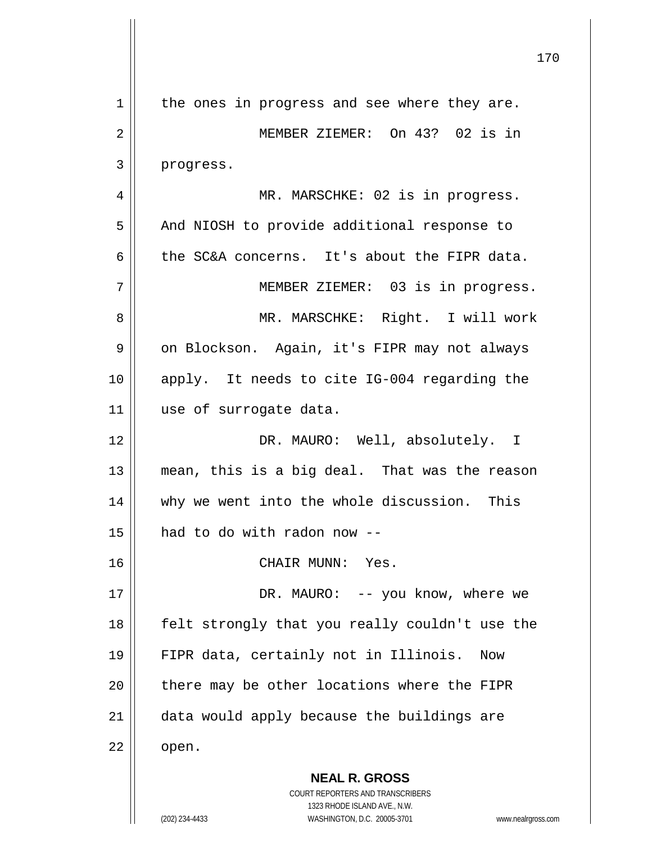**NEAL R. GROSS** COURT REPORTERS AND TRANSCRIBERS 1323 RHODE ISLAND AVE., N.W. 170 1 || the ones in progress and see where they are. 2 || MEMBER ZIEMER: On 43? 02 is in 3 | progress. 4 || MR. MARSCHKE: 02 is in progress. 5 | And NIOSH to provide additional response to  $6 \parallel$  the SC&A concerns. It's about the FIPR data. 7 MEMBER ZIEMER: 03 is in progress. 8 MR. MARSCHKE: Right. I will work 9 | on Blockson. Again, it's FIPR may not always 10 apply. It needs to cite IG-004 regarding the 11 || use of surrogate data. 12 DR. MAURO: Well, absolutely. I 13 mean, this is a big deal. That was the reason 14 why we went into the whole discussion. This  $15$  | had to do with radon now --16 CHAIR MUNN: Yes. 17 DR. MAURO: -- you know, where we 18 || felt strongly that you really couldn't use the 19 FIPR data, certainly not in Illinois. Now  $20$   $\parallel$  there may be other locations where the FIPR 21 data would apply because the buildings are  $22 \parallel$  open.

(202) 234-4433 WASHINGTON, D.C. 20005-3701 www.nealrgross.com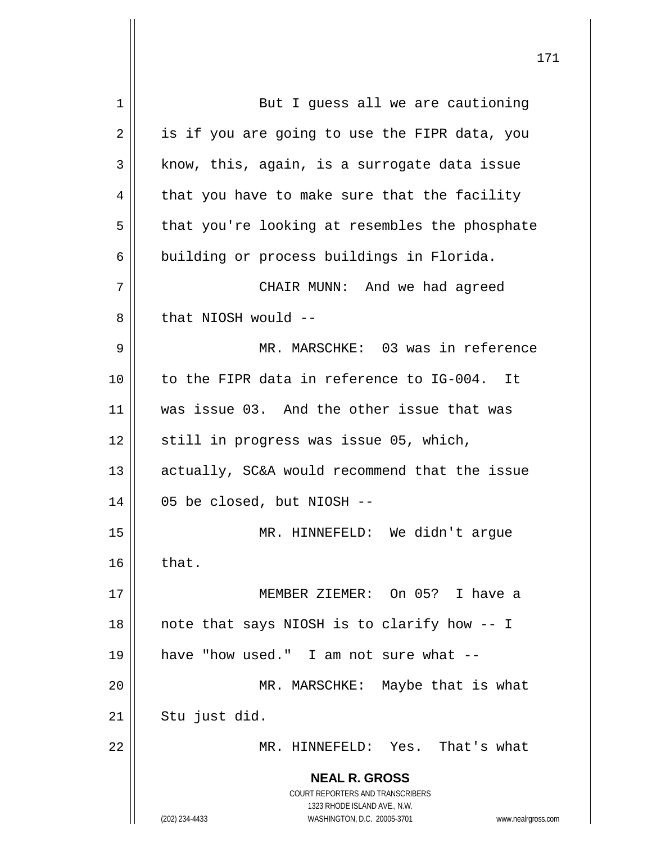**NEAL R. GROSS** COURT REPORTERS AND TRANSCRIBERS 1323 RHODE ISLAND AVE., N.W. (202) 234-4433 WASHINGTON, D.C. 20005-3701 www.nealrgross.com 1 || But I guess all we are cautioning  $2 \parallel$  is if you are going to use the FIPR data, you  $3 \parallel$  know, this, again, is a surrogate data issue  $4 \parallel$  that you have to make sure that the facility  $5$  that you're looking at resembles the phosphate 6 | building or process buildings in Florida. 7 CHAIR MUNN: And we had agreed  $8$  || that NIOSH would  $-$ 9 MR. MARSCHKE: 03 was in reference 10 to the FIPR data in reference to IG-004. It 11 was issue 03. And the other issue that was 12 || still in progress was issue 05, which, 13 actually, SC&A would recommend that the issue  $14$  | 05 be closed, but NIOSH --15 MR. HINNEFELD: We didn't argue  $16$  || that. 17 MEMBER ZIEMER: On 05? I have a 18 || note that says NIOSH is to clarify how -- I  $19$  || have "how used." I am not sure what  $-$ 20 MR. MARSCHKE: Maybe that is what  $21$  || Stu just did. 22 MR. HINNEFELD: Yes. That's what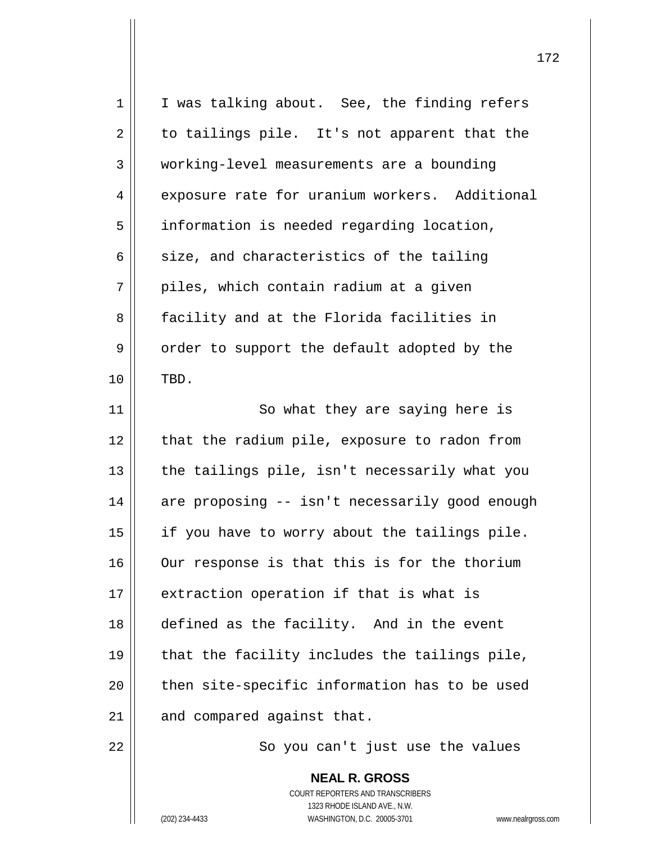| 1  | I was talking about. See, the finding refers                                                                                                                    |
|----|-----------------------------------------------------------------------------------------------------------------------------------------------------------------|
| 2  | to tailings pile. It's not apparent that the                                                                                                                    |
| 3  | working-level measurements are a bounding                                                                                                                       |
| 4  | exposure rate for uranium workers. Additional                                                                                                                   |
| 5  | information is needed regarding location,                                                                                                                       |
| 6  | size, and characteristics of the tailing                                                                                                                        |
| 7  | piles, which contain radium at a given                                                                                                                          |
| 8  | facility and at the Florida facilities in                                                                                                                       |
| 9  | order to support the default adopted by the                                                                                                                     |
| 10 | TBD.                                                                                                                                                            |
| 11 | So what they are saying here is                                                                                                                                 |
| 12 | that the radium pile, exposure to radon from                                                                                                                    |
| 13 | the tailings pile, isn't necessarily what you                                                                                                                   |
| 14 | are proposing -- isn't necessarily good enough                                                                                                                  |
| 15 | if you have to worry about the tailings pile.                                                                                                                   |
| 16 | Our response is that this is for the thorium                                                                                                                    |
| 17 | extraction operation if that is what is                                                                                                                         |
| 18 | defined as the facility. And in the event                                                                                                                       |
| 19 | that the facility includes the tailings pile,                                                                                                                   |
| 20 | then site-specific information has to be used                                                                                                                   |
| 21 | and compared against that.                                                                                                                                      |
| 22 | So you can't just use the values                                                                                                                                |
|    | <b>NEAL R. GROSS</b><br>COURT REPORTERS AND TRANSCRIBERS<br>1323 RHODE ISLAND AVE., N.W.<br>(202) 234-4433<br>WASHINGTON, D.C. 20005-3701<br>www.nealrgross.com |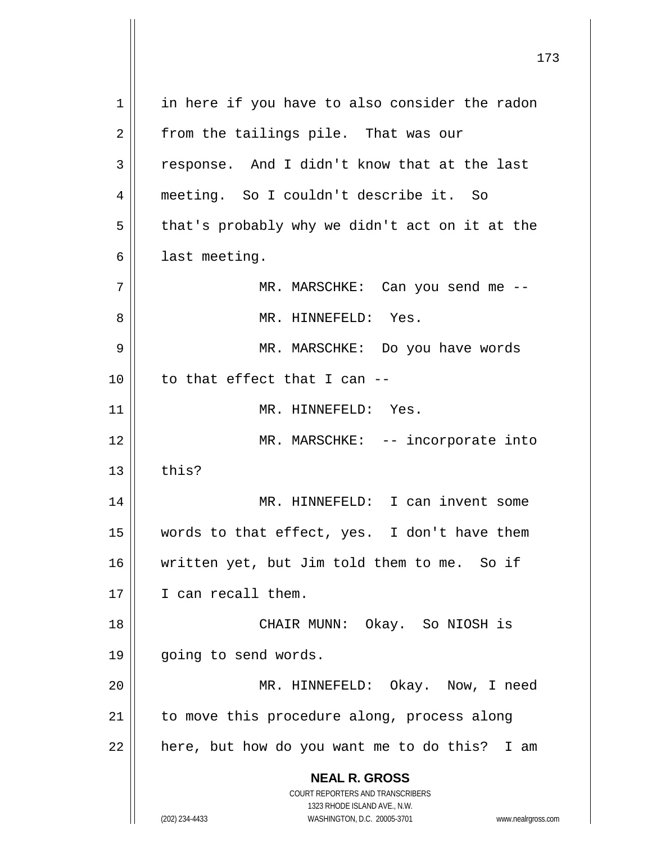**NEAL R. GROSS** COURT REPORTERS AND TRANSCRIBERS 1323 RHODE ISLAND AVE., N.W. (202) 234-4433 WASHINGTON, D.C. 20005-3701 www.nealrgross.com 1 || in here if you have to also consider the radon  $2 \parallel$  from the tailings pile. That was our 3 || response. And I didn't know that at the last 4 meeting. So I couldn't describe it. So  $5 \parallel$  that's probably why we didn't act on it at the  $6 \parallel$  last meeting. 7 MR. MARSCHKE: Can you send me -- 8 MR. HINNEFELD: Yes. 9 MR. MARSCHKE: Do you have words  $10$  | to that effect that I can  $-$ 11 || MR. HINNEFELD: Yes. 12 || MR. MARSCHKE: -- incorporate into  $13 \parallel$  this? 14 || MR. HINNEFELD: I can invent some 15 words to that effect, yes. I don't have them 16 written yet, but Jim told them to me. So if 17 || I can recall them. 18 CHAIR MUNN: Okay. So NIOSH is 19 | going to send words. 20 || MR. HINNEFELD: Okay. Now, I need 21 to move this procedure along, process along  $22$  | here, but how do you want me to do this? I am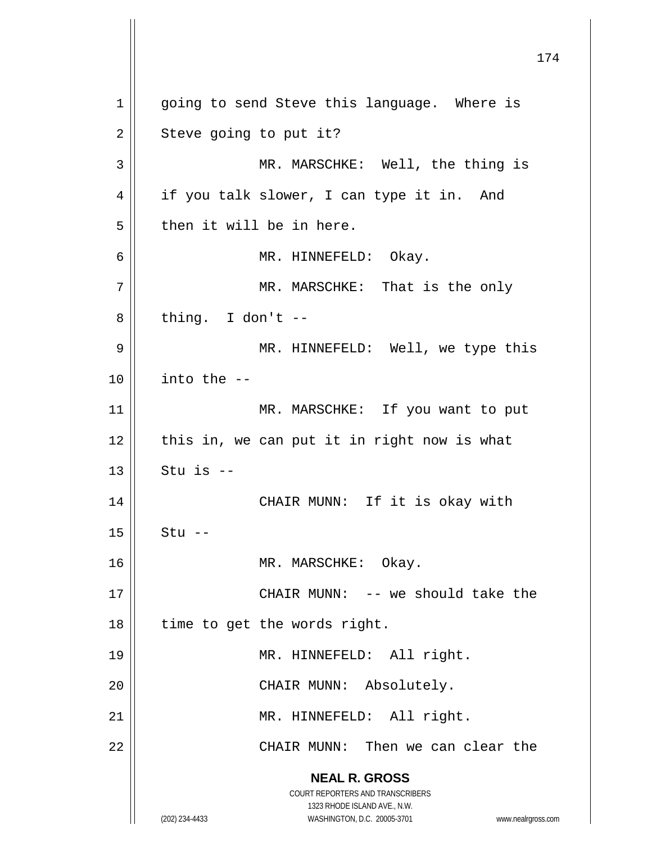**NEAL R. GROSS** COURT REPORTERS AND TRANSCRIBERS 1323 RHODE ISLAND AVE., N.W. (202) 234-4433 WASHINGTON, D.C. 20005-3701 www.nealrgross.com 174 1 || going to send Steve this language. Where is  $2 \parallel$  Steve going to put it? 3 || MR. MARSCHKE: Well, the thing is 4 | if you talk slower, I can type it in. And  $5$  then it will be in here. 6 MR. HINNEFELD: Okay. 7 || MR. MARSCHKE: That is the only  $8 \parallel$  thing. I don't --9 MR. HINNEFELD: Well, we type this  $10$   $\parallel$  into the  $-$ 11 || MR. MARSCHKE: If you want to put  $12$  | this in, we can put it in right now is what  $13$   $\parallel$  Stu is  $-$ 14 || CHAIR MUNN: If it is okay with  $15 \parallel$  Stu --16 || MR. MARSCHKE: Okay. 17 CHAIR MUNN: -- we should take the  $18$  | time to get the words right. 19 || MR. HINNEFELD: All right. 20 || CHAIR MUNN: Absolutely. 21 || MR. HINNEFELD: All right. 22 CHAIR MUNN: Then we can clear the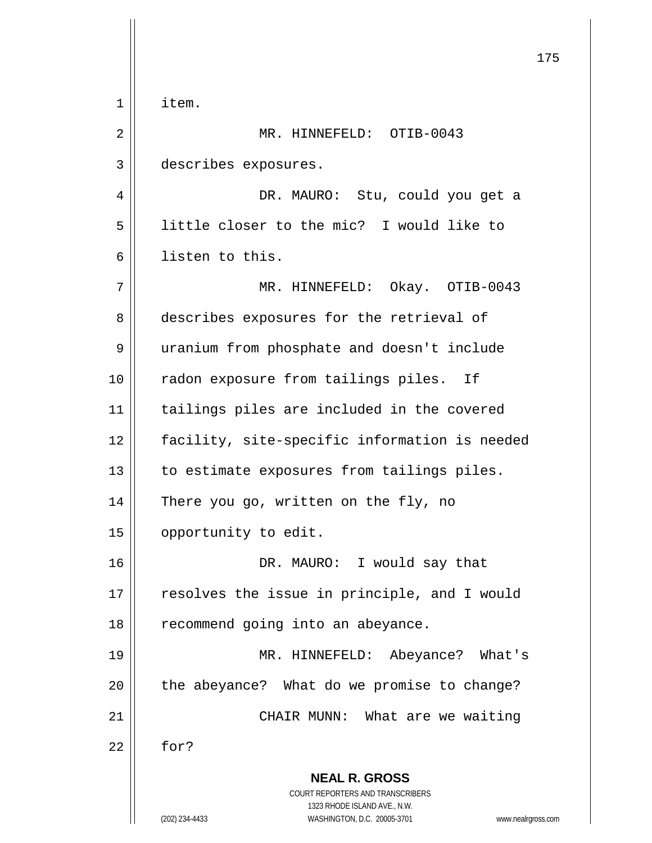**NEAL R. GROSS** COURT REPORTERS AND TRANSCRIBERS 1323 RHODE ISLAND AVE., N.W. (202) 234-4433 WASHINGTON, D.C. 20005-3701 www.nealrgross.com 1 item. 2 || MR. HINNEFELD: OTIB-0043 3 describes exposures. 4 DR. MAURO: Stu, could you get a 5 little closer to the mic? I would like to 6 listen to this. 7 MR. HINNEFELD: Okay. OTIB-0043 8 describes exposures for the retrieval of 9 | uranium from phosphate and doesn't include 10 || radon exposure from tailings piles. If 11 tailings piles are included in the covered 12 facility, site-specific information is needed 13 || to estimate exposures from tailings piles. 14 || There you go, written on the fly, no 15 | opportunity to edit. 16 DR. MAURO: I would say that 17 || resolves the issue in principle, and I would 18 || recommend going into an abeyance. 19 MR. HINNEFELD: Abeyance? What's  $20$  | the abeyance? What do we promise to change? 21 CHAIR MUNN: What are we waiting  $22 \parallel$  for?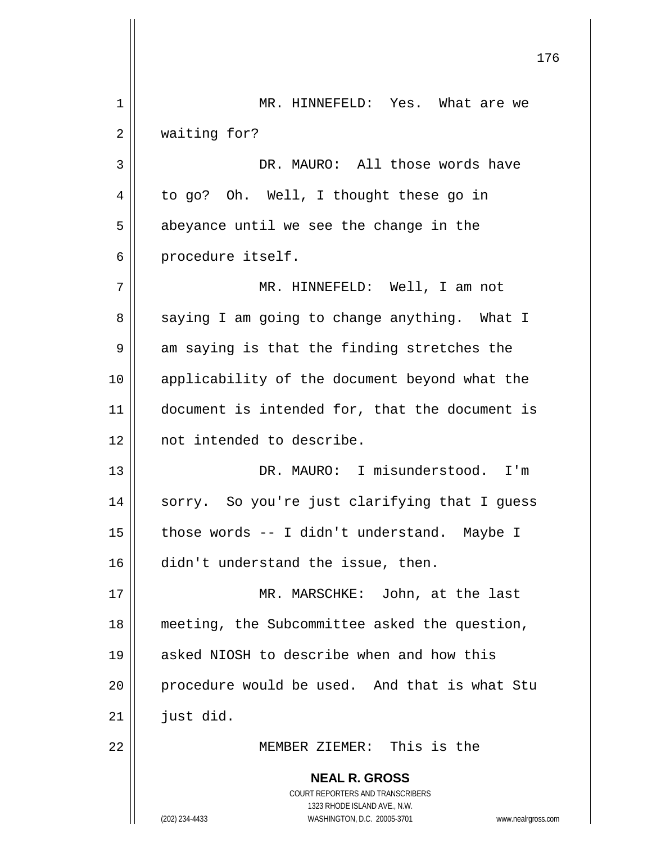**NEAL R. GROSS** COURT REPORTERS AND TRANSCRIBERS 1323 RHODE ISLAND AVE., N.W. (202) 234-4433 WASHINGTON, D.C. 20005-3701 www.nealrgross.com 1 || MR. HINNEFELD: Yes. What are we 2 | waiting for? 3 DR. MAURO: All those words have 4 | to go? Oh. Well, I thought these go in  $5 \parallel$  abeyance until we see the change in the 6 | procedure itself. 7 MR. HINNEFELD: Well, I am not 8 || saying I am going to change anything. What I  $9 \parallel$  am saying is that the finding stretches the 10 applicability of the document beyond what the 11 document is intended for, that the document is 12 not intended to describe. 13 DR. MAURO: I misunderstood. I'm 14 || sorry. So you're just clarifying that I guess 15 | those words -- I didn't understand. Maybe I 16 didn't understand the issue, then. 17 MR. MARSCHKE: John, at the last 18 meeting, the Subcommittee asked the question, 19 asked NIOSH to describe when and how this 20 || procedure would be used. And that is what Stu  $21$  | just did. 22 MEMBER ZIEMER: This is the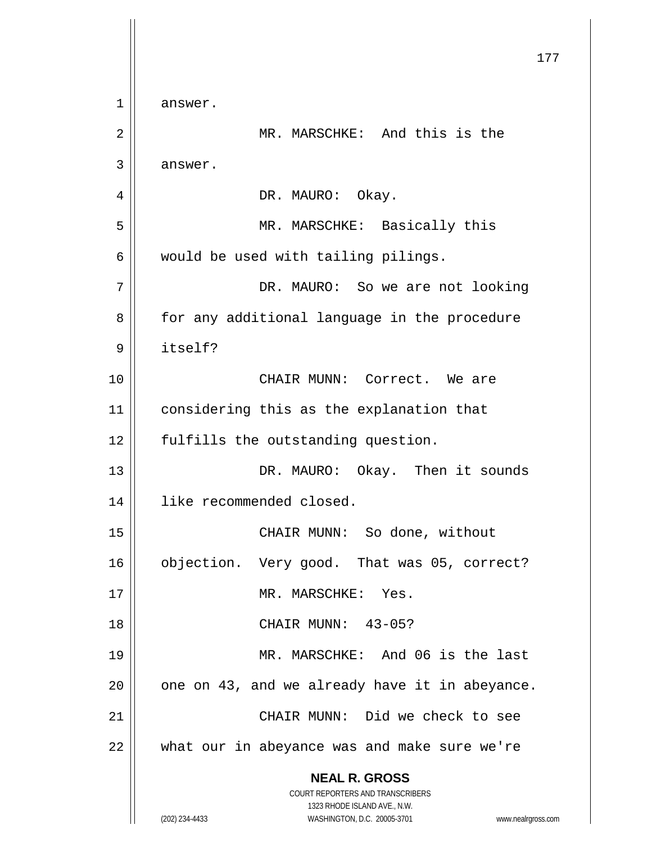**NEAL R. GROSS** COURT REPORTERS AND TRANSCRIBERS 1323 RHODE ISLAND AVE., N.W. (202) 234-4433 WASHINGTON, D.C. 20005-3701 www.nealrgross.com 177 1 answer. 2 || MR. MARSCHKE: And this is the  $3 \parallel$  answer. 4 | DR. MAURO: Okay. 5 MR. MARSCHKE: Basically this  $6 \parallel$  would be used with tailing pilings. 7 DR. MAURO: So we are not looking 8 | for any additional language in the procedure 9 itself? 10 CHAIR MUNN: Correct. We are 11 considering this as the explanation that 12 || fulfills the outstanding question. 13 DR. MAURO: Okay. Then it sounds 14 like recommended closed. 15 CHAIR MUNN: So done, without 16 | objection. Very good. That was 05, correct? 17 || MR. MARSCHKE: Yes. 18 || CHAIR MUNN: 43-05? 19 MR. MARSCHKE: And 06 is the last  $20$  |  $\degree$  one on 43, and we already have it in abeyance. 21 CHAIR MUNN: Did we check to see  $22$   $\parallel$  what our in abeyance was and make sure we're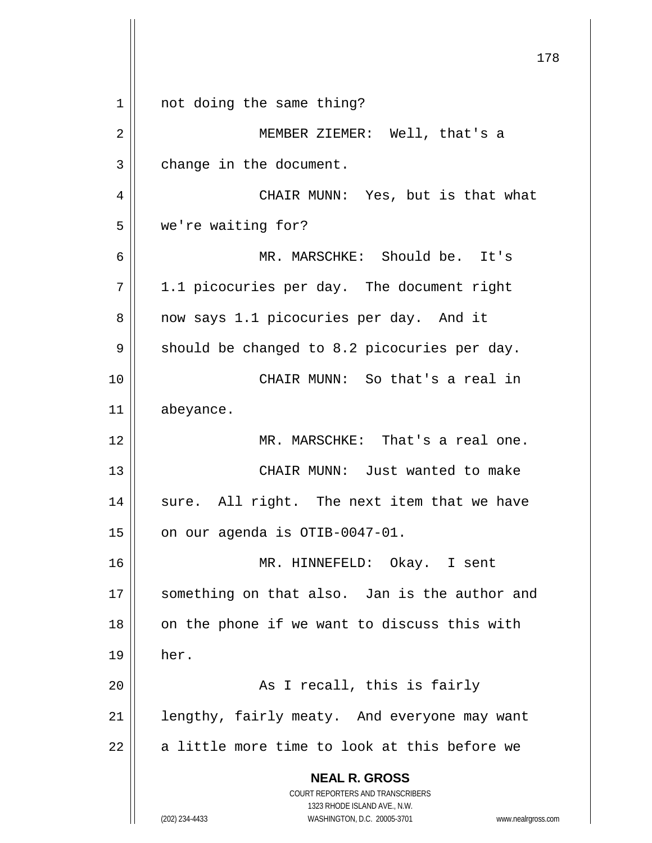**NEAL R. GROSS** COURT REPORTERS AND TRANSCRIBERS 1323 RHODE ISLAND AVE., N.W. (202) 234-4433 WASHINGTON, D.C. 20005-3701 www.nealrgross.com 178 1 not doing the same thing? 2 MEMBER ZIEMER: Well, that's a 3 | change in the document. 4 CHAIR MUNN: Yes, but is that what 5 we're waiting for? 6 MR. MARSCHKE: Should be. It's  $7 || 1.1$  picocuries per day. The document right 8 || now says 1.1 picocuries per day. And it  $9 \parallel$  should be changed to 8.2 picocuries per day. 10 CHAIR MUNN: So that's a real in 11 abeyance. 12 MR. MARSCHKE: That's a real one. 13 CHAIR MUNN: Just wanted to make  $14$  sure. All right. The next item that we have  $15$  | on our agenda is OTIB-0047-01. 16 MR. HINNEFELD: Okay. I sent 17 || something on that also. Jan is the author and  $18$  || on the phone if we want to discuss this with  $19 \parallel \text{her.}$ 20 || As I recall, this is fairly 21 | lengthy, fairly meaty. And everyone may want  $22$  || a little more time to look at this before we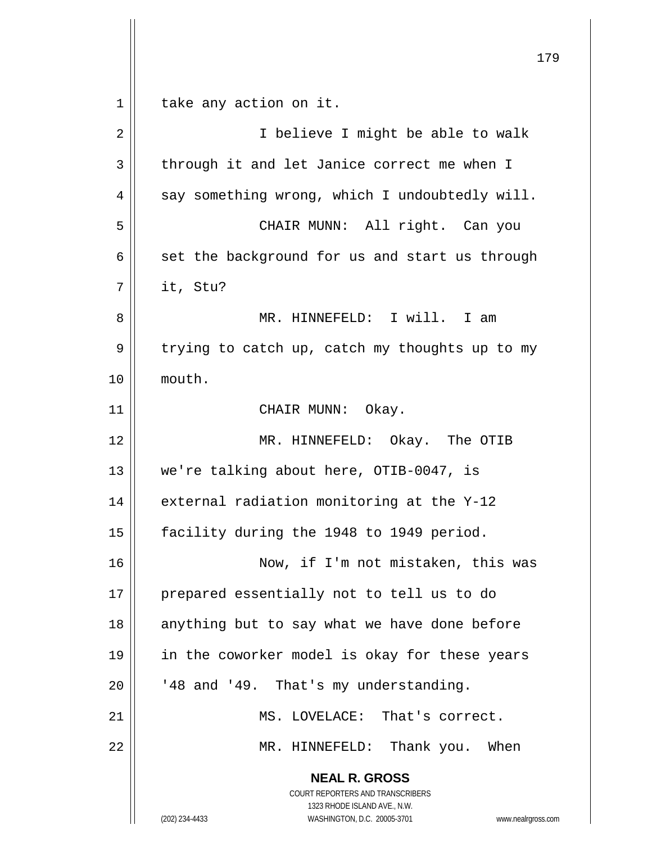**NEAL R. GROSS** COURT REPORTERS AND TRANSCRIBERS 1323 RHODE ISLAND AVE., N.W. (202) 234-4433 WASHINGTON, D.C. 20005-3701 www.nealrgross.com 179 1 || take any action on it. 2 || I believe I might be able to walk 3 | through it and let Janice correct me when I  $4 \parallel$  say something wrong, which I undoubtedly will. 5 || CHAIR MUNN: All right. Can you  $6 \parallel$  set the background for us and start us through  $7 \parallel$  it, Stu? 8 MR. HINNEFELD: I will. I am  $9 \parallel$  trying to catch up, catch my thoughts up to my 10 mouth. 11 || CHAIR MUNN: Okay. 12 MR. HINNEFELD: Okay. The OTIB 13 we're talking about here, OTIB-0047, is  $14$  | external radiation monitoring at the Y-12 15 | facility during the 1948 to 1949 period. 16 Now, if I'm not mistaken, this was 17 || prepared essentially not to tell us to do  $18$  anything but to say what we have done before 19 in the coworker model is okay for these years  $20$  |  $\sqrt{48}$  and '49. That's my understanding. 21 MS. LOVELACE: That's correct. 22 MR. HINNEFELD: Thank you. When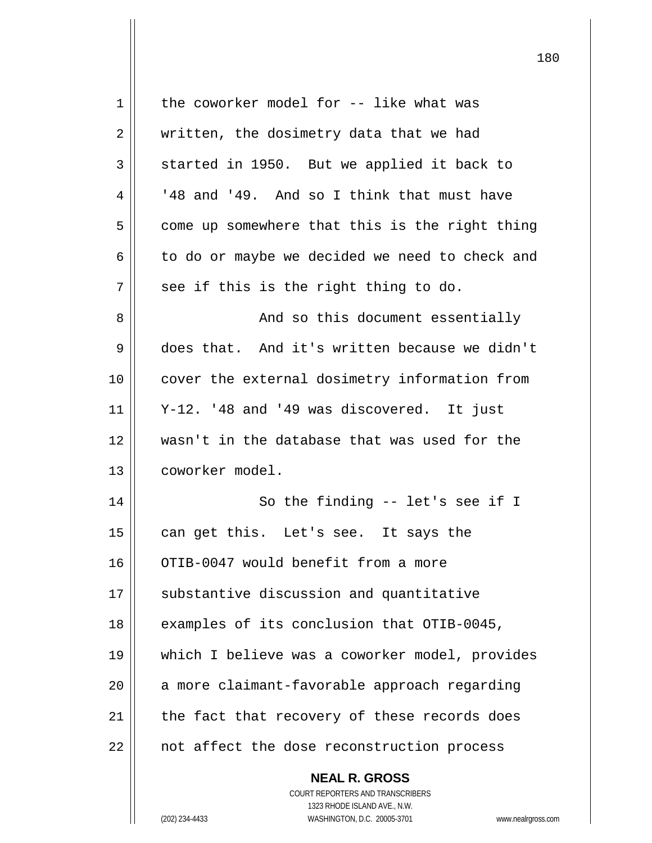| 1  | the coworker model for -- like what was                             |
|----|---------------------------------------------------------------------|
| 2  | written, the dosimetry data that we had                             |
| 3  | started in 1950. But we applied it back to                          |
| 4  | '48 and '49. And so I think that must have                          |
| 5  | come up somewhere that this is the right thing                      |
| 6  | to do or maybe we decided we need to check and                      |
| 7  | see if this is the right thing to do.                               |
| 8  | And so this document essentially                                    |
| 9  | does that. And it's written because we didn't                       |
| 10 | cover the external dosimetry information from                       |
| 11 | Y-12. '48 and '49 was discovered. It just                           |
| 12 | wasn't in the database that was used for the                        |
| 13 | coworker model.                                                     |
| 14 | So the finding -- let's see if I                                    |
| 15 | can get this. Let's see. It says the                                |
| 16 | OTIB-0047 would benefit from a more                                 |
| 17 | substantive discussion and quantitative                             |
| 18 | examples of its conclusion that OTIB-0045,                          |
| 19 | which I believe was a coworker model, provides                      |
| 20 | a more claimant-favorable approach regarding                        |
| 21 | the fact that recovery of these records does                        |
| 22 | not affect the dose reconstruction process                          |
|    | <b>NEAL R. GROSS</b><br>COURT REPORTERS AND TRANSCRIBERS            |
|    | 1323 RHODE ISLAND AVE., N.W.                                        |
|    | (202) 234-4433<br>WASHINGTON, D.C. 20005-3701<br>www.nealrgross.com |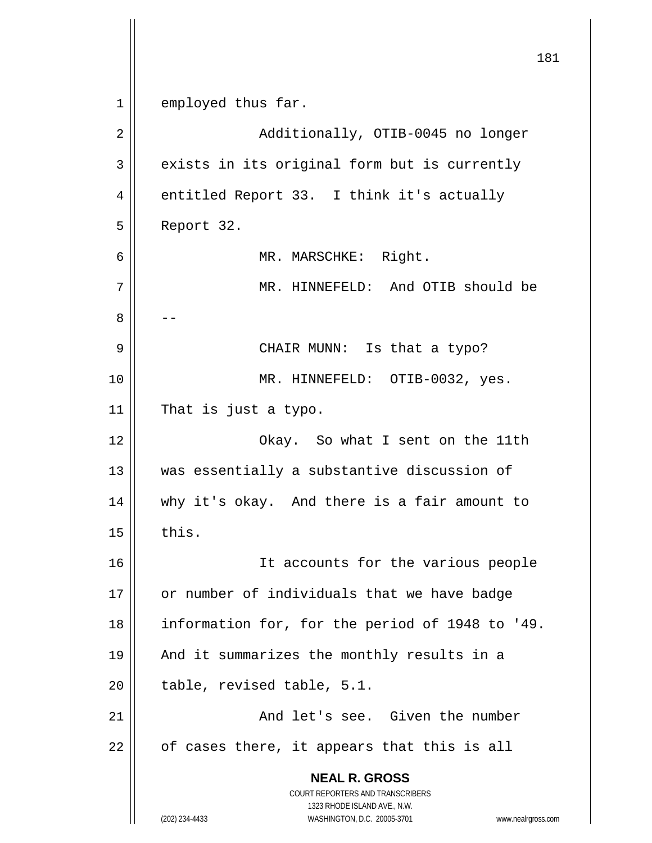**NEAL R. GROSS** COURT REPORTERS AND TRANSCRIBERS 1323 RHODE ISLAND AVE., N.W. (202) 234-4433 WASHINGTON, D.C. 20005-3701 www.nealrgross.com 181 1 || employed thus far. 2 || Additionally, OTIB-0045 no longer  $3 \parallel$  exists in its original form but is currently 4 | entitled Report 33. I think it's actually 5 Report 32. 6 MR. MARSCHKE: Right. 7 MR. HINNEFELD: And OTIB should be  $8 \parallel - -$ 9 CHAIR MUNN: Is that a typo? 10 MR. HINNEFELD: OTIB-0032, yes. 11 That is just a typo. 12 Okay. So what I sent on the 11th 13 || was essentially a substantive discussion of 14 why it's okay. And there is a fair amount to  $15$  | this. 16 || It accounts for the various people 17 or number of individuals that we have badge 18 || information for, for the period of 1948 to '49. 19 || And it summarizes the monthly results in a  $20$  | table, revised table, 5.1. 21 || And let's see. Given the number  $22 \parallel$  of cases there, it appears that this is all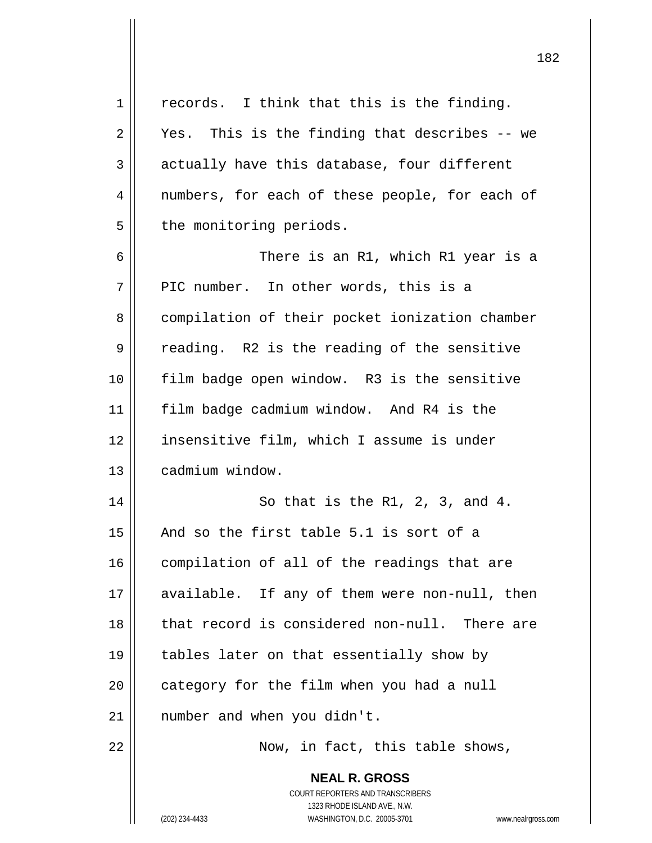**NEAL R. GROSS** COURT REPORTERS AND TRANSCRIBERS 1323 RHODE ISLAND AVE., N.W. 1 || records. I think that this is the finding.  $2 \parallel$  Yes. This is the finding that describes -- we 3 || actually have this database, four different 4 || numbers, for each of these people, for each of 5 | the monitoring periods. 6 There is an R1, which R1 year is a  $7$  || PIC number. In other words, this is a 8 | compilation of their pocket ionization chamber  $9 \parallel$  reading. R2 is the reading of the sensitive 10 film badge open window. R3 is the sensitive 11 film badge cadmium window. And R4 is the 12 insensitive film, which I assume is under 13 | cadmium window.  $14$   $\parallel$  So that is the R1, 2, 3, and 4. 15  $\parallel$  And so the first table 5.1 is sort of a 16 || compilation of all of the readings that are 17 || available. If any of them were non-null, then 18 || that record is considered non-null. There are 19 || tables later on that essentially show by  $20$  | category for the film when you had a null 21 || number and when you didn't. 22 || Now, in fact, this table shows,

(202) 234-4433 WASHINGTON, D.C. 20005-3701 www.nealrgross.com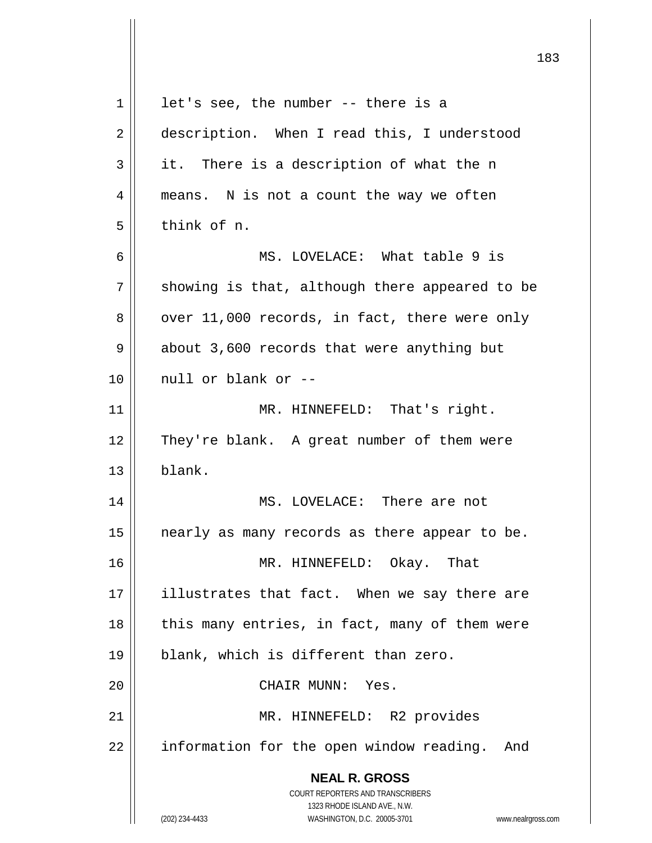**NEAL R. GROSS** COURT REPORTERS AND TRANSCRIBERS 1323 RHODE ISLAND AVE., N.W. (202) 234-4433 WASHINGTON, D.C. 20005-3701 www.nealrgross.com 1 || let's see, the number -- there is a 2 | description. When I read this, I understood  $3 \parallel$  it. There is a description of what the n 4 || means. N is not a count the way we often  $5 \parallel$  think of n. 6 || MS. LOVELACE: What table 9 is  $7$  showing is that, although there appeared to be  $8 \parallel$  over 11,000 records, in fact, there were only  $9 \parallel$  about 3,600 records that were anything but  $10$  | null or blank or  $-$ 11 || MR. HINNEFELD: That's right. 12 They're blank. A great number of them were 13 blank. 14 MS. LOVELACE: There are not 15  $\parallel$  nearly as many records as there appear to be. 16 MR. HINNEFELD: Okay. That 17 || illustrates that fact. When we say there are  $18$  || this many entries, in fact, many of them were 19 blank, which is different than zero. 20 CHAIR MUNN: Yes. 21 MR. HINNEFELD: R2 provides 22 | information for the open window reading. And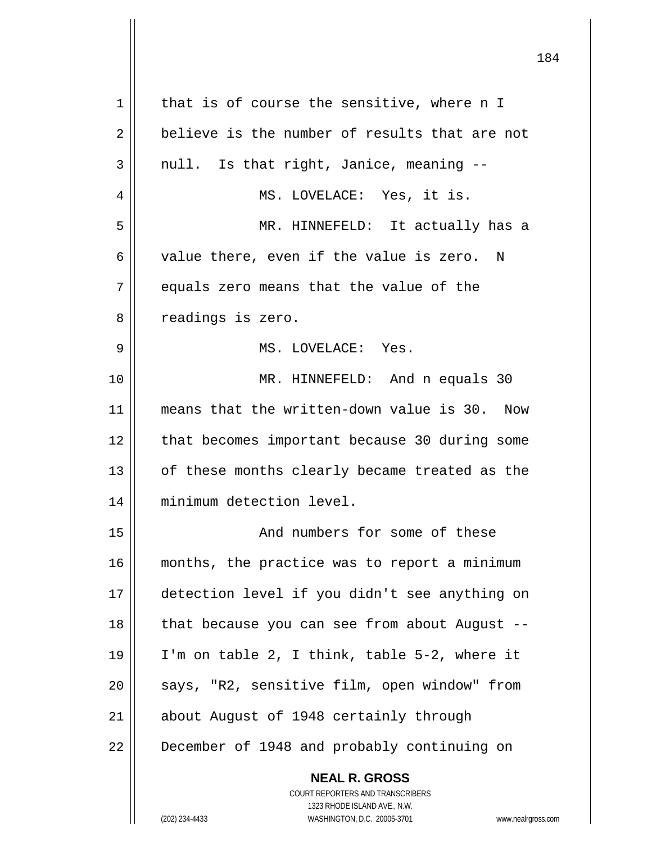| $\mathbf 1$    | that is of course the sensitive, where n I                       |
|----------------|------------------------------------------------------------------|
| $\overline{2}$ | believe is the number of results that are not                    |
| 3              | null. Is that right, Janice, meaning --                          |
| 4              | MS. LOVELACE: Yes, it is.                                        |
| 5              | MR. HINNEFELD: It actually has a                                 |
| 6              | value there, even if the value is zero. N                        |
| 7              | equals zero means that the value of the                          |
| 8              | readings is zero.                                                |
| 9              | MS. LOVELACE: Yes.                                               |
| 10             | MR. HINNEFELD: And n equals 30                                   |
| 11             | means that the written-down value is 30. Now                     |
| 12             | that becomes important because 30 during some                    |
| 13             | of these months clearly became treated as the                    |
| 14             | minimum detection level.                                         |
| 15             | And numbers for some of these                                    |
| 16             | months, the practice was to report a minimum                     |
| 17             | detection level if you didn't see anything on                    |
| 18             | that because you can see from about August --                    |
| 19             | I'm on table 2, I think, table 5-2, where it                     |
| 20             | says, "R2, sensitive film, open window" from                     |
| 21             | about August of 1948 certainly through                           |
| 22             | December of 1948 and probably continuing on                      |
|                | <b>NEAL R. GROSS</b>                                             |
|                | COURT REPORTERS AND TRANSCRIBERS<br>1323 RHODE ISLAND AVE., N.W. |
|                | (202) 234-4433<br>WASHINGTON, D.C. 20005-3701<br>www.nealrgros   |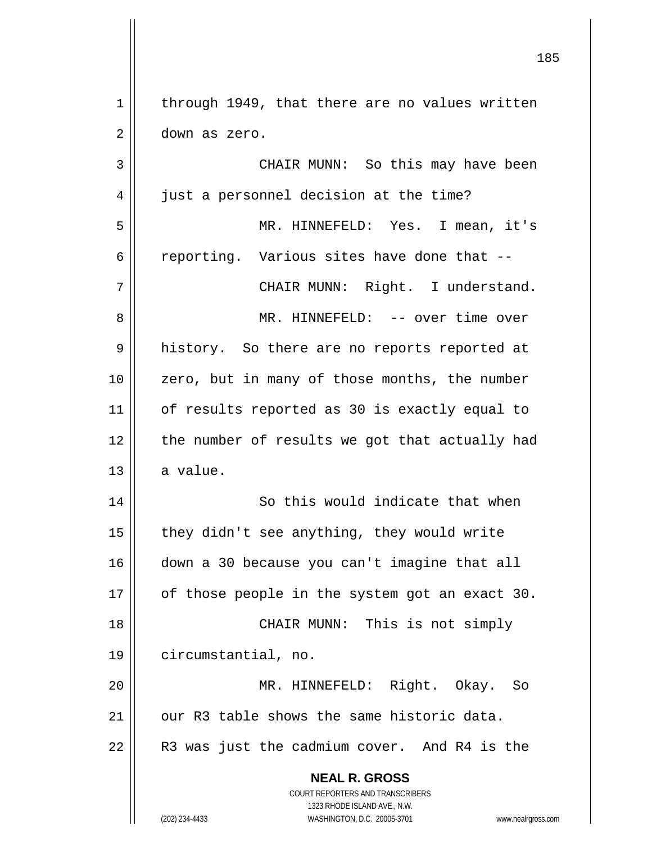1 || through 1949, that there are no values written 2 down as zero.

**NEAL R. GROSS** COURT REPORTERS AND TRANSCRIBERS 1323 RHODE ISLAND AVE., N.W. (202) 234-4433 WASHINGTON, D.C. 20005-3701 www.nealrgross.com 3 CHAIR MUNN: So this may have been 4 | just a personnel decision at the time? 5 MR. HINNEFELD: Yes. I mean, it's  $6 \parallel$  reporting. Various sites have done that  $-$ 7 CHAIR MUNN: Right. I understand. 8 MR. HINNEFELD: -- over time over 9 || history. So there are no reports reported at 10 || zero, but in many of those months, the number 11 of results reported as 30 is exactly equal to 12 || the number of results we got that actually had  $13 \parallel$  a value. 14 || So this would indicate that when 15  $\parallel$  they didn't see anything, they would write 16 down a 30 because you can't imagine that all  $17$  | of those people in the system got an exact 30. 18 CHAIR MUNN: This is not simply 19 circumstantial, no. 20 MR. HINNEFELD: Right. Okay. So  $21$  || our R3 table shows the same historic data. 22 || R3 was just the cadmium cover. And R4 is the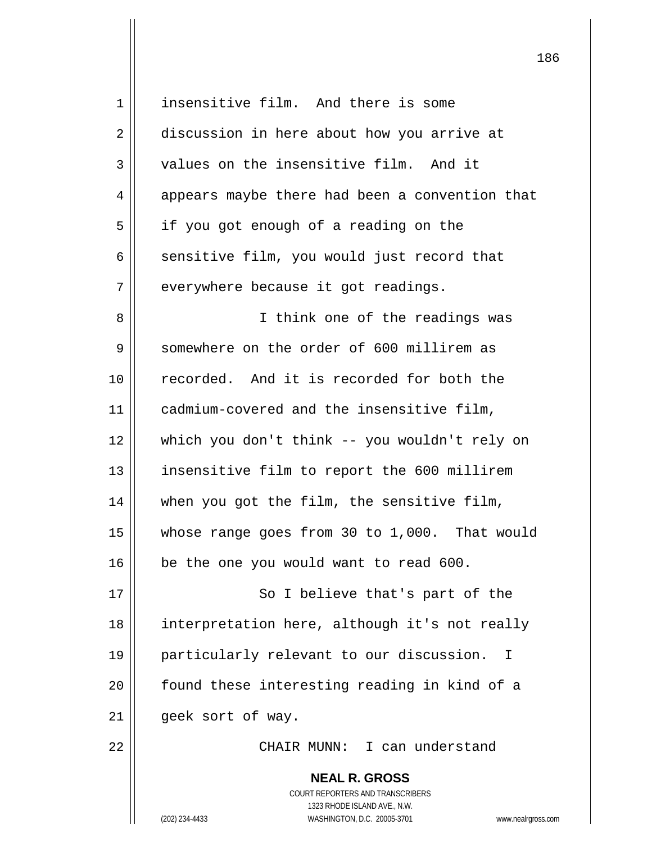| 1  | insensitive film. And there is some                                                                                                                             |
|----|-----------------------------------------------------------------------------------------------------------------------------------------------------------------|
| 2  | discussion in here about how you arrive at                                                                                                                      |
| 3  | values on the insensitive film. And it                                                                                                                          |
| 4  | appears maybe there had been a convention that                                                                                                                  |
| 5  | if you got enough of a reading on the                                                                                                                           |
| 6  | sensitive film, you would just record that                                                                                                                      |
| 7  | everywhere because it got readings.                                                                                                                             |
| 8  | I think one of the readings was                                                                                                                                 |
| 9  | somewhere on the order of 600 millirem as                                                                                                                       |
| 10 | recorded. And it is recorded for both the                                                                                                                       |
| 11 | cadmium-covered and the insensitive film,                                                                                                                       |
| 12 | which you don't think -- you wouldn't rely on                                                                                                                   |
| 13 | insensitive film to report the 600 millirem                                                                                                                     |
| 14 | when you got the film, the sensitive film,                                                                                                                      |
| 15 | whose range goes from 30 to 1,000. That would                                                                                                                   |
| 16 | be the one you would want to read 600.                                                                                                                          |
| 17 | So I believe that's part of the                                                                                                                                 |
| 18 | interpretation here, although it's not really                                                                                                                   |
| 19 | particularly relevant to our discussion.<br>$\top$                                                                                                              |
| 20 | found these interesting reading in kind of a                                                                                                                    |
| 21 | geek sort of way.                                                                                                                                               |
| 22 | CHAIR MUNN: I can understand                                                                                                                                    |
|    | <b>NEAL R. GROSS</b><br>COURT REPORTERS AND TRANSCRIBERS<br>1323 RHODE ISLAND AVE., N.W.<br>(202) 234-4433<br>WASHINGTON, D.C. 20005-3701<br>www.nealrgross.com |

 $\mathbf{I}$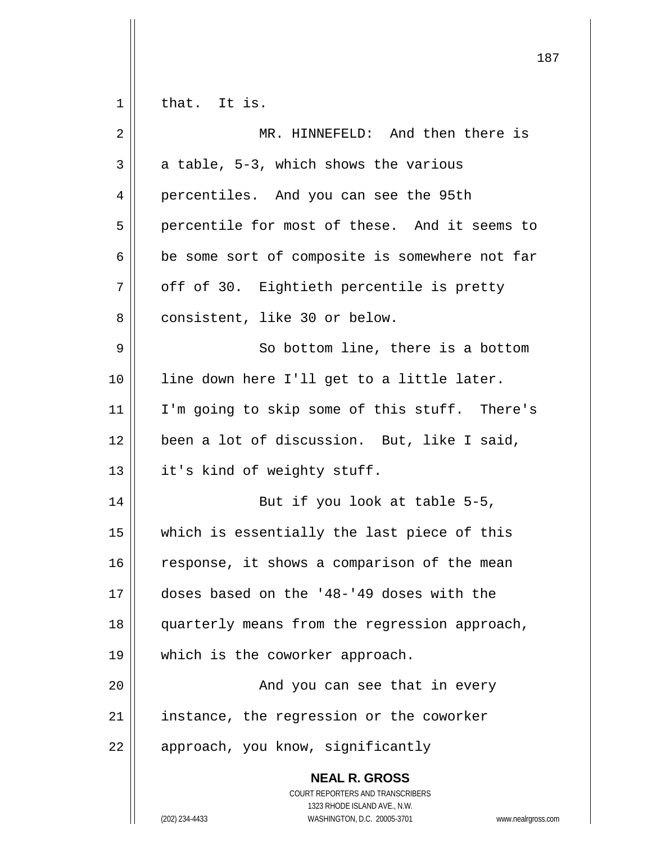**NEAL R. GROSS** COURT REPORTERS AND TRANSCRIBERS 1323 RHODE ISLAND AVE., N.W. (202) 234-4433 WASHINGTON, D.C. 20005-3701 www.nealrgross.com 187  $1 \parallel$  that. It is. 2 MR. HINNEFELD: And then there is  $3 \parallel$  a table, 5-3, which shows the various 4 || percentiles. And you can see the 95th 5 percentile for most of these. And it seems to  $6 \parallel$  be some sort of composite is somewhere not far  $7 \parallel$  off of 30. Eightieth percentile is pretty 8 || consistent, like 30 or below. 9 || So bottom line, there is a bottom 10 || line down here I'll get to a little later. 11 I'm going to skip some of this stuff. There's 12 been a lot of discussion. But, like I said, 13 || it's kind of weighty stuff. 14 || But if you look at table 5-5, 15 which is essentially the last piece of this 16 || response, it shows a comparison of the mean 17 doses based on the '48-'49 doses with the 18 || quarterly means from the regression approach, 19 || which is the coworker approach. 20 And you can see that in every 21 || instance, the regression or the coworker 22 || approach, you know, significantly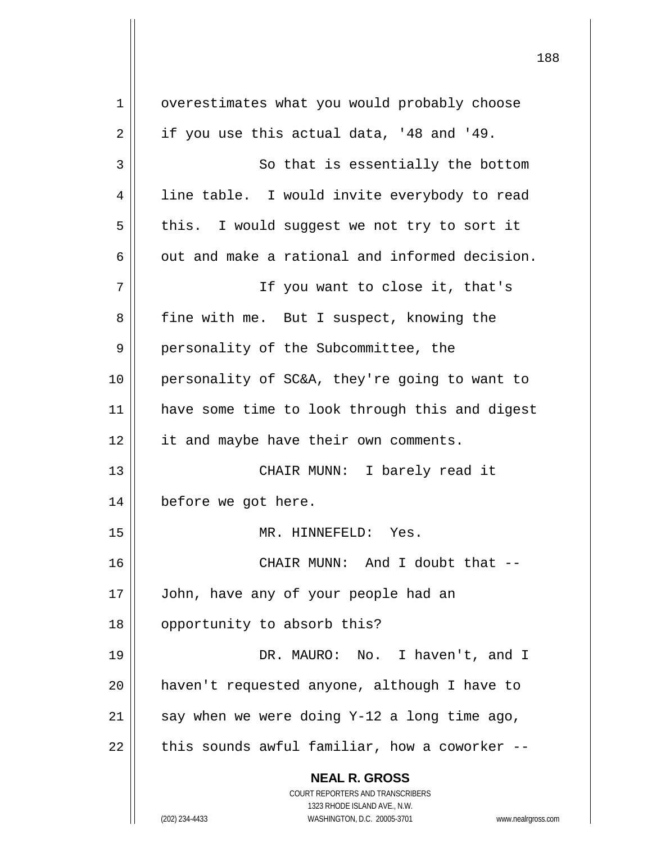**NEAL R. GROSS** COURT REPORTERS AND TRANSCRIBERS 1323 RHODE ISLAND AVE., N.W. (202) 234-4433 WASHINGTON, D.C. 20005-3701 www.nealrgross.com 1 | | overestimates what you would probably choose  $2 \parallel$  if you use this actual data, '48 and '49. 3 || So that is essentially the bottom 4 || line table. I would invite everybody to read  $5 \parallel$  this. I would suggest we not try to sort it  $6 \parallel$  out and make a rational and informed decision. 7 || If you want to close it, that's 8 | fine with me. But I suspect, knowing the 9 | personality of the Subcommittee, the 10 personality of SC&A, they're going to want to 11 have some time to look through this and digest 12 || it and maybe have their own comments. 13 CHAIR MUNN: I barely read it 14 | before we got here. 15 || MR. HINNEFELD: Yes. 16 CHAIR MUNN: And I doubt that -- 17 John, have any of your people had an 18 || opportunity to absorb this? 19 DR. MAURO: No. I haven't, and I 20 haven't requested anyone, although I have to 21  $\vert$  say when we were doing Y-12 a long time ago,  $22$  | this sounds awful familiar, how a coworker --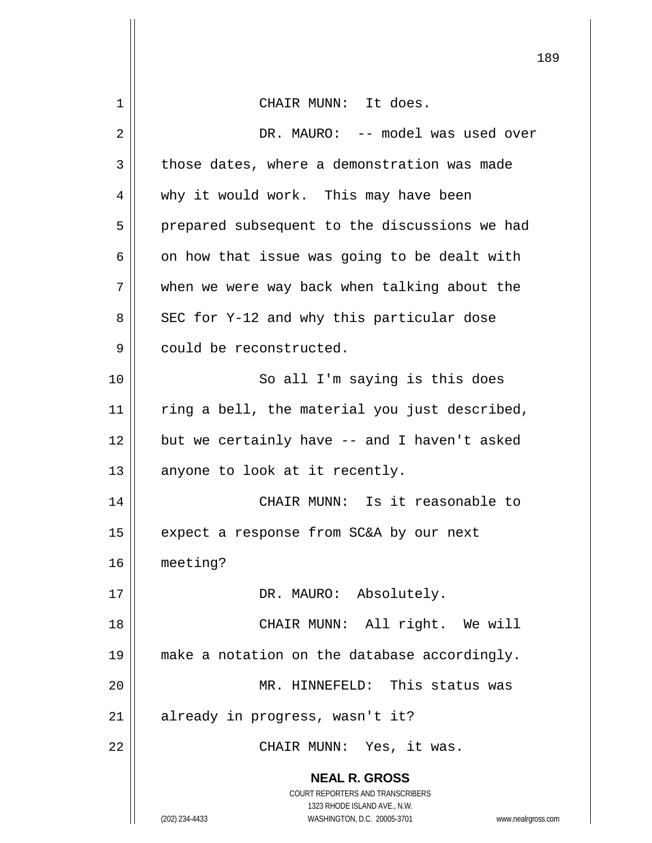|    | 189                                                                                                 |
|----|-----------------------------------------------------------------------------------------------------|
| 1  | CHAIR MUNN: It does.                                                                                |
| 2  | DR. MAURO: -- model was used over                                                                   |
| 3  | those dates, where a demonstration was made                                                         |
| 4  | why it would work. This may have been                                                               |
| 5  | prepared subsequent to the discussions we had                                                       |
| 6  | on how that issue was going to be dealt with                                                        |
| 7  | when we were way back when talking about the                                                        |
| 8  | SEC for Y-12 and why this particular dose                                                           |
| 9  | could be reconstructed.                                                                             |
| 10 | So all I'm saying is this does                                                                      |
| 11 | ring a bell, the material you just described,                                                       |
| 12 | but we certainly have -- and I haven't asked                                                        |
| 13 | anyone to look at it recently.                                                                      |
| 14 | CHAIR MUNN: Is it reasonable to                                                                     |
| 15 | expect a response from SC&A by our next                                                             |
| 16 | meeting?                                                                                            |
| 17 | DR. MAURO: Absolutely.                                                                              |
| 18 |                                                                                                     |
|    | CHAIR MUNN: All right. We will                                                                      |
| 19 | make a notation on the database accordingly.                                                        |
| 20 | MR. HINNEFELD: This status was                                                                      |
| 21 | already in progress, wasn't it?                                                                     |
| 22 | CHAIR MUNN: Yes, it was.                                                                            |
|    | <b>NEAL R. GROSS</b><br>COURT REPORTERS AND TRANSCRIBERS                                            |
|    | 1323 RHODE ISLAND AVE., N.W.<br>WASHINGTON, D.C. 20005-3701<br>(202) 234-4433<br>www.nealrgross.com |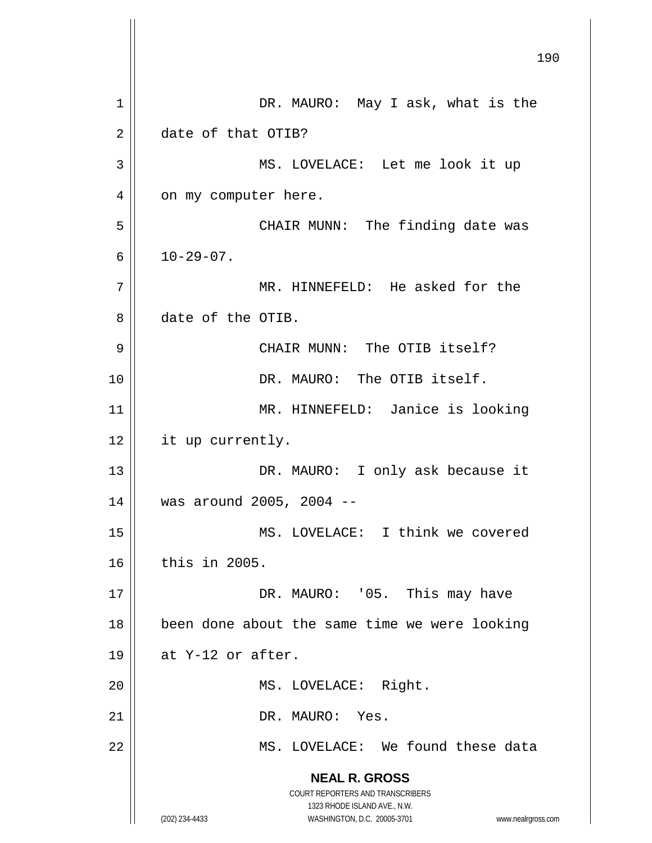**NEAL R. GROSS** COURT REPORTERS AND TRANSCRIBERS 1323 RHODE ISLAND AVE., N.W. (202) 234-4433 WASHINGTON, D.C. 20005-3701 www.nealrgross.com 190 1 DR. MAURO: May I ask, what is the 2 date of that OTIB? 3 MS. LOVELACE: Let me look it up 4 | on my computer here. 5 CHAIR MUNN: The finding date was  $6 \parallel 10-29-07$ . 7 MR. HINNEFELD: He asked for the 8 date of the OTIB. 9 CHAIR MUNN: The OTIB itself? 10 || DR. MAURO: The OTIB itself. 11 || MR. HINNEFELD: Janice is looking 12 || it up currently. 13 DR. MAURO: I only ask because it 14 was around 2005, 2004 -- 15 MS. LOVELACE: I think we covered 16 this in 2005. 17 || DR. MAURO: '05. This may have 18 | been done about the same time we were looking  $19 \parallel$  at Y-12 or after. 20 || MS. LOVELACE: Right. 21 || DR. MAURO: Yes. 22 || MS. LOVELACE: We found these data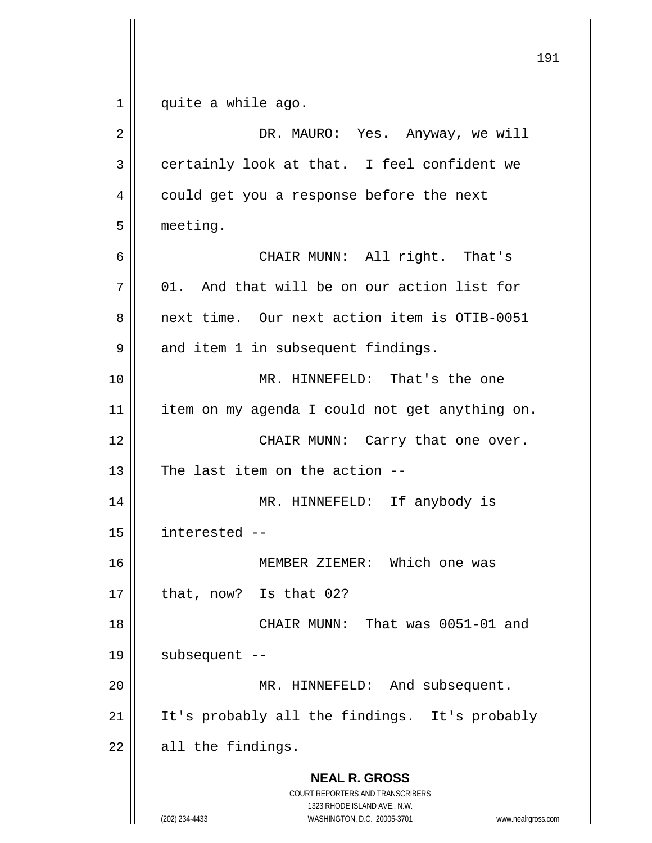**NEAL R. GROSS** COURT REPORTERS AND TRANSCRIBERS 1323 RHODE ISLAND AVE., N.W. (202) 234-4433 WASHINGTON, D.C. 20005-3701 www.nealrgross.com 1 || quite a while ago. 2 DR. MAURO: Yes. Anyway, we will  $3 \parallel$  certainly look at that. I feel confident we 4 | could get you a response before the next 5 meeting. 6 CHAIR MUNN: All right. That's  $7 \parallel$  01. And that will be on our action list for 8 next time. Our next action item is OTIB-0051  $9 \parallel$  and item 1 in subsequent findings. 10 MR. HINNEFELD: That's the one 11 item on my agenda I could not get anything on. 12 || CHAIR MUNN: Carry that one over.  $13$  || The last item on the action  $-$ 14 MR. HINNEFELD: If anybody is 15 interested -- 16 MEMBER ZIEMER: Which one was  $17 \parallel$  that, now? Is that 02? 18 CHAIR MUNN: That was 0051-01 and  $19 \parallel$  subsequent --20 || MR. HINNEFELD: And subsequent. 21 It's probably all the findings. It's probably  $22$  | all the findings.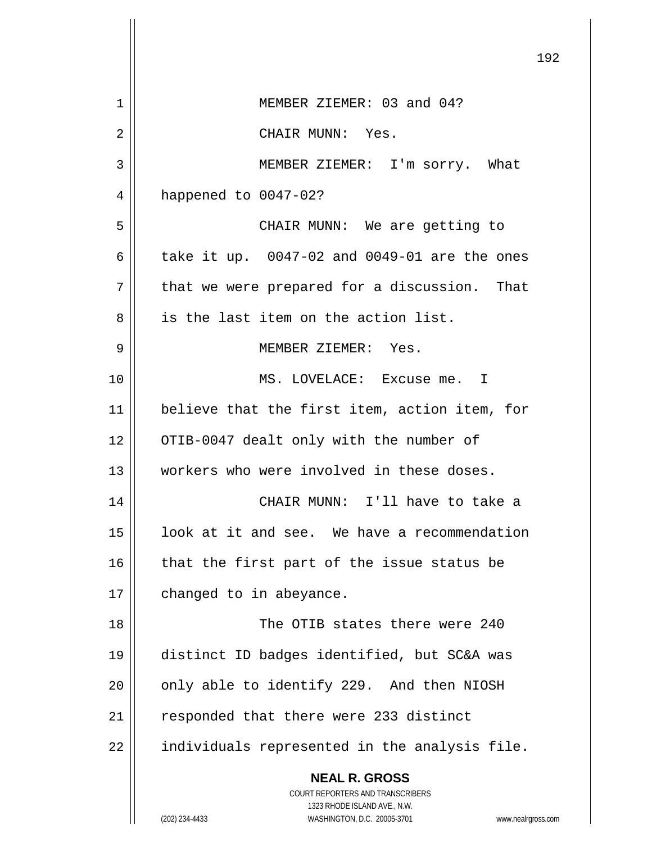|    |                                                                                                                                                                 | 192 |
|----|-----------------------------------------------------------------------------------------------------------------------------------------------------------------|-----|
| 1  | MEMBER ZIEMER: 03 and 04?                                                                                                                                       |     |
| 2  | CHAIR MUNN: Yes.                                                                                                                                                |     |
| 3  | MEMBER ZIEMER: I'm sorry. What                                                                                                                                  |     |
| 4  | happened to 0047-02?                                                                                                                                            |     |
| 5  | CHAIR MUNN: We are getting to                                                                                                                                   |     |
| 6  | take it up. 0047-02 and 0049-01 are the ones                                                                                                                    |     |
| 7  | that we were prepared for a discussion. That                                                                                                                    |     |
| 8  | is the last item on the action list.                                                                                                                            |     |
| 9  | MEMBER ZIEMER: Yes.                                                                                                                                             |     |
| 10 | MS. LOVELACE: Excuse me. I                                                                                                                                      |     |
| 11 | believe that the first item, action item, for                                                                                                                   |     |
| 12 | OTIB-0047 dealt only with the number of                                                                                                                         |     |
| 13 | workers who were involved in these doses.                                                                                                                       |     |
| 14 | CHAIR MUNN: I'll have to take a                                                                                                                                 |     |
| 15 | look at it and see. We have a recommendation                                                                                                                    |     |
| 16 | that the first part of the issue status be                                                                                                                      |     |
| 17 | changed to in abeyance.                                                                                                                                         |     |
| 18 | The OTIB states there were 240                                                                                                                                  |     |
| 19 | distinct ID badges identified, but SC&A was                                                                                                                     |     |
| 20 | only able to identify 229. And then NIOSH                                                                                                                       |     |
| 21 | responded that there were 233 distinct                                                                                                                          |     |
| 22 | individuals represented in the analysis file.                                                                                                                   |     |
|    | <b>NEAL R. GROSS</b><br>COURT REPORTERS AND TRANSCRIBERS<br>1323 RHODE ISLAND AVE., N.W.<br>(202) 234-4433<br>WASHINGTON, D.C. 20005-3701<br>www.nealrgross.com |     |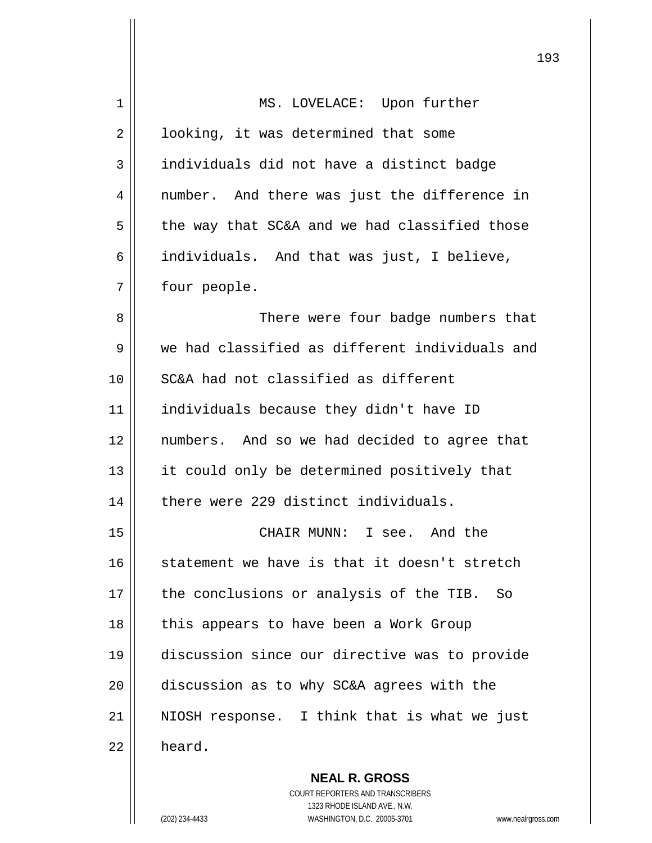| 1  | MS. LOVELACE: Upon further                     |
|----|------------------------------------------------|
| 2  | looking, it was determined that some           |
| 3  | individuals did not have a distinct badge      |
| 4  | number. And there was just the difference in   |
| 5  | the way that SC&A and we had classified those  |
| 6  | individuals. And that was just, I believe,     |
| 7  | four people.                                   |
| 8  | There were four badge numbers that             |
| 9  | we had classified as different individuals and |
| 10 | SC&A had not classified as different           |
| 11 | individuals because they didn't have ID        |
| 12 | numbers. And so we had decided to agree that   |
| 13 | it could only be determined positively that    |
| 14 | there were 229 distinct individuals.           |
| 15 | CHAIR MUNN: I see. And the                     |
| 16 | statement we have is that it doesn't stretch   |
| 17 | the conclusions or analysis of the TIB. So     |
| 18 | this appears to have been a Work Group         |
| 19 | discussion since our directive was to provide  |
| 20 | discussion as to why SC&A agrees with the      |
| 21 | NIOSH response. I think that is what we just   |
| 22 | heard.                                         |
|    | <b>NEAL R. GROSS</b>                           |

COURT REPORTERS AND TRANSCRIBERS 1323 RHODE ISLAND AVE., N.W. (202) 234-4433 WASHINGTON, D.C. 20005-3701 www.nealrgross.com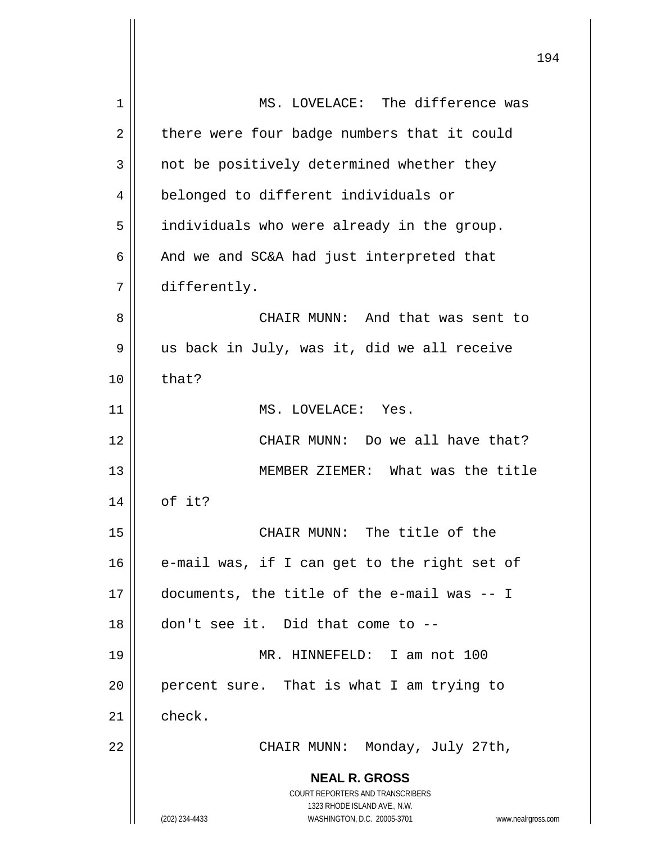**NEAL R. GROSS** COURT REPORTERS AND TRANSCRIBERS 1323 RHODE ISLAND AVE., N.W. (202) 234-4433 WASHINGTON, D.C. 20005-3701 www.nealrgross.com 1 MS. LOVELACE: The difference was  $2 \parallel$  there were four badge numbers that it could 3 || not be positively determined whether they 4 | belonged to different individuals or  $5$  individuals who were already in the group.  $6 \parallel$  And we and SC&A had just interpreted that 7 differently. 8 CHAIR MUNN: And that was sent to 9 || us back in July, was it, did we all receive  $10 \parallel$  that? 11 || MS. LOVELACE: Yes. 12 CHAIR MUNN: Do we all have that? 13 MEMBER ZIEMER: What was the title  $14$  |  $\sigma$ f it? 15 CHAIR MUNN: The title of the  $16$  || e-mail was, if I can get to the right set of 17 documents, the title of the e-mail was -- I  $18$  || don't see it. Did that come to  $-$ 19 MR. HINNEFELD: I am not 100  $20$  || percent sure. That is what I am trying to  $21$   $\parallel$  check. 22 CHAIR MUNN: Monday, July 27th,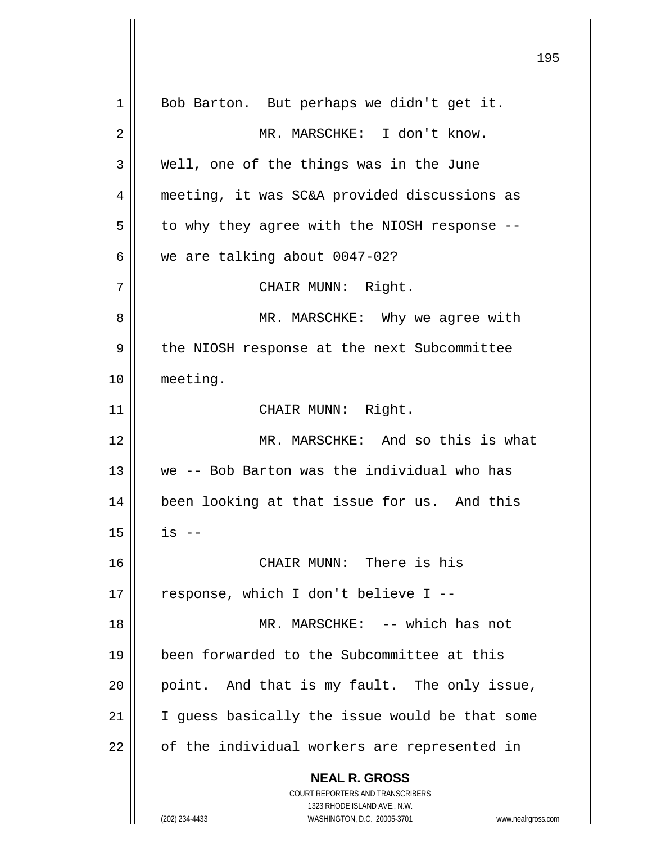**NEAL R. GROSS** COURT REPORTERS AND TRANSCRIBERS 1323 RHODE ISLAND AVE., N.W. (202) 234-4433 WASHINGTON, D.C. 20005-3701 www.nealrgross.com 1 Bob Barton. But perhaps we didn't get it. 2 | MR. MARSCHKE: I don't know.  $3 \parallel$  Well, one of the things was in the June 4 meeting, it was SC&A provided discussions as  $5 \parallel$  to why they agree with the NIOSH response -- $6 \parallel$  we are talking about 0047-02? 7 || CHAIR MUNN: Right. 8 || MR. MARSCHKE: Why we agree with 9 | the NIOSH response at the next Subcommittee 10 meeting. 11 || CHAIR MUNN: Right. 12 MR. MARSCHKE: And so this is what 13 we -- Bob Barton was the individual who has 14 || been looking at that issue for us. And this  $15$   $\parallel$  is  $-$ 16 CHAIR MUNN: There is his 17 || response, which I don't believe I --18 || MR. MARSCHKE: -- which has not 19 been forwarded to the Subcommittee at this  $20$  | point. And that is my fault. The only issue, 21 || I guess basically the issue would be that some 22 || of the individual workers are represented in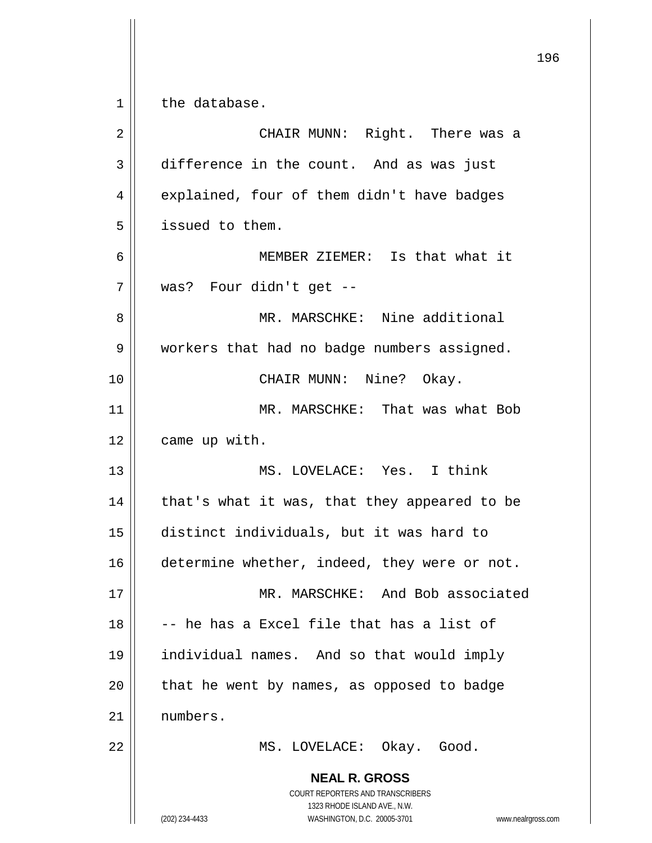**NEAL R. GROSS** COURT REPORTERS AND TRANSCRIBERS 1323 RHODE ISLAND AVE., N.W. (202) 234-4433 WASHINGTON, D.C. 20005-3701 www.nealrgross.com 196 1 | the database. 2 CHAIR MUNN: Right. There was a 3 difference in the count. And as was just 4 | explained, four of them didn't have badges 5 | issued to them. 6 MEMBER ZIEMER: Is that what it 7 was? Four didn't get -- 8 MR. MARSCHKE: Nine additional 9 | workers that had no badge numbers assigned. 10 CHAIR MUNN: Nine? Okay. 11 MR. MARSCHKE: That was what Bob 12 | came up with. 13 MS. LOVELACE: Yes. I think 14  $\parallel$  that's what it was, that they appeared to be 15 distinct individuals, but it was hard to 16 | determine whether, indeed, they were or not. 17 MR. MARSCHKE: And Bob associated  $18$   $\vert$  -- he has a Excel file that has a list of 19 individual names. And so that would imply  $20$  || that he went by names, as opposed to badge 21 numbers. 22 || MS. LOVELACE: Okay. Good.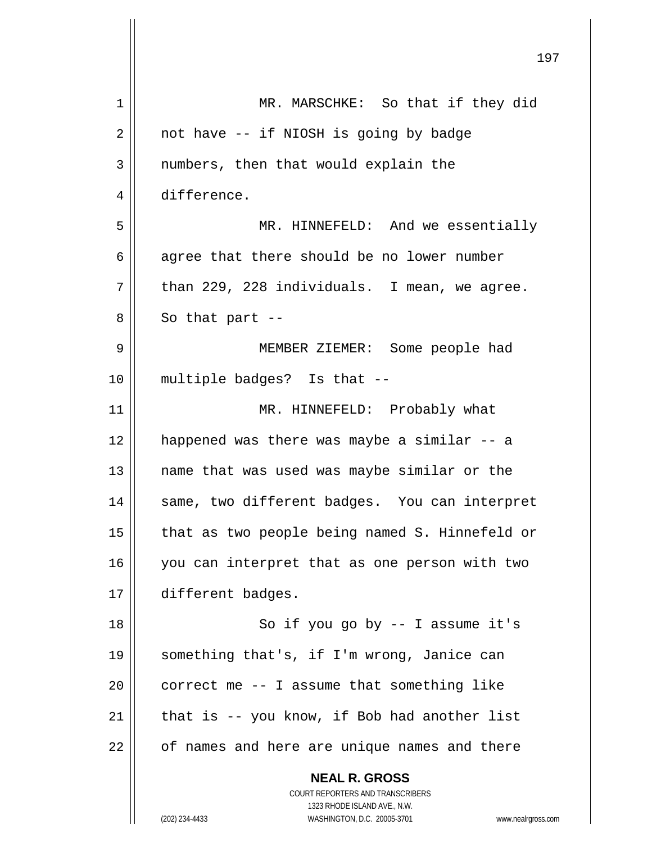|    | 197                                                                     |
|----|-------------------------------------------------------------------------|
| 1  | MR. MARSCHKE: So that if they did                                       |
| 2  | not have -- if NIOSH is going by badge                                  |
| 3  | numbers, then that would explain the                                    |
| 4  | difference.                                                             |
|    |                                                                         |
| 5  | MR. HINNEFELD: And we essentially                                       |
| 6  | agree that there should be no lower number                              |
| 7  | than 229, 228 individuals. I mean, we agree.                            |
| 8  | So that part $--$                                                       |
| 9  | MEMBER ZIEMER: Some people had                                          |
| 10 | multiple badges? Is that --                                             |
| 11 | MR. HINNEFELD: Probably what                                            |
| 12 | happened was there was maybe a similar -- a                             |
| 13 | name that was used was maybe similar or the                             |
| 14 | same, two different badges. You can interpret                           |
| 15 | that as two people being named S. Hinnefeld or                          |
| 16 | you can interpret that as one person with two                           |
| 17 | different badges.                                                       |
| 18 | So if you go by $-$ I assume it's                                       |
| 19 | something that's, if I'm wrong, Janice can                              |
| 20 | correct me -- I assume that something like                              |
| 21 | that is -- you know, if Bob had another list                            |
| 22 | of names and here are unique names and there                            |
|    | <b>NEAL R. GROSS</b>                                                    |
|    | <b>COURT REPORTERS AND TRANSCRIBERS</b><br>1323 RHODE ISLAND AVE., N.W. |
|    | (202) 234-4433<br>WASHINGTON, D.C. 20005-3701<br>www.nealrgross.com     |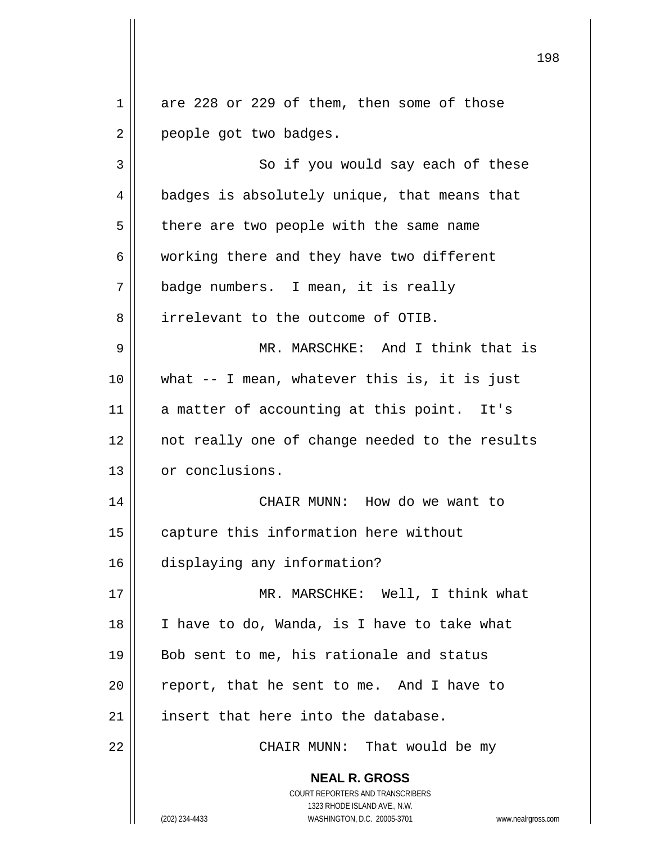**NEAL R. GROSS** COURT REPORTERS AND TRANSCRIBERS 1323 RHODE ISLAND AVE., N.W. (202) 234-4433 WASHINGTON, D.C. 20005-3701 www.nealrgross.com 198  $1 \parallel$  are 228 or 229 of them, then some of those 2 | people got two badges. 3 || So if you would say each of these 4 | badges is absolutely unique, that means that  $5$  there are two people with the same name 6 | working there and they have two different 7 || badge numbers. I mean, it is really 8 || irrelevant to the outcome of OTIB. 9 MR. MARSCHKE: And I think that is 10 what -- I mean, whatever this is, it is just 11 a matter of accounting at this point. It's 12 || not really one of change needed to the results 13 | or conclusions. 14 CHAIR MUNN: How do we want to 15 | capture this information here without 16 displaying any information? 17 MR. MARSCHKE: Well, I think what  $18$  || I have to do, Wanda, is I have to take what 19  $\parallel$  Bob sent to me, his rationale and status  $20$  || report, that he sent to me. And I have to 21 || insert that here into the database. 22 CHAIR MUNN: That would be my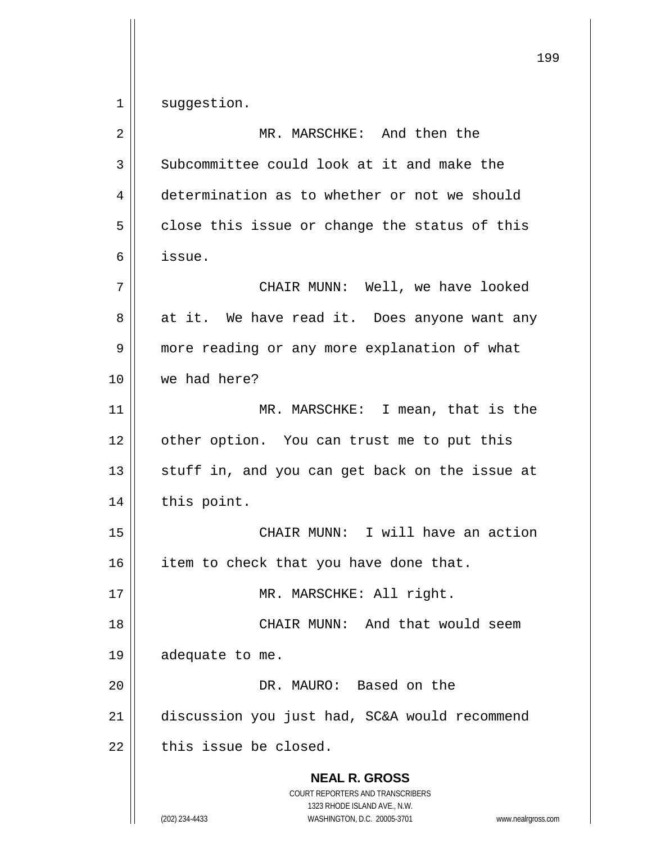1 || suggestion.

**NEAL R. GROSS** COURT REPORTERS AND TRANSCRIBERS 1323 RHODE ISLAND AVE., N.W. (202) 234-4433 WASHINGTON, D.C. 20005-3701 www.nealrgross.com 2 || MR. MARSCHKE: And then the  $3 \parallel$  Subcommittee could look at it and make the 4 determination as to whether or not we should  $5 \parallel$  close this issue or change the status of this 6 issue. 7 CHAIR MUNN: Well, we have looked 8 || at it. We have read it. Does anyone want any 9 | more reading or any more explanation of what 10 we had here? 11 || MR. MARSCHKE: I mean, that is the 12 | other option. You can trust me to put this 13 || stuff in, and you can get back on the issue at  $14$  | this point. 15 CHAIR MUNN: I will have an action 16 | item to check that you have done that. 17 || MR. MARSCHKE: All right. 18 CHAIR MUNN: And that would seem 19 | adequate to me. 20 DR. MAURO: Based on the 21 discussion you just had, SC&A would recommend  $22$   $\parallel$  this issue be closed.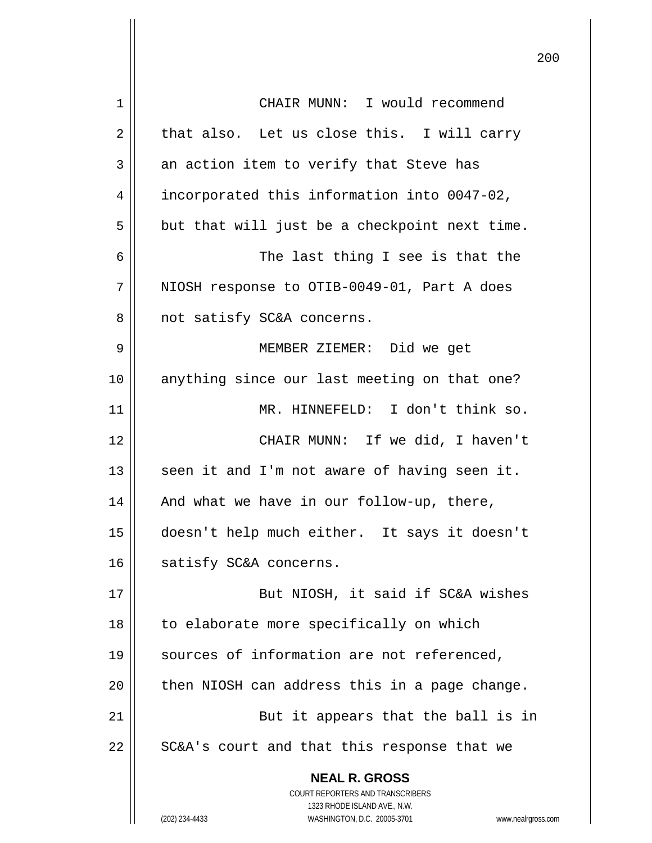|             | 200                                                                                                 |
|-------------|-----------------------------------------------------------------------------------------------------|
| $\mathbf 1$ | CHAIR MUNN: I would recommend                                                                       |
| 2           | that also. Let us close this. I will carry                                                          |
| 3           | an action item to verify that Steve has                                                             |
| 4           | incorporated this information into 0047-02,                                                         |
| 5           | but that will just be a checkpoint next time.                                                       |
| 6           | The last thing I see is that the                                                                    |
| 7           | NIOSH response to OTIB-0049-01, Part A does                                                         |
| 8           | not satisfy SC&A concerns.                                                                          |
| 9           | MEMBER ZIEMER: Did we get                                                                           |
| 10          | anything since our last meeting on that one?                                                        |
| 11          | MR. HINNEFELD: I don't think so.                                                                    |
| 12          | CHAIR MUNN: If we did, I haven't                                                                    |
| 13          | seen it and I'm not aware of having seen it.                                                        |
| 14          | And what we have in our follow-up, there,                                                           |
| 15          | doesn't help much either. It says it doesn't                                                        |
| 16          | satisfy SC&A concerns.                                                                              |
| 17          | But NIOSH, it said if SC&A wishes                                                                   |
| 18          | to elaborate more specifically on which                                                             |
| 19          | sources of information are not referenced,                                                          |
| 20          | then NIOSH can address this in a page change.                                                       |
| 21          | But it appears that the ball is in                                                                  |
| 22          | SC&A's court and that this response that we                                                         |
|             | <b>NEAL R. GROSS</b><br>COURT REPORTERS AND TRANSCRIBERS                                            |
|             | 1323 RHODE ISLAND AVE., N.W.<br>(202) 234-4433<br>WASHINGTON, D.C. 20005-3701<br>www.nealrgross.com |

 $\mathop{||}$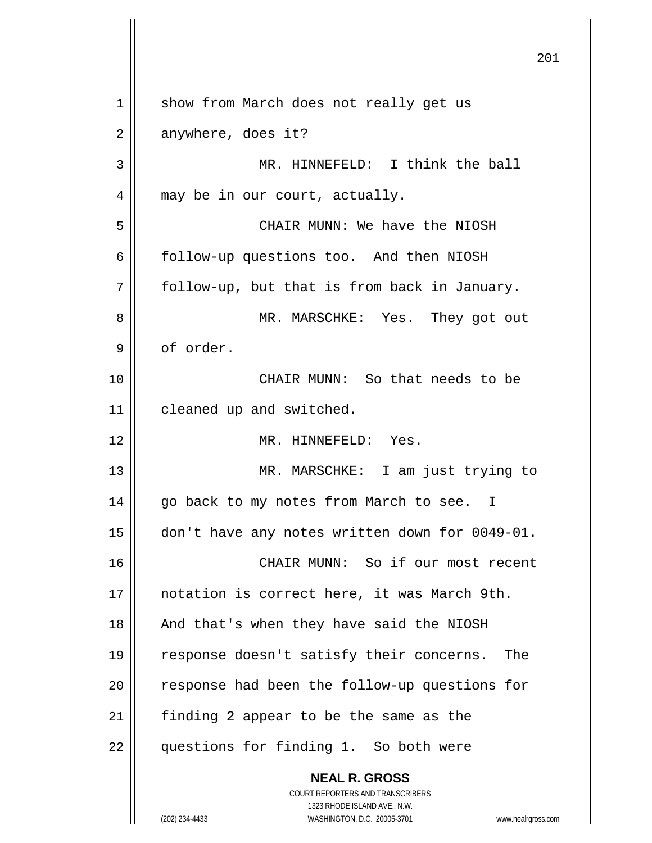**NEAL R. GROSS** COURT REPORTERS AND TRANSCRIBERS 1323 RHODE ISLAND AVE., N.W. (202) 234-4433 WASHINGTON, D.C. 20005-3701 www.nealrgross.com 201 1 || show from March does not really get us  $2 \parallel$  anywhere, does it? 3 MR. HINNEFELD: I think the ball 4 | may be in our court, actually. 5 CHAIR MUNN: We have the NIOSH 6 | follow-up questions too. And then NIOSH  $7 \parallel$  follow-up, but that is from back in January. 8 MR. MARSCHKE: Yes. They got out  $9$  | of order. 10 CHAIR MUNN: So that needs to be 11 cleaned up and switched. 12 MR. HINNEFELD: Yes. 13 MR. MARSCHKE: I am just trying to 14 || go back to my notes from March to see. I 15 don't have any notes written down for 0049-01. 16 CHAIR MUNN: So if our most recent 17 notation is correct here, it was March 9th. 18 || And that's when they have said the NIOSH 19 || response doesn't satisfy their concerns. The 20 | response had been the follow-up questions for 21 | finding 2 appear to be the same as the 22 || questions for finding 1. So both were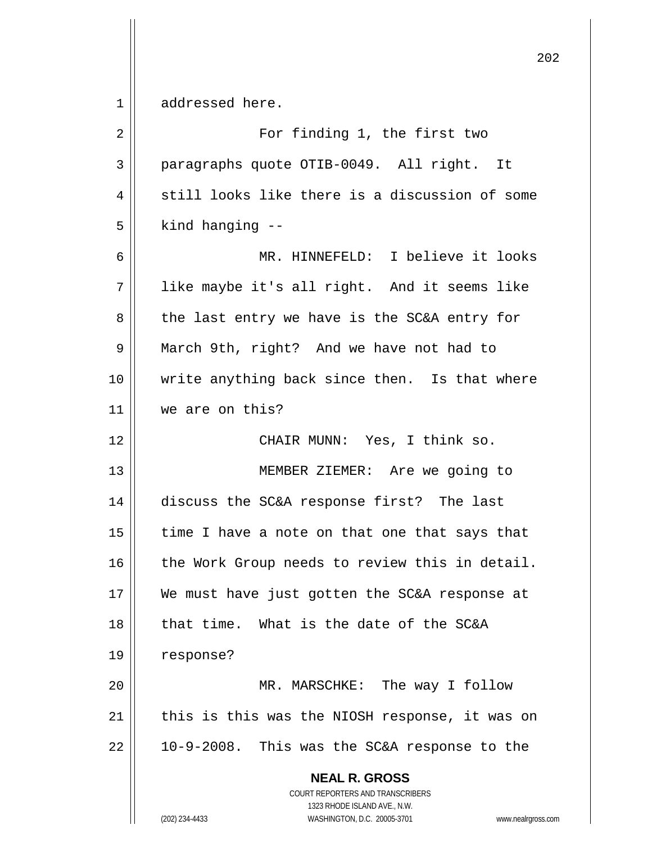1 || addressed here.

**NEAL R. GROSS** COURT REPORTERS AND TRANSCRIBERS 1323 RHODE ISLAND AVE., N.W. (202) 234-4433 WASHINGTON, D.C. 20005-3701 www.nealrgross.com 2 For finding 1, the first two 3 || paragraphs quote OTIB-0049. All right. It  $4 \parallel$  still looks like there is a discussion of some  $5$  | kind hanging  $-$ 6 MR. HINNEFELD: I believe it looks 7 || like maybe it's all right. And it seems like  $8 \parallel$  the last entry we have is the SC&A entry for 9 March 9th, right? And we have not had to 10 write anything back since then. Is that where 11 we are on this? 12 CHAIR MUNN: Yes, I think so. 13 MEMBER ZIEMER: Are we going to 14 discuss the SC&A response first? The last  $15$  | time I have a note on that one that says that  $16$  | the Work Group needs to review this in detail. 17 We must have just gotten the SC&A response at 18 || that time. What is the date of the SC&A 19 | response? 20 MR. MARSCHKE: The way I follow  $21$  | this is this was the NIOSH response, it was on  $22 \parallel 10-9-2008$ . This was the SC&A response to the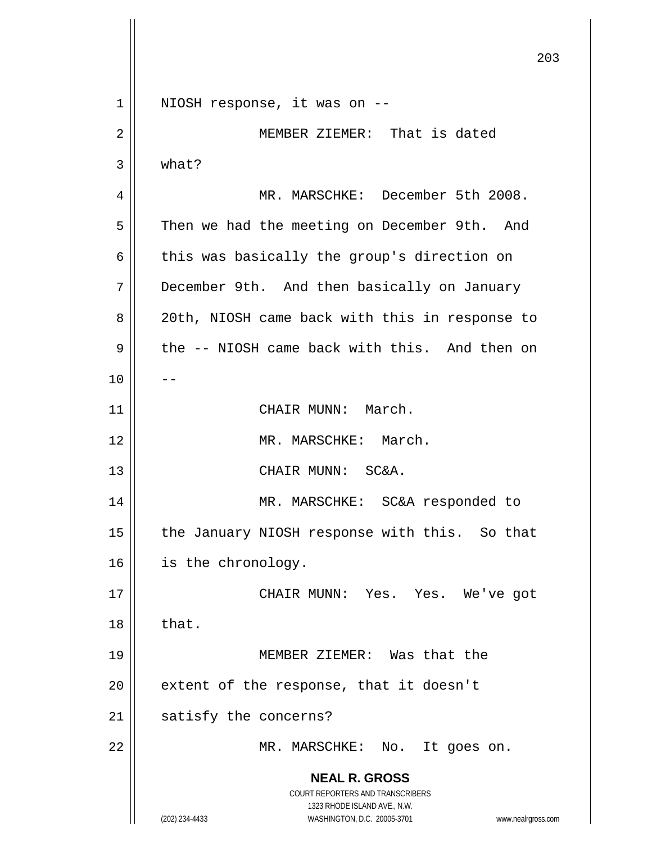**NEAL R. GROSS** COURT REPORTERS AND TRANSCRIBERS 1323 RHODE ISLAND AVE., N.W. (202) 234-4433 WASHINGTON, D.C. 20005-3701 www.nealrgross.com 203 1 || NIOSH response, it was on --2 | MEMBER ZIEMER: That is dated  $3 \parallel$  what? 4 MR. MARSCHKE: December 5th 2008. 5 | Then we had the meeting on December 9th. And  $6 \parallel$  this was basically the group's direction on 7 December 9th. And then basically on January 8 || 20th, NIOSH came back with this in response to  $9 \parallel$  the -- NIOSH came back with this. And then on  $10$   $\parallel$   $-$ 11 || CHAIR MUNN: March. 12 MR. MARSCHKE: March. 13 || CHAIR MUNN: SC&A. 14 MR. MARSCHKE: SC&A responded to 15 | the January NIOSH response with this. So that 16 | is the chronology. 17 CHAIR MUNN: Yes. Yes. We've got  $18 \parallel$  that. 19 MEMBER ZIEMER: Was that the  $20$  || extent of the response, that it doesn't 21 || satisfy the concerns? 22 MR. MARSCHKE: No. It goes on.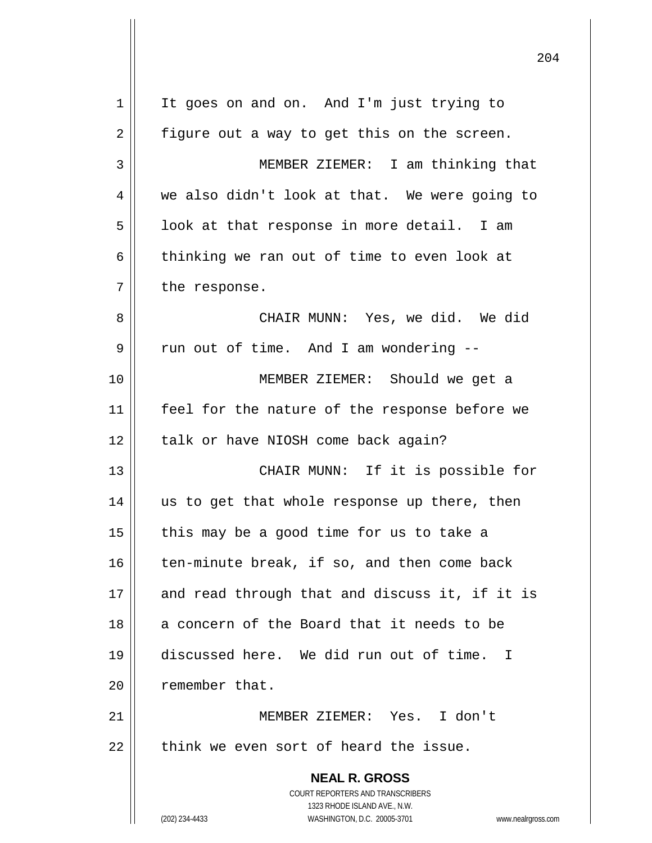**NEAL R. GROSS** COURT REPORTERS AND TRANSCRIBERS 1323 RHODE ISLAND AVE., N.W. (202) 234-4433 WASHINGTON, D.C. 20005-3701 www.nealrgross.com 1 || It goes on and on. And I'm just trying to  $2 \parallel$  figure out a way to get this on the screen. 3 MEMBER ZIEMER: I am thinking that  $4 \parallel$  we also didn't look at that. We were going to  $5 \parallel$  look at that response in more detail. I am  $6 \parallel$  thinking we ran out of time to even look at  $7$  | the response. 8 CHAIR MUNN: Yes, we did. We did  $9 \parallel$  run out of time. And I am wondering  $-$ 10 MEMBER ZIEMER: Should we get a 11 feel for the nature of the response before we 12 || talk or have NIOSH come back again? 13 || CHAIR MUNN: If it is possible for 14 us to get that whole response up there, then 15  $\parallel$  this may be a good time for us to take a 16 || ten-minute break, if so, and then come back  $17$  || and read through that and discuss it, if it is 18 || a concern of the Board that it needs to be 19 discussed here. We did run out of time. I 20 | remember that. 21 MEMBER ZIEMER: Yes. I don't  $22$  || think we even sort of heard the issue.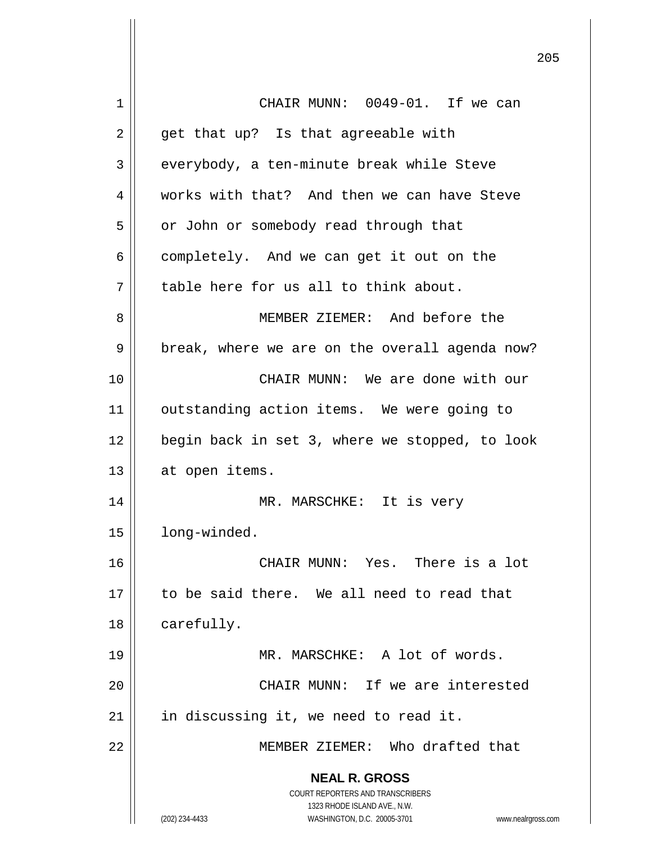**NEAL R. GROSS** COURT REPORTERS AND TRANSCRIBERS 1323 RHODE ISLAND AVE., N.W. (202) 234-4433 WASHINGTON, D.C. 20005-3701 www.nealrgross.com 1 CHAIR MUNN: 0049-01. If we can  $2 \parallel$  get that up? Is that agreeable with 3 || everybody, a ten-minute break while Steve 4 works with that? And then we can have Steve  $5 \parallel$  or John or somebody read through that  $6 \parallel$  completely. And we can get it out on the  $7 \parallel$  table here for us all to think about. 8 MEMBER ZIEMER: And before the  $9 \parallel$  break, where we are on the overall agenda now? 10 CHAIR MUNN: We are done with our 11 outstanding action items. We were going to 12 | begin back in set 3, where we stopped, to look 13 | at open items. 14 || MR. MARSCHKE: It is very 15 | long-winded. 16 CHAIR MUNN: Yes. There is a lot 17 || to be said there. We all need to read that 18 | carefully. 19 MR. MARSCHKE: A lot of words. 20 CHAIR MUNN: If we are interested  $21$  | in discussing it, we need to read it. 22 MEMBER ZIEMER: Who drafted that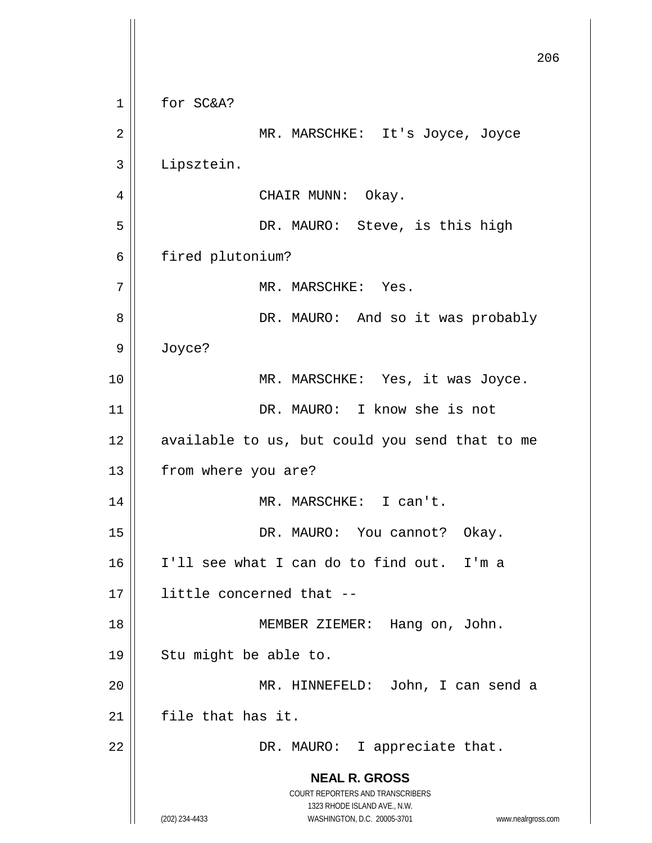**NEAL R. GROSS** COURT REPORTERS AND TRANSCRIBERS 1323 RHODE ISLAND AVE., N.W. (202) 234-4433 WASHINGTON, D.C. 20005-3701 www.nealrgross.com 206 1 for SC&A? 2 || MR. MARSCHKE: It's Joyce, Joyce 3 | Lipsztein. 4 | CHAIR MUNN: Okay. 5 DR. MAURO: Steve, is this high 6 | fired plutonium? 7 || MR. MARSCHKE: Yes. 8 DR. MAURO: And so it was probably 9 Joyce? 10 || MR. MARSCHKE: Yes, it was Joyce. 11 || DR. MAURO: I know she is not 12 || available to us, but could you send that to me 13 || from where you are? 14 || MR. MARSCHKE: I can't. 15 || DR. MAURO: You cannot? Okay. 16 I'll see what I can do to find out. I'm a 17 little concerned that -- 18 MEMBER ZIEMER: Hang on, John. 19  $\parallel$  Stu might be able to. 20 MR. HINNEFELD: John, I can send a  $21$  || file that has it. 22 || DR. MAURO: I appreciate that.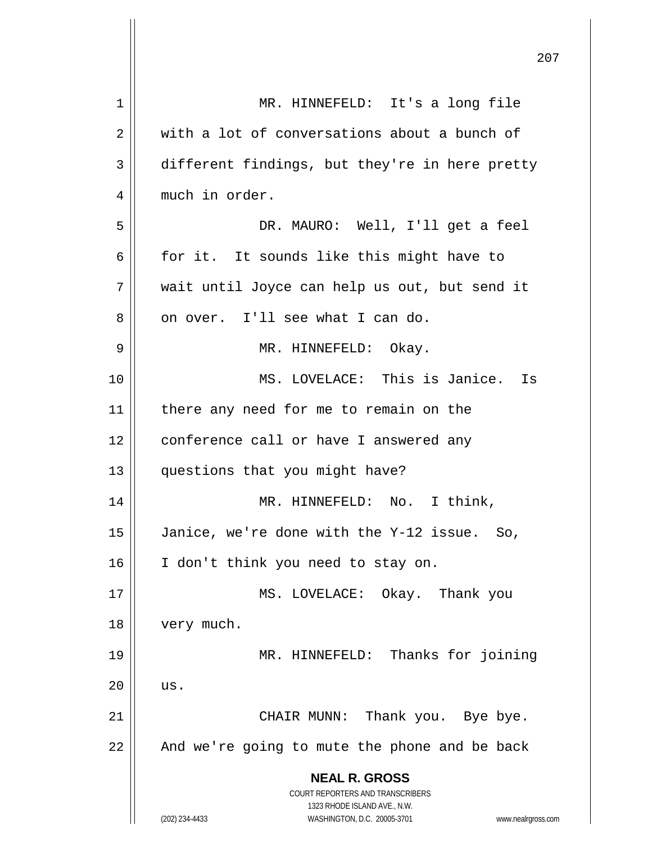|    | 207                                                                                                 |
|----|-----------------------------------------------------------------------------------------------------|
|    |                                                                                                     |
| 1  | MR. HINNEFELD: It's a long file                                                                     |
| 2  | with a lot of conversations about a bunch of                                                        |
| 3  | different findings, but they're in here pretty                                                      |
| 4  | much in order.                                                                                      |
| 5  | DR. MAURO: Well, I'll get a feel                                                                    |
| 6  | for it. It sounds like this might have to                                                           |
| 7  | wait until Joyce can help us out, but send it                                                       |
| 8  | on over. I'll see what I can do.                                                                    |
| 9  | MR. HINNEFELD: Okay.                                                                                |
| 10 | MS. LOVELACE: This is Janice.<br>Is                                                                 |
| 11 | there any need for me to remain on the                                                              |
| 12 | conference call or have I answered any                                                              |
| 13 | questions that you might have?                                                                      |
| 14 | MR. HINNEFELD: No. I think,                                                                         |
| 15 | Janice, we're done with the Y-12 issue. So,                                                         |
| 16 | I don't think you need to stay on.                                                                  |
| 17 | MS. LOVELACE: Okay. Thank you                                                                       |
| 18 | very much.                                                                                          |
| 19 | MR. HINNEFELD: Thanks for joining                                                                   |
| 20 | us.                                                                                                 |
| 21 | CHAIR MUNN: Thank you. Bye bye.                                                                     |
| 22 | And we're going to mute the phone and be back                                                       |
|    | <b>NEAL R. GROSS</b><br>COURT REPORTERS AND TRANSCRIBERS                                            |
|    | 1323 RHODE ISLAND AVE., N.W.<br>(202) 234-4433<br>WASHINGTON, D.C. 20005-3701<br>www.nealrgross.com |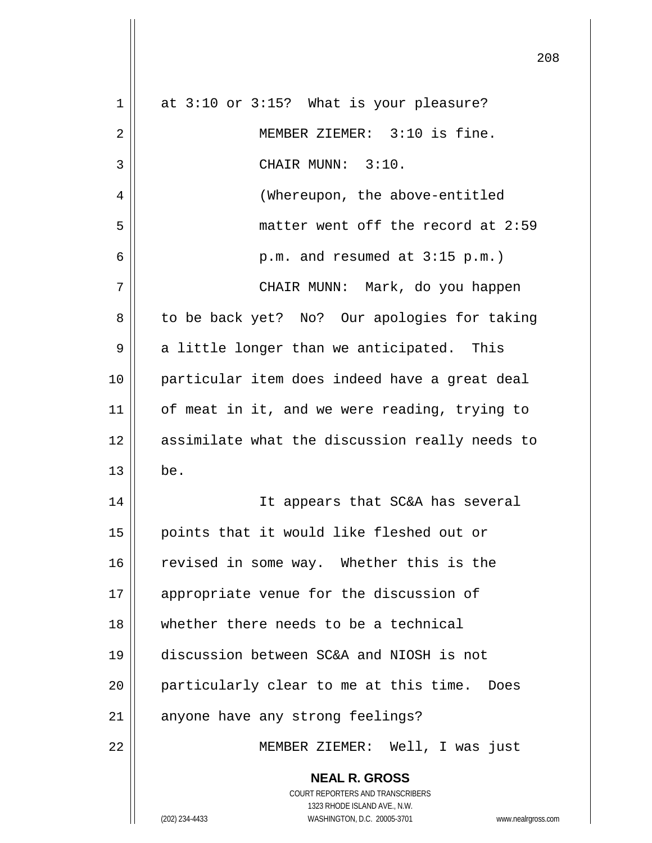|    | 208                                                                                                                                                             |
|----|-----------------------------------------------------------------------------------------------------------------------------------------------------------------|
| 1  | at 3:10 or 3:15? What is your pleasure?                                                                                                                         |
| 2  | MEMBER ZIEMER: 3:10 is fine.                                                                                                                                    |
| 3  | CHAIR MUNN: 3:10.                                                                                                                                               |
| 4  | (Whereupon, the above-entitled                                                                                                                                  |
| 5  | matter went off the record at 2:59                                                                                                                              |
| 6  | $p.m.$ and resumed at $3:15$ $p.m.$ )                                                                                                                           |
| 7  | CHAIR MUNN: Mark, do you happen                                                                                                                                 |
| 8  | to be back yet? No? Our apologies for taking                                                                                                                    |
| 9  | a little longer than we anticipated. This                                                                                                                       |
| 10 | particular item does indeed have a great deal                                                                                                                   |
| 11 | of meat in it, and we were reading, trying to                                                                                                                   |
| 12 | assimilate what the discussion really needs to                                                                                                                  |
| 13 | be.                                                                                                                                                             |
| 14 | It appears that SC&A has several                                                                                                                                |
| 15 | points that it would like fleshed out or                                                                                                                        |
| 16 | revised in some way. Whether this is the                                                                                                                        |
| 17 | appropriate venue for the discussion of                                                                                                                         |
| 18 | whether there needs to be a technical                                                                                                                           |
| 19 | discussion between SC&A and NIOSH is not                                                                                                                        |
| 20 | particularly clear to me at this time. Does                                                                                                                     |
| 21 | anyone have any strong feelings?                                                                                                                                |
| 22 | MEMBER ZIEMER: Well, I was just                                                                                                                                 |
|    | <b>NEAL R. GROSS</b><br>COURT REPORTERS AND TRANSCRIBERS<br>1323 RHODE ISLAND AVE., N.W.<br>WASHINGTON, D.C. 20005-3701<br>(202) 234-4433<br>www.nealrgross.com |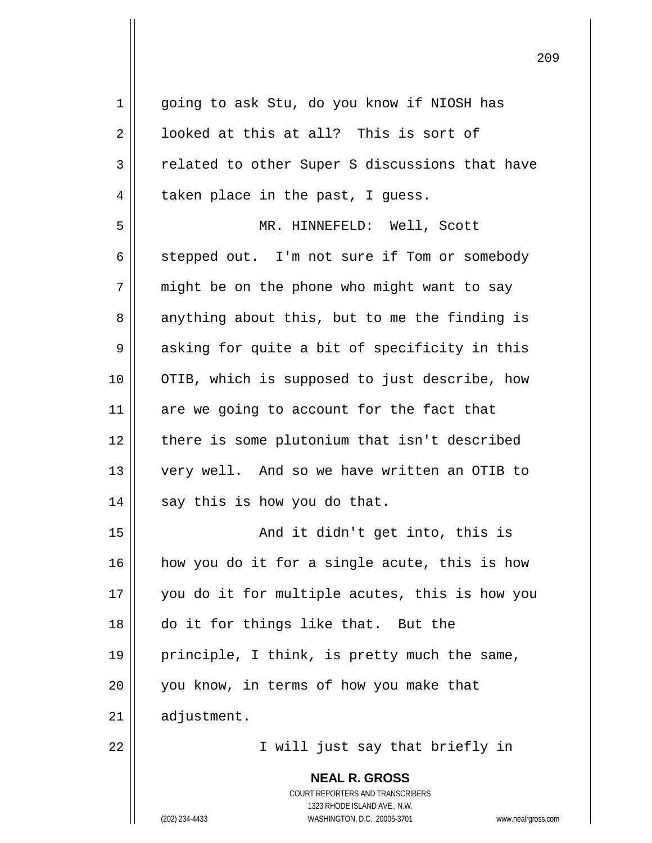**NEAL R. GROSS** COURT REPORTERS AND TRANSCRIBERS 1323 RHODE ISLAND AVE., N.W. (202) 234-4433 WASHINGTON, D.C. 20005-3701 www.nealrgross.com 1 going to ask Stu, do you know if NIOSH has  $2 \parallel$  looked at this at all? This is sort of 3 | related to other Super S discussions that have  $4 \parallel$  taken place in the past, I guess. 5 MR. HINNEFELD: Well, Scott 6 | stepped out. I'm not sure if Tom or somebody  $7$  || might be on the phone who might want to say 8 || anything about this, but to me the finding is 9 asking for quite a bit of specificity in this 10 || OTIB, which is supposed to just describe, how 11 are we going to account for the fact that 12 || there is some plutonium that isn't described 13 very well. And so we have written an OTIB to  $14 \parallel$  say this is how you do that. 15 And it didn't get into, this is 16 how you do it for a single acute, this is how 17 you do it for multiple acutes, this is how you 18 do it for things like that. But the 19  $\parallel$  principle, I think, is pretty much the same, 20 || you know, in terms of how you make that  $21$  | adjustment. 22 || T will just say that briefly in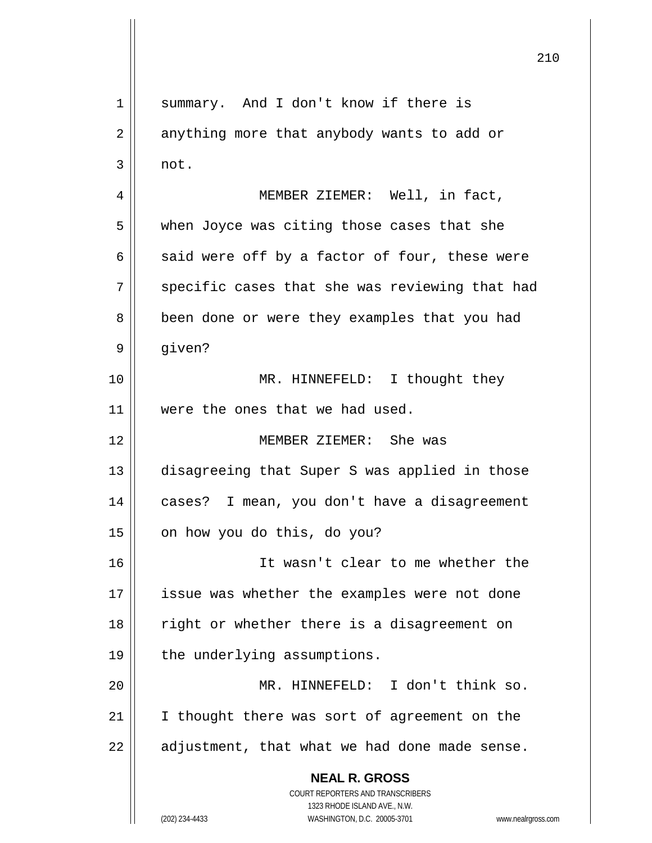**NEAL R. GROSS** COURT REPORTERS AND TRANSCRIBERS 1323 RHODE ISLAND AVE., N.W. (202) 234-4433 WASHINGTON, D.C. 20005-3701 www.nealrgross.com 210 1 || summary. And I don't know if there is 2 || anything more that anybody wants to add or 3 not. 4 | MEMBER ZIEMER: Well, in fact, 5 || when Joyce was citing those cases that she  $6 \parallel$  said were off by a factor of four, these were  $7$  specific cases that she was reviewing that had 8 || been done or were they examples that you had 9 given? 10 || MR. HINNEFELD: I thought they 11 || were the ones that we had used. 12 MEMBER ZIEMER: She was 13 disagreeing that Super S was applied in those 14 | cases? I mean, you don't have a disagreement  $15 \parallel$  on how you do this, do you? 16 It wasn't clear to me whether the 17 || issue was whether the examples were not done 18 || right or whether there is a disagreement on  $19$  | the underlying assumptions. 20 MR. HINNEFELD: I don't think so. 21 I thought there was sort of agreement on the  $22$  || adjustment, that what we had done made sense.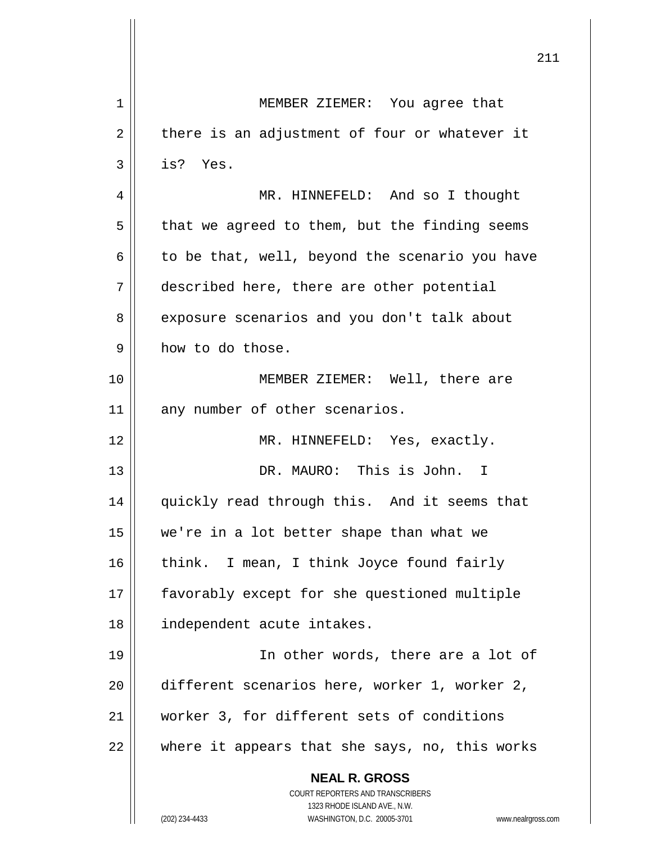|    | 211                                                                 |
|----|---------------------------------------------------------------------|
|    |                                                                     |
| 1  | MEMBER ZIEMER: You agree that                                       |
| 2  | there is an adjustment of four or whatever it                       |
| 3  | is? Yes.                                                            |
| 4  | MR. HINNEFELD: And so I thought                                     |
| 5  | that we agreed to them, but the finding seems                       |
| 6  | to be that, well, beyond the scenario you have                      |
| 7  | described here, there are other potential                           |
| 8  | exposure scenarios and you don't talk about                         |
| 9  | how to do those.                                                    |
| 10 | MEMBER ZIEMER: Well, there are                                      |
| 11 | any number of other scenarios.                                      |
| 12 | MR. HINNEFELD: Yes, exactly.                                        |
| 13 | DR. MAURO: This is John. I                                          |
| 14 | quickly read through this. And it seems that                        |
| 15 | we're in a lot better shape than what we                            |
| 16 | think. I mean, I think Joyce found fairly                           |
| 17 | favorably except for she questioned multiple                        |
| 18 | independent acute intakes.                                          |
| 19 | In other words, there are a lot of                                  |
| 20 | different scenarios here, worker 1, worker 2,                       |
| 21 | worker 3, for different sets of conditions                          |
| 22 | where it appears that she says, no, this works                      |
|    | <b>NEAL R. GROSS</b><br>COURT REPORTERS AND TRANSCRIBERS            |
|    | 1323 RHODE ISLAND AVE., N.W.                                        |
|    | WASHINGTON, D.C. 20005-3701<br>(202) 234-4433<br>www.nealrgross.com |

 $\mathbf{1}$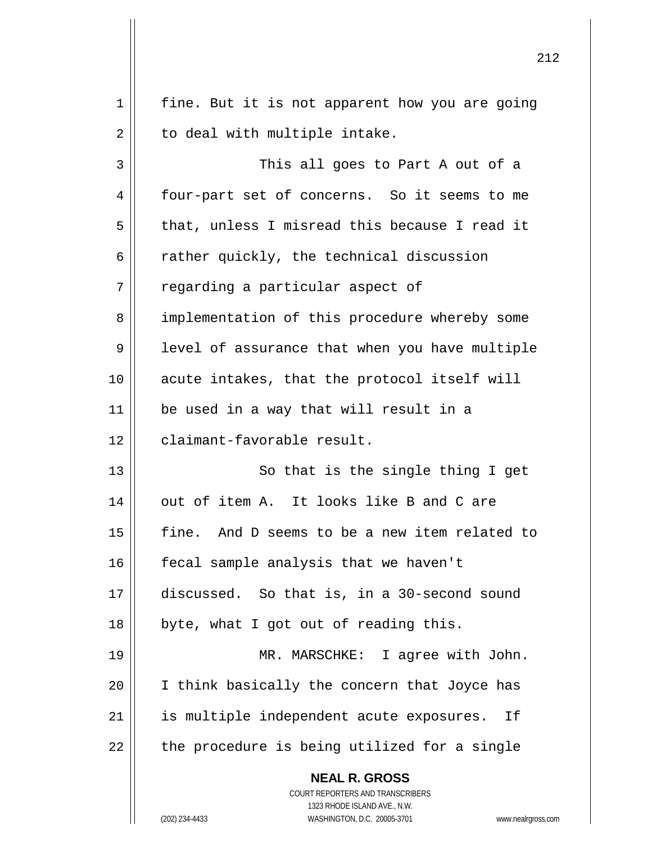**NEAL R. GROSS** COURT REPORTERS AND TRANSCRIBERS 1323 RHODE ISLAND AVE., N.W. 1 || fine. But it is not apparent how you are going  $2 \parallel$  to deal with multiple intake. 3 This all goes to Part A out of a 4 four-part set of concerns. So it seems to me  $5 \parallel$  that, unless I misread this because I read it  $6 \parallel$  rather quickly, the technical discussion 7 | regarding a particular aspect of 8 || implementation of this procedure whereby some  $9 \parallel$  level of assurance that when you have multiple 10 acute intakes, that the protocol itself will 11 be used in a way that will result in a 12 | claimant-favorable result. 13 || So that is the single thing I get 14 || out of item A. It looks like B and C are 15 fine. And D seems to be a new item related to 16 | fecal sample analysis that we haven't 17 discussed. So that is, in a 30-second sound  $18$  | byte, what I got out of reading this. 19 MR. MARSCHKE: I agree with John.  $20$  || I think basically the concern that Joyce has 21 || is multiple independent acute exposures. If  $22$  || the procedure is being utilized for a single

(202) 234-4433 WASHINGTON, D.C. 20005-3701 www.nealrgross.com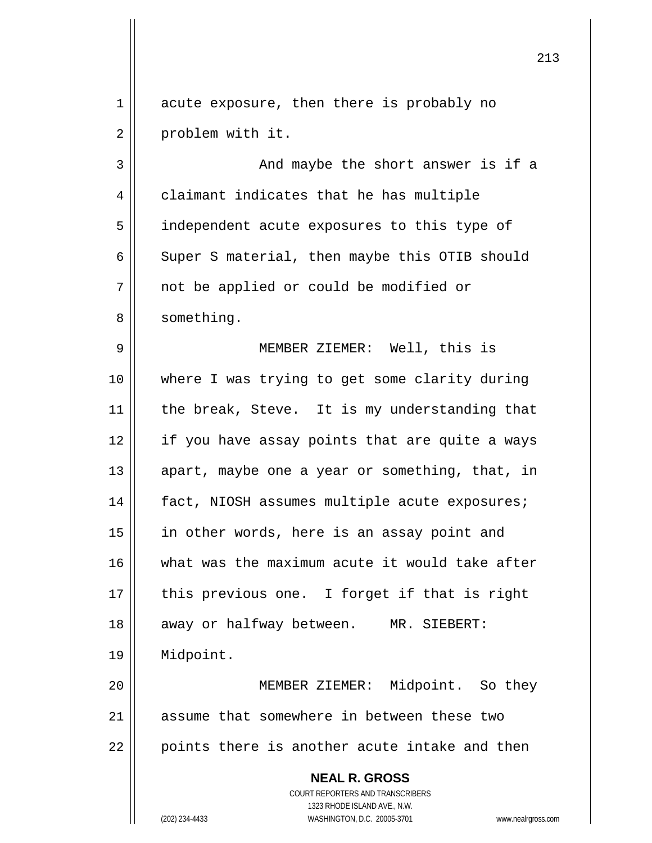1 || acute exposure, then there is probably no 2 | problem with it.

3 And maybe the short answer is if a 4 | claimant indicates that he has multiple 5 | independent acute exposures to this type of 6 | Super S material, then maybe this OTIB should 7 not be applied or could be modified or 8 | something.

9 MEMBER ZIEMER: Well, this is 10 where I was trying to get some clarity during 11 || the break, Steve. It is my understanding that 12 || if you have assay points that are quite a ways 13 || apart, maybe one a year or something, that, in 14 || fact, NIOSH assumes multiple acute exposures; 15 || in other words, here is an assay point and 16 what was the maximum acute it would take after  $17$  | this previous one. I forget if that is right 18 || away or halfway between. MR. SIEBERT: 19 Midpoint. 20 MEMBER ZIEMER: Midpoint. So they

21 assume that somewhere in between these two 22 || points there is another acute intake and then

> **NEAL R. GROSS** COURT REPORTERS AND TRANSCRIBERS 1323 RHODE ISLAND AVE., N.W. (202) 234-4433 WASHINGTON, D.C. 20005-3701 www.nealrgross.com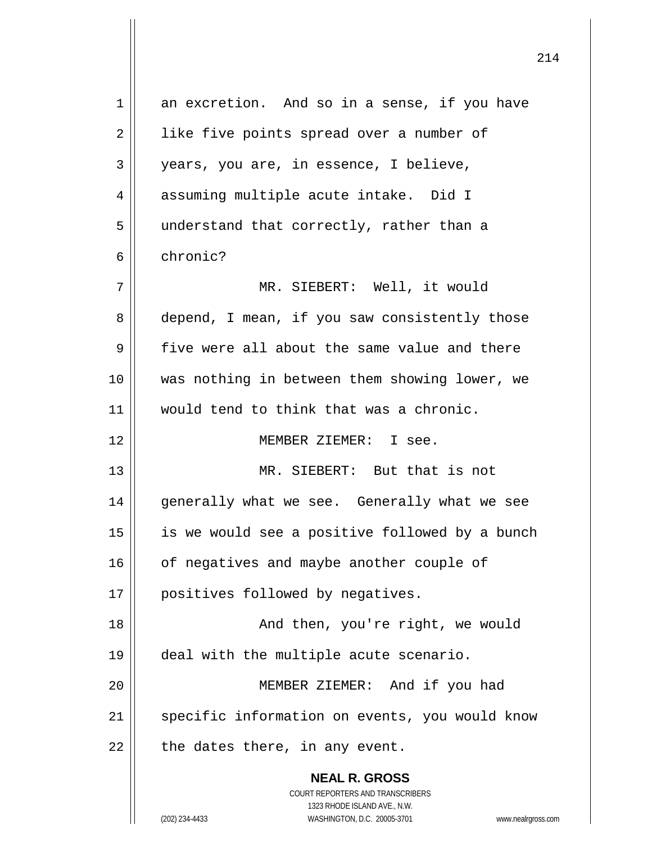**NEAL R. GROSS** COURT REPORTERS AND TRANSCRIBERS 1323 RHODE ISLAND AVE., N.W. (202) 234-4433 WASHINGTON, D.C. 20005-3701 www.nealrgross.com 1 an excretion. And so in a sense, if you have 2 | like five points spread over a number of  $3 \parallel$  years, you are, in essence, I believe, 4 assuming multiple acute intake. Did I 5 | understand that correctly, rather than a 6 | chronic? 7 MR. SIEBERT: Well, it would 8 || depend, I mean, if you saw consistently those  $9 \parallel$  five were all about the same value and there 10 was nothing in between them showing lower, we 11 would tend to think that was a chronic. 12 MEMBER ZIEMER: I see. 13 || MR. SIEBERT: But that is not 14 || generally what we see. Generally what we see  $15$  | is we would see a positive followed by a bunch 16 | of negatives and maybe another couple of 17 || positives followed by negatives. 18 And then, you're right, we would 19 deal with the multiple acute scenario. 20 MEMBER ZIEMER: And if you had 21 || specific information on events, you would know  $22$  | the dates there, in any event.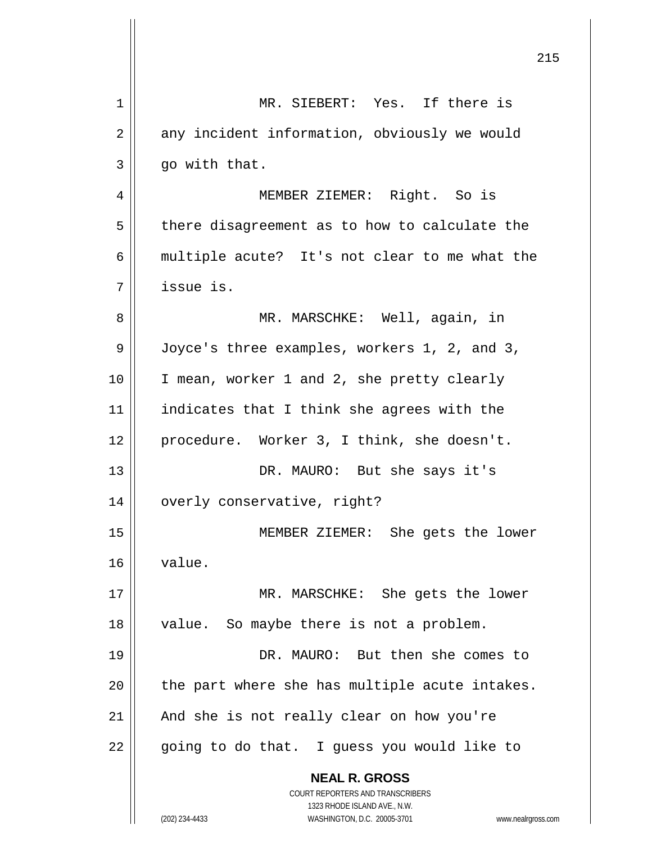|    | 215                                                                     |
|----|-------------------------------------------------------------------------|
|    |                                                                         |
| 1  | MR. SIEBERT: Yes. If there is                                           |
| 2  | any incident information, obviously we would                            |
| 3  | go with that.                                                           |
| 4  | MEMBER ZIEMER: Right. So is                                             |
| 5  | there disagreement as to how to calculate the                           |
| 6  | multiple acute? It's not clear to me what the                           |
| 7  | issue is.                                                               |
| 8  | MR. MARSCHKE: Well, again, in                                           |
| 9  | Joyce's three examples, workers 1, 2, and 3,                            |
| 10 | I mean, worker 1 and 2, she pretty clearly                              |
| 11 | indicates that I think she agrees with the                              |
| 12 | procedure. Worker 3, I think, she doesn't.                              |
| 13 | DR. MAURO: But she says it's                                            |
| 14 | overly conservative, right?                                             |
| 15 | MEMBER ZIEMER: She gets the lower                                       |
| 16 | value.                                                                  |
| 17 | MR. MARSCHKE: She gets the lower                                        |
| 18 | value. So maybe there is not a problem.                                 |
| 19 | DR. MAURO: But then she comes to                                        |
| 20 | the part where she has multiple acute intakes.                          |
| 21 | And she is not really clear on how you're                               |
| 22 | going to do that. I guess you would like to                             |
|    | <b>NEAL R. GROSS</b>                                                    |
|    | <b>COURT REPORTERS AND TRANSCRIBERS</b><br>1323 RHODE ISLAND AVE., N.W. |
|    | WASHINGTON, D.C. 20005-3701<br>(202) 234-4433<br>www.nealrgross.com     |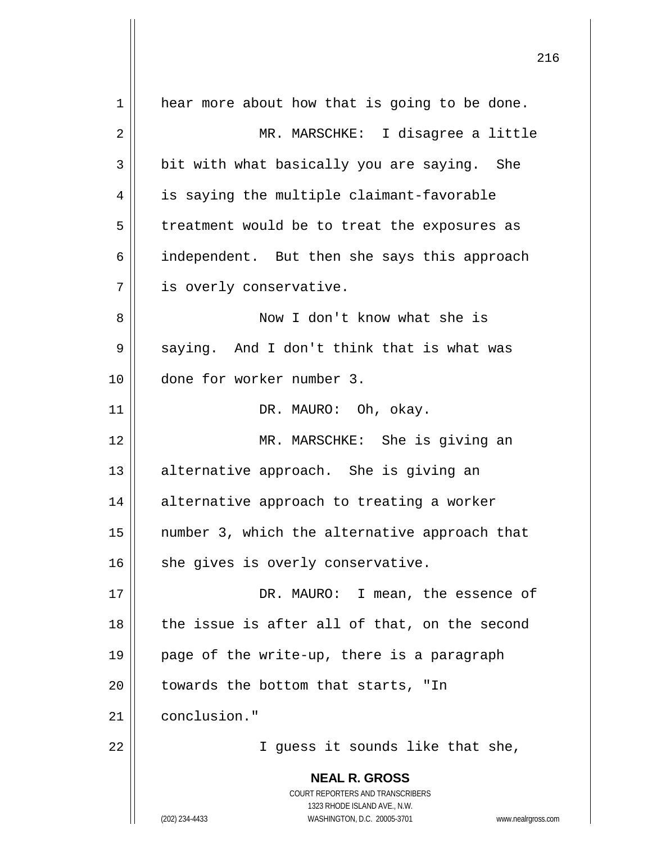**NEAL R. GROSS** COURT REPORTERS AND TRANSCRIBERS 1323 RHODE ISLAND AVE., N.W. (202) 234-4433 WASHINGTON, D.C. 20005-3701 www.nealrgross.com 1 | hear more about how that is going to be done. 2 MR. MARSCHKE: I disagree a little  $3 \parallel$  bit with what basically you are saying. She 4 | is saying the multiple claimant-favorable  $5$  treatment would be to treat the exposures as 6 | independent. But then she says this approach 7 | is overly conservative. 8 Now I don't know what she is  $9 \parallel$  saying. And I don't think that is what was 10 done for worker number 3. 11 || DR. MAURO: Oh, okay. 12 || MR. MARSCHKE: She is giving an 13 || alternative approach. She is giving an 14 | alternative approach to treating a worker 15 number 3, which the alternative approach that  $16$  | she gives is overly conservative. 17 DR. MAURO: I mean, the essence of  $18$  || the issue is after all of that, on the second 19 page of the write-up, there is a paragraph  $20$  | towards the bottom that starts, "In 21 | conclusion." 22 I guess it sounds like that she,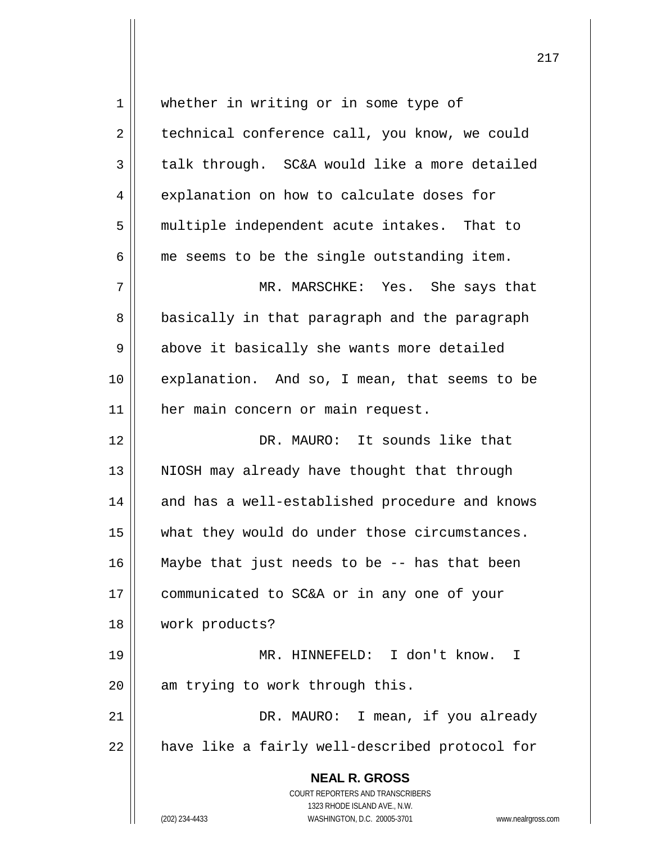**NEAL R. GROSS** COURT REPORTERS AND TRANSCRIBERS 1323 RHODE ISLAND AVE., N.W. (202) 234-4433 WASHINGTON, D.C. 20005-3701 www.nealrgross.com 1 whether in writing or in some type of 2 | technical conference call, you know, we could  $3 \parallel$  talk through. SC&A would like a more detailed 4 explanation on how to calculate doses for 5 multiple independent acute intakes. That to  $6 \parallel$  me seems to be the single outstanding item. 7 MR. MARSCHKE: Yes. She says that 8 || basically in that paragraph and the paragraph 9 | above it basically she wants more detailed 10 explanation. And so, I mean, that seems to be 11 || her main concern or main request. 12 DR. MAURO: It sounds like that 13 || NIOSH may already have thought that through 14 || and has a well-established procedure and knows 15 || what they would do under those circumstances. 16 Maybe that just needs to be -- has that been 17 communicated to SC&A or in any one of your 18 work products? 19 MR. HINNEFELD: I don't know. I  $20$  | am trying to work through this. 21 DR. MAURO: I mean, if you already 22 || have like a fairly well-described protocol for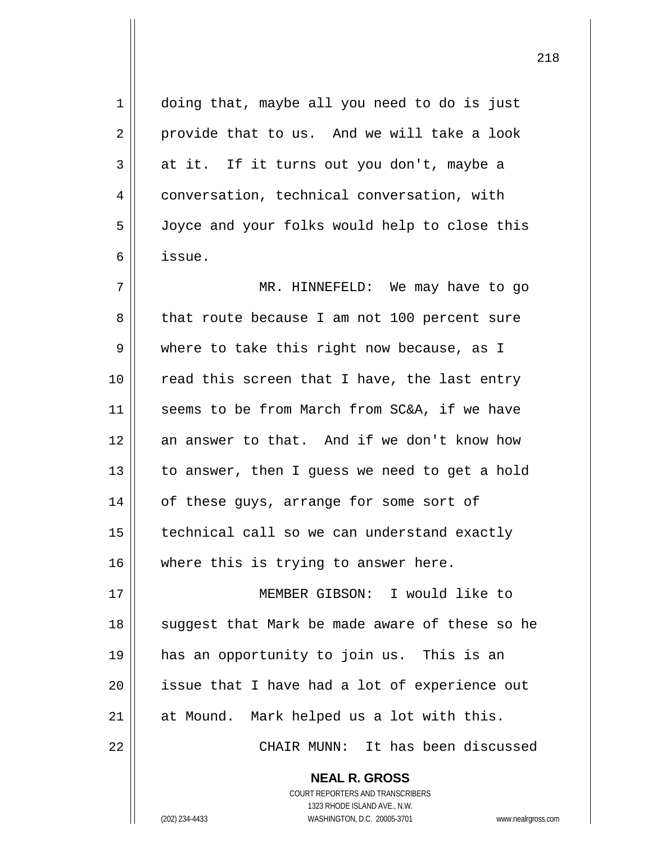1 doing that, maybe all you need to do is just 2 || provide that to us. And we will take a look  $3 \parallel$  at it. If it turns out you don't, maybe a 4 | conversation, technical conversation, with 5 | Joyce and your folks would help to close this 6 issue. 7 MR. HINNEFELD: We may have to go 8 || that route because I am not 100 percent sure 9 Where to take this right now because, as I 10 || read this screen that I have, the last entry 11 || seems to be from March from SC&A, if we have 12 an answer to that. And if we don't know how 13 || to answer, then I guess we need to get a hold 14 || of these guys, arrange for some sort of 15 | technical call so we can understand exactly 16 || where this is trying to answer here. 17 MEMBER GIBSON: I would like to 18 || suggest that Mark be made aware of these so he 19 has an opportunity to join us. This is an 20 || issue that I have had a lot of experience out 21 at Mound. Mark helped us a lot with this. 22 CHAIR MUNN: It has been discussed

> **NEAL R. GROSS** COURT REPORTERS AND TRANSCRIBERS 1323 RHODE ISLAND AVE., N.W. (202) 234-4433 WASHINGTON, D.C. 20005-3701 www.nealrgross.com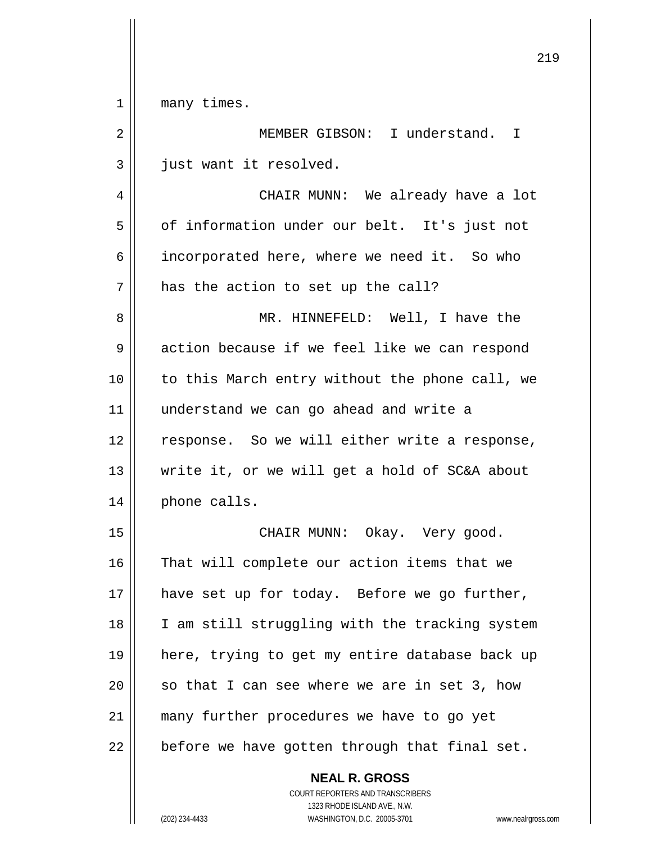**NEAL R. GROSS** COURT REPORTERS AND TRANSCRIBERS 1323 RHODE ISLAND AVE., N.W. 219 1 || many times. 2 || MEMBER GIBSON: I understand. I 3 || just want it resolved. 4 CHAIR MUNN: We already have a lot 5 | of information under our belt. It's just not 6 | incorporated here, where we need it. So who  $7$  | has the action to set up the call? 8 MR. HINNEFELD: Well, I have the 9 action because if we feel like we can respond 10 to this March entry without the phone call, we 11 understand we can go ahead and write a 12 || response. So we will either write a response, 13 write it, or we will get a hold of SC&A about 14 | phone calls. 15 CHAIR MUNN: Okay. Very good. 16 || That will complete our action items that we  $17$  | have set up for today. Before we go further, 18 || I am still struggling with the tracking system 19 here, trying to get my entire database back up 20  $\parallel$  so that I can see where we are in set 3, how 21 many further procedures we have to go yet  $22$  | before we have gotten through that final set.

(202) 234-4433 WASHINGTON, D.C. 20005-3701 www.nealrgross.com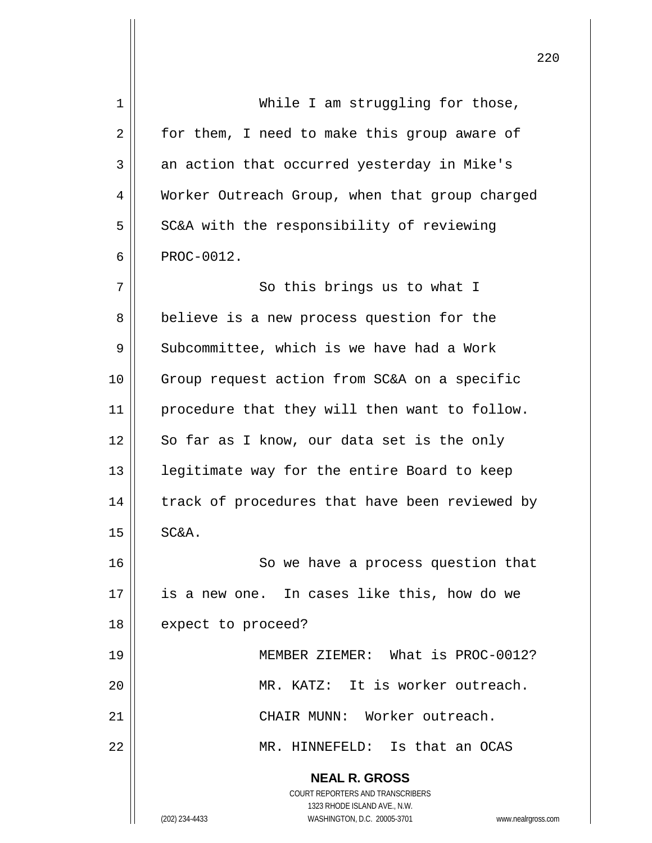**NEAL R. GROSS** COURT REPORTERS AND TRANSCRIBERS 1323 RHODE ISLAND AVE., N.W. (202) 234-4433 WASHINGTON, D.C. 20005-3701 www.nealrgross.com 1 While I am struggling for those,  $2 \parallel$  for them, I need to make this group aware of 3 || an action that occurred yesterday in Mike's 4 Worker Outreach Group, when that group charged  $5$  | SC&A with the responsibility of reviewing  $6$  | PROC-0012. 7 || So this brings us to what I 8 | believe is a new process question for the  $9 \parallel$  Subcommittee, which is we have had a Work 10 Group request action from SC&A on a specific 11 procedure that they will then want to follow.  $12$  | So far as I know, our data set is the only 13 || legitimate way for the entire Board to keep 14 || track of procedures that have been reviewed by  $15$  SC&A. 16 || So we have a process question that  $17 \parallel$  is a new one. In cases like this, how do we 18 | expect to proceed? 19 MEMBER ZIEMER: What is PROC-0012? 20 || MR. KATZ: It is worker outreach. 21 || CHAIR MUNN: Worker outreach. 22 MR. HINNEFELD: Is that an OCAS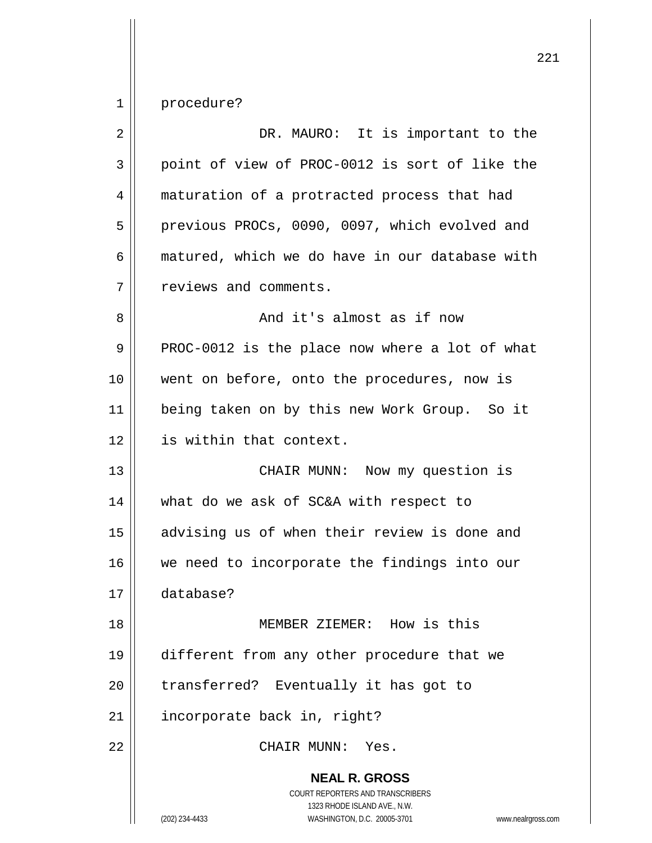1 || procedure?

| $\overline{2}$ | DR. MAURO: It is important to the                                                                                                                                      |
|----------------|------------------------------------------------------------------------------------------------------------------------------------------------------------------------|
| 3              | point of view of PROC-0012 is sort of like the                                                                                                                         |
| 4              | maturation of a protracted process that had                                                                                                                            |
| 5              | previous PROCs, 0090, 0097, which evolved and                                                                                                                          |
| 6              | matured, which we do have in our database with                                                                                                                         |
| 7              | reviews and comments.                                                                                                                                                  |
| 8              | And it's almost as if now                                                                                                                                              |
| 9              | PROC-0012 is the place now where a lot of what                                                                                                                         |
| 10             | went on before, onto the procedures, now is                                                                                                                            |
| 11             | being taken on by this new Work Group. So it                                                                                                                           |
| 12             | is within that context.                                                                                                                                                |
| 13             | CHAIR MUNN: Now my question is                                                                                                                                         |
| 14             | what do we ask of SC&A with respect to                                                                                                                                 |
| 15             | advising us of when their review is done and                                                                                                                           |
| 16             | we need to incorporate the findings into our                                                                                                                           |
| 17             | database?                                                                                                                                                              |
| 18             | MEMBER ZIEMER: How is this                                                                                                                                             |
| 19             | different from any other procedure that we                                                                                                                             |
| 20             | transferred? Eventually it has got to                                                                                                                                  |
| 21             | incorporate back in, right?                                                                                                                                            |
| 22             | CHAIR MUNN:<br>Yes.                                                                                                                                                    |
|                | <b>NEAL R. GROSS</b><br><b>COURT REPORTERS AND TRANSCRIBERS</b><br>1323 RHODE ISLAND AVE., N.W.<br>(202) 234-4433<br>WASHINGTON, D.C. 20005-3701<br>www.nealrgross.com |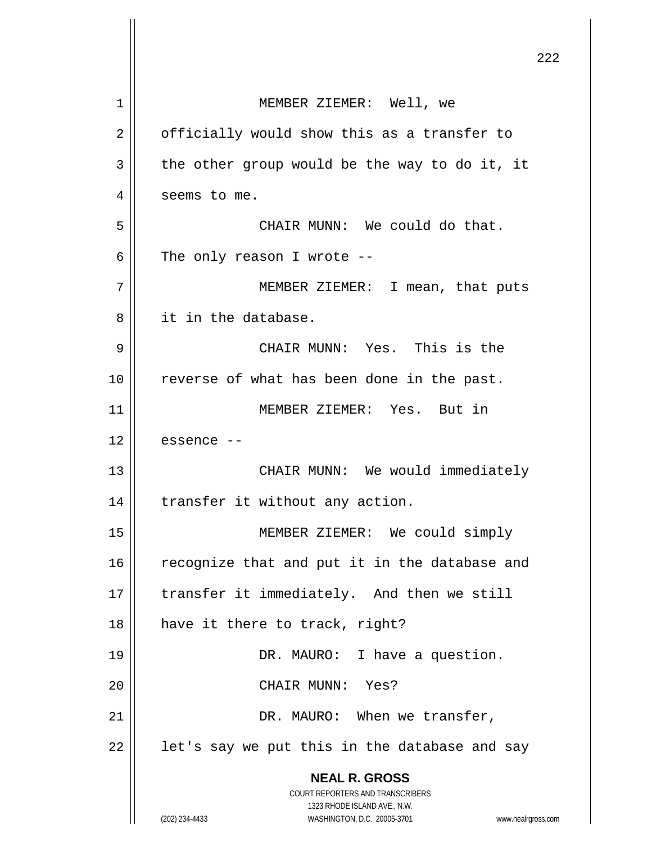**NEAL R. GROSS** COURT REPORTERS AND TRANSCRIBERS 1323 RHODE ISLAND AVE., N.W. (202) 234-4433 WASHINGTON, D.C. 20005-3701 www.nealrgross.com 1 || MEMBER ZIEMER: Well, we 2 | officially would show this as a transfer to  $3 \parallel$  the other group would be the way to do it, it 4 || seems to me. 5 CHAIR MUNN: We could do that.  $6 \parallel$  The only reason I wrote --7 MEMBER ZIEMER: I mean, that puts 8 || it in the database. 9 CHAIR MUNN: Yes. This is the 10 || reverse of what has been done in the past. 11 MEMBER ZIEMER: Yes. But in  $12$   $\parallel$  essence  $-$ 13 || CHAIR MUNN: We would immediately  $14$  | transfer it without any action. 15 MEMBER ZIEMER: We could simply 16 || recognize that and put it in the database and 17 || transfer it immediately. And then we still 18 || have it there to track, right? 19 || DR. MAURO: I have a question. 20 CHAIR MUNN: Yes? 21 DR. MAURO: When we transfer,  $22$  | let's say we put this in the database and say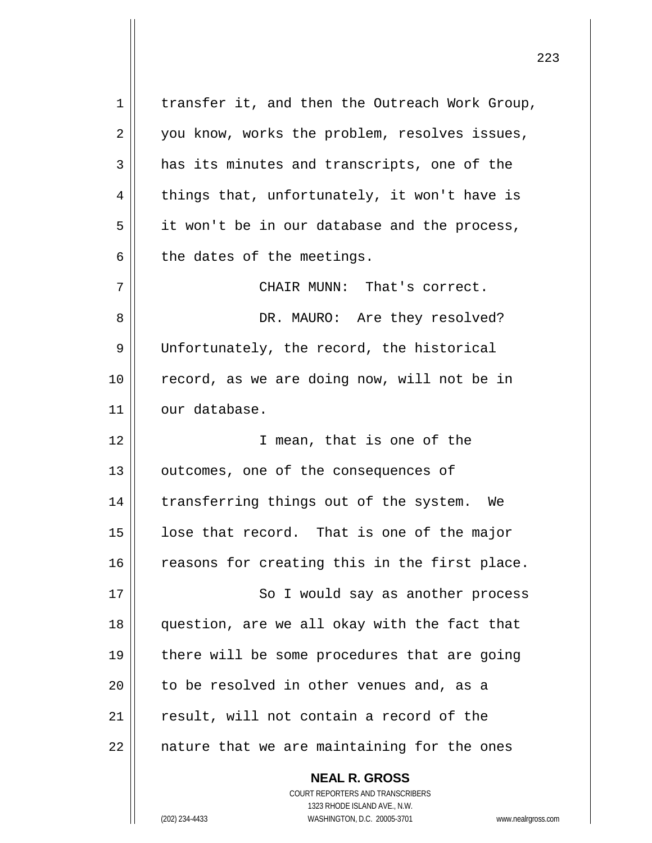**NEAL R. GROSS** COURT REPORTERS AND TRANSCRIBERS 1 || transfer it, and then the Outreach Work Group, 2 | you know, works the problem, resolves issues,  $3 \parallel$  has its minutes and transcripts, one of the  $4 \parallel$  things that, unfortunately, it won't have is  $5 \parallel$  it won't be in our database and the process,  $6 \parallel$  the dates of the meetings. 7 CHAIR MUNN: That's correct. 8 DR. MAURO: Are they resolved? 9 Unfortunately, the record, the historical 10 || record, as we are doing now, will not be in 11 | our database. 12 || T mean, that is one of the 13 || outcomes, one of the consequences of  $14$  | transferring things out of the system. We  $15$  | lose that record. That is one of the major 16 || reasons for creating this in the first place. 17 || So I would say as another process 18 question, are we all okay with the fact that 19  $\parallel$  there will be some procedures that are going 20 || to be resolved in other venues and, as a 21 || result, will not contain a record of the  $22$  || nature that we are maintaining for the ones

1323 RHODE ISLAND AVE., N.W.

(202) 234-4433 WASHINGTON, D.C. 20005-3701 www.nealrgross.com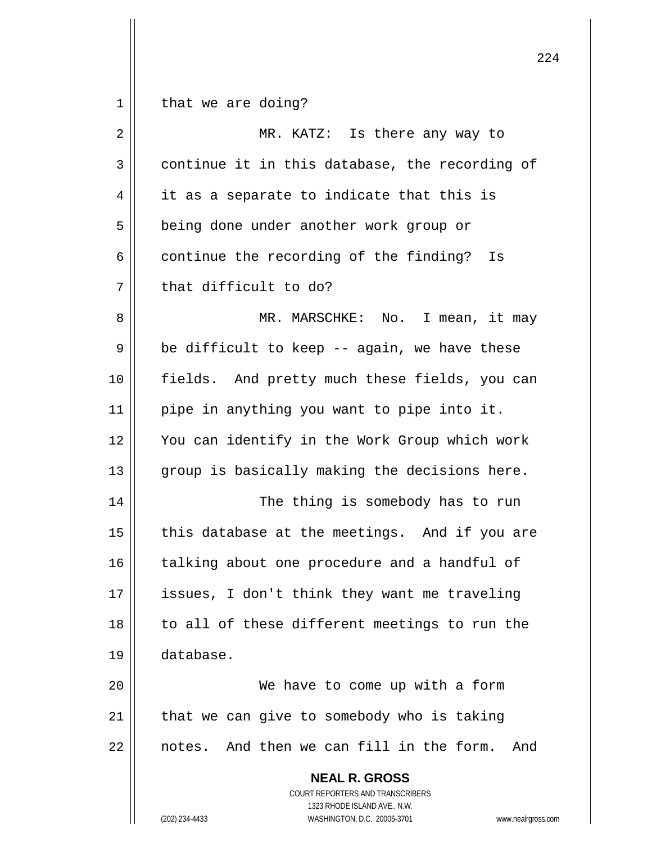$1 \parallel$  that we are doing?

| $\overline{2}$<br>MR. KATZ: Is there any way to<br>3<br>it as a separate to indicate that this is<br>4<br>5<br>being done under another work group or<br>continue the recording of the finding? Is<br>6<br>that difficult to do?<br>7<br>8<br>be difficult to keep -- again, we have these<br>9<br>10<br>11<br>pipe in anything you want to pipe into it.<br>12<br>13<br>group is basically making the decisions here.<br>The thing is somebody has to run<br>14<br>15<br>16<br>talking about one procedure and a handful of<br>17<br>issues, I don't think they want me traveling<br>to all of these different meetings to run the<br>18<br>database.<br>19<br>We have to come up with a form<br>20<br>that we can give to somebody who is taking<br>21<br>22<br>And then we can fill in the form.<br>notes.<br><b>NEAL R. GROSS</b> |                                                |
|---------------------------------------------------------------------------------------------------------------------------------------------------------------------------------------------------------------------------------------------------------------------------------------------------------------------------------------------------------------------------------------------------------------------------------------------------------------------------------------------------------------------------------------------------------------------------------------------------------------------------------------------------------------------------------------------------------------------------------------------------------------------------------------------------------------------------------------|------------------------------------------------|
|                                                                                                                                                                                                                                                                                                                                                                                                                                                                                                                                                                                                                                                                                                                                                                                                                                       |                                                |
|                                                                                                                                                                                                                                                                                                                                                                                                                                                                                                                                                                                                                                                                                                                                                                                                                                       | continue it in this database, the recording of |
|                                                                                                                                                                                                                                                                                                                                                                                                                                                                                                                                                                                                                                                                                                                                                                                                                                       |                                                |
|                                                                                                                                                                                                                                                                                                                                                                                                                                                                                                                                                                                                                                                                                                                                                                                                                                       |                                                |
|                                                                                                                                                                                                                                                                                                                                                                                                                                                                                                                                                                                                                                                                                                                                                                                                                                       |                                                |
|                                                                                                                                                                                                                                                                                                                                                                                                                                                                                                                                                                                                                                                                                                                                                                                                                                       |                                                |
|                                                                                                                                                                                                                                                                                                                                                                                                                                                                                                                                                                                                                                                                                                                                                                                                                                       | MR. MARSCHKE: No. I mean, it may               |
|                                                                                                                                                                                                                                                                                                                                                                                                                                                                                                                                                                                                                                                                                                                                                                                                                                       |                                                |
|                                                                                                                                                                                                                                                                                                                                                                                                                                                                                                                                                                                                                                                                                                                                                                                                                                       | fields. And pretty much these fields, you can  |
|                                                                                                                                                                                                                                                                                                                                                                                                                                                                                                                                                                                                                                                                                                                                                                                                                                       |                                                |
|                                                                                                                                                                                                                                                                                                                                                                                                                                                                                                                                                                                                                                                                                                                                                                                                                                       | You can identify in the Work Group which work  |
|                                                                                                                                                                                                                                                                                                                                                                                                                                                                                                                                                                                                                                                                                                                                                                                                                                       |                                                |
|                                                                                                                                                                                                                                                                                                                                                                                                                                                                                                                                                                                                                                                                                                                                                                                                                                       |                                                |
|                                                                                                                                                                                                                                                                                                                                                                                                                                                                                                                                                                                                                                                                                                                                                                                                                                       | this database at the meetings. And if you are  |
|                                                                                                                                                                                                                                                                                                                                                                                                                                                                                                                                                                                                                                                                                                                                                                                                                                       |                                                |
|                                                                                                                                                                                                                                                                                                                                                                                                                                                                                                                                                                                                                                                                                                                                                                                                                                       |                                                |
|                                                                                                                                                                                                                                                                                                                                                                                                                                                                                                                                                                                                                                                                                                                                                                                                                                       |                                                |
|                                                                                                                                                                                                                                                                                                                                                                                                                                                                                                                                                                                                                                                                                                                                                                                                                                       |                                                |
|                                                                                                                                                                                                                                                                                                                                                                                                                                                                                                                                                                                                                                                                                                                                                                                                                                       |                                                |
|                                                                                                                                                                                                                                                                                                                                                                                                                                                                                                                                                                                                                                                                                                                                                                                                                                       |                                                |
|                                                                                                                                                                                                                                                                                                                                                                                                                                                                                                                                                                                                                                                                                                                                                                                                                                       | And                                            |
| COURT REPORTERS AND TRANSCRIBERS<br>1323 RHODE ISLAND AVE., N.W.<br>(202) 234-4433<br>WASHINGTON, D.C. 20005-3701                                                                                                                                                                                                                                                                                                                                                                                                                                                                                                                                                                                                                                                                                                                     | www.nealrgross.com                             |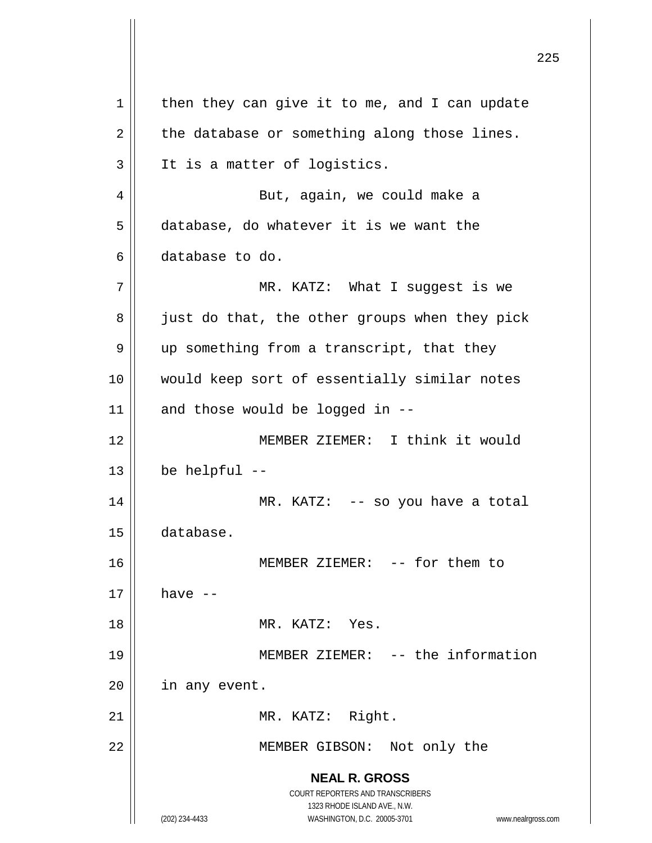**NEAL R. GROSS** COURT REPORTERS AND TRANSCRIBERS 1323 RHODE ISLAND AVE., N.W. (202) 234-4433 WASHINGTON, D.C. 20005-3701 www.nealrgross.com 1 || then they can give it to me, and I can update  $2 \parallel$  the database or something along those lines. 3 || It is a matter of logistics. 4 || But, again, we could make a 5 database, do whatever it is we want the 6 database to do. 7 MR. KATZ: What I suggest is we 8 || just do that, the other groups when they pick 9 || up something from a transcript, that they 10 would keep sort of essentially similar notes  $11$  || and those would be logged in --12 MEMBER ZIEMER: I think it would  $13 \parallel$  be helpful --14 MR. KATZ: -- so you have a total 15 database. 16 || MEMBER ZIEMER: -- for them to  $17 \parallel$  have  $-$ 18 MR. KATZ: Yes. 19 || MEMBER ZIEMER: -- the information  $20$  | in any event. 21 || MR. KATZ: Right. 22 MEMBER GIBSON: Not only the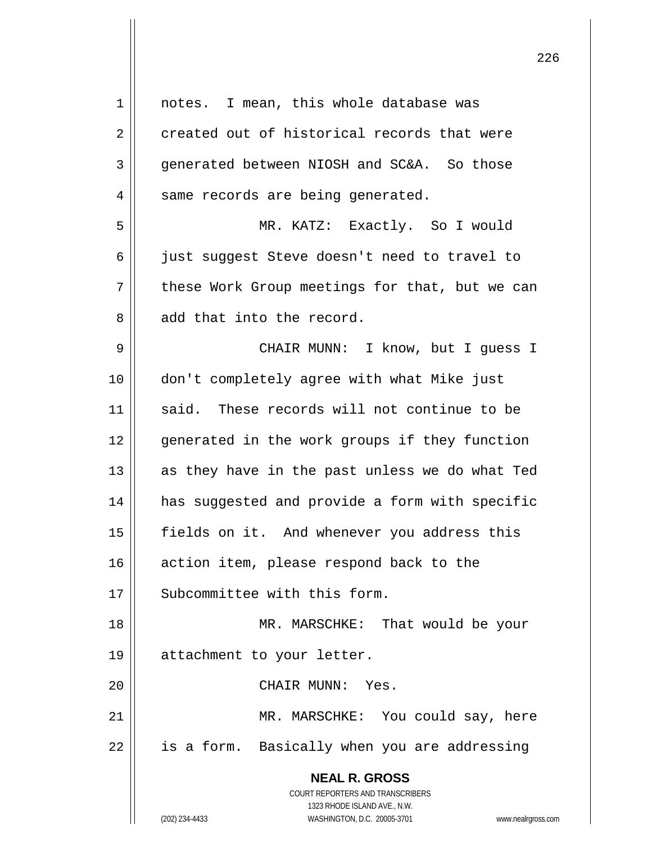**NEAL R. GROSS** COURT REPORTERS AND TRANSCRIBERS 1323 RHODE ISLAND AVE., N.W. (202) 234-4433 WASHINGTON, D.C. 20005-3701 www.nealrgross.com 1 notes. I mean, this whole database was 2 || created out of historical records that were 3 | generated between NIOSH and SC&A. So those 4 | same records are being generated. 5 MR. KATZ: Exactly. So I would 6 || just suggest Steve doesn't need to travel to  $7$  | these Work Group meetings for that, but we can  $8 \parallel$  add that into the record. 9 CHAIR MUNN: I know, but I guess I 10 don't completely agree with what Mike just 11 said. These records will not continue to be 12 || generated in the work groups if they function 13 || as they have in the past unless we do what Ted 14 || has suggested and provide a form with specific 15 | fields on it. And whenever you address this 16 || action item, please respond back to the 17 || Subcommittee with this form. 18 || MR. MARSCHKE: That would be your 19 || attachment to your letter. 20 CHAIR MUNN: Yes. 21 MR. MARSCHKE: You could say, here 22 || is a form. Basically when you are addressing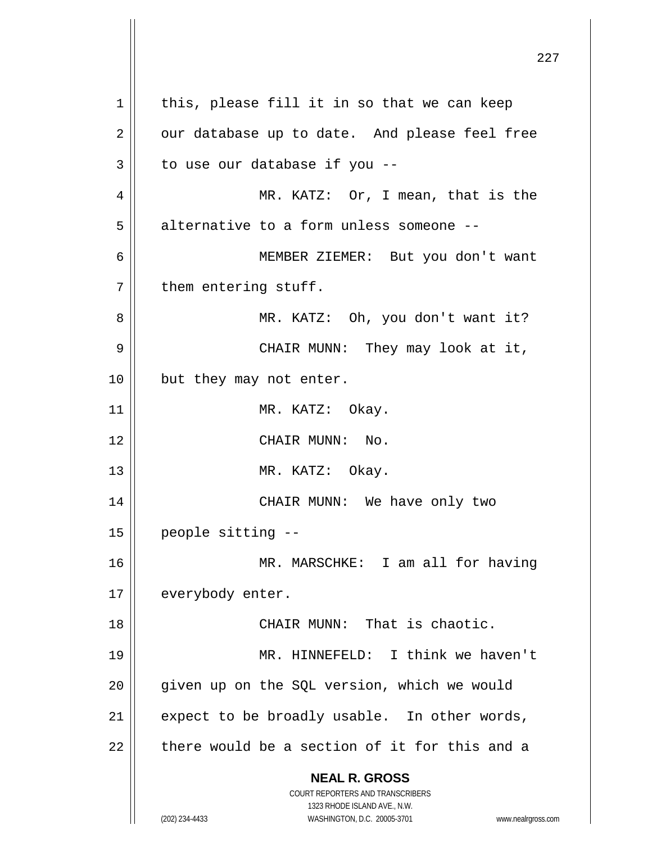**NEAL R. GROSS** COURT REPORTERS AND TRANSCRIBERS 1323 RHODE ISLAND AVE., N.W. (202) 234-4433 WASHINGTON, D.C. 20005-3701 www.nealrgross.com  $1 ||$  this, please fill it in so that we can keep  $2 \parallel$  our database up to date. And please feel free  $3 \parallel$  to use our database if you --4 MR. KATZ: Or, I mean, that is the 5 alternative to a form unless someone --6 MEMBER ZIEMER: But you don't want  $7$  || them entering stuff. 8 MR. KATZ: Oh, you don't want it? 9 CHAIR MUNN: They may look at it, 10 || but they may not enter. 11 || MR. KATZ: Okay. 12 || CHAIR MUNN: No. 13 || MR. KATZ: Okay. 14 CHAIR MUNN: We have only two 15 people sitting -- 16 MR. MARSCHKE: I am all for having 17 | everybody enter. 18 || CHAIR MUNN: That is chaotic. 19 MR. HINNEFELD: I think we haven't 20 || given up on the SQL version, which we would  $21$  | expect to be broadly usable. In other words,  $22$  | there would be a section of it for this and a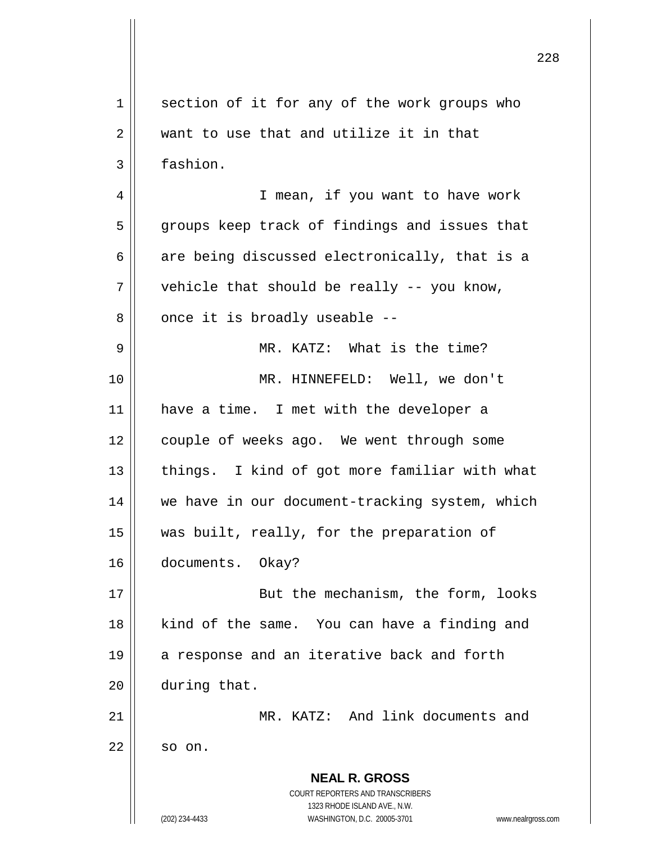**NEAL R. GROSS** COURT REPORTERS AND TRANSCRIBERS 1323 RHODE ISLAND AVE., N.W. (202) 234-4433 WASHINGTON, D.C. 20005-3701 www.nealrgross.com 1 || section of it for any of the work groups who 2 want to use that and utilize it in that 3 fashion. 4 | T mean, if you want to have work 5 groups keep track of findings and issues that  $6 \parallel$  are being discussed electronically, that is a  $7 \parallel$  vehicle that should be really -- you know,  $8 \parallel$  once it is broadly useable --9 MR. KATZ: What is the time? 10 MR. HINNEFELD: Well, we don't 11 have a time. I met with the developer a 12 || couple of weeks ago. We went through some 13 || things. I kind of got more familiar with what 14 || we have in our document-tracking system, which 15 was built, really, for the preparation of 16 documents. Okay? 17 || But the mechanism, the form, looks 18 || kind of the same. You can have a finding and  $19 \parallel$  a response and an iterative back and forth 20 during that. 21 MR. KATZ: And link documents and  $22 \parallel$  so on.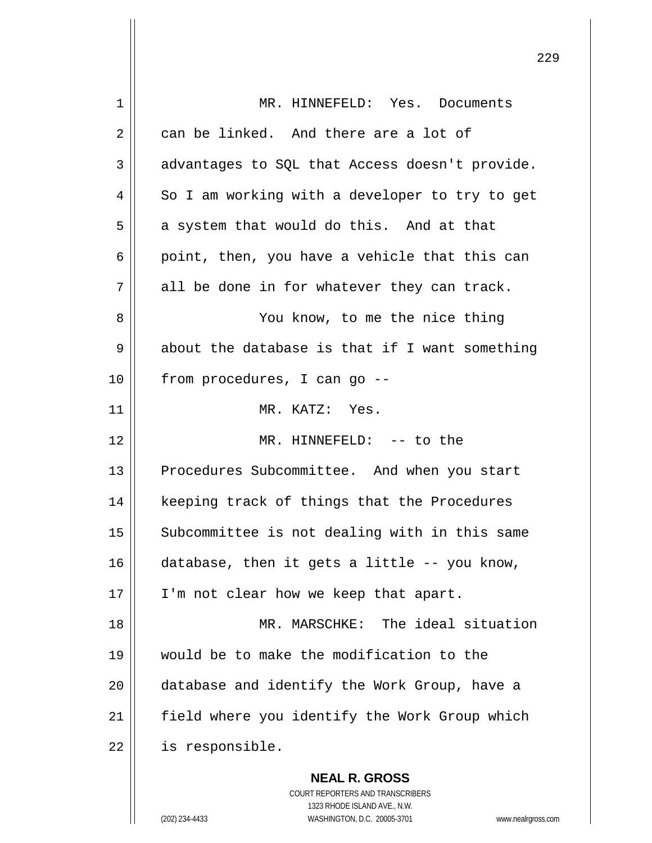| 1  | MR. HINNEFELD: Yes. Documents                                                                                                                                  |
|----|----------------------------------------------------------------------------------------------------------------------------------------------------------------|
| 2  | can be linked. And there are a lot of                                                                                                                          |
| 3  | advantages to SQL that Access doesn't provide.                                                                                                                 |
| 4  | So I am working with a developer to try to get                                                                                                                 |
| 5  | a system that would do this. And at that                                                                                                                       |
| 6  | point, then, you have a vehicle that this can                                                                                                                  |
| 7  | all be done in for whatever they can track.                                                                                                                    |
| 8  | You know, to me the nice thing                                                                                                                                 |
| 9  | about the database is that if I want something                                                                                                                 |
| 10 | from procedures, I can go --                                                                                                                                   |
| 11 | MR. KATZ: Yes.                                                                                                                                                 |
| 12 | MR. HINNEFELD: -- to the                                                                                                                                       |
| 13 | Procedures Subcommittee. And when you start                                                                                                                    |
| 14 | keeping track of things that the Procedures                                                                                                                    |
| 15 | Subcommittee is not dealing with in this same                                                                                                                  |
| 16 | database, then it gets a little -- you know,                                                                                                                   |
| 17 | I'm not clear how we keep that apart.                                                                                                                          |
| 18 | MR. MARSCHKE: The ideal situation                                                                                                                              |
| 19 | would be to make the modification to the                                                                                                                       |
| 20 | database and identify the Work Group, have a                                                                                                                   |
| 21 | field where you identify the Work Group which                                                                                                                  |
| 22 | is responsible.                                                                                                                                                |
|    | <b>NEAL R. GROSS</b><br>COURT REPORTERS AND TRANSCRIBERS<br>1323 RHODE ISLAND AVE., N.W.<br>WASHINGTON, D.C. 20005-3701<br>(202) 234-4433<br>www.nealrgross.co |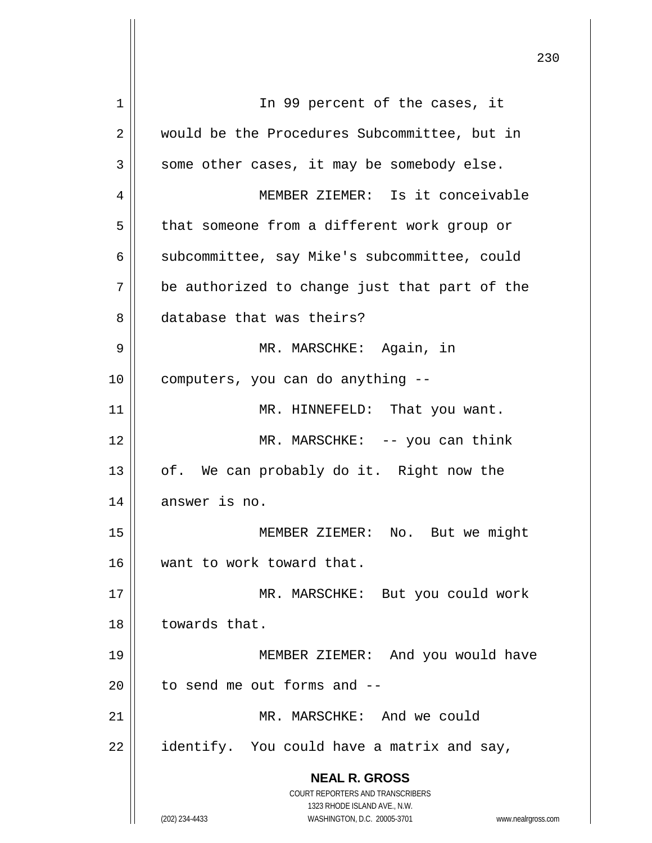**NEAL R. GROSS** COURT REPORTERS AND TRANSCRIBERS 1323 RHODE ISLAND AVE., N.W. (202) 234-4433 WASHINGTON, D.C. 20005-3701 www.nealrgross.com 1 || In 99 percent of the cases, it 2 || would be the Procedures Subcommittee, but in  $3 \parallel$  some other cases, it may be somebody else. 4 MEMBER ZIEMER: Is it conceivable  $5$  | that someone from a different work group or 6 | subcommittee, say Mike's subcommittee, could  $7 \parallel$  be authorized to change just that part of the 8 database that was theirs? 9 MR. MARSCHKE: Again, in 10 computers, you can do anything -- 11 || MR. HINNEFELD: That you want. 12 MR. MARSCHKE: -- you can think  $13 \parallel$  of. We can probably do it. Right now the 14 || answer is no. 15 MEMBER ZIEMER: No. But we might 16 want to work toward that. 17 || MR. MARSCHKE: But you could work 18 | towards that. 19 MEMBER ZIEMER: And you would have  $20$  | to send me out forms and  $-$ 21 || MR. MARSCHKE: And we could  $22$  || identify. You could have a matrix and say,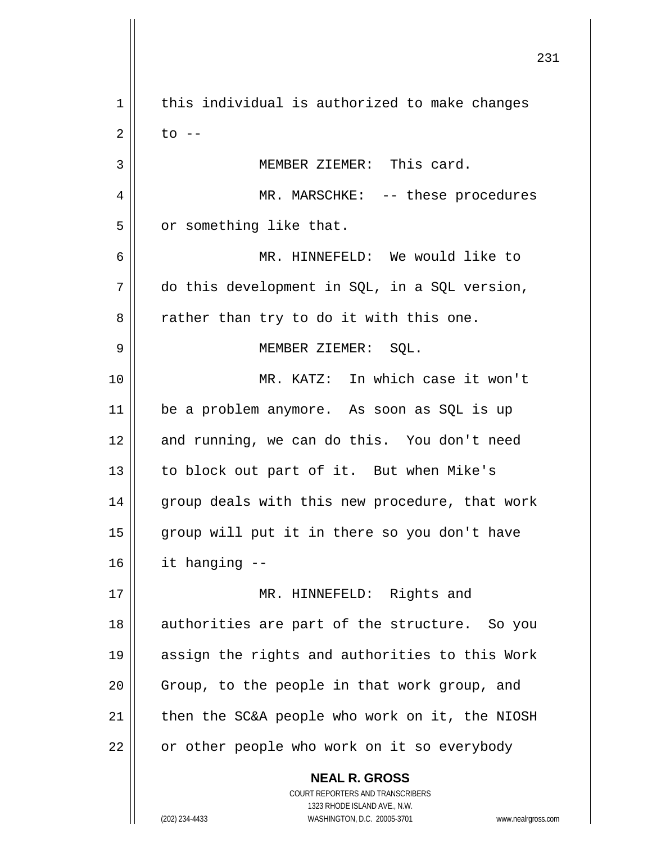**NEAL R. GROSS** COURT REPORTERS AND TRANSCRIBERS 1323 RHODE ISLAND AVE., N.W. 231 1 || this individual is authorized to make changes  $2 \parallel$  to  $-$ 3 MEMBER ZIEMER: This card. 4 || MR. MARSCHKE: -- these procedures 5 | or something like that. 6 MR. HINNEFELD: We would like to 7 do this development in SQL, in a SQL version,  $8 \parallel$  rather than try to do it with this one. 9 MEMBER ZIEMER: SQL. 10 MR. KATZ: In which case it won't 11 be a problem anymore. As soon as SQL is up 12 and running, we can do this. You don't need 13 to block out part of it. But when Mike's 14 group deals with this new procedure, that work 15  $\parallel$  group will put it in there so you don't have  $16$  | it hanging  $-$ 17 || MR. HINNEFELD: Rights and 18 authorities are part of the structure. So you 19 assign the rights and authorities to this Work  $20$  || Group, to the people in that work group, and 21 || then the SC&A people who work on it, the NIOSH 22 || or other people who work on it so everybody

(202) 234-4433 WASHINGTON, D.C. 20005-3701 www.nealrgross.com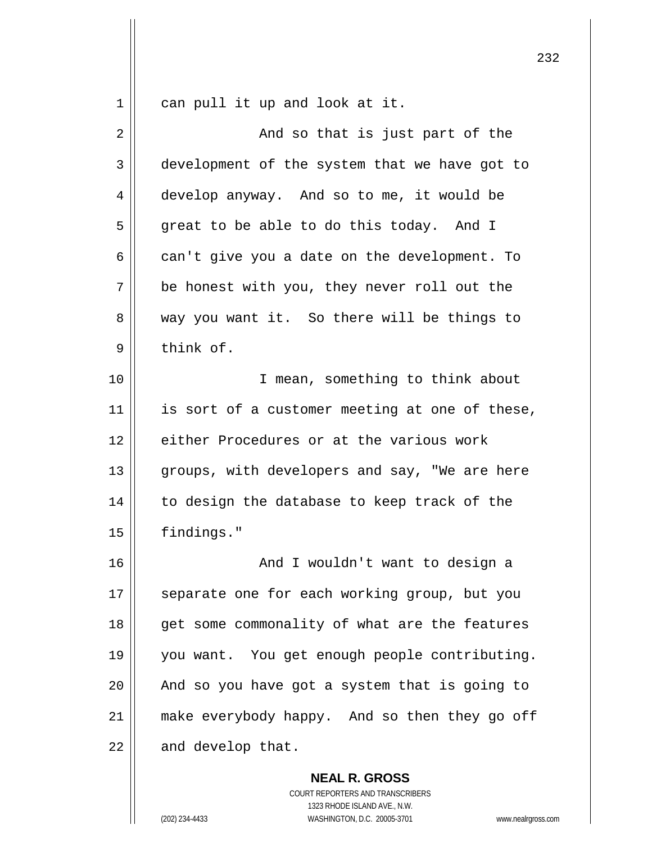$1 \parallel$  can pull it up and look at it.

|    | <b>NEAL R. GROSS</b>                           |
|----|------------------------------------------------|
| 22 | and develop that.                              |
| 21 | make everybody happy. And so then they go off  |
| 20 | And so you have got a system that is going to  |
| 19 | you want. You get enough people contributing.  |
| 18 | get some commonality of what are the features  |
| 17 | separate one for each working group, but you   |
| 16 | And I wouldn't want to design a                |
| 15 | findings."                                     |
| 14 | to design the database to keep track of the    |
| 13 | groups, with developers and say, "We are here  |
| 12 | either Procedures or at the various work       |
| 11 | is sort of a customer meeting at one of these, |
| 10 | I mean, something to think about               |
| 9  | think of.                                      |
| 8  | way you want it. So there will be things to    |
| 7  | be honest with you, they never roll out the    |
| 6  | can't give you a date on the development. To   |
| 5  | great to be able to do this today. And I       |
| 4  | develop anyway. And so to me, it would be      |
| 3  | development of the system that we have got to  |
| 2  | And so that is just part of the                |

COURT REPORTERS AND TRANSCRIBERS 1323 RHODE ISLAND AVE., N.W. (202) 234-4433 WASHINGTON, D.C. 20005-3701 www.nealrgross.com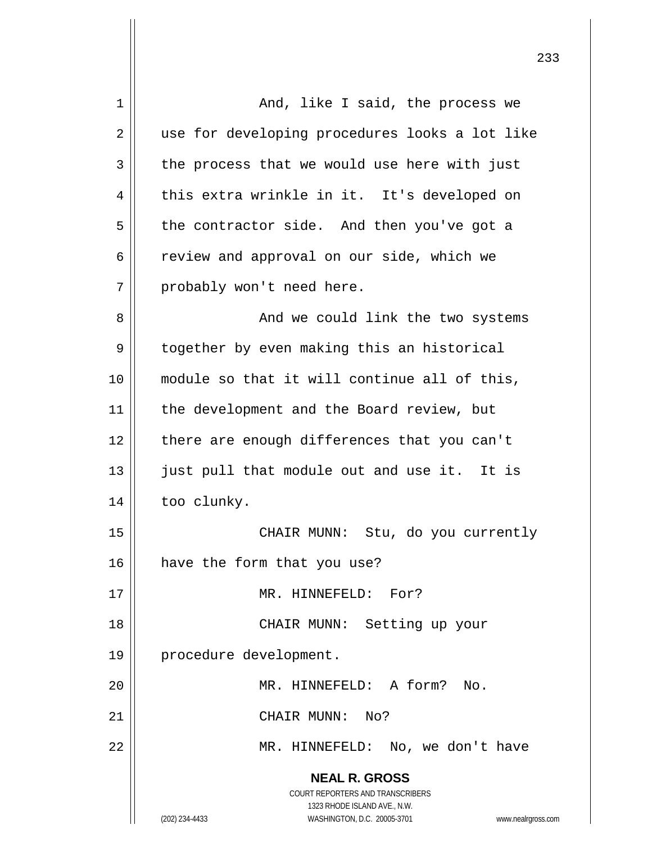| 1  | And, like I said, the process we                                                                    |
|----|-----------------------------------------------------------------------------------------------------|
| 2  | use for developing procedures looks a lot like                                                      |
| 3  | the process that we would use here with just                                                        |
| 4  | this extra wrinkle in it. It's developed on                                                         |
| 5  | the contractor side. And then you've got a                                                          |
| 6  | review and approval on our side, which we                                                           |
| 7  | probably won't need here.                                                                           |
| 8  | And we could link the two systems                                                                   |
| 9  | together by even making this an historical                                                          |
| 10 | module so that it will continue all of this,                                                        |
| 11 | the development and the Board review, but                                                           |
| 12 | there are enough differences that you can't                                                         |
| 13 | just pull that module out and use it. It is                                                         |
| 14 | too clunky.                                                                                         |
| 15 | CHAIR MUNN: Stu, do you currently                                                                   |
| 16 | have the form that you use?                                                                         |
| 17 | MR. HINNEFELD: For?                                                                                 |
| 18 | CHAIR MUNN: Setting up your                                                                         |
| 19 | procedure development.                                                                              |
| 20 | MR. HINNEFELD: A form? No.                                                                          |
| 21 | CHAIR MUNN: No?                                                                                     |
| 22 | MR. HINNEFELD: No, we don't have                                                                    |
|    | <b>NEAL R. GROSS</b>                                                                                |
|    | COURT REPORTERS AND TRANSCRIBERS                                                                    |
|    | 1323 RHODE ISLAND AVE., N.W.<br>WASHINGTON, D.C. 20005-3701<br>(202) 234-4433<br>www.nealrgross.com |
|    |                                                                                                     |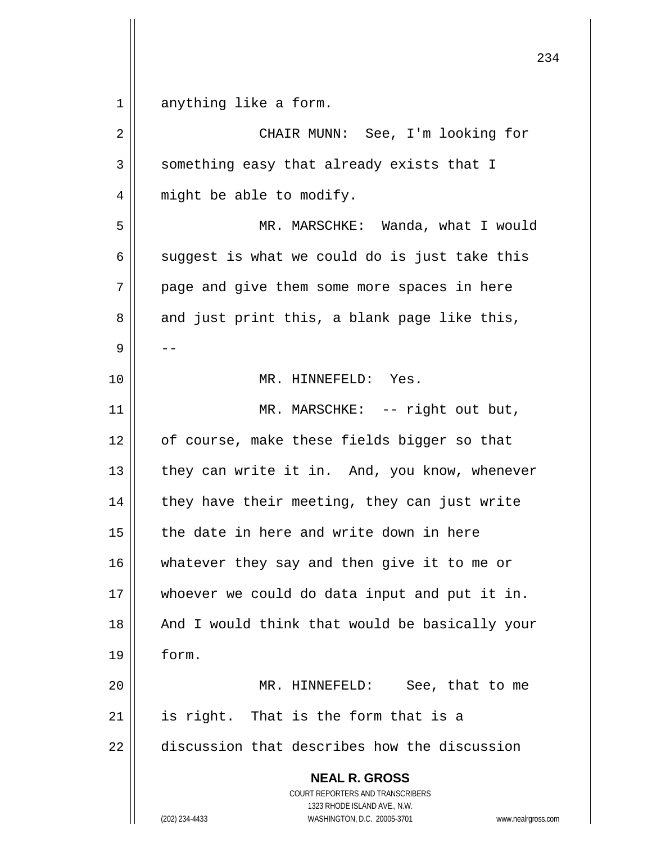1 anything like a form.

**NEAL R. GROSS** COURT REPORTERS AND TRANSCRIBERS 1323 RHODE ISLAND AVE., N.W. (202) 234-4433 WASHINGTON, D.C. 20005-3701 www.nealrgross.com 2 CHAIR MUNN: See, I'm looking for  $3 \parallel$  something easy that already exists that I 4 || might be able to modify. 5 MR. MARSCHKE: Wanda, what I would  $6 \parallel$  suggest is what we could do is just take this 7 || page and give them some more spaces in here  $8 \parallel$  and just print this, a blank page like this, 9 | --10 MR. HINNEFELD: Yes. 11 || MR. MARSCHKE: -- right out but, 12 | of course, make these fields bigger so that 13 || they can write it in. And, you know, whenever  $14$  | they have their meeting, they can just write 15  $\parallel$  the date in here and write down in here 16 whatever they say and then give it to me or 17 whoever we could do data input and put it in. 18 || And I would think that would be basically your 19 form. 20 MR. HINNEFELD: See, that to me  $21$  | is right. That is the form that is a 22 discussion that describes how the discussion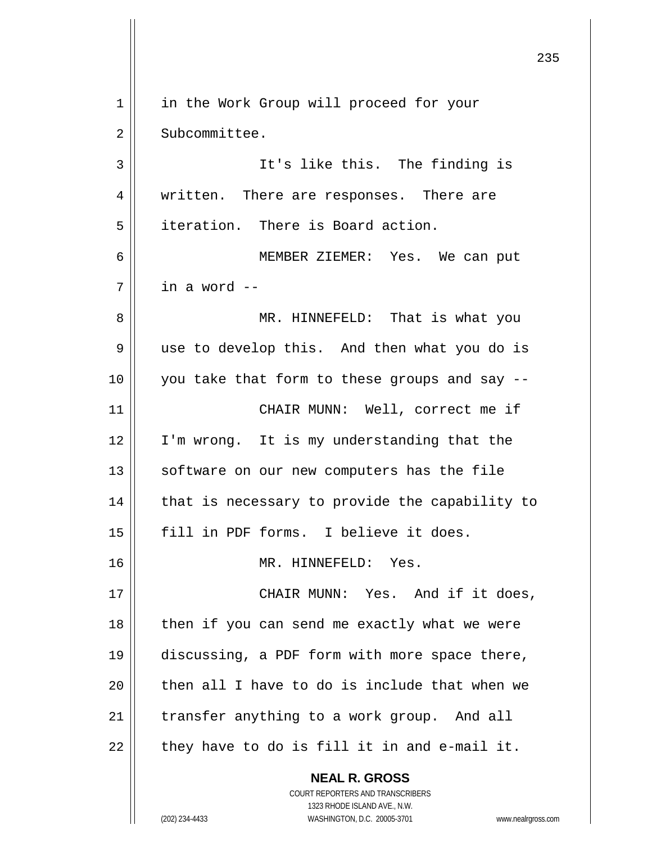**NEAL R. GROSS** COURT REPORTERS AND TRANSCRIBERS 1323 RHODE ISLAND AVE., N.W. (202) 234-4433 WASHINGTON, D.C. 20005-3701 www.nealrgross.com 235 1 in the Work Group will proceed for your 2 | Subcommittee. 3 || It's like this. The finding is 4 || written. There are responses. There are 5 **i** iteration. There is Board action. 6 MEMBER ZIEMER: Yes. We can put  $7 \parallel$  in a word --8 || MR. HINNEFELD: That is what you 9 || use to develop this. And then what you do is 10 you take that form to these groups and say -- 11 CHAIR MUNN: Well, correct me if 12 I'm wrong. It is my understanding that the 13 || software on our new computers has the file 14 || that is necessary to provide the capability to 15 fill in PDF forms. I believe it does. 16 MR. HINNEFELD: Yes. 17 CHAIR MUNN: Yes. And if it does,  $18$  | then if you can send me exactly what we were 19 discussing, a PDF form with more space there, 20  $\parallel$  then all I have to do is include that when we 21 || transfer anything to a work group. And all  $22$  | they have to do is fill it in and e-mail it.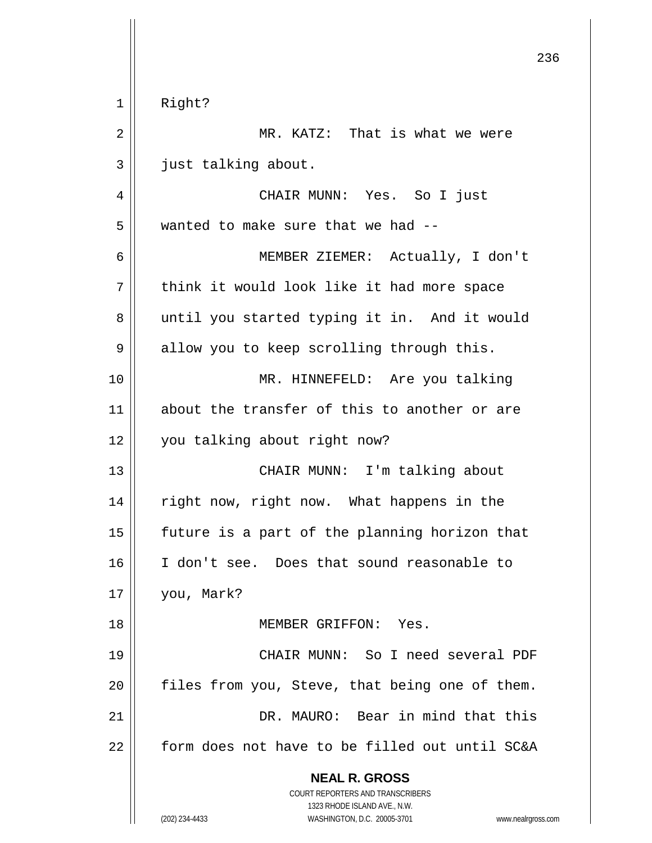**NEAL R. GROSS** COURT REPORTERS AND TRANSCRIBERS 1323 RHODE ISLAND AVE., N.W. (202) 234-4433 WASHINGTON, D.C. 20005-3701 www.nealrgross.com 1 Right? 2 MR. KATZ: That is what we were 3 | just talking about. 4 CHAIR MUNN: Yes. So I just 5 | wanted to make sure that we had --6 MEMBER ZIEMER: Actually, I don't  $7$  || think it would look like it had more space 8 || until you started typing it in. And it would 9 || allow you to keep scrolling through this. 10 MR. HINNEFELD: Are you talking 11 || about the transfer of this to another or are 12 you talking about right now? 13 || CHAIR MUNN: I'm talking about 14 || right now, right now. What happens in the 15  $\parallel$  future is a part of the planning horizon that 16 I don't see. Does that sound reasonable to 17 || you, Mark? 18 MEMBER GRIFFON: Yes. 19 CHAIR MUNN: So I need several PDF  $20$  | files from you, Steve, that being one of them. 21 DR. MAURO: Bear in mind that this 22 form does not have to be filled out until SC&A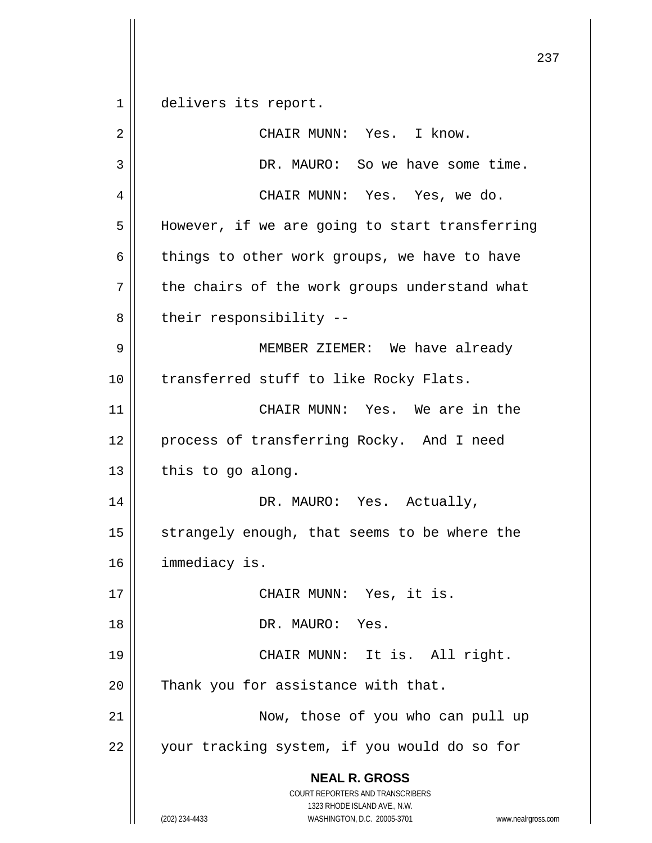1 delivers its report.

| $\overline{2}$ | CHAIR MUNN: Yes. I know.                                                                                                                                        |
|----------------|-----------------------------------------------------------------------------------------------------------------------------------------------------------------|
| 3              | DR. MAURO: So we have some time.                                                                                                                                |
| 4              | CHAIR MUNN: Yes. Yes, we do.                                                                                                                                    |
| 5              | However, if we are going to start transferring                                                                                                                  |
| 6              | things to other work groups, we have to have                                                                                                                    |
| 7              | the chairs of the work groups understand what                                                                                                                   |
| 8              | their responsibility --                                                                                                                                         |
| 9              | MEMBER ZIEMER: We have already                                                                                                                                  |
| 10             | transferred stuff to like Rocky Flats.                                                                                                                          |
| 11             | CHAIR MUNN: Yes. We are in the                                                                                                                                  |
| 12             | process of transferring Rocky. And I need                                                                                                                       |
| 13             | this to go along.                                                                                                                                               |
| 14             | DR. MAURO: Yes. Actually,                                                                                                                                       |
| 15             | strangely enough, that seems to be where the                                                                                                                    |
| 16             | immediacy is.                                                                                                                                                   |
| 17             | CHAIR MUNN: Yes, it is.                                                                                                                                         |
| 18             | DR. MAURO: Yes.                                                                                                                                                 |
| 19             | CHAIR MUNN: It is. All right.                                                                                                                                   |
| 20             | Thank you for assistance with that.                                                                                                                             |
| 21             | Now, those of you who can pull up                                                                                                                               |
| 22             | your tracking system, if you would do so for                                                                                                                    |
|                | <b>NEAL R. GROSS</b><br>COURT REPORTERS AND TRANSCRIBERS<br>1323 RHODE ISLAND AVE., N.W.<br>(202) 234-4433<br>WASHINGTON, D.C. 20005-3701<br>www.nealrgross.com |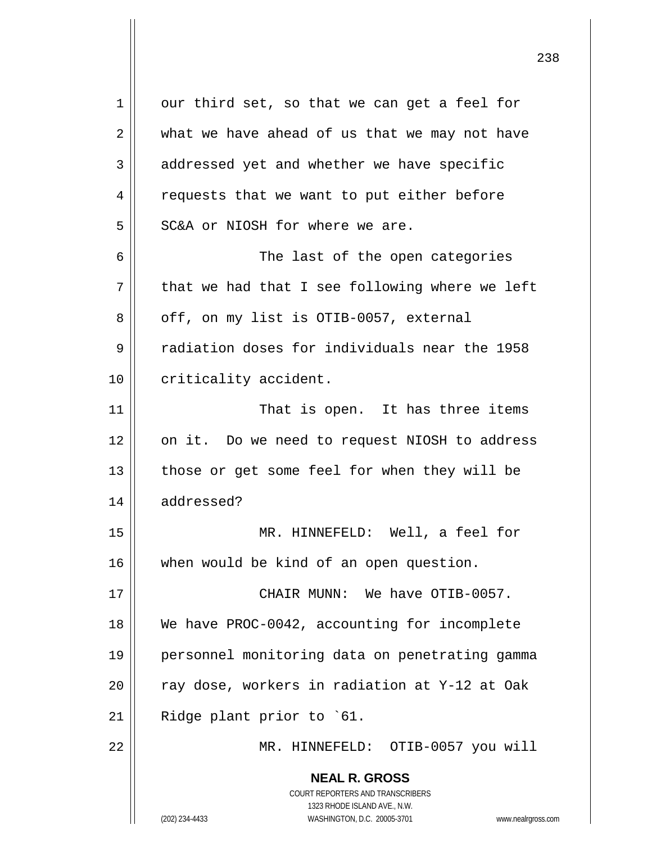**NEAL R. GROSS** COURT REPORTERS AND TRANSCRIBERS 1323 RHODE ISLAND AVE., N.W. (202) 234-4433 WASHINGTON, D.C. 20005-3701 www.nealrgross.com  $1 \parallel$  our third set, so that we can get a feel for  $2 \parallel$  what we have ahead of us that we may not have 3 | addressed yet and whether we have specific 4 | requests that we want to put either before  $5$  SC&A or NIOSH for where we are. 6 The last of the open categories  $7 \parallel$  that we had that I see following where we left  $8 \parallel$  off, on my list is OTIB-0057, external 9 radiation doses for individuals near the 1958 10 | criticality accident. 11 That is open. It has three items 12 || on it. Do we need to request NIOSH to address 13 || those or get some feel for when they will be 14 addressed? 15 || MR. HINNEFELD: Well, a feel for 16 || when would be kind of an open question. 17 CHAIR MUNN: We have OTIB-0057. 18 We have PROC-0042, accounting for incomplete 19 personnel monitoring data on penetrating gamma 20  $\parallel$  ray dose, workers in radiation at Y-12 at Oak 21 || Ridge plant prior to `61. 22 MR. HINNEFELD: OTIB-0057 you will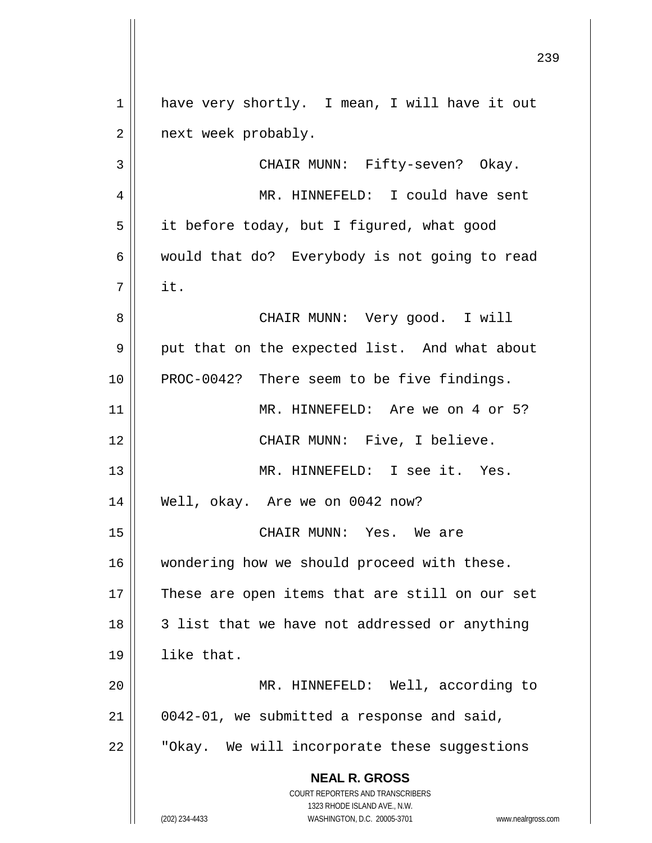**NEAL R. GROSS** COURT REPORTERS AND TRANSCRIBERS 1323 RHODE ISLAND AVE., N.W. (202) 234-4433 WASHINGTON, D.C. 20005-3701 www.nealrgross.com 239 1 || have very shortly. I mean, I will have it out 2 | next week probably. 3 CHAIR MUNN: Fifty-seven? Okay. 4 MR. HINNEFELD: I could have sent  $5 \parallel$  it before today, but I figured, what good 6 || would that do? Everybody is not going to read  $7$  it. 8 CHAIR MUNN: Very good. I will  $9 \parallel$  put that on the expected list. And what about 10 PROC-0042? There seem to be five findings. 11 || MR. HINNEFELD: Are we on 4 or 5? 12 || CHAIR MUNN: Five, I believe. 13 MR. HINNEFELD: I see it. Yes. 14 Well, okay. Are we on 0042 now? 15 CHAIR MUNN: Yes. We are 16 || wondering how we should proceed with these. 17 || These are open items that are still on our set  $18$  || 3 list that we have not addressed or anything 19 like that. 20 || MR. HINNEFELD: Well, according to 21 0042-01, we submitted a response and said, 22 || "Okay. We will incorporate these suggestions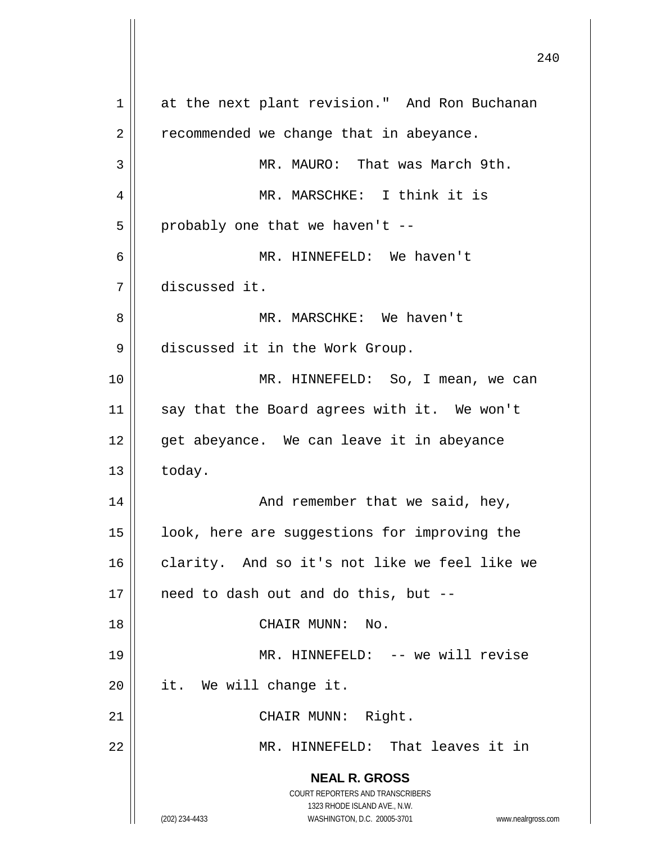**NEAL R. GROSS** COURT REPORTERS AND TRANSCRIBERS 1323 RHODE ISLAND AVE., N.W. (202) 234-4433 WASHINGTON, D.C. 20005-3701 www.nealrgross.com 1 || at the next plant revision." And Ron Buchanan  $2 \parallel$  recommended we change that in abeyance. 3 || MR. MAURO: That was March 9th. 4 MR. MARSCHKE: I think it is  $5$  | probably one that we haven't --6 MR. HINNEFELD: We haven't 7 discussed it. 8 MR. MARSCHKE: We haven't 9 discussed it in the Work Group. 10 || MR. HINNEFELD: So, I mean, we can 11 || say that the Board agrees with it. We won't 12 || get abeyance. We can leave it in abeyance  $13 \parallel$  today.  $14$  ||  $\blacksquare$  And remember that we said, hey, 15 || look, here are suggestions for improving the 16 || clarity. And so it's not like we feel like we  $17$  || need to dash out and do this, but --18 || CHAIR MUNN: No. 19 MR. HINNEFELD: -- we will revise 20 | it. We will change it. 21 || CHAIR MUNN: Right. 22 MR. HINNEFELD: That leaves it in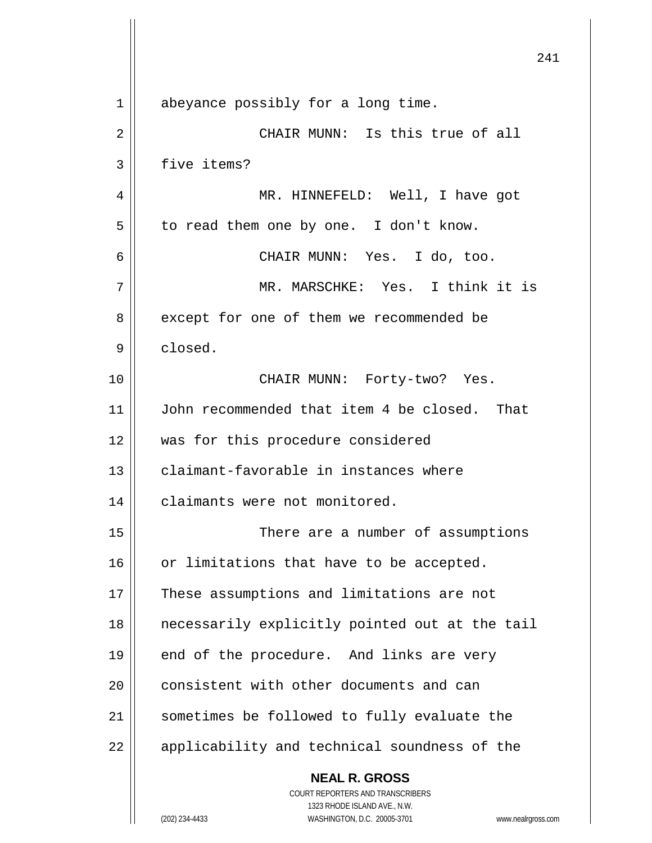|    | 241                                                                                                                                                                    |
|----|------------------------------------------------------------------------------------------------------------------------------------------------------------------------|
| 1  | abeyance possibly for a long time.                                                                                                                                     |
| 2  | CHAIR MUNN: Is this true of all                                                                                                                                        |
| 3  | five items?                                                                                                                                                            |
| 4  | MR. HINNEFELD: Well, I have got                                                                                                                                        |
| 5  | to read them one by one. I don't know.                                                                                                                                 |
| 6  | CHAIR MUNN: Yes. I do, too.                                                                                                                                            |
| 7  | MR. MARSCHKE: Yes. I think it is                                                                                                                                       |
| 8  | except for one of them we recommended be                                                                                                                               |
| 9  | closed.                                                                                                                                                                |
| 10 | CHAIR MUNN: Forty-two? Yes.                                                                                                                                            |
| 11 | John recommended that item 4 be closed. That                                                                                                                           |
| 12 | was for this procedure considered                                                                                                                                      |
| 13 | claimant-favorable in instances where                                                                                                                                  |
| 14 | claimants were not monitored.                                                                                                                                          |
| 15 | There are a number of assumptions                                                                                                                                      |
| 16 | or limitations that have to be accepted.                                                                                                                               |
| 17 | These assumptions and limitations are not                                                                                                                              |
| 18 | necessarily explicitly pointed out at the tail                                                                                                                         |
| 19 | end of the procedure. And links are very                                                                                                                               |
| 20 | consistent with other documents and can                                                                                                                                |
| 21 | sometimes be followed to fully evaluate the                                                                                                                            |
| 22 | applicability and technical soundness of the                                                                                                                           |
|    | <b>NEAL R. GROSS</b><br><b>COURT REPORTERS AND TRANSCRIBERS</b><br>1323 RHODE ISLAND AVE., N.W.<br>(202) 234-4433<br>WASHINGTON, D.C. 20005-3701<br>www.nealrgross.com |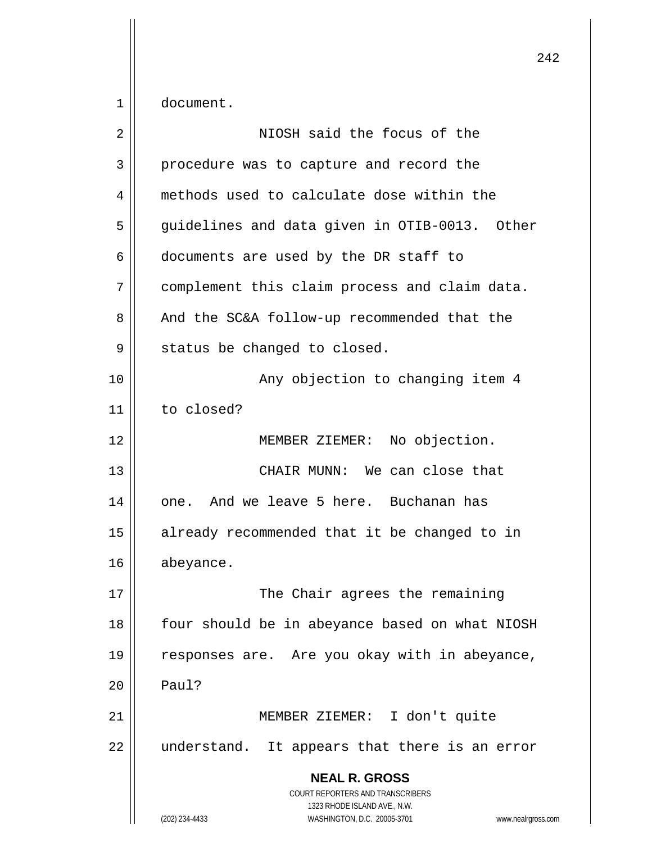1 document.

| $\overline{2}$ | NIOSH said the focus of the                                                                                                                                     |
|----------------|-----------------------------------------------------------------------------------------------------------------------------------------------------------------|
| 3              | procedure was to capture and record the                                                                                                                         |
| 4              | methods used to calculate dose within the                                                                                                                       |
| 5              | guidelines and data given in OTIB-0013. Other                                                                                                                   |
| 6              | documents are used by the DR staff to                                                                                                                           |
| 7              | complement this claim process and claim data.                                                                                                                   |
| 8              | And the SC&A follow-up recommended that the                                                                                                                     |
| 9              | status be changed to closed.                                                                                                                                    |
| 10             | Any objection to changing item 4                                                                                                                                |
| 11             | to closed?                                                                                                                                                      |
| 12             | MEMBER ZIEMER: No objection.                                                                                                                                    |
| 13             | CHAIR MUNN: We can close that                                                                                                                                   |
| 14             | one. And we leave 5 here. Buchanan has                                                                                                                          |
| 15             | already recommended that it be changed to in                                                                                                                    |
| 16             | abeyance.                                                                                                                                                       |
| 17             | The Chair agrees the remaining                                                                                                                                  |
| 18             | four should be in abeyance based on what NIOSH                                                                                                                  |
| 19             | responses are. Are you okay with in abeyance,                                                                                                                   |
| 20             | Paul?                                                                                                                                                           |
| 21             | MEMBER ZIEMER: I don't quite                                                                                                                                    |
| 22             | understand. It appears that there is an error                                                                                                                   |
|                | <b>NEAL R. GROSS</b><br>COURT REPORTERS AND TRANSCRIBERS<br>1323 RHODE ISLAND AVE., N.W.<br>(202) 234-4433<br>WASHINGTON, D.C. 20005-3701<br>www.nealrgross.com |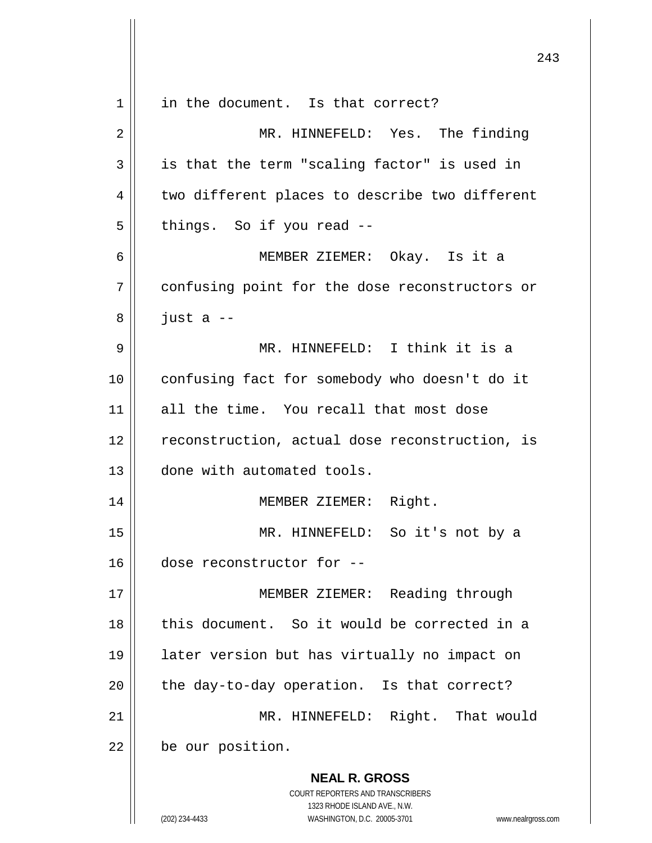|    | 243                                                                                                                                                                    |
|----|------------------------------------------------------------------------------------------------------------------------------------------------------------------------|
| 1  | in the document. Is that correct?                                                                                                                                      |
| 2  | MR. HINNEFELD: Yes. The finding                                                                                                                                        |
| 3  | is that the term "scaling factor" is used in                                                                                                                           |
| 4  | two different places to describe two different                                                                                                                         |
| 5  | things. So if you read --                                                                                                                                              |
| 6  | MEMBER ZIEMER: Okay. Is it a                                                                                                                                           |
| 7  | confusing point for the dose reconstructors or                                                                                                                         |
| 8  | just $a$ --                                                                                                                                                            |
| 9  | MR. HINNEFELD: I think it is a                                                                                                                                         |
| 10 | confusing fact for somebody who doesn't do it                                                                                                                          |
| 11 | all the time. You recall that most dose                                                                                                                                |
| 12 | reconstruction, actual dose reconstruction, is                                                                                                                         |
| 13 | done with automated tools.                                                                                                                                             |
| 14 | MEMBER ZIEMER: Right.                                                                                                                                                  |
| 15 | MR. HINNEFELD: So it's not by a                                                                                                                                        |
| 16 | dose reconstructor for --                                                                                                                                              |
| 17 | MEMBER ZIEMER: Reading through                                                                                                                                         |
| 18 | this document. So it would be corrected in a                                                                                                                           |
| 19 | later version but has virtually no impact on                                                                                                                           |
| 20 | the day-to-day operation. Is that correct?                                                                                                                             |
| 21 | MR. HINNEFELD: Right. That would                                                                                                                                       |
| 22 | be our position.                                                                                                                                                       |
|    | <b>NEAL R. GROSS</b><br><b>COURT REPORTERS AND TRANSCRIBERS</b><br>1323 RHODE ISLAND AVE., N.W.<br>(202) 234-4433<br>WASHINGTON, D.C. 20005-3701<br>www.nealrgross.com |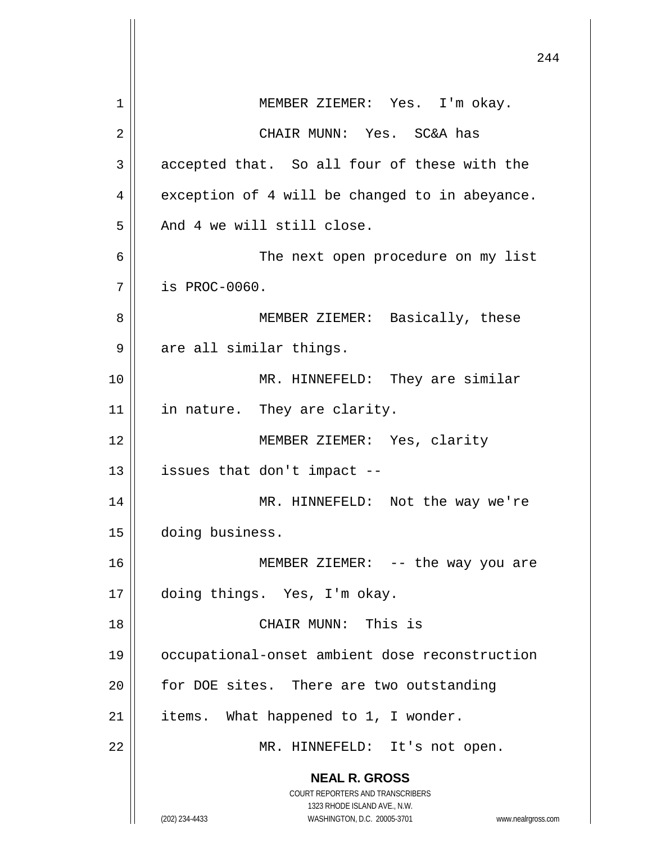|    | 244                                                                                                                                                                    |
|----|------------------------------------------------------------------------------------------------------------------------------------------------------------------------|
| 1  | MEMBER ZIEMER: Yes. I'm okay.                                                                                                                                          |
| 2  | CHAIR MUNN: Yes. SC&A has                                                                                                                                              |
| 3  | accepted that. So all four of these with the                                                                                                                           |
| 4  | exception of 4 will be changed to in abeyance.                                                                                                                         |
| 5  | And 4 we will still close.                                                                                                                                             |
| 6  | The next open procedure on my list                                                                                                                                     |
| 7  | is PROC-0060.                                                                                                                                                          |
| 8  | MEMBER ZIEMER: Basically, these                                                                                                                                        |
| 9  | are all similar things.                                                                                                                                                |
| 10 | MR. HINNEFELD: They are similar                                                                                                                                        |
| 11 | in nature. They are clarity.                                                                                                                                           |
| 12 | MEMBER ZIEMER: Yes, clarity                                                                                                                                            |
| 13 | issues that don't impact --                                                                                                                                            |
| 14 | MR. HINNEFELD: Not the way we're                                                                                                                                       |
| 15 | doing business.                                                                                                                                                        |
| 16 | MEMBER ZIEMER: -- the way you are                                                                                                                                      |
| 17 | doing things. Yes, I'm okay.                                                                                                                                           |
| 18 | CHAIR MUNN: This is                                                                                                                                                    |
| 19 | occupational-onset ambient dose reconstruction                                                                                                                         |
| 20 | for DOE sites. There are two outstanding                                                                                                                               |
| 21 | items. What happened to 1, I wonder.                                                                                                                                   |
| 22 | MR. HINNEFELD: It's not open.                                                                                                                                          |
|    | <b>NEAL R. GROSS</b><br><b>COURT REPORTERS AND TRANSCRIBERS</b><br>1323 RHODE ISLAND AVE., N.W.<br>(202) 234-4433<br>WASHINGTON, D.C. 20005-3701<br>www.nealrgross.com |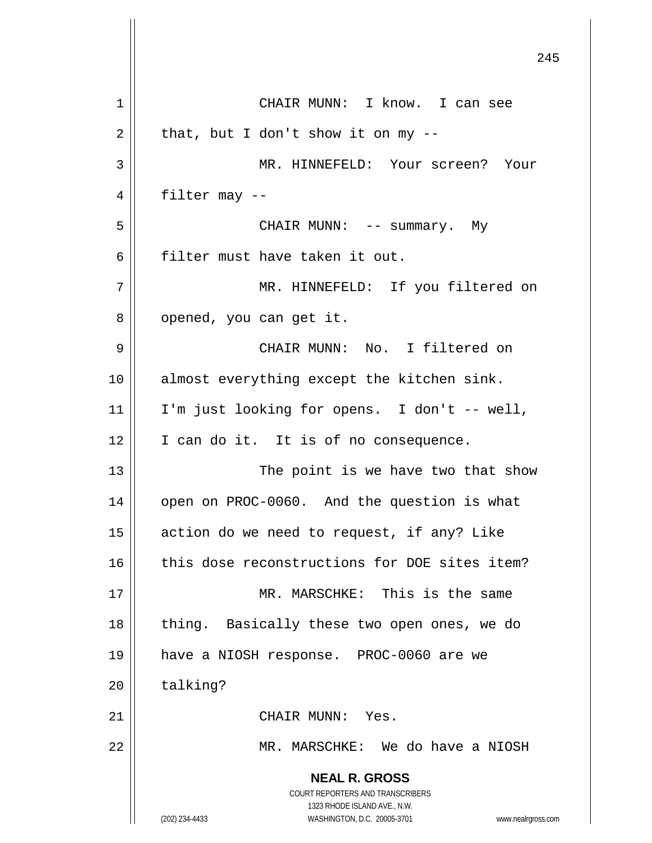**NEAL R. GROSS** COURT REPORTERS AND TRANSCRIBERS 1323 RHODE ISLAND AVE., N.W. (202) 234-4433 WASHINGTON, D.C. 20005-3701 www.nealrgross.com 245 1 CHAIR MUNN: I know. I can see  $2 \parallel$  that, but I don't show it on my --3 MR. HINNEFELD: Your screen? Your  $4 \parallel$  filter may --5 CHAIR MUNN: -- summary. My  $6$  || filter must have taken it out. 7 MR. HINNEFELD: If you filtered on 8 | opened, you can get it. 9 CHAIR MUNN: No. I filtered on 10 || almost everything except the kitchen sink. 11 I'm just looking for opens. I don't -- well,  $12$  | I can do it. It is of no consequence. 13 || The point is we have two that show 14 | open on PROC-0060. And the question is what 15 | action do we need to request, if any? Like 16 this dose reconstructions for DOE sites item? 17 MR. MARSCHKE: This is the same  $18$  || thing. Basically these two open ones, we do 19 have a NIOSH response. PROC-0060 are we  $20$   $\parallel$  talking? 21 CHAIR MUNN: Yes. 22 MR. MARSCHKE: We do have a NIOSH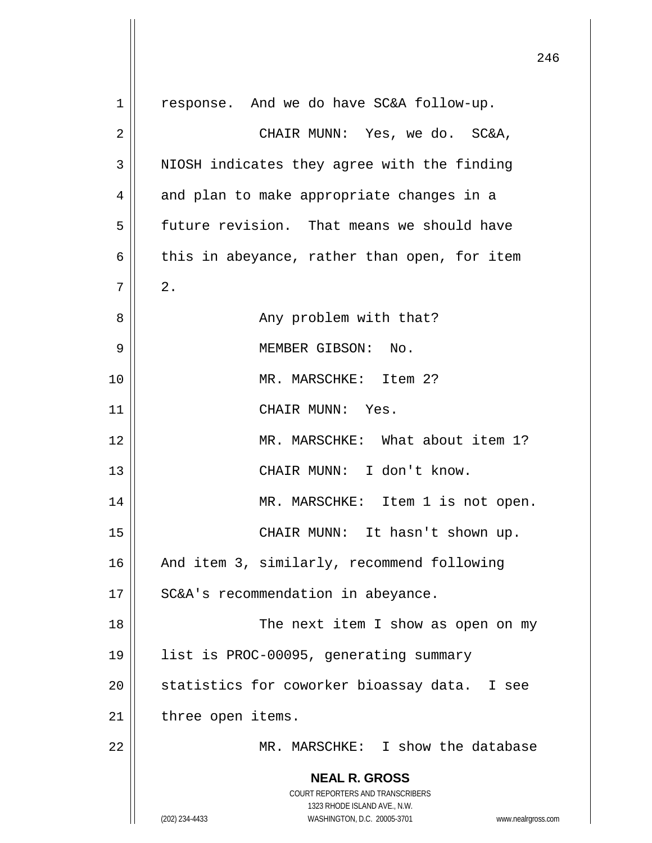**NEAL R. GROSS** COURT REPORTERS AND TRANSCRIBERS 1323 RHODE ISLAND AVE., N.W. (202) 234-4433 WASHINGTON, D.C. 20005-3701 www.nealrgross.com 1 response. And we do have SC&A follow-up. 2 CHAIR MUNN: Yes, we do. SC&A, 3 || NIOSH indicates they agree with the finding 4 || and plan to make appropriate changes in a 5 **future revision.** That means we should have  $6 \parallel$  this in abeyance, rather than open, for item  $7 \parallel 2$ . 8 Any problem with that? 9 MEMBER GIBSON: No. 10 MR. MARSCHKE: Item 2? 11 || CHAIR MUNN: Yes. 12 MR. MARSCHKE: What about item 1? 13 CHAIR MUNN: I don't know. 14 MR. MARSCHKE: Item 1 is not open. 15 || CHAIR MUNN: It hasn't shown up. 16 || And item 3, similarly, recommend following 17 || SC&A's recommendation in abeyance. 18 || The next item I show as open on my 19 list is PROC-00095, generating summary  $20$  | statistics for coworker bioassay data. I see 21 | three open items. 22 MR. MARSCHKE: I show the database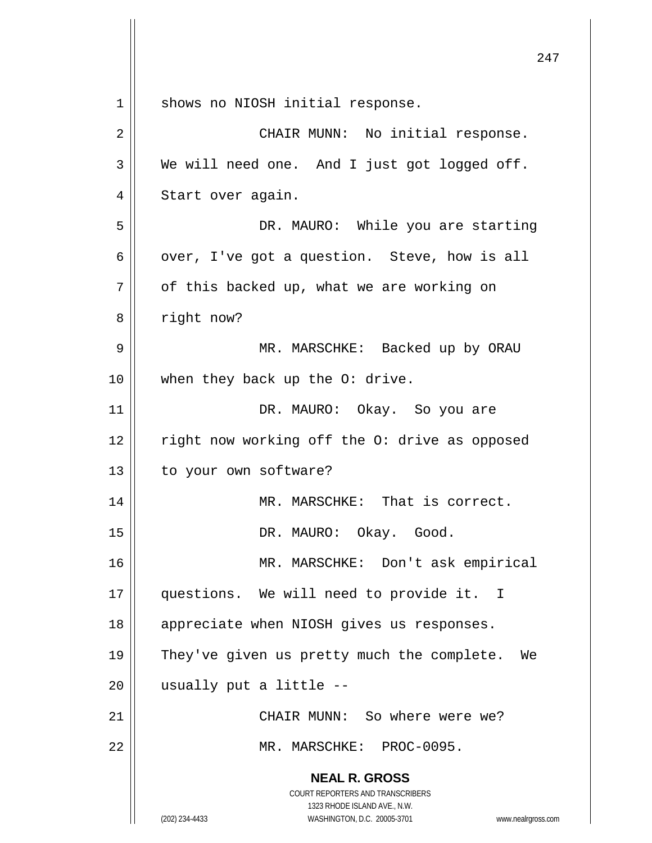**NEAL R. GROSS** COURT REPORTERS AND TRANSCRIBERS 1323 RHODE ISLAND AVE., N.W. (202) 234-4433 WASHINGTON, D.C. 20005-3701 www.nealrgross.com 247 1 || shows no NIOSH initial response. 2 || CHAIR MUNN: No initial response. 3 We will need one. And I just got logged off. 4 | Start over again. 5 DR. MAURO: While you are starting  $6 \parallel$  over, I've got a question. Steve, how is all  $7 \parallel$  of this backed up, what we are working on 8 | right now? 9 MR. MARSCHKE: Backed up by ORAU 10 || when they back up the O: drive. 11 DR. MAURO: Okay. So you are 12 || right now working off the O: drive as opposed 13 || to your own software? 14 || MR. MARSCHKE: That is correct. 15 DR. MAURO: Okay. Good. 16 MR. MARSCHKE: Don't ask empirical 17 questions. We will need to provide it. I 18 || appreciate when NIOSH gives us responses. 19 || They've given us pretty much the complete. We  $20$  | usually put a little  $-$ 21 CHAIR MUNN: So where were we? 22 MR. MARSCHKE: PROC-0095.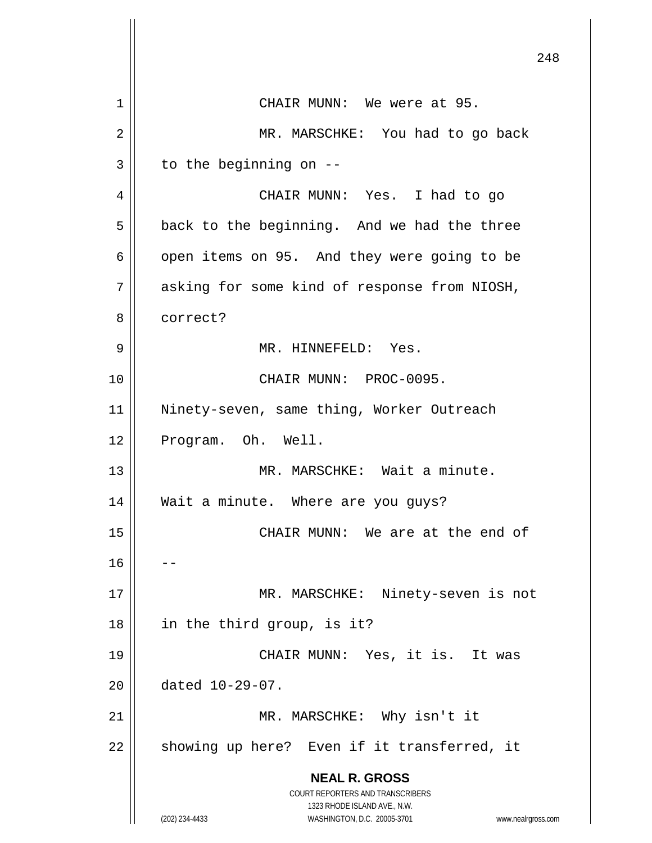**NEAL R. GROSS** COURT REPORTERS AND TRANSCRIBERS 1323 RHODE ISLAND AVE., N.W. (202) 234-4433 WASHINGTON, D.C. 20005-3701 www.nealrgross.com 248 1 CHAIR MUNN: We were at 95. 2 MR. MARSCHKE: You had to go back  $3 \parallel$  to the beginning on --4 CHAIR MUNN: Yes. I had to go  $5 \parallel$  back to the beginning. And we had the three  $6 \parallel$  open items on 95. And they were going to be 7 || asking for some kind of response from NIOSH, 8 | correct? 9 MR. HINNEFELD: Yes. 10 || CHAIR MUNN: PROC-0095. 11 Ninety-seven, same thing, Worker Outreach 12 | Program. Oh. Well. 13 MR. MARSCHKE: Wait a minute. 14 Wait a minute. Where are you guys? 15 || CHAIR MUNN: We are at the end of 16 17 || MR. MARSCHKE: Ninety-seven is not 18 || in the third group, is it? 19 CHAIR MUNN: Yes, it is. It was 20 dated 10-29-07. 21 || MR. MARSCHKE: Why isn't it 22 || showing up here? Even if it transferred, it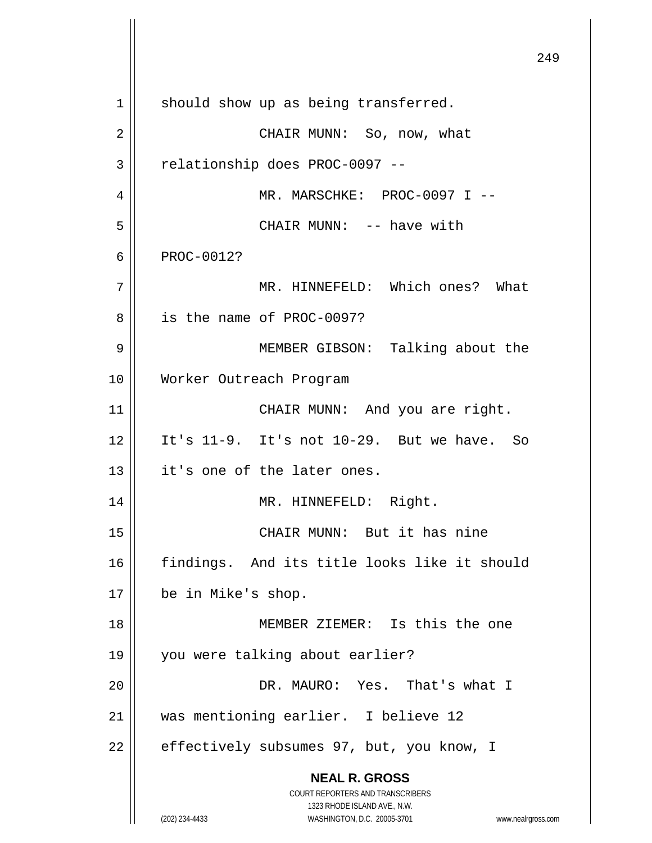**NEAL R. GROSS** COURT REPORTERS AND TRANSCRIBERS 1323 RHODE ISLAND AVE., N.W. (202) 234-4433 WASHINGTON, D.C. 20005-3701 www.nealrgross.com 1 || should show up as being transferred. 2 || CHAIR MUNN: So, now, what 3 || relationship does PROC-0097 --4 || MR. MARSCHKE: PROC-0097 I --5 CHAIR MUNN: -- have with  $6$  | PROC-0012? 7 MR. HINNEFELD: Which ones? What 8 | is the name of PROC-0097? 9 || MEMBER GIBSON: Talking about the 10 Worker Outreach Program 11 CHAIR MUNN: And you are right.  $12$  || It's  $11-9$ . It's not  $10-29$ . But we have. So  $13 \parallel$  it's one of the later ones. 14 || MR. HINNEFELD: Right. 15 CHAIR MUNN: But it has nine 16 || findings. And its title looks like it should 17 be in Mike's shop. 18 MEMBER ZIEMER: Is this the one 19 you were talking about earlier? 20 DR. MAURO: Yes. That's what I 21 was mentioning earlier. I believe 12 22 | effectively subsumes 97, but, you know, I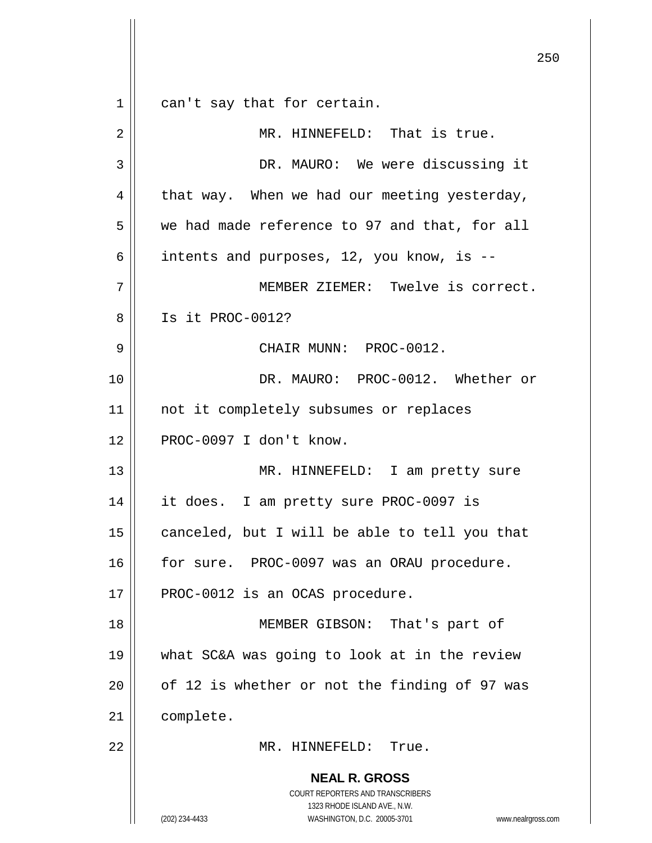**NEAL R. GROSS** COURT REPORTERS AND TRANSCRIBERS 1323 RHODE ISLAND AVE., N.W. (202) 234-4433 WASHINGTON, D.C. 20005-3701 www.nealrgross.com 250 1 can't say that for certain. 2 || MR. HINNEFELD: That is true. 3 DR. MAURO: We were discussing it  $4 \parallel$  that way. When we had our meeting yesterday, 5 we had made reference to 97 and that, for all  $6 \parallel$  intents and purposes, 12, you know, is --7 MEMBER ZIEMER: Twelve is correct. 8 Is it PROC-0012? 9 CHAIR MUNN: PROC-0012. 10 || DR. MAURO: PROC-0012. Whether or 11 not it completely subsumes or replaces  $12$  || PROC-0097 I don't know. 13 MR. HINNEFELD: I am pretty sure 14 it does. I am pretty sure PROC-0097 is 15  $\parallel$  canceled, but I will be able to tell you that 16 || for sure. PROC-0097 was an ORAU procedure.  $17 \parallel$  PROC-0012 is an OCAS procedure. 18 MEMBER GIBSON: That's part of 19 what SC&A was going to look at in the review  $20$  | of 12 is whether or not the finding of 97 was 21 complete. 22 MR. HINNEFELD: True.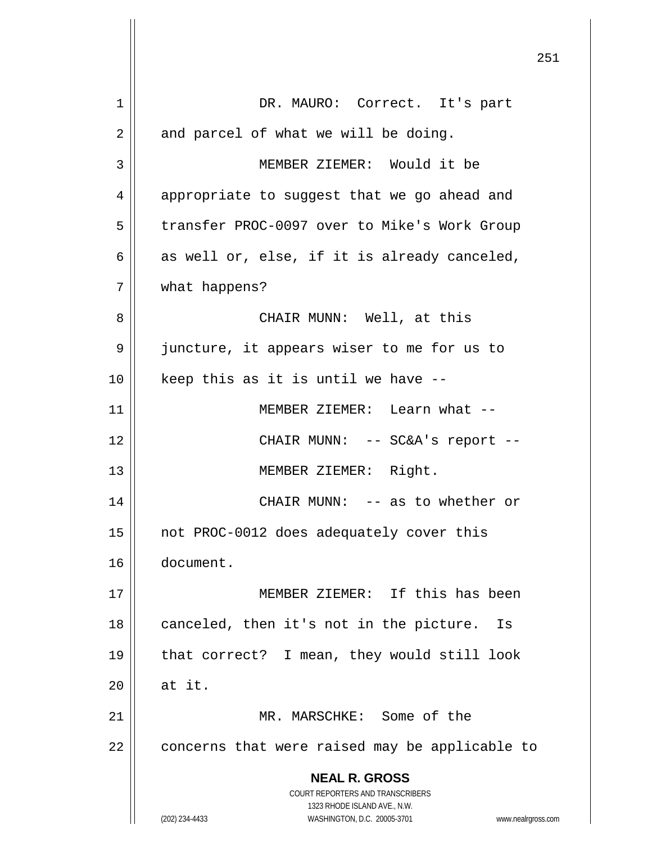**NEAL R. GROSS** COURT REPORTERS AND TRANSCRIBERS 1323 RHODE ISLAND AVE., N.W. (202) 234-4433 WASHINGTON, D.C. 20005-3701 www.nealrgross.com 1 || DR. MAURO: Correct. It's part  $2 \parallel$  and parcel of what we will be doing. 3 MEMBER ZIEMER: Would it be 4 | appropriate to suggest that we go ahead and 5 | transfer PROC-0097 over to Mike's Work Group  $6 \parallel$  as well or, else, if it is already canceled, 7 what happens? 8 CHAIR MUNN: Well, at this 9 || juncture, it appears wiser to me for us to  $10$  | keep this as it is until we have  $-$ -11 || **MEMBER ZIEMER:** Learn what --12 CHAIR MUNN: -- SC&A's report -- 13 || **MEMBER ZIEMER:** Right. 14 || CHAIR MUNN: -- as to whether or 15 not PROC-0012 does adequately cover this 16 document. 17 MEMBER ZIEMER: If this has been 18 || canceled, then it's not in the picture. Is 19 that correct? I mean, they would still look  $20$   $\parallel$  at it. 21 || MR. MARSCHKE: Some of the 22 || concerns that were raised may be applicable to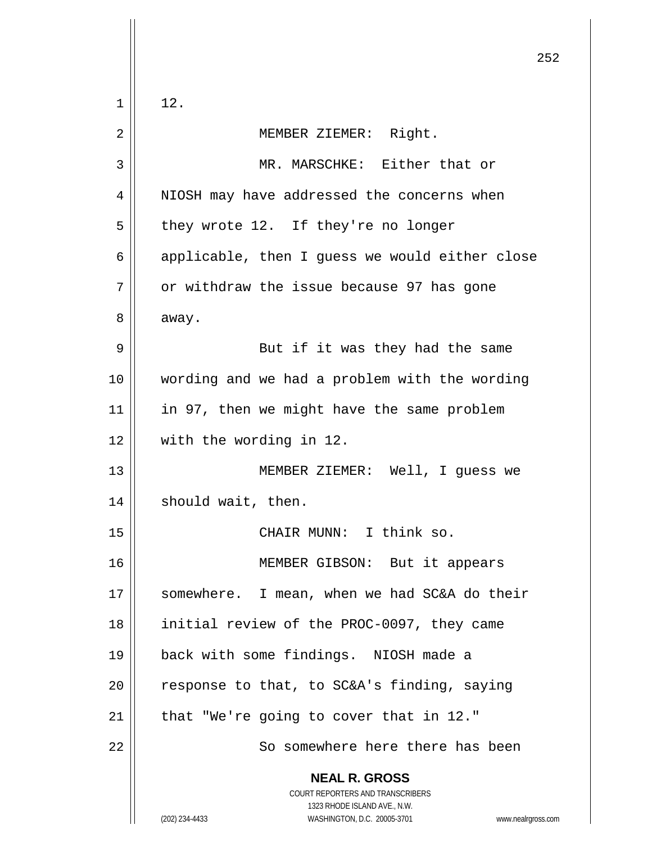**NEAL R. GROSS** COURT REPORTERS AND TRANSCRIBERS 1323 RHODE ISLAND AVE., N.W. (202) 234-4433 WASHINGTON, D.C. 20005-3701 www.nealrgross.com 252  $1 \parallel 12$ . 2 || MEMBER ZIEMER: Right. 3 MR. MARSCHKE: Either that or 4 || NIOSH may have addressed the concerns when  $5$  | they wrote 12. If they're no longer  $6 \parallel$  applicable, then I guess we would either close  $7$  | or withdraw the issue because 97 has gone 8 away. 9 || But if it was they had the same 10 wording and we had a problem with the wording 11 in 97, then we might have the same problem 12 with the wording in 12. 13 MEMBER ZIEMER: Well, I guess we 14 | should wait, then. 15 || CHAIR MUNN: I think so. 16 MEMBER GIBSON: But it appears 17 || somewhere. I mean, when we had SC&A do their 18 initial review of the PROC-0097, they came 19 back with some findings. NIOSH made a 20  $\parallel$  response to that, to SC&A's finding, saying  $21$  | that "We're going to cover that in 12." 22 So somewhere here there has been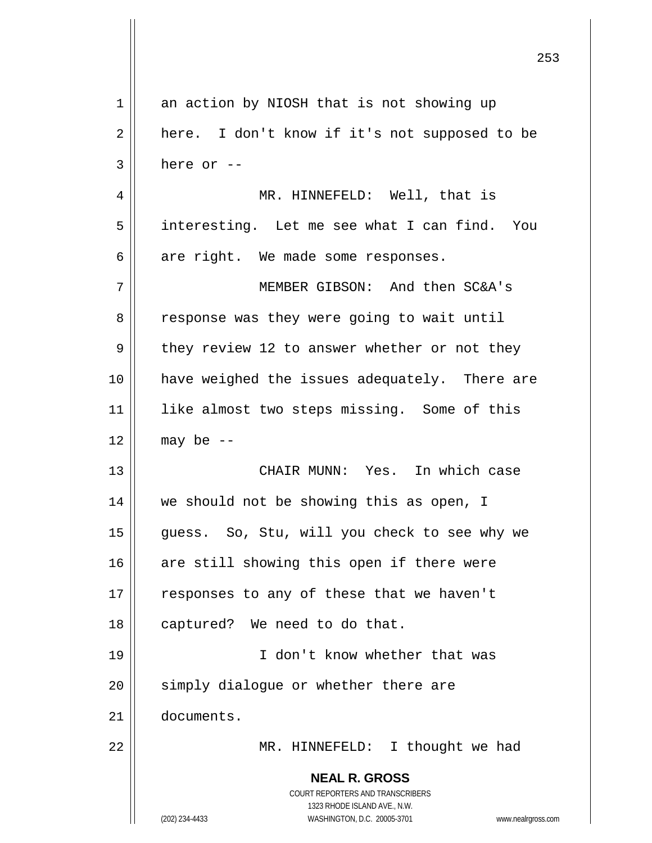|             | 253                                                                     |
|-------------|-------------------------------------------------------------------------|
| $\mathbf 1$ | an action by NIOSH that is not showing up                               |
| 2           | here. I don't know if it's not supposed to be                           |
| 3           | here or --                                                              |
| 4           | MR. HINNEFELD: Well, that is                                            |
| 5           | interesting. Let me see what I can find. You                            |
| 6           | are right. We made some responses.                                      |
| 7           | MEMBER GIBSON: And then SC&A's                                          |
| 8           | response was they were going to wait until                              |
| 9           | they review 12 to answer whether or not they                            |
| 10          | have weighed the issues adequately. There are                           |
| 11          | like almost two steps missing. Some of this                             |
| 12          | may be $--$                                                             |
| 13          | CHAIR MUNN: Yes. In which case                                          |
| 14          | we should not be showing this as open, I                                |
| 15          | quess. So, Stu, will you check to see why we                            |
| 16          | are still showing this open if there were                               |
| 17          | responses to any of these that we haven't                               |
| 18          | captured? We need to do that.                                           |
| 19          | I don't know whether that was                                           |
| 20          | simply dialogue or whether there are                                    |
| 21          | documents.                                                              |
| 22          | MR. HINNEFELD: I thought we had                                         |
|             | <b>NEAL R. GROSS</b>                                                    |
|             | <b>COURT REPORTERS AND TRANSCRIBERS</b><br>1323 RHODE ISLAND AVE., N.W. |
|             | WASHINGTON, D.C. 20005-3701<br>(202) 234-4433<br>www.nealrgross.com     |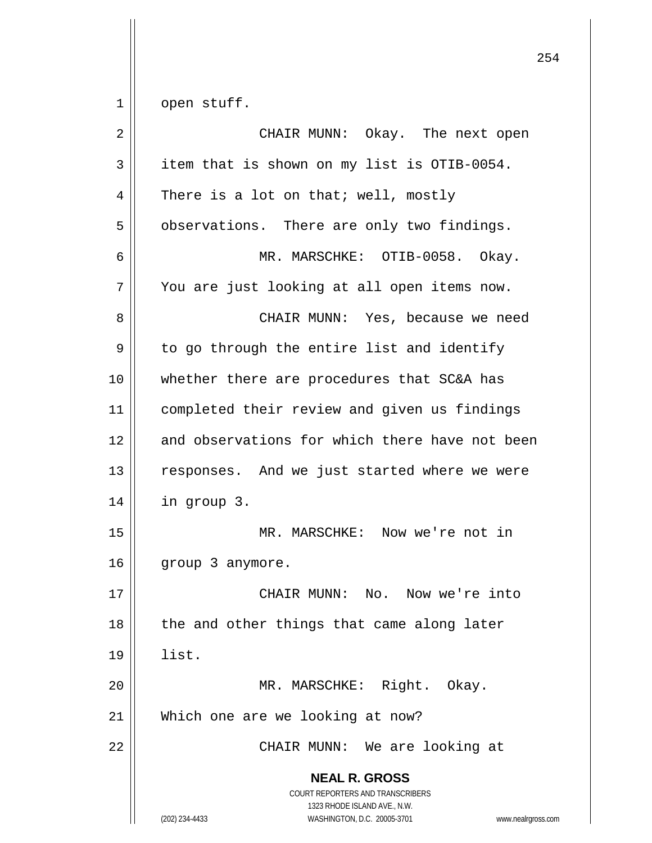$1 \parallel$  open stuff.

| $\overline{2}$ | CHAIR MUNN: Okay. The next open                                                                                                                                        |
|----------------|------------------------------------------------------------------------------------------------------------------------------------------------------------------------|
| 3              | item that is shown on my list is OTIB-0054.                                                                                                                            |
| 4              | There is a lot on that; well, mostly                                                                                                                                   |
| 5              | observations. There are only two findings.                                                                                                                             |
| 6              | MR. MARSCHKE: OTIB-0058. Okay.                                                                                                                                         |
| 7              | You are just looking at all open items now.                                                                                                                            |
| 8              | CHAIR MUNN: Yes, because we need                                                                                                                                       |
| 9              | to go through the entire list and identify                                                                                                                             |
| 10             | whether there are procedures that SC&A has                                                                                                                             |
| 11             | completed their review and given us findings                                                                                                                           |
| 12             | and observations for which there have not been                                                                                                                         |
| 13             | responses. And we just started where we were                                                                                                                           |
| 14             | in group 3.                                                                                                                                                            |
| 15             | MR. MARSCHKE: Now we're not in                                                                                                                                         |
| 16             | group 3 anymore.                                                                                                                                                       |
| 17             | CHAIR MUNN: No. Now we're into                                                                                                                                         |
| 18             | the and other things that came along later                                                                                                                             |
| 19             | list.                                                                                                                                                                  |
| 20             | MR. MARSCHKE: Right. Okay.                                                                                                                                             |
| 21             | Which one are we looking at now?                                                                                                                                       |
| 22             | CHAIR MUNN: We are looking at                                                                                                                                          |
|                | <b>NEAL R. GROSS</b><br><b>COURT REPORTERS AND TRANSCRIBERS</b><br>1323 RHODE ISLAND AVE., N.W.<br>(202) 234-4433<br>WASHINGTON, D.C. 20005-3701<br>www.nealrgross.com |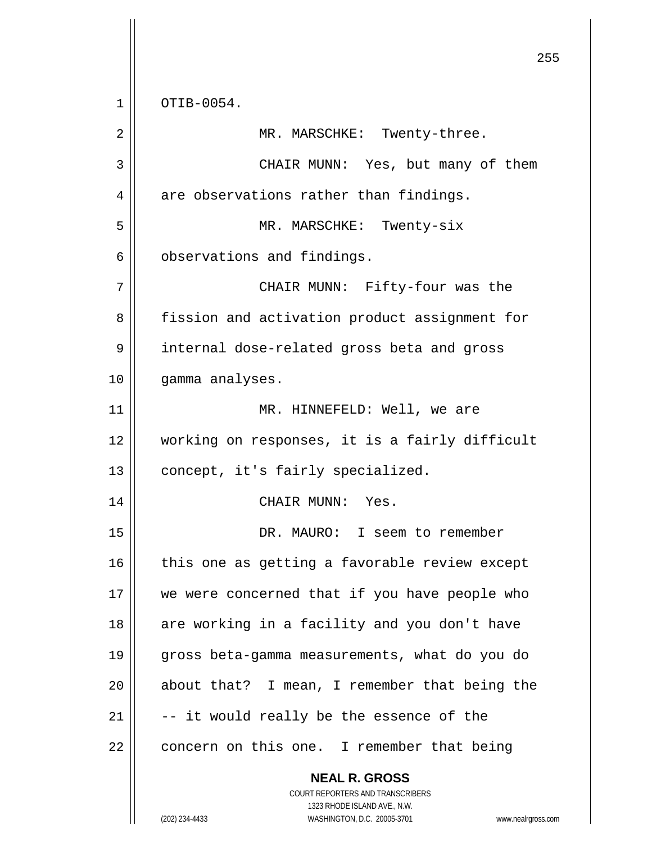**NEAL R. GROSS** COURT REPORTERS AND TRANSCRIBERS 1323 RHODE ISLAND AVE., N.W. (202) 234-4433 WASHINGTON, D.C. 20005-3701 www.nealrgross.com 255  $1 \parallel$  OTIB-0054. 2 || MR. MARSCHKE: Twenty-three. 3 CHAIR MUNN: Yes, but many of them  $4 \parallel$  are observations rather than findings. 5 MR. MARSCHKE: Twenty-six  $6 \parallel$  observations and findings. 7 CHAIR MUNN: Fifty-four was the 8 | fission and activation product assignment for 9 | internal dose-related gross beta and gross 10 || gamma analyses. 11 MR. HINNEFELD: Well, we are 12 working on responses, it is a fairly difficult 13 || concept, it's fairly specialized. 14 || CHAIR MUNN: Yes. 15 DR. MAURO: I seem to remember  $16$  | this one as getting a favorable review except 17 || we were concerned that if you have people who 18 || are working in a facility and you don't have 19 gross beta-gamma measurements, what do you do 20  $\parallel$  about that? I mean, I remember that being the  $21$   $\vert$  -- it would really be the essence of the 22 | concern on this one. I remember that being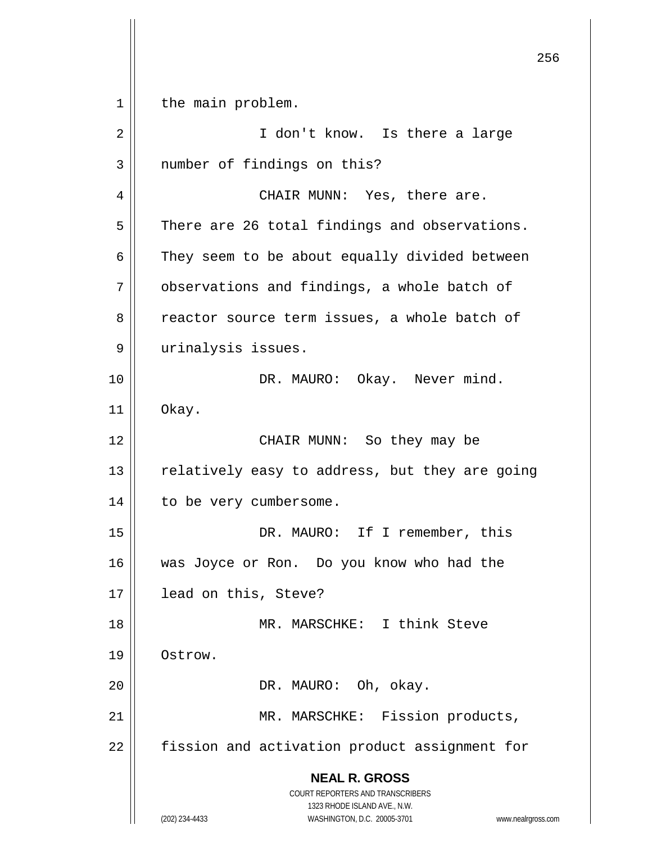**NEAL R. GROSS** COURT REPORTERS AND TRANSCRIBERS 1323 RHODE ISLAND AVE., N.W. (202) 234-4433 WASHINGTON, D.C. 20005-3701 www.nealrgross.com 256 1 || the main problem. 2 || I don't know. Is there a large 3 || number of findings on this? 4 CHAIR MUNN: Yes, there are.  $5$  There are 26 total findings and observations. 6 | They seem to be about equally divided between 7 | observations and findings, a whole batch of 8 | reactor source term issues, a whole batch of 9 | urinalysis issues. 10 DR. MAURO: Okay. Never mind. 11 Okay. 12 || CHAIR MUNN: So they may be 13 || relatively easy to address, but they are going 14 | to be very cumbersome. 15 DR. MAURO: If I remember, this 16 was Joyce or Ron. Do you know who had the 17 lead on this, Steve? 18 || MR. MARSCHKE: I think Steve 19 Ostrow. 20 || DR. MAURO: Oh, okay. 21 || MR. MARSCHKE: Fission products, 22 | fission and activation product assignment for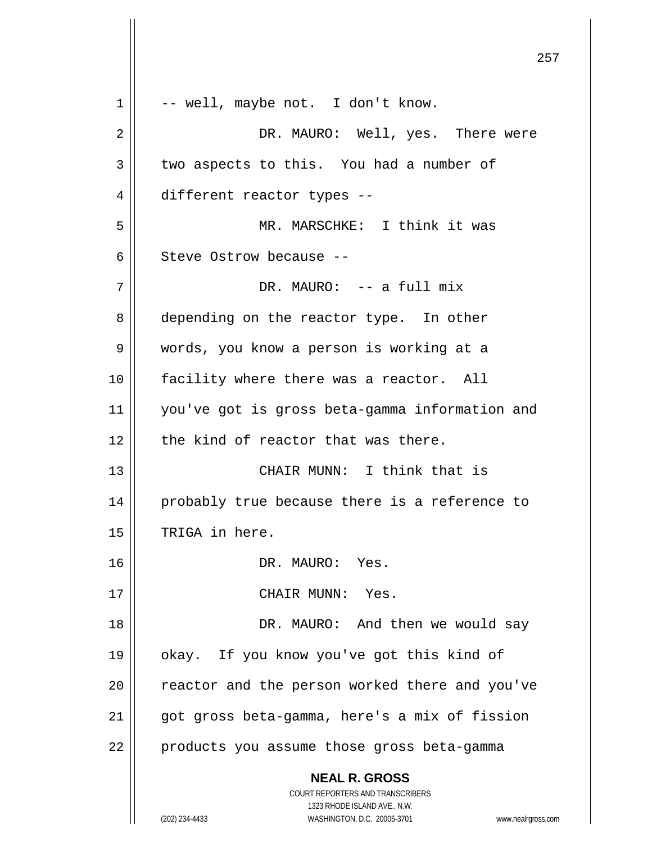**NEAL R. GROSS** COURT REPORTERS AND TRANSCRIBERS 1323 RHODE ISLAND AVE., N.W. (202) 234-4433 WASHINGTON, D.C. 20005-3701 www.nealrgross.com  $1 \parallel$  -- well, maybe not. I don't know. 2 DR. MAURO: Well, yes. There were  $3 \parallel$  two aspects to this. You had a number of 4 different reactor types --5 MR. MARSCHKE: I think it was  $6 \parallel$  Steve Ostrow because -- $7 \parallel$  DR. MAURO: -- a full mix 8 | depending on the reactor type. In other 9 words, you know a person is working at a 10 || facility where there was a reactor. All 11 you've got is gross beta-gamma information and  $12$  | the kind of reactor that was there. 13 || CHAIR MUNN: I think that is 14 probably true because there is a reference to 15 | TRIGA in here. 16 DR. MAURO: Yes. 17 CHAIR MUNN: Yes. 18 DR. MAURO: And then we would say 19 okay. If you know you've got this kind of 20 || reactor and the person worked there and you've 21 || got gross beta-gamma, here's a mix of fission 22 | products you assume those gross beta-gamma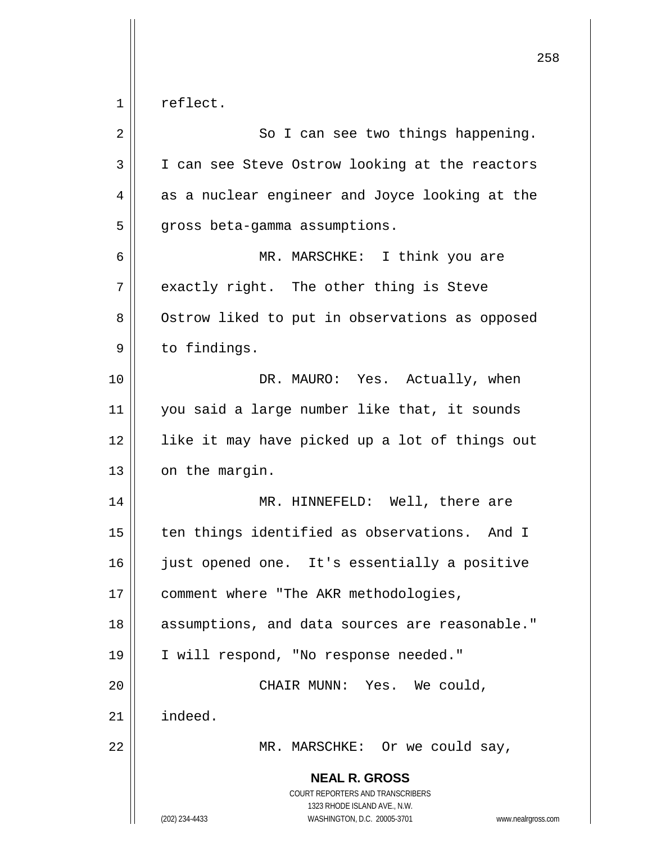**NEAL R. GROSS** COURT REPORTERS AND TRANSCRIBERS 1323 RHODE ISLAND AVE., N.W. (202) 234-4433 WASHINGTON, D.C. 20005-3701 www.nealrgross.com 1 || reflect. 2 || So I can see two things happening. 3 | I can see Steve Ostrow looking at the reactors  $4 \parallel$  as a nuclear engineer and Joyce looking at the 5 | gross beta-gamma assumptions. 6 MR. MARSCHKE: I think you are  $7$  | exactly right. The other thing is Steve 8 | Ostrow liked to put in observations as opposed  $9 \parallel$  to findings. 10 DR. MAURO: Yes. Actually, when 11 you said a large number like that, it sounds 12 || like it may have picked up a lot of things out  $13 \parallel$  on the margin. 14 MR. HINNEFELD: Well, there are 15 | ten things identified as observations. And I 16 || just opened one. It's essentially a positive 17 | comment where "The AKR methodologies, 18 || assumptions, and data sources are reasonable." 19 I will respond, "No response needed." 20 CHAIR MUNN: Yes. We could, 21 indeed. 22 MR. MARSCHKE: Or we could say,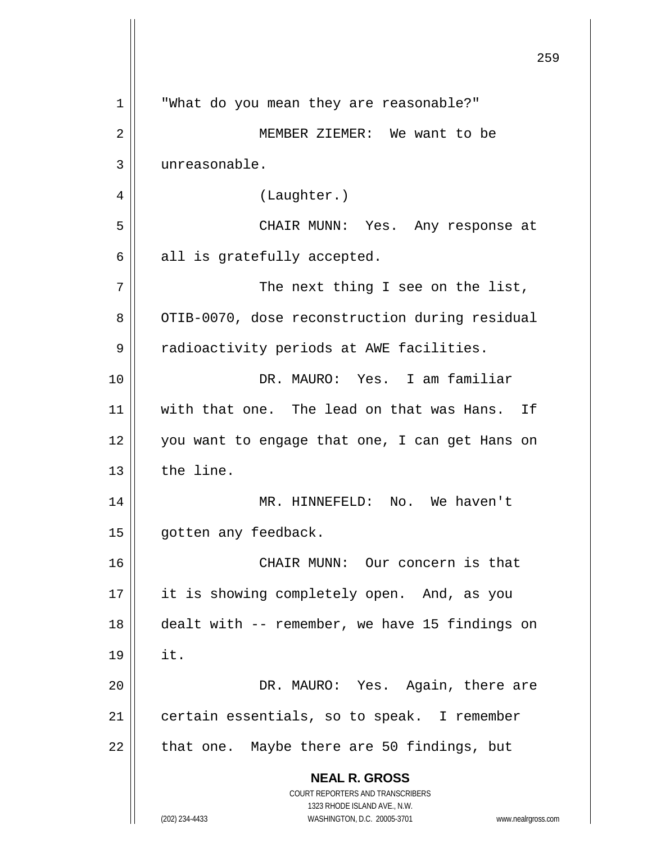**NEAL R. GROSS** COURT REPORTERS AND TRANSCRIBERS 1323 RHODE ISLAND AVE., N.W. (202) 234-4433 WASHINGTON, D.C. 20005-3701 www.nealrgross.com 259 1 "What do you mean they are reasonable?" 2 | MEMBER ZIEMER: We want to be 3 unreasonable. 4 | (Laughter.) 5 CHAIR MUNN: Yes. Any response at  $6 \parallel$  all is gratefully accepted. 7 || The next thing I see on the list, 8 | OTIB-0070, dose reconstruction during residual 9 | radioactivity periods at AWE facilities. 10 DR. MAURO: Yes. I am familiar 11 with that one. The lead on that was Hans. If 12 you want to engage that one, I can get Hans on  $13$  | the line. 14 || MR. HINNEFELD: No. We haven't 15 | gotten any feedback. 16 CHAIR MUNN: Our concern is that 17 it is showing completely open. And, as you 18 || dealt with -- remember, we have 15 findings on  $19 \parallel \text{it.}$ 20 DR. MAURO: Yes. Again, there are 21 | certain essentials, so to speak. I remember  $22$  || that one. Maybe there are 50 findings, but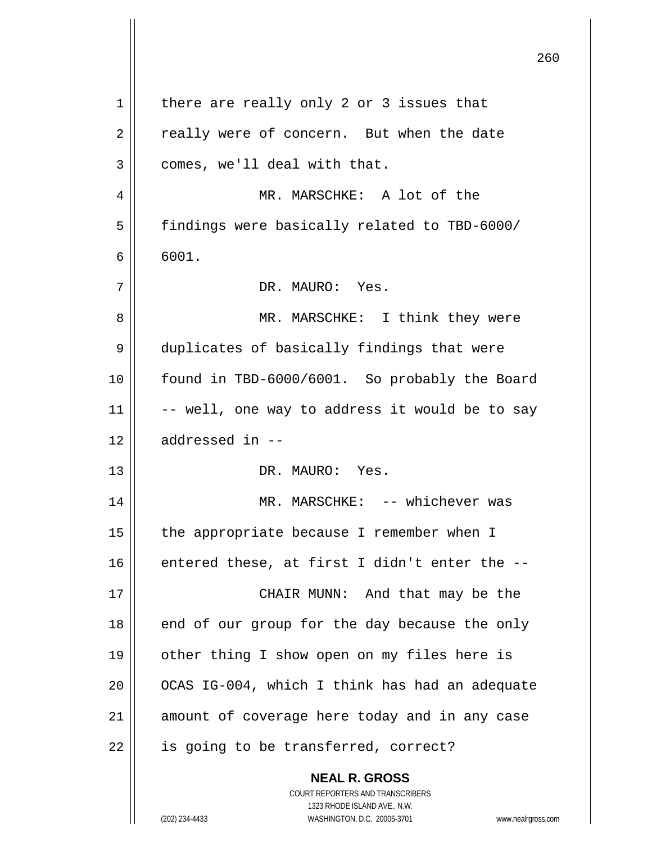**NEAL R. GROSS** COURT REPORTERS AND TRANSCRIBERS 1323 RHODE ISLAND AVE., N.W. (202) 234-4433 WASHINGTON, D.C. 20005-3701 www.nealrgross.com 260 1 || there are really only 2 or 3 issues that  $2 \parallel$  really were of concern. But when the date  $3 \parallel$  comes, we'll deal with that. 4 MR. MARSCHKE: A lot of the 5 | findings were basically related to TBD-6000/  $6 \parallel 6001.$ 7 DR. MAURO: Yes. 8 || MR. MARSCHKE: I think they were 9 duplicates of basically findings that were 10 found in TBD-6000/6001. So probably the Board  $11$   $\vert$  -- well, one way to address it would be to say 12 addressed in -- 13 DR. MAURO: Yes. 14 || MR. MARSCHKE: -- whichever was 15 | the appropriate because I remember when I  $16$  entered these, at first I didn't enter the  $-$ -17 CHAIR MUNN: And that may be the  $18$  | end of our group for the day because the only 19 other thing I show open on my files here is  $20$  |  $OCAS$  IG-004, which I think has had an adequate 21 || amount of coverage here today and in any case  $22$  || is going to be transferred, correct?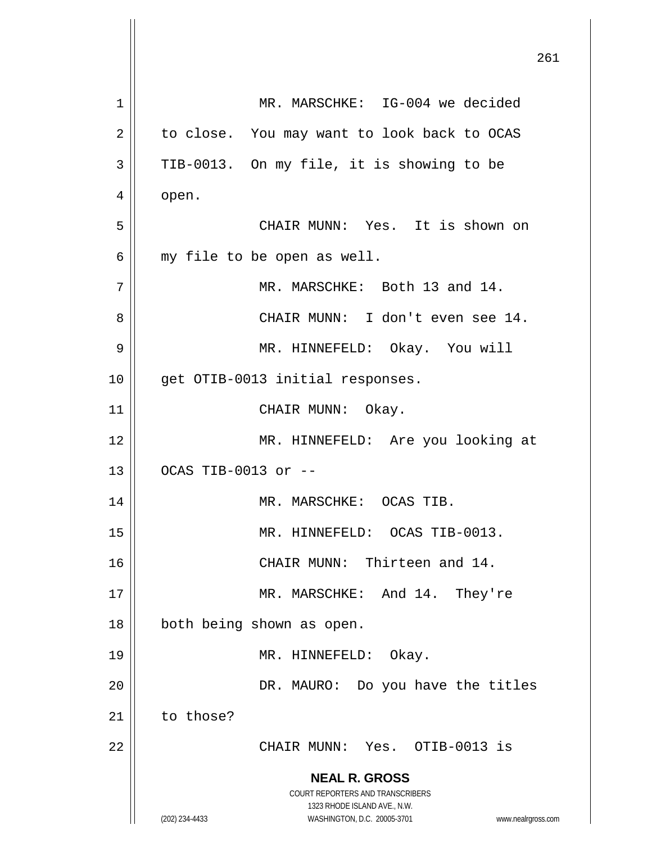|    | 261                                                                 |
|----|---------------------------------------------------------------------|
| 1  | MR. MARSCHKE: IG-004 we decided                                     |
| 2  | to close. You may want to look back to OCAS                         |
| 3  | TIB-0013. On my file, it is showing to be                           |
| 4  | open.                                                               |
| 5  | CHAIR MUNN: Yes. It is shown on                                     |
| 6  | my file to be open as well.                                         |
| 7  | MR. MARSCHKE: Both 13 and 14.                                       |
| 8  | CHAIR MUNN: I don't even see 14.                                    |
| 9  | MR. HINNEFELD: Okay. You will                                       |
| 10 | get OTIB-0013 initial responses.                                    |
| 11 | CHAIR MUNN: Okay.                                                   |
| 12 | MR. HINNEFELD: Are you looking at                                   |
| 13 | OCAS TIB-0013 or --                                                 |
| 14 | MR. MARSCHKE: OCAS TIB.                                             |
| 15 | MR. HINNEFELD: OCAS TIB-0013.                                       |
| 16 | CHAIR MUNN: Thirteen and 14.                                        |
| 17 | MR. MARSCHKE: And 14. They're                                       |
| 18 | both being shown as open.                                           |
| 19 | MR. HINNEFELD: Okay.                                                |
| 20 | DR. MAURO: Do you have the titles                                   |
| 21 | to those?                                                           |
| 22 | CHAIR MUNN: Yes. OTIB-0013 is                                       |
|    | <b>NEAL R. GROSS</b>                                                |
|    | COURT REPORTERS AND TRANSCRIBERS<br>1323 RHODE ISLAND AVE., N.W.    |
|    | (202) 234-4433<br>WASHINGTON, D.C. 20005-3701<br>www.nealrgross.com |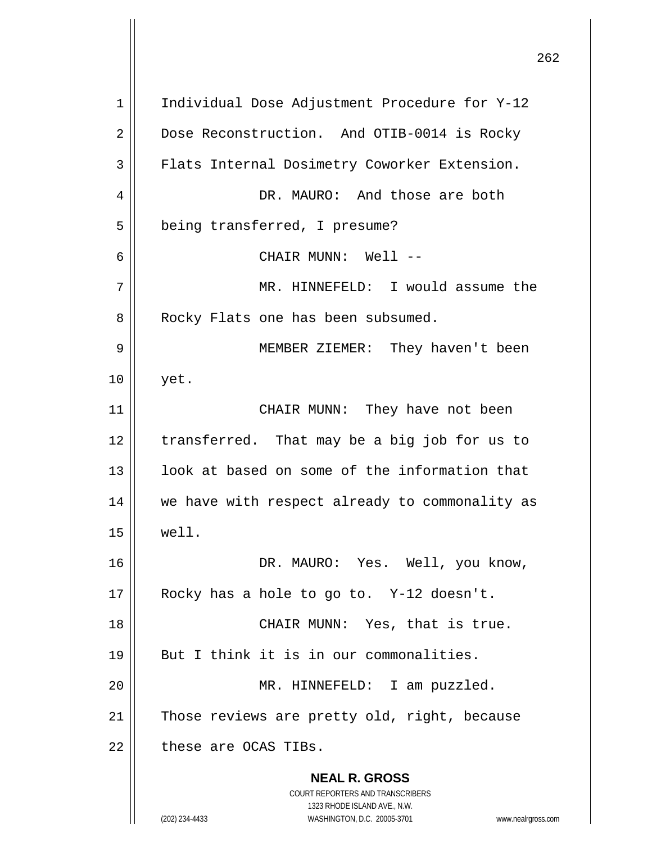**NEAL R. GROSS** COURT REPORTERS AND TRANSCRIBERS 1323 RHODE ISLAND AVE., N.W. (202) 234-4433 WASHINGTON, D.C. 20005-3701 www.nealrgross.com 262 1 Individual Dose Adjustment Procedure for Y-12 2 | Dose Reconstruction. And OTIB-0014 is Rocky 3 | Flats Internal Dosimetry Coworker Extension. 4 DR. MAURO: And those are both 5 | being transferred, I presume? 6 CHAIR MUNN: Well -- 7 MR. HINNEFELD: I would assume the 8 | Rocky Flats one has been subsumed. 9 MEMBER ZIEMER: They haven't been 10 yet. 11 CHAIR MUNN: They have not been  $12$  | transferred. That may be a big job for us to 13 || look at based on some of the information that 14 we have with respect already to commonality as  $15$   $\parallel$  well. 16 DR. MAURO: Yes. Well, you know, 17 Rocky has a hole to go to. Y-12 doesn't. 18 || CHAIR MUNN: Yes, that is true. 19 But I think it is in our commonalities. 20 MR. HINNEFELD: I am puzzled. 21 Those reviews are pretty old, right, because  $22$   $\parallel$  these are OCAS TIBs.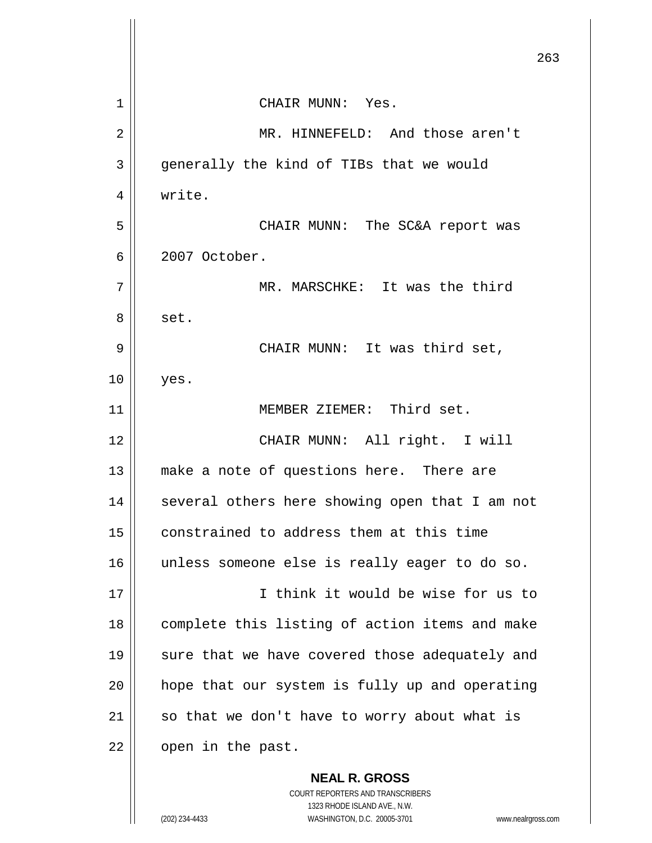|    | 263                                                      |
|----|----------------------------------------------------------|
| 1  | CHAIR MUNN: Yes.                                         |
| 2  | MR. HINNEFELD: And those aren't                          |
| 3  | generally the kind of TIBs that we would                 |
| 4  | write.                                                   |
| 5  | CHAIR MUNN: The SC&A report was                          |
| 6  | 2007 October.                                            |
| 7  | MR. MARSCHKE: It was the third                           |
| 8  | set.                                                     |
| 9  | CHAIR MUNN: It was third set,                            |
| 10 | yes.                                                     |
| 11 | MEMBER ZIEMER: Third set.                                |
| 12 | CHAIR MUNN: All right. I will                            |
| 13 | make a note of questions here. There are                 |
| 14 | several others here showing open that I am not           |
| 15 | constrained to address them at this time                 |
| 16 | unless someone else is really eager to do so.            |
| 17 | I think it would be wise for us to                       |
| 18 | complete this listing of action items and make           |
| 19 | sure that we have covered those adequately and           |
| 20 | hope that our system is fully up and operating           |
| 21 | so that we don't have to worry about what is             |
| 22 | open in the past.                                        |
|    | <b>NEAL R. GROSS</b><br>COURT REPORTERS AND TRANSCRIBERS |

1323 RHODE ISLAND AVE., N.W.

 $\prod$ 

(202) 234-4433 WASHINGTON, D.C. 20005-3701 www.nealrgross.com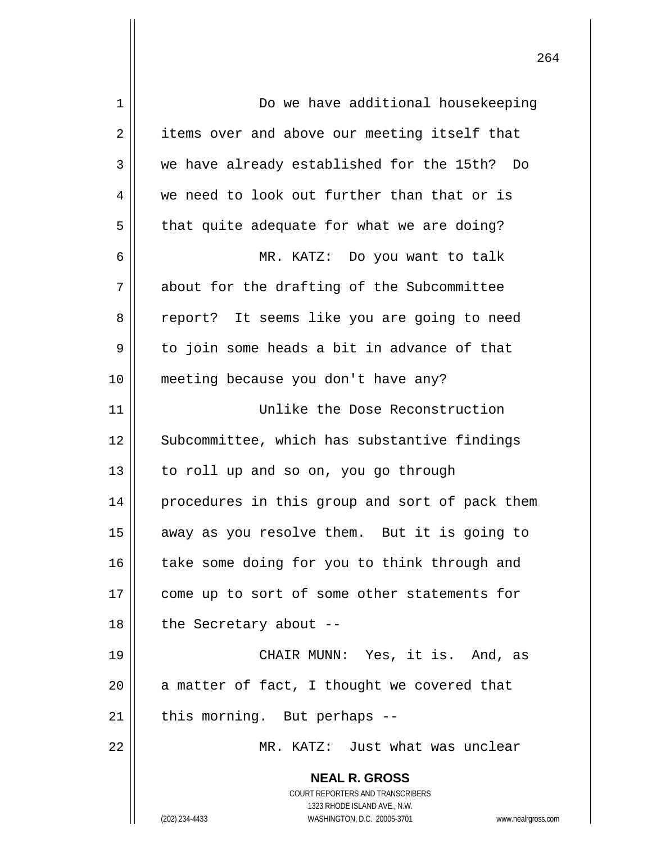**NEAL R. GROSS** COURT REPORTERS AND TRANSCRIBERS 1323 RHODE ISLAND AVE., N.W. 1 Do we have additional housekeeping 2 | items over and above our meeting itself that 3 we have already established for the 15th? Do 4 we need to look out further than that or is  $5$  that quite adequate for what we are doing? 6 MR. KATZ: Do you want to talk 7 about for the drafting of the Subcommittee 8 || report? It seems like you are going to need  $9 \parallel$  to join some heads a bit in advance of that 10 meeting because you don't have any? 11 Unlike the Dose Reconstruction 12 Subcommittee, which has substantive findings 13 | to roll up and so on, you go through 14 || procedures in this group and sort of pack them 15 || away as you resolve them. But it is going to 16 || take some doing for you to think through and 17 || come up to sort of some other statements for  $18$  || the Secretary about --19 CHAIR MUNN: Yes, it is. And, as  $20$  || a matter of fact, I thought we covered that  $21$  || this morning. But perhaps  $-$ 22 MR. KATZ: Just what was unclear

(202) 234-4433 WASHINGTON, D.C. 20005-3701 www.nealrgross.com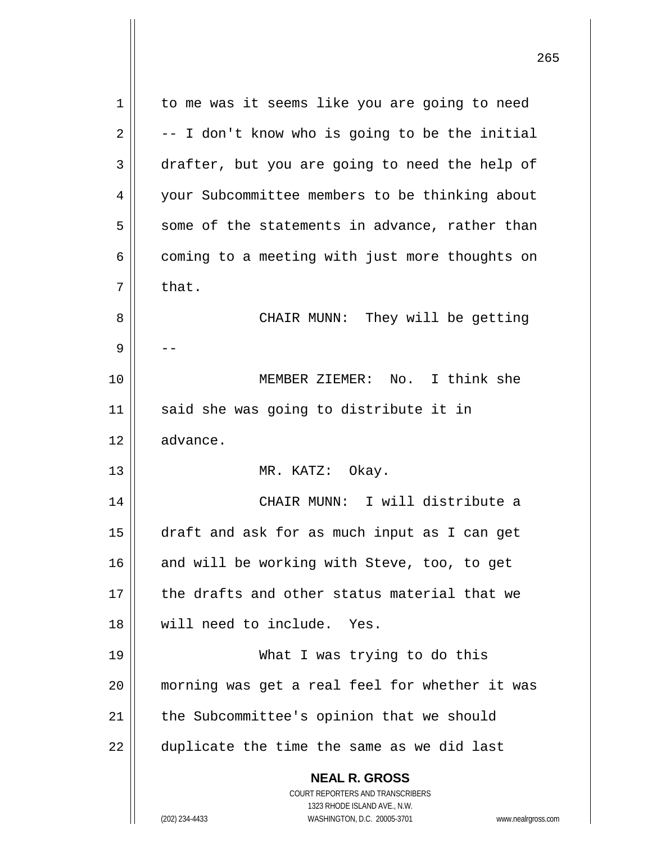**NEAL R. GROSS** COURT REPORTERS AND TRANSCRIBERS 1323 RHODE ISLAND AVE., N.W. 1 || to me was it seems like you are going to need  $2 \parallel -1$  don't know who is going to be the initial 3 drafter, but you are going to need the help of 4 | your Subcommittee members to be thinking about  $5 \parallel$  some of the statements in advance, rather than  $6 \parallel$  coming to a meeting with just more thoughts on  $7 \parallel$  that. 8 CHAIR MUNN: They will be getting 9 | --10 MEMBER ZIEMER: No. I think she 11 || said she was going to distribute it in 12 | advance. 13 || MR. KATZ: Okay. 14 CHAIR MUNN: I will distribute a 15 draft and ask for as much input as I can get 16 and will be working with Steve, too, to get 17 the drafts and other status material that we 18 will need to include. Yes. 19 What I was trying to do this 20 morning was get a real feel for whether it was 21 | the Subcommittee's opinion that we should  $22$  || duplicate the time the same as we did last

(202) 234-4433 WASHINGTON, D.C. 20005-3701 www.nealrgross.com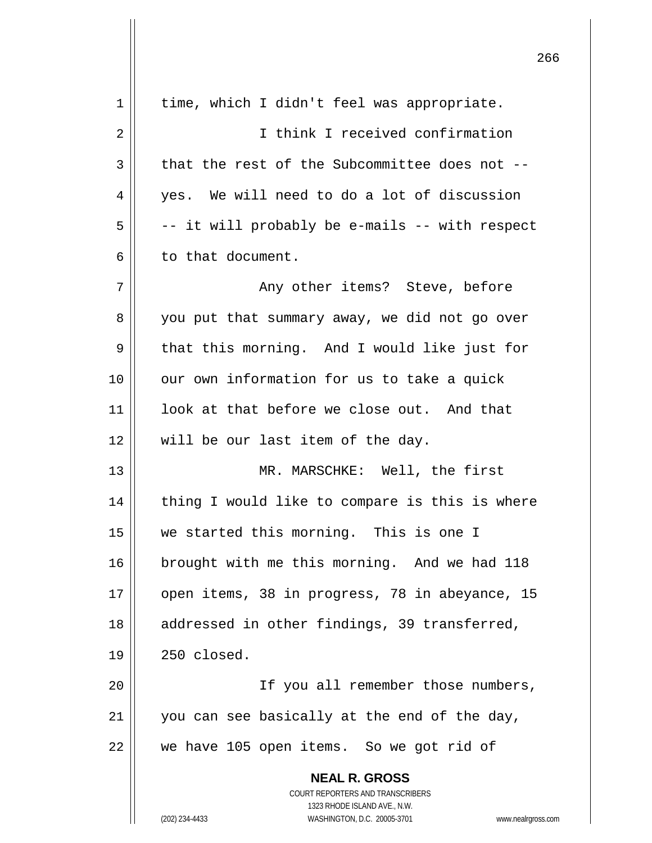|    | 266                                                                 |
|----|---------------------------------------------------------------------|
| 1  | time, which I didn't feel was appropriate.                          |
| 2  | I think I received confirmation                                     |
| 3  | that the rest of the Subcommittee does not --                       |
| 4  | yes. We will need to do a lot of discussion                         |
| 5  | -- it will probably be e-mails -- with respect                      |
| 6  | to that document.                                                   |
| 7  | Any other items? Steve, before                                      |
| 8  | you put that summary away, we did not go over                       |
| 9  | that this morning. And I would like just for                        |
| 10 | our own information for us to take a quick                          |
| 11 | look at that before we close out. And that                          |
| 12 | will be our last item of the day.                                   |
| 13 | MR. MARSCHKE: Well, the first                                       |
| 14 | thing I would like to compare is this is where                      |
| 15 | we started this morning. This is one I                              |
| 16 | brought with me this morning. And we had 118                        |
| 17 | open items, 38 in progress, 78 in abeyance, 15                      |
| 18 | addressed in other findings, 39 transferred,                        |
| 19 | 250 closed.                                                         |
| 20 | If you all remember those numbers,                                  |
| 21 | you can see basically at the end of the day,                        |
| 22 | we have 105 open items. So we got rid of                            |
|    | <b>NEAL R. GROSS</b>                                                |
|    | COURT REPORTERS AND TRANSCRIBERS<br>1323 RHODE ISLAND AVE., N.W.    |
|    | (202) 234-4433<br>WASHINGTON, D.C. 20005-3701<br>www.nealrgross.com |

 $\mathsf{l}\mathsf{l}$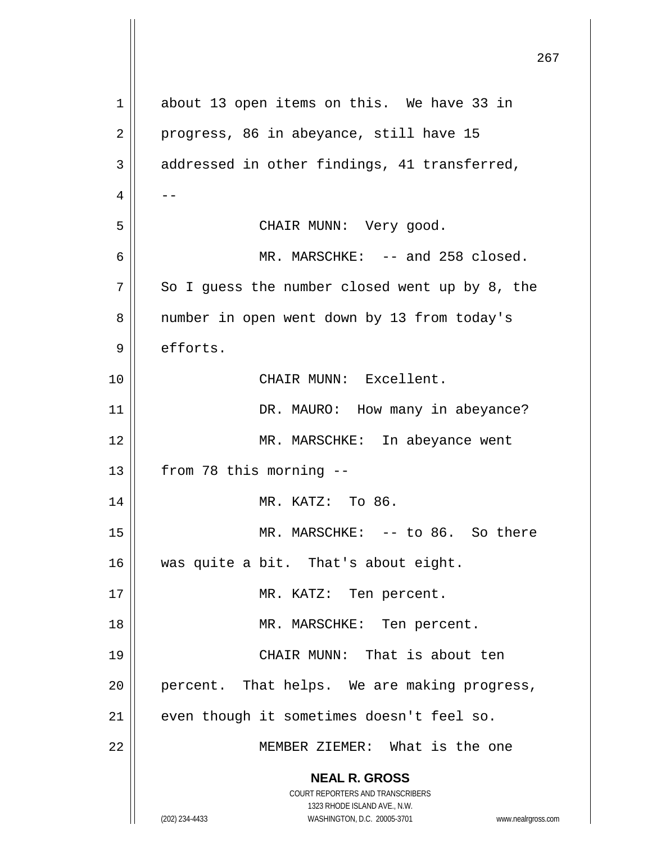**NEAL R. GROSS** COURT REPORTERS AND TRANSCRIBERS 1323 RHODE ISLAND AVE., N.W. (202) 234-4433 WASHINGTON, D.C. 20005-3701 www.nealrgross.com 1 || about 13 open items on this. We have 33 in 2 | progress, 86 in abeyance, still have 15 3 || addressed in other findings, 41 transferred, 4  $\| -$ 5 CHAIR MUNN: Very good.  $6 \parallel$  MR. MARSCHKE:  $--$  and 258 closed.  $7 \parallel$  So I guess the number closed went up by 8, the 8 | number in open went down by 13 from today's 9 | efforts. 10 CHAIR MUNN: Excellent. 11 DR. MAURO: How many in abeyance? 12 || MR. MARSCHKE: In abeyance went  $13 \parallel$  from 78 this morning  $-$ 14 || MR. KATZ: To 86. 15 MR. MARSCHKE: -- to 86. So there 16 was quite a bit. That's about eight. 17 || MR. KATZ: Ten percent. 18 || MR. MARSCHKE: Ten percent. 19 CHAIR MUNN: That is about ten 20 || percent. That helps. We are making progress, 21 || even though it sometimes doesn't feel so. 22 MEMBER ZIEMER: What is the one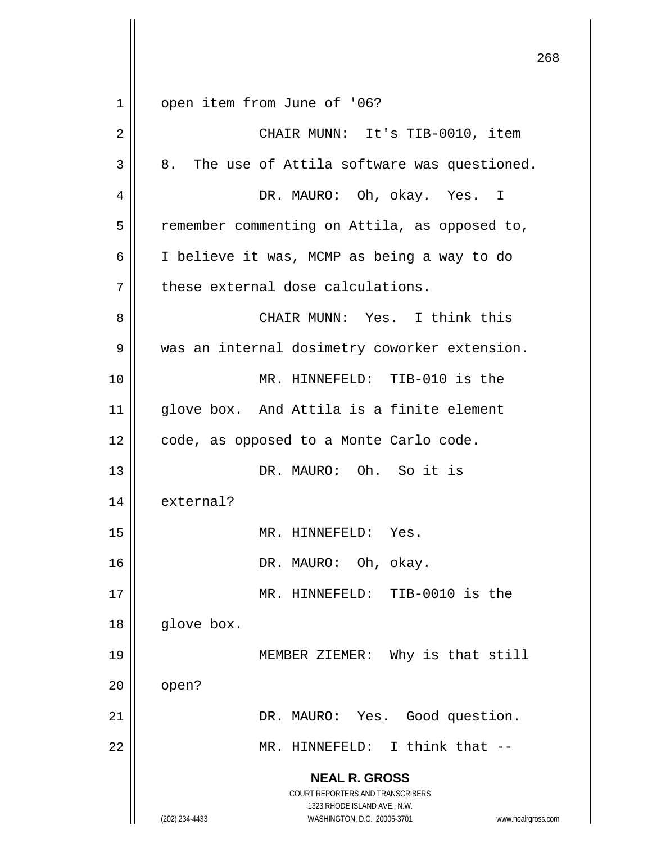**NEAL R. GROSS** COURT REPORTERS AND TRANSCRIBERS 1323 RHODE ISLAND AVE., N.W. (202) 234-4433 WASHINGTON, D.C. 20005-3701 www.nealrgross.com 268 1 open item from June of '06? 2 CHAIR MUNN: It's TIB-0010, item  $3 \parallel 8$ . The use of Attila software was questioned. 4 DR. MAURO: Oh, okay. Yes. I 5 | remember commenting on Attila, as opposed to, 6 I believe it was, MCMP as being a way to do  $7$  | these external dose calculations. 8 || CHAIR MUNN: Yes. I think this 9 | was an internal dosimetry coworker extension. 10 MR. HINNEFELD: TIB-010 is the 11 glove box. And Attila is a finite element 12 | code, as opposed to a Monte Carlo code. 13 DR. MAURO: Oh. So it is 14 external? 15 || MR. HINNEFELD: Yes. 16 DR. MAURO: Oh, okay. 17 MR. HINNEFELD: TIB-0010 is the 18 || glove box. 19 MEMBER ZIEMER: Why is that still  $20$  | open? 21 DR. MAURO: Yes. Good question. 22 || MR. HINNEFELD: I think that --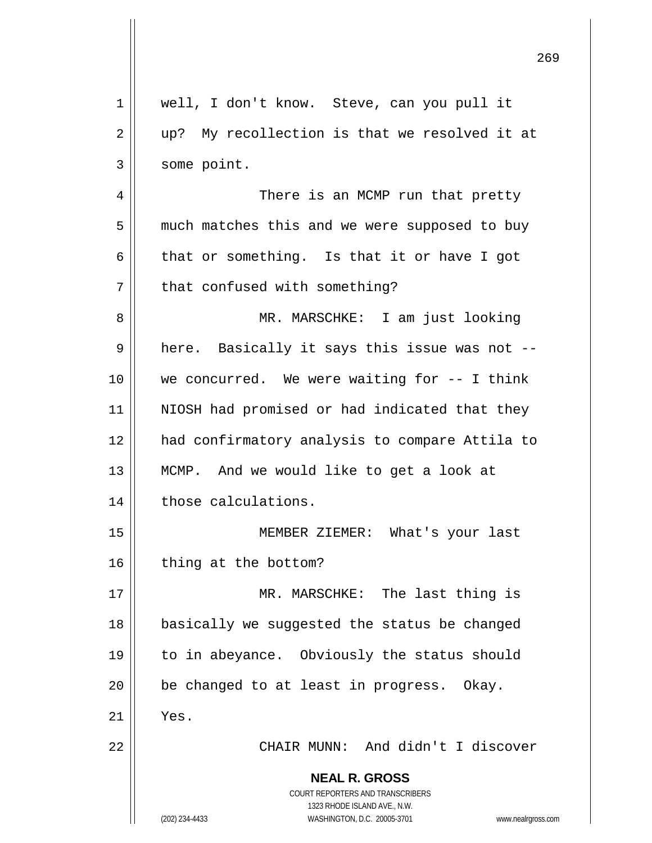| 1<br>2<br>3<br>4 | well, I don't know. Steve, can you pull it<br>up? My recollection is that we resolved it at                                                   |
|------------------|-----------------------------------------------------------------------------------------------------------------------------------------------|
|                  |                                                                                                                                               |
|                  |                                                                                                                                               |
|                  | some point.                                                                                                                                   |
|                  | There is an MCMP run that pretty                                                                                                              |
| 5                | much matches this and we were supposed to buy                                                                                                 |
| 6                | that or something. Is that it or have I got                                                                                                   |
| 7                | that confused with something?                                                                                                                 |
| 8                | MR. MARSCHKE: I am just looking                                                                                                               |
| 9                | here. Basically it says this issue was not --                                                                                                 |
| 10               | we concurred. We were waiting for $-$ - I think                                                                                               |
| 11               | NIOSH had promised or had indicated that they                                                                                                 |
| 12               | had confirmatory analysis to compare Attila to                                                                                                |
| 13               | MCMP. And we would like to get a look at                                                                                                      |
| 14               | those calculations.                                                                                                                           |
| 15               | MEMBER ZIEMER: What's your last                                                                                                               |
| 16               | thing at the bottom?                                                                                                                          |
| 17               | MR. MARSCHKE: The last thing is                                                                                                               |
| 18               | basically we suggested the status be changed                                                                                                  |
| 19               | to in abeyance. Obviously the status should                                                                                                   |
| 20               | be changed to at least in progress. Okay.                                                                                                     |
| 21<br>Yes.       |                                                                                                                                               |
| 22               | CHAIR MUNN: And didn't I discover                                                                                                             |
| (202) 234-4433   | <b>NEAL R. GROSS</b><br>COURT REPORTERS AND TRANSCRIBERS<br>1323 RHODE ISLAND AVE., N.W.<br>WASHINGTON, D.C. 20005-3701<br>www.nealrgross.com |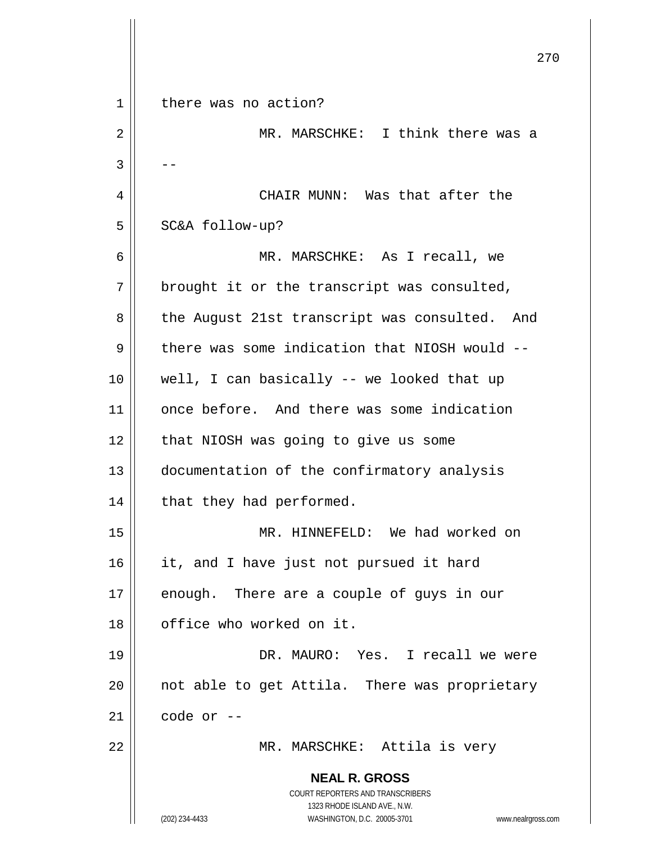**NEAL R. GROSS** COURT REPORTERS AND TRANSCRIBERS 1323 RHODE ISLAND AVE., N.W. (202) 234-4433 WASHINGTON, D.C. 20005-3701 www.nealrgross.com 270 1 || there was no action? 2 || MR. MARSCHKE: I think there was a  $3 \parallel - -$ 4 CHAIR MUNN: Was that after the  $5 \parallel$  SC&A follow-up? 6 MR. MARSCHKE: As I recall, we  $7 \parallel$  brought it or the transcript was consulted, 8 || the August 21st transcript was consulted. And 9 there was some indication that NIOSH would --10 well, I can basically -- we looked that up 11 || once before. And there was some indication  $12$  | that NIOSH was going to give us some 13 documentation of the confirmatory analysis  $14$  | that they had performed. 15 MR. HINNEFELD: We had worked on 16 it, and I have just not pursued it hard 17 || enough. There are a couple of guys in our 18 || office who worked on it. 19 DR. MAURO: Yes. I recall we were 20 || not able to get Attila. There was proprietary  $21$  | code or  $-$ 22 MR. MARSCHKE: Attila is very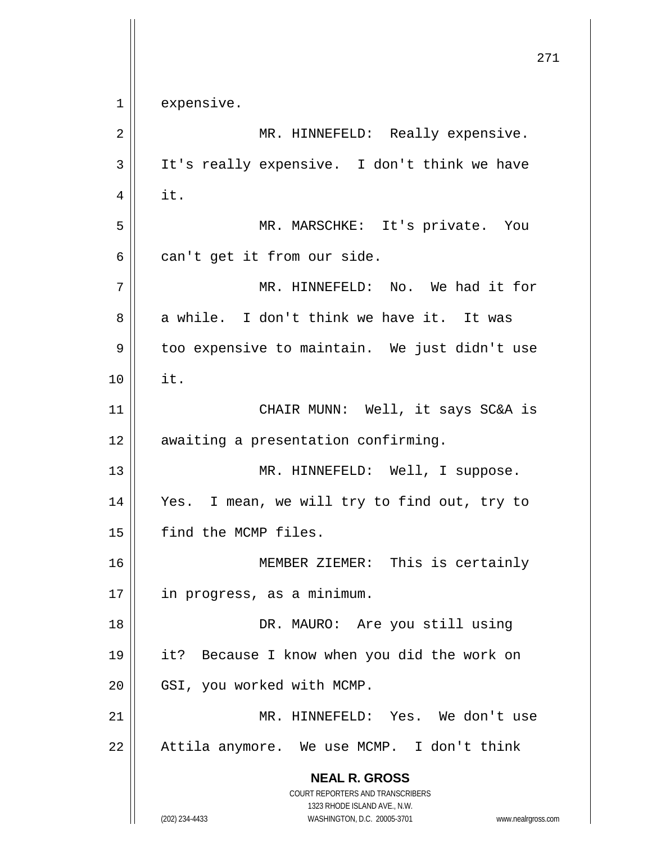**NEAL R. GROSS** COURT REPORTERS AND TRANSCRIBERS 1323 RHODE ISLAND AVE., N.W. (202) 234-4433 WASHINGTON, D.C. 20005-3701 www.nealrgross.com 271 1 | expensive. 2 || MR. HINNEFELD: Really expensive. 3 || It's really expensive. I don't think we have  $4 \parallel$  it. 5 || MR. MARSCHKE: It's private. You  $6 \parallel$  can't get it from our side. 7 MR. HINNEFELD: No. We had it for 8 a while. I don't think we have it. It was  $9 \parallel$  too expensive to maintain. We just didn't use  $10$   $\parallel$  it. 11 CHAIR MUNN: Well, it says SC&A is 12 || awaiting a presentation confirming. 13 MR. HINNEFELD: Well, I suppose. 14 Yes. I mean, we will try to find out, try to 15 | find the MCMP files. 16 MEMBER ZIEMER: This is certainly 17 | in progress, as a minimum. 18 || DR. MAURO: Are you still using 19 it? Because I know when you did the work on 20 | GSI, you worked with MCMP. 21 || MR. HINNEFELD: Yes. We don't use 22 | Attila anymore. We use MCMP. I don't think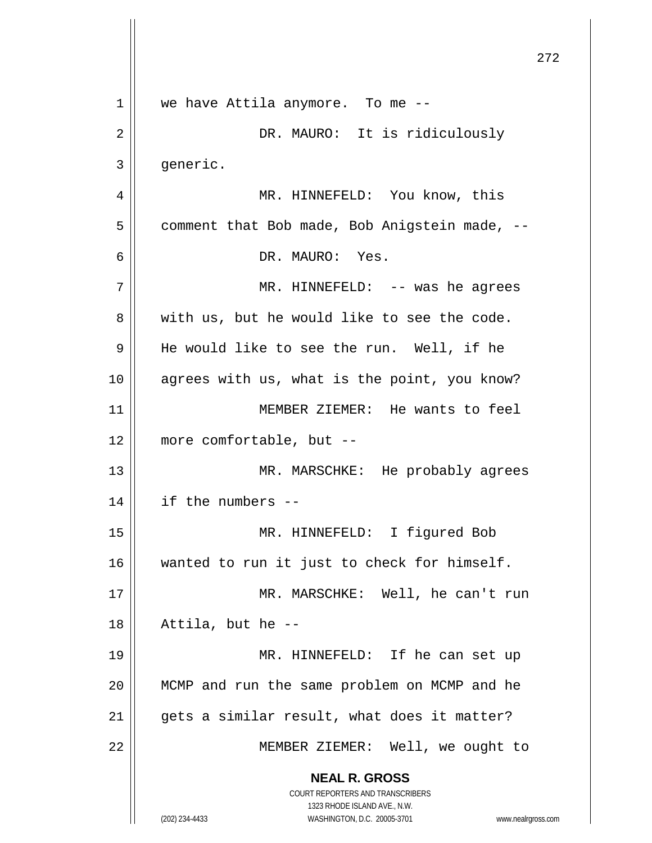**NEAL R. GROSS** COURT REPORTERS AND TRANSCRIBERS 1323 RHODE ISLAND AVE., N.W. (202) 234-4433 WASHINGTON, D.C. 20005-3701 www.nealrgross.com 1 we have Attila anymore. To me -- 2 DR. MAURO: It is ridiculously 3 | generic. 4 || MR. HINNEFELD: You know, this  $5 \parallel$  comment that Bob made, Bob Anigstein made, --6 DR. MAURO: Yes. 7 MR. HINNEFELD: -- was he agrees 8 || with us, but he would like to see the code. 9 He would like to see the run. Well, if he 10 agrees with us, what is the point, you know? 11 || MEMBER ZIEMER: He wants to feel 12 more comfortable, but -- 13 MR. MARSCHKE: He probably agrees 14 if the numbers -- 15 MR. HINNEFELD: I figured Bob 16 wanted to run it just to check for himself. 17 MR. MARSCHKE: Well, he can't run  $18$  || Attila, but he  $-$ -19 MR. HINNEFELD: If he can set up 20 MCMP and run the same problem on MCMP and he 21 || gets a similar result, what does it matter? 22 || MEMBER ZIEMER: Well, we ought to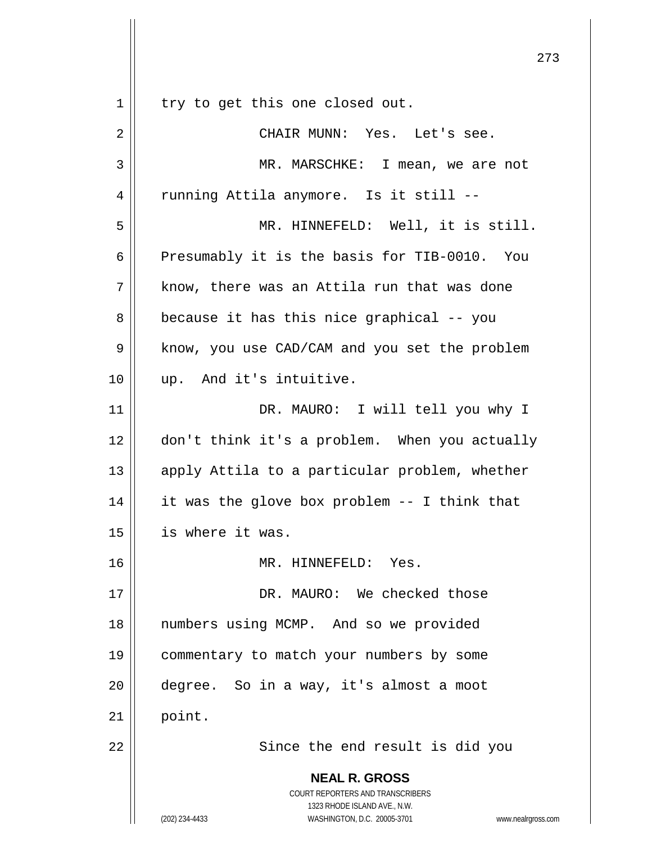**NEAL R. GROSS** COURT REPORTERS AND TRANSCRIBERS 1323 RHODE ISLAND AVE., N.W. (202) 234-4433 WASHINGTON, D.C. 20005-3701 www.nealrgross.com 1 || try to get this one closed out. 2 CHAIR MUNN: Yes. Let's see. 3 MR. MARSCHKE: I mean, we are not 4 | running Attila anymore. Is it still --5 MR. HINNEFELD: Well, it is still.  $6 \parallel$  Presumably it is the basis for TIB-0010. You  $7$  | know, there was an Attila run that was done 8 || because it has this nice graphical -- you 9 || know, you use CAD/CAM and you set the problem 10 up. And it's intuitive. 11 DR. MAURO: I will tell you why I 12 don't think it's a problem. When you actually 13 || apply Attila to a particular problem, whether 14  $\parallel$  it was the glove box problem -- I think that 15 is where it was. 16 MR. HINNEFELD: Yes. 17 DR. MAURO: We checked those 18 numbers using MCMP. And so we provided 19 commentary to match your numbers by some  $20$  | degree. So in a way, it's almost a moot  $21$  point. 22 || Since the end result is did you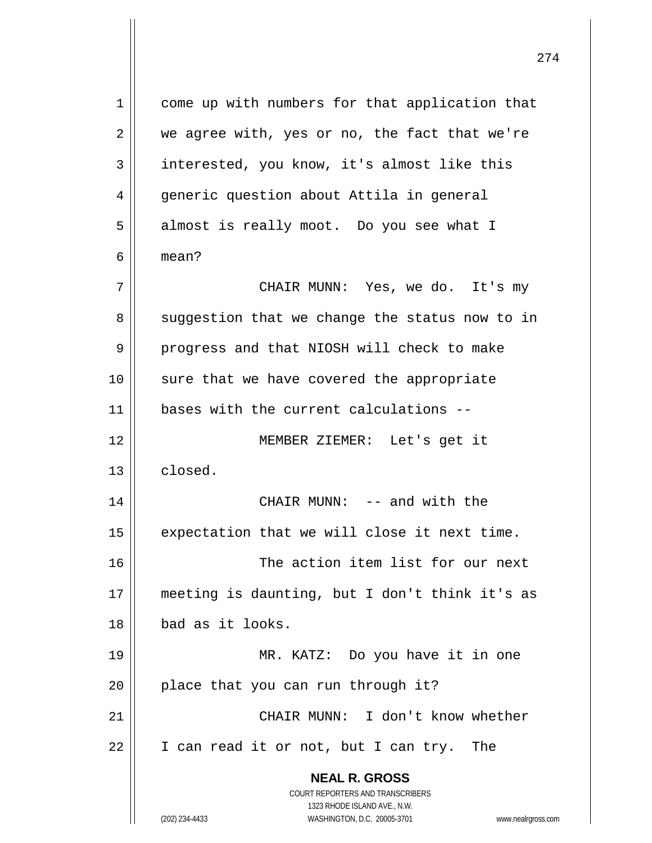**NEAL R. GROSS** COURT REPORTERS AND TRANSCRIBERS 1323 RHODE ISLAND AVE., N.W. (202) 234-4433 WASHINGTON, D.C. 20005-3701 www.nealrgross.com 1 | come up with numbers for that application that  $2 \parallel$  we agree with, yes or no, the fact that we're 3 | interested, you know, it's almost like this 4 | qeneric question about Attila in general 5 | almost is really moot. Do you see what I  $6 \parallel$  mean? 7 CHAIR MUNN: Yes, we do. It's my 8 || suggestion that we change the status now to in 9 || progress and that NIOSH will check to make 10 || sure that we have covered the appropriate 11 bases with the current calculations -- 12 MEMBER ZIEMER: Let's get it 13 | closed. 14 || CHAIR MUNN: -- and with the  $15$  | expectation that we will close it next time. 16 The action item list for our next 17 meeting is daunting, but I don't think it's as 18 || bad as it looks. 19 MR. KATZ: Do you have it in one  $20$  | place that you can run through it? 21 CHAIR MUNN: I don't know whether  $22$  | I can read it or not, but I can try. The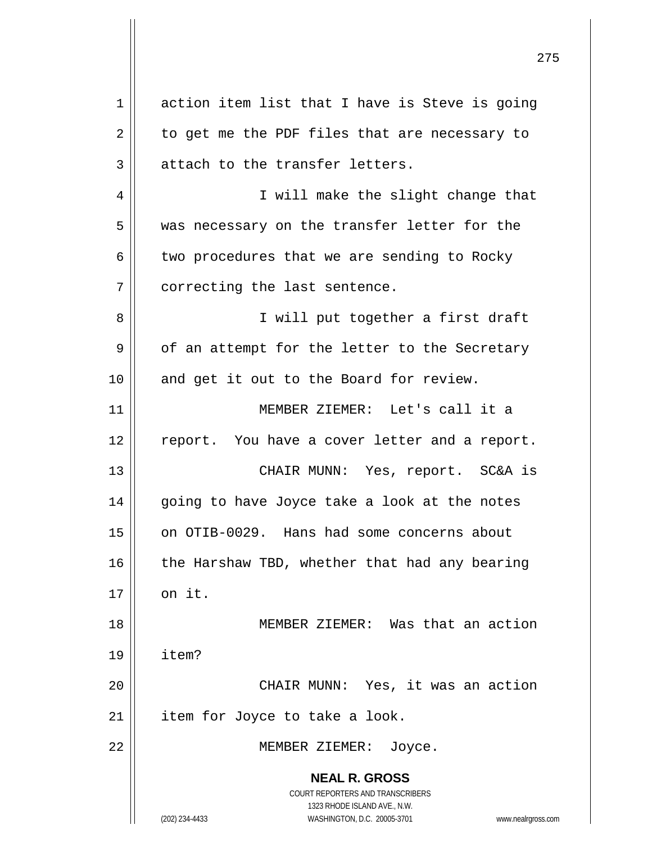**NEAL R. GROSS** COURT REPORTERS AND TRANSCRIBERS 1323 RHODE ISLAND AVE., N.W. (202) 234-4433 WASHINGTON, D.C. 20005-3701 www.nealrgross.com 1 || action item list that I have is Steve is going  $2 \parallel$  to get me the PDF files that are necessary to  $3$  || attach to the transfer letters. 4 || I will make the slight change that 5 was necessary on the transfer letter for the  $6 \parallel$  two procedures that we are sending to Rocky 7 | correcting the last sentence. 8 || I will put together a first draft  $9 \parallel$  of an attempt for the letter to the Secretary 10 || and get it out to the Board for review. 11 MEMBER ZIEMER: Let's call it a 12 || report. You have a cover letter and a report. 13 CHAIR MUNN: Yes, report. SC&A is 14 || going to have Joyce take a look at the notes 15 | on OTIB-0029. Hans had some concerns about 16 | the Harshaw TBD, whether that had any bearing  $17 \parallel$  on it. 18 || MEMBER ZIEMER: Was that an action 19 item? 20 CHAIR MUNN: Yes, it was an action  $21$  | item for Joyce to take a look. 22 || MEMBER ZIEMER: Joyce.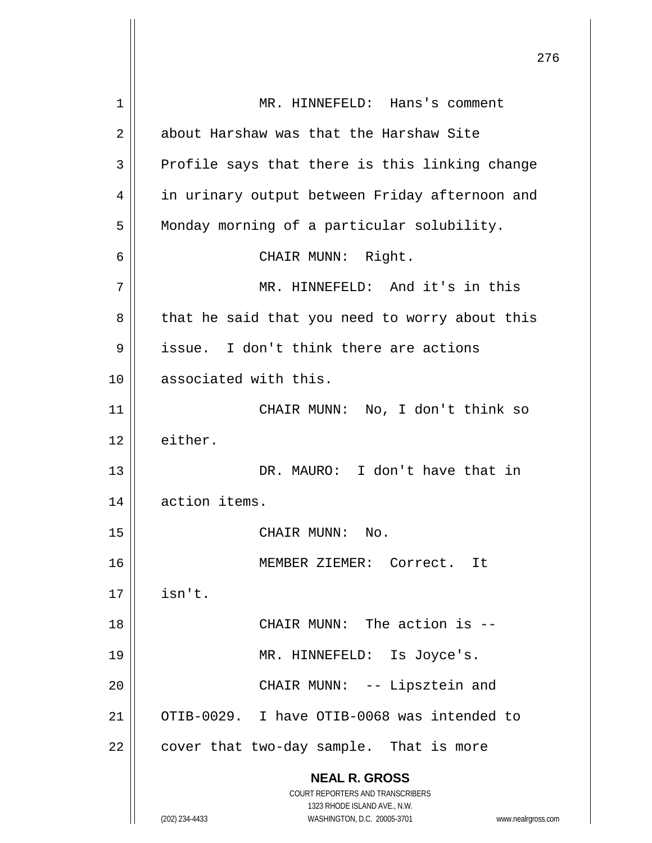**NEAL R. GROSS** COURT REPORTERS AND TRANSCRIBERS 1323 RHODE ISLAND AVE., N.W. (202) 234-4433 WASHINGTON, D.C. 20005-3701 www.nealrgross.com 276 1 MR. HINNEFELD: Hans's comment 2 | about Harshaw was that the Harshaw Site  $3 \parallel$  Profile says that there is this linking change 4 | in urinary output between Friday afternoon and 5 | Monday morning of a particular solubility. 6 | CHAIR MUNN: Right. 7 MR. HINNEFELD: And it's in this 8 || that he said that you need to worry about this 9 || issue. I don't think there are actions 10 associated with this. 11 CHAIR MUNN: No, I don't think so 12 either. 13 DR. MAURO: I don't have that in 14 action items. 15 || CHAIR MUNN: No. 16 MEMBER ZIEMER: Correct. It  $17 \parallel$  isn't. 18 CHAIR MUNN: The action is -- 19 || MR. HINNEFELD: Is Joyce's. 20 || CHAIR MUNN: -- Lipsztein and 21 OTIB-0029. I have OTIB-0068 was intended to  $22$  | cover that two-day sample. That is more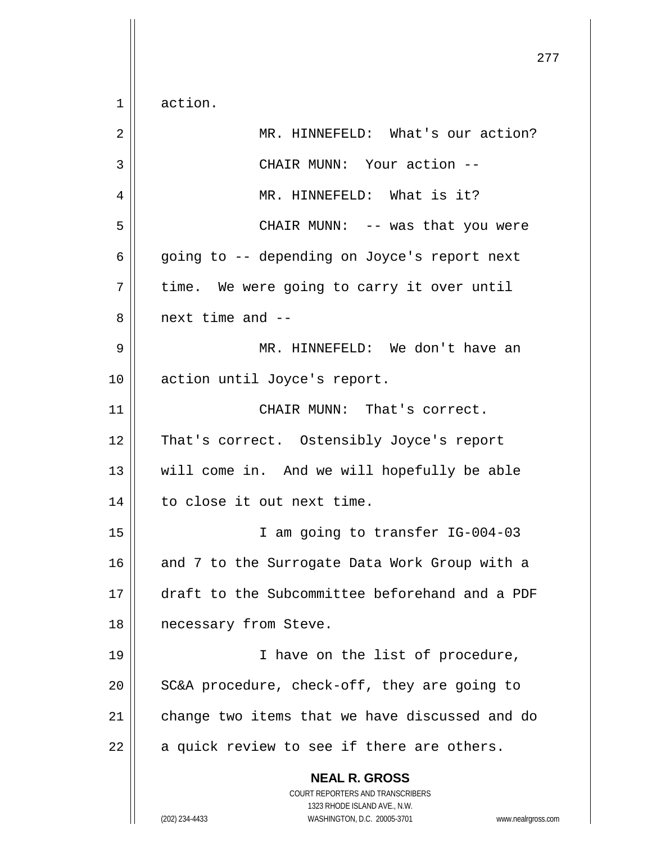**NEAL R. GROSS** COURT REPORTERS AND TRANSCRIBERS 1323 RHODE ISLAND AVE., N.W. (202) 234-4433 WASHINGTON, D.C. 20005-3701 www.nealrgross.com 277 1 action. 2 || MR. HINNEFELD: What's our action? 3 CHAIR MUNN: Your action -- 4 MR. HINNEFELD: What is it? 5 CHAIR MUNN: -- was that you were 6 | going to -- depending on Joyce's report next  $7 \parallel$  time. We were going to carry it over until  $8 \parallel$  next time and  $-$ 9 MR. HINNEFELD: We don't have an 10 || action until Joyce's report. 11 CHAIR MUNN: That's correct. 12 || That's correct. Ostensibly Joyce's report 13 || will come in. And we will hopefully be able 14 | to close it out next time. 15 I am going to transfer IG-004-03 16 || and 7 to the Surrogate Data Work Group with a 17 draft to the Subcommittee beforehand and a PDF 18 || necessary from Steve. 19 || Thave on the list of procedure, 20  $\parallel$  SC&A procedure, check-off, they are going to 21 || change two items that we have discussed and do  $22 \parallel$  a quick review to see if there are others.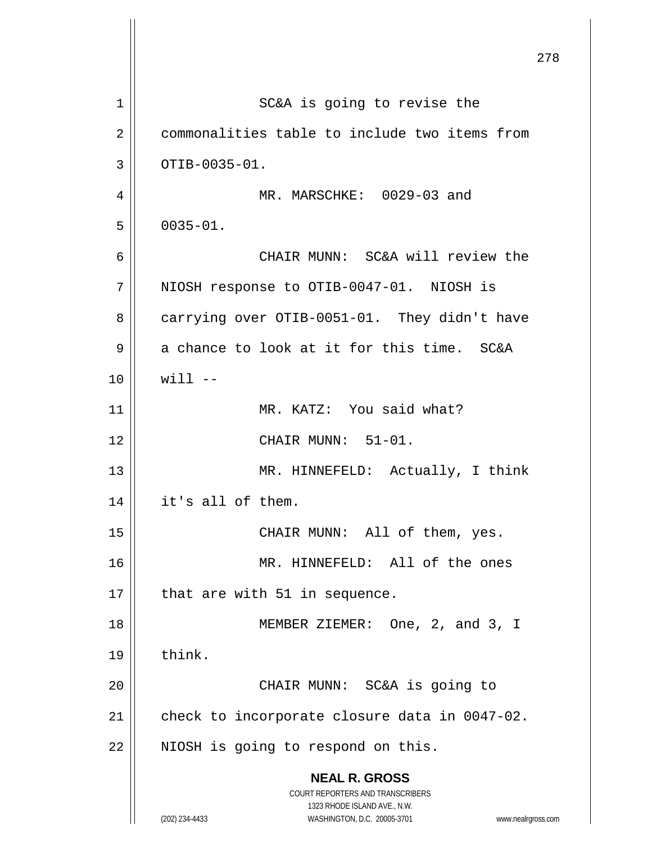**NEAL R. GROSS** COURT REPORTERS AND TRANSCRIBERS 1323 RHODE ISLAND AVE., N.W. (202) 234-4433 WASHINGTON, D.C. 20005-3701 www.nealrgross.com 1 || SC&A is going to revise the 2 commonalities table to include two items from  $3 \parallel$  OTIB-0035-01. 4 MR. MARSCHKE: 0029-03 and  $5 \parallel 0035-01.$ 6 CHAIR MUNN: SC&A will review the 7 NIOSH response to OTIB-0047-01. NIOSH is 8 || carrying over OTIB-0051-01. They didn't have 9 a chance to look at it for this time. SC&A  $10 \parallel$  will  $-$ 11 || MR. KATZ: You said what? 12 CHAIR MUNN: 51-01. 13 || MR. HINNEFELD: Actually, I think 14 it's all of them. 15 CHAIR MUNN: All of them, yes. 16 MR. HINNEFELD: All of the ones  $17 \parallel$  that are with 51 in sequence. 18 || MEMBER ZIEMER: One, 2, and 3, I 19 think. 20 || CHAIR MUNN: SC&A is going to 21 | check to incorporate closure data in 0047-02. 22 || NIOSH is going to respond on this.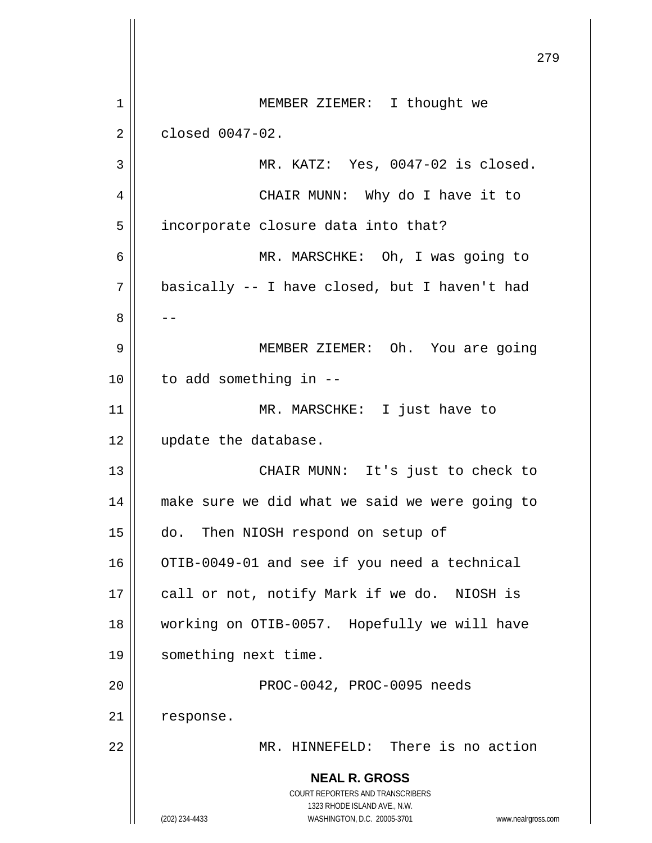**NEAL R. GROSS** COURT REPORTERS AND TRANSCRIBERS 1323 RHODE ISLAND AVE., N.W. (202) 234-4433 WASHINGTON, D.C. 20005-3701 www.nealrgross.com 1 MEMBER ZIEMER: I thought we 2 closed 0047-02. 3 || MR. KATZ: Yes, 0047-02 is closed. 4 || CHAIR MUNN: Why do I have it to  $5$  incorporate closure data into that? 6 MR. MARSCHKE: Oh, I was going to  $7 \parallel$  basically -- I have closed, but I haven't had  $8$  --9 MEMBER ZIEMER: Oh. You are going  $10$  | to add something in  $-$ 11 || MR. MARSCHKE: I just have to 12 update the database. 13 || CHAIR MUNN: It's just to check to 14 make sure we did what we said we were going to 15 do. Then NIOSH respond on setup of 16 | OTIB-0049-01 and see if you need a technical 17 || call or not, notify Mark if we do. NIOSH is 18 working on OTIB-0057. Hopefully we will have 19 | something next time. 20 PROC-0042, PROC-0095 needs 21 | response. 22 MR. HINNEFELD: There is no action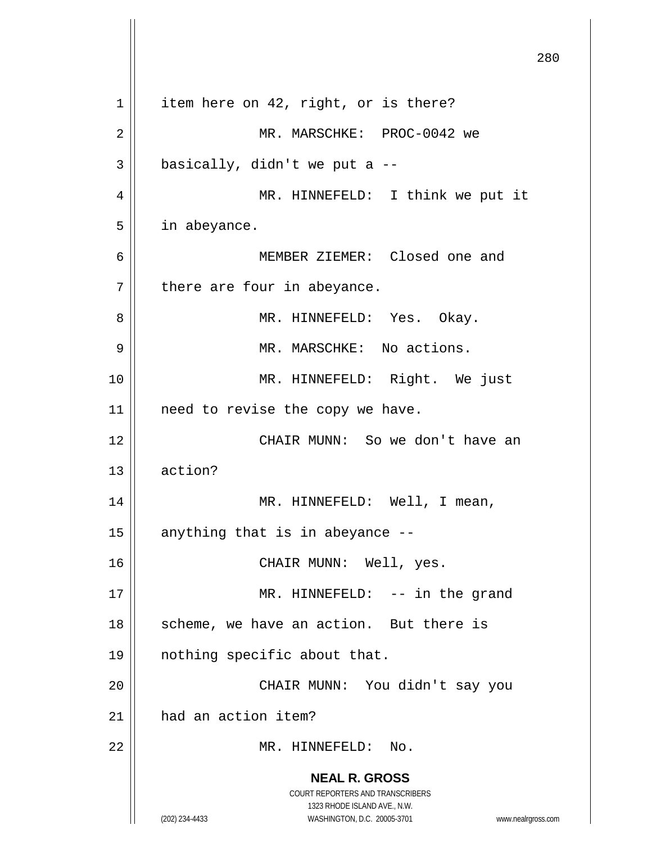**NEAL R. GROSS** COURT REPORTERS AND TRANSCRIBERS 1323 RHODE ISLAND AVE., N.W. (202) 234-4433 WASHINGTON, D.C. 20005-3701 www.nealrgross.com 1 || item here on 42, right, or is there? 2 || MR. MARSCHKE: PROC-0042 we  $3 \parallel$  basically, didn't we put a --4 || MR. HINNEFELD: I think we put it  $5 \parallel$  in abeyance. 6 MEMBER ZIEMER: Closed one and  $7$  | there are four in abeyance. 8 MR. HINNEFELD: Yes. Okay. 9 | MR. MARSCHKE: No actions. 10 MR. HINNEFELD: Right. We just 11 || need to revise the copy we have. 12 CHAIR MUNN: So we don't have an 13 || action? 14 | MR. HINNEFELD: Well, I mean,  $15$  anything that is in abeyance  $-$ 16 CHAIR MUNN: Well, yes. 17 || MR. HINNEFELD: -- in the grand  $18$  scheme, we have an action. But there is 19 || nothing specific about that. 20 CHAIR MUNN: You didn't say you 21 had an action item? 22 | MR. HINNEFELD: No.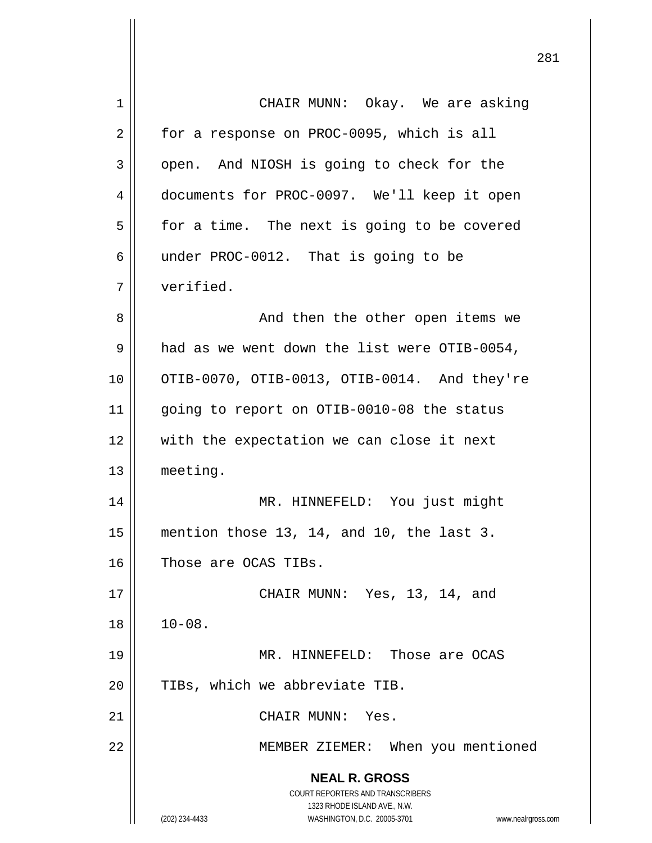**NEAL R. GROSS** COURT REPORTERS AND TRANSCRIBERS 1323 RHODE ISLAND AVE., N.W. (202) 234-4433 WASHINGTON, D.C. 20005-3701 www.nealrgross.com 1 CHAIR MUNN: Okay. We are asking 2 | for a response on PROC-0095, which is all 3 || open. And NIOSH is going to check for the 4 documents for PROC-0097. We'll keep it open  $5 \parallel$  for a time. The next is going to be covered  $6 \parallel$  under PROC-0012. That is going to be 7 verified. 8 And then the other open items we  $9 \parallel$  had as we went down the list were OTIB-0054, 10 OTIB-0070, OTIB-0013, OTIB-0014. And they're 11 going to report on OTIB-0010-08 the status 12 with the expectation we can close it next 13 meeting. 14 || MR. HINNEFELD: You just might 15  $\parallel$  mention those 13, 14, and 10, the last 3. 16 || Those are OCAS TIBs. 17 CHAIR MUNN: Yes, 13, 14, and  $18 \parallel 10-08.$ 19 MR. HINNEFELD: Those are OCAS  $20$  || TIBs, which we abbreviate TIB. 21 CHAIR MUNN: Yes. 22 || MEMBER ZIEMER: When you mentioned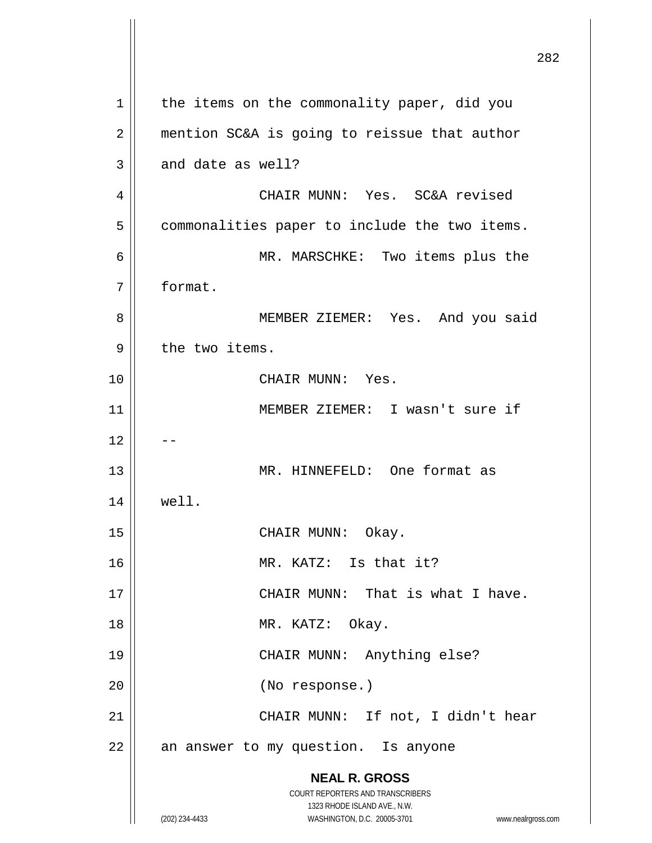**NEAL R. GROSS** COURT REPORTERS AND TRANSCRIBERS 1323 RHODE ISLAND AVE., N.W. (202) 234-4433 WASHINGTON, D.C. 20005-3701 www.nealrgross.com 1 | the items on the commonality paper, did you 2 | mention SC&A is going to reissue that author  $3 \parallel$  and date as well? 4 CHAIR MUNN: Yes. SC&A revised 5 | commonalities paper to include the two items. 6 MR. MARSCHKE: Two items plus the 7 format. 8 || MEMBER ZIEMER: Yes. And you said  $9 \parallel$  the two items. 10 CHAIR MUNN: Yes. 11 MEMBER ZIEMER: I wasn't sure if  $12$ 13 || MR. HINNEFELD: One format as  $14$  | well. 15 || CHAIR MUNN: Okay. 16 MR. KATZ: Is that it? 17 CHAIR MUNN: That is what I have. 18 MR. KATZ: Okay. 19 CHAIR MUNN: Anything else? 20 (No response.) 21 || CHAIR MUNN: If not, I didn't hear  $22$  || an answer to my question. Is anyone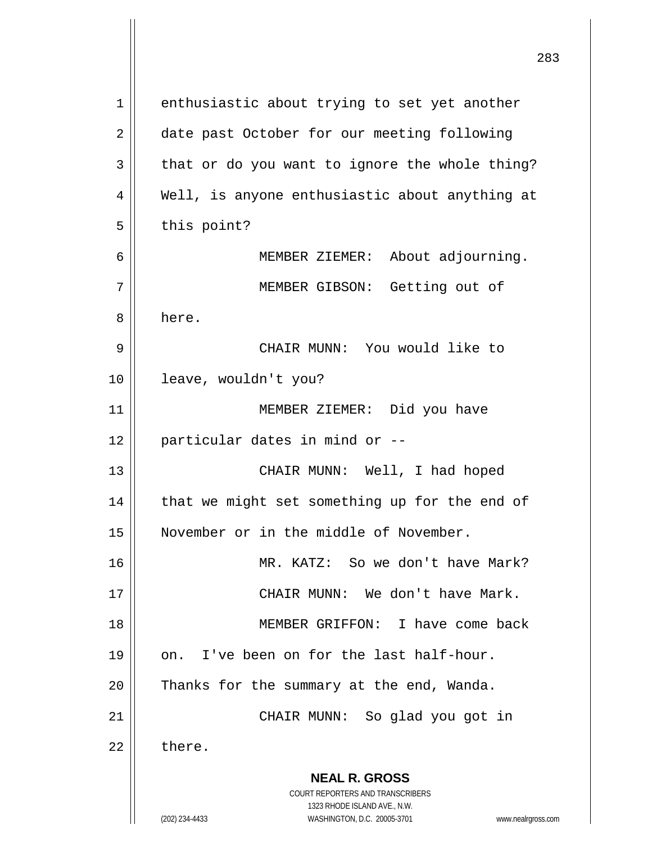**NEAL R. GROSS** COURT REPORTERS AND TRANSCRIBERS 1323 RHODE ISLAND AVE., N.W. (202) 234-4433 WASHINGTON, D.C. 20005-3701 www.nealrgross.com 1 || enthusiastic about trying to set yet another 2 | date past October for our meeting following  $3 \parallel$  that or do you want to ignore the whole thing? 4 || Well, is anyone enthusiastic about anything at  $5$  | this point? 6 MEMBER ZIEMER: About adjourning. 7 MEMBER GIBSON: Getting out of 8 here. 9 CHAIR MUNN: You would like to 10 leave, wouldn't you? 11 MEMBER ZIEMER: Did you have 12 || particular dates in mind or --13 CHAIR MUNN: Well, I had hoped 14 || that we might set something up for the end of 15 November or in the middle of November. 16 MR. KATZ: So we don't have Mark? 17 CHAIR MUNN: We don't have Mark. 18 || MEMBER GRIFFON: I have come back 19  $\parallel$  on. I've been on for the last half-hour. 20 || Thanks for the summary at the end, Wanda. 21 CHAIR MUNN: So glad you got in  $22 \parallel$  there.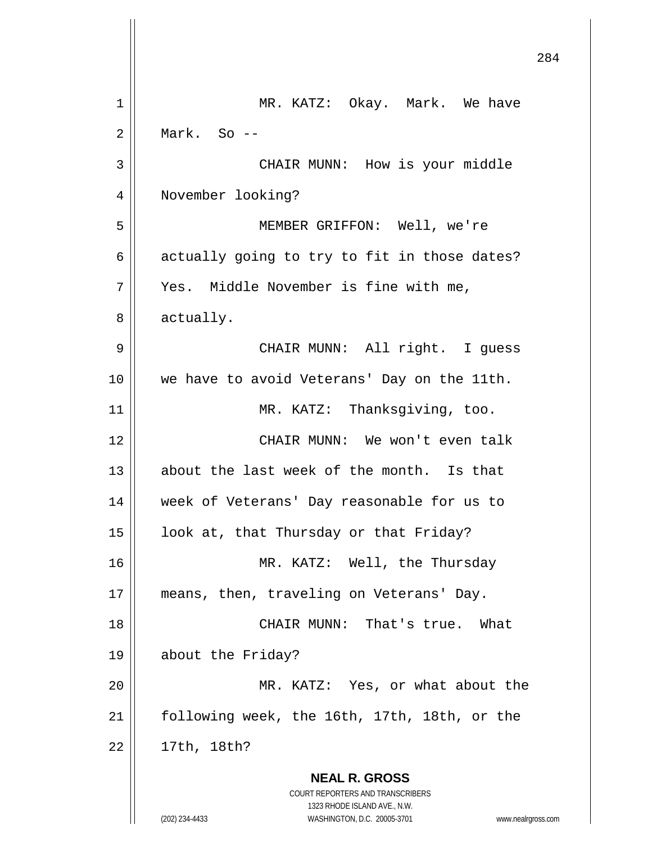**NEAL R. GROSS** COURT REPORTERS AND TRANSCRIBERS 1323 RHODE ISLAND AVE., N.W. (202) 234-4433 WASHINGTON, D.C. 20005-3701 www.nealrgross.com 284 1 MR. KATZ: Okay. Mark. We have  $2 \parallel$  Mark. So --3 CHAIR MUNN: How is your middle 4 November looking? 5 MEMBER GRIFFON: Well, we're  $6 \parallel$  actually going to try to fit in those dates? 7 || Yes. Middle November is fine with me, 8 | actually. 9 CHAIR MUNN: All right. I guess 10 we have to avoid Veterans' Day on the 11th. 11 MR. KATZ: Thanksgiving, too. 12 CHAIR MUNN: We won't even talk 13 || about the last week of the month. Is that 14 week of Veterans' Day reasonable for us to 15  $\parallel$  100k at, that Thursday or that Friday? 16 MR. KATZ: Well, the Thursday 17 || means, then, traveling on Veterans' Day. 18 CHAIR MUNN: That's true. What 19 about the Friday? 20 MR. KATZ: Yes, or what about the 21 following week, the 16th, 17th, 18th, or the 22 | 17th, 18th?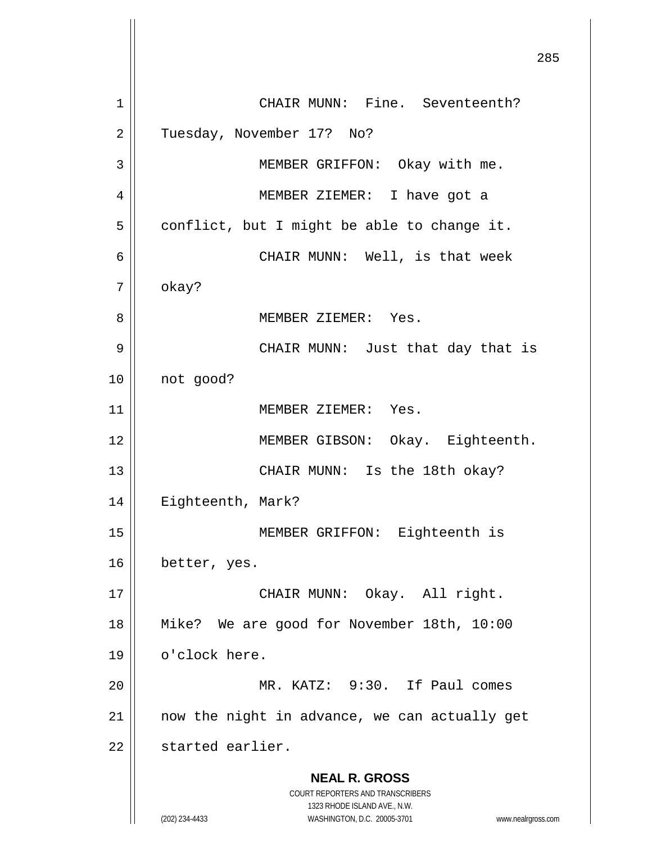**NEAL R. GROSS** COURT REPORTERS AND TRANSCRIBERS 1323 RHODE ISLAND AVE., N.W. (202) 234-4433 WASHINGTON, D.C. 20005-3701 www.nealrgross.com 285 1 || CHAIR MUNN: Fine. Seventeenth? 2 | Tuesday, November 17? No? 3 || MEMBER GRIFFON: Okay with me. 4 || MEMBER ZIEMER: I have got a  $5 \parallel$  conflict, but I might be able to change it. 6 CHAIR MUNN: Well, is that week  $7 \parallel$  okay? 8 MEMBER ZIEMER: Yes. 9 CHAIR MUNN: Just that day that is 10 || not good? 11 || MEMBER ZIEMER: Yes. 12 || MEMBER GIBSON: Okay. Eighteenth. 13 CHAIR MUNN: Is the 18th okay? 14 | Eighteenth, Mark? 15 MEMBER GRIFFON: Eighteenth is 16 | better, yes. 17 || CHAIR MUNN: Okay. All right. 18 Mike? We are good for November 18th, 10:00 19 | o'clock here. 20 MR. KATZ: 9:30. If Paul comes  $21$  || now the night in advance, we can actually get 22 || started earlier.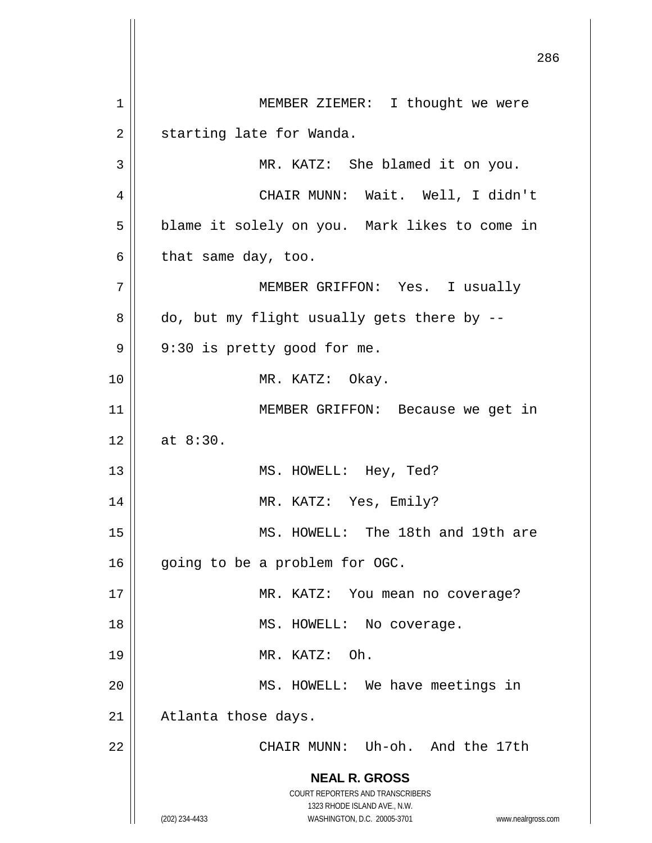**NEAL R. GROSS** COURT REPORTERS AND TRANSCRIBERS 1323 RHODE ISLAND AVE., N.W. (202) 234-4433 WASHINGTON, D.C. 20005-3701 www.nealrgross.com 286 1 || MEMBER ZIEMER: I thought we were 2 | starting late for Wanda. 3 MR. KATZ: She blamed it on you. 4 CHAIR MUNN: Wait. Well, I didn't 5 | blame it solely on you. Mark likes to come in  $6 \parallel$  that same day, too. 7 MEMBER GRIFFON: Yes. I usually  $8 \parallel$  do, but my flight usually gets there by -- $9 \parallel 9:30$  is pretty good for me. 10 || MR. KATZ: Okay. 11 MEMBER GRIFFON: Because we get in  $12 \parallel$  at 8:30. 13 MS. HOWELL: Hey, Ted? 14 || MR. KATZ: Yes, Emily? 15 MS. HOWELL: The 18th and 19th are 16 || going to be a problem for OGC. 17 MR. KATZ: You mean no coverage? 18 || MS. HOWELL: No coverage. 19 MR. KATZ: Oh. 20 MS. HOWELL: We have meetings in 21 | Atlanta those days. 22 CHAIR MUNN: Uh-oh. And the 17th